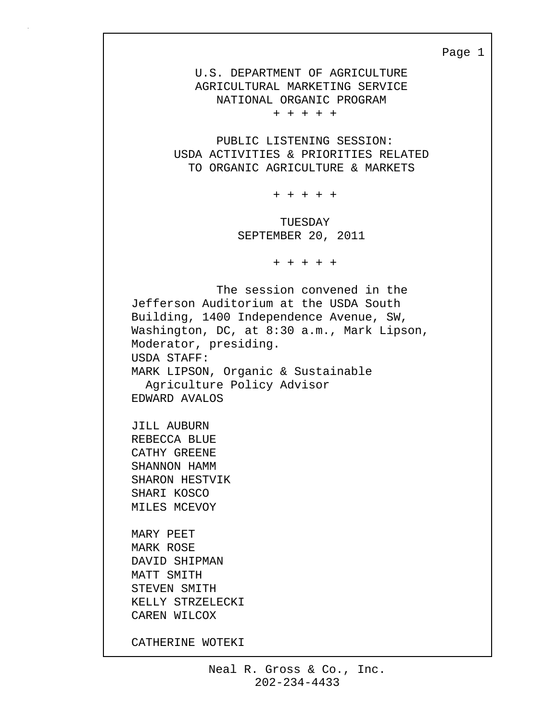Page 1

 U.S. DEPARTMENT OF AGRICULTURE AGRICULTURAL MARKETING SERVICE NATIONAL ORGANIC PROGRAM

+ + + + +

 PUBLIC LISTENING SESSION: USDA ACTIVITIES & PRIORITIES RELATED TO ORGANIC AGRICULTURE & MARKETS

+ + + + +

 TUESDAY SEPTEMBER 20, 2011

+ + + + +

 The session convened in the Jefferson Auditorium at the USDA South Building, 1400 Independence Avenue, SW, Washington, DC, at 8:30 a.m., Mark Lipson, Moderator, presiding. USDA STAFF: MARK LIPSON, Organic & Sustainable Agriculture Policy Advisor EDWARD AVALOS JILL AUBURN REBECCA BLUE CATHY GREENE SHANNON HAMM SHARON HESTVIK SHARI KOSCO MILES MCEVOY MARY PEET MARK ROSE DAVID SHIPMAN MATT SMITH STEVEN SMITH KELLY STRZELECKI CAREN WILCOX CATHERINE WOTEKI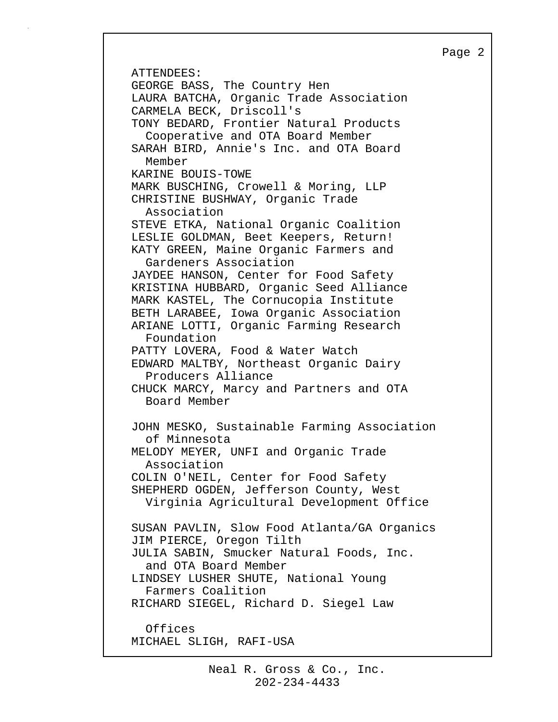```
Page 2
```
ATTENDEES: GEORGE BASS, The Country Hen LAURA BATCHA, Organic Trade Association CARMELA BECK, Driscoll's TONY BEDARD, Frontier Natural Products Cooperative and OTA Board Member SARAH BIRD, Annie's Inc. and OTA Board Member KARINE BOUIS-TOWE MARK BUSCHING, Crowell & Moring, LLP CHRISTINE BUSHWAY, Organic Trade Association STEVE ETKA, National Organic Coalition LESLIE GOLDMAN, Beet Keepers, Return! KATY GREEN, Maine Organic Farmers and Gardeners Association JAYDEE HANSON, Center for Food Safety KRISTINA HUBBARD, Organic Seed Alliance MARK KASTEL, The Cornucopia Institute BETH LARABEE, Iowa Organic Association ARIANE LOTTI, Organic Farming Research Foundation PATTY LOVERA, Food & Water Watch EDWARD MALTBY, Northeast Organic Dairy Producers Alliance CHUCK MARCY, Marcy and Partners and OTA Board Member JOHN MESKO, Sustainable Farming Association of Minnesota MELODY MEYER, UNFI and Organic Trade Association COLIN O'NEIL, Center for Food Safety SHEPHERD OGDEN, Jefferson County, West Virginia Agricultural Development Office SUSAN PAVLIN, Slow Food Atlanta/GA Organics JIM PIERCE, Oregon Tilth JULIA SABIN, Smucker Natural Foods, Inc. and OTA Board Member LINDSEY LUSHER SHUTE, National Young Farmers Coalition RICHARD SIEGEL, Richard D. Siegel Law Offices MICHAEL SLIGH, RAFI-USA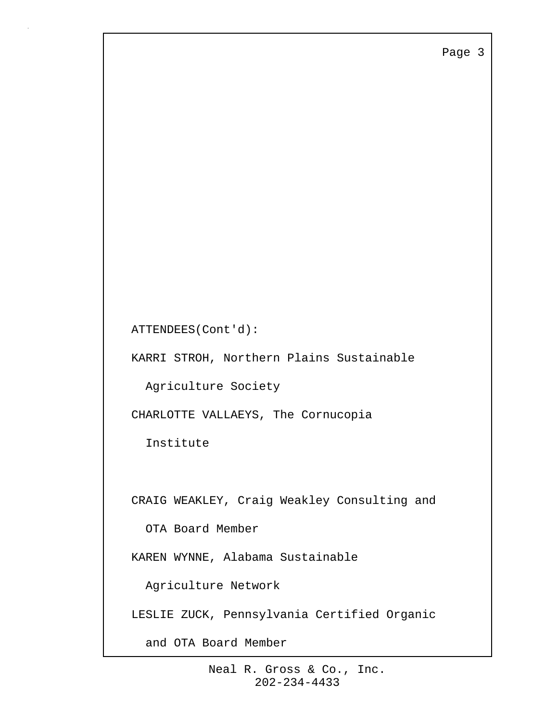Page 3

```
ATTENDEES(Cont'd):
```
KARRI STROH, Northern Plains Sustainable

Agriculture Society

CHARLOTTE VALLAEYS, The Cornucopia

Institute

CRAIG WEAKLEY, Craig Weakley Consulting and

OTA Board Member

KAREN WYNNE, Alabama Sustainable

Agriculture Network

LESLIE ZUCK, Pennsylvania Certified Organic

and OTA Board Member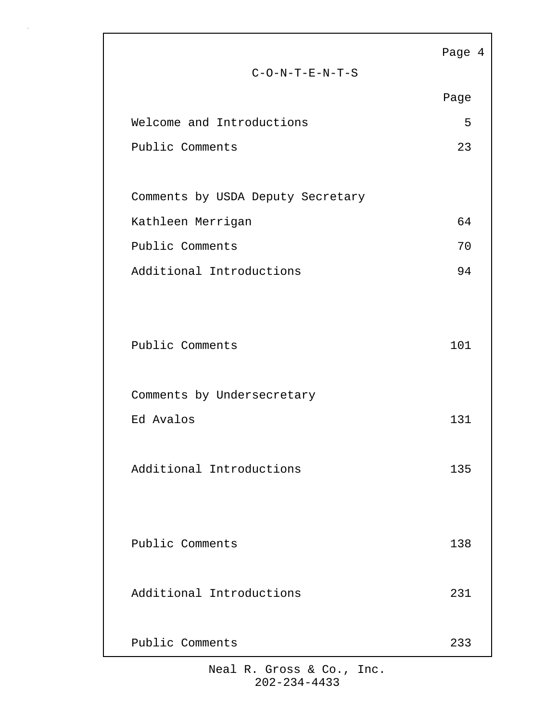|                                   | Page 4 |  |
|-----------------------------------|--------|--|
| $C-O-N-T-E-N-T-S$                 |        |  |
|                                   | Page   |  |
| Welcome and Introductions         | 5      |  |
| Public Comments                   | 23     |  |
|                                   |        |  |
| Comments by USDA Deputy Secretary |        |  |
| Kathleen Merrigan                 | 64     |  |
| Public Comments                   | 70     |  |
| Additional Introductions          | 94     |  |
|                                   |        |  |
|                                   |        |  |
| Public Comments                   | 101    |  |
|                                   |        |  |
| Comments by Undersecretary        |        |  |
| Ed Avalos                         | 131    |  |
|                                   |        |  |
| Additional Introductions          | 135    |  |
|                                   |        |  |
|                                   |        |  |
| Public Comments                   | 138    |  |
|                                   |        |  |
| Additional Introductions          | 231    |  |
|                                   |        |  |
| Public Comments                   | 233    |  |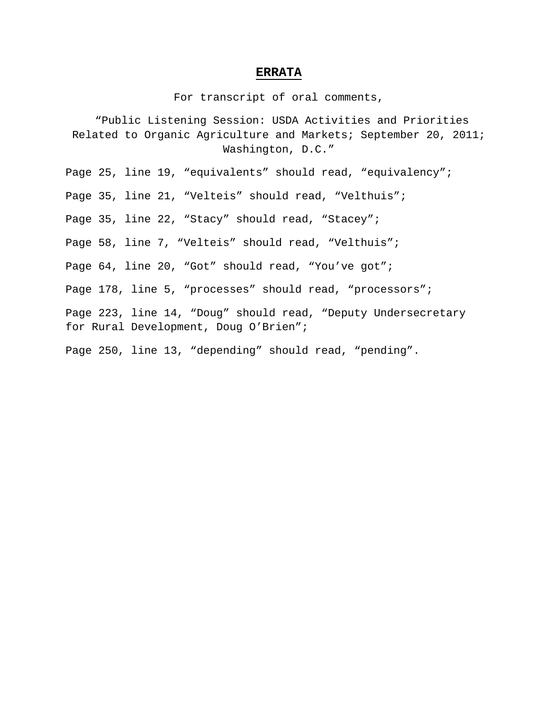## **ERRATA**

For transcript of oral comments,

"Public Listening Session: USDA Activities and Priorities Related to Organic Agriculture and Markets; September 20, 2011; Washington, D.C."

Page 25, line 19, "equivalents" should read, "equivalency";

Page 35, line 21, "Velteis" should read, "Velthuis";

Page 35, line 22, "Stacy" should read, "Stacey";

Page 58, line 7, "Velteis" should read, "Velthuis";

Page 64, line 20, "Got" should read, "You've got";

Page 178, line 5, "processes" should read, "processors";

Page 223, line 14, "Doug" should read, "Deputy Undersecretary for Rural Development, Doug O'Brien";

Page 250, line 13, "depending" should read, "pending".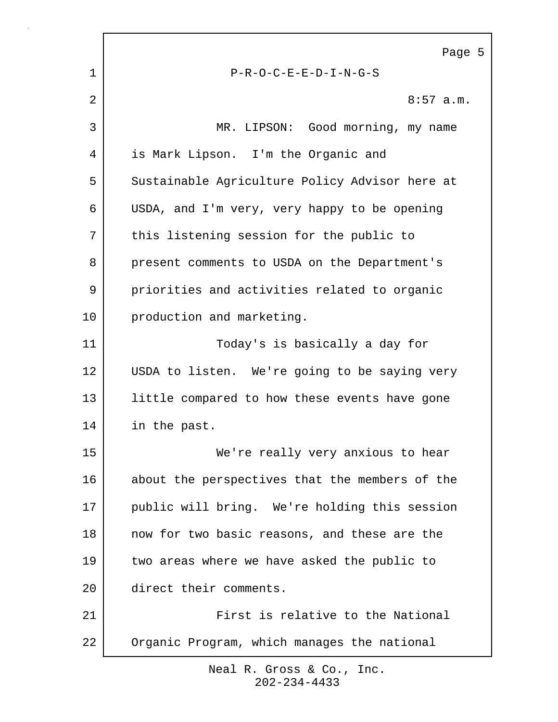Page 5 1 P-R-O-C-E-E-D-I-N-G-S 2  $\vert$  8:57 a.m. 3 MR. LIPSON: Good morning, my name 4 is Mark Lipson. I'm the Organic and 5 Sustainable Agriculture Policy Advisor here at 6 USDA, and I'm very, very happy to be opening 7 | this listening session for the public to 8 present comments to USDA on the Department's 9 priorities and activities related to organic 10 production and marketing. 11 Today's is basically a day for 12 USDA to listen. We're going to be saying very 13 little compared to how these events have gone 14 in the past. 15 We're really very anxious to hear 16 about the perspectives that the members of the 17 | public will bring. We're holding this session 18 now for two basic reasons, and these are the 19 two areas where we have asked the public to 20 direct their comments. 21 First is relative to the National 22 Organic Program, which manages the national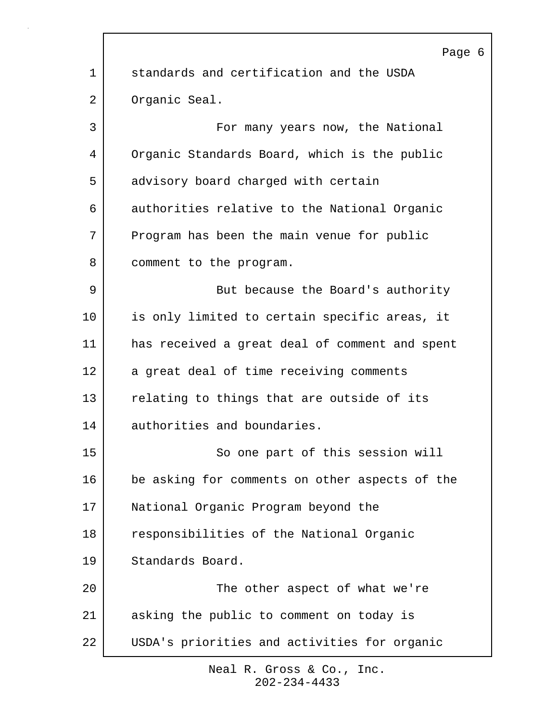|             | Page 6                                         |
|-------------|------------------------------------------------|
| $\mathbf 1$ | standards and certification and the USDA       |
| 2           | Organic Seal.                                  |
| 3           | For many years now, the National               |
| 4           | Organic Standards Board, which is the public   |
| 5           | advisory board charged with certain            |
| 6           | authorities relative to the National Organic   |
| 7           | Program has been the main venue for public     |
| 8           | comment to the program.                        |
| 9           | But because the Board's authority              |
| 10          | is only limited to certain specific areas, it  |
| 11          | has received a great deal of comment and spent |
| 12          | a great deal of time receiving comments        |
| 13          | relating to things that are outside of its     |
| 14          | authorities and boundaries.                    |
| 15          | So one part of this session will               |
| 16          | be asking for comments on other aspects of the |
| 17          | National Organic Program beyond the            |
| 18          | responsibilities of the National Organic       |
| 19          | Standards Board.                               |
| 20          | The other aspect of what we're                 |
| 21          | asking the public to comment on today is       |
| 22          | USDA's priorities and activities for organic   |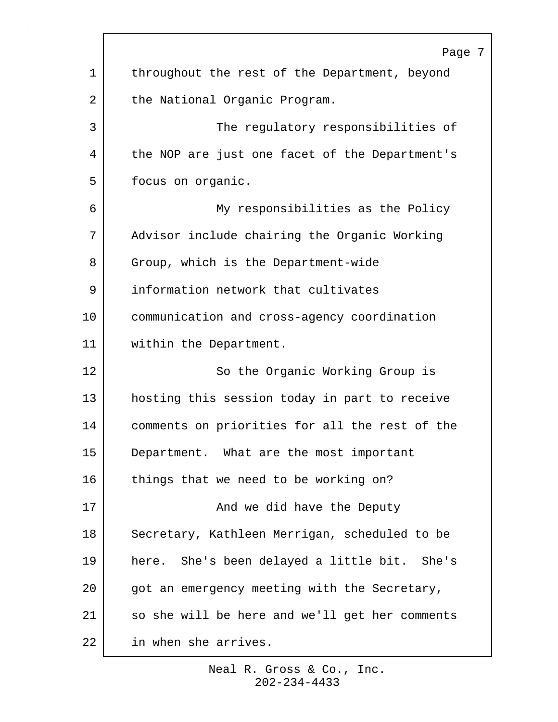|             | Page                                           |
|-------------|------------------------------------------------|
| $\mathbf 1$ | throughout the rest of the Department, beyond  |
| 2           | the National Organic Program.                  |
| 3           | The regulatory responsibilities of             |
| 4           | the NOP are just one facet of the Department's |
| 5           | focus on organic.                              |
| 6           | My responsibilities as the Policy              |
| 7           | Advisor include chairing the Organic Working   |
| 8           | Group, which is the Department-wide            |
| 9           | information network that cultivates            |
| 10          | communication and cross-agency coordination    |
| 11          | within the Department.                         |
| 12          | So the Organic Working Group is                |
| 13          | hosting this session today in part to receive  |
| 14          | comments on priorities for all the rest of the |
| 15          | Department. What are the most important        |
| 16          | things that we need to be working on?          |
| 17          | And we did have the Deputy                     |
| 18          | Secretary, Kathleen Merrigan, scheduled to be  |
| 19          | here. She's been delayed a little bit. She's   |
| 20          | got an emergency meeting with the Secretary,   |
| 21          | so she will be here and we'll get her comments |
| 22          | in when she arrives.                           |

 $\Gamma$ 

 $\overline{7}$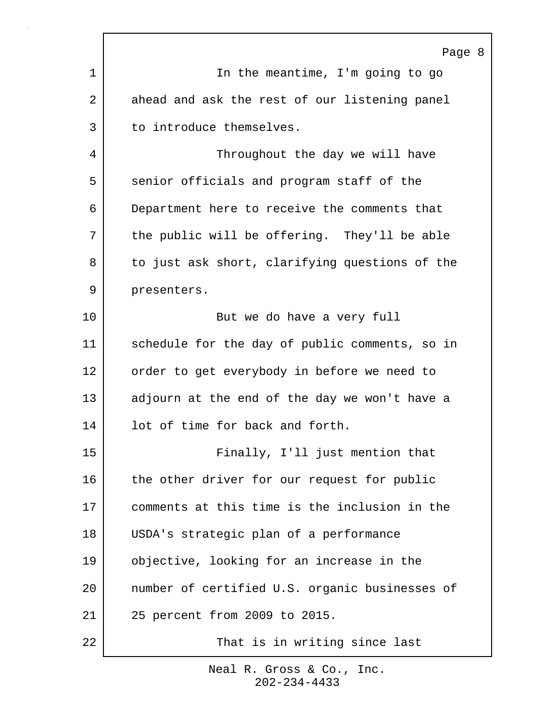|                 | Page 8                                         |
|-----------------|------------------------------------------------|
| 1               | In the meantime, I'm going to go               |
| $\overline{2}$  | ahead and ask the rest of our listening panel  |
| 3               | to introduce themselves.                       |
| 4               | Throughout the day we will have                |
| 5               | senior officials and program staff of the      |
| 6               | Department here to receive the comments that   |
| 7               | the public will be offering. They'll be able   |
| 8               | to just ask short, clarifying questions of the |
| 9               | presenters.                                    |
| $10 \,$         | But we do have a very full                     |
| 11              | schedule for the day of public comments, so in |
| 12              | order to get everybody in before we need to    |
| 13              | adjourn at the end of the day we won't have a  |
| 14              | lot of time for back and forth.                |
| 15              | Finally, I'll just mention that                |
| 16              | the other driver for our request for public    |
| 17              | comments at this time is the inclusion in the  |
| 18              | USDA's strategic plan of a performance         |
| 19              | objective, looking for an increase in the      |
| 20 <sub>o</sub> | number of certified U.S. organic businesses of |
| 21              | 25 percent from 2009 to 2015.                  |
| 22              | That is in writing since last                  |

r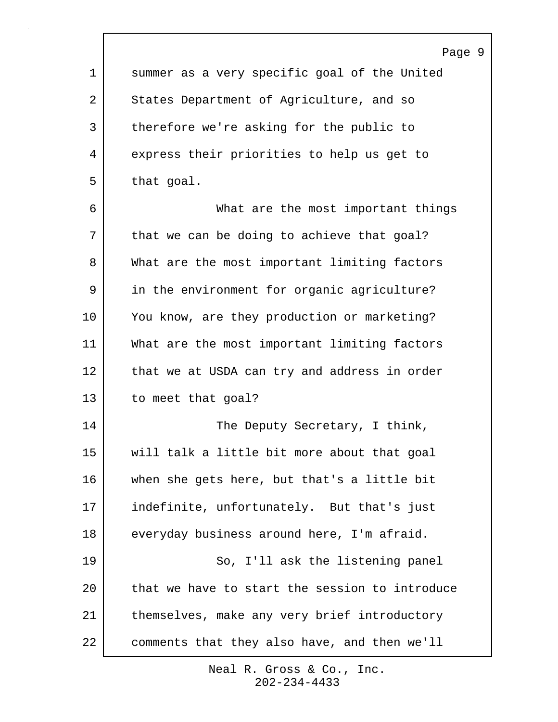Page 9 1 summer as a very specific goal of the United 2 States Department of Agriculture, and so 3 | therefore we're asking for the public to 4 express their priorities to help us get to 5 that goal. 6 What are the most important things 7 | that we can be doing to achieve that goal? 8 What are the most important limiting factors 9 in the environment for organic agriculture? 10 You know, are they production or marketing? 11 What are the most important limiting factors 12 | that we at USDA can try and address in order 13 to meet that goal? 14 | The Deputy Secretary, I think, 15 will talk a little bit more about that goal 16 when she gets here, but that's a little bit 17 indefinite, unfortunately. But that's just 18 everyday business around here, I'm afraid. 19 So, I'll ask the listening panel 20 that we have to start the session to introduce 21 | themselves, make any very brief introductory 22 comments that they also have, and then we'll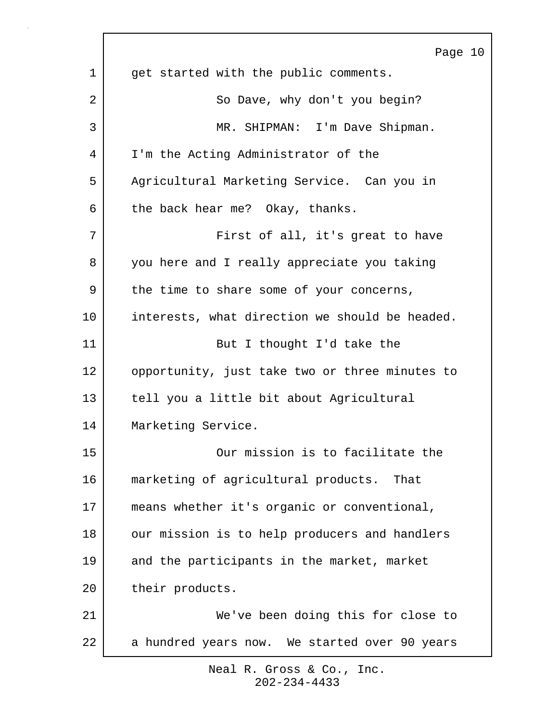|    | Page 10                                        |
|----|------------------------------------------------|
| 1  | get started with the public comments.          |
| 2  | So Dave, why don't you begin?                  |
| 3  | MR. SHIPMAN: I'm Dave Shipman.                 |
| 4  | I'm the Acting Administrator of the            |
| 5  | Agricultural Marketing Service. Can you in     |
| 6  | the back hear me? Okay, thanks.                |
| 7  | First of all, it's great to have               |
| 8  | you here and I really appreciate you taking    |
| 9  | the time to share some of your concerns,       |
| 10 | interests, what direction we should be headed. |
| 11 | But I thought I'd take the                     |
| 12 | opportunity, just take two or three minutes to |
| 13 | tell you a little bit about Agricultural       |
| 14 | Marketing Service.                             |
| 15 | Our mission is to facilitate the               |
| 16 | marketing of agricultural products. That       |
| 17 | means whether it's organic or conventional,    |
| 18 | our mission is to help producers and handlers  |
| 19 | and the participants in the market, market     |
| 20 | their products.                                |
| 21 | We've been doing this for close to             |
| 22 | a hundred years now. We started over 90 years  |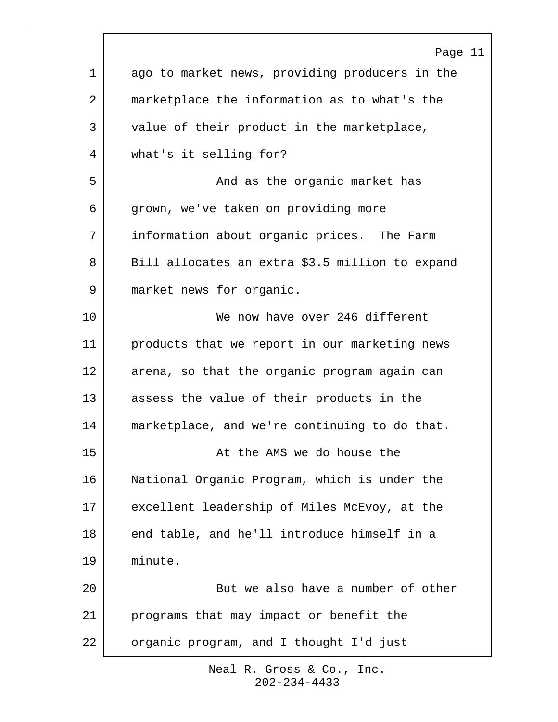|             | Page 11                                         |
|-------------|-------------------------------------------------|
| $\mathbf 1$ | ago to market news, providing producers in the  |
| 2           | marketplace the information as to what's the    |
| 3           | value of their product in the marketplace,      |
| 4           | what's it selling for?                          |
| 5           | And as the organic market has                   |
| 6           | grown, we've taken on providing more            |
| 7           | information about organic prices. The Farm      |
| 8           | Bill allocates an extra \$3.5 million to expand |
| 9           | market news for organic.                        |
| 10          | We now have over 246 different                  |
| 11          | products that we report in our marketing news   |
| 12          | arena, so that the organic program again can    |
| 13          | assess the value of their products in the       |
| 14          | marketplace, and we're continuing to do that.   |
| 15          | At the AMS we do house the                      |
| 16          | National Organic Program, which is under the    |
| 17          | excellent leadership of Miles McEvoy, at the    |
| 18          | end table, and he'll introduce himself in a     |
| 19          | minute.                                         |
| 20          | But we also have a number of other              |
| 21          | programs that may impact or benefit the         |
| 22          | organic program, and I thought I'd just         |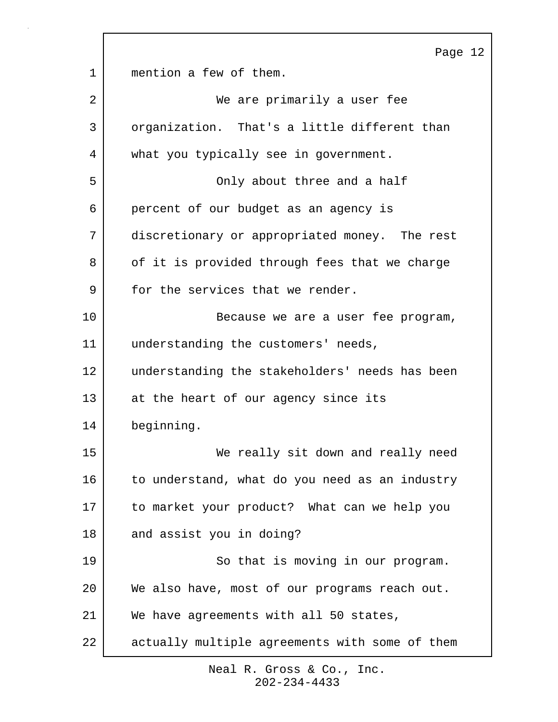Page 12 1 mention a few of them. 2 We are primarily a user fee 3 organization. That's a little different than 4 what you typically see in government. 5 Only about three and a half 6 percent of our budget as an agency is 7 discretionary or appropriated money. The rest 8 of it is provided through fees that we charge 9 for the services that we render. 10 Because we are a user fee program, 11 understanding the customers' needs, 12 understanding the stakeholders' needs has been 13 at the heart of our agency since its 14 beginning. 15 We really sit down and really need 16 to understand, what do you need as an industry 17 to market your product? What can we help you 18 and assist you in doing? 19 | So that is moving in our program. 20 | We also have, most of our programs reach out. 21 We have agreements with all 50 states, 22 actually multiple agreements with some of them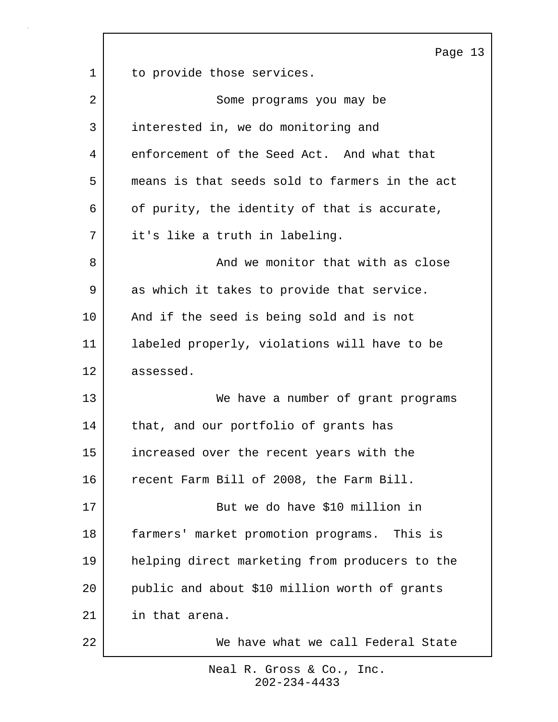|    | Page 13                                        |
|----|------------------------------------------------|
| 1  | to provide those services.                     |
| 2  | Some programs you may be                       |
| 3  | interested in, we do monitoring and            |
| 4  | enforcement of the Seed Act. And what that     |
| 5  | means is that seeds sold to farmers in the act |
| 6  | of purity, the identity of that is accurate,   |
| 7  | it's like a truth in labeling.                 |
| 8  | And we monitor that with as close              |
| 9  | as which it takes to provide that service.     |
| 10 | And if the seed is being sold and is not       |
| 11 | labeled properly, violations will have to be   |
| 12 | assessed.                                      |
| 13 | We have a number of grant programs             |
| 14 | that, and our portfolio of grants has          |
| 15 | increased over the recent years with the       |
| 16 | recent Farm Bill of 2008, the Farm Bill.       |
| 17 | But we do have \$10 million in                 |
| 18 | farmers' market promotion programs. This is    |
| 19 | helping direct marketing from producers to the |
| 20 | public and about \$10 million worth of grants  |
| 21 | in that arena.                                 |
| 22 | We have what we call Federal State             |

 $\Gamma$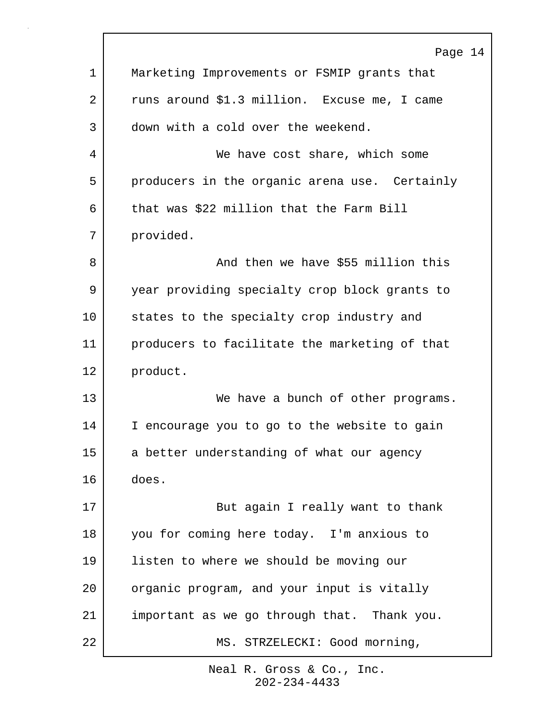|             | Page 14                                          |
|-------------|--------------------------------------------------|
| $\mathbf 1$ | Marketing Improvements or FSMIP grants that      |
| 2           | runs around \$1.3 million. Excuse me, I came     |
| 3           | down with a cold over the weekend.               |
| 4           | We have cost share, which some                   |
| 5           | producers in the organic arena use. Certainly    |
| 6           | that was \$22 million that the Farm Bill         |
| 7           | provided.                                        |
| 8           | And then we have \$55 million this               |
| 9           | year providing specialty crop block grants to    |
| 10          | states to the specialty crop industry and        |
| 11          | producers to facilitate the marketing of that    |
| 12          | product.                                         |
| 13          | We have a bunch of other programs.               |
| 14          | encourage you to go to the website to gain<br>I. |
| 15          | a better understanding of what our agency        |
| 16          | does.                                            |
| 17          | But again I really want to thank                 |
| 18          | you for coming here today. I'm anxious to        |
| 19          | listen to where we should be moving our          |
| 20          | organic program, and your input is vitally       |
| 21          | important as we go through that. Thank you.      |
| 22          | MS. STRZELECKI: Good morning,                    |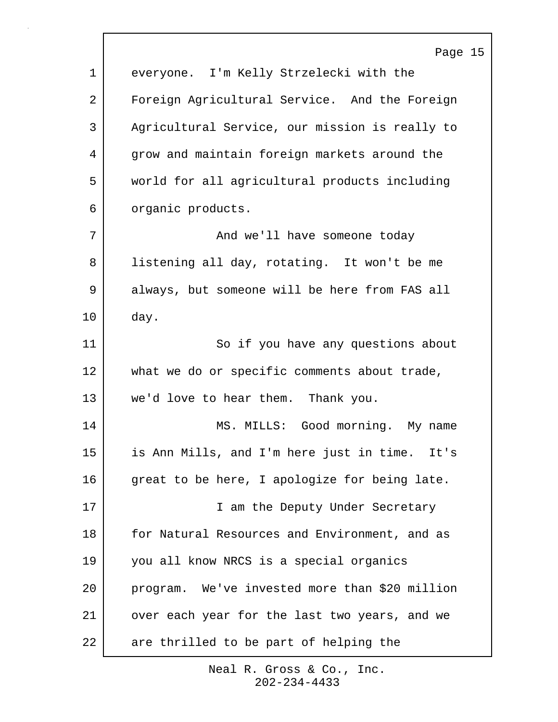|             | Page 15                                        |
|-------------|------------------------------------------------|
| $\mathbf 1$ | everyone. I'm Kelly Strzelecki with the        |
| 2           | Foreign Agricultural Service. And the Foreign  |
| 3           | Agricultural Service, our mission is really to |
| 4           | grow and maintain foreign markets around the   |
| 5           | world for all agricultural products including  |
| 6           | organic products.                              |
| 7           | And we'll have someone today                   |
| 8           | listening all day, rotating. It won't be me    |
| 9           | always, but someone will be here from FAS all  |
| 10          | day.                                           |
| 11          | So if you have any questions about             |
| 12          | what we do or specific comments about trade,   |
| 13          | we'd love to hear them. Thank you.             |
| 14          | MS. MILLS: Good morning. My name               |
| 15          | is Ann Mills, and I'm here just in time. It's  |
| 16          | great to be here, I apologize for being late.  |
| 17          | I am the Deputy Under Secretary                |
| 18          | for Natural Resources and Environment, and as  |
| 19          | you all know NRCS is a special organics        |
| 20          | program. We've invested more than \$20 million |
| 21          | over each year for the last two years, and we  |
| 22          | are thrilled to be part of helping the         |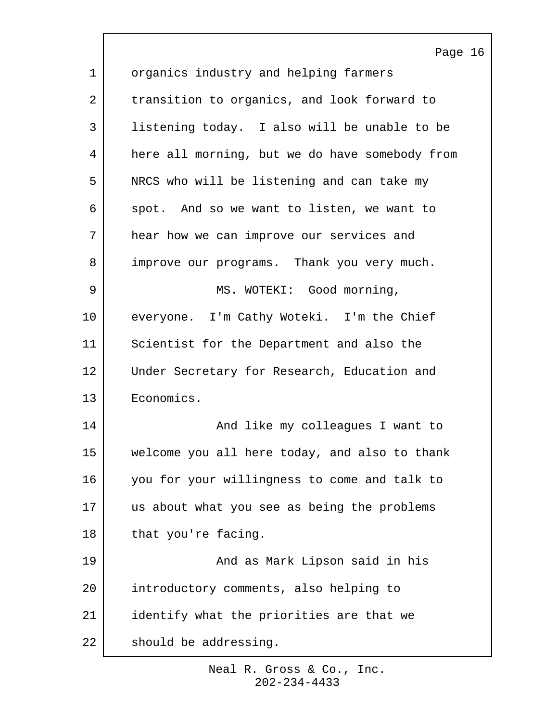|             | Page 16                                        |
|-------------|------------------------------------------------|
| $\mathbf 1$ | organics industry and helping farmers          |
| 2           | transition to organics, and look forward to    |
| 3           | listening today. I also will be unable to be   |
| 4           | here all morning, but we do have somebody from |
| 5           | NRCS who will be listening and can take my     |
| 6           | spot. And so we want to listen, we want to     |
| 7           | hear how we can improve our services and       |
| 8           | improve our programs. Thank you very much.     |
| 9           | MS. WOTEKI: Good morning,                      |
| 10          | everyone. I'm Cathy Woteki. I'm the Chief      |
| 11          | Scientist for the Department and also the      |
| 12          | Under Secretary for Research, Education and    |
| 13          | Economics.                                     |
| 14          | And like my colleagues I want to               |
| 15          | welcome you all here today, and also to thank  |
| 16          | you for your willingness to come and talk to   |
| 17          | us about what you see as being the problems    |
| 18          | that you're facing.                            |
| 19          | And as Mark Lipson said in his                 |
| 20          | introductory comments, also helping to         |
| 21          | identify what the priorities are that we       |
| 22          | should be addressing.                          |

 $\sqrt{ }$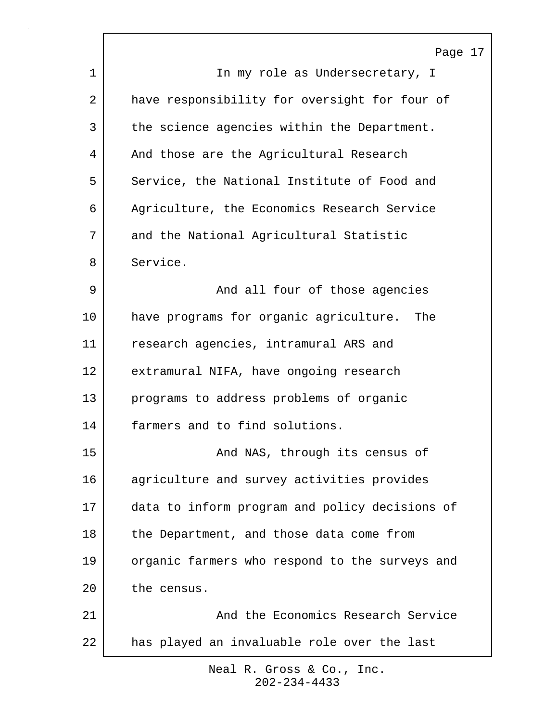|         | Page 17                                        |
|---------|------------------------------------------------|
| 1       | In my role as Undersecretary, I                |
| 2       | have responsibility for oversight for four of  |
| 3       | the science agencies within the Department.    |
| 4       | And those are the Agricultural Research        |
| 5       | Service, the National Institute of Food and    |
| 6       | Agriculture, the Economics Research Service    |
| 7       | and the National Agricultural Statistic        |
| 8       | Service.                                       |
| 9       | And all four of those agencies                 |
| $10 \,$ | have programs for organic agriculture. The     |
| 11      | research agencies, intramural ARS and          |
| 12      | extramural NIFA, have ongoing research         |
| 13      | programs to address problems of organic        |
| 14      | farmers and to find solutions.                 |
| 15      | And NAS, through its census of                 |
| 16      | agriculture and survey activities provides     |
| 17      | data to inform program and policy decisions of |
| 18      | the Department, and those data come from       |
| 19      | organic farmers who respond to the surveys and |
| 20      | the census.                                    |
| 21      | And the Economics Research Service             |
| 22      | has played an invaluable role over the last    |
|         |                                                |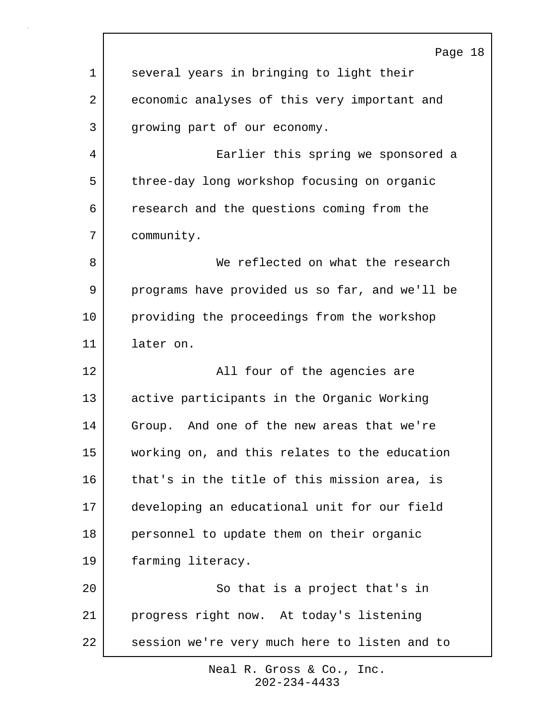|    | Page 18                                        |
|----|------------------------------------------------|
| 1  | several years in bringing to light their       |
| 2  | economic analyses of this very important and   |
| 3  | growing part of our economy.                   |
| 4  | Earlier this spring we sponsored a             |
| 5  | three-day long workshop focusing on organic    |
| 6  | research and the questions coming from the     |
| 7  | community.                                     |
| 8  | We reflected on what the research              |
| 9  | programs have provided us so far, and we'll be |
| 10 | providing the proceedings from the workshop    |
| 11 | later on.                                      |
| 12 | All four of the agencies are                   |
| 13 | active participants in the Organic Working     |
| 14 | Group. And one of the new areas that we're     |
| 15 | working on, and this relates to the education  |
| 16 | that's in the title of this mission area, is   |
| 17 | developing an educational unit for our field   |
| 18 | personnel to update them on their organic      |
| 19 | farming literacy.                              |
| 20 | So that is a project that's in                 |
| 21 | progress right now. At today's listening       |
| 22 | session we're very much here to listen and to  |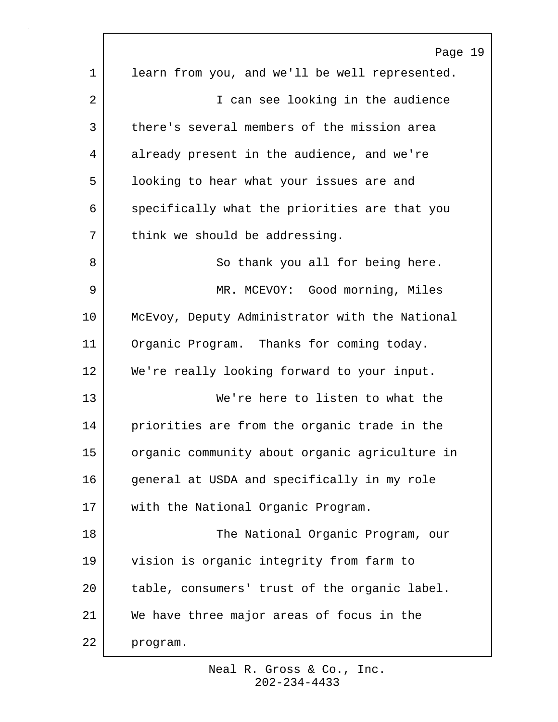|                 | Page 19                                        |
|-----------------|------------------------------------------------|
| 1               | learn from you, and we'll be well represented. |
| 2               | I can see looking in the audience              |
| 3               | there's several members of the mission area    |
| 4               | already present in the audience, and we're     |
| 5               | looking to hear what your issues are and       |
| 6               | specifically what the priorities are that you  |
| 7               | think we should be addressing.                 |
| 8               | So thank you all for being here.               |
| 9               | MR. MCEVOY: Good morning, Miles                |
| 10 <sub>1</sub> | McEvoy, Deputy Administrator with the National |
| 11              | Organic Program. Thanks for coming today.      |
| 12              | We're really looking forward to your input.    |
| 13              | We're here to listen to what the               |
| 14              | priorities are from the organic trade in the   |
| 15              | organic community about organic agriculture in |
| 16              | general at USDA and specifically in my role    |
| 17              | with the National Organic Program.             |
| 18              | The National Organic Program, our              |
| 19              | vision is organic integrity from farm to       |
| 20              | table, consumers' trust of the organic label.  |
| 21              | We have three major areas of focus in the      |
| 22              | program.                                       |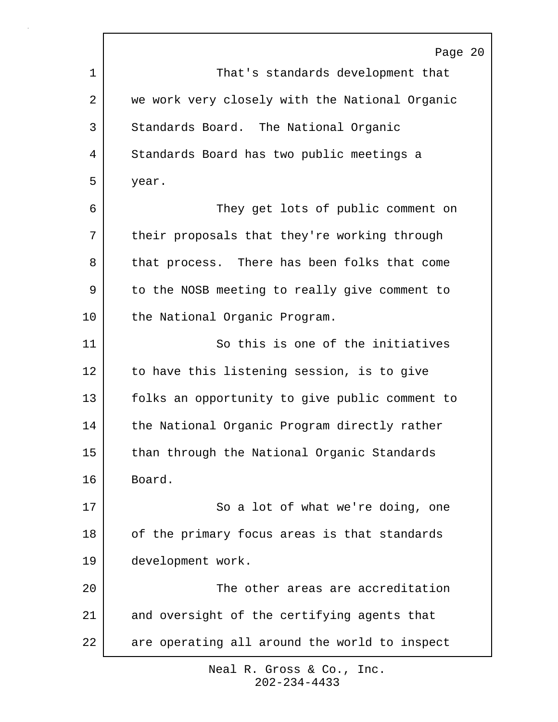|             | Page 20                                        |
|-------------|------------------------------------------------|
| $\mathbf 1$ | That's standards development that              |
| 2           | we work very closely with the National Organic |
| 3           | Standards Board. The National Organic          |
| 4           | Standards Board has two public meetings a      |
| 5           | year.                                          |
| 6           | They get lots of public comment on             |
| 7           | their proposals that they're working through   |
| 8           | that process. There has been folks that come   |
| 9           | to the NOSB meeting to really give comment to  |
| $10 \,$     | the National Organic Program.                  |
| 11          | So this is one of the initiatives              |
| 12          | to have this listening session, is to give     |
| 13          | folks an opportunity to give public comment to |
| 14          | the National Organic Program directly rather   |
| 15          | than through the National Organic Standards    |
| 16          | Board.                                         |
| 17          | So a lot of what we're doing, one              |
| 18          | of the primary focus areas is that standards   |
| 19          | development work.                              |
| 20          | The other areas are accreditation              |
| 21          | and oversight of the certifying agents that    |
| 22          | are operating all around the world to inspect  |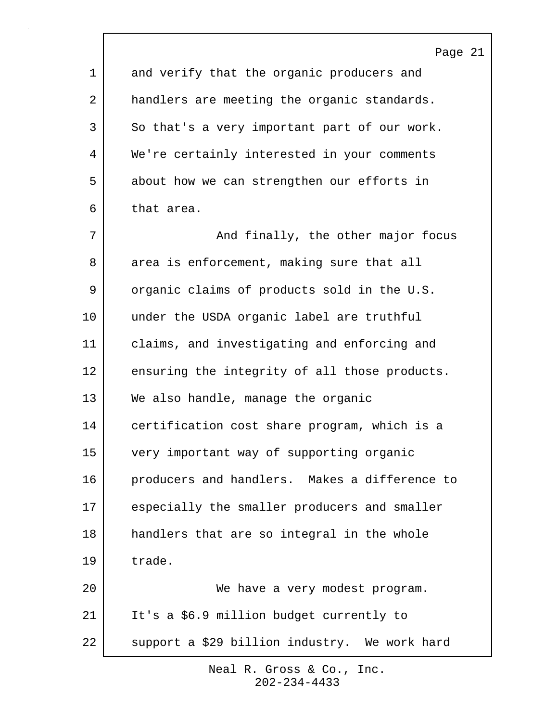|    | Page 21                                       |
|----|-----------------------------------------------|
| 1  | and verify that the organic producers and     |
| 2  | handlers are meeting the organic standards.   |
| 3  | So that's a very important part of our work.  |
| 4  | We're certainly interested in your comments   |
| 5  | about how we can strengthen our efforts in    |
| 6  | that area.                                    |
| 7  | And finally, the other major focus            |
| 8  | area is enforcement, making sure that all     |
| 9  | organic claims of products sold in the U.S.   |
| 10 | under the USDA organic label are truthful     |
| 11 | claims, and investigating and enforcing and   |
| 12 | ensuring the integrity of all those products. |
| 13 | We also handle, manage the organic            |
| 14 | certification cost share program, which is a  |
| 15 | very important way of supporting organic      |
| 16 | producers and handlers. Makes a difference to |
| 17 | especially the smaller producers and smaller  |
| 18 | handlers that are so integral in the whole    |
| 19 | trade.                                        |
| 20 | We have a very modest program.                |
| 21 | It's a \$6.9 million budget currently to      |
| 22 | support a \$29 billion industry. We work hard |

 $\Gamma$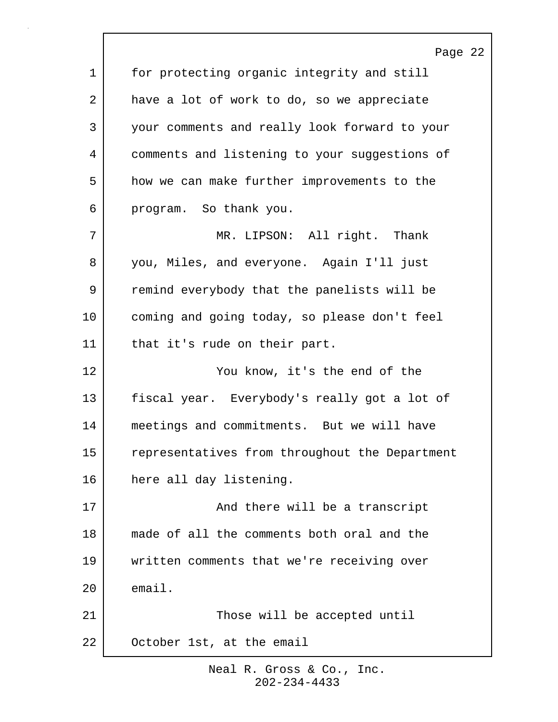|         | Page 22                                        |
|---------|------------------------------------------------|
| 1       | for protecting organic integrity and still     |
| 2       | have a lot of work to do, so we appreciate     |
| 3       | your comments and really look forward to your  |
| 4       | comments and listening to your suggestions of  |
| 5       | how we can make further improvements to the    |
| 6       | program. So thank you.                         |
| 7       | MR. LIPSON: All right. Thank                   |
| 8       | you, Miles, and everyone. Again I'll just      |
| 9       | remind everybody that the panelists will be    |
| $10 \,$ | coming and going today, so please don't feel   |
| 11      | that it's rude on their part.                  |
| 12      | You know, it's the end of the                  |
| 13      | fiscal year. Everybody's really got a lot of   |
| 14      | meetings and commitments. But we will have     |
| 15      | representatives from throughout the Department |
| 16      | here all day listening.                        |
| 17      | And there will be a transcript                 |
| 18      | made of all the comments both oral and the     |
| 19      | written comments that we're receiving over     |
| 20      | email.                                         |
| 21      | Those will be accepted until                   |
| 22      | October 1st, at the email                      |

 $\sqrt{ }$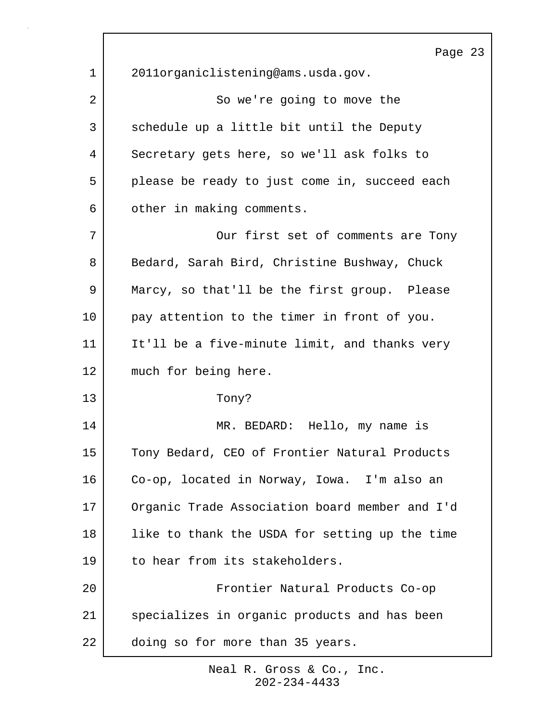|    | Page 23                                        |
|----|------------------------------------------------|
| 1  | 2011organiclistening@ams.usda.gov.             |
| 2  | So we're going to move the                     |
| 3  | schedule up a little bit until the Deputy      |
| 4  | Secretary gets here, so we'll ask folks to     |
| 5  | please be ready to just come in, succeed each  |
| 6  | other in making comments.                      |
| 7  | Our first set of comments are Tony             |
| 8  | Bedard, Sarah Bird, Christine Bushway, Chuck   |
| 9  | Marcy, so that'll be the first group. Please   |
| 10 | pay attention to the timer in front of you.    |
| 11 | It'll be a five-minute limit, and thanks very  |
| 12 | much for being here.                           |
| 13 | Tony?                                          |
| 14 | MR. BEDARD: Hello, my name is                  |
| 15 | Tony Bedard, CEO of Frontier Natural Products  |
| 16 | Co-op, located in Norway, Iowa. I'm also an    |
| 17 | Organic Trade Association board member and I'd |
| 18 | like to thank the USDA for setting up the time |
| 19 | to hear from its stakeholders.                 |
| 20 | Frontier Natural Products Co-op                |
| 21 | specializes in organic products and has been   |
| 22 | doing so for more than 35 years.               |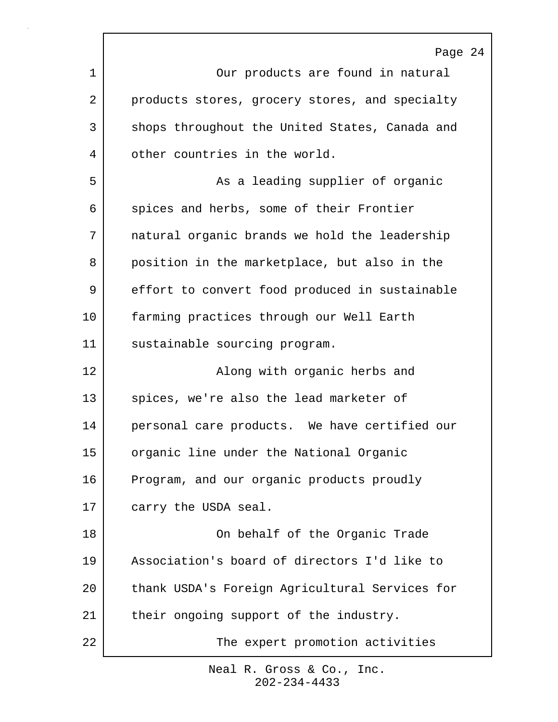|    | Page 24                                        |
|----|------------------------------------------------|
| 1  | Our products are found in natural              |
| 2  | products stores, grocery stores, and specialty |
| 3  | shops throughout the United States, Canada and |
| 4  | other countries in the world.                  |
| 5  | As a leading supplier of organic               |
| 6  | spices and herbs, some of their Frontier       |
| 7  | natural organic brands we hold the leadership  |
| 8  | position in the marketplace, but also in the   |
| 9  | effort to convert food produced in sustainable |
| 10 | farming practices through our Well Earth       |
| 11 | sustainable sourcing program.                  |
| 12 | Along with organic herbs and                   |
| 13 | spices, we're also the lead marketer of        |
| 14 | personal care products. We have certified our  |
| 15 | organic line under the National Organic        |
| 16 | Program, and our organic products proudly      |
| 17 | carry the USDA seal.                           |
| 18 | On behalf of the Organic Trade                 |
| 19 | Association's board of directors I'd like to   |
| 20 | thank USDA's Foreign Agricultural Services for |
| 21 | their ongoing support of the industry.         |
| 22 | The expert promotion activities                |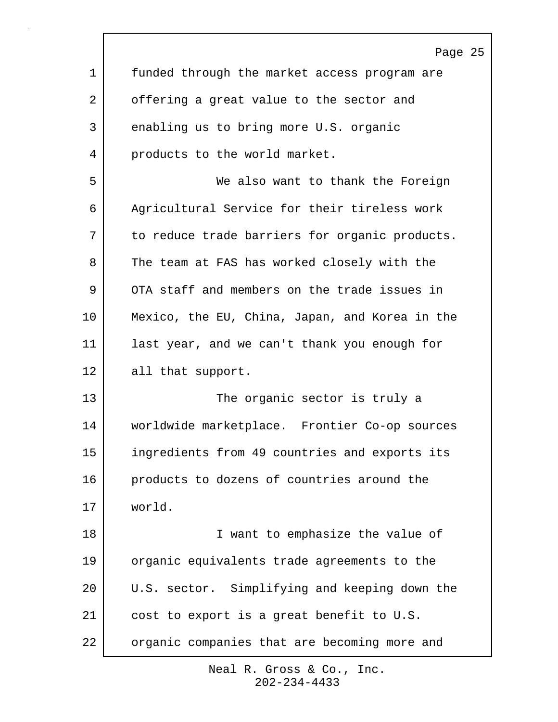Page 25 1 funded through the market access program are 2 offering a great value to the sector and 3 enabling us to bring more U.S. organic 4 products to the world market. 5 We also want to thank the Foreign 6 Agricultural Service for their tireless work 7 to reduce trade barriers for organic products. 8 The team at FAS has worked closely with the 9 OTA staff and members on the trade issues in 10 Mexico, the EU, China, Japan, and Korea in the 11 last year, and we can't thank you enough for 12 all that support. 13 The organic sector is truly a 14 worldwide marketplace. Frontier Co-op sources 15 ingredients from 49 countries and exports its 16 products to dozens of countries around the 17 world. 18 | Twant to emphasize the value of 19 organic equivalents trade agreements to the 20 U.S. sector. Simplifying and keeping down the 21 cost to export is a great benefit to U.S. 22 | organic companies that are becoming more and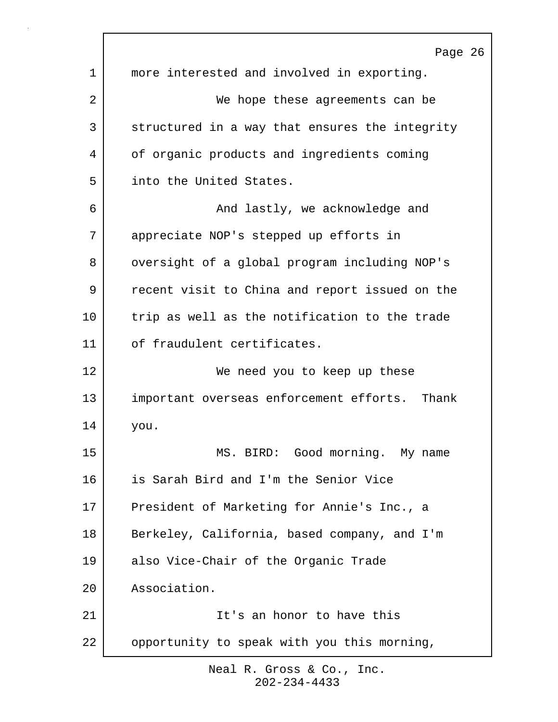Page 26 1 more interested and involved in exporting. 2 | We hope these agreements can be 3 structured in a way that ensures the integrity 4 of organic products and ingredients coming 5 into the United States. 6 And lastly, we acknowledge and 7 appreciate NOP's stepped up efforts in 8 | oversight of a global program including NOP's 9 | recent visit to China and report issued on the 10 trip as well as the notification to the trade 11 of fraudulent certificates. 12 We need you to keep up these 13 important overseas enforcement efforts. Thank 14 you. 15 MS. BIRD: Good morning. My name 16 is Sarah Bird and I'm the Senior Vice 17 President of Marketing for Annie's Inc., a 18 Berkeley, California, based company, and I'm 19 also Vice-Chair of the Organic Trade 20 Association. 21 | The It's an honor to have this 22 opportunity to speak with you this morning,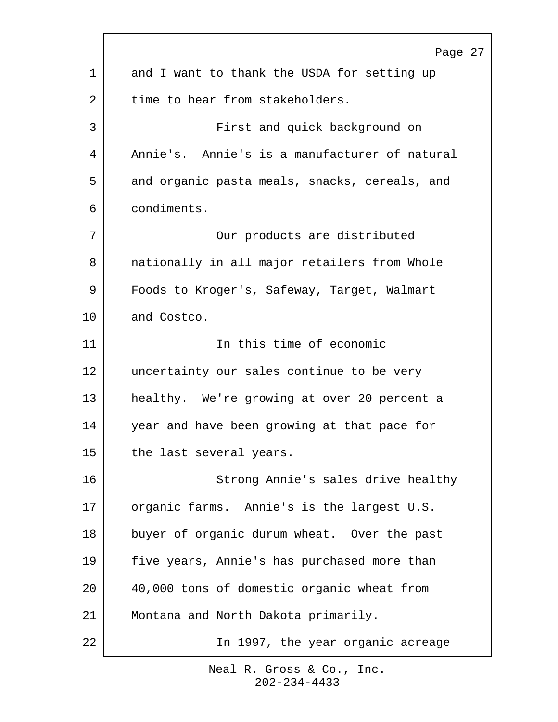|    | Page 27                                       |
|----|-----------------------------------------------|
| 1  | and I want to thank the USDA for setting up   |
| 2  | time to hear from stakeholders.               |
| 3  | First and quick background on                 |
| 4  | Annie's. Annie's is a manufacturer of natural |
| 5  | and organic pasta meals, snacks, cereals, and |
| 6  | condiments.                                   |
| 7  | Our products are distributed                  |
| 8  | nationally in all major retailers from Whole  |
| 9  | Foods to Kroger's, Safeway, Target, Walmart   |
| 10 | and Costco.                                   |
| 11 | In this time of economic                      |
| 12 | uncertainty our sales continue to be very     |
| 13 | healthy. We're growing at over 20 percent a   |
| 14 | year and have been growing at that pace for   |
| 15 | the last several years.                       |
| 16 | Strong Annie's sales drive healthy            |
| 17 | organic farms. Annie's is the largest U.S.    |
| 18 | buyer of organic durum wheat. Over the past   |
| 19 | five years, Annie's has purchased more than   |
| 20 | 40,000 tons of domestic organic wheat from    |
| 21 | Montana and North Dakota primarily.           |
| 22 | In 1997, the year organic acreage             |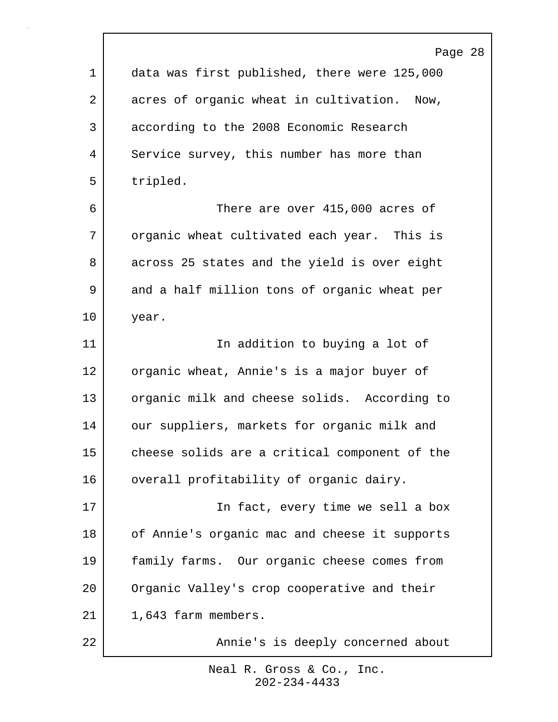Page 28 1 data was first published, there were 125,000 2 acres of organic wheat in cultivation. Now, 3 according to the 2008 Economic Research 4 Service survey, this number has more than 5 tripled. 6 There are over 415,000 acres of 7 organic wheat cultivated each year. This is 8 across 25 states and the yield is over eight 9 and a half million tons of organic wheat per 10 year. 11 | The addition to buying a lot of 12 organic wheat, Annie's is a major buyer of 13 organic milk and cheese solids. According to 14 our suppliers, markets for organic milk and 15 cheese solids are a critical component of the 16 | overall profitability of organic dairy. 17 In fact, every time we sell a box 18 of Annie's organic mac and cheese it supports 19 family farms. Our organic cheese comes from 20 Organic Valley's crop cooperative and their 21 | 1,643 farm members. 22 | **Annie's is deeply concerned about**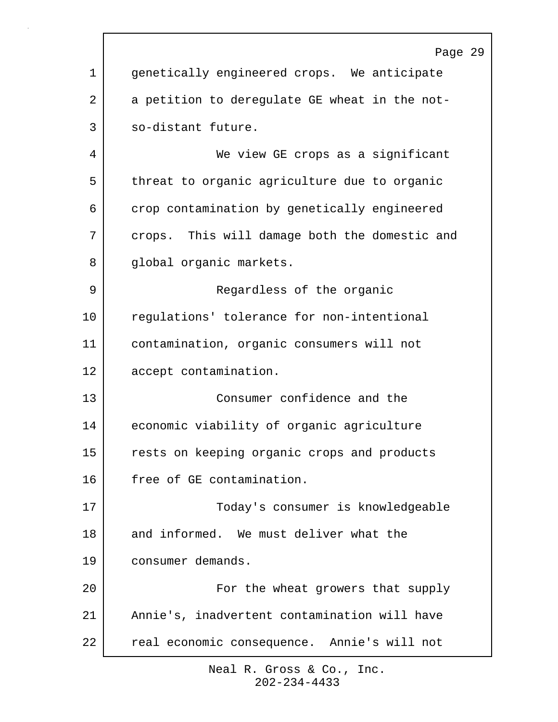|    | Page 29                                       |
|----|-----------------------------------------------|
| 1  | genetically engineered crops. We anticipate   |
| 2  | a petition to deregulate GE wheat in the not- |
| 3  | so-distant future.                            |
| 4  | We view GE crops as a significant             |
| 5  | threat to organic agriculture due to organic  |
| 6  | crop contamination by genetically engineered  |
| 7  | crops. This will damage both the domestic and |
| 8  | global organic markets.                       |
| 9  | Regardless of the organic                     |
| 10 | regulations' tolerance for non-intentional    |
| 11 | contamination, organic consumers will not     |
| 12 | accept contamination.                         |
| 13 | Consumer confidence and the                   |
| 14 | economic viability of organic agriculture     |
| 15 | rests on keeping organic crops and products   |
| 16 | free of GE contamination.                     |
| 17 | Today's consumer is knowledgeable             |
| 18 | and informed. We must deliver what the        |
| 19 | consumer demands.                             |
| 20 | For the wheat growers that supply             |
| 21 | Annie's, inadvertent contamination will have  |
| 22 | real economic consequence. Annie's will not   |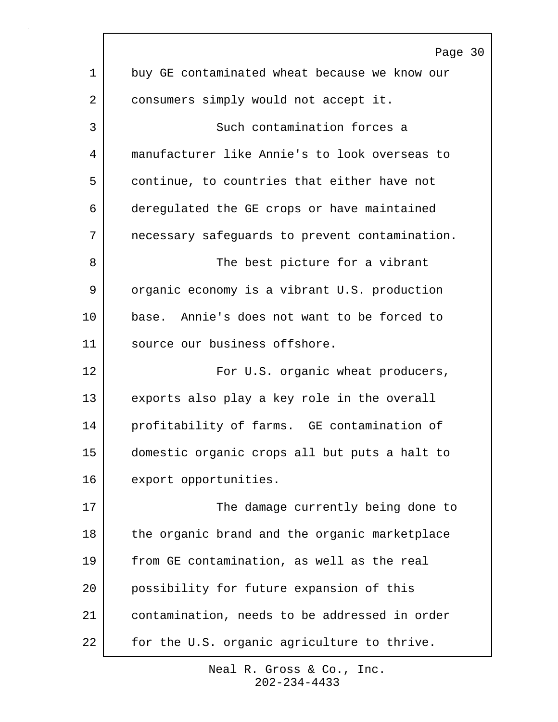|                 | Page 30                                        |
|-----------------|------------------------------------------------|
| 1               | buy GE contaminated wheat because we know our  |
| 2               | consumers simply would not accept it.          |
| 3               | Such contamination forces a                    |
| 4               | manufacturer like Annie's to look overseas to  |
| 5               | continue, to countries that either have not    |
| 6               | deregulated the GE crops or have maintained    |
| 7               | necessary safeguards to prevent contamination. |
| 8               | The best picture for a vibrant                 |
| 9               | organic economy is a vibrant U.S. production   |
| 10 <sub>1</sub> | base. Annie's does not want to be forced to    |
| 11              | source our business offshore.                  |
| 12              | For U.S. organic wheat producers,              |
| 13              | exports also play a key role in the overall    |
| 14              | profitability of farms. GE contamination of    |
| 15              | domestic organic crops all but puts a halt to  |
| 16              | export opportunities.                          |
| 17              | The damage currently being done to             |
| 18              | the organic brand and the organic marketplace  |
| 19              | from GE contamination, as well as the real     |
| 20              | possibility for future expansion of this       |
| 21              | contamination, needs to be addressed in order  |
| 22              | for the U.S. organic agriculture to thrive.    |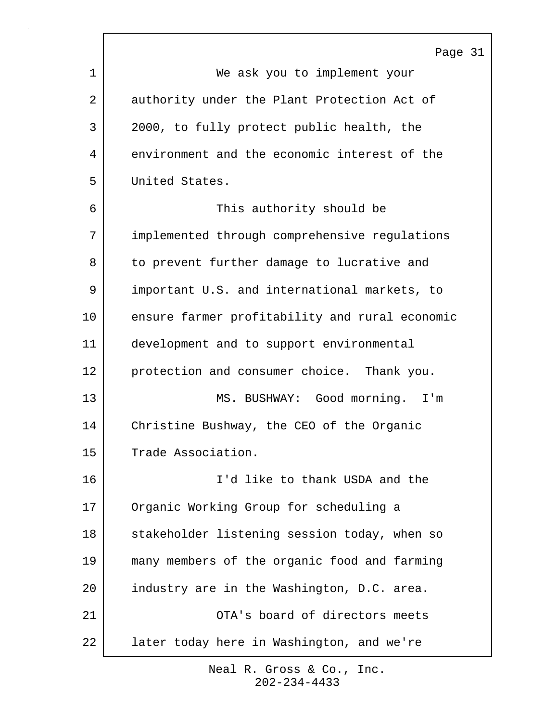|    | Page 31                                        |
|----|------------------------------------------------|
| 1  | We ask you to implement your                   |
| 2  | authority under the Plant Protection Act of    |
| 3  | 2000, to fully protect public health, the      |
| 4  | environment and the economic interest of the   |
| 5  | United States.                                 |
| 6  | This authority should be                       |
| 7  | implemented through comprehensive regulations  |
| 8  | to prevent further damage to lucrative and     |
| 9  | important U.S. and international markets, to   |
| 10 | ensure farmer profitability and rural economic |
| 11 | development and to support environmental       |
| 12 | protection and consumer choice. Thank you.     |
| 13 | MS. BUSHWAY: Good morning. I'm                 |
| 14 | Christine Bushway, the CEO of the Organic      |
| 15 | Trade Association.                             |
| 16 | I'd like to thank USDA and the                 |
| 17 | Organic Working Group for scheduling a         |
| 18 | stakeholder listening session today, when so   |
| 19 | many members of the organic food and farming   |
| 20 | industry are in the Washington, D.C. area.     |
| 21 | OTA's board of directors meets                 |
| 22 | later today here in Washington, and we're      |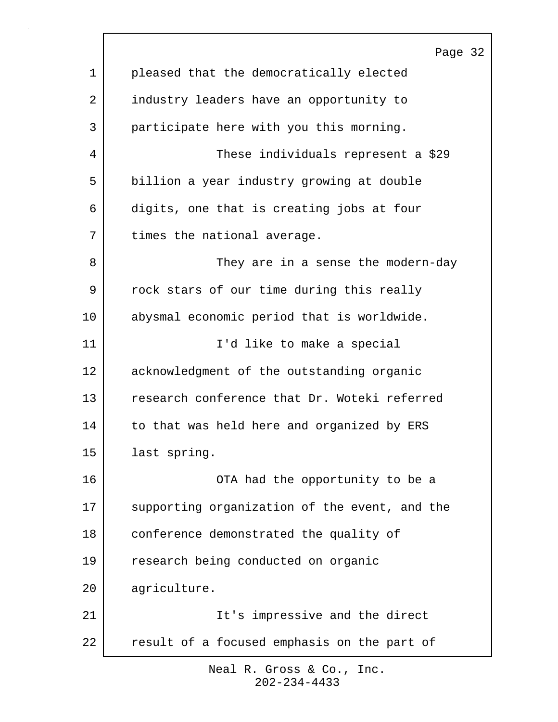|             | Page 32                                       |
|-------------|-----------------------------------------------|
| $\mathbf 1$ | pleased that the democratically elected       |
| 2           | industry leaders have an opportunity to       |
| 3           | participate here with you this morning.       |
| 4           | These individuals represent a \$29            |
| 5           | billion a year industry growing at double     |
| 6           | digits, one that is creating jobs at four     |
| 7           | times the national average.                   |
| 8           | They are in a sense the modern-day            |
| 9           | rock stars of our time during this really     |
| 10          | abysmal economic period that is worldwide.    |
| 11          | I'd like to make a special                    |
| 12          | acknowledgment of the outstanding organic     |
| 13          | research conference that Dr. Woteki referred  |
| 14          | to that was held here and organized by ERS    |
| 15          | last spring.                                  |
| 16          | OTA had the opportunity to be a               |
| 17          | supporting organization of the event, and the |
| 18          | conference demonstrated the quality of        |
| 19          | research being conducted on organic           |
| 20          | agriculture.                                  |
| 21          | It's impressive and the direct                |
| 22          | result of a focused emphasis on the part of   |

 $\Gamma$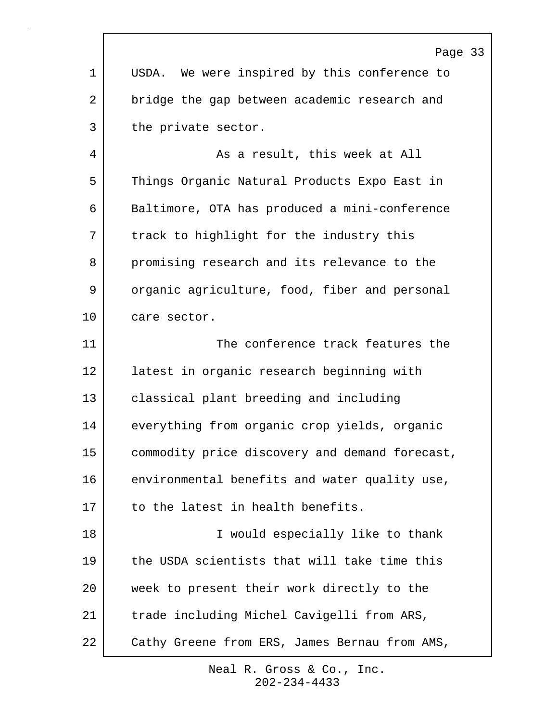|              | Page 33                                        |
|--------------|------------------------------------------------|
| $\mathbf{1}$ | USDA. We were inspired by this conference to   |
| 2            | bridge the gap between academic research and   |
| 3            | the private sector.                            |
| 4            | As a result, this week at All                  |
| 5            | Things Organic Natural Products Expo East in   |
| 6            | Baltimore, OTA has produced a mini-conference  |
| 7            | track to highlight for the industry this       |
| 8            | promising research and its relevance to the    |
| 9            | organic agriculture, food, fiber and personal  |
| 10           | care sector.                                   |
| 11           | The conference track features the              |
| 12           | latest in organic research beginning with      |
| 13           | classical plant breeding and including         |
| 14           | everything from organic crop yields, organic   |
| 15           | commodity price discovery and demand forecast, |
| 16           | environmental benefits and water quality use,  |
| 17           | to the latest in health benefits.              |
| 18           | I would especially like to thank               |
| 19           | the USDA scientists that will take time this   |
| 20           | week to present their work directly to the     |
| 21           | trade including Michel Cavigelli from ARS,     |
| 22           | Cathy Greene from ERS, James Bernau from AMS,  |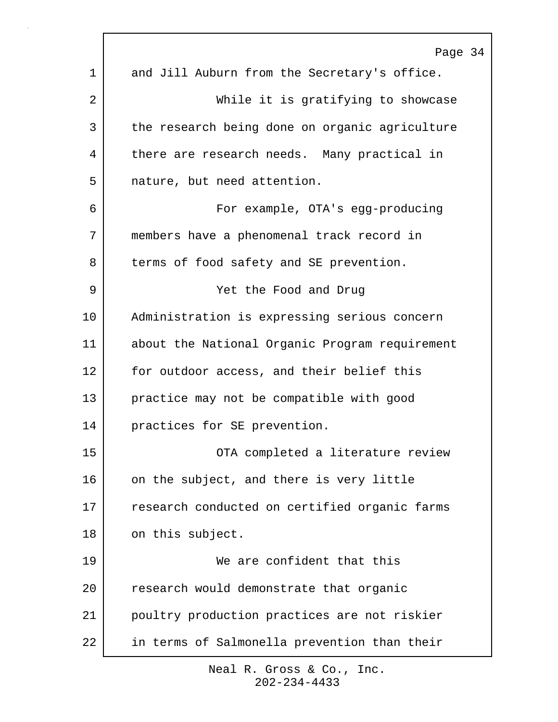|    | Page 34                                        |
|----|------------------------------------------------|
| 1  | and Jill Auburn from the Secretary's office.   |
| 2  | While it is gratifying to showcase             |
| 3  | the research being done on organic agriculture |
| 4  | there are research needs. Many practical in    |
| 5  | nature, but need attention.                    |
| 6  | For example, OTA's egg-producing               |
| 7  | members have a phenomenal track record in      |
| 8  | terms of food safety and SE prevention.        |
| 9  | Yet the Food and Drug                          |
| 10 | Administration is expressing serious concern   |
| 11 | about the National Organic Program requirement |
| 12 | for outdoor access, and their belief this      |
| 13 | practice may not be compatible with good       |
| 14 | practices for SE prevention.                   |
| 15 | OTA completed a literature review              |
| 16 | on the subject, and there is very little       |
| 17 | research conducted on certified organic farms  |
| 18 | on this subject.                               |
| 19 | We are confident that this                     |
| 20 | research would demonstrate that organic        |
| 21 | poultry production practices are not riskier   |
| 22 | in terms of Salmonella prevention than their   |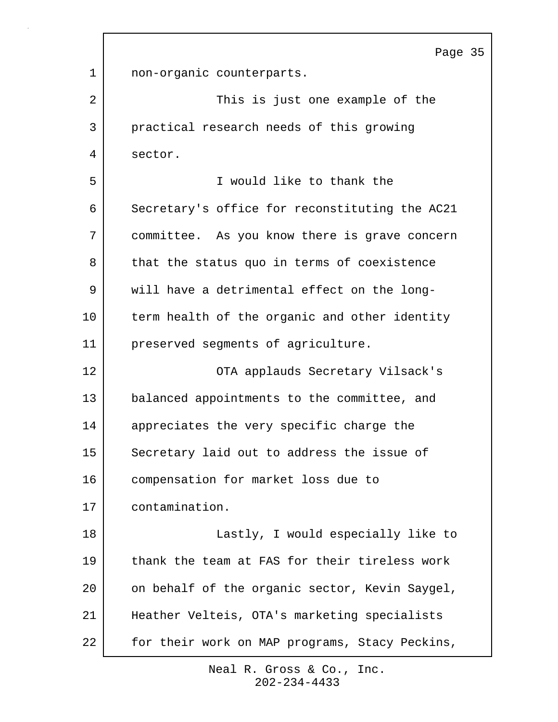Page 35 1 | non-organic counterparts. 2 | This is just one example of the 3 practical research needs of this growing 4 sector. 5 I would like to thank the 6 Secretary's office for reconstituting the AC21 7 committee. As you know there is grave concern 8 that the status quo in terms of coexistence 9 will have a detrimental effect on the long-10 term health of the organic and other identity 11 preserved segments of agriculture. 12 | CTA applauds Secretary Vilsack's 13 balanced appointments to the committee, and 14 appreciates the very specific charge the 15 Secretary laid out to address the issue of 16 compensation for market loss due to 17 contamination. 18 Lastly, I would especially like to 19 thank the team at FAS for their tireless work 20 on behalf of the organic sector, Kevin Saygel, 21 Heather Velteis, OTA's marketing specialists 22 for their work on MAP programs, Stacy Peckins,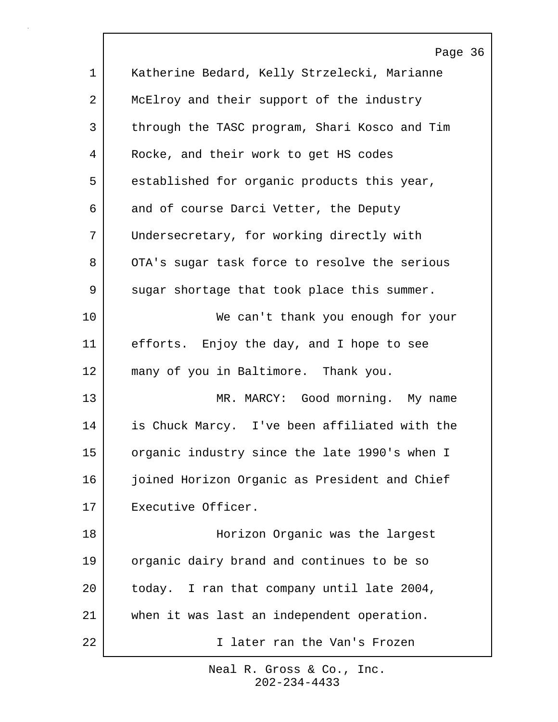|             | Page 36                                       |
|-------------|-----------------------------------------------|
| $\mathbf 1$ | Katherine Bedard, Kelly Strzelecki, Marianne  |
| 2           | McElroy and their support of the industry     |
| 3           | through the TASC program, Shari Kosco and Tim |
| 4           | Rocke, and their work to get HS codes         |
| 5           | established for organic products this year,   |
| 6           | and of course Darci Vetter, the Deputy        |
| 7           | Undersecretary, for working directly with     |
| 8           | OTA's sugar task force to resolve the serious |
| 9           | sugar shortage that took place this summer.   |
| 10          | We can't thank you enough for your            |
| 11          | efforts. Enjoy the day, and I hope to see     |
| 12          | many of you in Baltimore. Thank you.          |
| 13          | MR. MARCY: Good morning. My name              |
| 14          | is Chuck Marcy. I've been affiliated with the |
| 15          | organic industry since the late 1990's when I |
| 16          | joined Horizon Organic as President and Chief |
| 17          | Executive Officer.                            |
| 18          | Horizon Organic was the largest               |
| 19          | organic dairy brand and continues to be so    |
| 20          | today. I ran that company until late 2004,    |
| 21          | when it was last an independent operation.    |
| 22          | I later ran the Van's Frozen                  |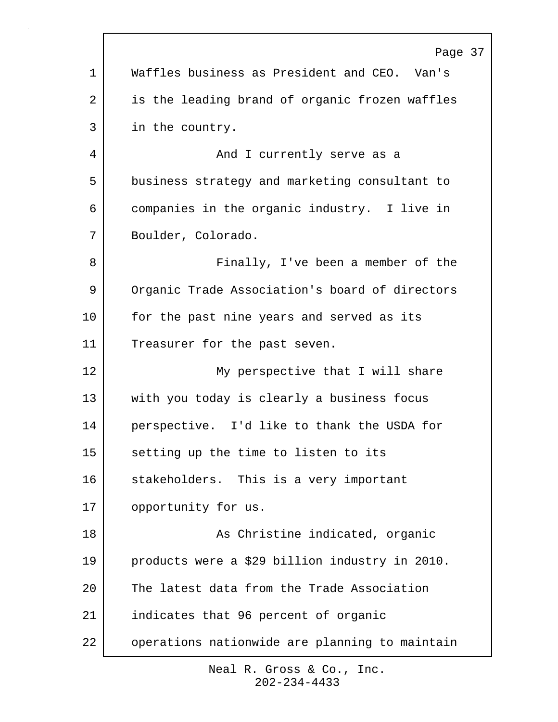|                | Page 37                                        |
|----------------|------------------------------------------------|
| 1              | Waffles business as President and CEO. Van's   |
| $\overline{a}$ | is the leading brand of organic frozen waffles |
| 3              | in the country.                                |
| 4              | And I currently serve as a                     |
| 5              | business strategy and marketing consultant to  |
| 6              | companies in the organic industry. I live in   |
| 7              | Boulder, Colorado.                             |
| 8              | Finally, I've been a member of the             |
| 9              | Organic Trade Association's board of directors |
| $10 \,$        | for the past nine years and served as its      |
| 11             | Treasurer for the past seven.                  |
| 12             | My perspective that I will share               |
| 13             | with you today is clearly a business focus     |
| 14             | perspective. I'd like to thank the USDA for    |
| 15             | setting up the time to listen to its           |
| 16             | stakeholders. This is a very important         |
| 17             | opportunity for us.                            |
| 18             | As Christine indicated, organic                |
| 19             | products were a \$29 billion industry in 2010. |
| 20             | The latest data from the Trade Association     |
| 21             | indicates that 96 percent of organic           |
| 22             | operations nationwide are planning to maintain |

 $\Gamma$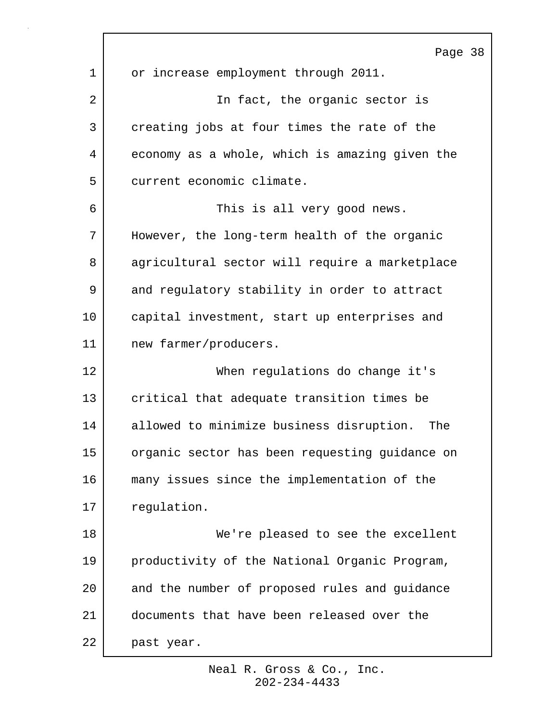Page 38 1 or increase employment through 2011. 2 | The fact, the organic sector is 3 creating jobs at four times the rate of the 4 economy as a whole, which is amazing given the 5 current economic climate. 6 This is all very good news. 7 However, the long-term health of the organic 8 agricultural sector will require a marketplace 9 and regulatory stability in order to attract 10 capital investment, start up enterprises and 11 | new farmer/producers. 12 When regulations do change it's 13 critical that adequate transition times be 14 allowed to minimize business disruption. The 15 organic sector has been requesting guidance on 16 many issues since the implementation of the 17 requlation. 18 We're pleased to see the excellent 19 productivity of the National Organic Program, 20 and the number of proposed rules and guidance 21 documents that have been released over the 22 past year.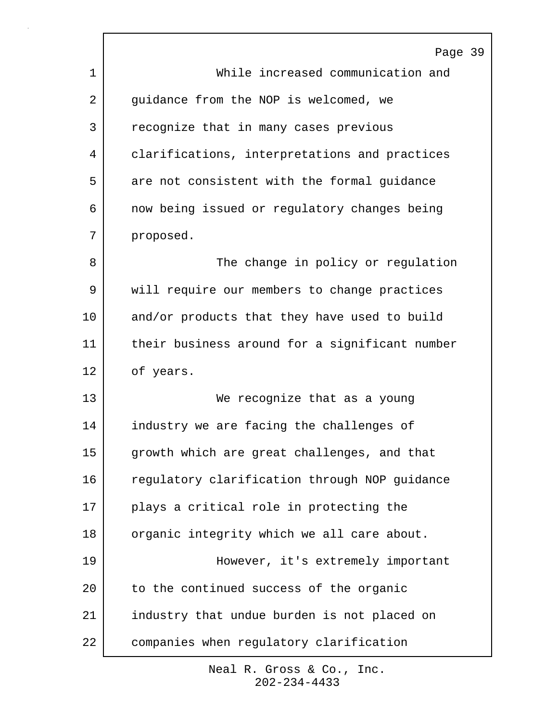|    | Page 39                                        |
|----|------------------------------------------------|
| 1  | While increased communication and              |
| 2  | quidance from the NOP is welcomed, we          |
| 3  | recognize that in many cases previous          |
| 4  | clarifications, interpretations and practices  |
| 5  | are not consistent with the formal guidance    |
| 6  | now being issued or regulatory changes being   |
| 7  | proposed.                                      |
| 8  | The change in policy or regulation             |
| 9  | will require our members to change practices   |
| 10 | and/or products that they have used to build   |
| 11 | their business around for a significant number |
| 12 | of years.                                      |
| 13 | We recognize that as a young                   |
| 14 | industry we are facing the challenges of       |
| 15 | growth which are great challenges, and that    |
| 16 | regulatory clarification through NOP guidance  |
| 17 | plays a critical role in protecting the        |
| 18 | organic integrity which we all care about.     |
| 19 | However, it's extremely important              |
| 20 | to the continued success of the organic        |
| 21 | industry that undue burden is not placed on    |
| 22 | companies when regulatory clarification        |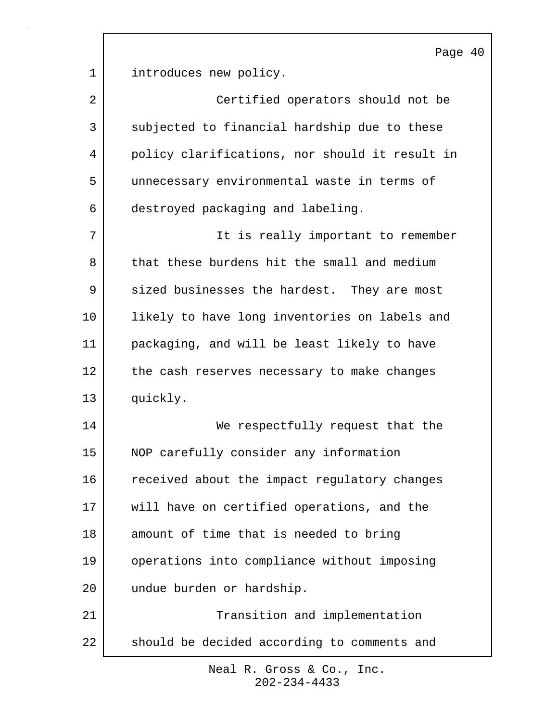1 introduces new policy. 2 Certified operators should not be 3 subjected to financial hardship due to these 4 policy clarifications, nor should it result in 5 unnecessary environmental waste in terms of 6 destroyed packaging and labeling. 7 | The is really important to remember 8 that these burdens hit the small and medium 9 sized businesses the hardest. They are most 10 | likely to have long inventories on labels and 11 packaging, and will be least likely to have 12 the cash reserves necessary to make changes 13 quickly. 14 We respectfully request that the 15 NOP carefully consider any information 16 received about the impact regulatory changes 17 will have on certified operations, and the 18 amount of time that is needed to bring 19 operations into compliance without imposing 20 undue burden or hardship. 21 | Transition and implementation 22 should be decided according to comments and

> 202-234-4433 Neal R. Gross & Co., Inc.

Page 40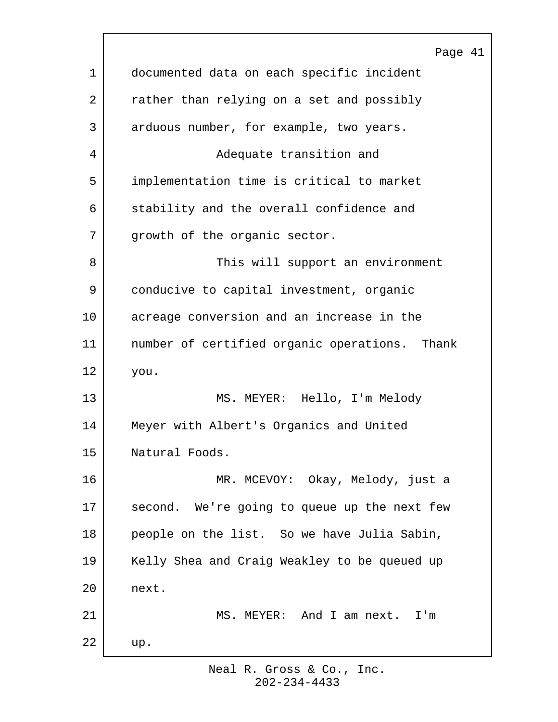|    | Page 41                                       |
|----|-----------------------------------------------|
| 1  | documented data on each specific incident     |
| 2  | rather than relying on a set and possibly     |
| 3  | arduous number, for example, two years.       |
| 4  | Adequate transition and                       |
| 5  | implementation time is critical to market     |
| 6  | stability and the overall confidence and      |
| 7  | growth of the organic sector.                 |
| 8  | This will support an environment              |
| 9  | conducive to capital investment, organic      |
| 10 | acreage conversion and an increase in the     |
| 11 | number of certified organic operations. Thank |
| 12 | you.                                          |
| 13 | MS. MEYER: Hello, I'm Melody                  |
| 14 | Meyer with Albert's Organics and United       |
| 15 | Natural Foods.                                |
| 16 | MR. MCEVOY: Okay, Melody, just a              |
| 17 | second. We're going to queue up the next few  |
| 18 | people on the list. So we have Julia Sabin,   |
| 19 | Kelly Shea and Craig Weakley to be queued up  |
| 20 | next.                                         |
| 21 | MS. MEYER: And I am next.<br>I'm              |
| 22 | up.                                           |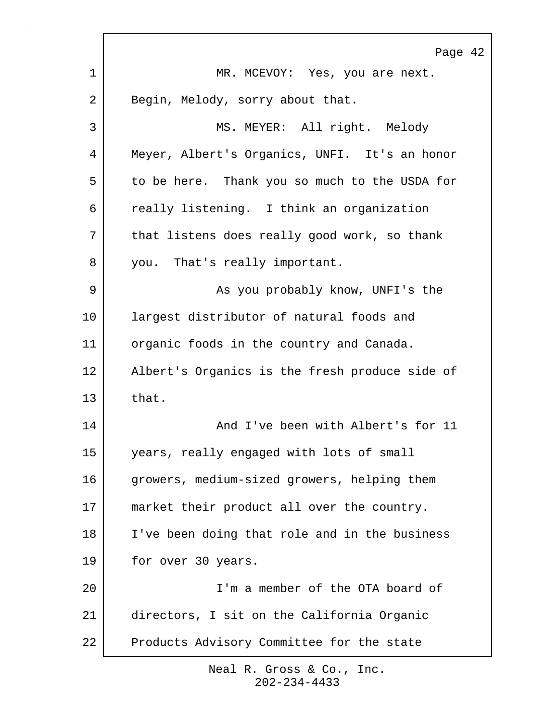|    | Page 42                                        |
|----|------------------------------------------------|
| 1  | MR. MCEVOY: Yes, you are next.                 |
| 2  | Begin, Melody, sorry about that.               |
| 3  | MS. MEYER: All right. Melody                   |
| 4  | Meyer, Albert's Organics, UNFI. It's an honor  |
| 5  | to be here. Thank you so much to the USDA for  |
| 6  | really listening. I think an organization      |
| 7  | that listens does really good work, so thank   |
| 8  | you. That's really important.                  |
| 9  | As you probably know, UNFI's the               |
| 10 | largest distributor of natural foods and       |
| 11 | organic foods in the country and Canada.       |
| 12 | Albert's Organics is the fresh produce side of |
| 13 | that.                                          |
| 14 | And I've been with Albert's for 11             |
| 15 | years, really engaged with lots of small       |
| 16 | growers, medium-sized growers, helping them    |
| 17 | market their product all over the country.     |
| 18 | I've been doing that role and in the business  |
| 19 | for over 30 years.                             |
| 20 | I'm a member of the OTA board of               |
| 21 | directors, I sit on the California Organic     |
| 22 | Products Advisory Committee for the state      |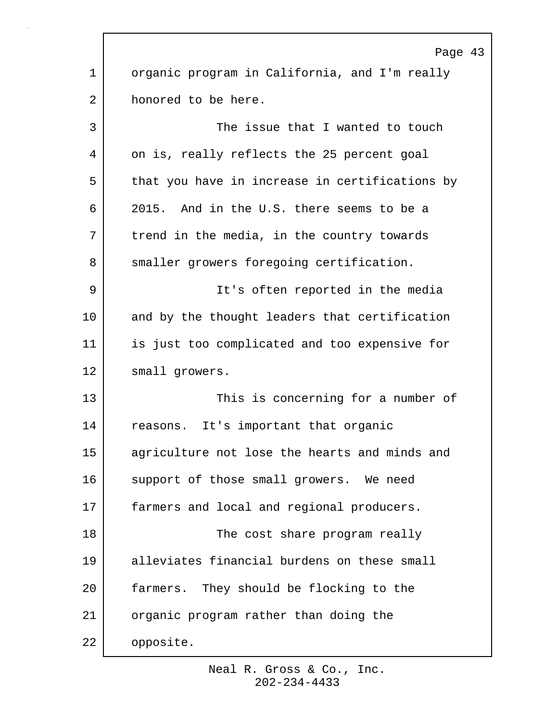|    | Page 43                                        |
|----|------------------------------------------------|
| 1  | organic program in California, and I'm really  |
| 2  | honored to be here.                            |
| 3  | The issue that I wanted to touch               |
| 4  | on is, really reflects the 25 percent goal     |
| 5  | that you have in increase in certifications by |
| 6  | 2015. And in the U.S. there seems to be a      |
| 7  | trend in the media, in the country towards     |
| 8  | smaller growers foregoing certification.       |
| 9  | It's often reported in the media               |
| 10 | and by the thought leaders that certification  |
| 11 | is just too complicated and too expensive for  |
| 12 | small growers.                                 |
| 13 | This is concerning for a number of             |
| 14 | reasons. It's important that organic           |
| 15 | agriculture not lose the hearts and minds and  |
| 16 | support of those small growers. We need        |
| 17 | farmers and local and regional producers.      |
| 18 | The cost share program really                  |
| 19 | alleviates financial burdens on these small    |
| 20 | farmers. They should be flocking to the        |
| 21 | organic program rather than doing the          |
| 22 | opposite.                                      |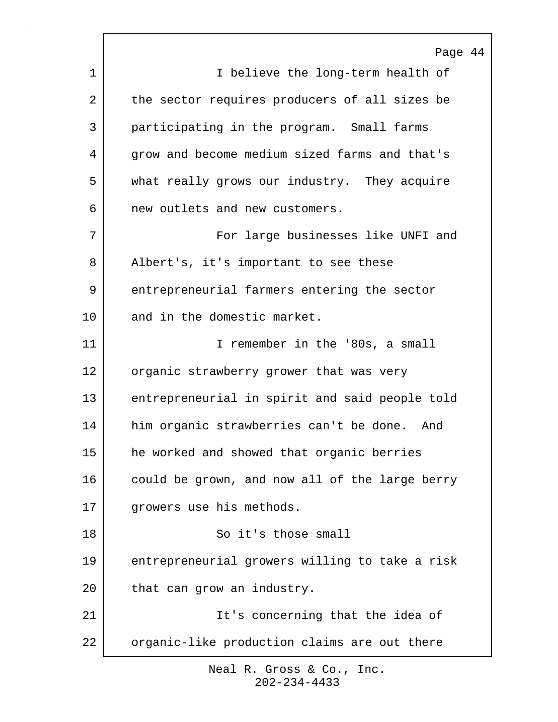Page 44 1 I believe the long-term health of 2 the sector requires producers of all sizes be 3 participating in the program. Small farms 4 grow and become medium sized farms and that's 5 what really grows our industry. They acquire 6 new outlets and new customers. 7 | The Sourier of Large businesses like UNFI and 8 | Albert's, it's important to see these 9 entrepreneurial farmers entering the sector 10 and in the domestic market. 11 I remember in the '80s, a small 12 organic strawberry grower that was very 13 entrepreneurial in spirit and said people told 14 him organic strawberries can't be done. And 15 he worked and showed that organic berries 16 could be grown, and now all of the large berry 17 growers use his methods. 18 So it's those small 19 entrepreneurial growers willing to take a risk 20 that can grow an industry. 21 | The state of the idea of 22 organic-like production claims are out there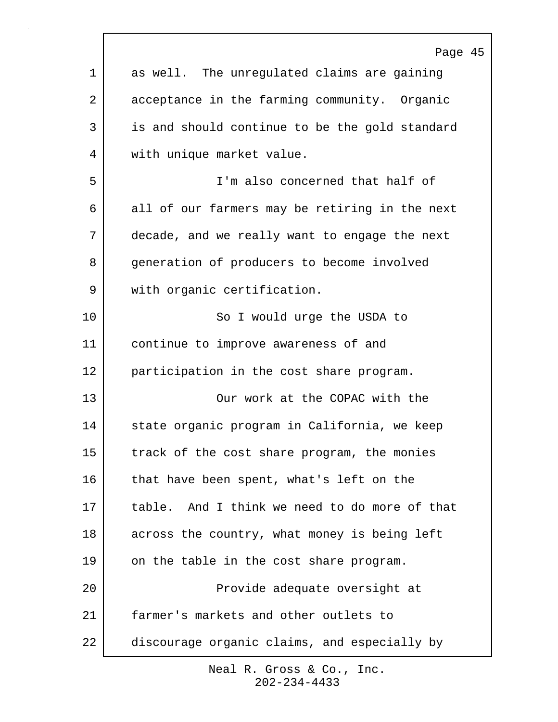|             | Page 45                                        |
|-------------|------------------------------------------------|
| $\mathbf 1$ | as well. The unregulated claims are gaining    |
| 2           | acceptance in the farming community. Organic   |
| 3           | is and should continue to be the gold standard |
| 4           | with unique market value.                      |
| 5           | I'm also concerned that half of                |
| 6           | all of our farmers may be retiring in the next |
| 7           | decade, and we really want to engage the next  |
| 8           | generation of producers to become involved     |
| 9           | with organic certification.                    |
| 10          | So I would urge the USDA to                    |
| 11          | continue to improve awareness of and           |
| 12          | participation in the cost share program.       |
| 13          | Our work at the COPAC with the                 |
| 14          | state organic program in California, we keep   |
| 15          | track of the cost share program, the monies    |
| 16          | that have been spent, what's left on the       |
| 17          | table. And I think we need to do more of that  |
| 18          | across the country, what money is being left   |
| 19          | on the table in the cost share program.        |
| 20          | Provide adequate oversight at                  |
| 21          | farmer's markets and other outlets to          |
| 22          | discourage organic claims, and especially by   |
|             |                                                |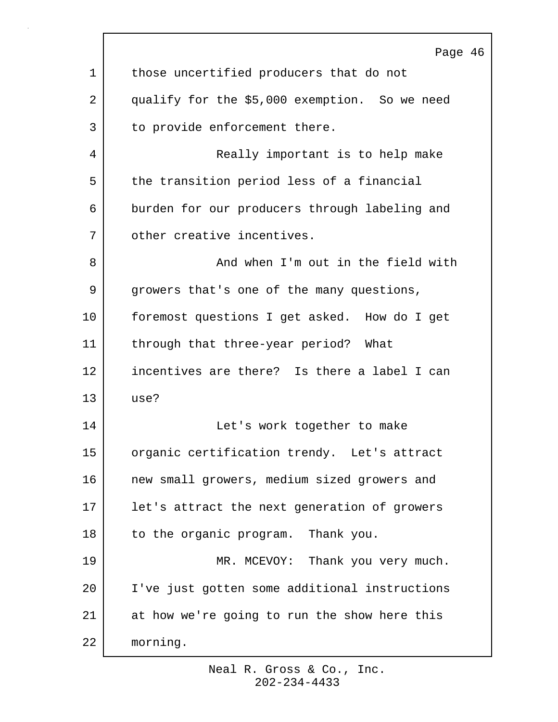|    | Page 46                                       |
|----|-----------------------------------------------|
| 1  | those uncertified producers that do not       |
| 2  | qualify for the \$5,000 exemption. So we need |
| 3  | to provide enforcement there.                 |
| 4  | Really important is to help make              |
| 5  | the transition period less of a financial     |
| 6  | burden for our producers through labeling and |
| 7  | other creative incentives.                    |
| 8  | And when I'm out in the field with            |
| 9  | growers that's one of the many questions,     |
| 10 | foremost questions I get asked. How do I get  |
| 11 | through that three-year period?<br>What       |
| 12 | incentives are there? Is there a label I can  |
| 13 | use?                                          |
| 14 | Let's work together to make                   |
| 15 | organic certification trendy. Let's attract   |
| 16 | new small growers, medium sized growers and   |
| 17 | let's attract the next generation of growers  |
| 18 | to the organic program. Thank you.            |
| 19 | MR. MCEVOY: Thank you very much.              |
| 20 | I've just gotten some additional instructions |
| 21 | at how we're going to run the show here this  |
| 22 | morning.                                      |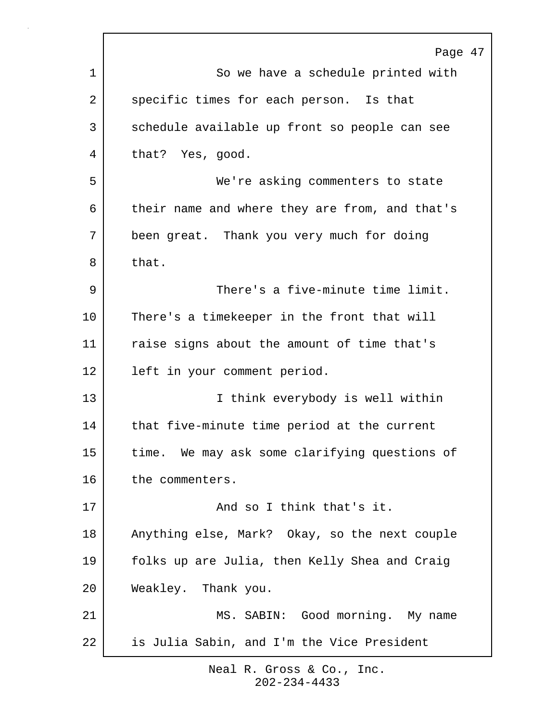|    | Page 47                                        |
|----|------------------------------------------------|
| 1  | So we have a schedule printed with             |
| 2  | specific times for each person. Is that        |
| 3  | schedule available up front so people can see  |
| 4  | that? Yes, good.                               |
| 5  | We're asking commenters to state               |
| 6  | their name and where they are from, and that's |
| 7  | been great. Thank you very much for doing      |
| 8  | that.                                          |
| 9  | There's a five-minute time limit.              |
| 10 | There's a timekeeper in the front that will    |
| 11 | raise signs about the amount of time that's    |
| 12 | left in your comment period.                   |
| 13 | I think everybody is well within               |
| 14 | that five-minute time period at the current    |
| 15 | time. We may ask some clarifying questions of  |
| 16 | the commenters.                                |
| 17 | And so I think that's it.                      |
| 18 | Anything else, Mark? Okay, so the next couple  |
| 19 | folks up are Julia, then Kelly Shea and Craig  |
| 20 | Weakley. Thank you.                            |
| 21 | MS. SABIN: Good morning. My name               |
| 22 | is Julia Sabin, and I'm the Vice President     |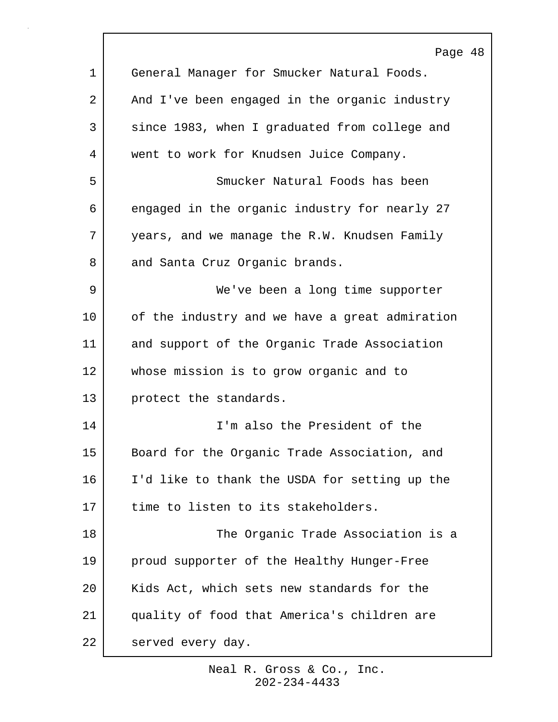|    | Page 48                                        |
|----|------------------------------------------------|
| 1  | General Manager for Smucker Natural Foods.     |
| 2  | And I've been engaged in the organic industry  |
| 3  | since 1983, when I graduated from college and  |
| 4  | went to work for Knudsen Juice Company.        |
| 5  | Smucker Natural Foods has been                 |
| 6  | engaged in the organic industry for nearly 27  |
| 7  | years, and we manage the R.W. Knudsen Family   |
| 8  | and Santa Cruz Organic brands.                 |
| 9  | We've been a long time supporter               |
| 10 | of the industry and we have a great admiration |
| 11 | and support of the Organic Trade Association   |
| 12 | whose mission is to grow organic and to        |
| 13 | protect the standards.                         |
| 14 | I'm also the President of the                  |
| 15 | Board for the Organic Trade Association, and   |
| 16 | I'd like to thank the USDA for setting up the  |
| 17 | time to listen to its stakeholders.            |
| 18 | The Organic Trade Association is a             |
| 19 | proud supporter of the Healthy Hunger-Free     |
| 20 | Kids Act, which sets new standards for the     |
| 21 | quality of food that America's children are    |
| 22 | served every day.                              |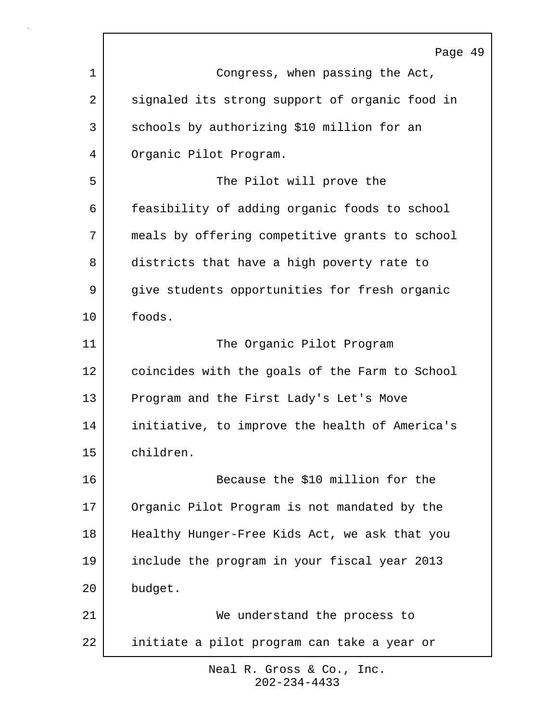| Page 49                                        |
|------------------------------------------------|
| Congress, when passing the Act,                |
| signaled its strong support of organic food in |
| schools by authorizing \$10 million for an     |
| Organic Pilot Program.                         |
| The Pilot will prove the                       |
| feasibility of adding organic foods to school  |
| meals by offering competitive grants to school |
| districts that have a high poverty rate to     |
| give students opportunities for fresh organic  |
| foods.                                         |
| The Organic Pilot Program                      |
| coincides with the goals of the Farm to School |
| Program and the First Lady's Let's Move        |
| initiative, to improve the health of America's |
| children.                                      |
| Because the \$10 million for the               |
| Organic Pilot Program is not mandated by the   |
| Healthy Hunger-Free Kids Act, we ask that you  |
| include the program in your fiscal year 2013   |
| budget.                                        |
| We understand the process to                   |
| initiate a pilot program can take a year or    |
|                                                |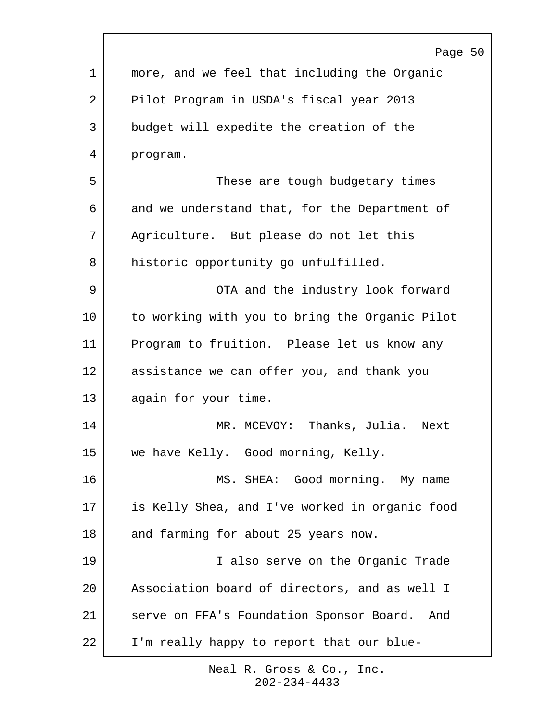| Page 50<br>$\mathbf 1$<br>more, and we feel that including the Organic<br>2<br>Pilot Program in USDA's fiscal year 2013<br>3<br>budget will expedite the creation of the<br>4<br>program. |  |
|-------------------------------------------------------------------------------------------------------------------------------------------------------------------------------------------|--|
|                                                                                                                                                                                           |  |
|                                                                                                                                                                                           |  |
|                                                                                                                                                                                           |  |
|                                                                                                                                                                                           |  |
|                                                                                                                                                                                           |  |
| 5<br>These are tough budgetary times                                                                                                                                                      |  |
| 6<br>and we understand that, for the Department of                                                                                                                                        |  |
| 7<br>Agriculture. But please do not let this                                                                                                                                              |  |
| 8<br>historic opportunity go unfulfilled.                                                                                                                                                 |  |
| 9<br>OTA and the industry look forward                                                                                                                                                    |  |
| 10<br>to working with you to bring the Organic Pilot                                                                                                                                      |  |
| 11<br>Program to fruition. Please let us know any                                                                                                                                         |  |
| 12<br>assistance we can offer you, and thank you                                                                                                                                          |  |
| 13<br>again for your time.                                                                                                                                                                |  |
| 14<br>Thanks, Julia. Next<br>MR. MCEVOY:                                                                                                                                                  |  |
| 15<br>we have Kelly. Good morning, Kelly.                                                                                                                                                 |  |
| 16<br>MS. SHEA: Good morning. My name                                                                                                                                                     |  |
| is Kelly Shea, and I've worked in organic food<br>17                                                                                                                                      |  |
| 18<br>and farming for about 25 years now.                                                                                                                                                 |  |
| 19<br>I also serve on the Organic Trade                                                                                                                                                   |  |
| 20<br>Association board of directors, and as well I                                                                                                                                       |  |
| 21<br>serve on FFA's Foundation Sponsor Board. And                                                                                                                                        |  |
| 22<br>I'm really happy to report that our blue-                                                                                                                                           |  |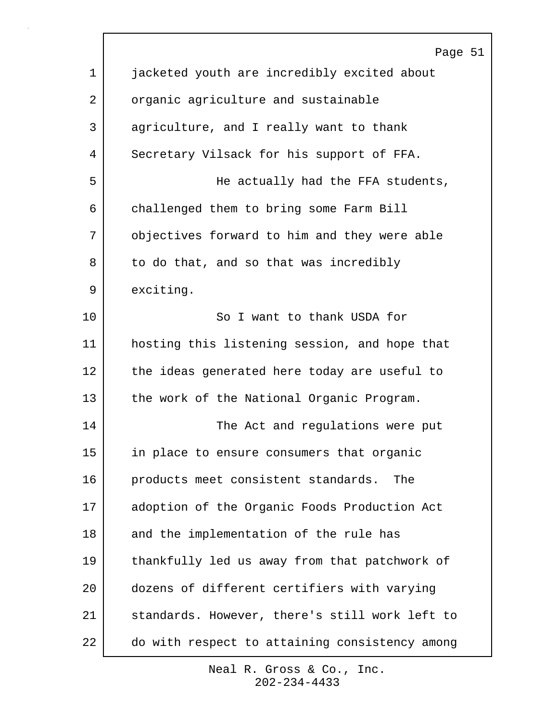|             | Page 51                                        |
|-------------|------------------------------------------------|
| $\mathbf 1$ | jacketed youth are incredibly excited about    |
| 2           | organic agriculture and sustainable            |
| 3           | agriculture, and I really want to thank        |
| 4           | Secretary Vilsack for his support of FFA.      |
| 5           | He actually had the FFA students,              |
| 6           | challenged them to bring some Farm Bill        |
| 7           | objectives forward to him and they were able   |
| 8           | to do that, and so that was incredibly         |
| 9           | exciting.                                      |
| 10          | So I want to thank USDA for                    |
| 11          | hosting this listening session, and hope that  |
| 12          | the ideas generated here today are useful to   |
| 13          | the work of the National Organic Program.      |
| 14          | The Act and regulations were put               |
| 15          | in place to ensure consumers that organic      |
| 16          | products meet consistent standards.<br>The     |
| 17          | adoption of the Organic Foods Production Act   |
| 18          | and the implementation of the rule has         |
| 19          | thankfully led us away from that patchwork of  |
| 20          | dozens of different certifiers with varying    |
| 21          | standards. However, there's still work left to |
| 22          | do with respect to attaining consistency among |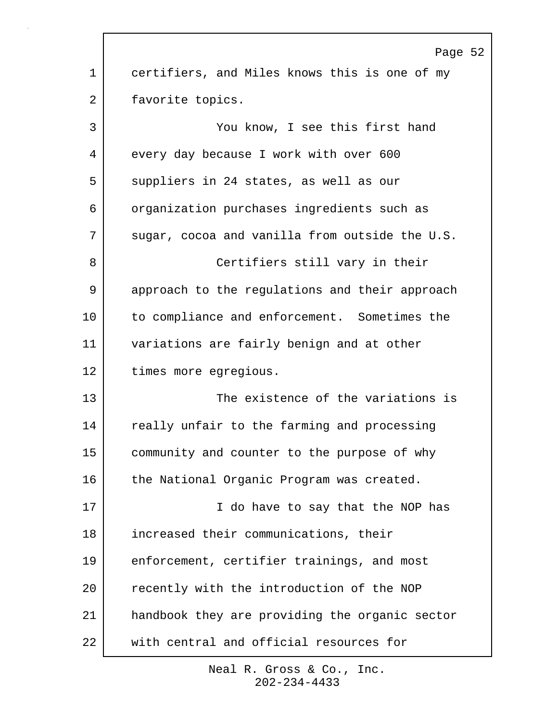|             | Page 52                                        |
|-------------|------------------------------------------------|
| $\mathbf 1$ | certifiers, and Miles knows this is one of my  |
| 2           | favorite topics.                               |
| 3           | You know, I see this first hand                |
| 4           | every day because I work with over 600         |
| 5           | suppliers in 24 states, as well as our         |
| 6           | organization purchases ingredients such as     |
| 7           | sugar, cocoa and vanilla from outside the U.S. |
| 8           | Certifiers still vary in their                 |
| 9           | approach to the regulations and their approach |
| 10          | to compliance and enforcement. Sometimes the   |
| 11          | variations are fairly benign and at other      |
| 12          | times more egregious.                          |
| 13          | The existence of the variations is             |
| 14          | really unfair to the farming and processing    |
| 15          | community and counter to the purpose of why    |
| 16          | the National Organic Program was created.      |
| 17          | I do have to say that the NOP has              |
| 18          | increased their communications, their          |
| 19          | enforcement, certifier trainings, and most     |
| 20          | recently with the introduction of the NOP      |
| 21          | handbook they are providing the organic sector |
| 22          | with central and official resources for        |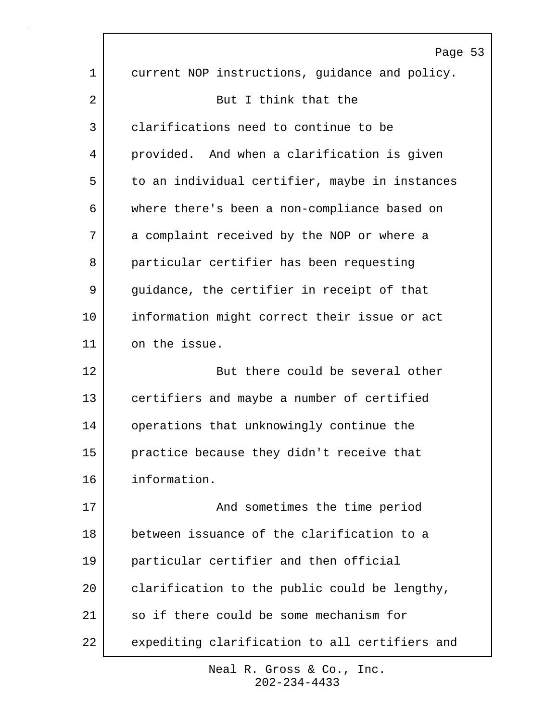|         | Page 53                                        |
|---------|------------------------------------------------|
| 1       | current NOP instructions, guidance and policy. |
| 2       | But I think that the                           |
| 3       | clarifications need to continue to be          |
| 4       | provided. And when a clarification is given    |
| 5       | to an individual certifier, maybe in instances |
| 6       | where there's been a non-compliance based on   |
| 7       | a complaint received by the NOP or where a     |
| 8       | particular certifier has been requesting       |
| 9       | guidance, the certifier in receipt of that     |
| $10 \,$ | information might correct their issue or act   |
| 11      | on the issue.                                  |
| 12      | But there could be several other               |
| 13      | certifiers and maybe a number of certified     |
| 14      | operations that unknowingly continue the       |
| 15      | practice because they didn't receive that      |
| 16      | information.                                   |
| 17      | And sometimes the time period                  |
| 18      | between issuance of the clarification to a     |
| 19      | particular certifier and then official         |
| 20      | clarification to the public could be lengthy,  |
| 21      | so if there could be some mechanism for        |
| 22      | expediting clarification to all certifiers and |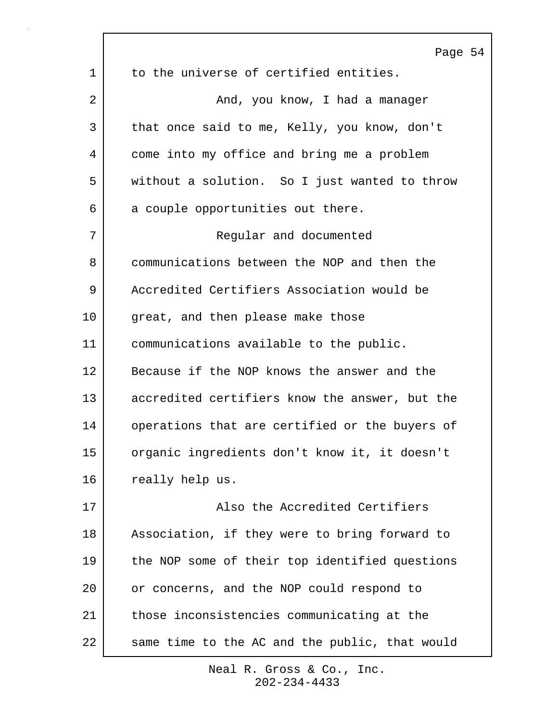|                 | Page 54                                        |
|-----------------|------------------------------------------------|
| 1               | to the universe of certified entities.         |
| 2               | And, you know, I had a manager                 |
| 3               | that once said to me, Kelly, you know, don't   |
| 4               | come into my office and bring me a problem     |
| 5               | without a solution. So I just wanted to throw  |
| 6               | a couple opportunities out there.              |
| 7               | Regular and documented                         |
| 8               | communications between the NOP and then the    |
| 9               | Accredited Certifiers Association would be     |
| 10              | great, and then please make those              |
| 11              | communications available to the public.        |
| 12              | Because if the NOP knows the answer and the    |
| 13              | accredited certifiers know the answer, but the |
| 14              | operations that are certified or the buyers of |
| 15 <sub>1</sub> | organic ingredients don't know it, it doesn't  |
| 16              | really help us.                                |
| 17              | Also the Accredited Certifiers                 |
| 18              | Association, if they were to bring forward to  |
| 19              | the NOP some of their top identified questions |
| 20              | or concerns, and the NOP could respond to      |
| 21              | those inconsistencies communicating at the     |
| 22              | same time to the AC and the public, that would |

 $\Gamma$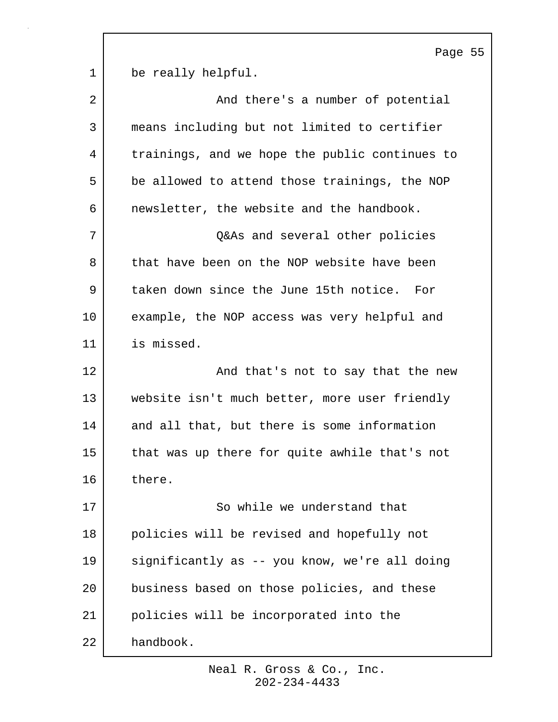Page 55 1 be really helpful. 2 | And there's a number of potential 3 means including but not limited to certifier 4 | trainings, and we hope the public continues to 5 be allowed to attend those trainings, the NOP 6 | newsletter, the website and the handbook. 7 Q&As and several other policies 8 that have been on the NOP website have been 9 taken down since the June 15th notice. For 10 example, the NOP access was very helpful and 11 is missed. 12 And that's not to say that the new 13 website isn't much better, more user friendly 14 and all that, but there is some information 15 that was up there for quite awhile that's not 16 there. 17 So while we understand that 18 policies will be revised and hopefully not 19 significantly as -- you know, we're all doing 20 business based on those policies, and these 21 policies will be incorporated into the 22 handbook.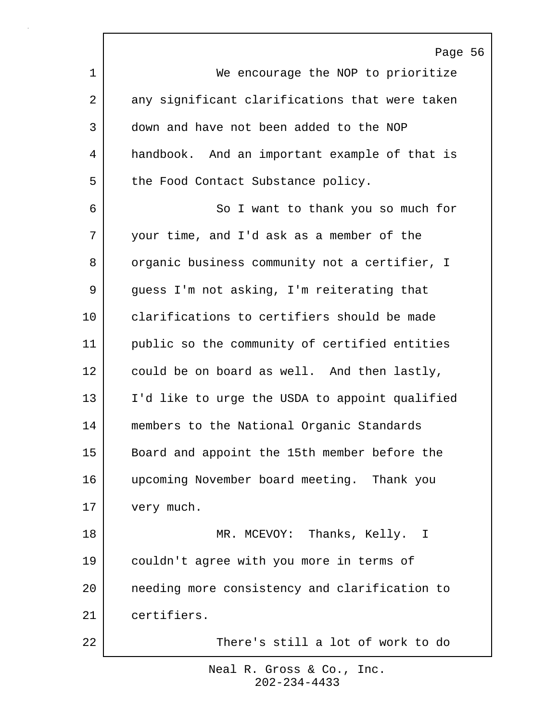Page 56 1 We encourage the NOP to prioritize 2 any significant clarifications that were taken 3 down and have not been added to the NOP 4 handbook. And an important example of that is 5 the Food Contact Substance policy. 6 So I want to thank you so much for 7 your time, and I'd ask as a member of the 8 organic business community not a certifier, I 9 guess I'm not asking, I'm reiterating that 10 clarifications to certifiers should be made 11 public so the community of certified entities 12 could be on board as well. And then lastly, 13 | I'd like to urge the USDA to appoint qualified 14 members to the National Organic Standards 15 Board and appoint the 15th member before the 16 upcoming November board meeting. Thank you 17 very much. 18 MR. MCEVOY: Thanks, Kelly. I 19 couldn't agree with you more in terms of 20 needing more consistency and clarification to 21 certifiers. 22 There's still a lot of work to do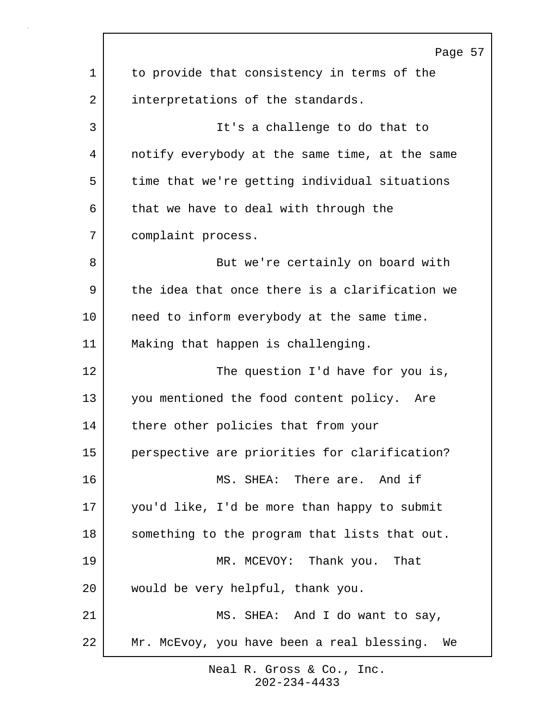Page 57 1 to provide that consistency in terms of the 2 interpretations of the standards. 3 It's a challenge to do that to 4 notify everybody at the same time, at the same 5 time that we're getting individual situations  $6$  that we have to deal with through the 7 complaint process. 8 But we're certainly on board with 9 the idea that once there is a clarification we 10 need to inform everybody at the same time. 11 | Making that happen is challenging. 12 The question I'd have for you is, 13 you mentioned the food content policy. Are 14 there other policies that from your 15 perspective are priorities for clarification? 16 MS. SHEA: There are. And if 17 you'd like, I'd be more than happy to submit 18 | something to the program that lists that out. 19 MR. MCEVOY: Thank you. That 20 would be very helpful, thank you. 21 | MS. SHEA: And I do want to say, 22 Mr. McEvoy, you have been a real blessing. We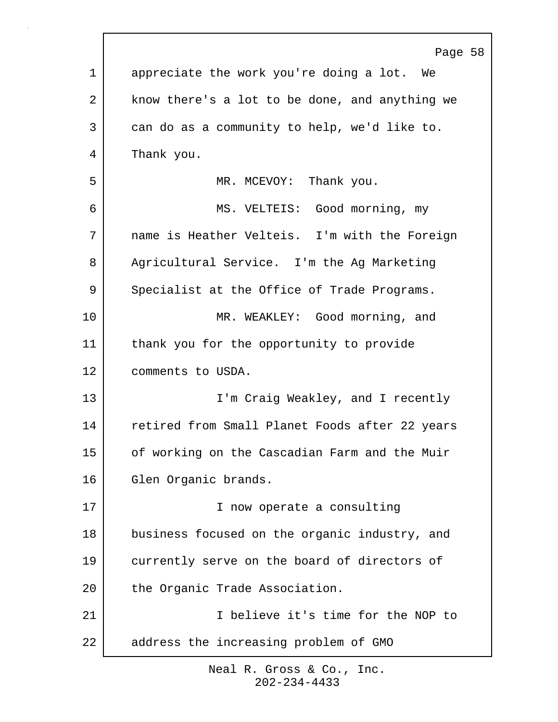|             | Page 58                                        |
|-------------|------------------------------------------------|
| $\mathbf 1$ | appreciate the work you're doing a lot. We     |
| 2           | know there's a lot to be done, and anything we |
| 3           | can do as a community to help, we'd like to.   |
| 4           | Thank you.                                     |
| 5           | MR. MCEVOY: Thank you.                         |
| 6           | MS. VELTEIS: Good morning, my                  |
| 7           | name is Heather Velteis. I'm with the Foreign  |
| 8           | Agricultural Service. I'm the Ag Marketing     |
| 9           | Specialist at the Office of Trade Programs.    |
| 10          | MR. WEAKLEY: Good morning, and                 |
| 11          | thank you for the opportunity to provide       |
| 12          | comments to USDA.                              |
| 13          | I'm Craig Weakley, and I recently              |
| 14          | retired from Small Planet Foods after 22 years |
| 15          | of working on the Cascadian Farm and the Muir  |
| 16          | Glen Organic brands.                           |
| 17          | I now operate a consulting                     |
| 18          | business focused on the organic industry, and  |
| 19          | currently serve on the board of directors of   |
| 20          | the Organic Trade Association.                 |
| 21          | I believe it's time for the NOP to             |
| 22          | address the increasing problem of GMO          |
|             |                                                |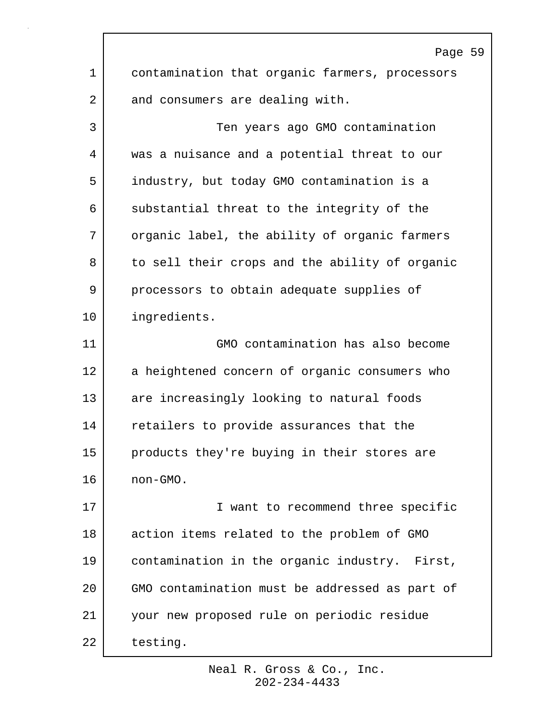|                | Page 59                                        |  |
|----------------|------------------------------------------------|--|
| $\mathbf 1$    | contamination that organic farmers, processors |  |
| $\overline{a}$ | and consumers are dealing with.                |  |
| 3              | Ten years ago GMO contamination                |  |
| 4              | was a nuisance and a potential threat to our   |  |
| 5              | industry, but today GMO contamination is a     |  |
| 6              | substantial threat to the integrity of the     |  |
| 7              | organic label, the ability of organic farmers  |  |
| 8              | to sell their crops and the ability of organic |  |
| 9              | processors to obtain adequate supplies of      |  |
| 10             | ingredients.                                   |  |
| 11             | GMO contamination has also become              |  |
| 12             | a heightened concern of organic consumers who  |  |
| 13             | are increasingly looking to natural foods      |  |
| 14             | retailers to provide assurances that the       |  |
| 15             | products they're buying in their stores are    |  |
| 16             | non-GMO.                                       |  |
| 17             | I want to recommend three specific             |  |
| 18             | action items related to the problem of GMO     |  |
| 19             | contamination in the organic industry. First,  |  |
| 20             | GMO contamination must be addressed as part of |  |
| 21             | your new proposed rule on periodic residue     |  |
| 22             | testing.                                       |  |

 $\Gamma$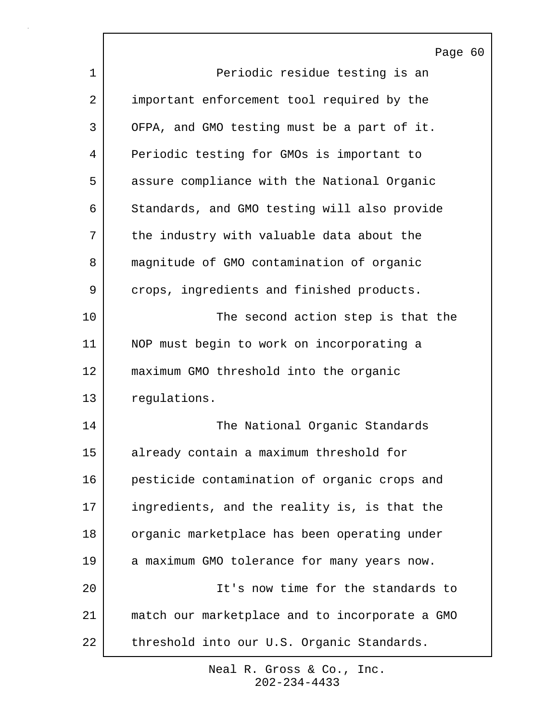Page 60 1 Periodic residue testing is an 2 important enforcement tool required by the 3 OFPA, and GMO testing must be a part of it. 4 Periodic testing for GMOs is important to 5 assure compliance with the National Organic 6 Standards, and GMO testing will also provide 7 the industry with valuable data about the 8 magnitude of GMO contamination of organic 9 crops, ingredients and finished products. 10 The second action step is that the 11 NOP must begin to work on incorporating a 12 maximum GMO threshold into the organic 13 regulations. 14 The National Organic Standards 15 already contain a maximum threshold for 16 pesticide contamination of organic crops and 17 ingredients, and the reality is, is that the 18 organic marketplace has been operating under 19 a maximum GMO tolerance for many years now. 20 It's now time for the standards to 21 match our marketplace and to incorporate a GMO 22 | threshold into our U.S. Organic Standards.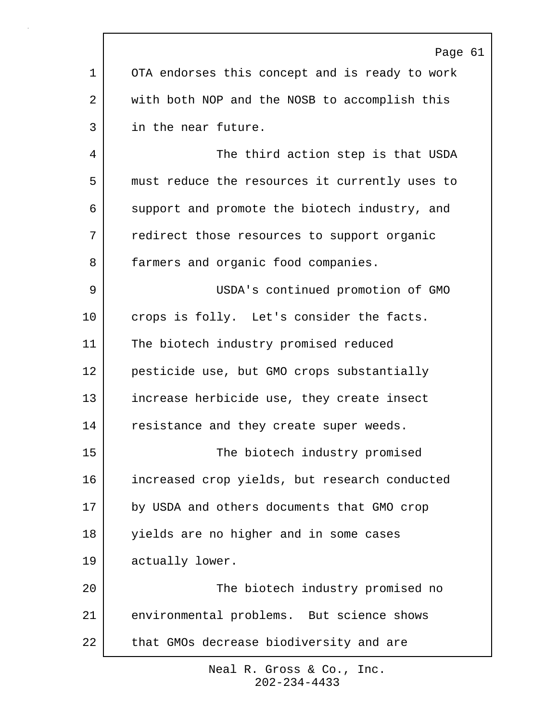|         | Page 61                                        |
|---------|------------------------------------------------|
| 1       | OTA endorses this concept and is ready to work |
| 2       | with both NOP and the NOSB to accomplish this  |
| 3       | in the near future.                            |
| 4       | The third action step is that USDA             |
| 5       | must reduce the resources it currently uses to |
| 6       | support and promote the biotech industry, and  |
| 7       | redirect those resources to support organic    |
| 8       | farmers and organic food companies.            |
| 9       | USDA's continued promotion of GMO              |
| $10 \,$ | crops is folly. Let's consider the facts.      |
| 11      | The biotech industry promised reduced          |
| 12      | pesticide use, but GMO crops substantially     |
| 13      | increase herbicide use, they create insect     |
| 14      | resistance and they create super weeds.        |
| 15      | The biotech industry promised                  |
| 16      | increased crop yields, but research conducted  |
| 17      | by USDA and others documents that GMO crop     |
| 18      | yields are no higher and in some cases         |
| 19      | actually lower.                                |
| 20      | The biotech industry promised no               |
| 21      | environmental problems. But science shows      |
| 22      | that GMOs decrease biodiversity and are        |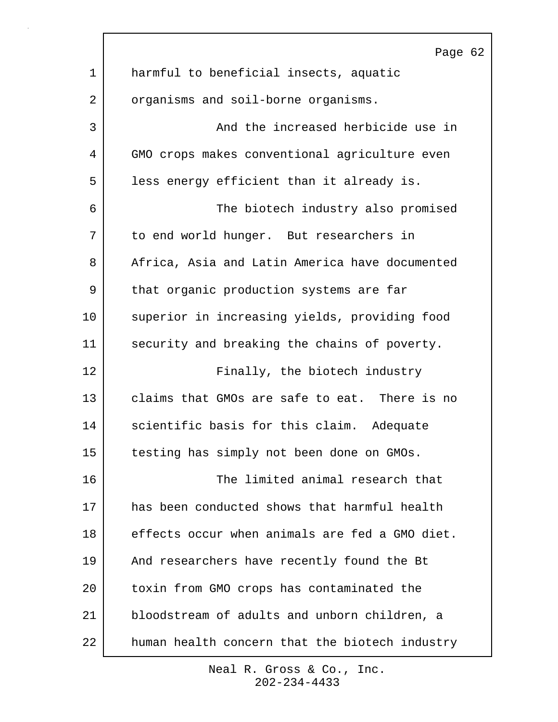|                | Page 62                                        |
|----------------|------------------------------------------------|
| $\mathbf 1$    | harmful to beneficial insects, aquatic         |
| $\overline{a}$ | organisms and soil-borne organisms.            |
| 3              | And the increased herbicide use in             |
| 4              | GMO crops makes conventional agriculture even  |
| 5              | less energy efficient than it already is.      |
| 6              | The biotech industry also promised             |
| 7              | to end world hunger. But researchers in        |
| 8              | Africa, Asia and Latin America have documented |
| 9              | that organic production systems are far        |
| 10             | superior in increasing yields, providing food  |
| 11             | security and breaking the chains of poverty.   |
| 12             | Finally, the biotech industry                  |
| 13             | claims that GMOs are safe to eat. There is no  |
| 14             | scientific basis for this claim. Adequate      |
| 15             | testing has simply not been done on GMOs.      |
| 16             | The limited animal research that               |
| 17             | has been conducted shows that harmful health   |
| 18             | effects occur when animals are fed a GMO diet. |
| 19             | And researchers have recently found the Bt     |
| 20             | toxin from GMO crops has contaminated the      |
| 21             | bloodstream of adults and unborn children, a   |
| 22             | human health concern that the biotech industry |

 $\Gamma$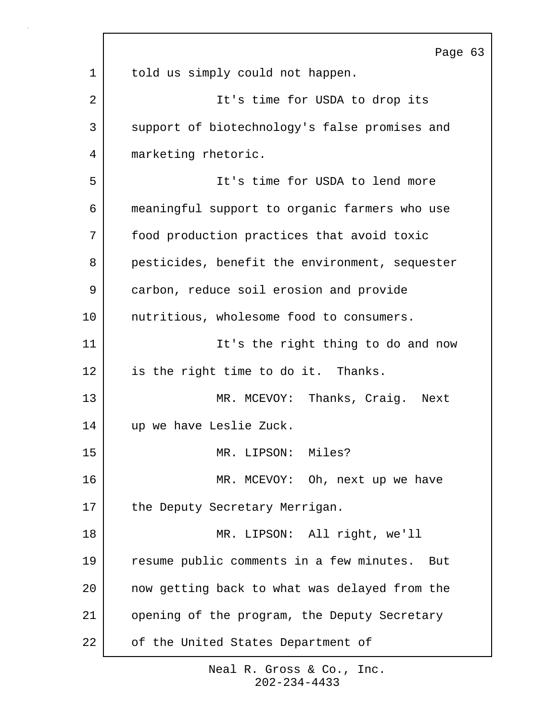|    | Page 63                                        |
|----|------------------------------------------------|
| 1  | told us simply could not happen.               |
| 2  | It's time for USDA to drop its                 |
| 3  | support of biotechnology's false promises and  |
| 4  | marketing rhetoric.                            |
| 5  | It's time for USDA to lend more                |
| 6  | meaningful support to organic farmers who use  |
| 7  | food production practices that avoid toxic     |
| 8  | pesticides, benefit the environment, sequester |
| 9  | carbon, reduce soil erosion and provide        |
| 10 | nutritious, wholesome food to consumers.       |
| 11 | It's the right thing to do and now             |
| 12 | is the right time to do it. Thanks.            |
| 13 | MR. MCEVOY: Thanks, Craig. Next                |
| 14 | up we have Leslie Zuck.                        |
| 15 | MR. LIPSON: Miles?                             |
| 16 | MR. MCEVOY: Oh, next up we have                |
| 17 | the Deputy Secretary Merrigan.                 |
| 18 | MR. LIPSON: All right, we'll                   |
| 19 | resume public comments in a few minutes. But   |
| 20 | now getting back to what was delayed from the  |
| 21 | opening of the program, the Deputy Secretary   |
| 22 | of the United States Department of             |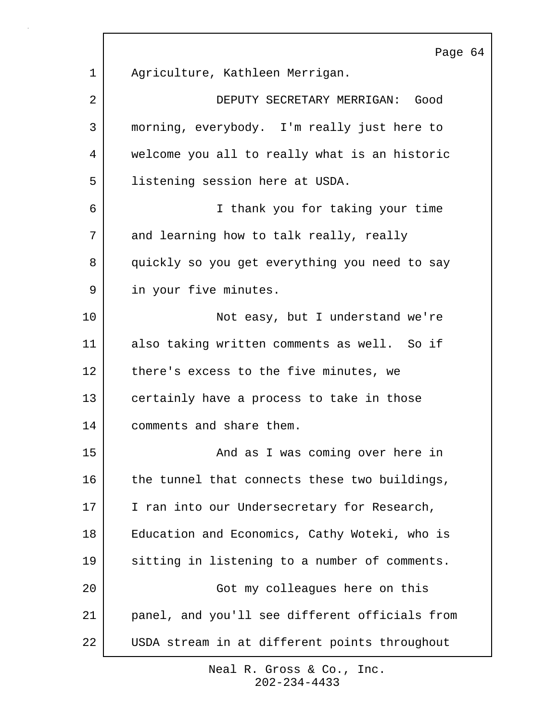Page 64 1 Agriculture, Kathleen Merrigan. 2 DEPUTY SECRETARY MERRIGAN: Good 3 morning, everybody. I'm really just here to 4 welcome you all to really what is an historic 5 listening session here at USDA. 6 I thank you for taking your time 7 and learning how to talk really, really 8 quickly so you get everything you need to say 9 in your five minutes. 10 Not easy, but I understand we're 11 also taking written comments as well. So if 12 there's excess to the five minutes, we 13 certainly have a process to take in those 14 comments and share them. 15 and as I was coming over here in 16 the tunnel that connects these two buildings, 17 I ran into our Undersecretary for Research, 18 Education and Economics, Cathy Woteki, who is 19 sitting in listening to a number of comments. 20 Got my colleagues here on this 21 panel, and you'll see different officials from 22 USDA stream in at different points throughout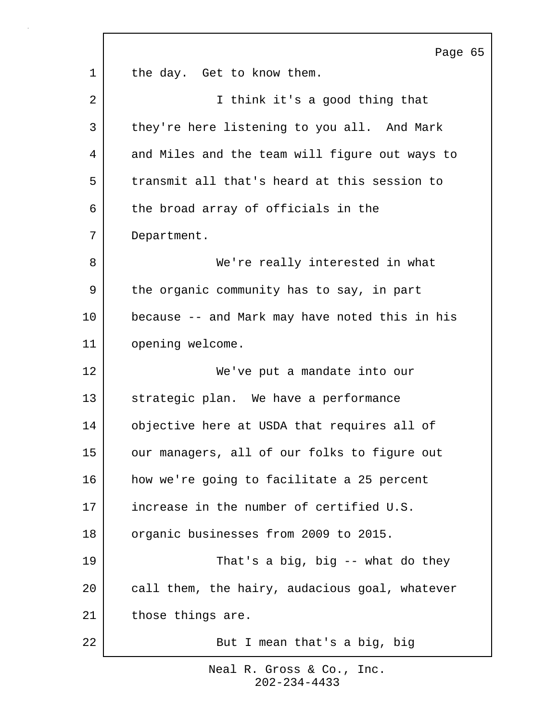Page 65 1 the day. Get to know them. 2 | Think it's a good thing that 3 they're here listening to you all. And Mark 4 and Miles and the team will figure out ways to 5 transmit all that's heard at this session to 6 the broad array of officials in the 7 Department. 8 We're really interested in what 9 the organic community has to say, in part 10 because -- and Mark may have noted this in his 11 opening welcome. 12 We've put a mandate into our 13 strategic plan. We have a performance 14 objective here at USDA that requires all of 15 our managers, all of our folks to figure out 16 how we're going to facilitate a 25 percent 17 increase in the number of certified U.S. 18 organic businesses from 2009 to 2015. 19 That's a big, big -- what do they 20 call them, the hairy, audacious goal, whatever 21 those things are. 22 But I mean that's a big, big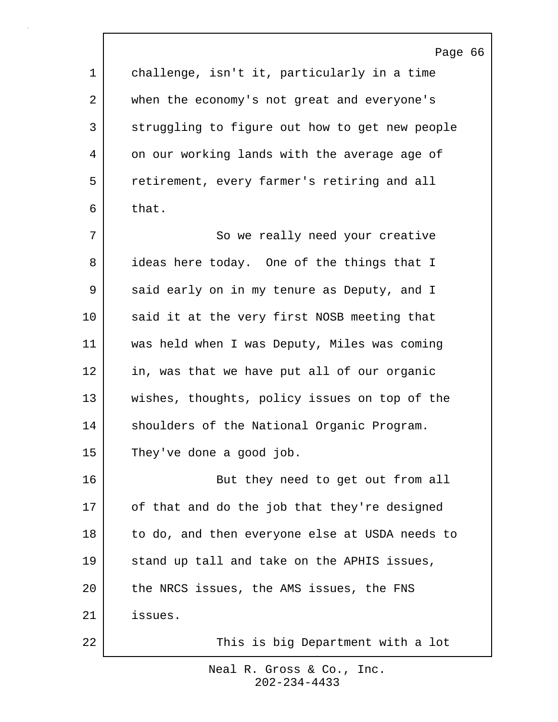|         | Page 66                                        |
|---------|------------------------------------------------|
| 1       | challenge, isn't it, particularly in a time    |
| 2       | when the economy's not great and everyone's    |
| 3       | struggling to figure out how to get new people |
| 4       | on our working lands with the average age of   |
| 5       | retirement, every farmer's retiring and all    |
| 6       | that.                                          |
| 7       | So we really need your creative                |
| 8       | ideas here today. One of the things that I     |
| 9       | said early on in my tenure as Deputy, and I    |
| $10 \,$ | said it at the very first NOSB meeting that    |
| 11      | was held when I was Deputy, Miles was coming   |
| 12      | in, was that we have put all of our organic    |
| 13      | wishes, thoughts, policy issues on top of the  |
| 14      | shoulders of the National Organic Program.     |
| 15      | They've done a good job.                       |
| 16      | But they need to get out from all              |
| 17      | of that and do the job that they're designed   |
| 18      | to do, and then everyone else at USDA needs to |
| 19      | stand up tall and take on the APHIS issues,    |
| 20      | the NRCS issues, the AMS issues, the FNS       |
| 21      | issues.                                        |
| 22      | This is big Department with a lot              |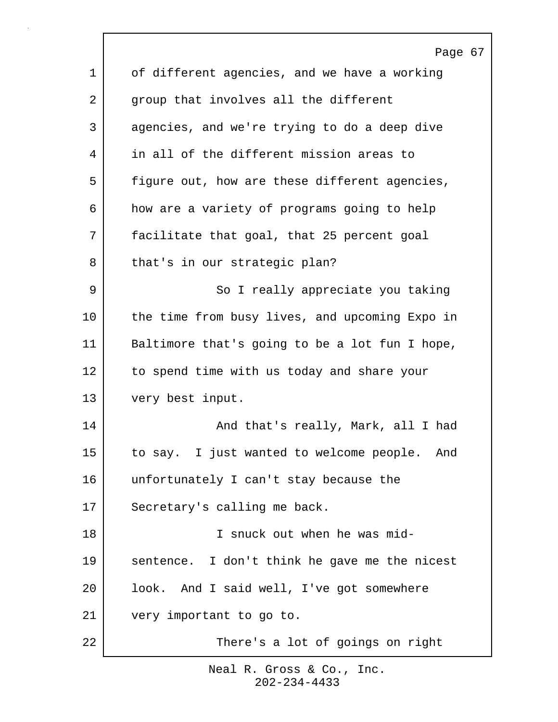Page 67 1 of different agencies, and we have a working 2 group that involves all the different 3 agencies, and we're trying to do a deep dive 4 in all of the different mission areas to 5 | figure out, how are these different agencies, 6 how are a variety of programs going to help 7 facilitate that goal, that 25 percent goal 8 | that's in our strategic plan? 9 | So I really appreciate you taking 10 the time from busy lives, and upcoming Expo in 11 Baltimore that's going to be a lot fun I hope, 12 to spend time with us today and share your 13 very best input. 14 | Kanad that's really, Mark, all I had 15 to say. I just wanted to welcome people. And 16 unfortunately I can't stay because the 17 Secretary's calling me back. 18 I snuck out when he was mid-19 sentence. I don't think he gave me the nicest 20 look. And I said well, I've got somewhere 21 very important to go to. 22 There's a lot of goings on right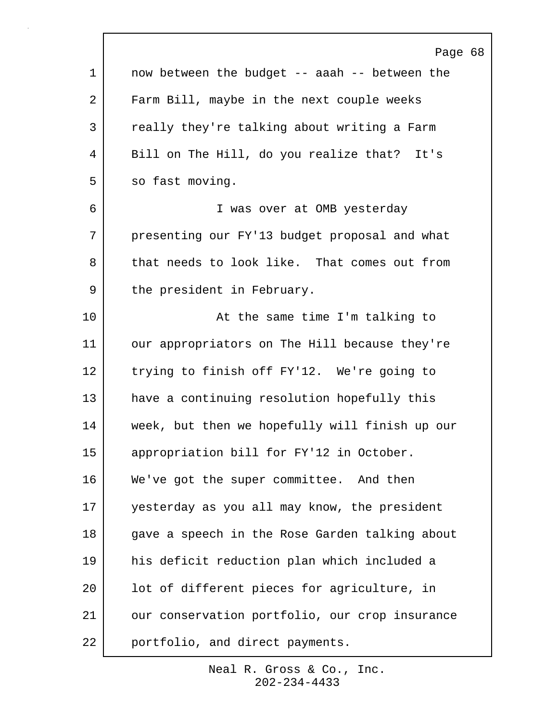|             | Page 68                                        |
|-------------|------------------------------------------------|
| $\mathbf 1$ | now between the budget -- aaah -- between the  |
| 2           | Farm Bill, maybe in the next couple weeks      |
| 3           | really they're talking about writing a Farm    |
| 4           | Bill on The Hill, do you realize that? It's    |
| 5           | so fast moving.                                |
| 6           | I was over at OMB yesterday                    |
| 7           | presenting our FY'13 budget proposal and what  |
| 8           | that needs to look like. That comes out from   |
| 9           | the president in February.                     |
| 10          | At the same time I'm talking to                |
| 11          | our appropriators on The Hill because they're  |
| 12          | trying to finish off FY'12. We're going to     |
| 13          | have a continuing resolution hopefully this    |
| 14          | week, but then we hopefully will finish up our |
| 15          | appropriation bill for FY'12 in October.       |
| 16          | We've got the super committee. And then        |
| 17          | yesterday as you all may know, the president   |
| 18          | gave a speech in the Rose Garden talking about |
| 19          | his deficit reduction plan which included a    |
| 20          | lot of different pieces for agriculture, in    |
| 21          | our conservation portfolio, our crop insurance |
| 22          | portfolio, and direct payments.                |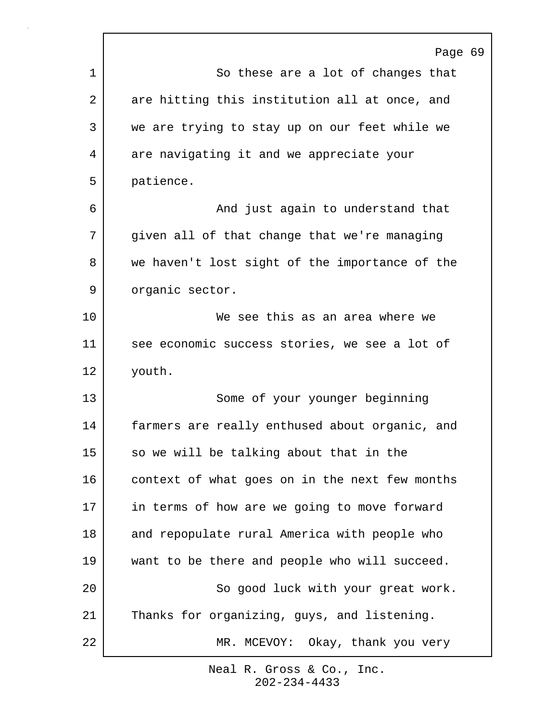|                | Page 69                                        |
|----------------|------------------------------------------------|
| 1              | So these are a lot of changes that             |
| $\overline{a}$ | are hitting this institution all at once, and  |
| 3              | we are trying to stay up on our feet while we  |
| 4              | are navigating it and we appreciate your       |
| 5              | patience.                                      |
| 6              | And just again to understand that              |
| 7              | given all of that change that we're managing   |
| 8              | we haven't lost sight of the importance of the |
| 9              | organic sector.                                |
| 10             | We see this as an area where we                |
| 11             | see economic success stories, we see a lot of  |
| 12             | youth.                                         |
| 13             | Some of your younger beginning                 |
| 14             | farmers are really enthused about organic, and |
| 15             | so we will be talking about that in the        |
| 16             | context of what goes on in the next few months |
| 17             | in terms of how are we going to move forward   |
| 18             | and repopulate rural America with people who   |
| 19             | want to be there and people who will succeed.  |
| 20             | So good luck with your great work.             |
| 21             | Thanks for organizing, guys, and listening.    |
| 22             | MR. MCEVOY: Okay, thank you very               |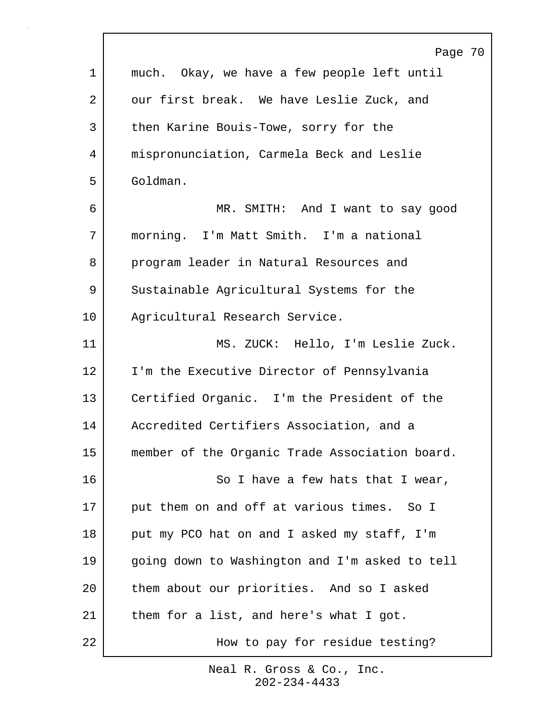|             | Page 70                                        |
|-------------|------------------------------------------------|
| $\mathbf 1$ | much. Okay, we have a few people left until    |
| 2           | our first break. We have Leslie Zuck, and      |
| 3           | then Karine Bouis-Towe, sorry for the          |
| 4           | mispronunciation, Carmela Beck and Leslie      |
| 5           | Goldman.                                       |
| 6           | MR. SMITH: And I want to say good              |
| 7           | morning. I'm Matt Smith. I'm a national        |
| 8           | program leader in Natural Resources and        |
| 9           | Sustainable Agricultural Systems for the       |
| 10          | Agricultural Research Service.                 |
| 11          | MS. ZUCK: Hello, I'm Leslie Zuck.              |
| 12          | I'm the Executive Director of Pennsylvania     |
| 13          | Certified Organic. I'm the President of the    |
| 14          | Accredited Certifiers Association, and a       |
| 15          | member of the Organic Trade Association board. |
| 16          | So I have a few hats that I wear,              |
| 17          | put them on and off at various times. So I     |
| 18          | put my PCO hat on and I asked my staff, I'm    |
| 19          | going down to Washington and I'm asked to tell |
| 20          | them about our priorities. And so I asked      |
| 21          | them for a list, and here's what I got.        |
| 22          | How to pay for residue testing?                |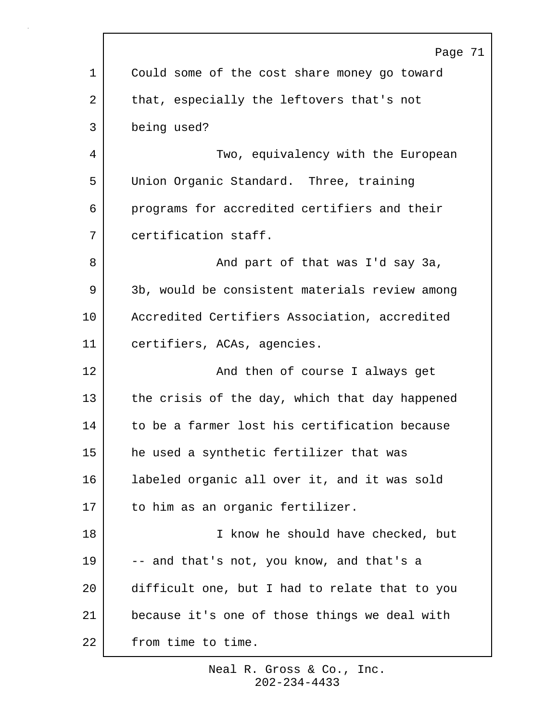|    | Page 71                                        |
|----|------------------------------------------------|
| 1  | Could some of the cost share money go toward   |
| 2  | that, especially the leftovers that's not      |
| 3  | being used?                                    |
| 4  | Two, equivalency with the European             |
| 5  | Union Organic Standard. Three, training        |
| 6  | programs for accredited certifiers and their   |
| 7  | certification staff.                           |
| 8  | And part of that was I'd say 3a,               |
| 9  | 3b, would be consistent materials review among |
| 10 | Accredited Certifiers Association, accredited  |
| 11 | certifiers, ACAs, agencies.                    |
| 12 | And then of course I always get                |
| 13 | the crisis of the day, which that day happened |
| 14 | to be a farmer lost his certification because  |
| 15 | he used a synthetic fertilizer that was        |
| 16 | labeled organic all over it, and it was sold   |
| 17 | to him as an organic fertilizer.               |
| 18 | I know he should have checked, but             |
| 19 | -- and that's not, you know, and that's a      |
| 20 | difficult one, but I had to relate that to you |
| 21 | because it's one of those things we deal with  |
| 22 | from time to time.                             |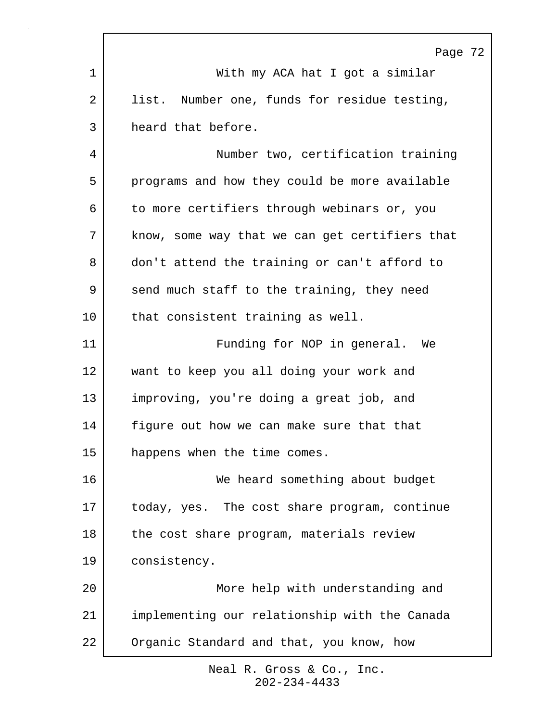|    | Page 72                                         |
|----|-------------------------------------------------|
| 1  | With my ACA hat I got a similar                 |
| 2  | Number one, funds for residue testing,<br>list. |
| 3  | heard that before.                              |
| 4  | Number two, certification training              |
| 5  | programs and how they could be more available   |
| 6  | to more certifiers through webinars or, you     |
| 7  | know, some way that we can get certifiers that  |
| 8  | don't attend the training or can't afford to    |
| 9  | send much staff to the training, they need      |
| 10 | that consistent training as well.               |
| 11 | Funding for NOP in general. We                  |
| 12 | want to keep you all doing your work and        |
| 13 | improving, you're doing a great job, and        |
| 14 | figure out how we can make sure that that       |
| 15 | happens when the time comes.                    |
| 16 | We heard something about budget                 |
| 17 | today, yes. The cost share program, continue    |
| 18 | the cost share program, materials review        |
| 19 | consistency.                                    |
| 20 | More help with understanding and                |
| 21 | implementing our relationship with the Canada   |
| 22 | Organic Standard and that, you know, how        |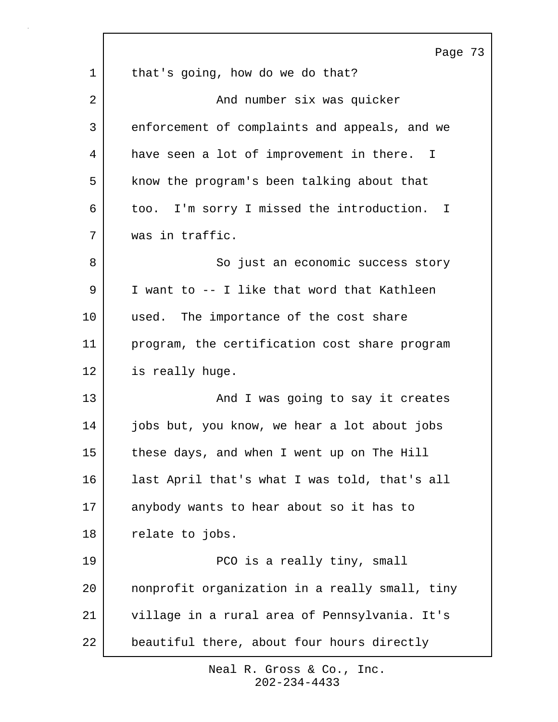|         | Page 73                                        |
|---------|------------------------------------------------|
| 1       | that's going, how do we do that?               |
| 2       | And number six was quicker                     |
| 3       | enforcement of complaints and appeals, and we  |
| 4       | have seen a lot of improvement in there. I     |
| 5       | know the program's been talking about that     |
| 6       | too. I'm sorry I missed the introduction. I    |
| 7       | was in traffic.                                |
| 8       | So just an economic success story              |
| 9       | I want to -- I like that word that Kathleen    |
| $10 \,$ | used. The importance of the cost share         |
| 11      | program, the certification cost share program  |
| 12      | is really huge.                                |
| 13      | And I was going to say it creates              |
| 14      | jobs but, you know, we hear a lot about jobs   |
| 15      | these days, and when I went up on The Hill     |
| 16      | last April that's what I was told, that's all  |
| 17      | anybody wants to hear about so it has to       |
| 18      | relate to jobs.                                |
| 19      | PCO is a really tiny, small                    |
| 20      | nonprofit organization in a really small, tiny |
| 21      | village in a rural area of Pennsylvania. It's  |
| 22      | beautiful there, about four hours directly     |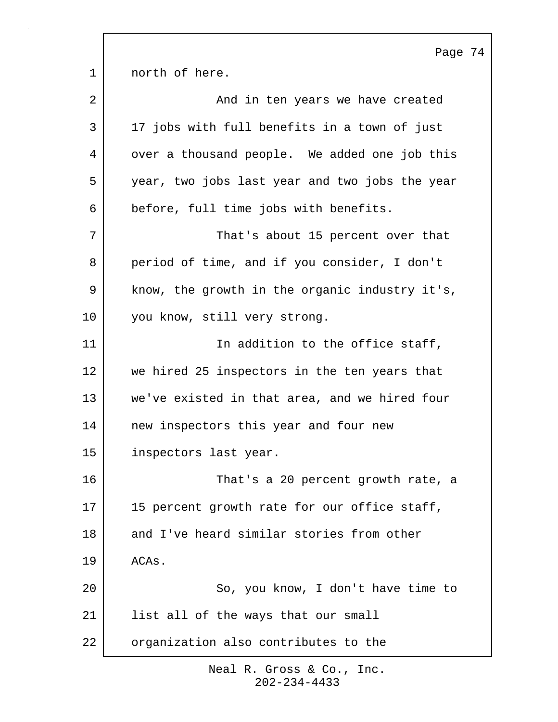Page 74 1 morth of here. 2 | And in ten years we have created 3 17 jobs with full benefits in a town of just 4 | over a thousand people. We added one job this 5 year, two jobs last year and two jobs the year 6 before, full time jobs with benefits. 7 That's about 15 percent over that 8 period of time, and if you consider, I don't 9 | know, the growth in the organic industry it's, 10 you know, still very strong. 11 | The addition to the office staff, 12 we hired 25 inspectors in the ten years that 13 we've existed in that area, and we hired four 14 | new inspectors this year and four new 15 inspectors last year. 16 That's a 20 percent growth rate, a 17 | 15 percent growth rate for our office staff, 18 and I've heard similar stories from other 19 ACAs. 20 So, you know, I don't have time to 21 | list all of the ways that our small 22 organization also contributes to the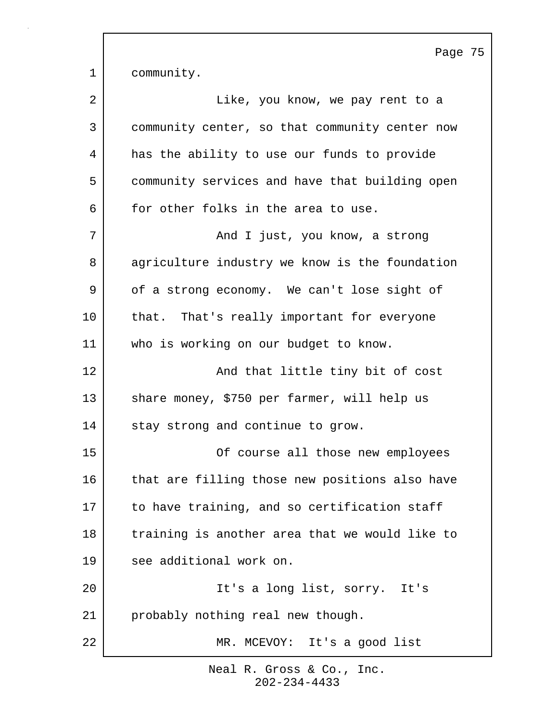1 community. 2 | Tike, you know, we pay rent to a 3 community center, so that community center now 4 has the ability to use our funds to provide 5 community services and have that building open 6 for other folks in the area to use. 7 | The Sand I just, you know, a strong 8 agriculture industry we know is the foundation 9 of a strong economy. We can't lose sight of 10 that. That's really important for everyone 11 who is working on our budget to know. 12 | The South Mand that little tiny bit of cost 13 share money, \$750 per farmer, will help us 14 stay strong and continue to grow. 15 Of course all those new employees 16 that are filling those new positions also have 17 to have training, and so certification staff 18 training is another area that we would like to 19 see additional work on. 20 It's a long list, sorry. It's 21 probably nothing real new though. 22 MR. MCEVOY: It's a good list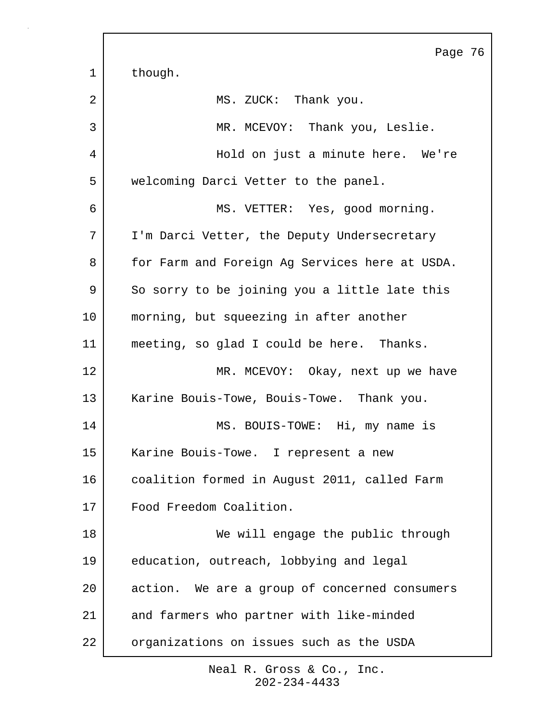|             | Page 76                                        |
|-------------|------------------------------------------------|
| $\mathbf 1$ | though.                                        |
| 2           | MS. ZUCK: Thank you.                           |
| 3           | MR. MCEVOY: Thank you, Leslie.                 |
| 4           | Hold on just a minute here. We're              |
| 5           | welcoming Darci Vetter to the panel.           |
| 6           | MS. VETTER: Yes, good morning.                 |
| 7           | I'm Darci Vetter, the Deputy Undersecretary    |
| 8           | for Farm and Foreign Ag Services here at USDA. |
| 9           | So sorry to be joining you a little late this  |
| 10          | morning, but squeezing in after another        |
| 11          | meeting, so glad I could be here. Thanks.      |
| 12          | MR. MCEVOY: Okay, next up we have              |
| 13          | Karine Bouis-Towe, Bouis-Towe. Thank you.      |
| 14          | MS. BOUIS-TOWE: Hi, my name is                 |
| 15          | Karine Bouis-Towe. I represent a new           |
| 16          | coalition formed in August 2011, called Farm   |
| 17          | Food Freedom Coalition.                        |
| 18          | We will engage the public through              |
| 19          | education, outreach, lobbying and legal        |
| 20          | action. We are a group of concerned consumers  |
| 21          | and farmers who partner with like-minded       |
| 22          | organizations on issues such as the USDA       |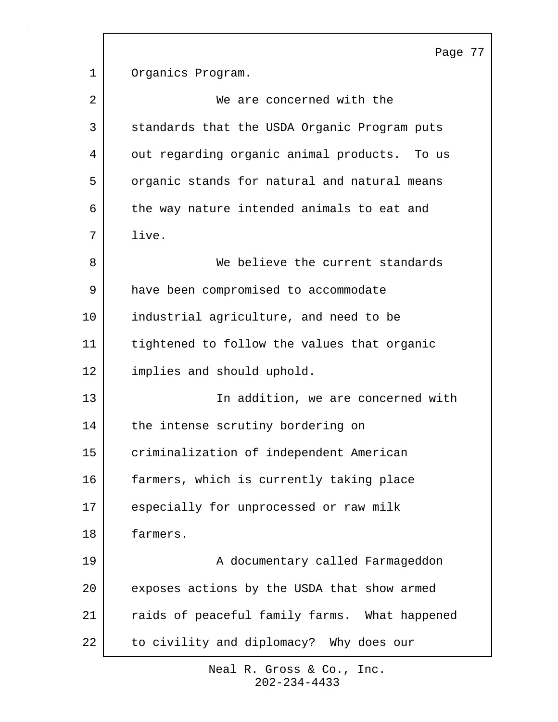Page 77 1 Organics Program. 2 | We are concerned with the 3 standards that the USDA Organic Program puts 4 out regarding organic animal products. To us 5 organic stands for natural and natural means 6 the way nature intended animals to eat and 7 live. 8 We believe the current standards 9 have been compromised to accommodate 10 industrial agriculture, and need to be 11 tightened to follow the values that organic 12 implies and should uphold. 13 In addition, we are concerned with 14 the intense scrutiny bordering on 15 criminalization of independent American 16 farmers, which is currently taking place 17 especially for unprocessed or raw milk 18 farmers. 19 | A documentary called Farmageddon 20 exposes actions by the USDA that show armed 21 | raids of peaceful family farms. What happened 22 to civility and diplomacy? Why does our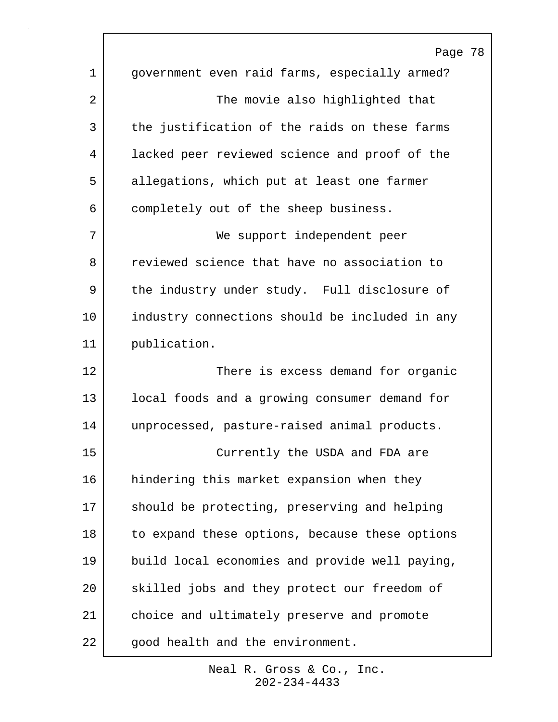|    | Page 78                                        |
|----|------------------------------------------------|
| 1  | government even raid farms, especially armed?  |
| 2  | The movie also highlighted that                |
| 3  | the justification of the raids on these farms  |
| 4  | lacked peer reviewed science and proof of the  |
| 5  | allegations, which put at least one farmer     |
| 6  | completely out of the sheep business.          |
| 7  | We support independent peer                    |
| 8  | reviewed science that have no association to   |
| 9  | the industry under study. Full disclosure of   |
| 10 | industry connections should be included in any |
| 11 | publication.                                   |
| 12 | There is excess demand for organic             |
| 13 | local foods and a growing consumer demand for  |
| 14 | unprocessed, pasture-raised animal products.   |
| 15 | Currently the USDA and FDA are                 |
| 16 | hindering this market expansion when they      |
| 17 | should be protecting, preserving and helping   |
| 18 | to expand these options, because these options |
| 19 | build local economies and provide well paying, |
| 20 | skilled jobs and they protect our freedom of   |
| 21 | choice and ultimately preserve and promote     |
| 22 | good health and the environment.               |

 $\Gamma$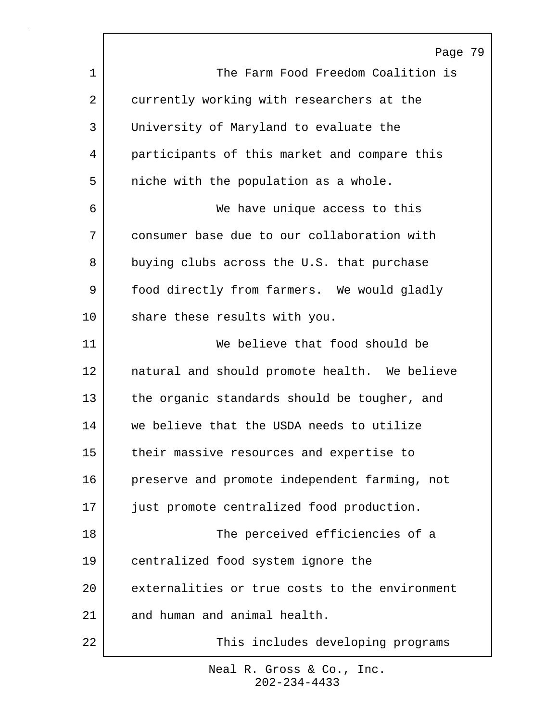|         | Page 79                                        |
|---------|------------------------------------------------|
| 1       | The Farm Food Freedom Coalition is             |
| 2       | currently working with researchers at the      |
| 3       | University of Maryland to evaluate the         |
| 4       | participants of this market and compare this   |
| 5       | niche with the population as a whole.          |
| 6       | We have unique access to this                  |
| 7       | consumer base due to our collaboration with    |
| 8       | buying clubs across the U.S. that purchase     |
| 9       | food directly from farmers. We would gladly    |
| $10 \,$ | share these results with you.                  |
| 11      | We believe that food should be                 |
| 12      | natural and should promote health. We believe  |
| 13      | the organic standards should be tougher, and   |
| 14      | we believe that the USDA needs to utilize      |
| 15      | their massive resources and expertise to       |
| 16      | preserve and promote independent farming, not  |
| 17      | just promote centralized food production.      |
| 18      | The perceived efficiencies of a                |
| 19      | centralized food system ignore the             |
| 20      | externalities or true costs to the environment |
| 21      | and human and animal health.                   |
| 22      | This includes developing programs              |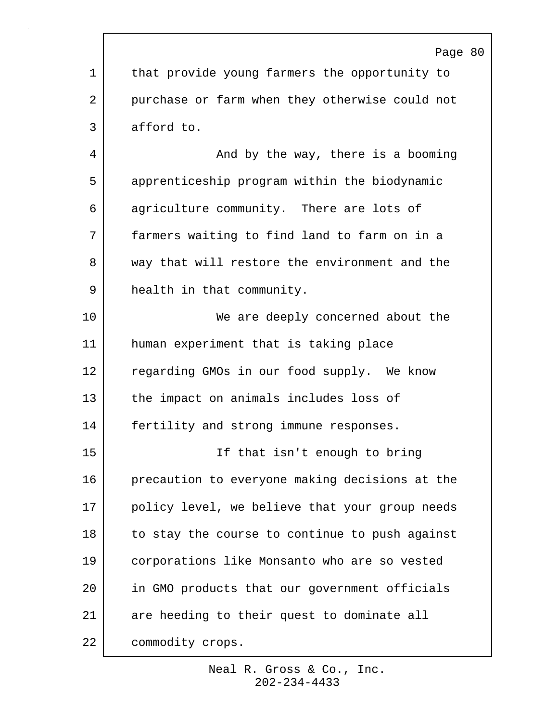Page 80 1 that provide young farmers the opportunity to 2 purchase or farm when they otherwise could not 3 afford to. 4 And by the way, there is a booming 5 apprenticeship program within the biodynamic 6 agriculture community. There are lots of 7 farmers waiting to find land to farm on in a 8 way that will restore the environment and the 9 health in that community. 10 We are deeply concerned about the 11 human experiment that is taking place 12 regarding GMOs in our food supply. We know 13 the impact on animals includes loss of 14 | fertility and strong immune responses. 15 If that isn't enough to bring 16 precaution to everyone making decisions at the 17 policy level, we believe that your group needs 18 to stay the course to continue to push against 19 corporations like Monsanto who are so vested 20 in GMO products that our government officials 21 are heeding to their quest to dominate all 22 commodity crops.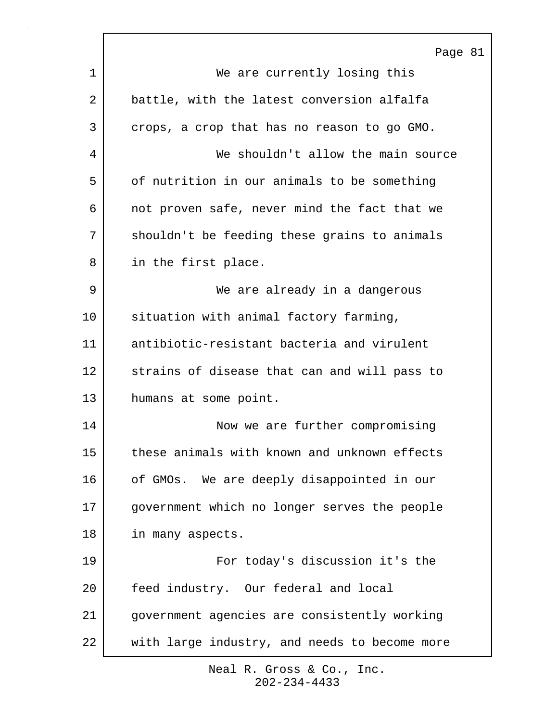|    | Page 81                                       |
|----|-----------------------------------------------|
| 1  | We are currently losing this                  |
| 2  | battle, with the latest conversion alfalfa    |
| 3  | crops, a crop that has no reason to go GMO.   |
| 4  | We shouldn't allow the main source            |
| 5  | of nutrition in our animals to be something   |
| 6  | not proven safe, never mind the fact that we  |
| 7  | shouldn't be feeding these grains to animals  |
| 8  | in the first place.                           |
| 9  | We are already in a dangerous                 |
| 10 | situation with animal factory farming,        |
| 11 | antibiotic-resistant bacteria and virulent    |
| 12 | strains of disease that can and will pass to  |
| 13 | humans at some point.                         |
| 14 | Now we are further compromising               |
| 15 | these animals with known and unknown effects  |
| 16 | of GMOs. We are deeply disappointed in our    |
| 17 | government which no longer serves the people  |
| 18 | in many aspects.                              |
| 19 | For today's discussion it's the               |
| 20 | feed industry. Our federal and local          |
| 21 | government agencies are consistently working  |
| 22 | with large industry, and needs to become more |

٦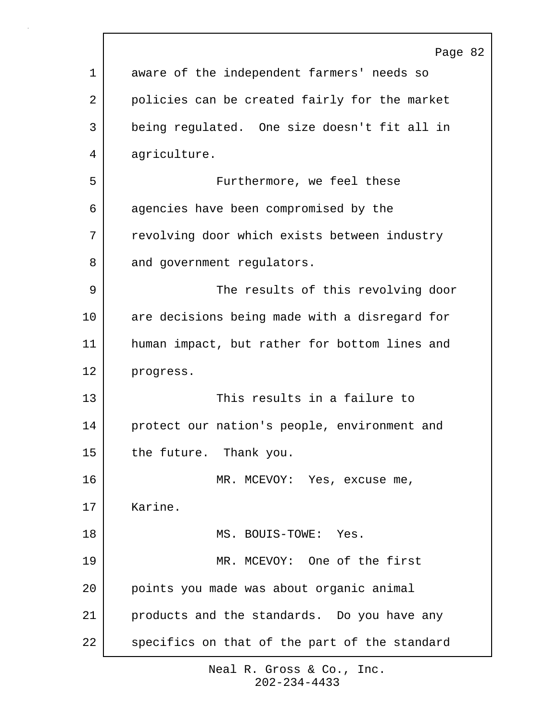|             | Page 82                                       |
|-------------|-----------------------------------------------|
| $\mathbf 1$ | aware of the independent farmers' needs so    |
| 2           | policies can be created fairly for the market |
| 3           | being regulated. One size doesn't fit all in  |
| 4           | agriculture.                                  |
| 5           | Furthermore, we feel these                    |
| 6           | agencies have been compromised by the         |
| 7           | revolving door which exists between industry  |
| 8           | and government regulators.                    |
| 9           | The results of this revolving door            |
| 10          | are decisions being made with a disregard for |
| 11          | human impact, but rather for bottom lines and |
| 12          | progress.                                     |
| 13          | This results in a failure to                  |
| 14          | protect our nation's people, environment and  |
| 15          | the future. Thank you.                        |
| 16          | MR. MCEVOY: Yes, excuse me,                   |
| 17          | Karine.                                       |
| 18          | MS. BOUIS-TOWE: Yes.                          |
| 19          | MR. MCEVOY: One of the first                  |
| 20          | points you made was about organic animal      |
| 21          | products and the standards. Do you have any   |
| 22          | specifics on that of the part of the standard |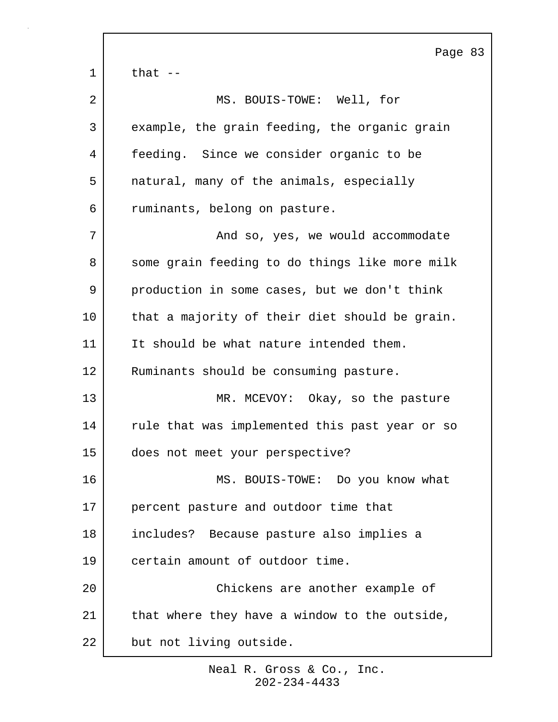Page 83  $1 \mid$  that  $-$ 2 MS. BOUIS-TOWE: Well, for 3 example, the grain feeding, the organic grain 4 feeding. Since we consider organic to be 5 | natural, many of the animals, especially 6 ruminants, belong on pasture. 7 | The Solem Mand so, yes, we would accommodate 8 some grain feeding to do things like more milk 9 production in some cases, but we don't think 10 | that a majority of their diet should be grain. 11 It should be what nature intended them. 12 Ruminants should be consuming pasture. 13 MR. MCEVOY: Okay, so the pasture 14 rule that was implemented this past year or so 15 does not meet your perspective? 16 MS. BOUIS-TOWE: Do you know what 17 percent pasture and outdoor time that 18 includes? Because pasture also implies a 19 certain amount of outdoor time. 20 Chickens are another example of 21 | that where they have a window to the outside, 22 but not living outside.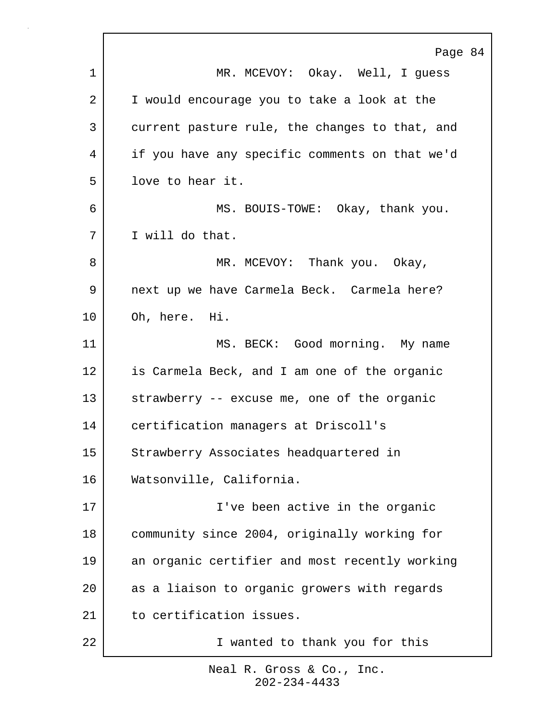|    | Page 84                                        |
|----|------------------------------------------------|
| 1  | MR. MCEVOY: Okay. Well, I guess                |
| 2  | I would encourage you to take a look at the    |
| 3  | current pasture rule, the changes to that, and |
| 4  | if you have any specific comments on that we'd |
| 5  | love to hear it.                               |
| 6  | MS. BOUIS-TOWE: Okay, thank you.               |
| 7  | I will do that.                                |
| 8  | MR. MCEVOY: Thank you. Okay,                   |
| 9  | next up we have Carmela Beck. Carmela here?    |
| 10 | Oh, here. Hi.                                  |
| 11 | MS. BECK: Good morning. My name                |
| 12 | is Carmela Beck, and I am one of the organic   |
| 13 | strawberry -- excuse me, one of the organic    |
| 14 | certification managers at Driscoll's           |
| 15 | Strawberry Associates headquartered in         |
| 16 | Watsonville, California.                       |
| 17 | I've been active in the organic                |
| 18 | community since 2004, originally working for   |
| 19 | an organic certifier and most recently working |
| 20 | as a liaison to organic growers with regards   |
| 21 | to certification issues.                       |
| 22 | I wanted to thank you for this                 |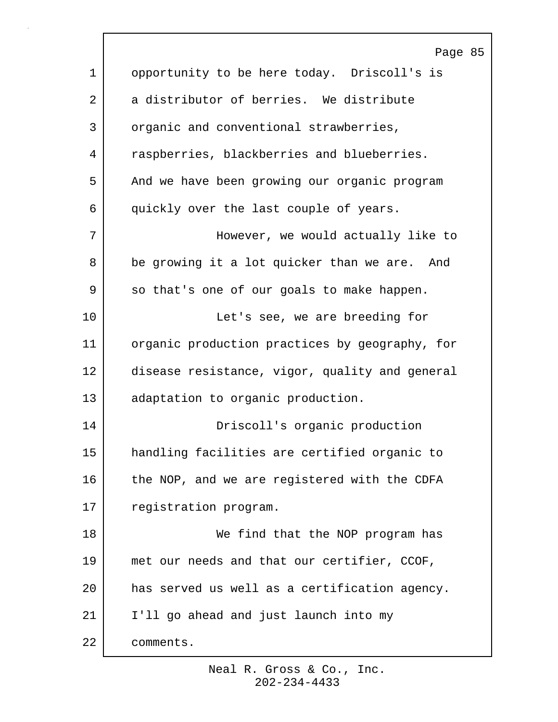|             | Page 85                                        |
|-------------|------------------------------------------------|
| $\mathbf 1$ | opportunity to be here today. Driscoll's is    |
| 2           | a distributor of berries. We distribute        |
| 3           | organic and conventional strawberries,         |
| 4           | raspberries, blackberries and blueberries.     |
| 5           | And we have been growing our organic program   |
| 6           | quickly over the last couple of years.         |
| 7           | However, we would actually like to             |
| 8           | be growing it a lot quicker than we are. And   |
| 9           | so that's one of our goals to make happen.     |
| 10          | Let's see, we are breeding for                 |
| 11          | organic production practices by geography, for |
| 12          | disease resistance, vigor, quality and general |
| 13          | adaptation to organic production.              |
| 14          | Driscoll's organic production                  |
| 15          | handling facilities are certified organic to   |
| 16          | the NOP, and we are registered with the CDFA   |
| 17          | registration program.                          |
| 18          | We find that the NOP program has               |
| 19          | met our needs and that our certifier, CCOF,    |
| 20          | has served us well as a certification agency.  |
| 21          | I'll go ahead and just launch into my          |
| 22          | comments.                                      |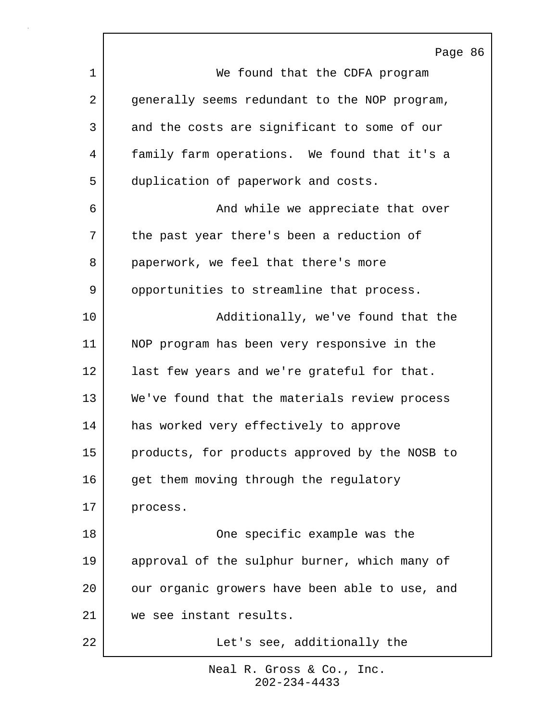|    | Page 86                                        |
|----|------------------------------------------------|
| 1  | We found that the CDFA program                 |
| 2  | generally seems redundant to the NOP program,  |
| 3  | and the costs are significant to some of our   |
| 4  | family farm operations. We found that it's a   |
| 5  | duplication of paperwork and costs.            |
| 6  | And while we appreciate that over              |
| 7  | the past year there's been a reduction of      |
| 8  | paperwork, we feel that there's more           |
| 9  | opportunities to streamline that process.      |
| 10 | Additionally, we've found that the             |
| 11 | NOP program has been very responsive in the    |
| 12 | last few years and we're grateful for that.    |
| 13 | We've found that the materials review process  |
| 14 | has worked very effectively to approve         |
| 15 | products, for products approved by the NOSB to |
| 16 | get them moving through the regulatory         |
| 17 | process.                                       |
| 18 | One specific example was the                   |
| 19 | approval of the sulphur burner, which many of  |
| 20 | our organic growers have been able to use, and |
| 21 | we see instant results.                        |
| 22 | Let's see, additionally the                    |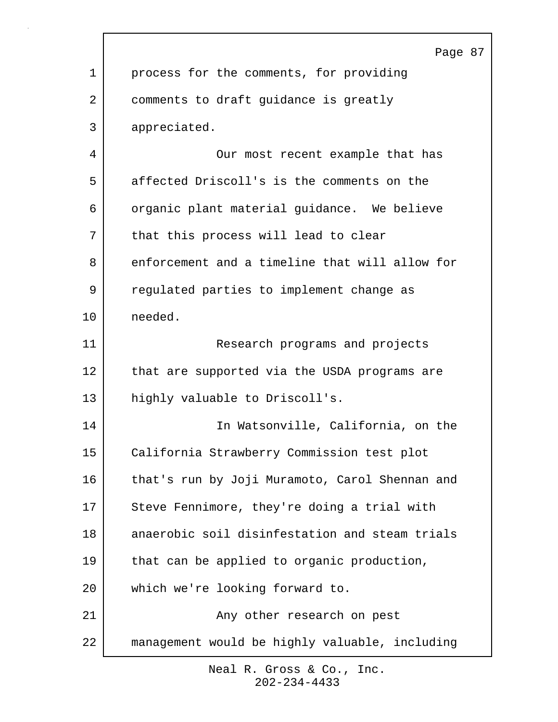| Page 87<br>$\mathbf 1$<br>process for the comments, for providing<br>2<br>comments to draft guidance is greatly<br>3<br>appreciated.<br>4<br>Our most recent example that has<br>affected Driscoll's is the comments on the<br>5<br>6<br>organic plant material guidance. We believe<br>7<br>that this process will lead to clear<br>enforcement and a timeline that will allow for<br>8<br>9<br>regulated parties to implement change as<br>10<br>needed.<br>11<br>Research programs and projects<br>12<br>that are supported via the USDA programs are<br>13<br>highly valuable to Driscoll's.<br>In Watsonville, California, on the<br>14<br>15<br>California Strawberry Commission test plot<br>16<br>that's run by Joji Muramoto, Carol Shennan and<br>Steve Fennimore, they're doing a trial with<br>17<br>18<br>anaerobic soil disinfestation and steam trials<br>19<br>that can be applied to organic production,<br>20<br>which we're looking forward to.<br>21<br>Any other research on pest<br>22<br>management would be highly valuable, including |  |
|----------------------------------------------------------------------------------------------------------------------------------------------------------------------------------------------------------------------------------------------------------------------------------------------------------------------------------------------------------------------------------------------------------------------------------------------------------------------------------------------------------------------------------------------------------------------------------------------------------------------------------------------------------------------------------------------------------------------------------------------------------------------------------------------------------------------------------------------------------------------------------------------------------------------------------------------------------------------------------------------------------------------------------------------------------------|--|
|                                                                                                                                                                                                                                                                                                                                                                                                                                                                                                                                                                                                                                                                                                                                                                                                                                                                                                                                                                                                                                                                |  |
|                                                                                                                                                                                                                                                                                                                                                                                                                                                                                                                                                                                                                                                                                                                                                                                                                                                                                                                                                                                                                                                                |  |
|                                                                                                                                                                                                                                                                                                                                                                                                                                                                                                                                                                                                                                                                                                                                                                                                                                                                                                                                                                                                                                                                |  |
|                                                                                                                                                                                                                                                                                                                                                                                                                                                                                                                                                                                                                                                                                                                                                                                                                                                                                                                                                                                                                                                                |  |
|                                                                                                                                                                                                                                                                                                                                                                                                                                                                                                                                                                                                                                                                                                                                                                                                                                                                                                                                                                                                                                                                |  |
|                                                                                                                                                                                                                                                                                                                                                                                                                                                                                                                                                                                                                                                                                                                                                                                                                                                                                                                                                                                                                                                                |  |
|                                                                                                                                                                                                                                                                                                                                                                                                                                                                                                                                                                                                                                                                                                                                                                                                                                                                                                                                                                                                                                                                |  |
|                                                                                                                                                                                                                                                                                                                                                                                                                                                                                                                                                                                                                                                                                                                                                                                                                                                                                                                                                                                                                                                                |  |
|                                                                                                                                                                                                                                                                                                                                                                                                                                                                                                                                                                                                                                                                                                                                                                                                                                                                                                                                                                                                                                                                |  |
|                                                                                                                                                                                                                                                                                                                                                                                                                                                                                                                                                                                                                                                                                                                                                                                                                                                                                                                                                                                                                                                                |  |
|                                                                                                                                                                                                                                                                                                                                                                                                                                                                                                                                                                                                                                                                                                                                                                                                                                                                                                                                                                                                                                                                |  |
|                                                                                                                                                                                                                                                                                                                                                                                                                                                                                                                                                                                                                                                                                                                                                                                                                                                                                                                                                                                                                                                                |  |
|                                                                                                                                                                                                                                                                                                                                                                                                                                                                                                                                                                                                                                                                                                                                                                                                                                                                                                                                                                                                                                                                |  |
|                                                                                                                                                                                                                                                                                                                                                                                                                                                                                                                                                                                                                                                                                                                                                                                                                                                                                                                                                                                                                                                                |  |
|                                                                                                                                                                                                                                                                                                                                                                                                                                                                                                                                                                                                                                                                                                                                                                                                                                                                                                                                                                                                                                                                |  |
|                                                                                                                                                                                                                                                                                                                                                                                                                                                                                                                                                                                                                                                                                                                                                                                                                                                                                                                                                                                                                                                                |  |
|                                                                                                                                                                                                                                                                                                                                                                                                                                                                                                                                                                                                                                                                                                                                                                                                                                                                                                                                                                                                                                                                |  |
|                                                                                                                                                                                                                                                                                                                                                                                                                                                                                                                                                                                                                                                                                                                                                                                                                                                                                                                                                                                                                                                                |  |
|                                                                                                                                                                                                                                                                                                                                                                                                                                                                                                                                                                                                                                                                                                                                                                                                                                                                                                                                                                                                                                                                |  |
|                                                                                                                                                                                                                                                                                                                                                                                                                                                                                                                                                                                                                                                                                                                                                                                                                                                                                                                                                                                                                                                                |  |
|                                                                                                                                                                                                                                                                                                                                                                                                                                                                                                                                                                                                                                                                                                                                                                                                                                                                                                                                                                                                                                                                |  |
|                                                                                                                                                                                                                                                                                                                                                                                                                                                                                                                                                                                                                                                                                                                                                                                                                                                                                                                                                                                                                                                                |  |
|                                                                                                                                                                                                                                                                                                                                                                                                                                                                                                                                                                                                                                                                                                                                                                                                                                                                                                                                                                                                                                                                |  |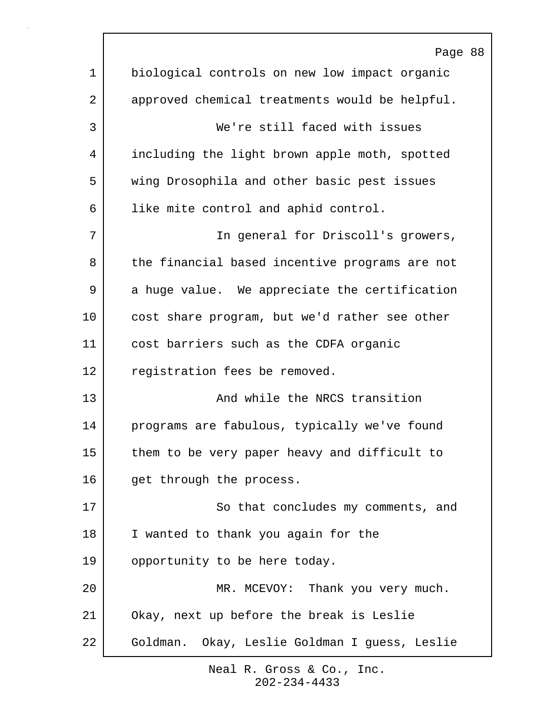|    | Page 88                                        |
|----|------------------------------------------------|
| 1  | biological controls on new low impact organic  |
| 2  | approved chemical treatments would be helpful. |
| 3  | We're still faced with issues                  |
| 4  | including the light brown apple moth, spotted  |
| 5  | wing Drosophila and other basic pest issues    |
| 6  | like mite control and aphid control.           |
| 7  | In general for Driscoll's growers,             |
| 8  | the financial based incentive programs are not |
| 9  | a huge value. We appreciate the certification  |
| 10 | cost share program, but we'd rather see other  |
| 11 | cost barriers such as the CDFA organic         |
| 12 | registration fees be removed.                  |
| 13 | And while the NRCS transition                  |
| 14 | programs are fabulous, typically we've found   |
| 15 | them to be very paper heavy and difficult to   |
| 16 | get through the process.                       |
| 17 | So that concludes my comments, and             |
| 18 | I wanted to thank you again for the            |
| 19 | opportunity to be here today.                  |
| 20 | MR. MCEVOY: Thank you very much.               |
| 21 | Okay, next up before the break is Leslie       |
| 22 | Goldman. Okay, Leslie Goldman I guess, Leslie  |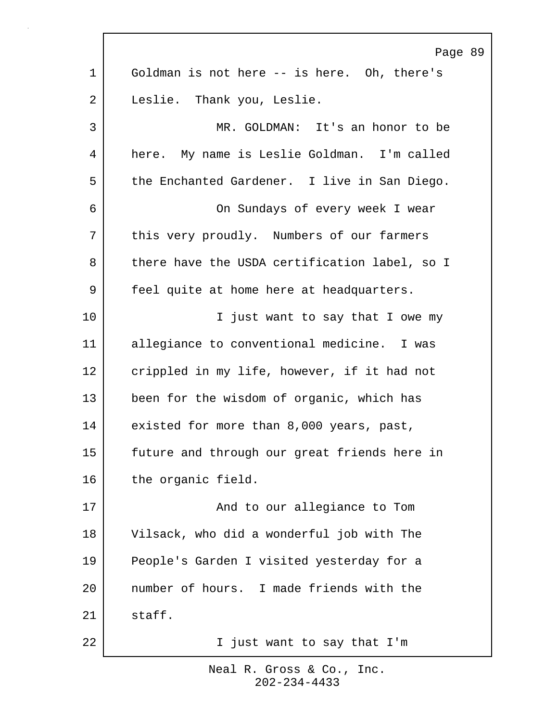|             | Page 89                                       |
|-------------|-----------------------------------------------|
| $\mathbf 1$ | Goldman is not here -- is here. Oh, there's   |
| 2           | Leslie. Thank you, Leslie.                    |
| 3           | MR. GOLDMAN: It's an honor to be              |
| 4           | here. My name is Leslie Goldman. I'm called   |
| 5           | the Enchanted Gardener. I live in San Diego.  |
| 6           | On Sundays of every week I wear               |
| 7           | this very proudly. Numbers of our farmers     |
| 8           | there have the USDA certification label, so I |
| 9           | feel quite at home here at headquarters.      |
| 10          | I just want to say that I owe my              |
| 11          | allegiance to conventional medicine. I was    |
| 12          | crippled in my life, however, if it had not   |
| 13          | been for the wisdom of organic, which has     |
| 14          | existed for more than 8,000 years, past,      |
| 15          | future and through our great friends here in  |
| 16          | the organic field.                            |
| 17          | And to our allegiance to Tom                  |
| 18          | Vilsack, who did a wonderful job with The     |
| 19          | People's Garden I visited yesterday for a     |
| 20          | number of hours. I made friends with the      |
| 21          | staff.                                        |
| 22          | I just want to say that I'm                   |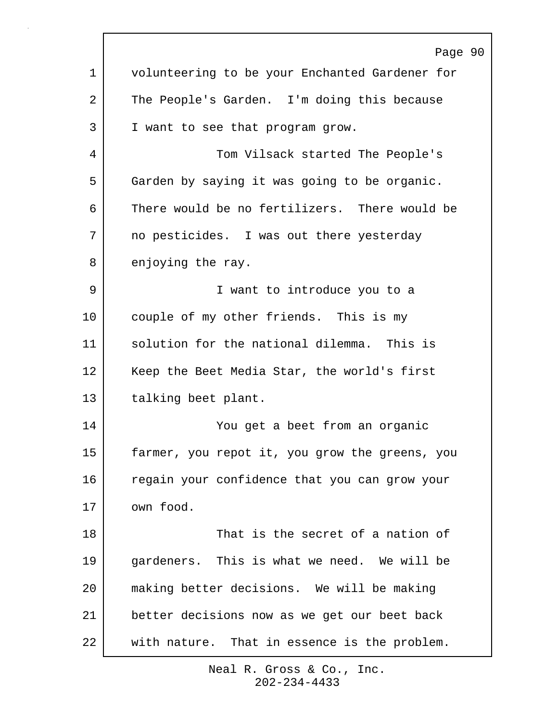|             | Page 90                                        |
|-------------|------------------------------------------------|
| $\mathbf 1$ | volunteering to be your Enchanted Gardener for |
| 2           | The People's Garden. I'm doing this because    |
| 3           | I want to see that program grow.               |
| 4           | Tom Vilsack started The People's               |
| 5           | Garden by saying it was going to be organic.   |
| 6           | There would be no fertilizers. There would be  |
| 7           | no pesticides. I was out there yesterday       |
| 8           | enjoying the ray.                              |
| 9           | I want to introduce you to a                   |
| 10          | couple of my other friends. This is my         |
| 11          | solution for the national dilemma. This is     |
| 12          | Keep the Beet Media Star, the world's first    |
| 13          | talking beet plant.                            |
| 14          | You get a beet from an organic                 |
| 15          | farmer, you repot it, you grow the greens, you |
| 16          | regain your confidence that you can grow your  |
| 17          | own food.                                      |
| 18          | That is the secret of a nation of              |
| 19          | gardeners. This is what we need. We will be    |
| 20          | making better decisions. We will be making     |
| 21          | better decisions now as we get our beet back   |
| 22          | with nature. That in essence is the problem.   |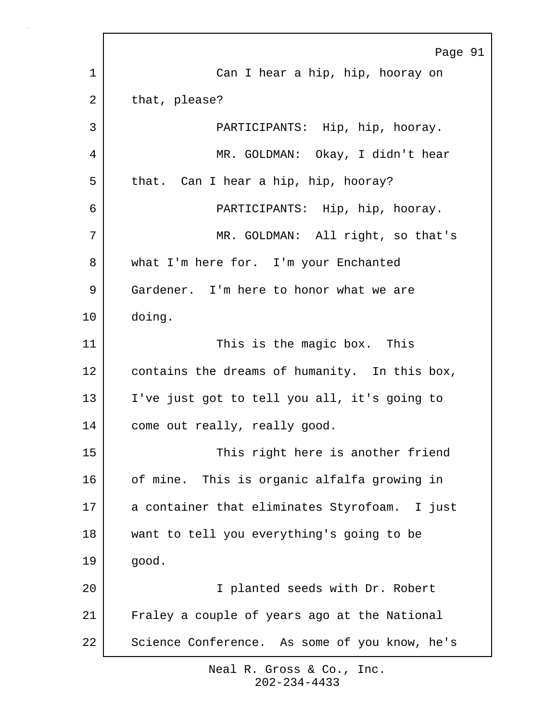|    | Page 91                                       |
|----|-----------------------------------------------|
| 1  | Can I hear a hip, hip, hooray on              |
| 2  | that, please?                                 |
| 3  | PARTICIPANTS: Hip, hip, hooray.               |
| 4  | MR. GOLDMAN: Okay, I didn't hear              |
| 5  | that. Can I hear a hip, hip, hooray?          |
| 6  | PARTICIPANTS: Hip, hip, hooray.               |
| 7  | MR. GOLDMAN: All right, so that's             |
| 8  | what I'm here for. I'm your Enchanted         |
| 9  | Gardener. I'm here to honor what we are       |
| 10 | doing.                                        |
| 11 | This is the magic box. This                   |
| 12 | contains the dreams of humanity. In this box, |
| 13 | I've just got to tell you all, it's going to  |
| 14 | come out really, really good.                 |
| 15 | This right here is another friend             |
| 16 | of mine. This is organic alfalfa growing in   |
| 17 | a container that eliminates Styrofoam. I just |
| 18 | want to tell you everything's going to be     |
| 19 | good.                                         |
| 20 | I planted seeds with Dr. Robert               |
| 21 | Fraley a couple of years ago at the National  |
| 22 | Science Conference. As some of you know, he's |

 $\Gamma$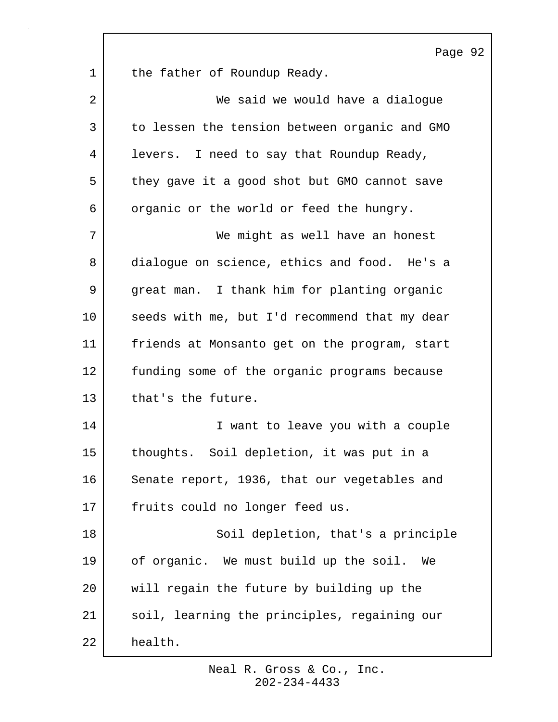Page 92 1 | the father of Roundup Ready. 2 We said we would have a dialoque 3 to lessen the tension between organic and GMO 4 | levers. I need to say that Roundup Ready, 5 they gave it a good shot but GMO cannot save 6 | organic or the world or feed the hungry. 7 We might as well have an honest 8 dialogue on science, ethics and food. He's a 9 great man. I thank him for planting organic 10 seeds with me, but I'd recommend that my dear 11 friends at Monsanto get on the program, start 12 funding some of the organic programs because 13 that's the future. 14 I want to leave you with a couple 15 thoughts. Soil depletion, it was put in a 16 Senate report, 1936, that our vegetables and 17 fruits could no longer feed us. 18 | Soil depletion, that's a principle 19 of organic. We must build up the soil. We 20 will regain the future by building up the 21 soil, learning the principles, regaining our 22 health.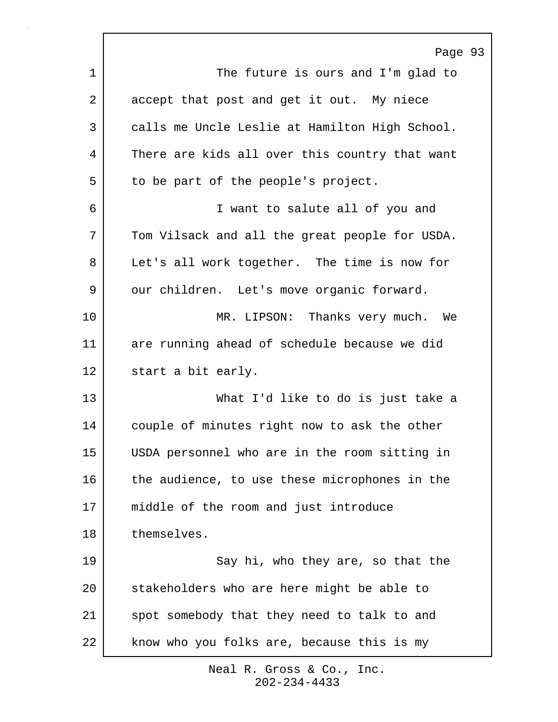|    | Page 93                                        |
|----|------------------------------------------------|
| 1  | The future is ours and I'm glad to             |
| 2  | accept that post and get it out. My niece      |
| 3  | calls me Uncle Leslie at Hamilton High School. |
| 4  | There are kids all over this country that want |
| 5  | to be part of the people's project.            |
| 6  | I want to salute all of you and                |
| 7  | Tom Vilsack and all the great people for USDA. |
| 8  | Let's all work together. The time is now for   |
| 9  | our children. Let's move organic forward.      |
| 10 | MR. LIPSON: Thanks very much. We               |
| 11 | are running ahead of schedule because we did   |
| 12 | start a bit early.                             |
| 13 | What I'd like to do is just take a             |
| 14 | couple of minutes right now to ask the other   |
| 15 | USDA personnel who are in the room sitting in  |
| 16 | the audience, to use these microphones in the  |
| 17 | middle of the room and just introduce          |
| 18 | themselves.                                    |
| 19 | Say hi, who they are, so that the              |
| 20 | stakeholders who are here might be able to     |
| 21 | spot somebody that they need to talk to and    |
| 22 | know who you folks are, because this is my     |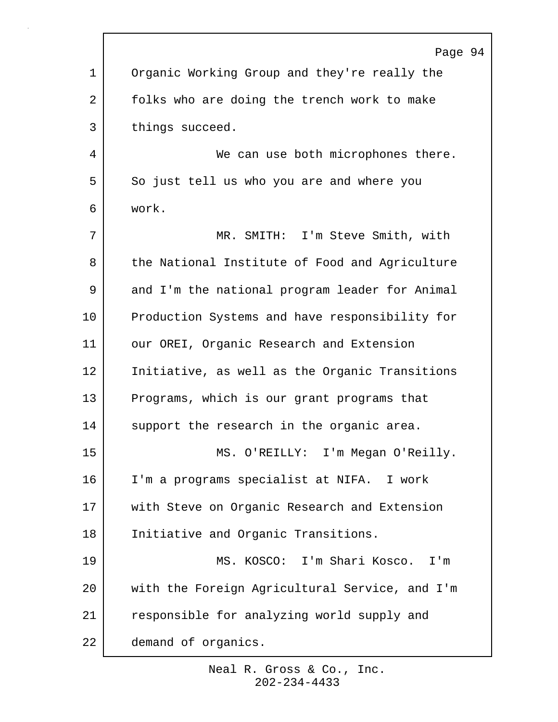|              | Page 94                                        |
|--------------|------------------------------------------------|
| $\mathbf{1}$ | Organic Working Group and they're really the   |
| 2            | folks who are doing the trench work to make    |
| 3            | things succeed.                                |
| 4            | We can use both microphones there.             |
| 5            | So just tell us who you are and where you      |
| 6            | work.                                          |
| 7            | MR. SMITH: I'm Steve Smith, with               |
| 8            | the National Institute of Food and Agriculture |
| 9            | and I'm the national program leader for Animal |
| 10           | Production Systems and have responsibility for |
| 11           | our OREI, Organic Research and Extension       |
| 12           | Initiative, as well as the Organic Transitions |
| 13           | Programs, which is our grant programs that     |
| 14           | support the research in the organic area.      |
| 15           | MS. O'REILLY: I'm Megan O'Reilly.              |
| 16           | I'm a programs specialist at NIFA. I work      |
| 17           | with Steve on Organic Research and Extension   |
| 18           | Initiative and Organic Transitions.            |
| 19           | MS. KOSCO: I'm Shari Kosco. I'm                |
| 20           | with the Foreign Agricultural Service, and I'm |
| 21           | responsible for analyzing world supply and     |
| 22           | demand of organics.                            |

r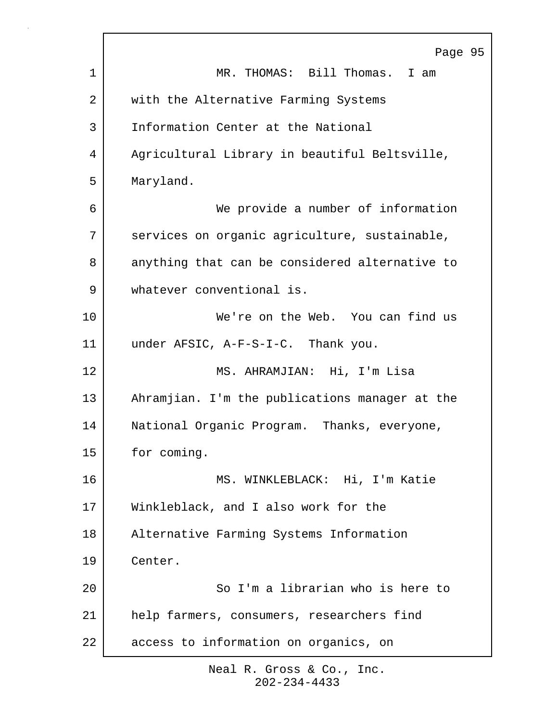|             | Page 95                                        |
|-------------|------------------------------------------------|
| $\mathbf 1$ | MR. THOMAS: Bill Thomas. I am                  |
| 2           | with the Alternative Farming Systems           |
| 3           | Information Center at the National             |
| 4           | Agricultural Library in beautiful Beltsville,  |
| 5           | Maryland.                                      |
| 6           | We provide a number of information             |
| 7           | services on organic agriculture, sustainable,  |
| 8           | anything that can be considered alternative to |
| 9           | whatever conventional is.                      |
| 10          | We're on the Web. You can find us              |
| 11          | under AFSIC, A-F-S-I-C. Thank you.             |
| 12          | MS. AHRAMJIAN: Hi, I'm Lisa                    |
| 13          | Ahramjian. I'm the publications manager at the |
| 14          | National Organic Program. Thanks, everyone,    |
| 15          | for coming.                                    |
| 16          | MS. WINKLEBLACK: Hi, I'm Katie                 |
| 17          | Winkleblack, and I also work for the           |
| 18          | Alternative Farming Systems Information        |
| 19          | Center.                                        |
| 20          | So I'm a librarian who is here to              |
| 21          | help farmers, consumers, researchers find      |
| 22          | access to information on organics, on          |
|             |                                                |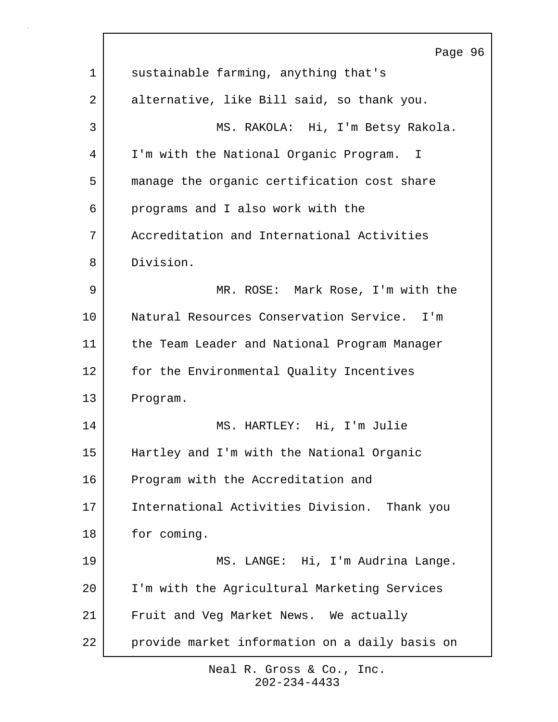| Page 96                                        |
|------------------------------------------------|
| sustainable farming, anything that's           |
| alternative, like Bill said, so thank you.     |
| MS. RAKOLA: Hi, I'm Betsy Rakola.              |
| I'm with the National Organic Program. I       |
| manage the organic certification cost share    |
| programs and I also work with the              |
| Accreditation and International Activities     |
| Division.                                      |
| MR. ROSE: Mark Rose, I'm with the              |
| Natural Resources Conservation Service. I'm    |
| the Team Leader and National Program Manager   |
| for the Environmental Quality Incentives       |
| Program.                                       |
| MS. HARTLEY: Hi, I'm Julie                     |
| Hartley and I'm with the National Organic      |
| Program with the Accreditation and             |
| International Activities Division. Thank you   |
| for coming.                                    |
| MS. LANGE: Hi, I'm Audrina Lange.              |
| I'm with the Agricultural Marketing Services   |
| Fruit and Veg Market News. We actually         |
| provide market information on a daily basis on |
|                                                |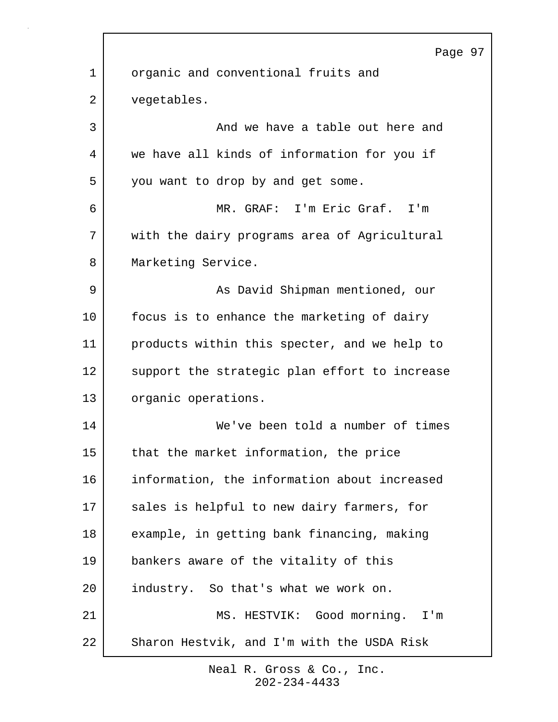|    | Page 97                                       |
|----|-----------------------------------------------|
| 1  | organic and conventional fruits and           |
| 2  | vegetables.                                   |
| 3  | And we have a table out here and              |
| 4  | we have all kinds of information for you if   |
| 5  | you want to drop by and get some.             |
| 6  | MR. GRAF: I'm Eric Graf. I'm                  |
| 7  | with the dairy programs area of Agricultural  |
| 8  | Marketing Service.                            |
| 9  | As David Shipman mentioned, our               |
| 10 | focus is to enhance the marketing of dairy    |
| 11 | products within this specter, and we help to  |
| 12 | support the strategic plan effort to increase |
| 13 | organic operations.                           |
| 14 | We've been told a number of times             |
| 15 | that the market information, the price        |
| 16 | information, the information about increased  |
| 17 | sales is helpful to new dairy farmers, for    |
| 18 | example, in getting bank financing, making    |
| 19 | bankers aware of the vitality of this         |
| 20 | industry. So that's what we work on.          |
| 21 | MS. HESTVIK: Good morning. I'm                |
| 22 | Sharon Hestvik, and I'm with the USDA Risk    |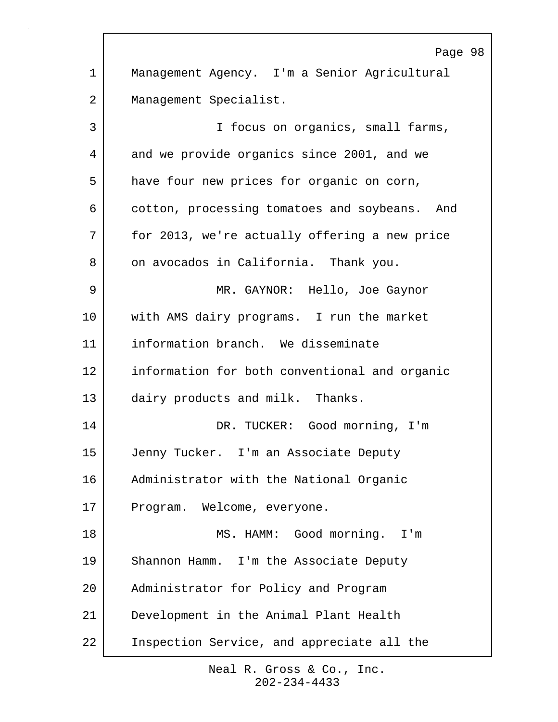Page 98 1 Management Agency. I'm a Senior Agricultural 2 | Management Specialist. 3 I focus on organics, small farms, 4 and we provide organics since 2001, and we 5 have four new prices for organic on corn, 6 cotton, processing tomatoes and soybeans. And 7 for 2013, we're actually offering a new price 8 on avocados in California. Thank you. 9 MR. GAYNOR: Hello, Joe Gaynor 10 with AMS dairy programs. I run the market 11 information branch. We disseminate 12 information for both conventional and organic 13 dairy products and milk. Thanks. 14 DR. TUCKER: Good morning, I'm 15 Jenny Tucker. I'm an Associate Deputy 16 Administrator with the National Organic 17 Program. Welcome, everyone. 18 MS. HAMM: Good morning. I'm 19 Shannon Hamm. I'm the Associate Deputy 20 Administrator for Policy and Program 21 Development in the Animal Plant Health 22 Inspection Service, and appreciate all the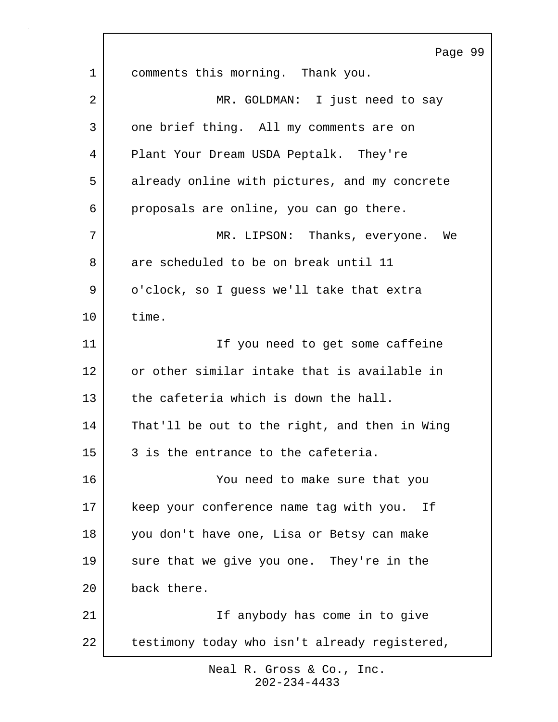Page 99 1 comments this morning. Thank you. 2 MR. GOLDMAN: I just need to say 3 one brief thing. All my comments are on 4 Plant Your Dream USDA Peptalk. They're 5 already online with pictures, and my concrete 6 proposals are online, you can go there. 7 MR. LIPSON: Thanks, everyone. We 8 are scheduled to be on break until 11 9 | o'clock, so I guess we'll take that extra 10 time. 11 | Tf you need to get some caffeine 12 or other similar intake that is available in 13 the cafeteria which is down the hall. 14 That'll be out to the right, and then in Wing 15 3 is the entrance to the cafeteria. 16 You need to make sure that you 17 | keep your conference name tag with you. If 18 you don't have one, Lisa or Betsy can make 19 sure that we give you one. They're in the 20 back there. 21 | Tf anybody has come in to give 22 testimony today who isn't already registered,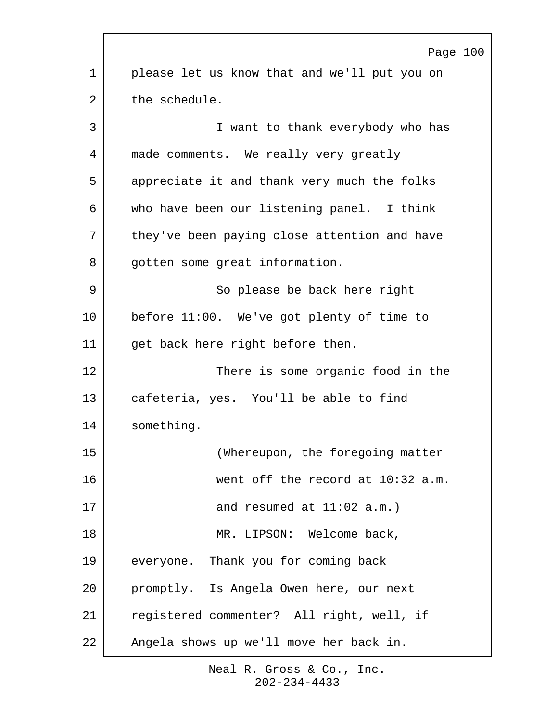|             | Page 100                                     |
|-------------|----------------------------------------------|
| $\mathbf 1$ | please let us know that and we'll put you on |
| 2           | the schedule.                                |
| 3           | I want to thank everybody who has            |
| 4           | made comments. We really very greatly        |
| 5           | appreciate it and thank very much the folks  |
| 6           | who have been our listening panel. I think   |
| 7           | they've been paying close attention and have |
| 8           | gotten some great information.               |
| 9           | So please be back here right                 |
| 10          | before 11:00. We've got plenty of time to    |
| 11          | get back here right before then.             |
| 12          | There is some organic food in the            |
| 13          | cafeteria, yes. You'll be able to find       |
| 14          | something.                                   |
| 15          | (Whereupon, the foregoing matter             |
| 16          | went off the record at 10:32 a.m.            |
| 17          | and resumed at $11:02$ a.m.)                 |
| 18          | MR. LIPSON: Welcome back,                    |
| 19          | everyone. Thank you for coming back          |
| 20          | promptly. Is Angela Owen here, our next      |
| 21          | registered commenter? All right, well, if    |
| 22          | Angela shows up we'll move her back in.      |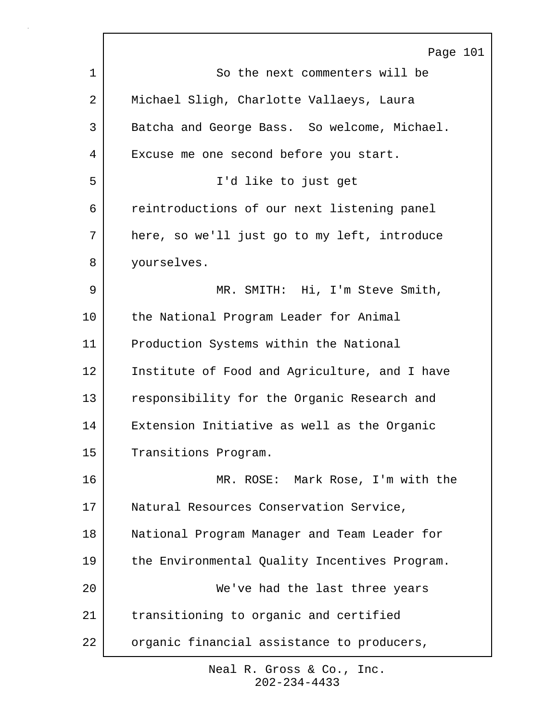|         | Page 101                                      |
|---------|-----------------------------------------------|
| 1       | So the next commenters will be                |
| 2       | Michael Sligh, Charlotte Vallaeys, Laura      |
| 3       | Batcha and George Bass. So welcome, Michael.  |
| 4       | Excuse me one second before you start.        |
| 5       | I'd like to just get                          |
| 6       | reintroductions of our next listening panel   |
| 7       | here, so we'll just go to my left, introduce  |
| 8       | yourselves.                                   |
| 9       | MR. SMITH: Hi, I'm Steve Smith,               |
| $10 \,$ | the National Program Leader for Animal        |
| 11      | Production Systems within the National        |
| 12      | Institute of Food and Agriculture, and I have |
| 13      | responsibility for the Organic Research and   |
| 14      | Extension Initiative as well as the Organic   |
| 15      | Transitions Program.                          |
| 16      | MR. ROSE: Mark Rose, I'm with the             |
| 17      | Natural Resources Conservation Service,       |
| 18      | National Program Manager and Team Leader for  |
| 19      | the Environmental Quality Incentives Program. |
| 20      | We've had the last three years                |
| 21      | transitioning to organic and certified        |
| 22      | organic financial assistance to producers,    |
|         |                                               |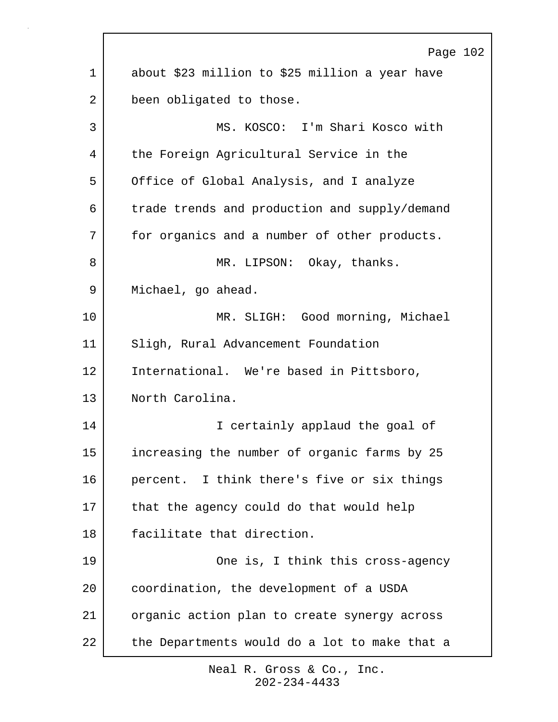|             | Page 102                                       |
|-------------|------------------------------------------------|
| $\mathbf 1$ | about \$23 million to \$25 million a year have |
| 2           | been obligated to those.                       |
| 3           | MS. KOSCO: I'm Shari Kosco with                |
| 4           | the Foreign Agricultural Service in the        |
| 5           | Office of Global Analysis, and I analyze       |
| 6           | trade trends and production and supply/demand  |
| 7           | for organics and a number of other products.   |
| 8           | MR. LIPSON: Okay, thanks.                      |
| 9           | Michael, go ahead.                             |
| 10          | MR. SLIGH: Good morning, Michael               |
| 11          | Sligh, Rural Advancement Foundation            |
| 12          | International. We're based in Pittsboro,       |
| 13          | North Carolina.                                |
| 14          | I certainly applaud the goal of                |
| 15          | increasing the number of organic farms by 25   |
| 16          | percent. I think there's five or six things    |
| 17          | that the agency could do that would help       |
| 18          | facilitate that direction.                     |
| 19          | One is, I think this cross-agency              |
| 20          | coordination, the development of a USDA        |
| 21          | organic action plan to create synergy across   |
| 22          | the Departments would do a lot to make that a  |
|             |                                                |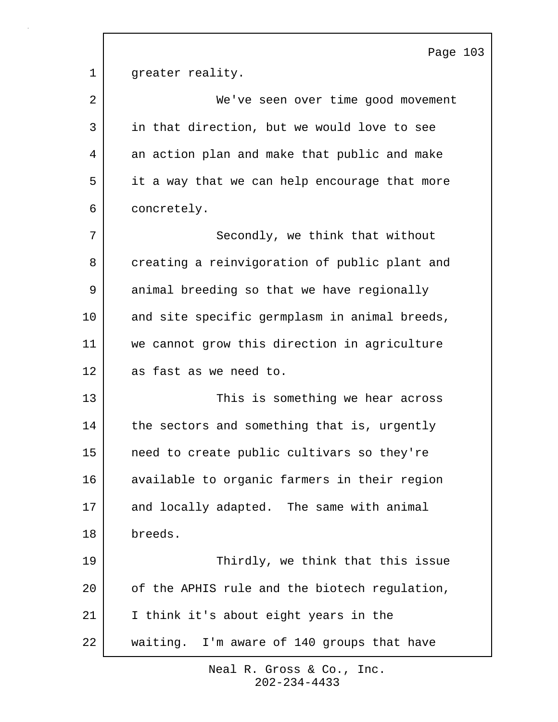|    | Page 103                                      |
|----|-----------------------------------------------|
| 1  | greater reality.                              |
| 2  | We've seen over time good movement            |
| 3  | in that direction, but we would love to see   |
| 4  | an action plan and make that public and make  |
| 5  | it a way that we can help encourage that more |
| 6  | concretely.                                   |
| 7  | Secondly, we think that without               |
| 8  | creating a reinvigoration of public plant and |
| 9  | animal breeding so that we have regionally    |
| 10 | and site specific germplasm in animal breeds, |
| 11 | we cannot grow this direction in agriculture  |
| 12 | as fast as we need to.                        |
| 13 | This is something we hear across              |
| 14 | the sectors and something that is, urgently   |
| 15 | need to create public cultivars so they're    |
| 16 | available to organic farmers in their region  |
| 17 | and locally adapted. The same with animal     |
| 18 | breeds.                                       |
| 19 | Thirdly, we think that this issue             |
| 20 | of the APHIS rule and the biotech regulation, |
| 21 | I think it's about eight years in the         |
| 22 | waiting. I'm aware of 140 groups that have    |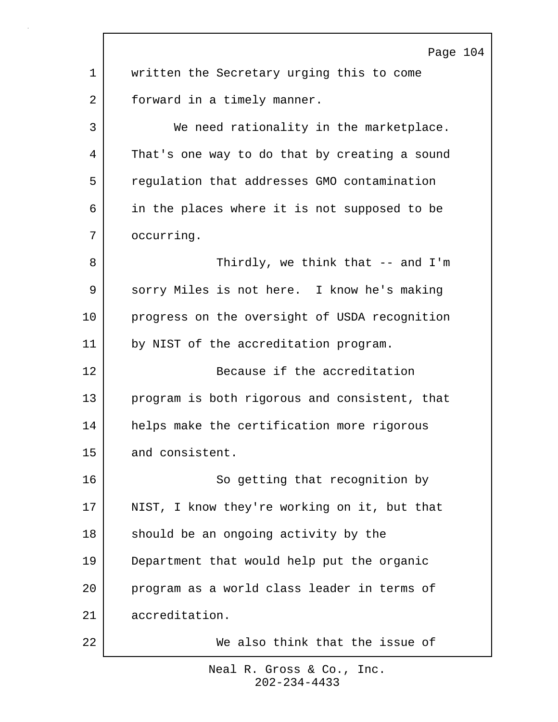Page 104 1 | written the Secretary urging this to come 2 forward in a timely manner. 3 We need rationality in the marketplace. 4 That's one way to do that by creating a sound 5 regulation that addresses GMO contamination 6 in the places where it is not supposed to be 7 occurring. 8 Subset of the Thirdly, we think that -- and I'm 9 sorry Miles is not here. I know he's making 10 progress on the oversight of USDA recognition 11 by NIST of the accreditation program. 12 Because if the accreditation 13 program is both rigorous and consistent, that 14 helps make the certification more rigorous 15 and consistent. 16 So getting that recognition by 17 NIST, I know they're working on it, but that 18 should be an ongoing activity by the 19 Department that would help put the organic 20 program as a world class leader in terms of 21 accreditation. 22 We also think that the issue of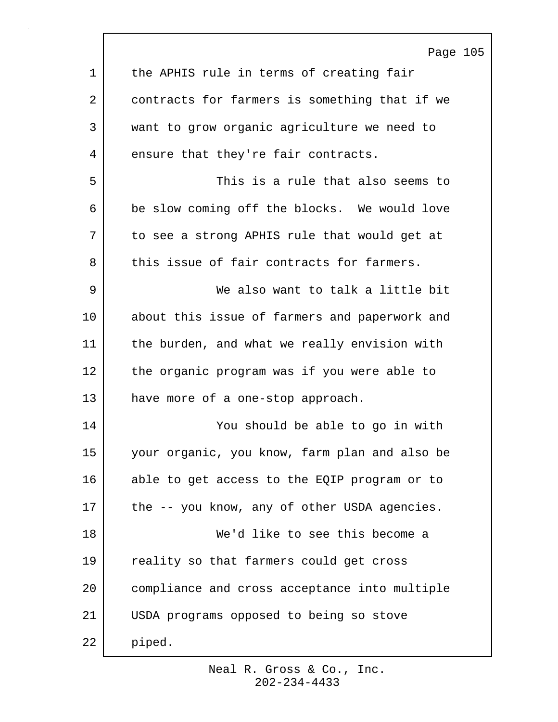|             | Page 105                                      |
|-------------|-----------------------------------------------|
| $\mathbf 1$ | the APHIS rule in terms of creating fair      |
| 2           | contracts for farmers is something that if we |
| 3           | want to grow organic agriculture we need to   |
| 4           | ensure that they're fair contracts.           |
| 5           | This is a rule that also seems to             |
| 6           | be slow coming off the blocks. We would love  |
| 7           | to see a strong APHIS rule that would get at  |
| 8           | this issue of fair contracts for farmers.     |
| 9           | We also want to talk a little bit             |
| 10          | about this issue of farmers and paperwork and |
| 11          | the burden, and what we really envision with  |
| 12          | the organic program was if you were able to   |
| 13          | have more of a one-stop approach.             |
| 14          | You should be able to go in with              |
| 15          | your organic, you know, farm plan and also be |
| 16          | able to get access to the EQIP program or to  |
| 17          | the -- you know, any of other USDA agencies.  |
| 18          | We'd like to see this become a                |
| 19          | reality so that farmers could get cross       |
| 20          | compliance and cross acceptance into multiple |
| 21          | USDA programs opposed to being so stove       |
| 22          | piped.                                        |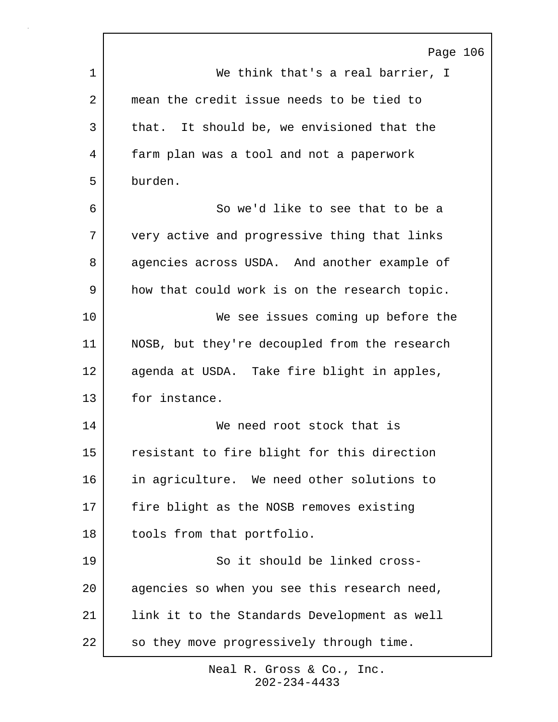|    | Page 106                                      |
|----|-----------------------------------------------|
| 1  | We think that's a real barrier, I             |
| 2  | mean the credit issue needs to be tied to     |
| 3  | that. It should be, we envisioned that the    |
| 4  | farm plan was a tool and not a paperwork      |
| 5  | burden.                                       |
| 6  | So we'd like to see that to be a              |
| 7  | very active and progressive thing that links  |
| 8  | agencies across USDA. And another example of  |
| 9  | how that could work is on the research topic. |
| 10 | We see issues coming up before the            |
| 11 | NOSB, but they're decoupled from the research |
| 12 | agenda at USDA. Take fire blight in apples,   |
| 13 | for instance.                                 |
| 14 | We need root stock that is                    |
| 15 | resistant to fire blight for this direction   |
| 16 | in agriculture. We need other solutions to    |
| 17 | fire blight as the NOSB removes existing      |
| 18 | tools from that portfolio.                    |
| 19 | So it should be linked cross-                 |
| 20 | agencies so when you see this research need,  |
| 21 | link it to the Standards Development as well  |
| 22 | so they move progressively through time.      |

ľ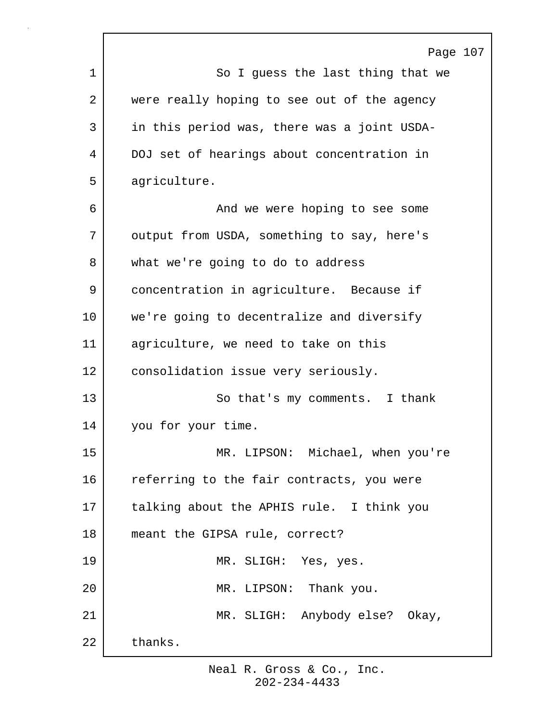|    | Page 107                                    |
|----|---------------------------------------------|
| 1  | So I guess the last thing that we           |
| 2  | were really hoping to see out of the agency |
| 3  | in this period was, there was a joint USDA- |
| 4  | DOJ set of hearings about concentration in  |
| 5  | agriculture.                                |
| 6  | And we were hoping to see some              |
| 7  | output from USDA, something to say, here's  |
| 8  | what we're going to do to address           |
| 9  | concentration in agriculture. Because if    |
| 10 | we're going to decentralize and diversify   |
| 11 | agriculture, we need to take on this        |
| 12 | consolidation issue very seriously.         |
| 13 | So that's my comments. I thank              |
| 14 | you for your time.                          |
| 15 | MR. LIPSON: Michael, when you're            |
| 16 | referring to the fair contracts, you were   |
| 17 | talking about the APHIS rule. I think you   |
| 18 | meant the GIPSA rule, correct?              |
| 19 | MR. SLIGH: Yes, yes.                        |
| 20 | MR. LIPSON: Thank you.                      |
| 21 | MR. SLIGH: Anybody else? Okay,              |
| 22 | thanks.                                     |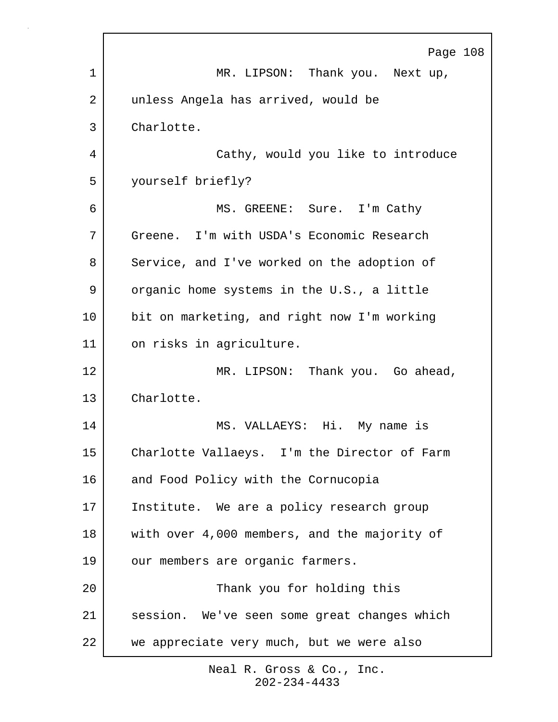|    | Page 108                                     |
|----|----------------------------------------------|
| 1  | MR. LIPSON: Thank you. Next up,              |
| 2  | unless Angela has arrived, would be          |
| 3  | Charlotte.                                   |
| 4  | Cathy, would you like to introduce           |
| 5  | yourself briefly?                            |
| 6  | MS. GREENE: Sure. I'm Cathy                  |
| 7  | Greene. I'm with USDA's Economic Research    |
| 8  | Service, and I've worked on the adoption of  |
| 9  | organic home systems in the U.S., a little   |
| 10 | bit on marketing, and right now I'm working  |
| 11 | on risks in agriculture.                     |
| 12 | MR. LIPSON: Thank you. Go ahead,             |
| 13 | Charlotte.                                   |
| 14 | MS. VALLAEYS: Hi. My name is                 |
| 15 | Charlotte Vallaeys. I'm the Director of Farm |
| 16 | and Food Policy with the Cornucopia          |
| 17 | Institute. We are a policy research group    |
| 18 | with over 4,000 members, and the majority of |
| 19 | our members are organic farmers.             |
| 20 | Thank you for holding this                   |
| 21 | session. We've seen some great changes which |
| 22 | we appreciate very much, but we were also    |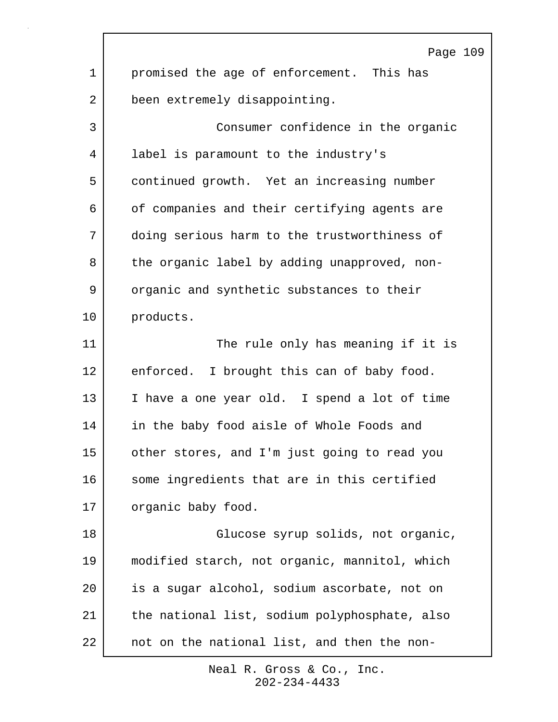Page 109 1 promised the age of enforcement. This has 2 been extremely disappointing. 3 Consumer confidence in the organic 4 label is paramount to the industry's 5 continued growth. Yet an increasing number 6 of companies and their certifying agents are 7 doing serious harm to the trustworthiness of 8 the organic label by adding unapproved, non-9 | organic and synthetic substances to their 10 products. 11 The rule only has meaning if it is 12 enforced. I brought this can of baby food. 13 I have a one year old. I spend a lot of time 14 in the baby food aisle of Whole Foods and 15 other stores, and I'm just going to read you 16 some ingredients that are in this certified 17 organic baby food. 18 Glucose syrup solids, not organic, 19 modified starch, not organic, mannitol, which 20 is a sugar alcohol, sodium ascorbate, not on 21 | the national list, sodium polyphosphate, also 22 not on the national list, and then the non-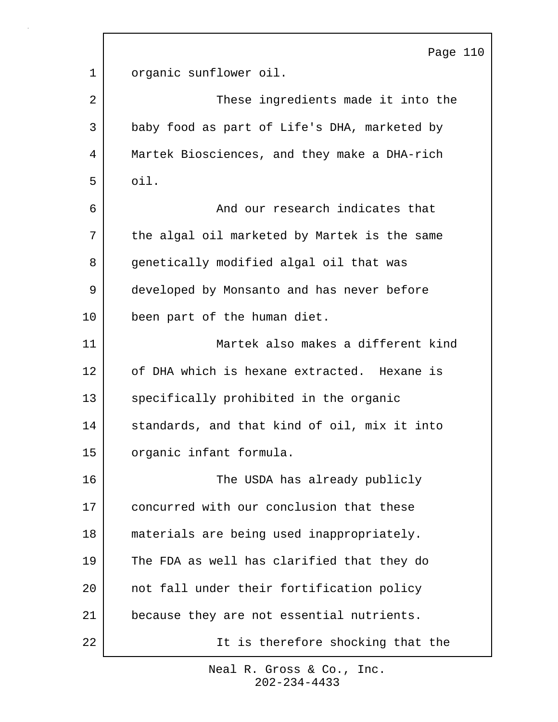|    | Page 110                                     |
|----|----------------------------------------------|
| 1  | organic sunflower oil.                       |
| 2  | These ingredients made it into the           |
| 3  | baby food as part of Life's DHA, marketed by |
| 4  | Martek Biosciences, and they make a DHA-rich |
| 5  | oil.                                         |
| 6  | And our research indicates that              |
| 7  | the algal oil marketed by Martek is the same |
| 8  | genetically modified algal oil that was      |
| 9  | developed by Monsanto and has never before   |
| 10 | been part of the human diet.                 |
| 11 | Martek also makes a different kind           |
| 12 | of DHA which is hexane extracted. Hexane is  |
| 13 | specifically prohibited in the organic       |
| 14 | standards, and that kind of oil, mix it into |
| 15 | organic infant formula.                      |
| 16 | The USDA has already publicly                |
| 17 | concurred with our conclusion that these     |
| 18 | materials are being used inappropriately.    |
| 19 | The FDA as well has clarified that they do   |
| 20 | not fall under their fortification policy    |
| 21 | because they are not essential nutrients.    |
| 22 | It is therefore shocking that the            |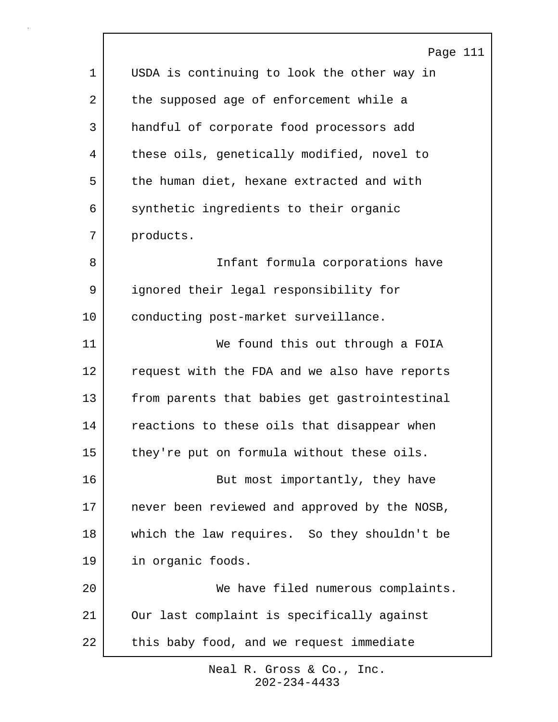|             | Page 111                                      |
|-------------|-----------------------------------------------|
| $\mathbf 1$ | USDA is continuing to look the other way in   |
| 2           | the supposed age of enforcement while a       |
| 3           | handful of corporate food processors add      |
| 4           | these oils, genetically modified, novel to    |
| 5           | the human diet, hexane extracted and with     |
| 6           | synthetic ingredients to their organic        |
| 7           | products.                                     |
| 8           | Infant formula corporations have              |
| 9           | ignored their legal responsibility for        |
| 10          | conducting post-market surveillance.          |
| 11          | We found this out through a FOIA              |
| 12          | request with the FDA and we also have reports |
| 13          | from parents that babies get gastrointestinal |
| 14          | reactions to these oils that disappear when   |
| 15          | they're put on formula without these oils.    |
| 16          | But most importantly, they have               |
| 17          | never been reviewed and approved by the NOSB, |
| 18          | which the law requires. So they shouldn't be  |
| 19          | in organic foods.                             |
| 20          | We have filed numerous complaints.            |
| 21          | Our last complaint is specifically against    |
| 22          | this baby food, and we request immediate      |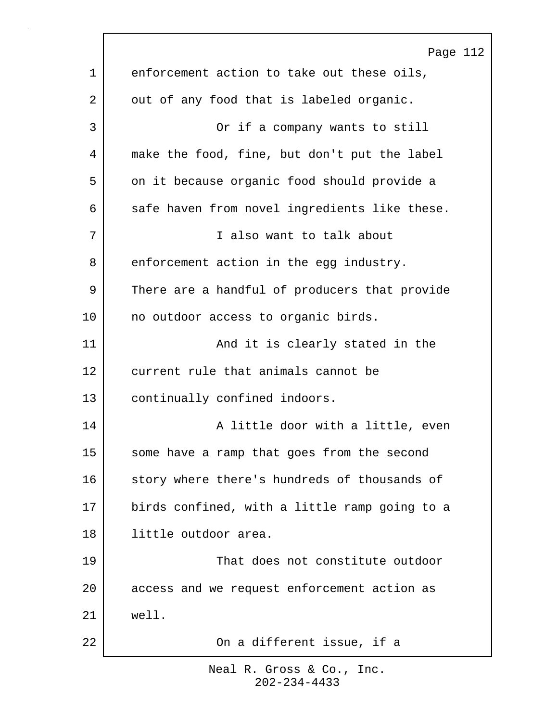Page 112 1 enforcement action to take out these oils, 2 out of any food that is labeled organic. 3 Or if a company wants to still 4 make the food, fine, but don't put the label 5 on it because organic food should provide a 6 safe haven from novel ingredients like these. 7 I also want to talk about 8 enforcement action in the egg industry. 9 There are a handful of producers that provide 10 no outdoor access to organic birds. 11 | The Mand it is clearly stated in the 12 current rule that animals cannot be 13 continually confined indoors. 14 A little door with a little, even 15 some have a ramp that goes from the second 16 story where there's hundreds of thousands of 17 birds confined, with a little ramp going to a 18 | little outdoor area. 19 | That does not constitute outdoor 20 access and we request enforcement action as 21 well. 22 **On a different issue, if a**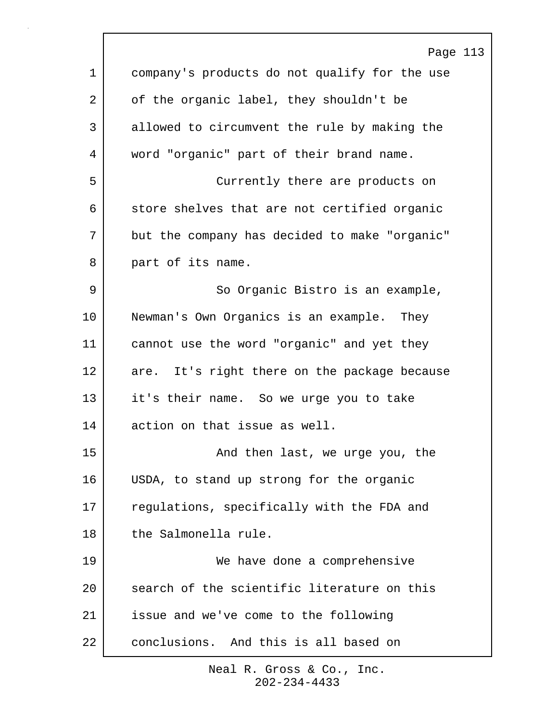|             | Page 113                                      |
|-------------|-----------------------------------------------|
| $\mathbf 1$ | company's products do not qualify for the use |
| 2           | of the organic label, they shouldn't be       |
| 3           | allowed to circumvent the rule by making the  |
| 4           | word "organic" part of their brand name.      |
| 5           | Currently there are products on               |
| 6           | store shelves that are not certified organic  |
| 7           | but the company has decided to make "organic" |
| 8           | part of its name.                             |
| 9           | So Organic Bistro is an example,              |
| 10          | Newman's Own Organics is an example. They     |
| 11          | cannot use the word "organic" and yet they    |
| 12          | are. It's right there on the package because  |
| 13          | it's their name. So we urge you to take       |
| 14          | action on that issue as well.                 |
| 15          | And then last, we urge you, the               |
| 16          | USDA, to stand up strong for the organic      |
| 17          | regulations, specifically with the FDA and    |
| 18          | the Salmonella rule.                          |
| 19          | We have done a comprehensive                  |
| 20          | search of the scientific literature on this   |
| 21          | issue and we've come to the following         |
| 22          | conclusions. And this is all based on         |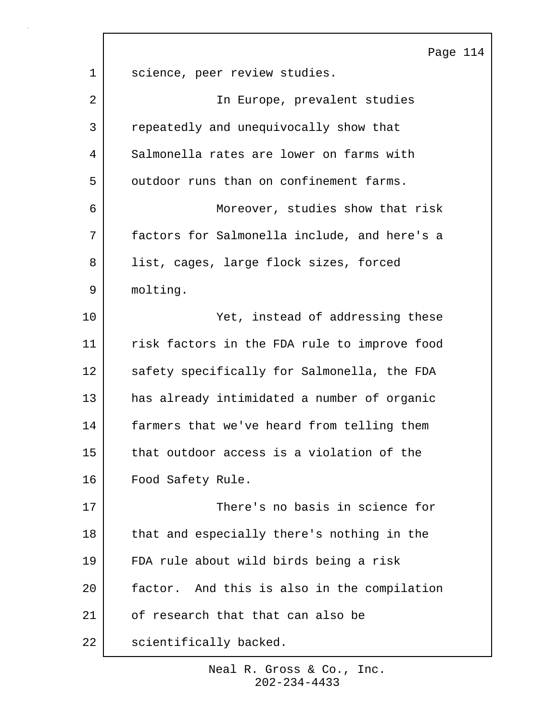|    | Page 114                                     |
|----|----------------------------------------------|
| 1  | science, peer review studies.                |
| 2  | In Europe, prevalent studies                 |
| 3  | repeatedly and unequivocally show that       |
| 4  | Salmonella rates are lower on farms with     |
| 5  | outdoor runs than on confinement farms.      |
| 6  | Moreover, studies show that risk             |
| 7  | factors for Salmonella include, and here's a |
| 8  | list, cages, large flock sizes, forced       |
| 9  | molting.                                     |
| 10 | Yet, instead of addressing these             |
| 11 | risk factors in the FDA rule to improve food |
| 12 | safety specifically for Salmonella, the FDA  |
| 13 | has already intimidated a number of organic  |
| 14 | farmers that we've heard from telling them   |
| 15 | that outdoor access is a violation of the    |
| 16 | Food Safety Rule.                            |
| 17 | There's no basis in science for              |
| 18 | that and especially there's nothing in the   |
| 19 | FDA rule about wild birds being a risk       |
| 20 | factor. And this is also in the compilation  |
| 21 | of research that that can also be            |
| 22 | scientifically backed.                       |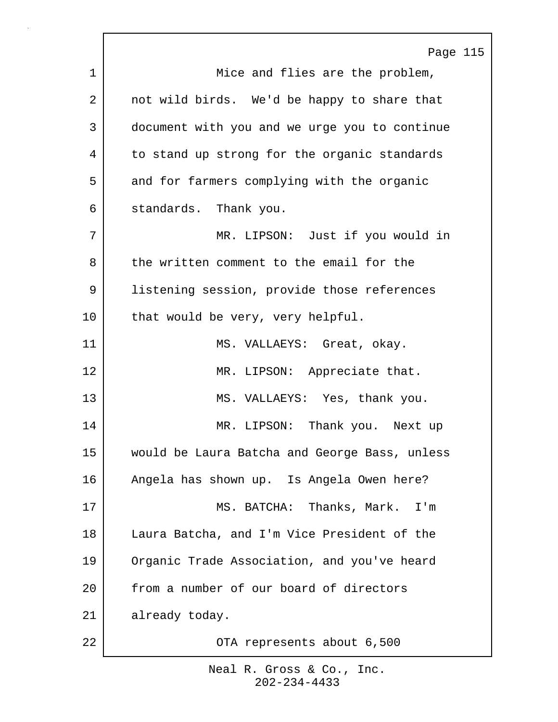|    | Page 115                                      |
|----|-----------------------------------------------|
| 1  | Mice and flies are the problem,               |
| 2  | not wild birds. We'd be happy to share that   |
| 3  | document with you and we urge you to continue |
| 4  | to stand up strong for the organic standards  |
| 5  | and for farmers complying with the organic    |
| 6  | standards. Thank you.                         |
| 7  | MR. LIPSON: Just if you would in              |
| 8  | the written comment to the email for the      |
| 9  | listening session, provide those references   |
| 10 | that would be very, very helpful.             |
| 11 | MS. VALLAEYS: Great, okay.                    |
| 12 | MR. LIPSON: Appreciate that.                  |
| 13 | MS. VALLAEYS: Yes, thank you.                 |
| 14 | MR. LIPSON: Thank you. Next up                |
| 15 | would be Laura Batcha and George Bass, unless |
| 16 | Angela has shown up. Is Angela Owen here?     |
| 17 | MS. BATCHA: Thanks, Mark. I'm                 |
| 18 | Laura Batcha, and I'm Vice President of the   |
| 19 | Organic Trade Association, and you've heard   |
| 20 | from a number of our board of directors       |
| 21 | already today.                                |
| 22 | OTA represents about 6,500                    |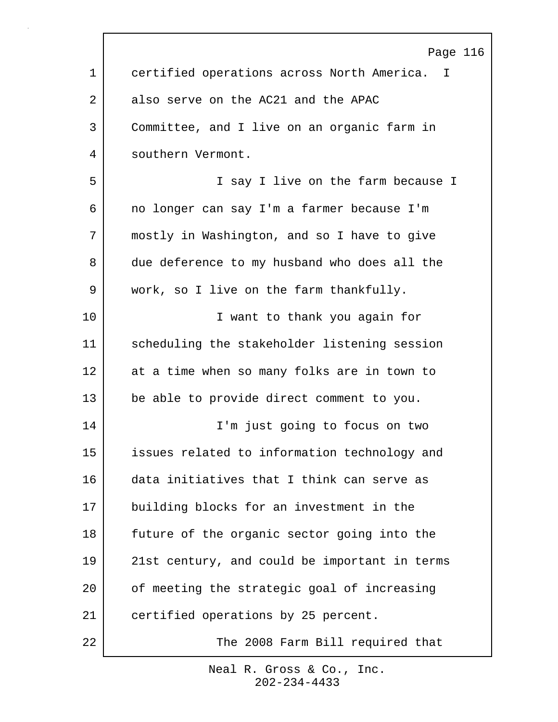|             | Page 116                                      |
|-------------|-----------------------------------------------|
| $\mathbf 1$ | certified operations across North America. I  |
| 2           | also serve on the AC21 and the APAC           |
| 3           | Committee, and I live on an organic farm in   |
| 4           | southern Vermont.                             |
| 5           | I say I live on the farm because I            |
| 6           | no longer can say I'm a farmer because I'm    |
| 7           | mostly in Washington, and so I have to give   |
| 8           | due deference to my husband who does all the  |
| 9           | work, so I live on the farm thankfully.       |
| 10          | I want to thank you again for                 |
| 11          | scheduling the stakeholder listening session  |
| 12          | at a time when so many folks are in town to   |
| 13          | be able to provide direct comment to you.     |
| 14          | I'm just going to focus on two                |
| 15          | issues related to information technology and  |
| 16          | data initiatives that I think can serve as    |
| 17          | building blocks for an investment in the      |
| 18          | future of the organic sector going into the   |
| 19          | 21st century, and could be important in terms |
| 20          | of meeting the strategic goal of increasing   |
| 21          | certified operations by 25 percent.           |
| 22          | The 2008 Farm Bill required that              |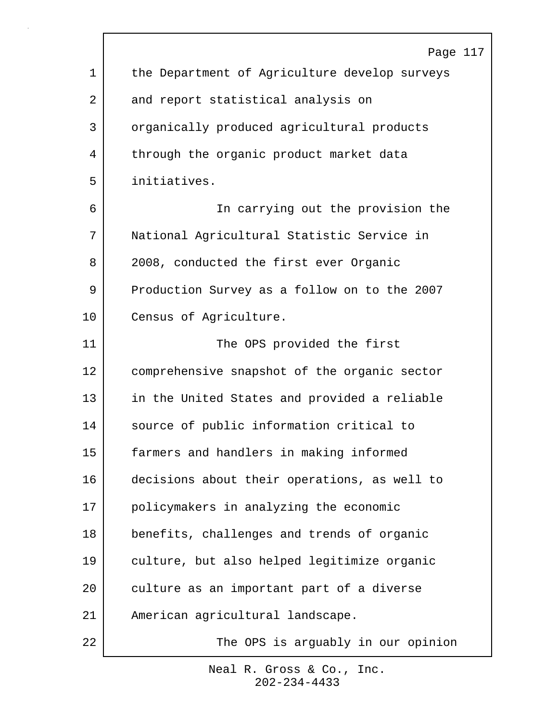|             | Page 117                                      |
|-------------|-----------------------------------------------|
| $\mathbf 1$ | the Department of Agriculture develop surveys |
| 2           | and report statistical analysis on            |
| 3           | organically produced agricultural products    |
| 4           | through the organic product market data       |
| 5           | initiatives.                                  |
| 6           | In carrying out the provision the             |
| 7           | National Agricultural Statistic Service in    |
| 8           | 2008, conducted the first ever Organic        |
| 9           | Production Survey as a follow on to the 2007  |
| 10          | Census of Agriculture.                        |
| 11          | The OPS provided the first                    |
| 12          | comprehensive snapshot of the organic sector  |
| 13          | in the United States and provided a reliable  |
| 14          | source of public information critical to      |
| 15          | farmers and handlers in making informed       |
| 16          | decisions about their operations, as well to  |
| 17          | policymakers in analyzing the economic        |
| 18          | benefits, challenges and trends of organic    |
| 19          | culture, but also helped legitimize organic   |
| 20          | culture as an important part of a diverse     |
| 21          | American agricultural landscape.              |
| 22          | The OPS is arguably in our opinion            |

 $\Gamma$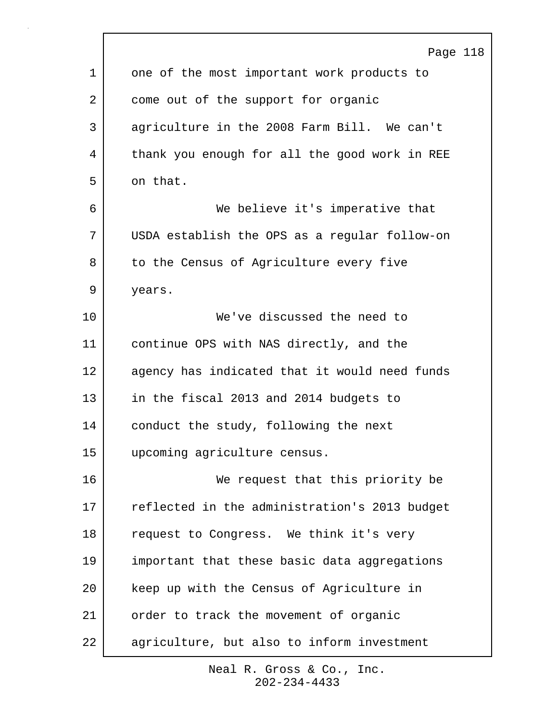|             | Page 118                                      |
|-------------|-----------------------------------------------|
| $\mathbf 1$ | one of the most important work products to    |
| 2           | come out of the support for organic           |
| 3           | agriculture in the 2008 Farm Bill. We can't   |
| 4           | thank you enough for all the good work in REE |
| 5           | on that.                                      |
| 6           | We believe it's imperative that               |
| 7           | USDA establish the OPS as a regular follow-on |
| 8           | to the Census of Agriculture every five       |
| 9           | years.                                        |
| 10          | We've discussed the need to                   |
| 11          | continue OPS with NAS directly, and the       |
| 12          | agency has indicated that it would need funds |
| 13          | in the fiscal 2013 and 2014 budgets to        |
| 14          | conduct the study, following the next         |
| 15          | upcoming agriculture census.                  |
| 16          | We request that this priority be              |
| 17          | reflected in the administration's 2013 budget |
| 18          | request to Congress. We think it's very       |
| 19          | important that these basic data aggregations  |
| 20          | keep up with the Census of Agriculture in     |
| 21          | order to track the movement of organic        |
| 22          | agriculture, but also to inform investment    |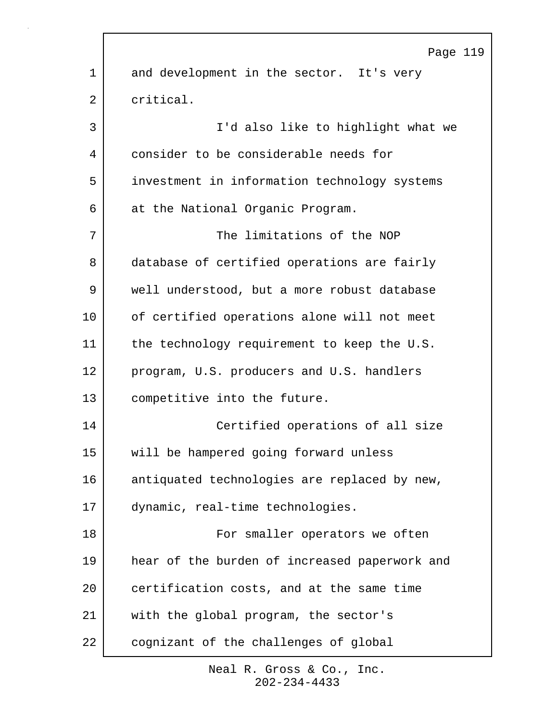|    | Page 119                                      |
|----|-----------------------------------------------|
| 1  | and development in the sector. It's very      |
| 2  | critical.                                     |
| 3  | I'd also like to highlight what we            |
| 4  | consider to be considerable needs for         |
| 5  | investment in information technology systems  |
| 6  | at the National Organic Program.              |
| 7  | The limitations of the NOP                    |
| 8  | database of certified operations are fairly   |
| 9  | well understood, but a more robust database   |
| 10 | of certified operations alone will not meet   |
| 11 | the technology requirement to keep the U.S.   |
| 12 | program, U.S. producers and U.S. handlers     |
| 13 | competitive into the future.                  |
| 14 | Certified operations of all size              |
| 15 | will be hampered going forward unless         |
| 16 | antiquated technologies are replaced by new,  |
| 17 | dynamic, real-time technologies.              |
| 18 | For smaller operators we often                |
| 19 | hear of the burden of increased paperwork and |
| 20 | certification costs, and at the same time     |
| 21 | with the global program, the sector's         |
| 22 | cognizant of the challenges of global         |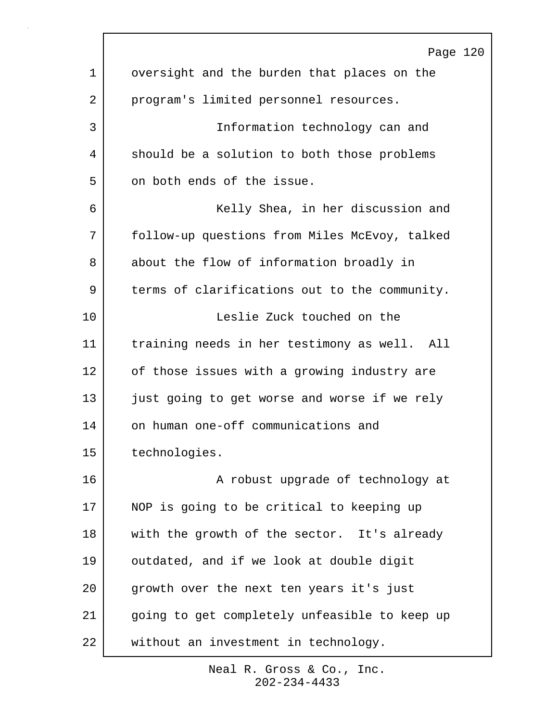|    | Page 120                                      |
|----|-----------------------------------------------|
| 1  | oversight and the burden that places on the   |
| 2  | program's limited personnel resources.        |
| 3  | Information technology can and                |
| 4  | should be a solution to both those problems   |
| 5  | on both ends of the issue.                    |
| 6  | Kelly Shea, in her discussion and             |
| 7  | follow-up questions from Miles McEvoy, talked |
| 8  | about the flow of information broadly in      |
| 9  | terms of clarifications out to the community. |
| 10 | Leslie Zuck touched on the                    |
| 11 | training needs in her testimony as well. All  |
| 12 | of those issues with a growing industry are   |
| 13 | just going to get worse and worse if we rely  |
| 14 | on human one-off communications and           |
| 15 | technologies.                                 |
| 16 | A robust upgrade of technology at             |
| 17 | NOP is going to be critical to keeping up     |
| 18 | with the growth of the sector. It's already   |
| 19 | outdated, and if we look at double digit      |
| 20 | growth over the next ten years it's just      |
| 21 | going to get completely unfeasible to keep up |
| 22 | without an investment in technology.          |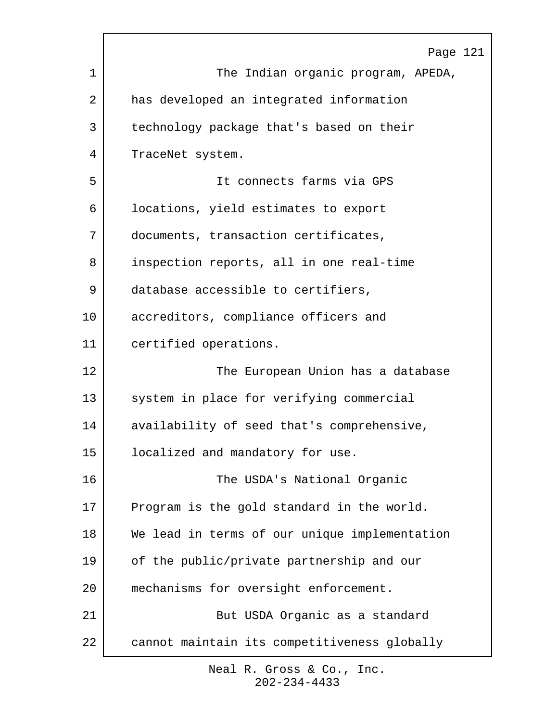|    | Page 121                                      |
|----|-----------------------------------------------|
| 1  | The Indian organic program, APEDA,            |
| 2  | has developed an integrated information       |
| 3  | technology package that's based on their      |
| 4  | TraceNet system.                              |
| 5  | It connects farms via GPS                     |
| 6  | locations, yield estimates to export          |
| 7  | documents, transaction certificates,          |
| 8  | inspection reports, all in one real-time      |
| 9  | database accessible to certifiers,            |
| 10 | accreditors, compliance officers and          |
| 11 | certified operations.                         |
| 12 | The European Union has a database             |
| 13 | system in place for verifying commercial      |
| 14 | availability of seed that's comprehensive,    |
| 15 | localized and mandatory for use.              |
| 16 | The USDA's National Organic                   |
| 17 | Program is the gold standard in the world.    |
| 18 | We lead in terms of our unique implementation |
| 19 | of the public/private partnership and our     |
| 20 | mechanisms for oversight enforcement.         |
| 21 | But USDA Organic as a standard                |
| 22 | cannot maintain its competitiveness globally  |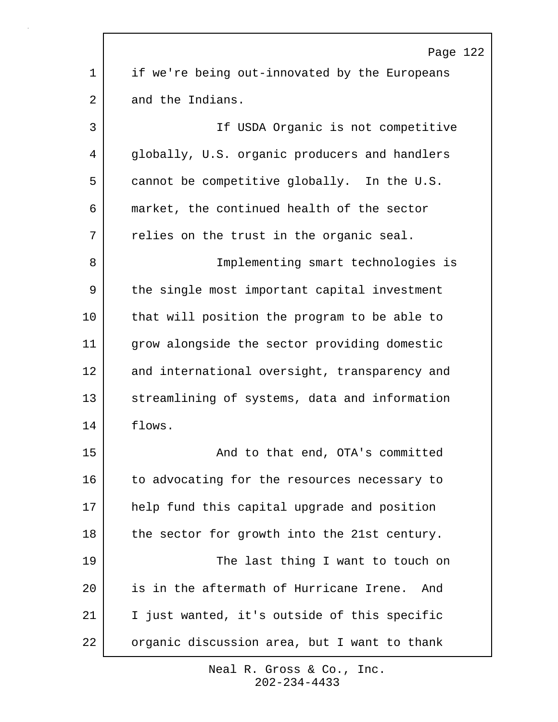| Page 122                                      |  |
|-----------------------------------------------|--|
| if we're being out-innovated by the Europeans |  |
| and the Indians.                              |  |
| If USDA Organic is not competitive            |  |
| globally, U.S. organic producers and handlers |  |
| cannot be competitive globally. In the U.S.   |  |
| market, the continued health of the sector    |  |
| relies on the trust in the organic seal.      |  |
| Implementing smart technologies is            |  |
| the single most important capital investment  |  |
| that will position the program to be able to  |  |
| grow alongside the sector providing domestic  |  |
| and international oversight, transparency and |  |
| streamlining of systems, data and information |  |
| flows.                                        |  |
| And to that end, OTA's committed              |  |
| to advocating for the resources necessary to  |  |
| help fund this capital upgrade and position   |  |
| the sector for growth into the 21st century.  |  |
| The last thing I want to touch on             |  |
| is in the aftermath of Hurricane Irene. And   |  |
| I just wanted, it's outside of this specific  |  |
| organic discussion area, but I want to thank  |  |
|                                               |  |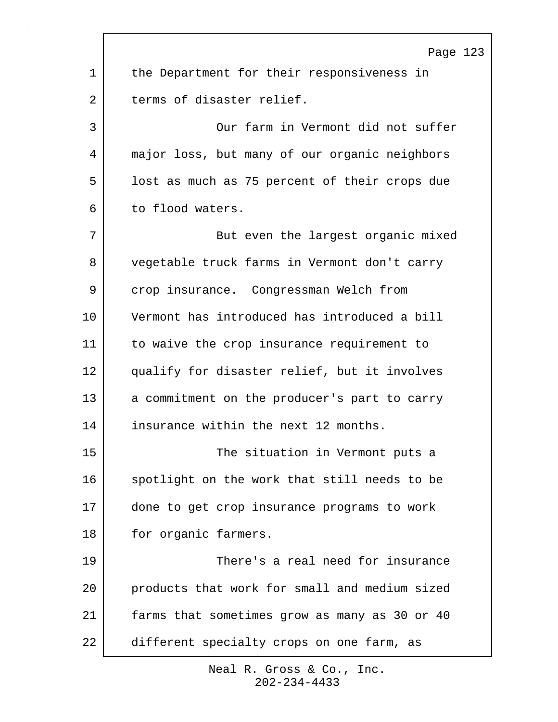|    | Page 123                                      |
|----|-----------------------------------------------|
| 1  | the Department for their responsiveness in    |
| 2  | terms of disaster relief.                     |
| 3  | Our farm in Vermont did not suffer            |
| 4  | major loss, but many of our organic neighbors |
| 5  | lost as much as 75 percent of their crops due |
| 6  | to flood waters.                              |
| 7  | But even the largest organic mixed            |
| 8  | vegetable truck farms in Vermont don't carry  |
| 9  | crop insurance. Congressman Welch from        |
| 10 | Vermont has introduced has introduced a bill  |
| 11 | to waive the crop insurance requirement to    |
| 12 | qualify for disaster relief, but it involves  |
| 13 | a commitment on the producer's part to carry  |
| 14 | insurance within the next 12 months.          |
| 15 | The situation in Vermont puts a               |
| 16 | spotlight on the work that still needs to be  |
| 17 | done to get crop insurance programs to work   |
| 18 | for organic farmers.                          |
| 19 | There's a real need for insurance             |
| 20 | products that work for small and medium sized |
| 21 | farms that sometimes grow as many as 30 or 40 |
| 22 | different specialty crops on one farm, as     |

 $\Gamma$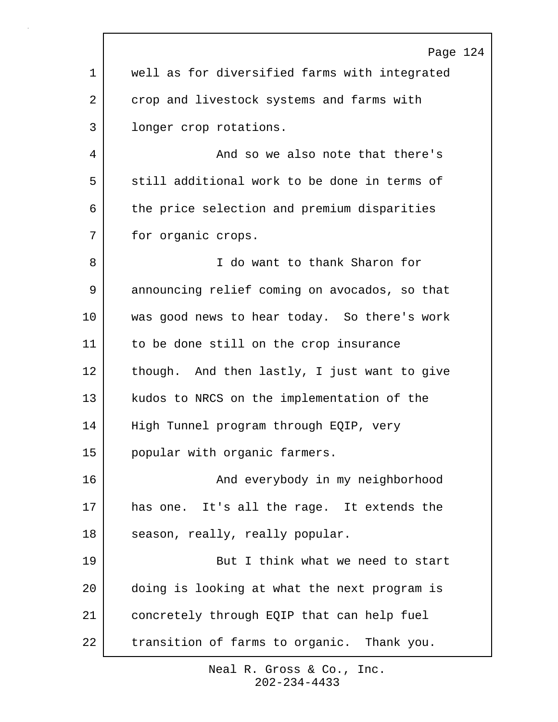|         | Page 124                                      |
|---------|-----------------------------------------------|
| 1       | well as for diversified farms with integrated |
| 2       | crop and livestock systems and farms with     |
| 3       | longer crop rotations.                        |
| 4       | And so we also note that there's              |
| 5       | still additional work to be done in terms of  |
| 6       | the price selection and premium disparities   |
| 7       | for organic crops.                            |
| 8       | I do want to thank Sharon for                 |
| 9       | announcing relief coming on avocados, so that |
| $10 \,$ | was good news to hear today. So there's work  |
| 11      | to be done still on the crop insurance        |
| 12      | though. And then lastly, I just want to give  |
| 13      | kudos to NRCS on the implementation of the    |
| 14      | High Tunnel program through EQIP, very        |
| 15      | popular with organic farmers.                 |
| 16      | And everybody in my neighborhood              |
| 17      | has one. It's all the rage. It extends the    |
| 18      | season, really, really popular.               |
| 19      | But I think what we need to start             |
| 20      | doing is looking at what the next program is  |
| 21      | concretely through EQIP that can help fuel    |
| 22      | transition of farms to organic. Thank you.    |

 $\mathbf{r}$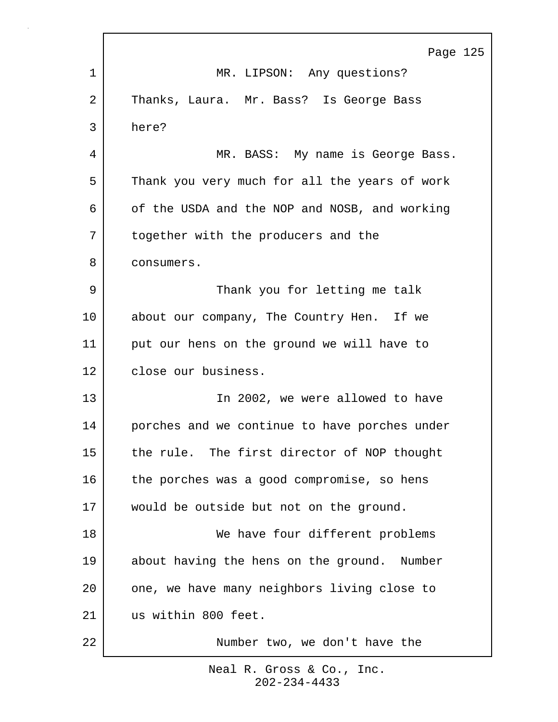|    | Page 125                                      |
|----|-----------------------------------------------|
| 1  | MR. LIPSON: Any questions?                    |
| 2  | Thanks, Laura. Mr. Bass? Is George Bass       |
| 3  | here?                                         |
| 4  | MR. BASS: My name is George Bass.             |
| 5  | Thank you very much for all the years of work |
| 6  | of the USDA and the NOP and NOSB, and working |
| 7  | together with the producers and the           |
| 8  | consumers.                                    |
| 9  | Thank you for letting me talk                 |
| 10 | about our company, The Country Hen. If we     |
| 11 | put our hens on the ground we will have to    |
| 12 | close our business.                           |
| 13 | In 2002, we were allowed to have              |
| 14 | porches and we continue to have porches under |
| 15 | the rule. The first director of NOP thought   |
| 16 | the porches was a good compromise, so hens    |
| 17 | would be outside but not on the ground.       |
| 18 | We have four different problems               |
| 19 | about having the hens on the ground. Number   |
| 20 | one, we have many neighbors living close to   |
| 21 | us within 800 feet.                           |
| 22 | Number two, we don't have the                 |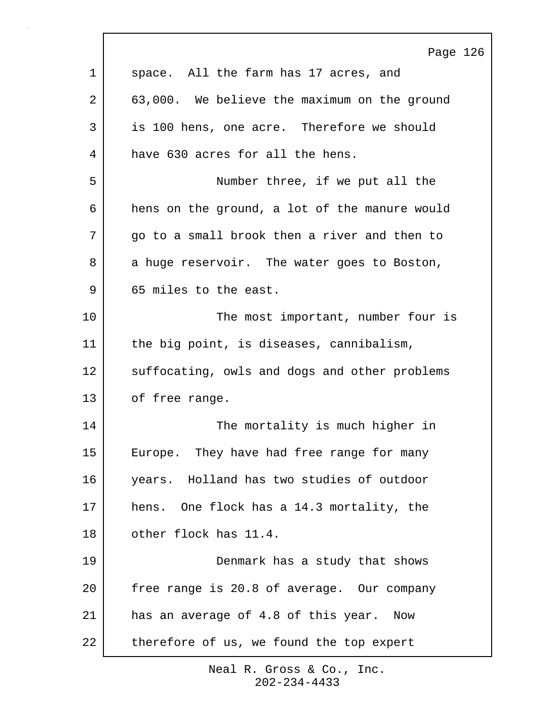|    | Page 126                                      |
|----|-----------------------------------------------|
| 1  | space. All the farm has 17 acres, and         |
| 2  | 63,000. We believe the maximum on the ground  |
| 3  | is 100 hens, one acre. Therefore we should    |
| 4  | have 630 acres for all the hens.              |
| 5  | Number three, if we put all the               |
| 6  | hens on the ground, a lot of the manure would |
| 7  | go to a small brook then a river and then to  |
| 8  | a huge reservoir. The water goes to Boston,   |
| 9  | 65 miles to the east.                         |
| 10 | The most important, number four is            |
| 11 | the big point, is diseases, cannibalism,      |
| 12 | suffocating, owls and dogs and other problems |
| 13 | of free range.                                |
| 14 | The mortality is much higher in               |
| 15 | Europe. They have had free range for many     |
| 16 | years. Holland has two studies of outdoor     |
| 17 | hens. One flock has a 14.3 mortality, the     |
| 18 | other flock has 11.4.                         |
| 19 | Denmark has a study that shows                |
| 20 | free range is 20.8 of average. Our company    |
| 21 | has an average of 4.8 of this year. Now       |
| 22 | therefore of us, we found the top expert      |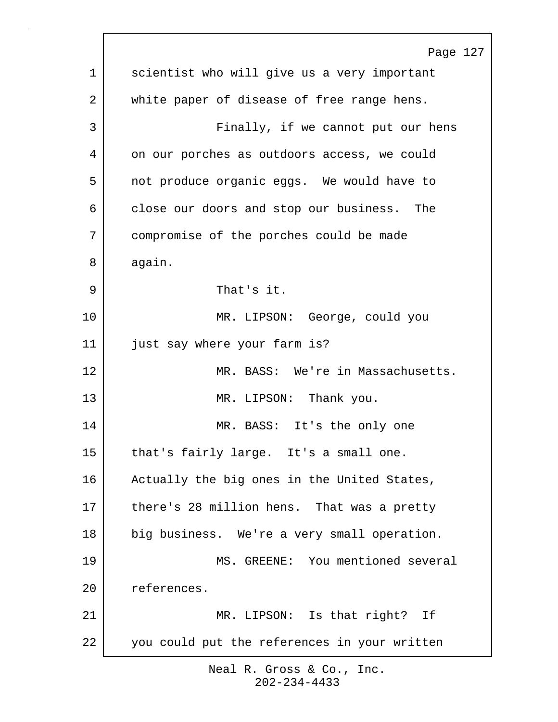|    | Page 127                                     |
|----|----------------------------------------------|
| 1  | scientist who will give us a very important  |
| 2  | white paper of disease of free range hens.   |
| 3  | Finally, if we cannot put our hens           |
| 4  | on our porches as outdoors access, we could  |
| 5  | not produce organic eggs. We would have to   |
| 6  | close our doors and stop our business. The   |
| 7  | compromise of the porches could be made      |
| 8  | again.                                       |
| 9  | That's it.                                   |
| 10 | MR. LIPSON: George, could you                |
| 11 | just say where your farm is?                 |
| 12 | MR. BASS: We're in Massachusetts.            |
| 13 | MR. LIPSON: Thank you.                       |
| 14 | MR. BASS: It's the only one                  |
| 15 | that's fairly large. It's a small one.       |
| 16 | Actually the big ones in the United States,  |
| 17 | there's 28 million hens. That was a pretty   |
| 18 | big business. We're a very small operation.  |
| 19 | MS. GREENE: You mentioned several            |
| 20 | references.                                  |
| 21 | MR. LIPSON: Is that right? If                |
| 22 | you could put the references in your written |
|    |                                              |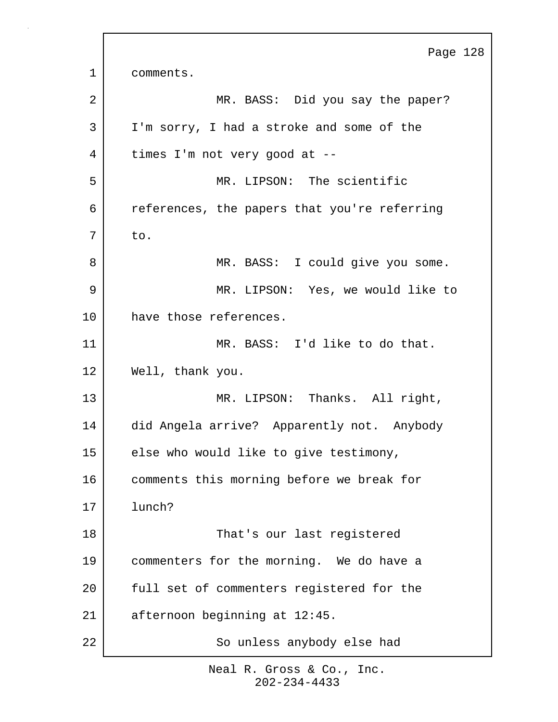Page 128 1 comments. 2 MR. BASS: Did you say the paper? 3 I'm sorry, I had a stroke and some of the 4 times I'm not very good at --5 MR. LIPSON: The scientific 6 references, the papers that you're referring  $7$  to. 8 | MR. BASS: I could give you some. 9 | MR. LIPSON: Yes, we would like to 10 have those references. 11 MR. BASS: I'd like to do that. 12 Well, thank you. 13 MR. LIPSON: Thanks. All right, 14 did Angela arrive? Apparently not. Anybody 15 | else who would like to give testimony, 16 comments this morning before we break for 17 lunch? 18 | That's our last registered 19 commenters for the morning. We do have a 20 full set of commenters registered for the 21 afternoon beginning at 12:45. 22 So unless anybody else had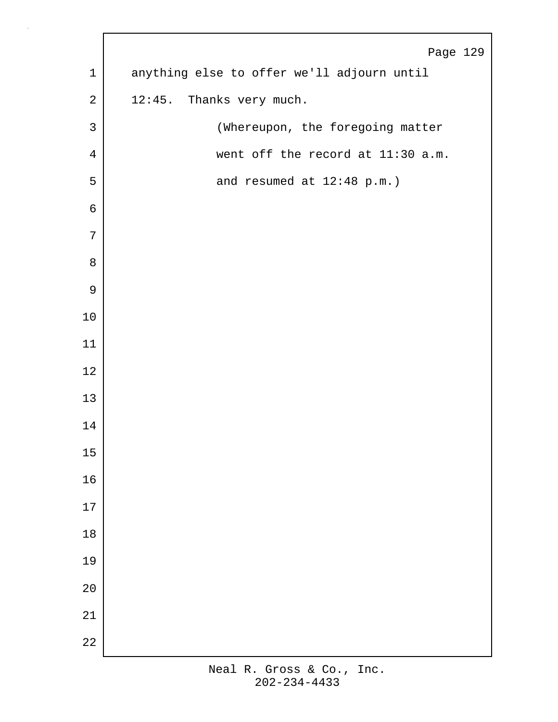|                | Page 129                                   |
|----------------|--------------------------------------------|
| $\mathbf 1$    | anything else to offer we'll adjourn until |
| $\sqrt{2}$     | 12:45. Thanks very much.                   |
| $\mathsf{3}$   | (Whereupon, the foregoing matter           |
| $\overline{4}$ | went off the record at 11:30 a.m.          |
| 5              | and resumed at 12:48 p.m.)                 |
| 6              |                                            |
| 7              |                                            |
| $\,8\,$        |                                            |
| $\mathsf 9$    |                                            |
| $10$           |                                            |
| 11             |                                            |
| $12$           |                                            |
| 13             |                                            |
| 14             |                                            |
| $15$           |                                            |
| 16             |                                            |
| $17\,$         |                                            |
| $18\,$         |                                            |
| 19             |                                            |
| $20$           |                                            |
| 21             |                                            |
| 22             |                                            |

 $\mathbf{r}$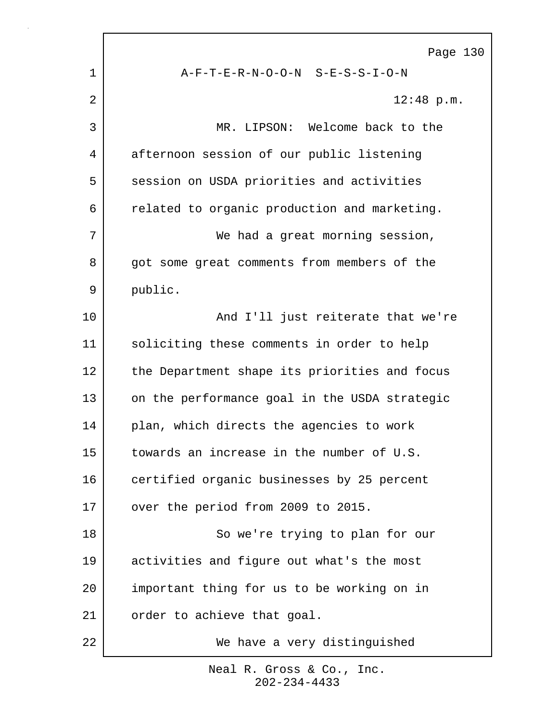|    | Page 130                                      |
|----|-----------------------------------------------|
| 1  | A-F-T-E-R-N-O-O-N S-E-S-S-I-O-N               |
| 2  | $12:48$ p.m.                                  |
| 3  | MR. LIPSON: Welcome back to the               |
| 4  | afternoon session of our public listening     |
| 5  | session on USDA priorities and activities     |
| 6  | related to organic production and marketing.  |
| 7  | We had a great morning session,               |
| 8  | got some great comments from members of the   |
| 9  | public.                                       |
| 10 | And I'll just reiterate that we're            |
| 11 | soliciting these comments in order to help    |
| 12 | the Department shape its priorities and focus |
| 13 | on the performance goal in the USDA strategic |
| 14 | plan, which directs the agencies to work      |
| 15 | towards an increase in the number of U.S.     |
| 16 | certified organic businesses by 25 percent    |
| 17 | over the period from 2009 to 2015.            |
| 18 | So we're trying to plan for our               |
| 19 | activities and figure out what's the most     |
| 20 | important thing for us to be working on in    |
| 21 | order to achieve that goal.                   |
| 22 | We have a very distinguished                  |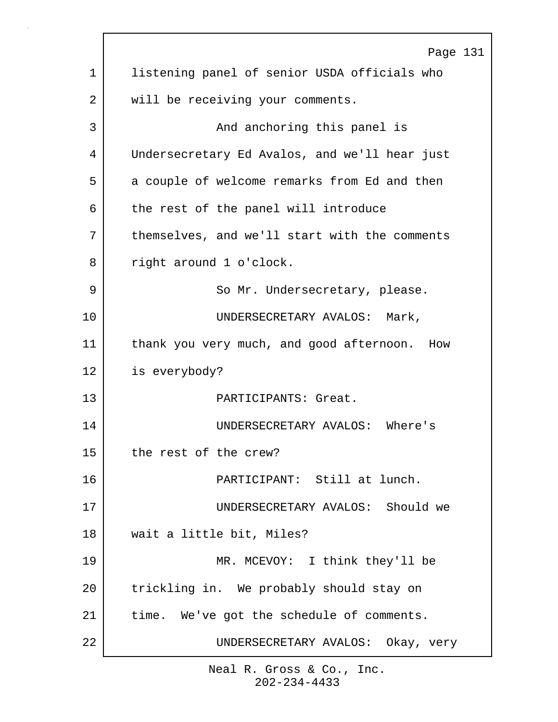|             | Page 131                                      |
|-------------|-----------------------------------------------|
| $\mathbf 1$ | listening panel of senior USDA officials who  |
| 2           | will be receiving your comments.              |
| 3           | And anchoring this panel is                   |
| 4           | Undersecretary Ed Avalos, and we'll hear just |
| 5           | a couple of welcome remarks from Ed and then  |
| 6           | the rest of the panel will introduce          |
| 7           | themselves, and we'll start with the comments |
| 8           | right around 1 o'clock.                       |
| 9           | So Mr. Undersecretary, please.                |
| 10          | UNDERSECRETARY AVALOS: Mark,                  |
| 11          | thank you very much, and good afternoon. How  |
| 12          | is everybody?                                 |
| 13          | PARTICIPANTS: Great.                          |
| 14          | UNDERSECRETARY AVALOS: Where's                |
| 15          | the rest of the crew?                         |
| 16          | PARTICIPANT: Still at lunch.                  |
| 17          | UNDERSECRETARY AVALOS: Should we              |
| 18          | wait a little bit, Miles?                     |
| 19          | MR. MCEVOY: I think they'll be                |
| 20          | trickling in. We probably should stay on      |
| 21          | time. We've got the schedule of comments.     |
| 22          | UNDERSECRETARY AVALOS: Okay, very             |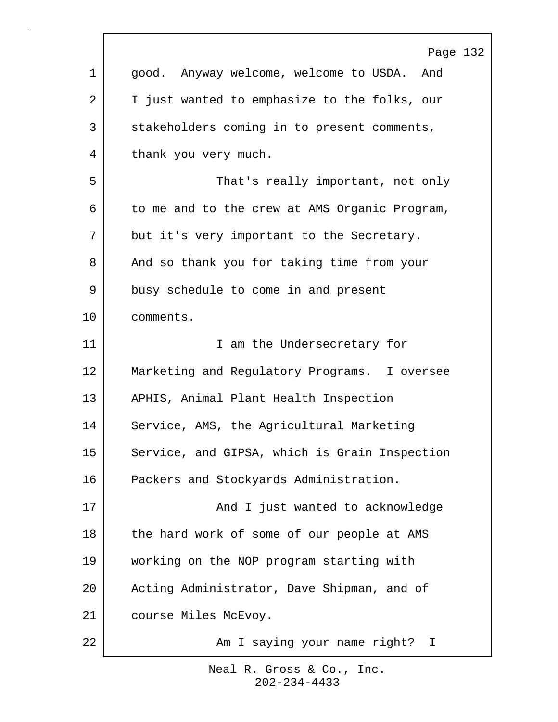|             | Page 132                                      |
|-------------|-----------------------------------------------|
| $\mathbf 1$ | good. Anyway welcome, welcome to USDA. And    |
| 2           | I just wanted to emphasize to the folks, our  |
| 3           | stakeholders coming in to present comments,   |
| 4           | thank you very much.                          |
| 5           | That's really important, not only             |
| 6           | to me and to the crew at AMS Organic Program, |
| 7           | but it's very important to the Secretary.     |
| 8           | And so thank you for taking time from your    |
| 9           | busy schedule to come in and present          |
| 10          | comments.                                     |
| 11          | I am the Undersecretary for                   |
| 12          | Marketing and Regulatory Programs. I oversee  |
| 13          | APHIS, Animal Plant Health Inspection         |
| 14          | Service, AMS, the Agricultural Marketing      |
| 15          | Service, and GIPSA, which is Grain Inspection |
| 16          | Packers and Stockyards Administration.        |
| 17          | And I just wanted to acknowledge              |
| 18          | the hard work of some of our people at AMS    |
| 19          | working on the NOP program starting with      |
| 20          | Acting Administrator, Dave Shipman, and of    |
| 21          | course Miles McEvoy.                          |
| 22          | Am I saying your name right? I                |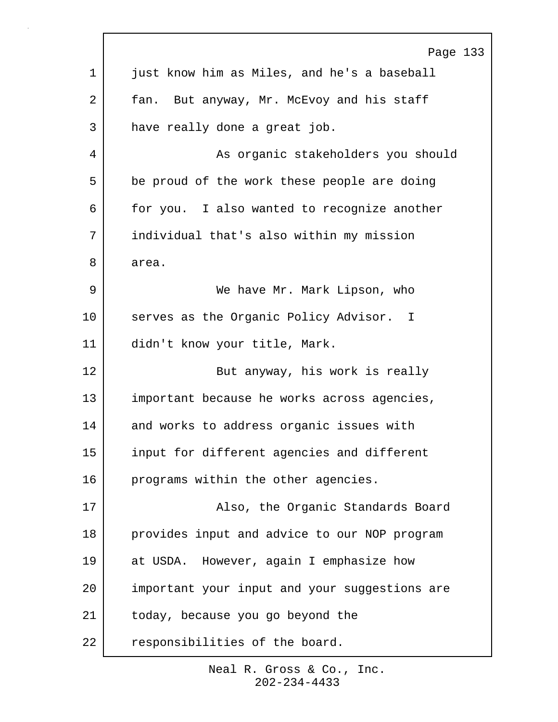|                | Page 133                                      |
|----------------|-----------------------------------------------|
| 1              | just know him as Miles, and he's a baseball   |
| $\overline{2}$ | fan. But anyway, Mr. McEvoy and his staff     |
| 3              | have really done a great job.                 |
| 4              | As organic stakeholders you should            |
| 5              | be proud of the work these people are doing   |
| 6              | for you. I also wanted to recognize another   |
| 7              | individual that's also within my mission      |
| 8              | area.                                         |
| 9              | We have Mr. Mark Lipson, who                  |
| 10             | serves as the Organic Policy Advisor. I       |
| 11             | didn't know your title, Mark.                 |
| 12             | But anyway, his work is really                |
| 13             | important because he works across agencies,   |
| 14             | and works to address organic issues with      |
| 15             | input for different agencies and different    |
| 16             | programs within the other agencies.           |
| 17             | Also, the Organic Standards Board             |
| 18             | provides input and advice to our NOP program  |
| 19             | at USDA. However, again I emphasize how       |
| 20             | important your input and your suggestions are |
| 21             | today, because you go beyond the              |
| 22             | responsibilities of the board.                |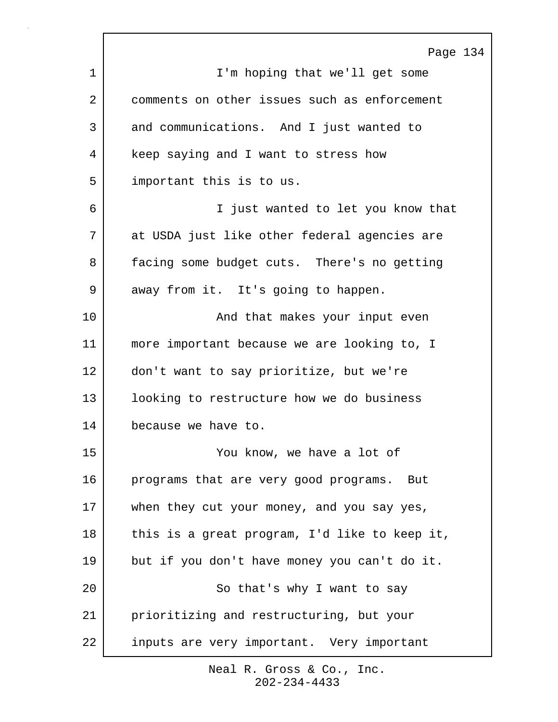|    | Page 134                                      |
|----|-----------------------------------------------|
| 1  | I'm hoping that we'll get some                |
| 2  | comments on other issues such as enforcement  |
| 3  | and communications. And I just wanted to      |
| 4  | keep saying and I want to stress how          |
| 5  | important this is to us.                      |
| 6  | I just wanted to let you know that            |
| 7  | at USDA just like other federal agencies are  |
| 8  | facing some budget cuts. There's no getting   |
| 9  | away from it. It's going to happen.           |
| 10 | And that makes your input even                |
| 11 | more important because we are looking to, I   |
| 12 | don't want to say prioritize, but we're       |
| 13 | looking to restructure how we do business     |
| 14 | because we have to.                           |
| 15 | You know, we have a lot of                    |
| 16 | programs that are very good programs. But     |
| 17 | when they cut your money, and you say yes,    |
| 18 | this is a great program, I'd like to keep it, |
| 19 | but if you don't have money you can't do it.  |
| 20 | So that's why I want to say                   |
| 21 | prioritizing and restructuring, but your      |
| 22 | inputs are very important. Very important     |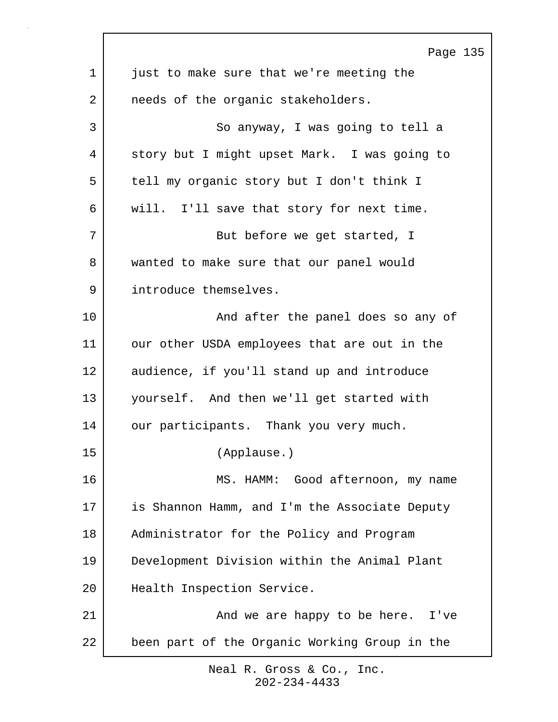|    | Page 135                                      |
|----|-----------------------------------------------|
| 1  | just to make sure that we're meeting the      |
| 2  | needs of the organic stakeholders.            |
| 3  | So anyway, I was going to tell a              |
| 4  | story but I might upset Mark. I was going to  |
| 5  | tell my organic story but I don't think I     |
| 6  | will. I'll save that story for next time.     |
| 7  | But before we get started, I                  |
| 8  | wanted to make sure that our panel would      |
| 9  | introduce themselves.                         |
| 10 | And after the panel does so any of            |
| 11 | our other USDA employees that are out in the  |
| 12 | audience, if you'll stand up and introduce    |
| 13 | yourself. And then we'll get started with     |
| 14 | our participants. Thank you very much.        |
| 15 | (Applause.)                                   |
| 16 | MS. HAMM: Good afternoon, my name             |
| 17 | is Shannon Hamm, and I'm the Associate Deputy |
| 18 | Administrator for the Policy and Program      |
| 19 | Development Division within the Animal Plant  |
| 20 | Health Inspection Service.                    |
| 21 | And we are happy to be here. I've             |
| 22 | been part of the Organic Working Group in the |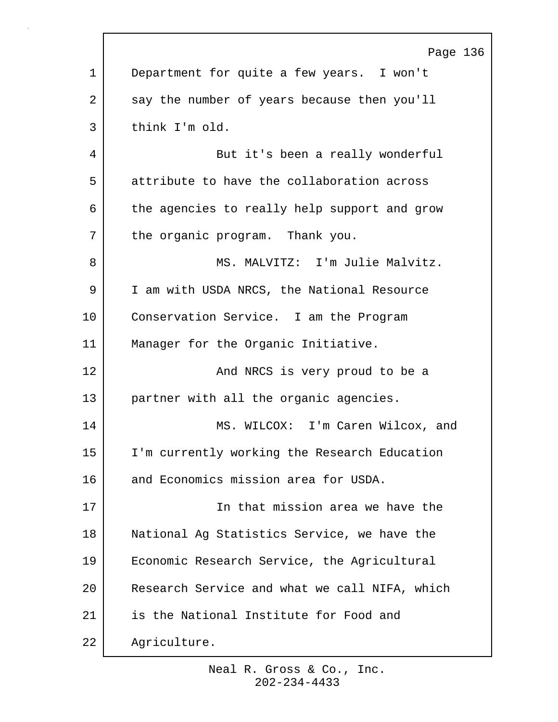|             | Page 136                                      |
|-------------|-----------------------------------------------|
| $\mathbf 1$ | Department for quite a few years. I won't     |
| 2           | say the number of years because then you'll   |
| 3           | think I'm old.                                |
| 4           | But it's been a really wonderful              |
| 5           | attribute to have the collaboration across    |
| 6           | the agencies to really help support and grow  |
| 7           | the organic program. Thank you.               |
| 8           | MS. MALVITZ: I'm Julie Malvitz.               |
| 9           | I am with USDA NRCS, the National Resource    |
| 10          | Conservation Service. I am the Program        |
| 11          | Manager for the Organic Initiative.           |
| 12          | And NRCS is very proud to be a                |
| 13          | partner with all the organic agencies.        |
| 14          | MS. WILCOX: I'm Caren Wilcox, and             |
| 15          | I'm currently working the Research Education  |
| 16          | and Economics mission area for USDA.          |
| 17          | In that mission area we have the              |
| 18          | National Ag Statistics Service, we have the   |
| 19          | Economic Research Service, the Agricultural   |
| 20          | Research Service and what we call NIFA, which |
| 21          | is the National Institute for Food and        |
| 22          | Agriculture.                                  |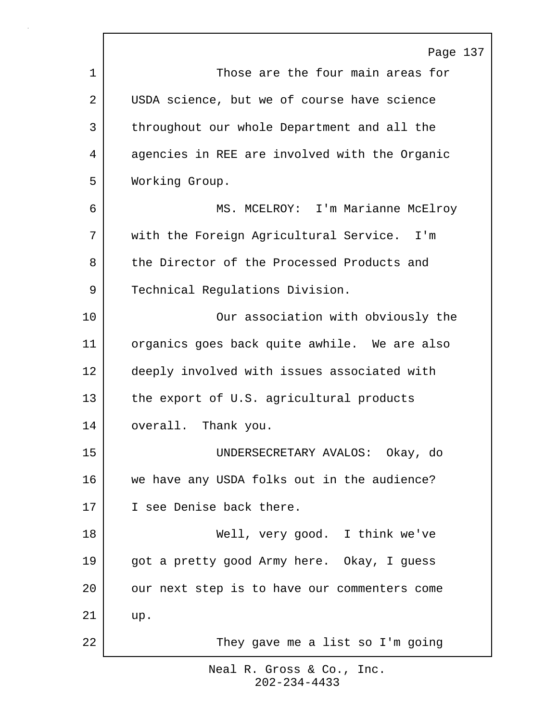Page 137 1 1 Those are the four main areas for 2 USDA science, but we of course have science 3 throughout our whole Department and all the 4 agencies in REE are involved with the Organic 5 Working Group. 6 MS. MCELROY: I'm Marianne McElroy 7 | with the Foreign Agricultural Service. I'm 8 the Director of the Processed Products and 9 Technical Regulations Division. 10 Our association with obviously the 11 organics goes back quite awhile. We are also 12 deeply involved with issues associated with 13 the export of U.S. agricultural products 14 overall. Thank you. 15 UNDERSECRETARY AVALOS: Okay, do 16 we have any USDA folks out in the audience? 17 I see Denise back there. 18 Well, very good. I think we've 19 got a pretty good Army here. Okay, I guess 20 our next step is to have our commenters come 21 up. 22 They gave me a list so I'm going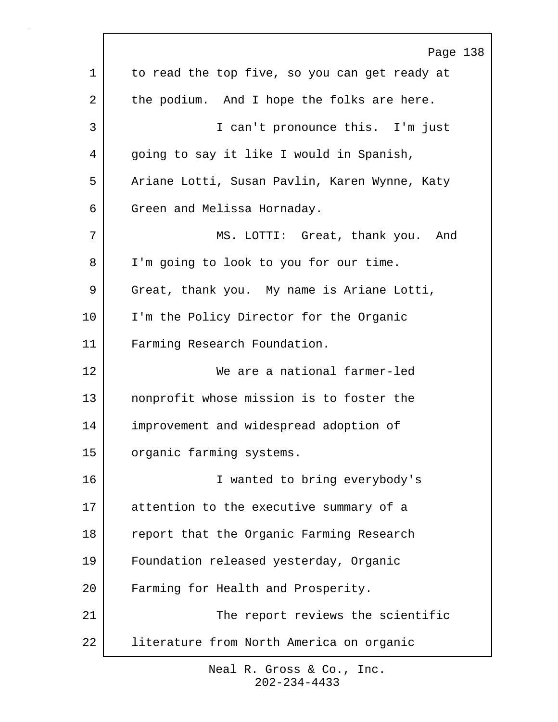|         | Page 138                                      |
|---------|-----------------------------------------------|
| 1       | to read the top five, so you can get ready at |
| 2       | the podium. And I hope the folks are here.    |
| 3       | I can't pronounce this. I'm just              |
| 4       | going to say it like I would in Spanish,      |
| 5       | Ariane Lotti, Susan Pavlin, Karen Wynne, Katy |
| 6       | Green and Melissa Hornaday.                   |
| 7       | MS. LOTTI: Great, thank you. And              |
| 8       | I'm going to look to you for our time.        |
| 9       | Great, thank you. My name is Ariane Lotti,    |
| $10 \,$ | I'm the Policy Director for the Organic       |
| 11      | Farming Research Foundation.                  |
| 12      | We are a national farmer-led                  |
| 13      | nonprofit whose mission is to foster the      |
| 14      | improvement and widespread adoption of        |
| 15      | organic farming systems.                      |
| 16      | I wanted to bring everybody's                 |
| 17      | attention to the executive summary of a       |
| 18      | report that the Organic Farming Research      |
| 19      | Foundation released yesterday, Organic        |
| 20      | Farming for Health and Prosperity.            |
| 21      | The report reviews the scientific             |
| 22      | literature from North America on organic      |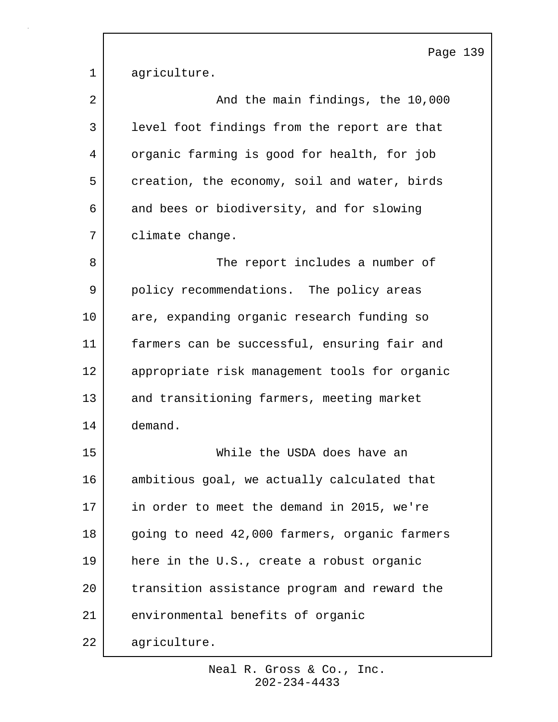Page 139

| $1 \mid$ | agriculture. |
|----------|--------------|
|          |              |

| 2  | And the main findings, the 10,000             |
|----|-----------------------------------------------|
| 3  | level foot findings from the report are that  |
| 4  | organic farming is good for health, for job   |
| 5  | creation, the economy, soil and water, birds  |
| 6  | and bees or biodiversity, and for slowing     |
| 7  | climate change.                               |
| 8  | The report includes a number of               |
| 9  | policy recommendations. The policy areas      |
| 10 | are, expanding organic research funding so    |
| 11 | farmers can be successful, ensuring fair and  |
| 12 | appropriate risk management tools for organic |
| 13 | and transitioning farmers, meeting market     |
| 14 | demand.                                       |
| 15 | While the USDA does have an                   |
| 16 | ambitious goal, we actually calculated that   |
| 17 | in order to meet the demand in 2015, we're    |
| 18 | going to need 42,000 farmers, organic farmers |
| 19 | here in the U.S., create a robust organic     |
| 20 | transition assistance program and reward the  |
| 21 | environmental benefits of organic             |
| 22 | agriculture.                                  |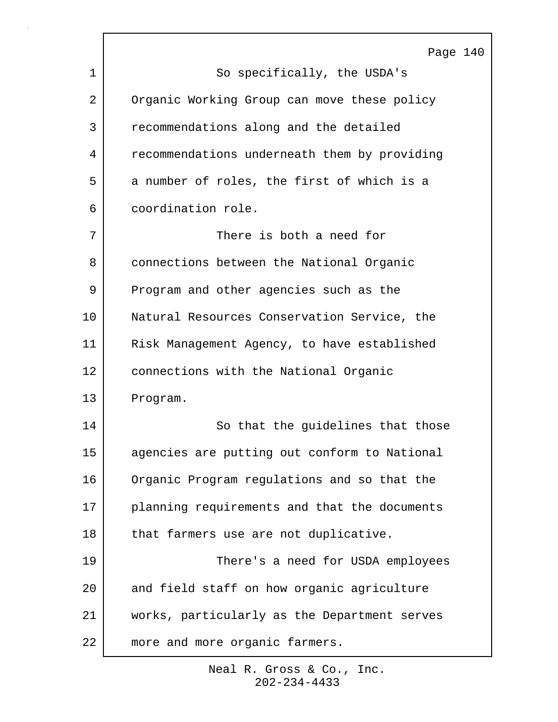Page 140 1 So specifically, the USDA's 2 Organic Working Group can move these policy 3 recommendations along and the detailed 4 recommendations underneath them by providing 5 a number of roles, the first of which is a 6 coordination role. 7 There is both a need for 8 connections between the National Organic 9 Program and other agencies such as the 10 | Natural Resources Conservation Service, the 11 Risk Management Agency, to have established 12 connections with the National Organic 13 Program. 14 So that the guidelines that those 15 agencies are putting out conform to National 16 Organic Program regulations and so that the 17 planning requirements and that the documents 18 | that farmers use are not duplicative. 19 There's a need for USDA employees 20 and field staff on how organic agriculture 21 works, particularly as the Department serves 22 more and more organic farmers.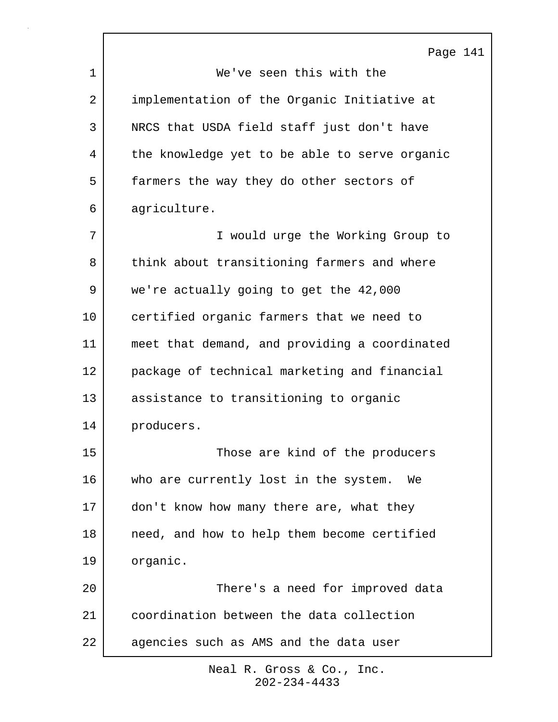| Page 141                                      |
|-----------------------------------------------|
| We've seen this with the                      |
| implementation of the Organic Initiative at   |
| NRCS that USDA field staff just don't have    |
| the knowledge yet to be able to serve organic |
| farmers the way they do other sectors of      |
| agriculture.                                  |
| I would urge the Working Group to             |
| think about transitioning farmers and where   |
| we're actually going to get the 42,000        |
| certified organic farmers that we need to     |
| meet that demand, and providing a coordinated |
| package of technical marketing and financial  |
| assistance to transitioning to organic        |
| producers.                                    |
| Those are kind of the producers               |
| who are currently lost in the system.<br>We   |
| don't know how many there are, what they      |
| need, and how to help them become certified   |
| organic.                                      |
| There's a need for improved data              |
| coordination between the data collection      |
| agencies such as AMS and the data user        |
|                                               |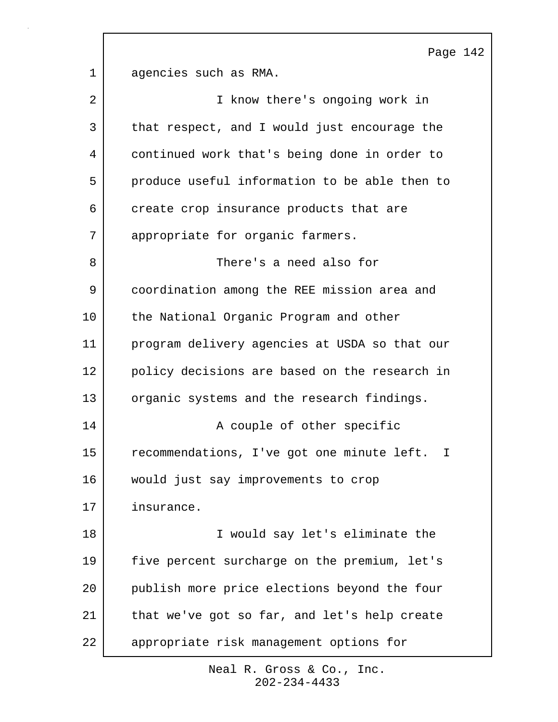Page 142 1 agencies such as RMA. 2 | T know there's ongoing work in 3 that respect, and I would just encourage the 4 continued work that's being done in order to 5 produce useful information to be able then to 6 create crop insurance products that are 7 appropriate for organic farmers. 8 There's a need also for 9 coordination among the REE mission area and 10 the National Organic Program and other 11 program delivery agencies at USDA so that our 12 policy decisions are based on the research in 13 organic systems and the research findings. 14 | Require A couple of other specific 15 | recommendations, I've got one minute left. I 16 would just say improvements to crop 17 insurance. 18 I would say let's eliminate the 19 five percent surcharge on the premium, let's 20 publish more price elections beyond the four 21 that we've got so far, and let's help create 22 appropriate risk management options for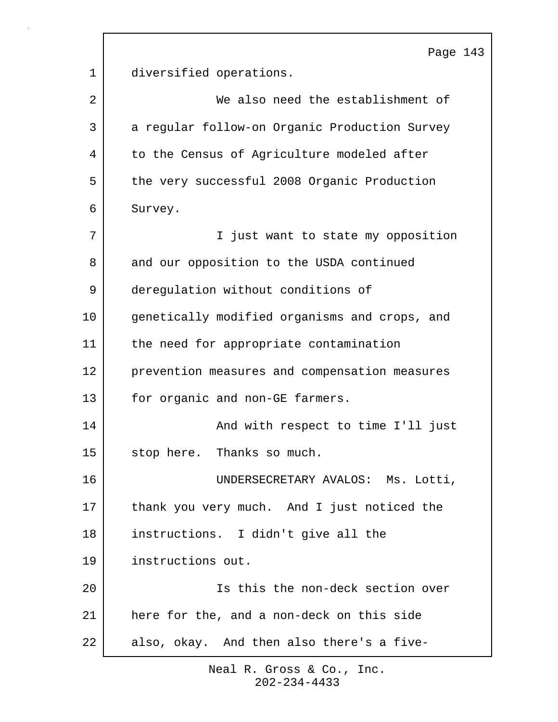Page 143 1 diversified operations. 2 We also need the establishment of 3 a regular follow-on Organic Production Survey 4 to the Census of Agriculture modeled after 5 the very successful 2008 Organic Production 6 Survey. 7 | Tiust want to state my opposition 8 and our opposition to the USDA continued 9 deregulation without conditions of 10 genetically modified organisms and crops, and 11 | the need for appropriate contamination 12 prevention measures and compensation measures 13 for organic and non-GE farmers. 14 | And with respect to time I'll just 15 stop here. Thanks so much. 16 UNDERSECRETARY AVALOS: Ms. Lotti, 17 thank you very much. And I just noticed the 18 instructions. I didn't give all the 19 instructions out. 20 Is this the non-deck section over 21 here for the, and a non-deck on this side 22 also, okay. And then also there's a five-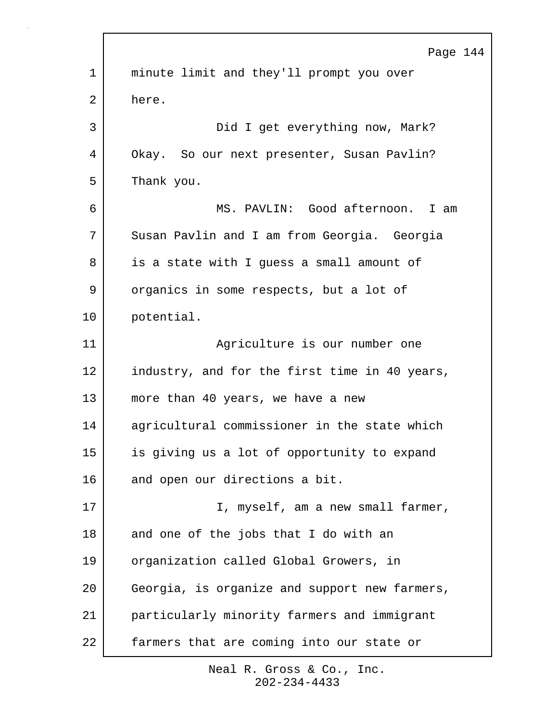|             | Page 144                                      |
|-------------|-----------------------------------------------|
| $\mathbf 1$ | minute limit and they'll prompt you over      |
| 2           | here.                                         |
| 3           | Did I get everything now, Mark?               |
| 4           | Okay. So our next presenter, Susan Pavlin?    |
| 5           | Thank you.                                    |
| 6           | MS. PAVLIN: Good afternoon. I am              |
| 7           | Susan Pavlin and I am from Georgia. Georgia   |
| 8           | is a state with I quess a small amount of     |
| 9           | organics in some respects, but a lot of       |
| 10          | potential.                                    |
| 11          | Agriculture is our number one                 |
| 12          | industry, and for the first time in 40 years, |
| 13          | more than 40 years, we have a new             |
| 14          | agricultural commissioner in the state which  |
| 15          | is giving us a lot of opportunity to expand   |
| 16          | and open our directions a bit.                |
| 17          | I, myself, am a new small farmer,             |
| 18          | and one of the jobs that I do with an         |
| 19          | organization called Global Growers, in        |
| 20          | Georgia, is organize and support new farmers, |
| 21          | particularly minority farmers and immigrant   |
| 22          | farmers that are coming into our state or     |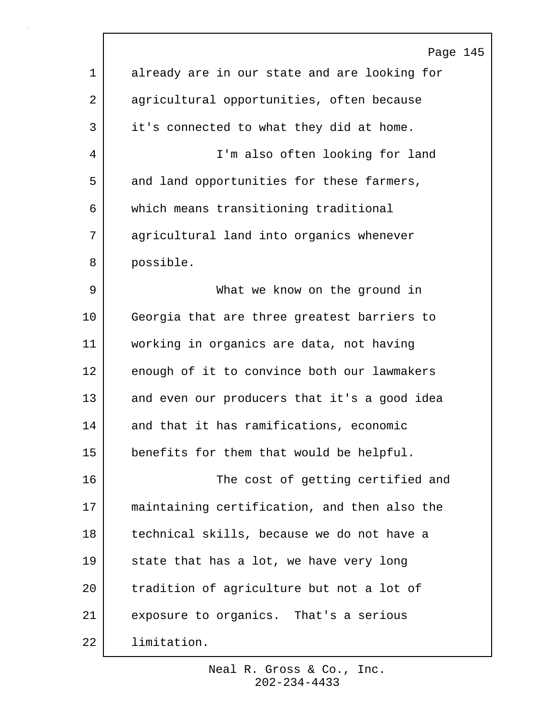|                | Page 145                                     |
|----------------|----------------------------------------------|
| $\mathbf 1$    | already are in our state and are looking for |
| $\overline{2}$ | agricultural opportunities, often because    |
| 3              | it's connected to what they did at home.     |
| 4              | I'm also often looking for land              |
| 5              | and land opportunities for these farmers,    |
| 6              | which means transitioning traditional        |
| 7              | agricultural land into organics whenever     |
| 8              | possible.                                    |
| 9              | What we know on the ground in                |
| 10             | Georgia that are three greatest barriers to  |
| 11             | working in organics are data, not having     |
| 12             | enough of it to convince both our lawmakers  |
| 13             | and even our producers that it's a good idea |
| 14             | and that it has ramifications, economic      |
| 15             | benefits for them that would be helpful.     |
| 16             | The cost of getting certified and            |
| 17             | maintaining certification, and then also the |
| 18             | technical skills, because we do not have a   |
| 19             | state that has a lot, we have very long      |
| 20             | tradition of agriculture but not a lot of    |
| 21             | exposure to organics. That's a serious       |
| 22             | limitation.                                  |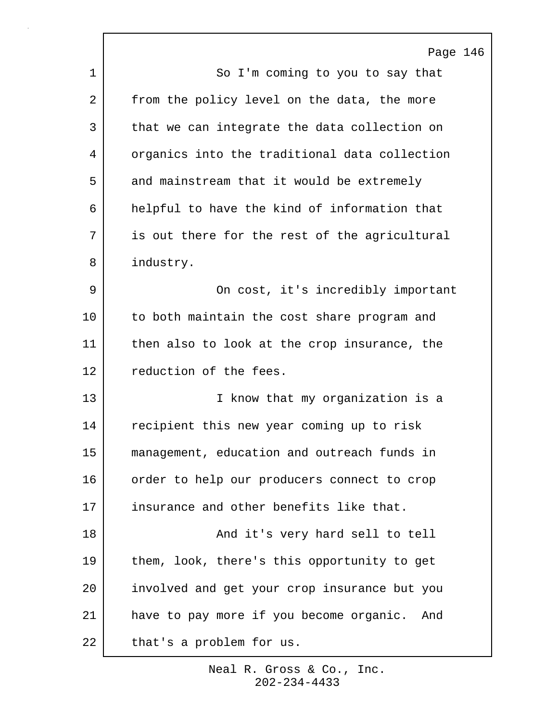Page 146 1 So I'm coming to you to say that 2 from the policy level on the data, the more 3 that we can integrate the data collection on 4 organics into the traditional data collection 5 and mainstream that it would be extremely 6 helpful to have the kind of information that 7 is out there for the rest of the agricultural 8 industry. 9 | Concost, it's incredibly important 10 to both maintain the cost share program and 11 | then also to look at the crop insurance, the 12 reduction of the fees. 13 | The I know that my organization is a 14 recipient this new year coming up to risk 15 management, education and outreach funds in 16 order to help our producers connect to crop 17 insurance and other benefits like that. 18 | The Contracture Character Share Share Share Share Share Share Share Share Share Share Share Share Share S 19 | them, look, there's this opportunity to get 20 involved and get your crop insurance but you 21 have to pay more if you become organic. And 22 that's a problem for us.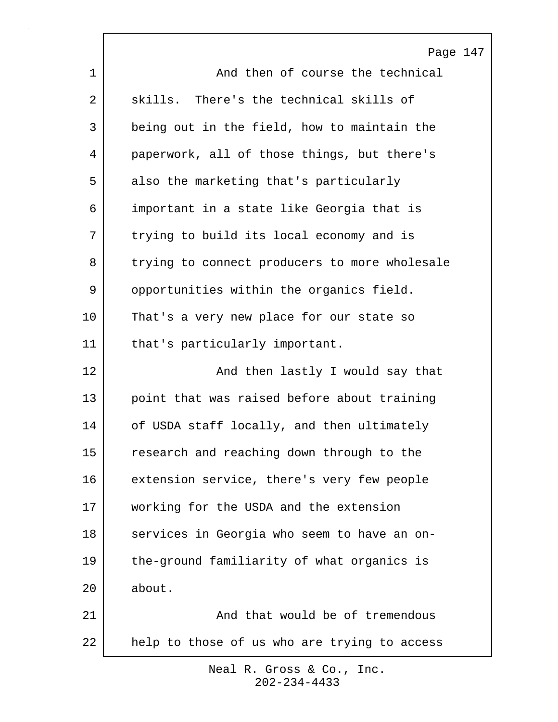|             | Page 147                                      |
|-------------|-----------------------------------------------|
| $\mathbf 1$ | And then of course the technical              |
| 2           | skills. There's the technical skills of       |
| 3           | being out in the field, how to maintain the   |
| 4           | paperwork, all of those things, but there's   |
| 5           | also the marketing that's particularly        |
| 6           | important in a state like Georgia that is     |
| 7           | trying to build its local economy and is      |
| 8           | trying to connect producers to more wholesale |
| 9           | opportunities within the organics field.      |
| 10          | That's a very new place for our state so      |
| 11          | that's particularly important.                |
| 12          | And then lastly I would say that              |
| 13          | point that was raised before about training   |
| 14          | of USDA staff locally, and then ultimately    |
| 15          | research and reaching down through to the     |
| 16          | extension service, there's very few people    |
| 17          | working for the USDA and the extension        |
| 18          | services in Georgia who seem to have an on-   |
| 19          | the-ground familiarity of what organics is    |
| 20          | about.                                        |
| 21          | And that would be of tremendous               |
| 22          | help to those of us who are trying to access  |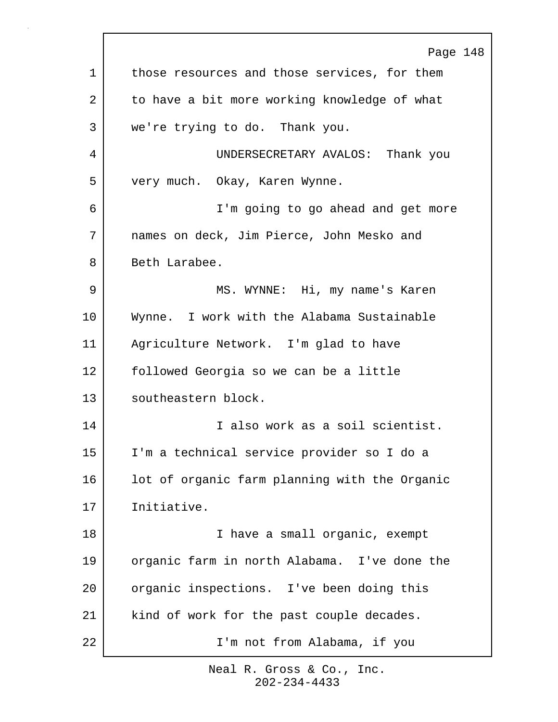Page 148 1 those resources and those services, for them 2 to have a bit more working knowledge of what 3 we're trying to do. Thank you. 4 UNDERSECRETARY AVALOS: Thank you 5 very much. Okay, Karen Wynne. 6 I'm going to go ahead and get more 7 names on deck, Jim Pierce, John Mesko and 8 Beth Larabee. 9 MS. WYNNE: Hi, my name's Karen 10 Wynne. I work with the Alabama Sustainable 11 Agriculture Network. I'm glad to have 12 followed Georgia so we can be a little 13 southeastern block. 14 I also work as a soil scientist. 15 I'm a technical service provider so I do a 16 | lot of organic farm planning with the Organic 17 Initiative. 18 | I have a small organic, exempt 19 organic farm in north Alabama. I've done the 20 organic inspections. I've been doing this 21 | kind of work for the past couple decades. 22 I'm not from Alabama, if you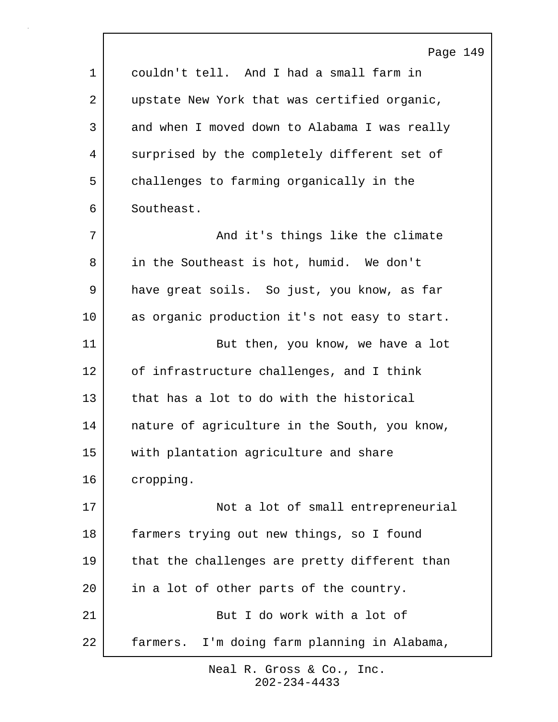|             | Page 149                                      |
|-------------|-----------------------------------------------|
| $\mathbf 1$ | couldn't tell. And I had a small farm in      |
| 2           | upstate New York that was certified organic,  |
| 3           | and when I moved down to Alabama I was really |
| 4           | surprised by the completely different set of  |
| 5           | challenges to farming organically in the      |
| 6           | Southeast.                                    |
| 7           | And it's things like the climate              |
| 8           | in the Southeast is hot, humid. We don't      |
| 9           | have great soils. So just, you know, as far   |
| 10          | as organic production it's not easy to start. |
| 11          | But then, you know, we have a lot             |
| 12          | of infrastructure challenges, and I think     |
| 13          | that has a lot to do with the historical      |
| 14          | nature of agriculture in the South, you know, |
| 15          | with plantation agriculture and share         |
| 16          | cropping.                                     |
| 17          | Not a lot of small entrepreneurial            |
| 18          | farmers trying out new things, so I found     |
| 19          | that the challenges are pretty different than |
| 20          | in a lot of other parts of the country.       |
| 21          | But I do work with a lot of                   |
| 22          | farmers. I'm doing farm planning in Alabama,  |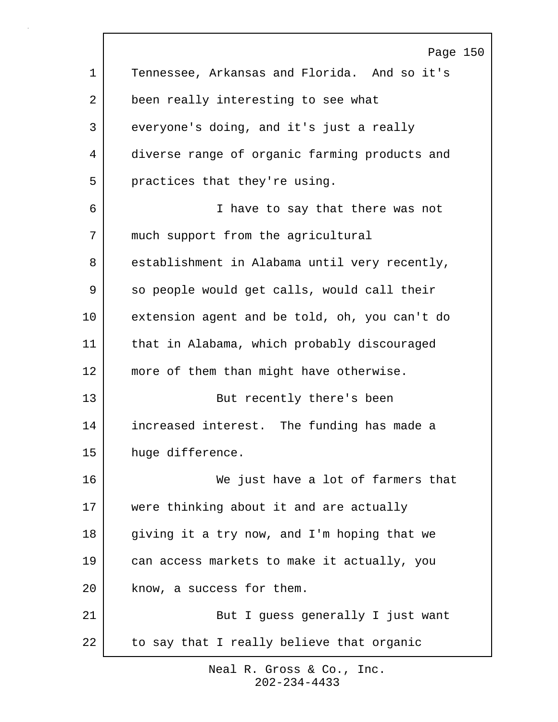Page 150 1 Tennessee, Arkansas and Florida. And so it's 2 been really interesting to see what 3 everyone's doing, and it's just a really 4 diverse range of organic farming products and 5 practices that they're using. 6 I have to say that there was not 7 | much support from the agricultural 8 establishment in Alabama until very recently, 9 so people would get calls, would call their 10 extension agent and be told, oh, you can't do 11 that in Alabama, which probably discouraged 12 | more of them than might have otherwise. 13 But recently there's been 14 increased interest. The funding has made a 15 huge difference. 16 We just have a lot of farmers that 17 were thinking about it and are actually 18 giving it a try now, and I'm hoping that we 19 can access markets to make it actually, you 20 know, a success for them. 21 | But I guess generally I just want 22 to say that I really believe that organic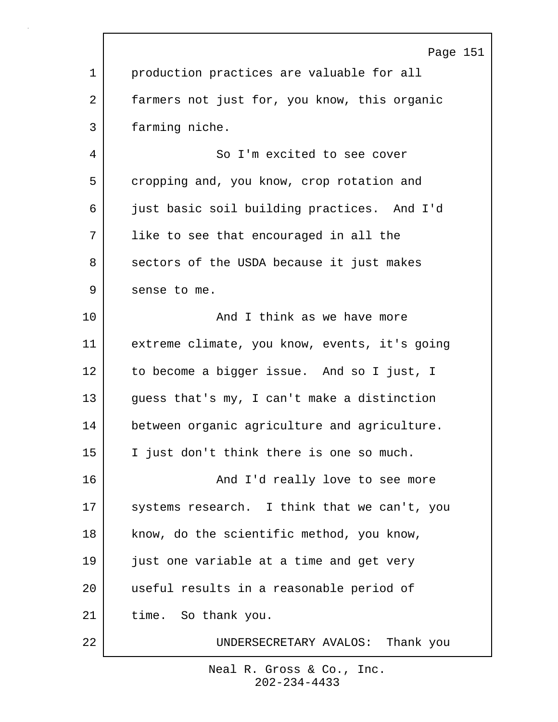|                | Page 151                                      |
|----------------|-----------------------------------------------|
| $\mathbf 1$    | production practices are valuable for all     |
| $\overline{2}$ | farmers not just for, you know, this organic  |
| 3              | farming niche.                                |
| 4              | So I'm excited to see cover                   |
| 5              | cropping and, you know, crop rotation and     |
| 6              | just basic soil building practices. And I'd   |
| 7              | like to see that encouraged in all the        |
| 8              | sectors of the USDA because it just makes     |
| 9              | sense to me.                                  |
| 10             | And I think as we have more                   |
| 11             | extreme climate, you know, events, it's going |
| 12             | to become a bigger issue. And so I just, I    |
| 13             | guess that's my, I can't make a distinction   |
| 14             | between organic agriculture and agriculture.  |
| 15             | I just don't think there is one so much.      |
| 16             | And I'd really love to see more               |
| 17             | systems research. I think that we can't, you  |
| 18             | know, do the scientific method, you know,     |
| 19             | just one variable at a time and get very      |
| 20             | useful results in a reasonable period of      |
| 21             | time. So thank you.                           |
| 22             | UNDERSECRETARY AVALOS: Thank you              |

r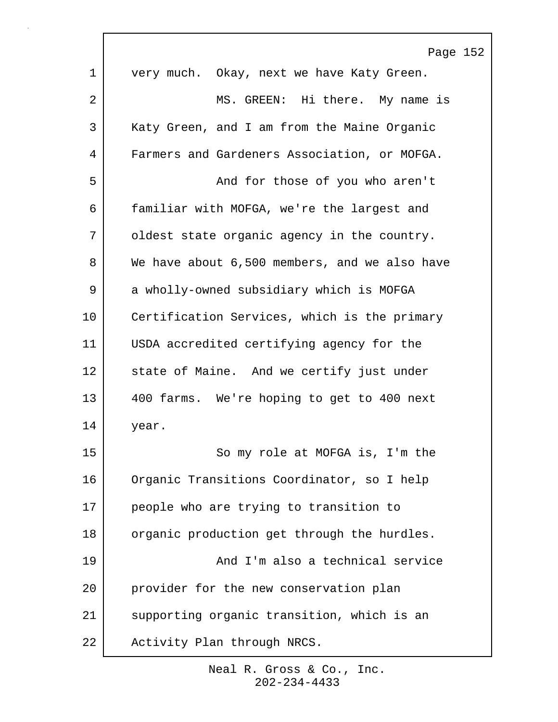|    | Page 152                                      |
|----|-----------------------------------------------|
| 1  | very much. Okay, next we have Katy Green.     |
| 2  | MS. GREEN: Hi there. My name is               |
| 3  | Katy Green, and I am from the Maine Organic   |
| 4  | Farmers and Gardeners Association, or MOFGA.  |
| 5  | And for those of you who aren't               |
| 6  | familiar with MOFGA, we're the largest and    |
| 7  | oldest state organic agency in the country.   |
| 8  | We have about 6,500 members, and we also have |
| 9  | a wholly-owned subsidiary which is MOFGA      |
| 10 | Certification Services, which is the primary  |
| 11 | USDA accredited certifying agency for the     |
| 12 | state of Maine. And we certify just under     |
| 13 | 400 farms. We're hoping to get to 400 next    |
| 14 | year.                                         |
| 15 | So my role at MOFGA is, I'm the               |
| 16 | Organic Transitions Coordinator, so I help    |
| 17 | people who are trying to transition to        |
| 18 | organic production get through the hurdles.   |
| 19 | And I'm also a technical service              |
| 20 | provider for the new conservation plan        |
| 21 | supporting organic transition, which is an    |
| 22 | Activity Plan through NRCS.                   |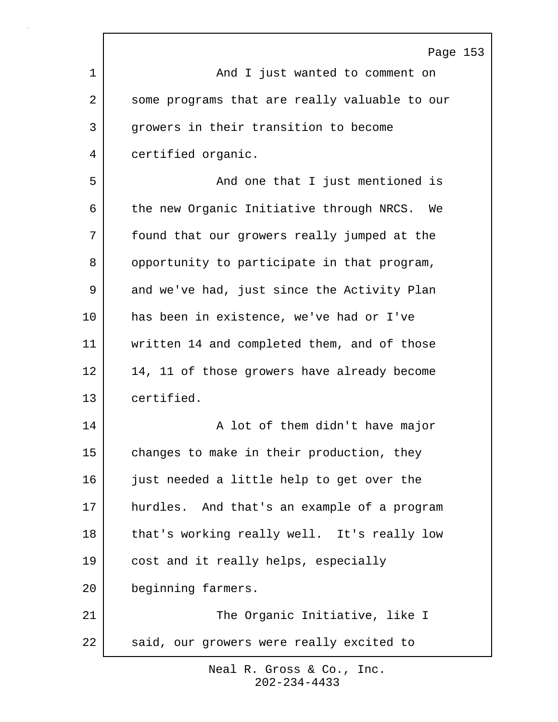|             | Page 153                                       |
|-------------|------------------------------------------------|
| $\mathbf 1$ | And I just wanted to comment on                |
| 2           | some programs that are really valuable to our  |
| 3           | growers in their transition to become          |
| 4           | certified organic.                             |
| 5           | And one that I just mentioned is               |
| 6           | the new Organic Initiative through NRCS.<br>We |
| 7           | found that our growers really jumped at the    |
| 8           | opportunity to participate in that program,    |
| 9           | and we've had, just since the Activity Plan    |
| $10 \,$     | has been in existence, we've had or I've       |
| 11          | written 14 and completed them, and of those    |
| 12          | 14, 11 of those growers have already become    |
| 13          | certified.                                     |
| 14          | A lot of them didn't have major                |
| 15          | changes to make in their production, they      |
| 16          | just needed a little help to get over the      |
| 17          | hurdles. And that's an example of a program    |
| 18          | that's working really well. It's really low    |
| 19          | cost and it really helps, especially           |
| 20          | beginning farmers.                             |
| 21          | The Organic Initiative, like I                 |
| 22          | said, our growers were really excited to       |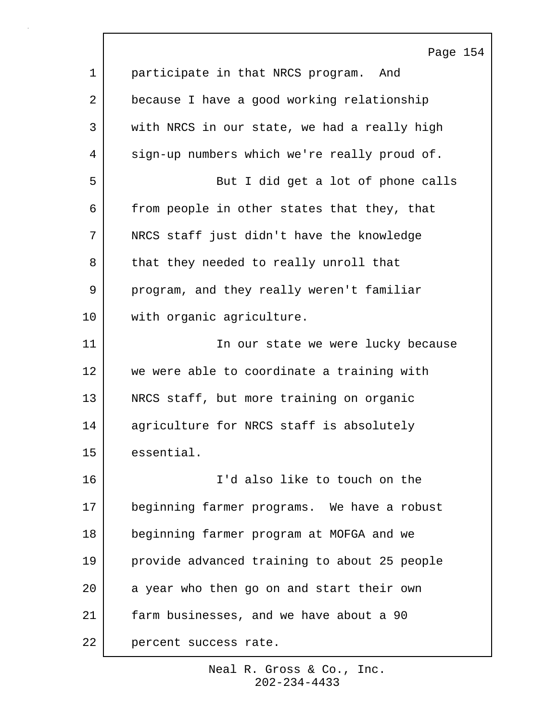|             | Page 154                                     |
|-------------|----------------------------------------------|
| $\mathbf 1$ | participate in that NRCS program. And        |
| 2           | because I have a good working relationship   |
| 3           | with NRCS in our state, we had a really high |
| 4           | sign-up numbers which we're really proud of. |
| 5           | But I did get a lot of phone calls           |
| 6           | from people in other states that they, that  |
| 7           | NRCS staff just didn't have the knowledge    |
| 8           | that they needed to really unroll that       |
| 9           | program, and they really weren't familiar    |
| 10          | with organic agriculture.                    |
| 11          | In our state we were lucky because           |
| 12          | we were able to coordinate a training with   |
| 13          | NRCS staff, but more training on organic     |
| 14          | agriculture for NRCS staff is absolutely     |
| 15          | essential.                                   |
| 16          | I'd also like to touch on the                |
| 17          | beginning farmer programs. We have a robust  |
| 18          | beginning farmer program at MOFGA and we     |
| 19          | provide advanced training to about 25 people |
| 20          | a year who then go on and start their own    |
| 21          | farm businesses, and we have about a 90      |
| 22          | percent success rate.                        |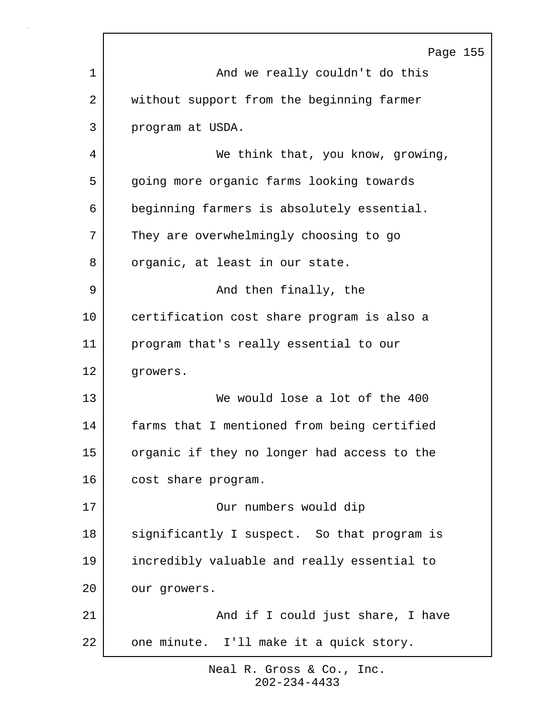|    | Page 155                                    |
|----|---------------------------------------------|
| 1  | And we really couldn't do this              |
| 2  | without support from the beginning farmer   |
| 3  | program at USDA.                            |
| 4  | We think that, you know, growing,           |
| 5  | going more organic farms looking towards    |
| 6  | beginning farmers is absolutely essential.  |
| 7  | They are overwhelmingly choosing to go      |
| 8  | organic, at least in our state.             |
| 9  | And then finally, the                       |
| 10 | certification cost share program is also a  |
| 11 | program that's really essential to our      |
| 12 | growers.                                    |
| 13 | We would lose a lot of the 400              |
| 14 | farms that I mentioned from being certified |
| 15 | organic if they no longer had access to the |
| 16 | cost share program.                         |
| 17 | Our numbers would dip                       |
| 18 | significantly I suspect. So that program is |
| 19 | incredibly valuable and really essential to |
| 20 | our growers.                                |
| 21 | And if I could just share, I have           |
| 22 | one minute. I'll make it a quick story.     |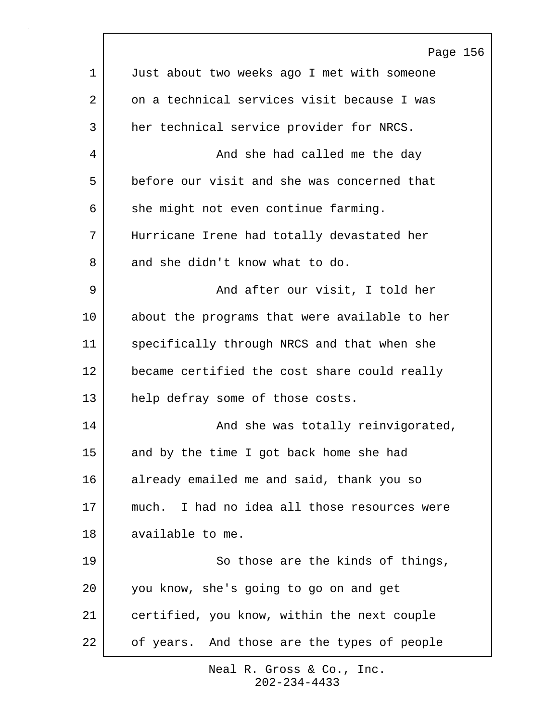|             | Page 156                                        |
|-------------|-------------------------------------------------|
| $\mathbf 1$ | Just about two weeks ago I met with someone     |
| 2           | on a technical services visit because I was     |
| 3           | her technical service provider for NRCS.        |
| 4           | And she had called me the day                   |
| 5           | before our visit and she was concerned that     |
| 6           | she might not even continue farming.            |
| 7           | Hurricane Irene had totally devastated her      |
| 8           | and she didn't know what to do.                 |
| 9           | And after our visit, I told her                 |
| 10          | about the programs that were available to her   |
| 11          | specifically through NRCS and that when she     |
| 12          | became certified the cost share could really    |
| 13          | help defray some of those costs.                |
| 14          | And she was totally reinvigorated,              |
| 15          | and by the time I got back home she had         |
| 16          | already emailed me and said, thank you so       |
| 17          | I had no idea all those resources were<br>much. |
| 18          | available to me.                                |
| 19          | So those are the kinds of things,               |
| 20          | you know, she's going to go on and get          |
| 21          | certified, you know, within the next couple     |
| 22          | of years. And those are the types of people     |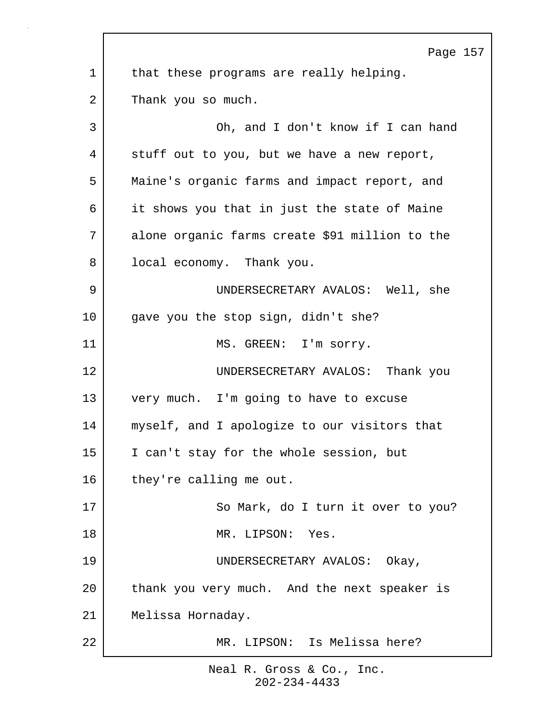Page 157 1 | that these programs are really helping. 2 Thank you so much. 3 Oh, and I don't know if I can hand 4 stuff out to you, but we have a new report, 5 Maine's organic farms and impact report, and 6 it shows you that in just the state of Maine 7 alone organic farms create \$91 million to the 8 | local economy. Thank you. 9 UNDERSECRETARY AVALOS: Well, she 10 gave you the stop sign, didn't she? 11 | MS. GREEN: I'm sorry. 12 UNDERSECRETARY AVALOS: Thank you 13 very much. I'm going to have to excuse 14 myself, and I apologize to our visitors that 15 I can't stay for the whole session, but 16 they're calling me out. 17 So Mark, do I turn it over to you? 18 MR. LIPSON: Yes. 19 UNDERSECRETARY AVALOS: Okay, 20 thank you very much. And the next speaker is 21 Melissa Hornaday. 22 MR. LIPSON: Is Melissa here?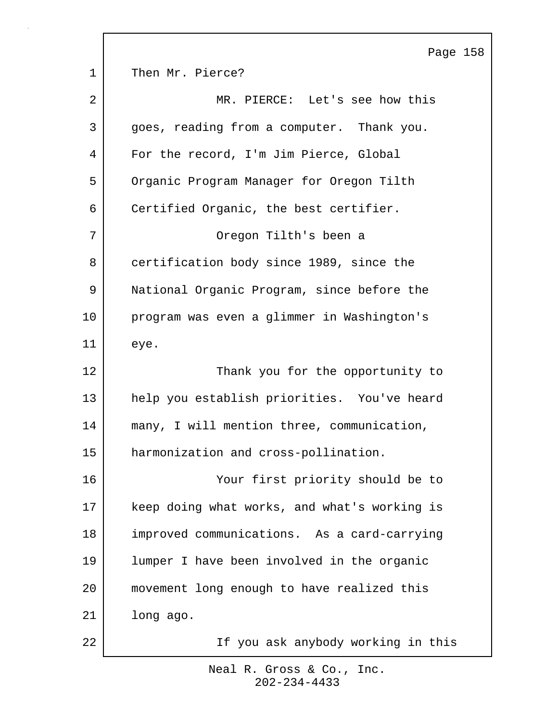|             | Page 158                                     |
|-------------|----------------------------------------------|
| $\mathbf 1$ | Then Mr. Pierce?                             |
| 2           | MR. PIERCE: Let's see how this               |
| 3           | goes, reading from a computer. Thank you.    |
| 4           | For the record, I'm Jim Pierce, Global       |
| 5           | Organic Program Manager for Oregon Tilth     |
| 6           | Certified Organic, the best certifier.       |
| 7           | Oregon Tilth's been a                        |
| 8           | certification body since 1989, since the     |
| 9           | National Organic Program, since before the   |
| 10          | program was even a glimmer in Washington's   |
| 11          | eye.                                         |
| 12          | Thank you for the opportunity to             |
| 13          | help you establish priorities. You've heard  |
| 14          | many, I will mention three, communication,   |
| 15          | harmonization and cross-pollination.         |
| 16          | Your first priority should be to             |
| 17          | keep doing what works, and what's working is |
| 18          | improved communications. As a card-carrying  |
| 19          | lumper I have been involved in the organic   |
| 20          | movement long enough to have realized this   |
| 21          | long ago.                                    |
| 22          | If you ask anybody working in this           |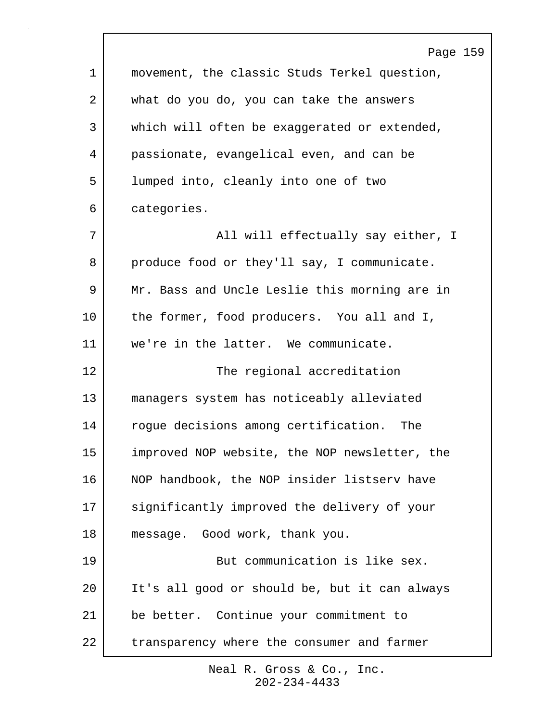|    | Page 159                                      |
|----|-----------------------------------------------|
| 1  | movement, the classic Studs Terkel question,  |
| 2  | what do you do, you can take the answers      |
| 3  | which will often be exaggerated or extended,  |
| 4  | passionate, evangelical even, and can be      |
| 5  | lumped into, cleanly into one of two          |
| 6  | categories.                                   |
| 7  | All will effectually say either, I            |
| 8  | produce food or they'll say, I communicate.   |
| 9  | Mr. Bass and Uncle Leslie this morning are in |
| 10 | the former, food producers. You all and I,    |
| 11 | we're in the latter. We communicate.          |
| 12 | The regional accreditation                    |
| 13 | managers system has noticeably alleviated     |
| 14 | roque decisions among certification.<br>The   |
| 15 | improved NOP website, the NOP newsletter, the |
| 16 | NOP handbook, the NOP insider listserv have   |
| 17 | significantly improved the delivery of your   |
| 18 | message. Good work, thank you.                |
| 19 | But communication is like sex.                |
| 20 | It's all good or should be, but it can always |
| 21 | be better. Continue your commitment to        |
| 22 | transparency where the consumer and farmer    |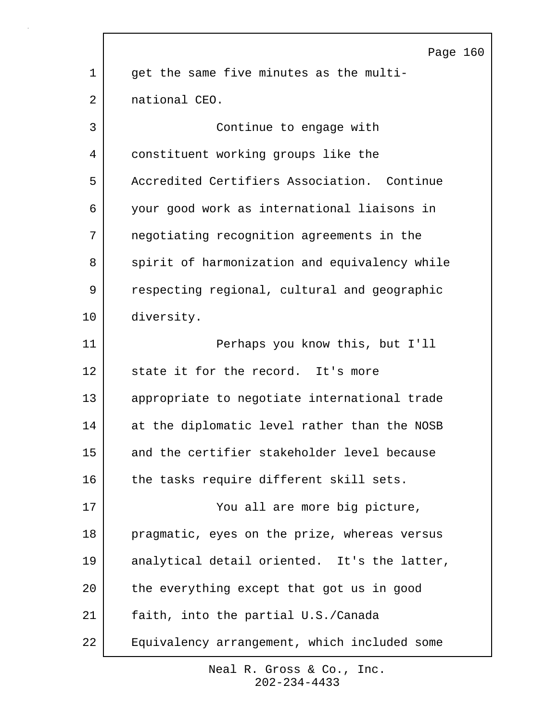|                | Page 160                                      |
|----------------|-----------------------------------------------|
| $\mathbf 1$    | get the same five minutes as the multi-       |
| $\overline{2}$ | national CEO.                                 |
| 3              | Continue to engage with                       |
| 4              | constituent working groups like the           |
| 5              | Accredited Certifiers Association. Continue   |
| 6              | your good work as international liaisons in   |
| 7              | negotiating recognition agreements in the     |
| 8              | spirit of harmonization and equivalency while |
| 9              | respecting regional, cultural and geographic  |
| 10             | diversity.                                    |
| 11             | Perhaps you know this, but I'll               |
| 12             | state it for the record. It's more            |
| 13             | appropriate to negotiate international trade  |
| 14             | at the diplomatic level rather than the NOSB  |
| 15             | and the certifier stakeholder level because   |
| 16             | the tasks require different skill sets.       |
| 17             | You all are more big picture,                 |
| 18             | pragmatic, eyes on the prize, whereas versus  |
| 19             | analytical detail oriented. It's the latter,  |
| 20             | the everything except that got us in good     |
| 21             | faith, into the partial U.S./Canada           |
| 22             | Equivalency arrangement, which included some  |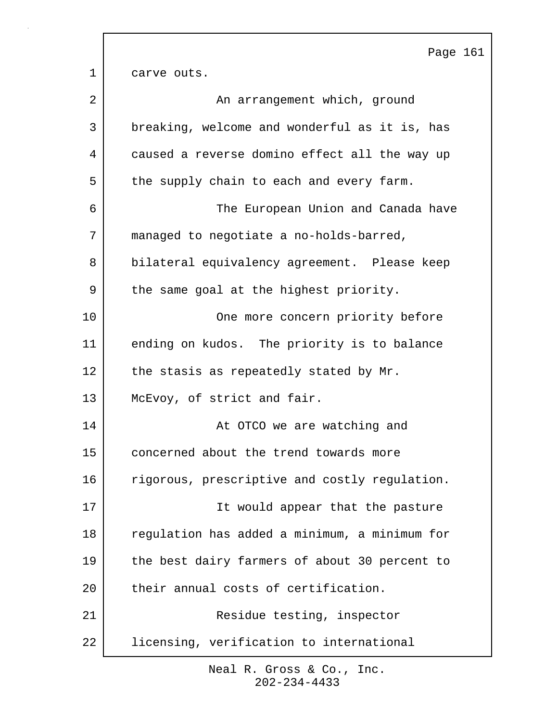Page 161 1 carve outs. 2 | An arrangement which, ground 3 breaking, welcome and wonderful as it is, has 4 caused a reverse domino effect all the way up 5 the supply chain to each and every farm. 6 The European Union and Canada have 7 managed to negotiate a no-holds-barred, 8 bilateral equivalency agreement. Please keep 9 | the same goal at the highest priority. 10 One more concern priority before 11 ending on kudos. The priority is to balance 12 the stasis as repeatedly stated by Mr. 13 McEvoy, of strict and fair. 14 **At OTCO** we are watching and 15 concerned about the trend towards more 16 rigorous, prescriptive and costly regulation. 17 | Tt would appear that the pasture 18 regulation has added a minimum, a minimum for 19 | the best dairy farmers of about 30 percent to 20 their annual costs of certification. 21 Residue testing, inspector 22 licensing, verification to international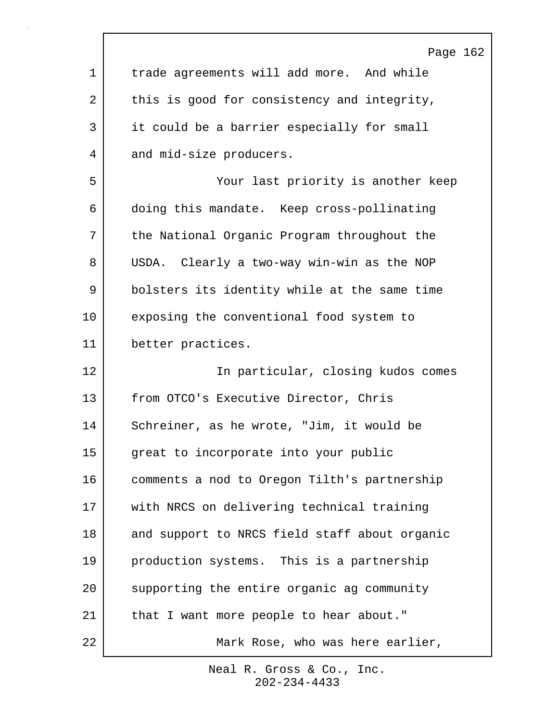|             | Page 162                                      |
|-------------|-----------------------------------------------|
| $\mathbf 1$ | trade agreements will add more. And while     |
| 2           | this is good for consistency and integrity,   |
| 3           | it could be a barrier especially for small    |
| 4           | and mid-size producers.                       |
| 5           | Your last priority is another keep            |
| 6           | doing this mandate. Keep cross-pollinating    |
| 7           | the National Organic Program throughout the   |
| 8           | USDA. Clearly a two-way win-win as the NOP    |
| 9           | bolsters its identity while at the same time  |
| 10          | exposing the conventional food system to      |
| 11          | better practices.                             |
| 12          | In particular, closing kudos comes            |
| 13          | from OTCO's Executive Director, Chris         |
| 14          | Schreiner, as he wrote, "Jim, it would be     |
| 15          | great to incorporate into your public         |
| 16          | comments a nod to Oregon Tilth's partnership  |
| 17          | with NRCS on delivering technical training    |
| 18          | and support to NRCS field staff about organic |
| 19          | production systems. This is a partnership     |
| 20          | supporting the entire organic ag community    |
| 21          | that I want more people to hear about."       |
| 22          | Mark Rose, who was here earlier,              |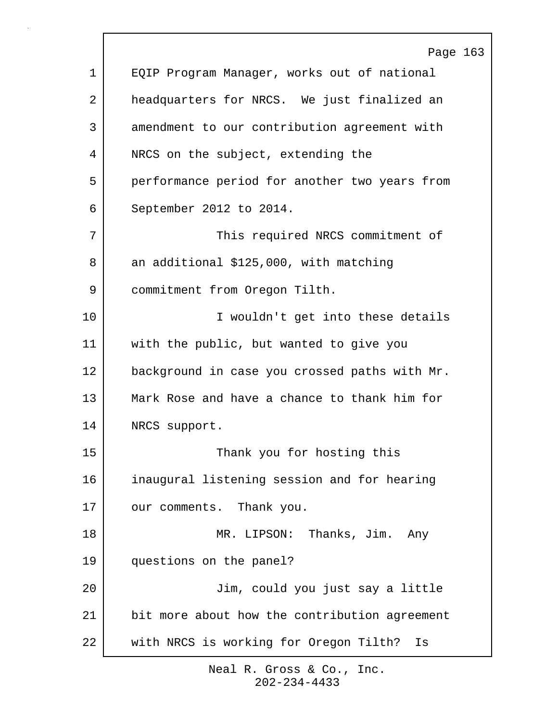|             | Page 163                                      |
|-------------|-----------------------------------------------|
| $\mathbf 1$ | EQIP Program Manager, works out of national   |
| 2           | headquarters for NRCS. We just finalized an   |
| 3           | amendment to our contribution agreement with  |
| 4           | NRCS on the subject, extending the            |
| 5           | performance period for another two years from |
| 6           | September 2012 to 2014.                       |
| 7           | This required NRCS commitment of              |
| 8           | an additional \$125,000, with matching        |
| 9           | commitment from Oregon Tilth.                 |
| 10          | I wouldn't get into these details             |
| 11          | with the public, but wanted to give you       |
| 12          | background in case you crossed paths with Mr. |
| 13          | Mark Rose and have a chance to thank him for  |
| 14          | NRCS support.                                 |
| 15          | Thank you for hosting this                    |
| 16          | inaugural listening session and for hearing   |
| 17          | our comments. Thank you.                      |
| 18          | MR. LIPSON: Thanks, Jim. Any                  |
| 19          | questions on the panel?                       |
| 20          | Jim, could you just say a little              |
| 21          | bit more about how the contribution agreement |
| 22          | with NRCS is working for Oregon Tilth? Is     |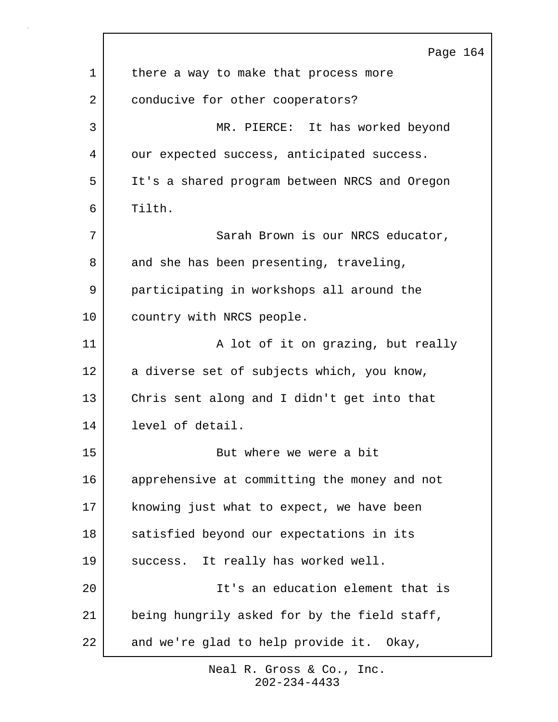|             | Page 164                                      |
|-------------|-----------------------------------------------|
| $\mathbf 1$ | there a way to make that process more         |
| 2           | conducive for other cooperators?              |
| 3           | MR. PIERCE: It has worked beyond              |
| 4           | our expected success, anticipated success.    |
| 5           | It's a shared program between NRCS and Oregon |
| 6           | Tilth.                                        |
| 7           | Sarah Brown is our NRCS educator,             |
| 8           | and she has been presenting, traveling,       |
| 9           | participating in workshops all around the     |
| 10          | country with NRCS people.                     |
| 11          | A lot of it on grazing, but really            |
| 12          | a diverse set of subjects which, you know,    |
| 13          | Chris sent along and I didn't get into that   |
| 14          | level of detail.                              |
| 15          | But where we were a bit                       |
| 16          | apprehensive at committing the money and not  |
| 17          | knowing just what to expect, we have been     |
| 18          | satisfied beyond our expectations in its      |
| 19          | It really has worked well.<br>success.        |
| 20          | It's an education element that is             |
| 21          | being hungrily asked for by the field staff,  |
| 22          | and we're glad to help provide it. Okay,      |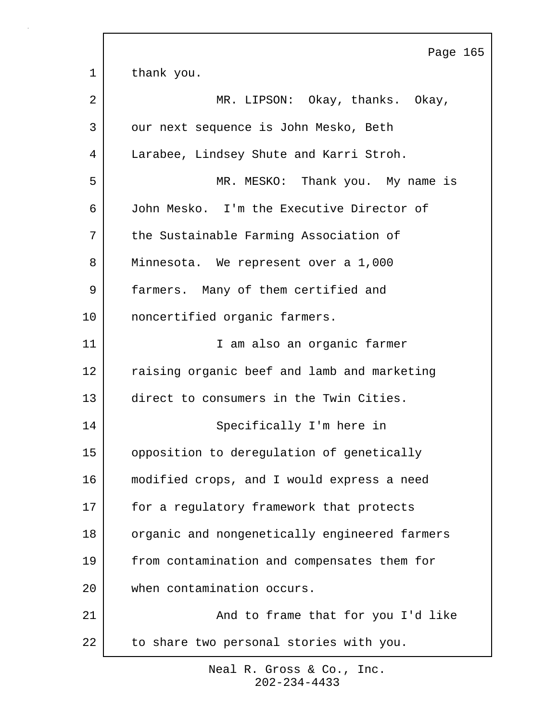Page 165 1 thank you. 2 MR. LIPSON: Okay, thanks. Okay, 3 our next sequence is John Mesko, Beth 4 Larabee, Lindsey Shute and Karri Stroh. 5 MR. MESKO: Thank you. My name is 6 John Mesko. I'm the Executive Director of 7 the Sustainable Farming Association of 8 Minnesota. We represent over a 1,000 9 farmers. Many of them certified and 10 | noncertified organic farmers. 11 | T am also an organic farmer 12 raising organic beef and lamb and marketing 13 direct to consumers in the Twin Cities. 14 Specifically I'm here in 15 opposition to deregulation of genetically 16 modified crops, and I would express a need 17 for a regulatory framework that protects 18 | organic and nongenetically engineered farmers 19 from contamination and compensates them for 20 when contamination occurs. 21 | And to frame that for you I'd like 22 to share two personal stories with you.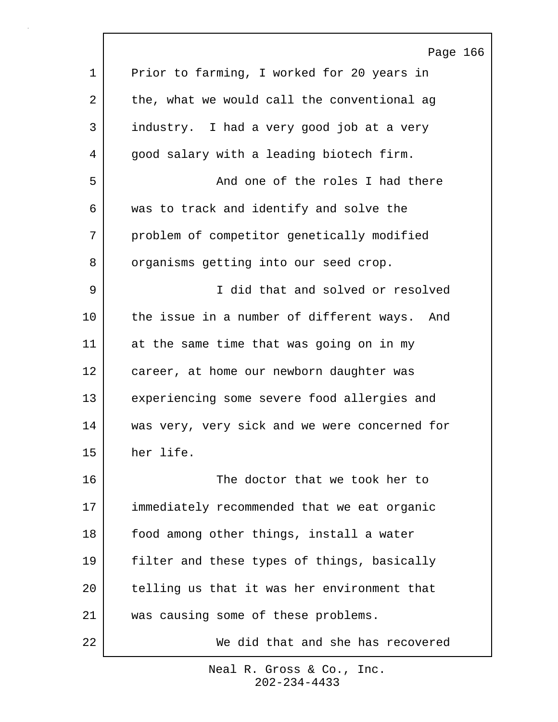|             | Page 166                                      |
|-------------|-----------------------------------------------|
| $\mathbf 1$ | Prior to farming, I worked for 20 years in    |
| 2           | the, what we would call the conventional ag   |
| 3           | industry. I had a very good job at a very     |
| 4           | good salary with a leading biotech firm.      |
| 5           | And one of the roles I had there              |
| 6           | was to track and identify and solve the       |
| 7           | problem of competitor genetically modified    |
| 8           | organisms getting into our seed crop.         |
| 9           | I did that and solved or resolved             |
| 10          | the issue in a number of different ways. And  |
| 11          | at the same time that was going on in my      |
| 12          | career, at home our newborn daughter was      |
| 13          | experiencing some severe food allergies and   |
| 14          | was very, very sick and we were concerned for |
| 15          | her life.                                     |
| 16          | The doctor that we took her to                |
| 17          | immediately recommended that we eat organic   |
| 18          | food among other things, install a water      |
| 19          | filter and these types of things, basically   |
| 20          | telling us that it was her environment that   |
| 21          | was causing some of these problems.           |
| 22          | We did that and she has recovered             |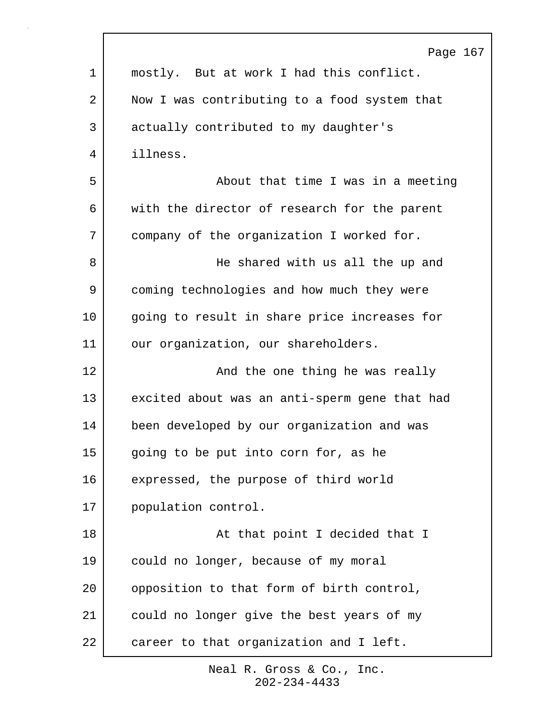|             | Page 167                                      |
|-------------|-----------------------------------------------|
| $\mathbf 1$ | mostly. But at work I had this conflict.      |
| 2           | Now I was contributing to a food system that  |
| 3           | actually contributed to my daughter's         |
| 4           | illness.                                      |
| 5           | About that time I was in a meeting            |
| 6           | with the director of research for the parent  |
| 7           | company of the organization I worked for.     |
| 8           | He shared with us all the up and              |
| 9           | coming technologies and how much they were    |
| 10          | going to result in share price increases for  |
| 11          | our organization, our shareholders.           |
| 12          | And the one thing he was really               |
| 13          | excited about was an anti-sperm gene that had |
| 14          | been developed by our organization and was    |
| 15          | going to be put into corn for, as he          |
| 16          | expressed, the purpose of third world         |
| 17          | population control.                           |
| 18          | At that point I decided that I                |
| 19          | could no longer, because of my moral          |
| 20          | opposition to that form of birth control,     |
| 21          | could no longer give the best years of my     |
| 22          | career to that organization and I left.       |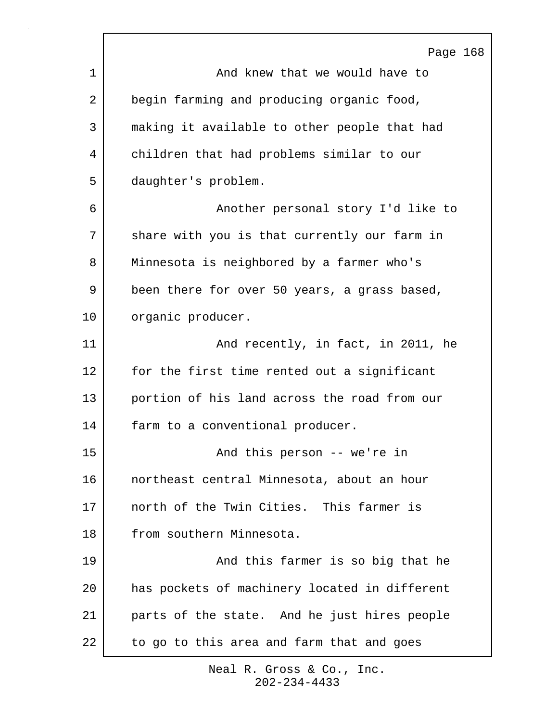|    | Page 168                                      |
|----|-----------------------------------------------|
| 1  | And knew that we would have to                |
| 2  | begin farming and producing organic food,     |
| 3  | making it available to other people that had  |
| 4  | children that had problems similar to our     |
| 5  | daughter's problem.                           |
| 6  | Another personal story I'd like to            |
| 7  | share with you is that currently our farm in  |
| 8  | Minnesota is neighbored by a farmer who's     |
| 9  | been there for over 50 years, a grass based,  |
| 10 | organic producer.                             |
| 11 | And recently, in fact, in 2011, he            |
| 12 | for the first time rented out a significant   |
| 13 | portion of his land across the road from our  |
| 14 | farm to a conventional producer.              |
| 15 | And this person -- we're in                   |
| 16 | northeast central Minnesota, about an hour    |
| 17 | north of the Twin Cities. This farmer is      |
| 18 | from southern Minnesota.                      |
| 19 | And this farmer is so big that he             |
| 20 | has pockets of machinery located in different |
| 21 | parts of the state. And he just hires people  |
| 22 | to go to this area and farm that and goes     |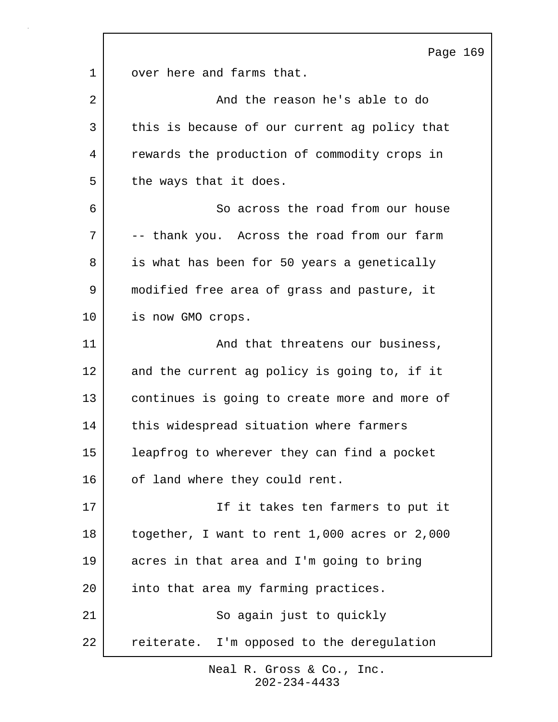Page 169 1 over here and farms that. 2 and the reason he's able to do 3 this is because of our current ag policy that 4 rewards the production of commodity crops in 5 the ways that it does. 6 So across the road from our house 7 -- thank you. Across the road from our farm 8 is what has been for 50 years a genetically 9 | modified free area of grass and pasture, it 10 is now GMO crops. 11 and that threatens our business, 12 and the current ag policy is going to, if it 13 continues is going to create more and more of 14 | this widespread situation where farmers 15 leapfrog to wherever they can find a pocket 16 of land where they could rent. 17 | The settle state is the start of the state of the state of the state of the state of the state of the sta 18 together, I want to rent 1,000 acres or 2,000 19 acres in that area and I'm going to bring 20 into that area my farming practices. 21 So again just to quickly 22 reiterate. I'm opposed to the deregulation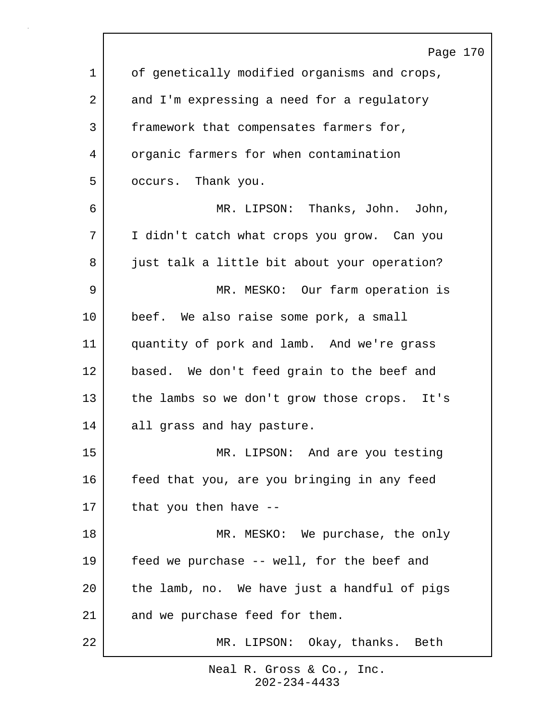|    | Page 170                                     |
|----|----------------------------------------------|
| 1  | of genetically modified organisms and crops, |
| 2  | and I'm expressing a need for a regulatory   |
| 3  | framework that compensates farmers for,      |
| 4  | organic farmers for when contamination       |
| 5  | occurs. Thank you.                           |
| 6  | MR. LIPSON: Thanks, John. John,              |
| 7  | I didn't catch what crops you grow. Can you  |
| 8  | just talk a little bit about your operation? |
| 9  | MR. MESKO: Our farm operation is             |
| 10 | beef. We also raise some pork, a small       |
| 11 | quantity of pork and lamb. And we're grass   |
| 12 | based. We don't feed grain to the beef and   |
| 13 | the lambs so we don't grow those crops. It's |
| 14 | all grass and hay pasture.                   |
| 15 | MR. LIPSON: And are you testing              |
| 16 | feed that you, are you bringing in any feed  |
| 17 | that you then have --                        |
| 18 | MR. MESKO: We purchase, the only             |
| 19 | feed we purchase -- well, for the beef and   |
| 20 | the lamb, no. We have just a handful of pigs |
| 21 | and we purchase feed for them.               |
| 22 | MR. LIPSON: Okay, thanks. Beth               |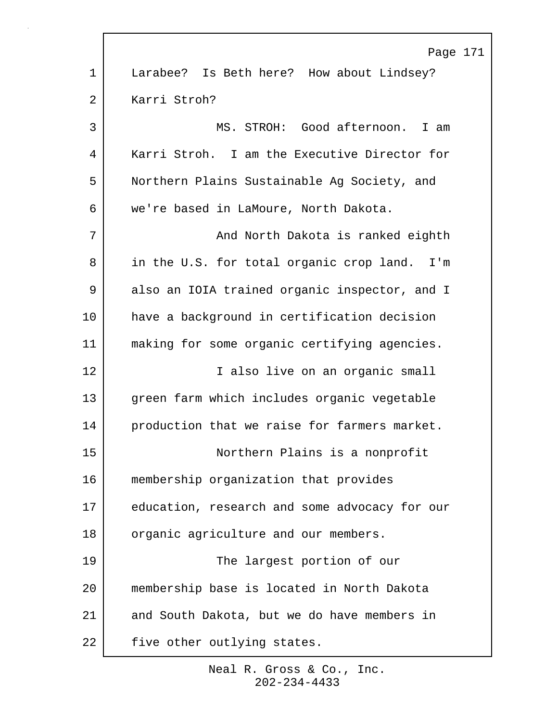|             | Page 171                                      |
|-------------|-----------------------------------------------|
| $\mathbf 1$ | Larabee? Is Beth here? How about Lindsey?     |
| 2           | Karri Stroh?                                  |
| 3           | MS. STROH: Good afternoon. I am               |
| 4           | Karri Stroh. I am the Executive Director for  |
| 5           | Northern Plains Sustainable Ag Society, and   |
| 6           | we're based in LaMoure, North Dakota.         |
| 7           | And North Dakota is ranked eighth             |
| 8           | in the U.S. for total organic crop land. I'm  |
| 9           | also an IOIA trained organic inspector, and I |
| 10          | have a background in certification decision   |
| 11          | making for some organic certifying agencies.  |
| 12          | I also live on an organic small               |
| 13          | green farm which includes organic vegetable   |
| 14          | production that we raise for farmers market.  |
| 15          | Northern Plains is a nonprofit                |
| 16          | membership organization that provides         |
| 17          | education, research and some advocacy for our |
| 18          | organic agriculture and our members.          |
| 19          | The largest portion of our                    |
| 20          | membership base is located in North Dakota    |
| 21          | and South Dakota, but we do have members in   |
| 22          | five other outlying states.                   |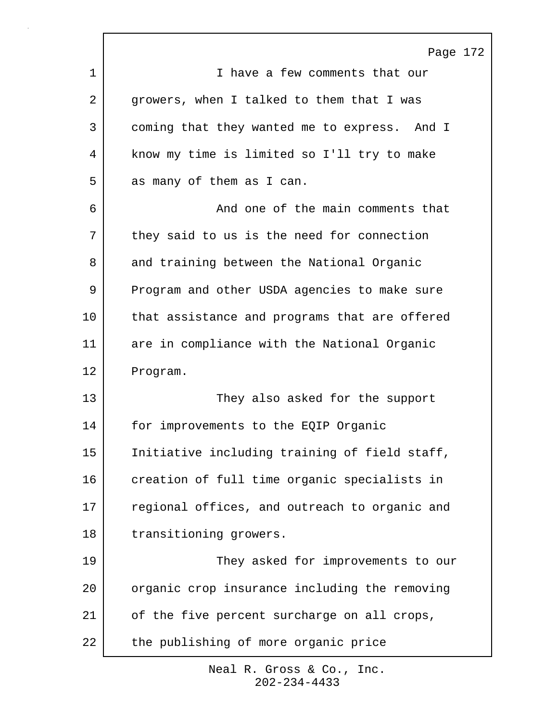Page 172 1 I have a few comments that our 2 growers, when I talked to them that I was 3 coming that they wanted me to express. And I 4 | know my time is limited so I'll try to make 5 as many of them as I can. 6 And one of the main comments that 7 they said to us is the need for connection 8 and training between the National Organic 9 Program and other USDA agencies to make sure 10 that assistance and programs that are offered 11 are in compliance with the National Organic 12 Program. 13 They also asked for the support 14 for improvements to the EQIP Organic 15 | Initiative including training of field staff, 16 creation of full time organic specialists in 17 regional offices, and outreach to organic and 18 | transitioning growers. 19 They asked for improvements to our 20 organic crop insurance including the removing 21 of the five percent surcharge on all crops, 22 the publishing of more organic price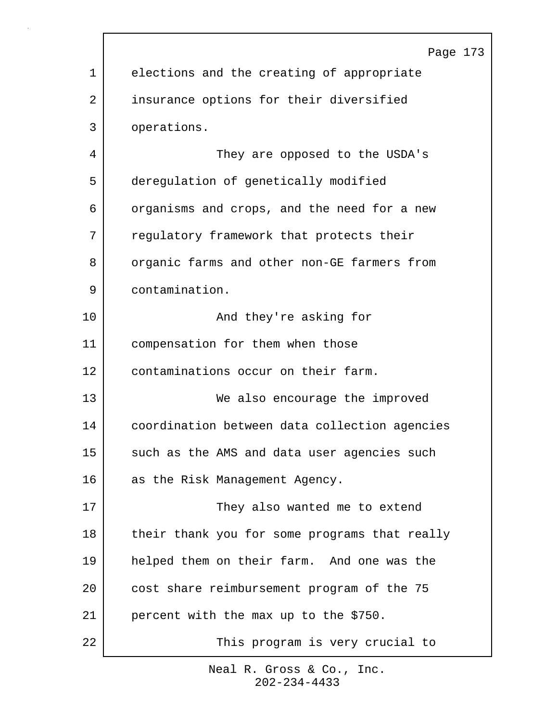|             | Page 173                                      |
|-------------|-----------------------------------------------|
| $\mathbf 1$ | elections and the creating of appropriate     |
| 2           | insurance options for their diversified       |
| 3           | operations.                                   |
| 4           | They are opposed to the USDA's                |
| 5           | deregulation of genetically modified          |
| 6           | organisms and crops, and the need for a new   |
| 7           | regulatory framework that protects their      |
| 8           | organic farms and other non-GE farmers from   |
| 9           | contamination.                                |
| 10          | And they're asking for                        |
| 11          | compensation for them when those              |
| 12          | contaminations occur on their farm.           |
| 13          | We also encourage the improved                |
| 14          | coordination between data collection agencies |
| 15          | such as the AMS and data user agencies such   |
| 16          | as the Risk Management Agency.                |
| 17          | They also wanted me to extend                 |
| 18          | their thank you for some programs that really |
| 19          | helped them on their farm. And one was the    |
| 20          | cost share reimbursement program of the 75    |
| 21          | percent with the max up to the \$750.         |
| 22          | This program is very crucial to               |
|             |                                               |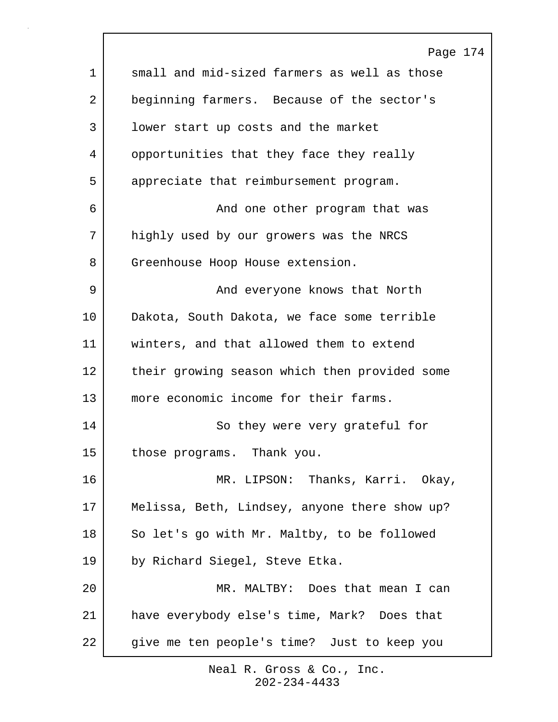|             | Page 174                                      |
|-------------|-----------------------------------------------|
| $\mathbf 1$ | small and mid-sized farmers as well as those  |
| 2           | beginning farmers. Because of the sector's    |
| 3           | lower start up costs and the market           |
| 4           | opportunities that they face they really      |
| 5           | appreciate that reimbursement program.        |
| 6           | And one other program that was                |
| 7           | highly used by our growers was the NRCS       |
| 8           | Greenhouse Hoop House extension.              |
| 9           | And everyone knows that North                 |
| 10          | Dakota, South Dakota, we face some terrible   |
| 11          | winters, and that allowed them to extend      |
| 12          | their growing season which then provided some |
| 13          | more economic income for their farms.         |
| 14          | So they were very grateful for                |
| 15          | those programs. Thank you.                    |
| 16          | MR. LIPSON: Thanks, Karri. Okay,              |
| 17          | Melissa, Beth, Lindsey, anyone there show up? |
| 18          | So let's go with Mr. Maltby, to be followed   |
| 19          | by Richard Siegel, Steve Etka.                |
| 20          | MR. MALTBY: Does that mean I can              |
| 21          | have everybody else's time, Mark? Does that   |
| 22          | give me ten people's time? Just to keep you   |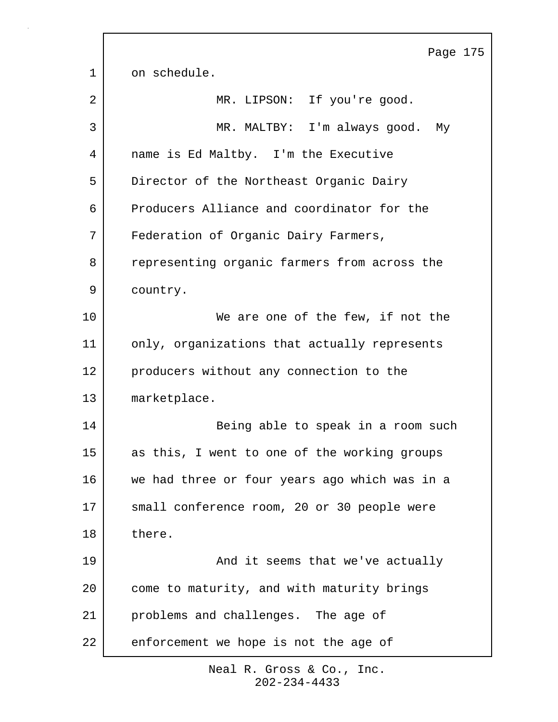Page 175 1 on schedule. 2 MR. LIPSON: If you're good. 3 MR. MALTBY: I'm always good. My 4 name is Ed Maltby. I'm the Executive 5 Director of the Northeast Organic Dairy 6 Producers Alliance and coordinator for the 7 Federation of Organic Dairy Farmers, 8 representing organic farmers from across the 9 country. 10 We are one of the few, if not the 11 only, organizations that actually represents 12 producers without any connection to the 13 marketplace. 14 Being able to speak in a room such 15 as this, I went to one of the working groups 16 we had three or four years ago which was in a 17 small conference room, 20 or 30 people were 18 there. 19 | The South Chapter and it seems that we've actually 20 come to maturity, and with maturity brings 21 problems and challenges. The age of 22 enforcement we hope is not the age of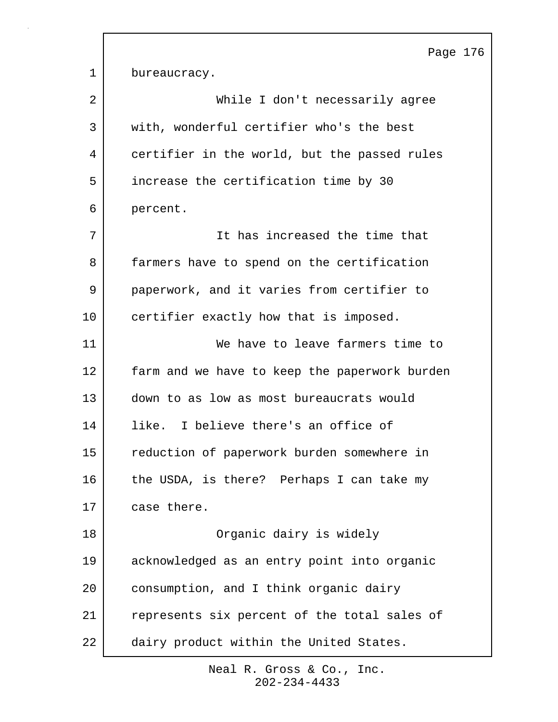Page 176 1 bureaucracy. 2 | While I don't necessarily agree 3 with, wonderful certifier who's the best 4 certifier in the world, but the passed rules 5 increase the certification time by 30 6 percent. 7 It has increased the time that 8 | farmers have to spend on the certification 9 paperwork, and it varies from certifier to 10 certifier exactly how that is imposed. 11 We have to leave farmers time to 12 farm and we have to keep the paperwork burden 13 down to as low as most bureaucrats would 14 like. I believe there's an office of 15 reduction of paperwork burden somewhere in 16 the USDA, is there? Perhaps I can take my 17 case there. 18 Organic dairy is widely 19 acknowledged as an entry point into organic 20 consumption, and I think organic dairy 21 represents six percent of the total sales of 22 dairy product within the United States.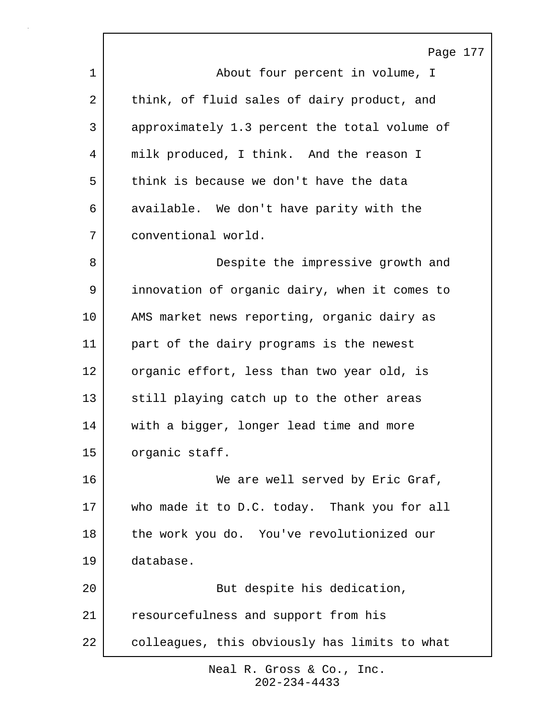Page 177 1 | About four percent in volume, I 2 think, of fluid sales of dairy product, and 3 approximately 1.3 percent the total volume of 4 | milk produced, I think. And the reason I 5 think is because we don't have the data 6 available. We don't have parity with the 7 conventional world. 8 | Consequence Despite the impressive growth and 9 innovation of organic dairy, when it comes to 10 | AMS market news reporting, organic dairy as 11 part of the dairy programs is the newest 12 organic effort, less than two year old, is 13 still playing catch up to the other areas 14 with a bigger, longer lead time and more 15 organic staff. 16 We are well served by Eric Graf, 17 who made it to D.C. today. Thank you for all 18 the work you do. You've revolutionized our 19 database. 20 | Rut despite his dedication, 21 resourcefulness and support from his 22 colleagues, this obviously has limits to what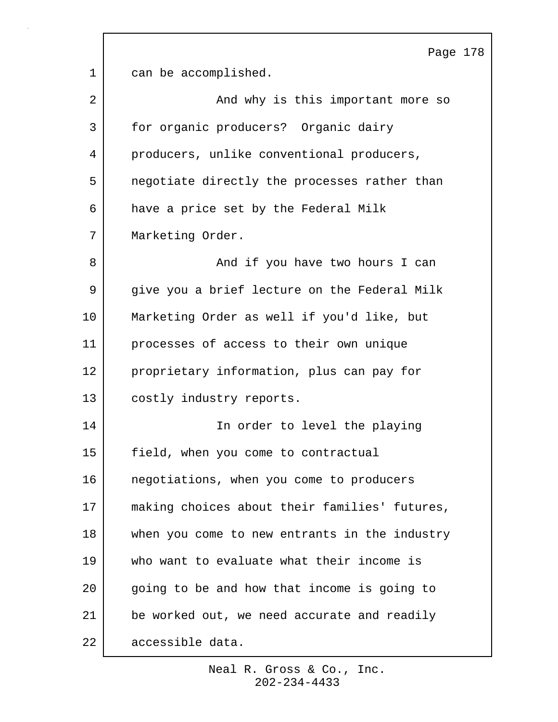Page 178 1 can be accomplished. 2 | And why is this important more so 3 for organic producers? Organic dairy 4 producers, unlike conventional producers, 5 negotiate directly the processes rather than 6 have a price set by the Federal Milk 7 | Marketing Order. 8 and if you have two hours I can 9 give you a brief lecture on the Federal Milk 10 Marketing Order as well if you'd like, but 11 processes of access to their own unique 12 proprietary information, plus can pay for 13 costly industry reports. 14 In order to level the playing 15 field, when you come to contractual 16 negotiations, when you come to producers 17 making choices about their families' futures, 18 | when you come to new entrants in the industry 19 who want to evaluate what their income is 20 going to be and how that income is going to 21 be worked out, we need accurate and readily 22 accessible data.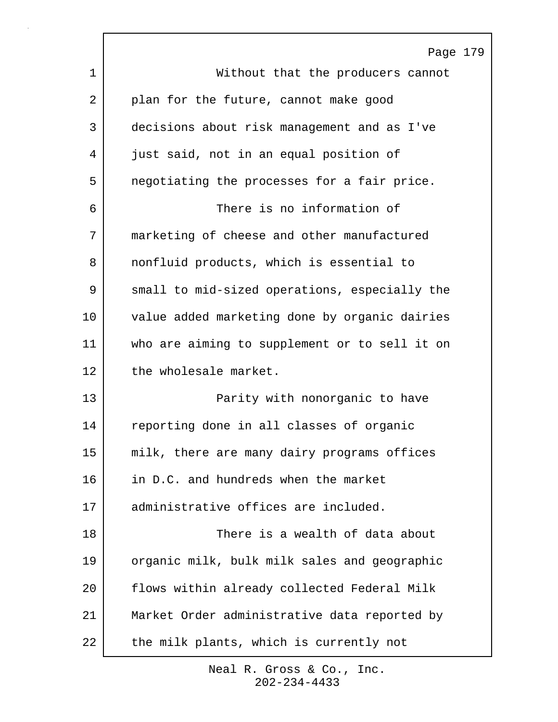|    | Page 179                                      |
|----|-----------------------------------------------|
| 1  | Without that the producers cannot             |
| 2  | plan for the future, cannot make good         |
| 3  | decisions about risk management and as I've   |
| 4  | just said, not in an equal position of        |
| 5  | negotiating the processes for a fair price.   |
| 6  | There is no information of                    |
| 7  | marketing of cheese and other manufactured    |
| 8  | nonfluid products, which is essential to      |
| 9  | small to mid-sized operations, especially the |
| 10 | value added marketing done by organic dairies |
| 11 | who are aiming to supplement or to sell it on |
| 12 | the wholesale market.                         |
| 13 | Parity with nonorganic to have                |
| 14 | reporting done in all classes of organic      |
| 15 | milk, there are many dairy programs offices   |
| 16 | in D.C. and hundreds when the market          |
| 17 | administrative offices are included.          |
| 18 | There is a wealth of data about               |
| 19 | organic milk, bulk milk sales and geographic  |
| 20 | flows within already collected Federal Milk   |
| 21 | Market Order administrative data reported by  |
| 22 | the milk plants, which is currently not       |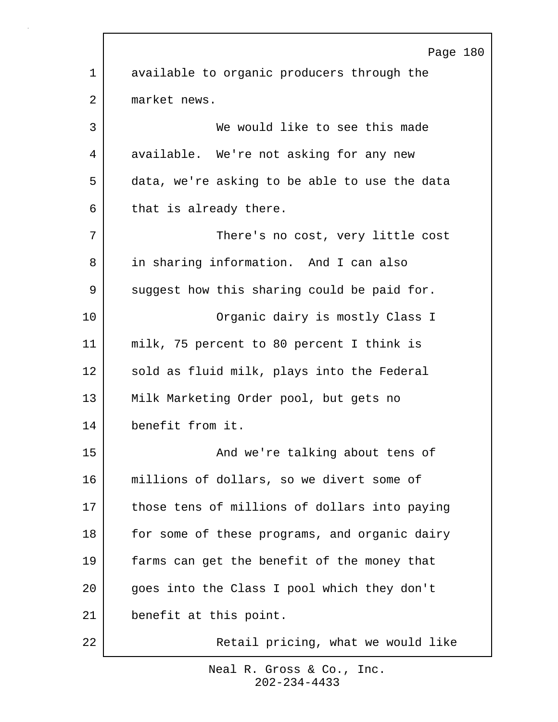Page 180 1 available to organic producers through the 2 market news. 3 We would like to see this made 4 available. We're not asking for any new 5 data, we're asking to be able to use the data 6 that is already there. 7 | There's no cost, very little cost 8 in sharing information. And I can also 9 suggest how this sharing could be paid for. 10 Organic dairy is mostly Class I 11 milk, 75 percent to 80 percent I think is 12 sold as fluid milk, plays into the Federal 13 Milk Marketing Order pool, but gets no 14 benefit from it. 15 and we're talking about tens of 16 millions of dollars, so we divert some of 17 those tens of millions of dollars into paying 18 | for some of these programs, and organic dairy 19 farms can get the benefit of the money that 20 goes into the Class I pool which they don't 21 benefit at this point. 22 Retail pricing, what we would like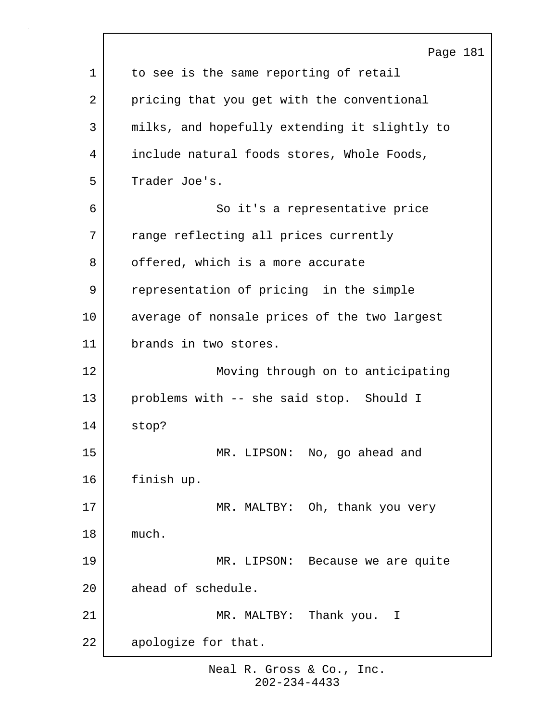|             | Page 181                                      |
|-------------|-----------------------------------------------|
| $\mathbf 1$ | to see is the same reporting of retail        |
| 2           | pricing that you get with the conventional    |
| 3           | milks, and hopefully extending it slightly to |
| 4           | include natural foods stores, Whole Foods,    |
| 5           | Trader Joe's.                                 |
| 6           | So it's a representative price                |
| 7           | range reflecting all prices currently         |
| 8           | offered, which is a more accurate             |
| 9           | representation of pricing in the simple       |
| 10          | average of nonsale prices of the two largest  |
| 11          | brands in two stores.                         |
| 12          | Moving through on to anticipating             |
| 13          | problems with -- she said stop. Should I      |
| 14          | stop?                                         |
| 15          | MR. LIPSON: No, go ahead and                  |
| 16          | finish up.                                    |
| 17          | MR. MALTBY: Oh, thank you very                |
| 18          | much.                                         |
| 19          | MR. LIPSON: Because we are quite              |
| 20          | ahead of schedule.                            |
| 21          | Thank you.<br>MR. MALTBY:<br>$\mathbf{I}$     |
| 22          | apologize for that.                           |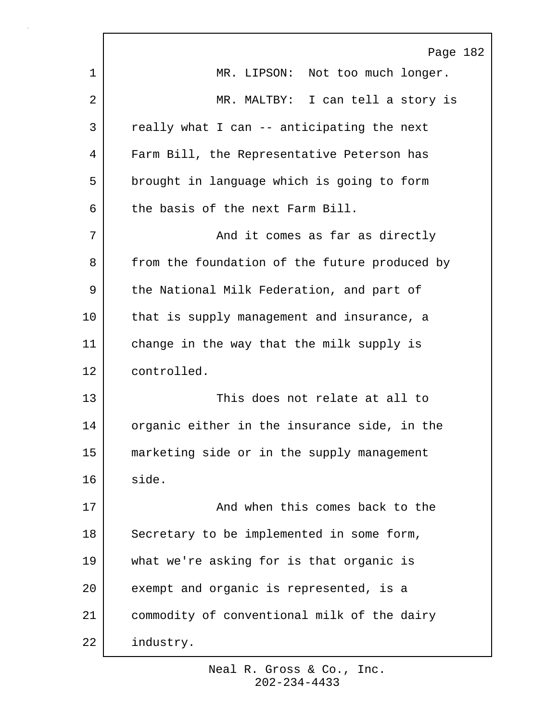|    | Page 182                                      |
|----|-----------------------------------------------|
| 1  | MR. LIPSON: Not too much longer.              |
| 2  | MR. MALTBY: I can tell a story is             |
| 3  | really what I can -- anticipating the next    |
| 4  | Farm Bill, the Representative Peterson has    |
| 5  | brought in language which is going to form    |
| 6  | the basis of the next Farm Bill.              |
| 7  | And it comes as far as directly               |
| 8  | from the foundation of the future produced by |
| 9  | the National Milk Federation, and part of     |
| 10 | that is supply management and insurance, a    |
| 11 | change in the way that the milk supply is     |
| 12 | controlled.                                   |
| 13 | This does not relate at all to                |
| 14 | organic either in the insurance side, in the  |
| 15 | marketing side or in the supply management    |
| 16 | side.                                         |
| 17 | And when this comes back to the               |
| 18 | Secretary to be implemented in some form,     |
| 19 | what we're asking for is that organic is      |
| 20 | exempt and organic is represented, is a       |
| 21 | commodity of conventional milk of the dairy   |
| 22 | industry.                                     |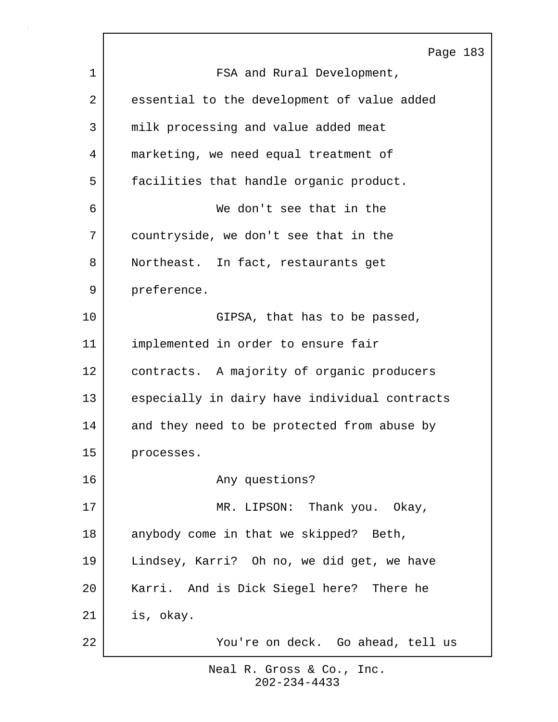|    | Page 183                                      |
|----|-----------------------------------------------|
| 1  | FSA and Rural Development,                    |
| 2  | essential to the development of value added   |
| 3  | milk processing and value added meat          |
| 4  | marketing, we need equal treatment of         |
| 5  | facilities that handle organic product.       |
| 6  | We don't see that in the                      |
| 7  | countryside, we don't see that in the         |
| 8  | Northeast. In fact, restaurants get           |
| 9  | preference.                                   |
| 10 | GIPSA, that has to be passed,                 |
| 11 | implemented in order to ensure fair           |
| 12 | contracts. A majority of organic producers    |
| 13 | especially in dairy have individual contracts |
| 14 | and they need to be protected from abuse by   |
| 15 | processes.                                    |
| 16 | Any questions?                                |
| 17 | MR. LIPSON: Thank you. Okay,                  |
| 18 | anybody come in that we skipped? Beth,        |
| 19 | Lindsey, Karri? Oh no, we did get, we have    |
| 20 | Karri. And is Dick Siegel here? There he      |
| 21 | is, okay.                                     |
| 22 | You're on deck. Go ahead, tell us             |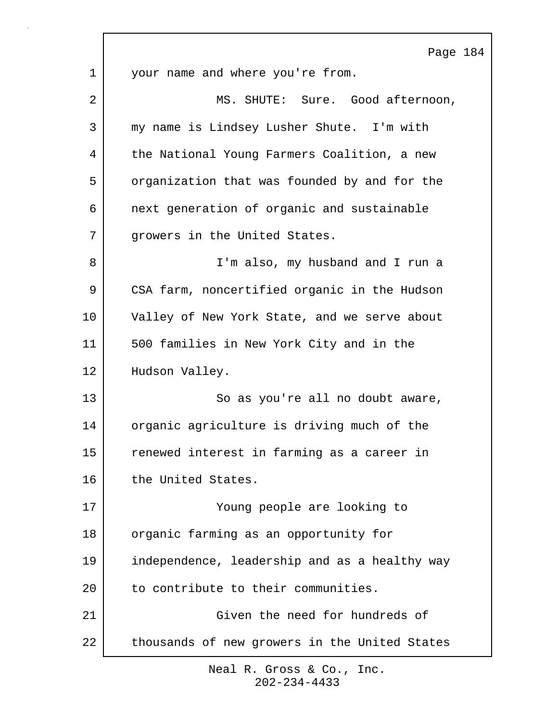Page 184 1 your name and where you're from. 2 MS. SHUTE: Sure. Good afternoon, 3 my name is Lindsey Lusher Shute. I'm with 4 | the National Young Farmers Coalition, a new 5 organization that was founded by and for the 6 next generation of organic and sustainable 7 | growers in the United States. 8 I'm also, my husband and I run a 9 CSA farm, noncertified organic in the Hudson 10 Valley of New York State, and we serve about 11 500 families in New York City and in the 12 | Hudson Valley. 13 So as you're all no doubt aware, 14 organic agriculture is driving much of the 15 renewed interest in farming as a career in 16 the United States. 17 Young people are looking to 18 | organic farming as an opportunity for 19 independence, leadership and as a healthy way 20 to contribute to their communities. 21 Given the need for hundreds of 22 thousands of new growers in the United States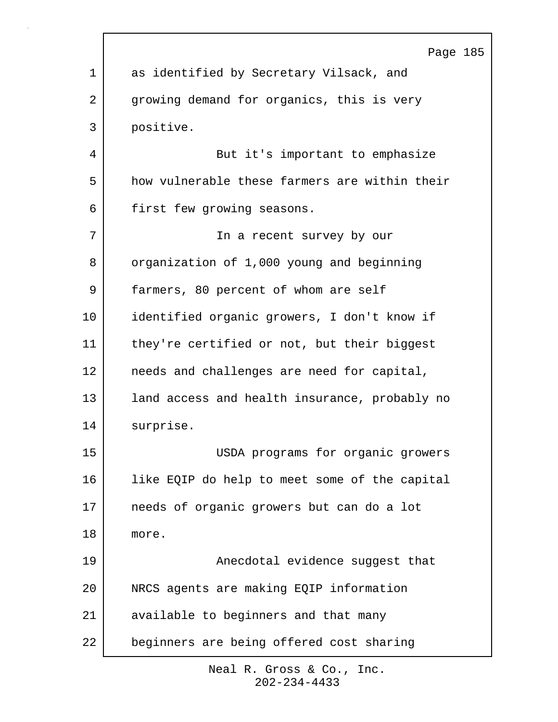|    | Page 185                                      |
|----|-----------------------------------------------|
| 1  | as identified by Secretary Vilsack, and       |
| 2  | growing demand for organics, this is very     |
| 3  | positive.                                     |
| 4  | But it's important to emphasize               |
| 5  | how vulnerable these farmers are within their |
| 6  | first few growing seasons.                    |
| 7  | In a recent survey by our                     |
| 8  | organization of 1,000 young and beginning     |
| 9  | farmers, 80 percent of whom are self          |
| 10 | identified organic growers, I don't know if   |
| 11 | they're certified or not, but their biggest   |
| 12 | needs and challenges are need for capital,    |
| 13 | land access and health insurance, probably no |
| 14 | surprise.                                     |
| 15 | USDA programs for organic growers             |
| 16 | like EQIP do help to meet some of the capital |
| 17 | needs of organic growers but can do a lot     |
| 18 | more.                                         |
| 19 | Anecdotal evidence suggest that               |
| 20 | NRCS agents are making EQIP information       |
| 21 | available to beginners and that many          |
| 22 | beginners are being offered cost sharing      |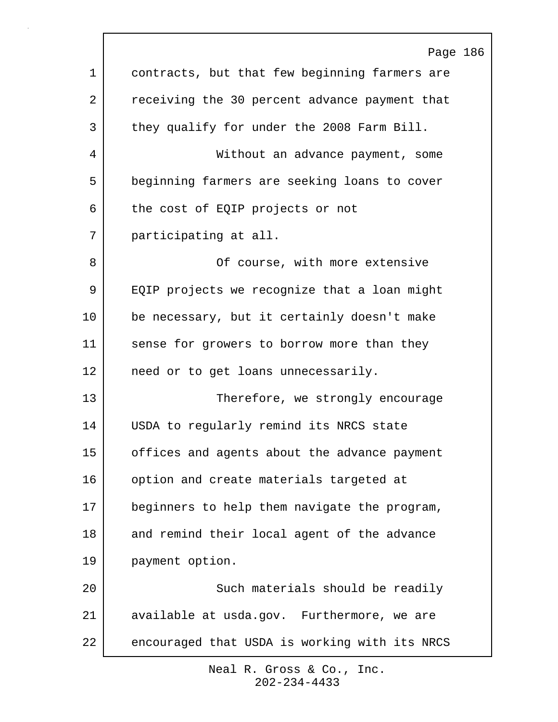|    | Page 186                                      |
|----|-----------------------------------------------|
| 1  | contracts, but that few beginning farmers are |
| 2  | receiving the 30 percent advance payment that |
| 3  | they qualify for under the 2008 Farm Bill.    |
| 4  | Without an advance payment, some              |
| 5  | beginning farmers are seeking loans to cover  |
| 6  | the cost of EQIP projects or not              |
| 7  | participating at all.                         |
| 8  | Of course, with more extensive                |
| 9  | EQIP projects we recognize that a loan might  |
| 10 | be necessary, but it certainly doesn't make   |
| 11 | sense for growers to borrow more than they    |
| 12 | need or to get loans unnecessarily.           |
| 13 | Therefore, we strongly encourage              |
| 14 | USDA to regularly remind its NRCS state       |
| 15 | offices and agents about the advance payment  |
| 16 | option and create materials targeted at       |
| 17 | beginners to help them navigate the program,  |
| 18 | and remind their local agent of the advance   |
| 19 | payment option.                               |
| 20 | Such materials should be readily              |
| 21 | available at usda.gov. Furthermore, we are    |
| 22 | encouraged that USDA is working with its NRCS |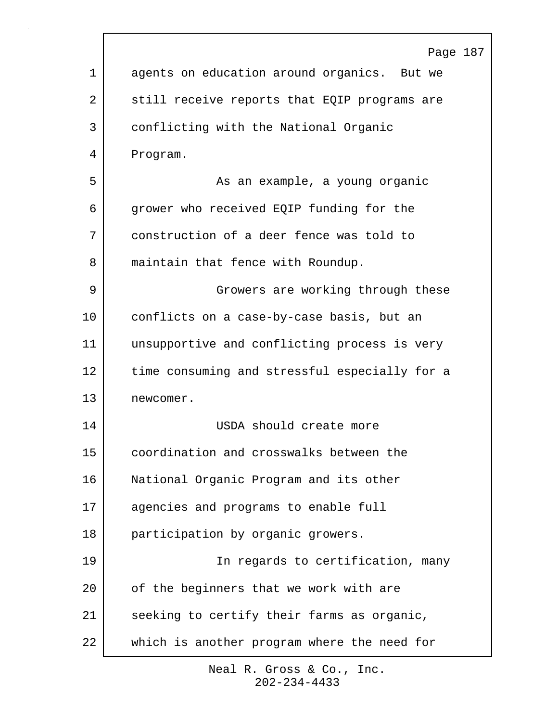|             | Page 187                                      |
|-------------|-----------------------------------------------|
| $\mathbf 1$ | agents on education around organics. But we   |
| 2           | still receive reports that EQIP programs are  |
| 3           | conflicting with the National Organic         |
| 4           | Program.                                      |
| 5           | As an example, a young organic                |
| 6           | grower who received EQIP funding for the      |
| 7           | construction of a deer fence was told to      |
| 8           | maintain that fence with Roundup.             |
| 9           | Growers are working through these             |
| 10          | conflicts on a case-by-case basis, but an     |
| 11          | unsupportive and conflicting process is very  |
| 12          | time consuming and stressful especially for a |
| 13          | newcomer.                                     |
| 14          | USDA should create more                       |
| 15          | coordination and crosswalks between the       |
| 16          | National Organic Program and its other        |
| 17          | agencies and programs to enable full          |
| 18          | participation by organic growers.             |
| 19          | In regards to certification, many             |
| 20          | of the beginners that we work with are        |
| 21          | seeking to certify their farms as organic,    |
| 22          | which is another program where the need for   |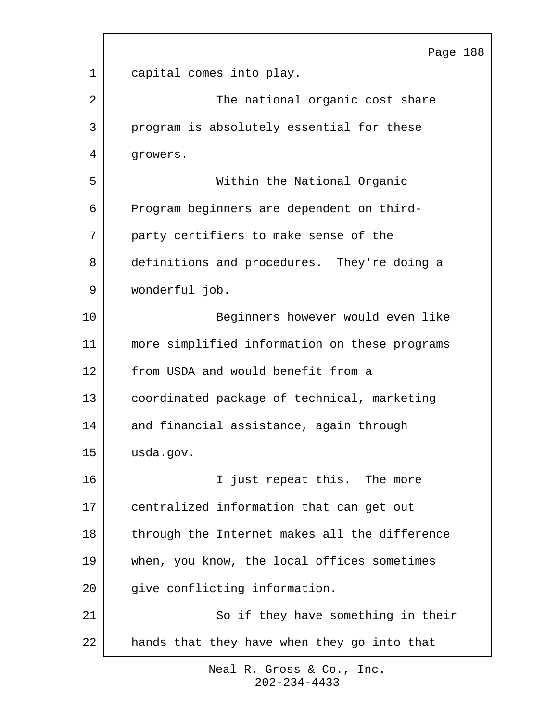|    | Page 188                                      |
|----|-----------------------------------------------|
| 1  | capital comes into play.                      |
| 2  | The national organic cost share               |
| 3  | program is absolutely essential for these     |
| 4  | growers.                                      |
| 5  | Within the National Organic                   |
| 6  | Program beginners are dependent on third-     |
| 7  | party certifiers to make sense of the         |
| 8  | definitions and procedures. They're doing a   |
| 9  | wonderful job.                                |
| 10 | Beginners however would even like             |
| 11 | more simplified information on these programs |
| 12 | from USDA and would benefit from a            |
| 13 | coordinated package of technical, marketing   |
| 14 | and financial assistance, again through       |
| 15 | usda.gov.                                     |
| 16 | I just repeat this. The more                  |
| 17 | centralized information that can get out      |
| 18 | through the Internet makes all the difference |
| 19 | when, you know, the local offices sometimes   |
| 20 | give conflicting information.                 |
| 21 | So if they have something in their            |
| 22 | hands that they have when they go into that   |
|    |                                               |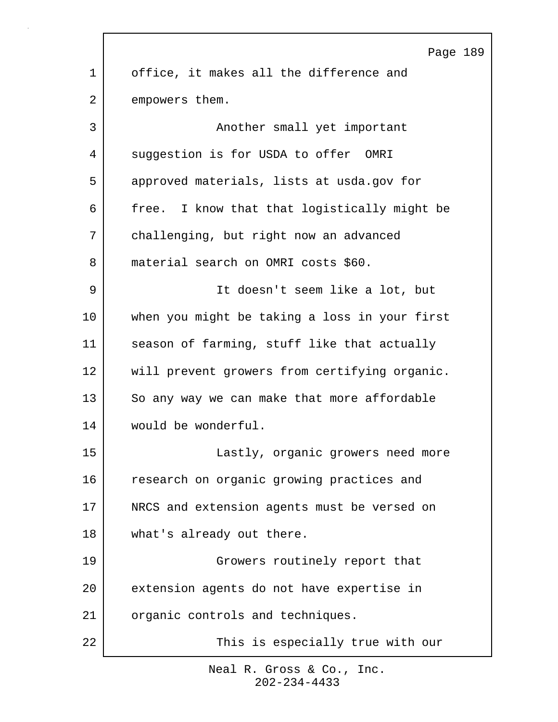|    | Page 189                                      |
|----|-----------------------------------------------|
| 1  | office, it makes all the difference and       |
| 2  | empowers them.                                |
| 3  | Another small yet important                   |
| 4  | suggestion is for USDA to offer OMRI          |
| 5  | approved materials, lists at usda.gov for     |
| 6  | free. I know that that logistically might be  |
| 7  | challenging, but right now an advanced        |
| 8  | material search on OMRI costs \$60.           |
| 9  | It doesn't seem like a lot, but               |
| 10 | when you might be taking a loss in your first |
| 11 | season of farming, stuff like that actually   |
| 12 | will prevent growers from certifying organic. |
| 13 | So any way we can make that more affordable   |
| 14 | would be wonderful.                           |
| 15 | Lastly, organic growers need more             |
| 16 | research on organic growing practices and     |
| 17 | NRCS and extension agents must be versed on   |
| 18 | what's already out there.                     |
| 19 | Growers routinely report that                 |
| 20 | extension agents do not have expertise in     |
| 21 | organic controls and techniques.              |
| 22 | This is especially true with our              |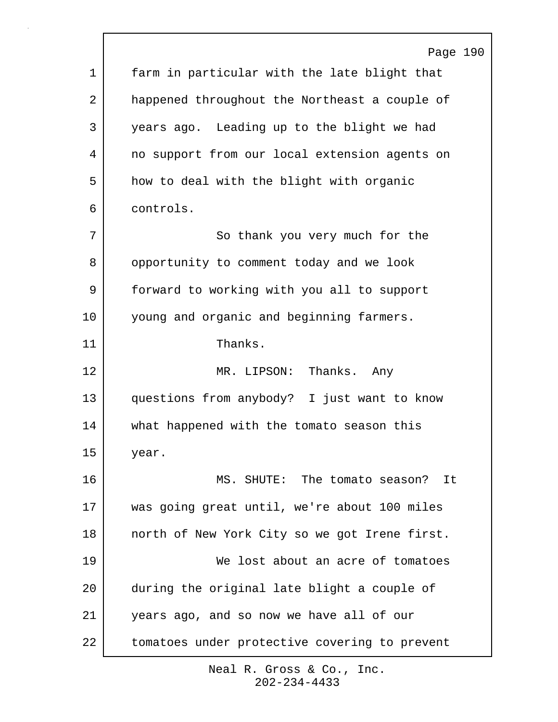|             | Page 190                                      |
|-------------|-----------------------------------------------|
| $\mathbf 1$ | farm in particular with the late blight that  |
| 2           | happened throughout the Northeast a couple of |
| 3           | years ago. Leading up to the blight we had    |
| 4           | no support from our local extension agents on |
| 5           | how to deal with the blight with organic      |
| 6           | controls.                                     |
| 7           | So thank you very much for the                |
| 8           | opportunity to comment today and we look      |
| 9           | forward to working with you all to support    |
| 10          | young and organic and beginning farmers.      |
| 11          | Thanks.                                       |
| 12          | MR. LIPSON: Thanks. Any                       |
| 13          | questions from anybody? I just want to know   |
| 14          | what happened with the tomato season this     |
| 15          | year.                                         |
| 16          | MS. SHUTE: The tomato season? It              |
| 17          | was going great until, we're about 100 miles  |
| 18          | north of New York City so we got Irene first. |
| 19          | We lost about an acre of tomatoes             |
| 20          | during the original late blight a couple of   |
| 21          | years ago, and so now we have all of our      |
| 22          | tomatoes under protective covering to prevent |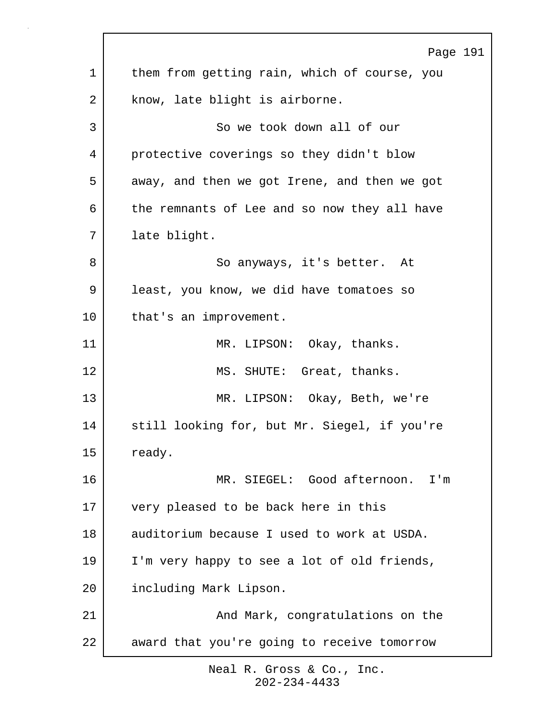|    | Page 191                                     |
|----|----------------------------------------------|
| 1  | them from getting rain, which of course, you |
| 2  | know, late blight is airborne.               |
| 3  | So we took down all of our                   |
| 4  | protective coverings so they didn't blow     |
| 5  | away, and then we got Irene, and then we got |
| 6  | the remnants of Lee and so now they all have |
| 7  | late blight.                                 |
| 8  | So anyways, it's better. At                  |
| 9  | least, you know, we did have tomatoes so     |
| 10 | that's an improvement.                       |
| 11 | MR. LIPSON: Okay, thanks.                    |
| 12 | MS. SHUTE: Great, thanks.                    |
| 13 | MR. LIPSON: Okay, Beth, we're                |
| 14 | still looking for, but Mr. Siegel, if you're |
| 15 | ready.                                       |
| 16 | MR. SIEGEL: Good afternoon. I'm              |
| 17 | very pleased to be back here in this         |
| 18 | auditorium because I used to work at USDA.   |
| 19 | I'm very happy to see a lot of old friends,  |
| 20 | including Mark Lipson.                       |
| 21 | And Mark, congratulations on the             |
| 22 | award that you're going to receive tomorrow  |
|    |                                              |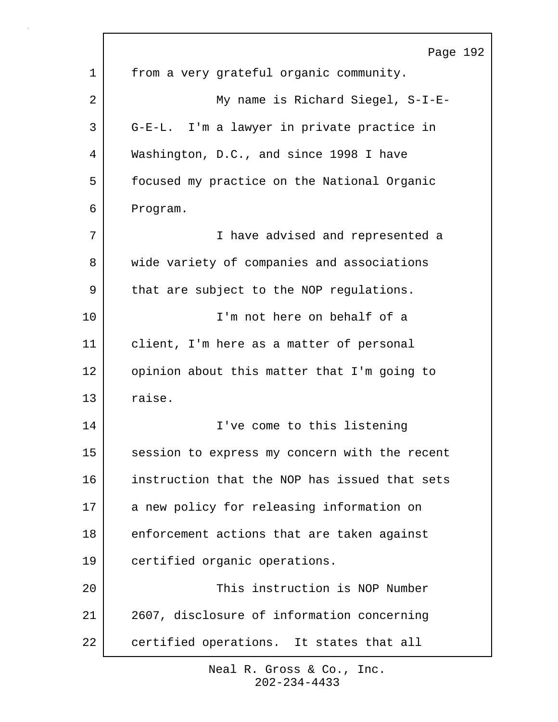|    | Page 192                                      |
|----|-----------------------------------------------|
| 1  | from a very grateful organic community.       |
| 2  | My name is Richard Siegel, S-I-E-             |
| 3  | G-E-L. I'm a lawyer in private practice in    |
| 4  | Washington, D.C., and since 1998 I have       |
| 5  | focused my practice on the National Organic   |
| 6  | Program.                                      |
| 7  | I have advised and represented a              |
| 8  | wide variety of companies and associations    |
| 9  | that are subject to the NOP regulations.      |
| 10 | I'm not here on behalf of a                   |
| 11 | client, I'm here as a matter of personal      |
| 12 | opinion about this matter that I'm going to   |
| 13 | raise.                                        |
| 14 | I've come to this listening                   |
| 15 | session to express my concern with the recent |
| 16 | instruction that the NOP has issued that sets |
| 17 | a new policy for releasing information on     |
| 18 | enforcement actions that are taken against    |
| 19 | certified organic operations.                 |
| 20 | This instruction is NOP Number                |
| 21 | 2607, disclosure of information concerning    |
| 22 | certified operations. It states that all      |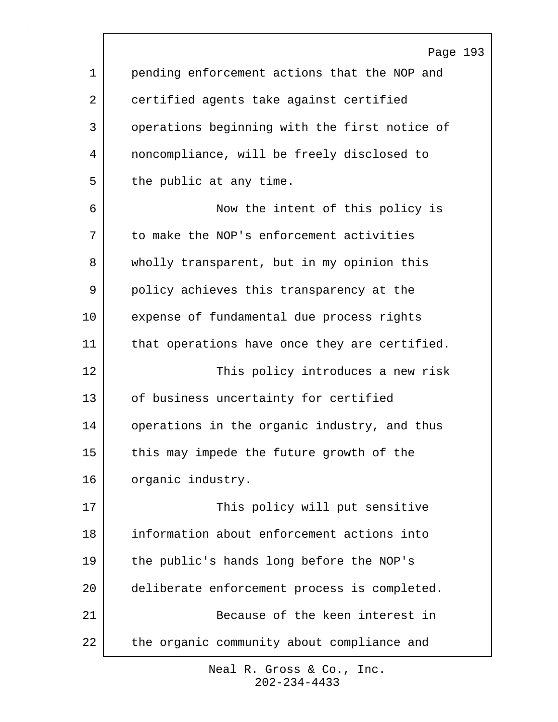Page 193 1 pending enforcement actions that the NOP and 2 certified agents take against certified 3 operations beginning with the first notice of 4 noncompliance, will be freely disclosed to 5 the public at any time. 6 Now the intent of this policy is 7 to make the NOP's enforcement activities 8 wholly transparent, but in my opinion this 9 policy achieves this transparency at the 10 expense of fundamental due process rights 11 | that operations have once they are certified. 12 This policy introduces a new risk 13 of business uncertainty for certified 14 operations in the organic industry, and thus 15 this may impede the future growth of the 16 organic industry. 17 This policy will put sensitive 18 information about enforcement actions into 19 the public's hands long before the NOP's 20 deliberate enforcement process is completed. 21 Because of the keen interest in 22 the organic community about compliance and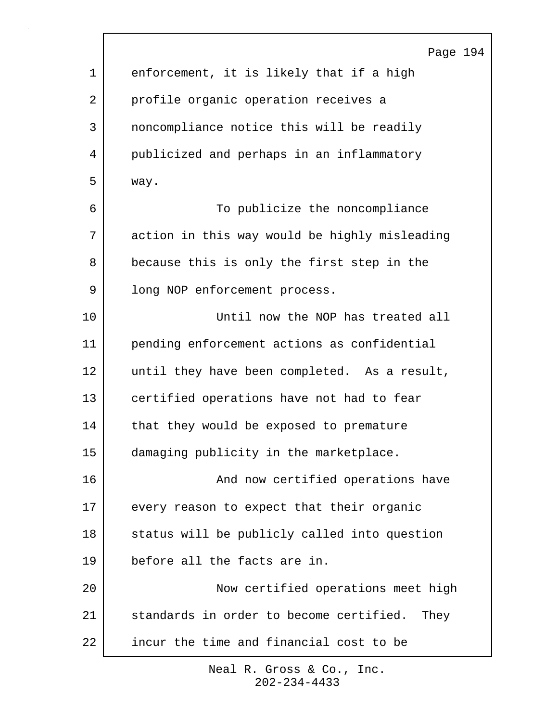|             | Page 194                                      |
|-------------|-----------------------------------------------|
| $\mathbf 1$ | enforcement, it is likely that if a high      |
| 2           | profile organic operation receives a          |
| 3           | noncompliance notice this will be readily     |
| 4           | publicized and perhaps in an inflammatory     |
| 5           | way.                                          |
| 6           | To publicize the noncompliance                |
| 7           | action in this way would be highly misleading |
| 8           | because this is only the first step in the    |
| 9           | long NOP enforcement process.                 |
| 10          | Until now the NOP has treated all             |
| 11          | pending enforcement actions as confidential   |
| 12          | until they have been completed. As a result,  |
| 13          | certified operations have not had to fear     |
| 14          | that they would be exposed to premature       |
| 15          | damaging publicity in the marketplace.        |
| 16          | And now certified operations have             |
| 17          | every reason to expect that their organic     |
| 18          | status will be publicly called into question  |
| 19          | before all the facts are in.                  |
| 20          | Now certified operations meet high            |
| 21          | standards in order to become certified. They  |
| 22          | incur the time and financial cost to be       |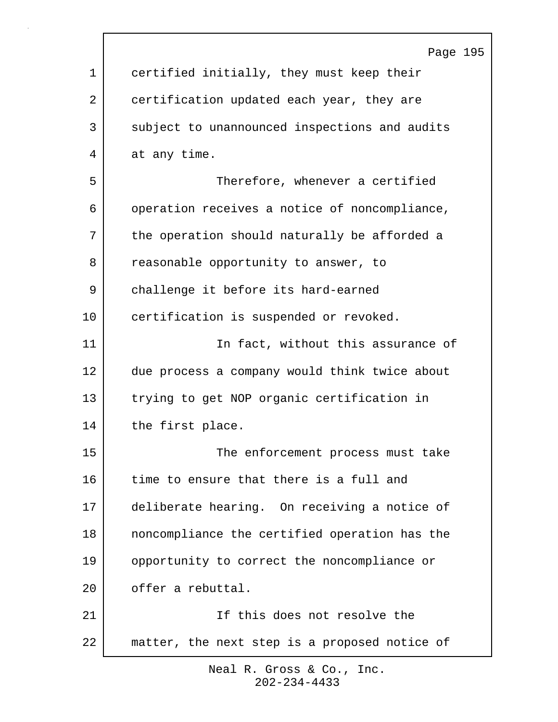|             | Page 195                                      |
|-------------|-----------------------------------------------|
| $\mathbf 1$ | certified initially, they must keep their     |
| 2           | certification updated each year, they are     |
| 3           | subject to unannounced inspections and audits |
| 4           | at any time.                                  |
| 5           | Therefore, whenever a certified               |
| 6           | operation receives a notice of noncompliance, |
| 7           | the operation should naturally be afforded a  |
| 8           | reasonable opportunity to answer, to          |
| 9           | challenge it before its hard-earned           |
| 10          | certification is suspended or revoked.        |
| 11          | In fact, without this assurance of            |
| 12          | due process a company would think twice about |
| 13          | trying to get NOP organic certification in    |
| 14          | the first place.                              |
| 15          | The enforcement process must take             |
| 16          | time to ensure that there is a full and       |
| 17          | deliberate hearing. On receiving a notice of  |
| 18          | noncompliance the certified operation has the |
| 19          | opportunity to correct the noncompliance or   |
| 20          | offer a rebuttal.                             |
| 21          | If this does not resolve the                  |
| 22          | matter, the next step is a proposed notice of |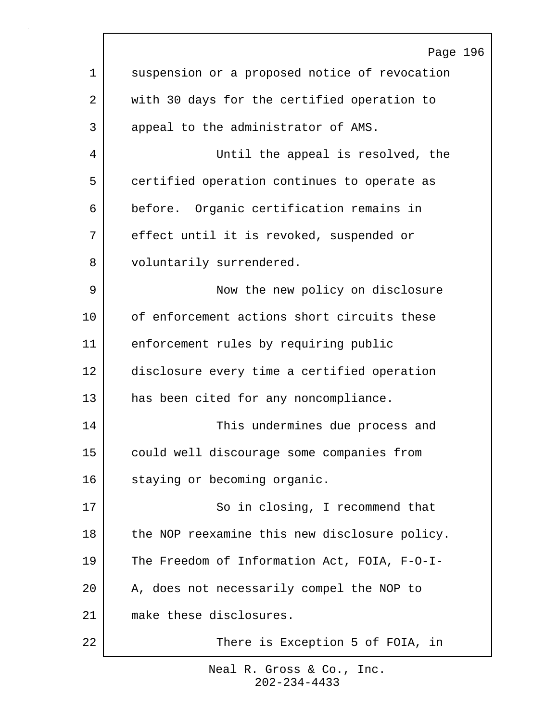|    | Page 196                                      |
|----|-----------------------------------------------|
| 1  | suspension or a proposed notice of revocation |
| 2  | with 30 days for the certified operation to   |
| 3  | appeal to the administrator of AMS.           |
| 4  | Until the appeal is resolved, the             |
| 5  | certified operation continues to operate as   |
| 6  | before. Organic certification remains in      |
| 7  | effect until it is revoked, suspended or      |
| 8  | voluntarily surrendered.                      |
| 9  | Now the new policy on disclosure              |
| 10 | of enforcement actions short circuits these   |
| 11 | enforcement rules by requiring public         |
| 12 | disclosure every time a certified operation   |
| 13 | has been cited for any noncompliance.         |
| 14 | This undermines due process and               |
| 15 | could well discourage some companies from     |
| 16 | staying or becoming organic.                  |
| 17 | So in closing, I recommend that               |
| 18 | the NOP reexamine this new disclosure policy. |
| 19 | The Freedom of Information Act, FOIA, F-O-I-  |
| 20 | A, does not necessarily compel the NOP to     |
| 21 | make these disclosures.                       |
| 22 | There is Exception 5 of FOIA, in              |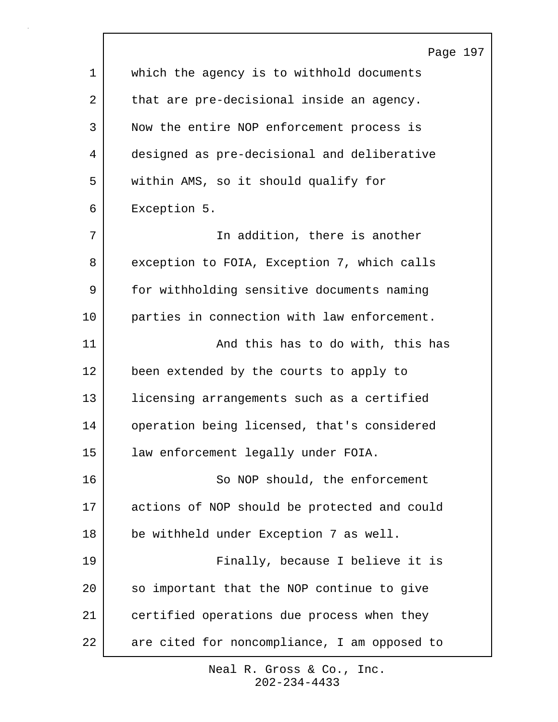|    | Page 197                                     |
|----|----------------------------------------------|
| 1  | which the agency is to withhold documents    |
| 2  | that are pre-decisional inside an agency.    |
| 3  | Now the entire NOP enforcement process is    |
| 4  | designed as pre-decisional and deliberative  |
| 5  | within AMS, so it should qualify for         |
| 6  | Exception 5.                                 |
| 7  | In addition, there is another                |
| 8  | exception to FOIA, Exception 7, which calls  |
| 9  | for withholding sensitive documents naming   |
| 10 | parties in connection with law enforcement.  |
| 11 | And this has to do with, this has            |
| 12 | been extended by the courts to apply to      |
| 13 | licensing arrangements such as a certified   |
| 14 | operation being licensed, that's considered  |
| 15 | law enforcement legally under FOIA.          |
| 16 | So NOP should, the enforcement               |
| 17 | actions of NOP should be protected and could |
| 18 | be withheld under Exception 7 as well.       |
| 19 | Finally, because I believe it is             |
| 20 | so important that the NOP continue to give   |
| 21 | certified operations due process when they   |
| 22 | are cited for noncompliance, I am opposed to |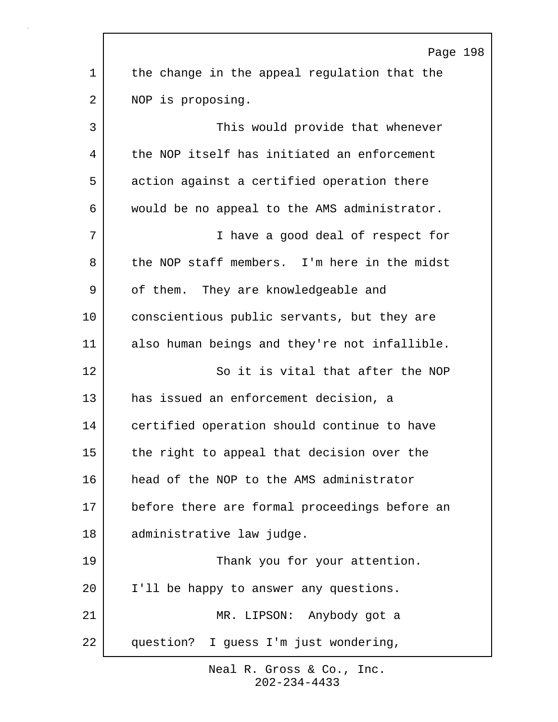|                 | Page 198                                      |
|-----------------|-----------------------------------------------|
| $\mathbf 1$     | the change in the appeal regulation that the  |
| 2               | NOP is proposing.                             |
| 3               | This would provide that whenever              |
| 4               | the NOP itself has initiated an enforcement   |
| 5               | action against a certified operation there    |
| 6               | would be no appeal to the AMS administrator.  |
| 7               | I have a good deal of respect for             |
| 8               | the NOP staff members. I'm here in the midst  |
| 9               | of them. They are knowledgeable and           |
| $10 \,$         | conscientious public servants, but they are   |
| 11              | also human beings and they're not infallible. |
| 12              | So it is vital that after the NOP             |
| 13              | has issued an enforcement decision, a         |
| 14              | certified operation should continue to have   |
| 15              | the right to appeal that decision over the    |
| 16              | head of the NOP to the AMS administrator      |
| 17              | before there are formal proceedings before an |
| 18              | administrative law judge.                     |
| 19              | Thank you for your attention.                 |
| 20 <sub>o</sub> | I'll be happy to answer any questions.        |
| 21              | MR. LIPSON: Anybody got a                     |
| 22              | question? I guess I'm just wondering,         |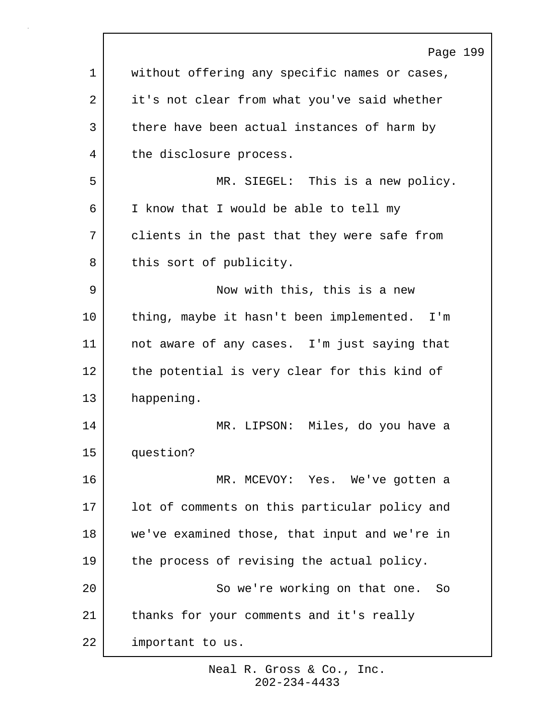|    | Page 199                                      |
|----|-----------------------------------------------|
| 1  | without offering any specific names or cases, |
| 2  | it's not clear from what you've said whether  |
| 3  | there have been actual instances of harm by   |
| 4  | the disclosure process.                       |
| 5  | MR. SIEGEL: This is a new policy.             |
| 6  | I know that I would be able to tell my        |
| 7  | clients in the past that they were safe from  |
| 8  | this sort of publicity.                       |
| 9  | Now with this, this is a new                  |
| 10 | thing, maybe it hasn't been implemented. I'm  |
| 11 | not aware of any cases. I'm just saying that  |
| 12 | the potential is very clear for this kind of  |
| 13 | happening.                                    |
| 14 | MR. LIPSON: Miles, do you have a              |
| 15 | question?                                     |
| 16 | MR. MCEVOY: Yes. We've gotten a               |
| 17 | lot of comments on this particular policy and |
| 18 | we've examined those, that input and we're in |
| 19 | the process of revising the actual policy.    |
| 20 | So we're working on that one. So              |
| 21 | thanks for your comments and it's really      |
| 22 | important to us.                              |
|    |                                               |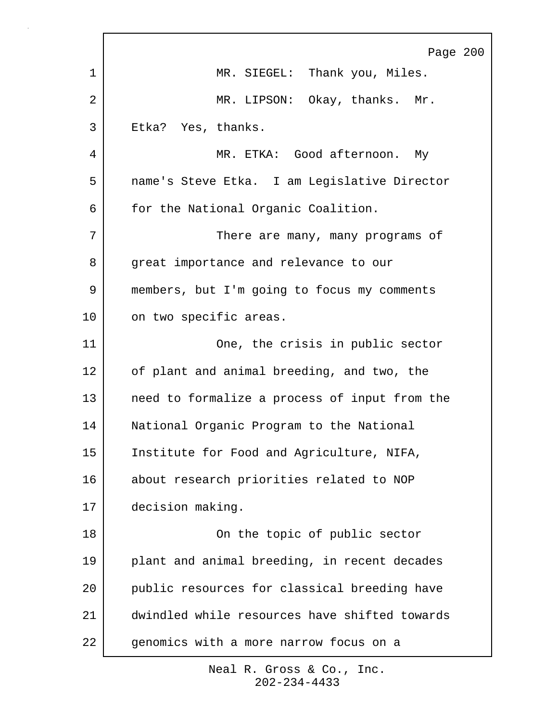|    | Page 200                                      |
|----|-----------------------------------------------|
| 1  | MR. SIEGEL: Thank you, Miles.                 |
| 2  | MR. LIPSON: Okay, thanks. Mr.                 |
| 3  | Etka? Yes, thanks.                            |
| 4  | MR. ETKA: Good afternoon. My                  |
| 5  | name's Steve Etka. I am Legislative Director  |
| 6  | for the National Organic Coalition.           |
| 7  | There are many, many programs of              |
| 8  | great importance and relevance to our         |
| 9  | members, but I'm going to focus my comments   |
| 10 | on two specific areas.                        |
| 11 | One, the crisis in public sector              |
| 12 | of plant and animal breeding, and two, the    |
| 13 | need to formalize a process of input from the |
| 14 | National Organic Program to the National      |
| 15 | Institute for Food and Agriculture, NIFA,     |
| 16 | about research priorities related to NOP      |
| 17 | decision making.                              |
| 18 | On the topic of public sector                 |
| 19 | plant and animal breeding, in recent decades  |
| 20 | public resources for classical breeding have  |
| 21 | dwindled while resources have shifted towards |
| 22 | genomics with a more narrow focus on a        |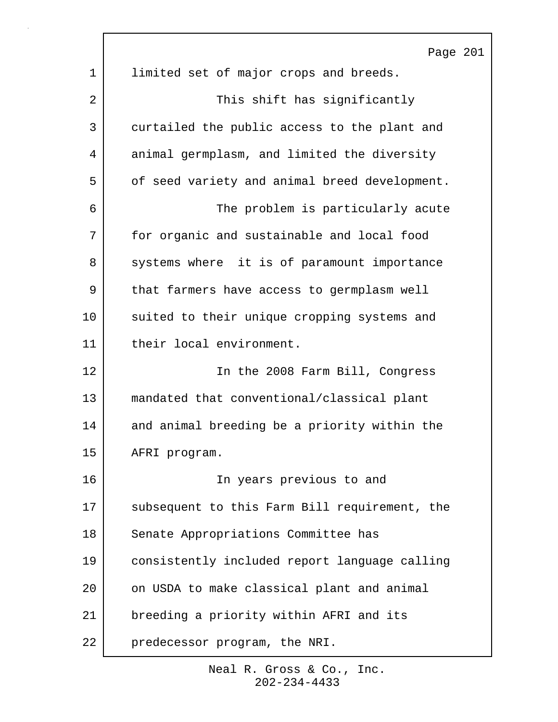|    | Page 201                                      |
|----|-----------------------------------------------|
| 1  | limited set of major crops and breeds.        |
| 2  | This shift has significantly                  |
| 3  | curtailed the public access to the plant and  |
| 4  | animal germplasm, and limited the diversity   |
| 5  | of seed variety and animal breed development. |
| 6  | The problem is particularly acute             |
| 7  | for organic and sustainable and local food    |
| 8  | systems where it is of paramount importance   |
| 9  | that farmers have access to germplasm well    |
| 10 | suited to their unique cropping systems and   |
| 11 | their local environment.                      |
| 12 | In the 2008 Farm Bill, Congress               |
| 13 | mandated that conventional/classical plant    |
| 14 | and animal breeding be a priority within the  |
| 15 | AFRI program.                                 |
| 16 | In years previous to and                      |
| 17 | subsequent to this Farm Bill requirement, the |
| 18 | Senate Appropriations Committee has           |
| 19 | consistently included report language calling |
| 20 | on USDA to make classical plant and animal    |
| 21 | breeding a priority within AFRI and its       |
| 22 | predecessor program, the NRI.                 |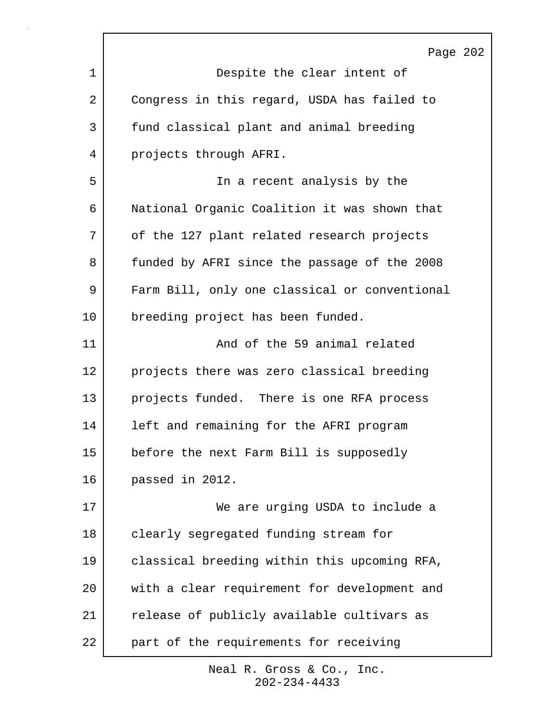|    | Page 202                                      |
|----|-----------------------------------------------|
| 1  | Despite the clear intent of                   |
| 2  | Congress in this regard, USDA has failed to   |
| 3  | fund classical plant and animal breeding      |
| 4  | projects through AFRI.                        |
| 5  | In a recent analysis by the                   |
| 6  | National Organic Coalition it was shown that  |
| 7  | of the 127 plant related research projects    |
| 8  | funded by AFRI since the passage of the 2008  |
| 9  | Farm Bill, only one classical or conventional |
| 10 | breeding project has been funded.             |
| 11 | And of the 59 animal related                  |
| 12 | projects there was zero classical breeding    |
| 13 | projects funded. There is one RFA process     |
| 14 | left and remaining for the AFRI program       |
| 15 | before the next Farm Bill is supposedly       |
| 16 | passed in 2012.                               |
| 17 | We are urging USDA to include a               |
| 18 | clearly segregated funding stream for         |
| 19 | classical breeding within this upcoming RFA,  |
| 20 | with a clear requirement for development and  |
| 21 | release of publicly available cultivars as    |
| 22 | part of the requirements for receiving        |

r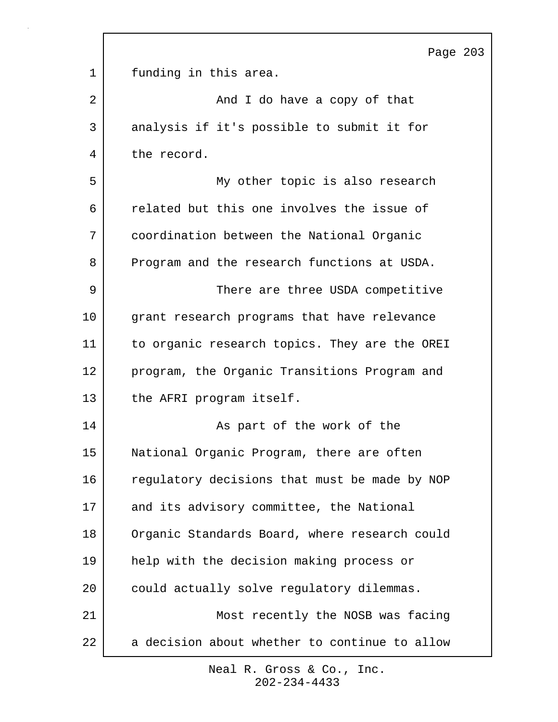|             | Page 203                                      |
|-------------|-----------------------------------------------|
| $\mathbf 1$ | funding in this area.                         |
| 2           | And I do have a copy of that                  |
| 3           | analysis if it's possible to submit it for    |
| 4           | the record.                                   |
| 5           | My other topic is also research               |
| 6           | related but this one involves the issue of    |
| 7           | coordination between the National Organic     |
| 8           | Program and the research functions at USDA.   |
| 9           | There are three USDA competitive              |
| 10          | grant research programs that have relevance   |
| 11          | to organic research topics. They are the OREI |
| 12          | program, the Organic Transitions Program and  |
| 13          | the AFRI program itself.                      |
| 14          | As part of the work of the                    |
| 15          | National Organic Program, there are often     |
| 16          | regulatory decisions that must be made by NOP |
| 17          | and its advisory committee, the National      |
| 18          | Organic Standards Board, where research could |
| 19          | help with the decision making process or      |
| 20          | could actually solve regulatory dilemmas.     |
| 21          | Most recently the NOSB was facing             |
| 22          | a decision about whether to continue to allow |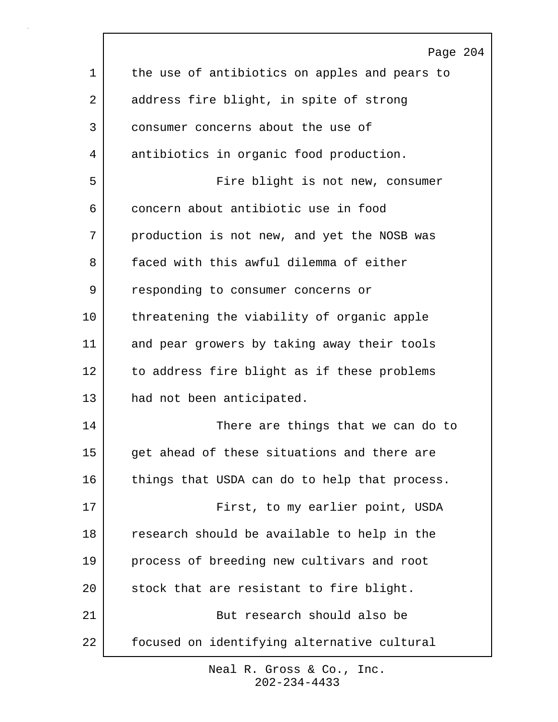|    | Page 204                                      |
|----|-----------------------------------------------|
| 1  | the use of antibiotics on apples and pears to |
| 2  | address fire blight, in spite of strong       |
| 3  | consumer concerns about the use of            |
| 4  | antibiotics in organic food production.       |
| 5  | Fire blight is not new, consumer              |
| 6  | concern about antibiotic use in food          |
| 7  | production is not new, and yet the NOSB was   |
| 8  | faced with this awful dilemma of either       |
| 9  | responding to consumer concerns or            |
| 10 | threatening the viability of organic apple    |
| 11 | and pear growers by taking away their tools   |
| 12 | to address fire blight as if these problems   |
| 13 | had not been anticipated.                     |
| 14 | There are things that we can do to            |
| 15 | get ahead of these situations and there are   |
| 16 | things that USDA can do to help that process. |
| 17 | First, to my earlier point, USDA              |
| 18 | research should be available to help in the   |
| 19 | process of breeding new cultivars and root    |
| 20 | stock that are resistant to fire blight.      |
| 21 | But research should also be                   |
| 22 | focused on identifying alternative cultural   |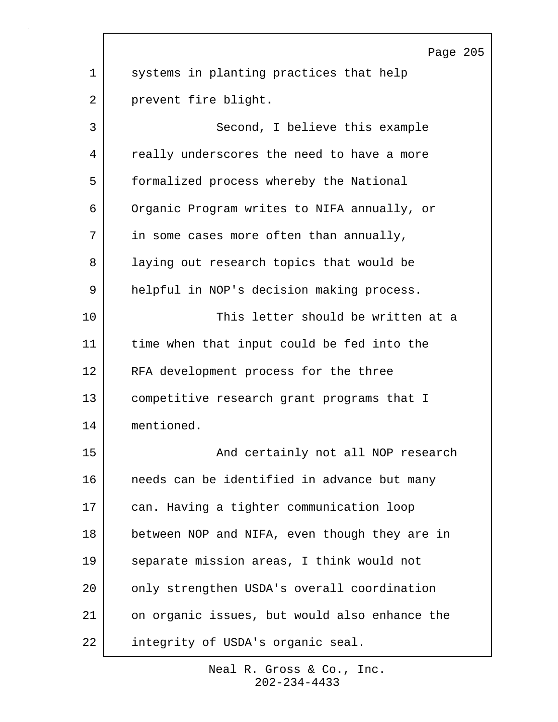Page 205 1 systems in planting practices that help 2 prevent fire blight. 3 Second, I believe this example 4 really underscores the need to have a more 5 formalized process whereby the National 6 Organic Program writes to NIFA annually, or 7 in some cases more often than annually, 8 | laying out research topics that would be 9 helpful in NOP's decision making process. 10 This letter should be written at a 11 time when that input could be fed into the 12 | RFA development process for the three 13 competitive research grant programs that I 14 mentioned. 15 | The South Contrainly not all NOP research 16 needs can be identified in advance but many 17 can. Having a tighter communication loop 18 | between NOP and NIFA, even though they are in 19 separate mission areas, I think would not 20 only strengthen USDA's overall coordination 21 on organic issues, but would also enhance the 22 integrity of USDA's organic seal.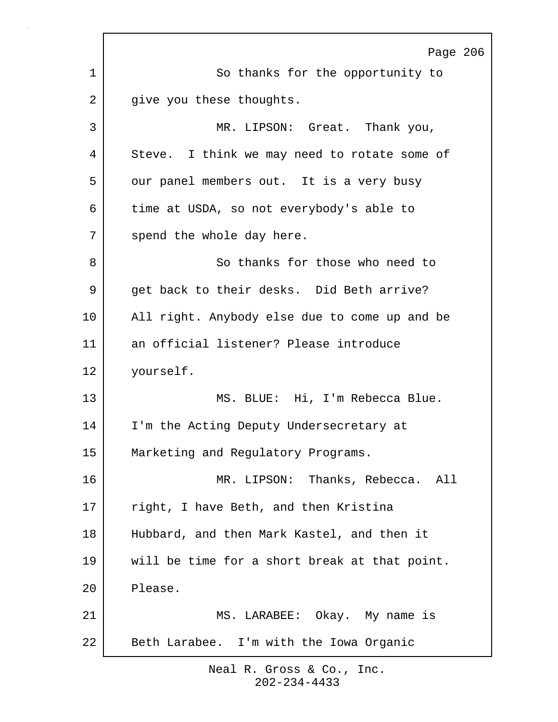Page 206 1 So thanks for the opportunity to 2 give you these thoughts. 3 MR. LIPSON: Great. Thank you, 4 Steve. I think we may need to rotate some of 5 our panel members out. It is a very busy 6 time at USDA, so not everybody's able to 7 spend the whole day here. 8 So thanks for those who need to 9 | get back to their desks. Did Beth arrive? 10 | All right. Anybody else due to come up and be 11 an official listener? Please introduce 12 yourself. 13 MS. BLUE: Hi, I'm Rebecca Blue. 14 I'm the Acting Deputy Undersecretary at 15 | Marketing and Regulatory Programs. 16 MR. LIPSON: Thanks, Rebecca. All 17 right, I have Beth, and then Kristina 18 Hubbard, and then Mark Kastel, and then it 19 will be time for a short break at that point. 20 Please. 21 | MS. LARABEE: Okay. My name is 22 Beth Larabee. I'm with the Iowa Organic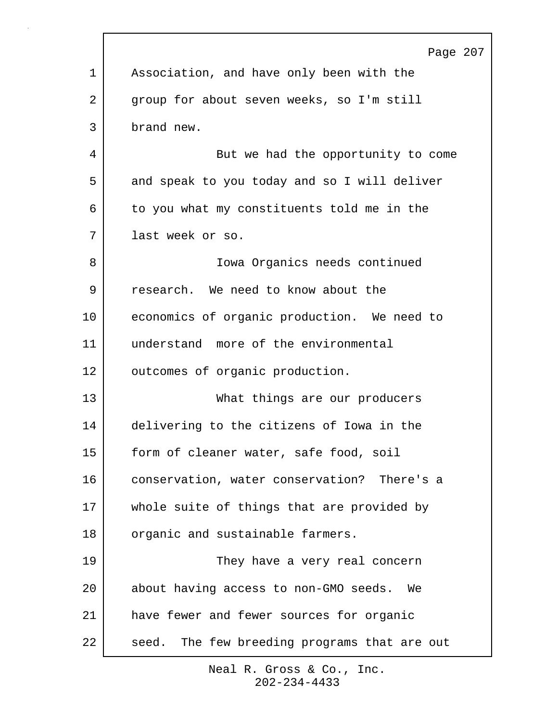|             | Page 207                                        |
|-------------|-------------------------------------------------|
| $\mathbf 1$ | Association, and have only been with the        |
| 2           | group for about seven weeks, so I'm still       |
| 3           | brand new.                                      |
| 4           | But we had the opportunity to come              |
| 5           | and speak to you today and so I will deliver    |
| 6           | to you what my constituents told me in the      |
| 7           | last week or so.                                |
| 8           | Iowa Organics needs continued                   |
| 9           | research. We need to know about the             |
| 10          | economics of organic production. We need to     |
| 11          | understand more of the environmental            |
| 12          | outcomes of organic production.                 |
| 13          | What things are our producers                   |
| 14          | delivering to the citizens of Iowa in the       |
| 15          | form of cleaner water, safe food, soil          |
| 16          | conservation, water conservation? There's a     |
| 17          | whole suite of things that are provided by      |
| 18          | organic and sustainable farmers.                |
| 19          | They have a very real concern                   |
| 20          | about having access to non-GMO seeds. We        |
| 21          | have fewer and fewer sources for organic        |
| 22          | The few breeding programs that are out<br>seed. |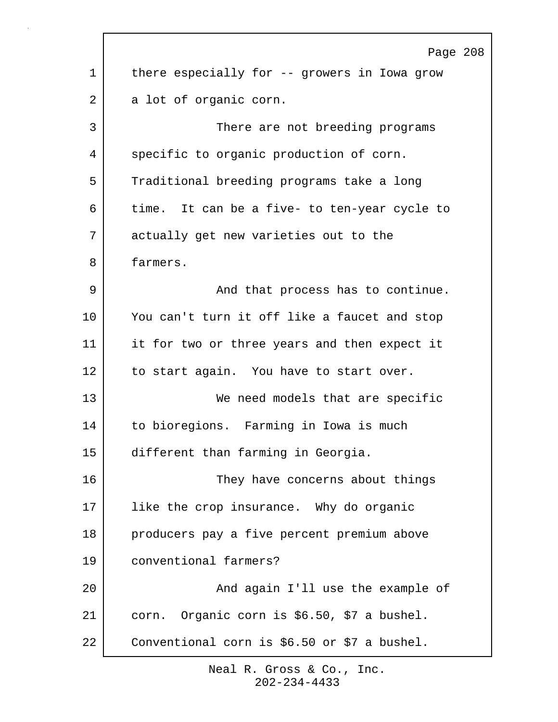|             | Page 208                                     |
|-------------|----------------------------------------------|
| $\mathbf 1$ | there especially for -- growers in Iowa grow |
| 2           | a lot of organic corn.                       |
| 3           | There are not breeding programs              |
| 4           | specific to organic production of corn.      |
| 5           | Traditional breeding programs take a long    |
| 6           | time. It can be a five- to ten-year cycle to |
| 7           | actually get new varieties out to the        |
| 8           | farmers.                                     |
| 9           | And that process has to continue.            |
| 10          | You can't turn it off like a faucet and stop |
| 11          | it for two or three years and then expect it |
| 12          | to start again. You have to start over.      |
| 13          | We need models that are specific             |
| 14          | to bioregions. Farming in Iowa is much       |
| 15          | different than farming in Georgia.           |
| 16          | They have concerns about things              |
| 17          | like the crop insurance. Why do organic      |
| 18          | producers pay a five percent premium above   |
| 19          | conventional farmers?                        |
| 20          | And again I'll use the example of            |
| 21          | corn. Organic corn is \$6.50, \$7 a bushel.  |
| 22          | Conventional corn is \$6.50 or \$7 a bushel. |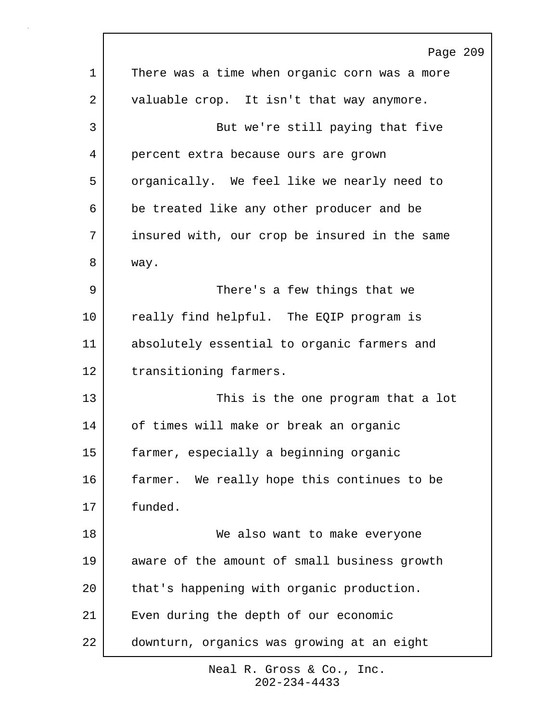|             | Page 209                                      |
|-------------|-----------------------------------------------|
| $\mathbf 1$ | There was a time when organic corn was a more |
| 2           | valuable crop. It isn't that way anymore.     |
| 3           | But we're still paying that five              |
| 4           | percent extra because ours are grown          |
| 5           | organically. We feel like we nearly need to   |
| 6           | be treated like any other producer and be     |
| 7           | insured with, our crop be insured in the same |
| 8           | way.                                          |
| 9           | There's a few things that we                  |
| 10          | really find helpful. The EQIP program is      |
| 11          | absolutely essential to organic farmers and   |
| 12          | transitioning farmers.                        |
| 13          | This is the one program that a lot            |
| 14          | of times will make or break an organic        |
| 15          | farmer, especially a beginning organic        |
| 16          | farmer. We really hope this continues to be   |
| 17          | funded.                                       |
| 18          | We also want to make everyone                 |
| 19          | aware of the amount of small business growth  |
| 20          | that's happening with organic production.     |
| 21          | Even during the depth of our economic         |
| 22          | downturn, organics was growing at an eight    |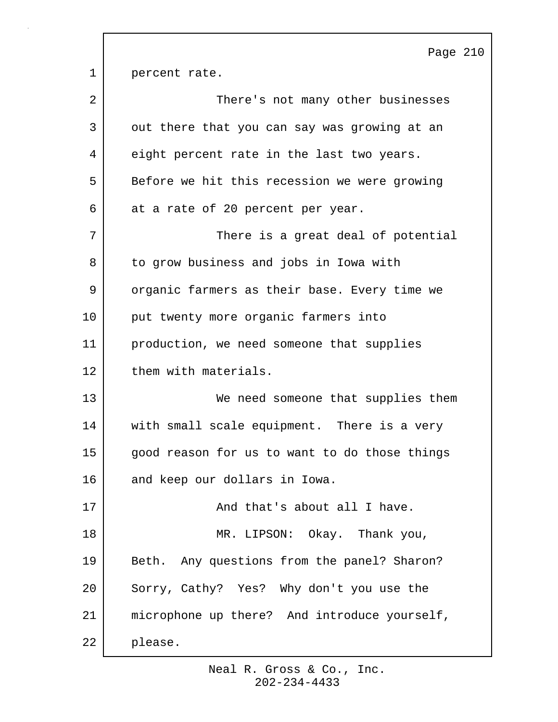Page 210 1 percent rate. 2 | There's not many other businesses 3 | out there that you can say was growing at an 4 eight percent rate in the last two years. 5 Before we hit this recession we were growing 6 at a rate of 20 percent per year. 7 | There is a great deal of potential 8 to grow business and jobs in Iowa with 9 | organic farmers as their base. Every time we 10 put twenty more organic farmers into 11 production, we need someone that supplies 12 them with materials. 13 We need someone that supplies them 14 | with small scale equipment. There is a very 15 | good reason for us to want to do those things 16 and keep our dollars in Iowa. 17 | And that's about all I have. 18 MR. LIPSON: Okay. Thank you, 19 | Beth. Any questions from the panel? Sharon? 20 Sorry, Cathy? Yes? Why don't you use the 21 microphone up there? And introduce yourself, 22 please.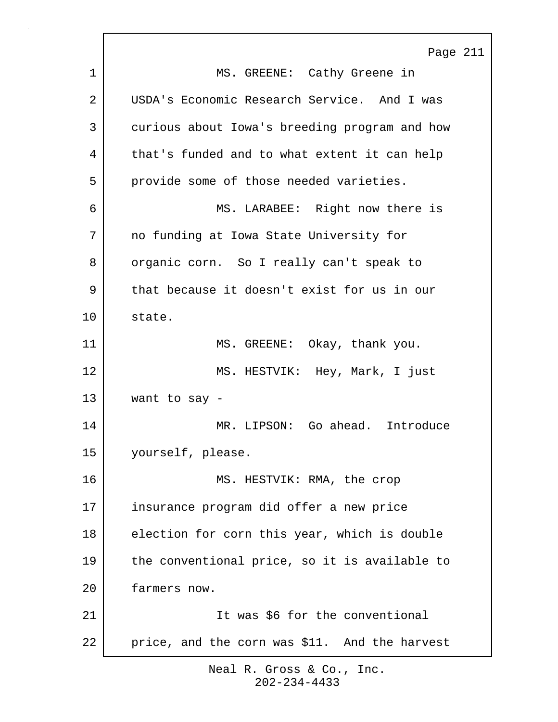Page 211 1 | MS. GREENE: Cathy Greene in 2 USDA's Economic Research Service. And I was 3 curious about Iowa's breeding program and how 4 | that's funded and to what extent it can help 5 provide some of those needed varieties. 6 MS. LARABEE: Right now there is 7 no funding at Iowa State University for 8 organic corn. So I really can't speak to 9 | that because it doesn't exist for us in our 10 state. 11 MS. GREENE: Okay, thank you. 12 MS. HESTVIK: Hey, Mark, I just 13 want to say - 14 MR. LIPSON: Go ahead. Introduce 15 yourself, please. 16 MS. HESTVIK: RMA, the crop 17 insurance program did offer a new price 18 election for corn this year, which is double 19 the conventional price, so it is available to 20 farmers now. 21 It was \$6 for the conventional 22 | price, and the corn was \$11. And the harvest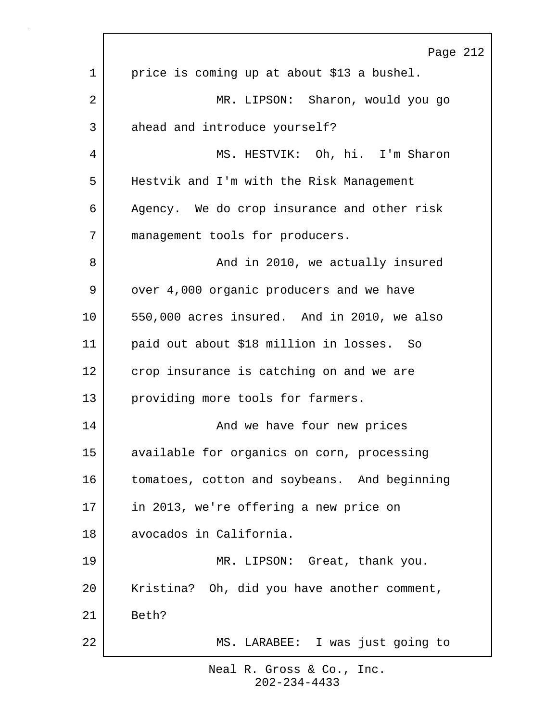|    | Page 212                                     |
|----|----------------------------------------------|
| 1  | price is coming up at about \$13 a bushel.   |
| 2  | MR. LIPSON: Sharon, would you go             |
| 3  | ahead and introduce yourself?                |
| 4  | MS. HESTVIK: Oh, hi. I'm Sharon              |
| 5  | Hestvik and I'm with the Risk Management     |
| 6  | Agency. We do crop insurance and other risk  |
| 7  | management tools for producers.              |
| 8  | And in 2010, we actually insured             |
| 9  | over 4,000 organic producers and we have     |
| 10 | 550,000 acres insured. And in 2010, we also  |
| 11 | paid out about \$18 million in losses. So    |
| 12 | crop insurance is catching on and we are     |
| 13 | providing more tools for farmers.            |
| 14 | And we have four new prices                  |
| 15 | available for organics on corn, processing   |
| 16 | tomatoes, cotton and soybeans. And beginning |
| 17 | in 2013, we're offering a new price on       |
| 18 | avocados in California.                      |
| 19 | MR. LIPSON: Great, thank you.                |
| 20 | Kristina? Oh, did you have another comment,  |
| 21 | Beth?                                        |
| 22 | MS. LARABEE: I was just going to             |
|    |                                              |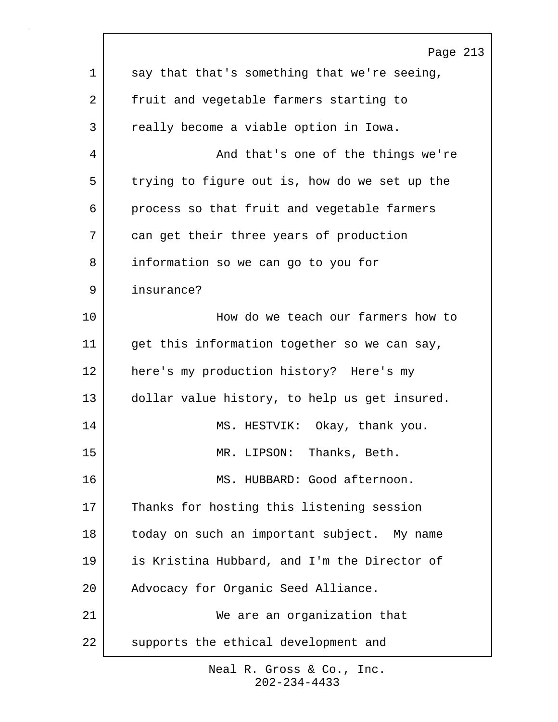|             | Page 213                                      |
|-------------|-----------------------------------------------|
| $\mathbf 1$ | say that that's something that we're seeing,  |
| 2           | fruit and vegetable farmers starting to       |
| 3           | really become a viable option in Iowa.        |
| 4           | And that's one of the things we're            |
| 5           | trying to figure out is, how do we set up the |
| 6           | process so that fruit and vegetable farmers   |
| 7           | can get their three years of production       |
| 8           | information so we can go to you for           |
| 9           | insurance?                                    |
| 10          | How do we teach our farmers how to            |
| 11          | get this information together so we can say,  |
| 12          | here's my production history? Here's my       |
| 13          | dollar value history, to help us get insured. |
| 14          | MS. HESTVIK: Okay, thank you.                 |
| 15          | MR. LIPSON: Thanks, Beth.                     |
| 16          | MS. HUBBARD: Good afternoon.                  |
| 17          | Thanks for hosting this listening session     |
| 18          | today on such an important subject. My name   |
| 19          | is Kristina Hubbard, and I'm the Director of  |
| 20          | Advocacy for Organic Seed Alliance.           |
| 21          | We are an organization that                   |
| 22          | supports the ethical development and          |
|             |                                               |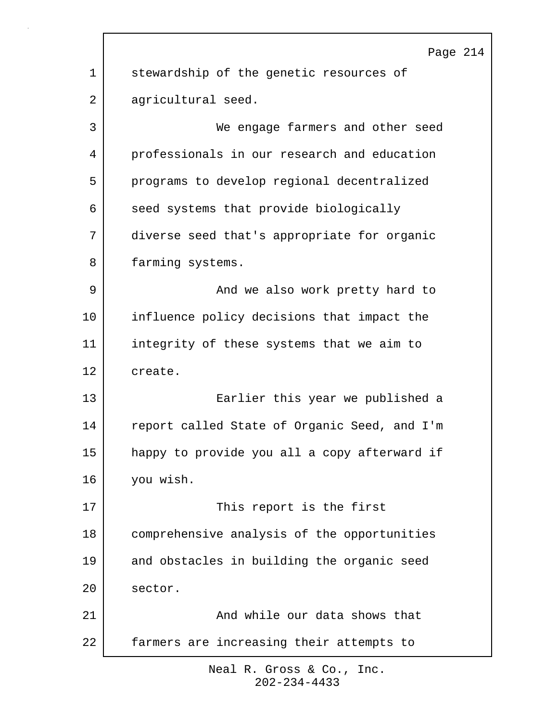|             | Page 214                                     |
|-------------|----------------------------------------------|
| $\mathbf 1$ | stewardship of the genetic resources of      |
| 2           | agricultural seed.                           |
| 3           | We engage farmers and other seed             |
| 4           | professionals in our research and education  |
| 5           | programs to develop regional decentralized   |
| 6           | seed systems that provide biologically       |
| 7           | diverse seed that's appropriate for organic  |
| 8           | farming systems.                             |
| 9           | And we also work pretty hard to              |
| 10          | influence policy decisions that impact the   |
| 11          | integrity of these systems that we aim to    |
| 12          | create.                                      |
| 13          | Earlier this year we published a             |
| 14          | report called State of Organic Seed, and I'm |
| 15          | happy to provide you all a copy afterward if |
| 16          | you wish.                                    |
| 17          | This report is the first                     |
| 18          | comprehensive analysis of the opportunities  |
| 19          | and obstacles in building the organic seed   |
| 20          | sector.                                      |
| 21          | And while our data shows that                |
| 22          | farmers are increasing their attempts to     |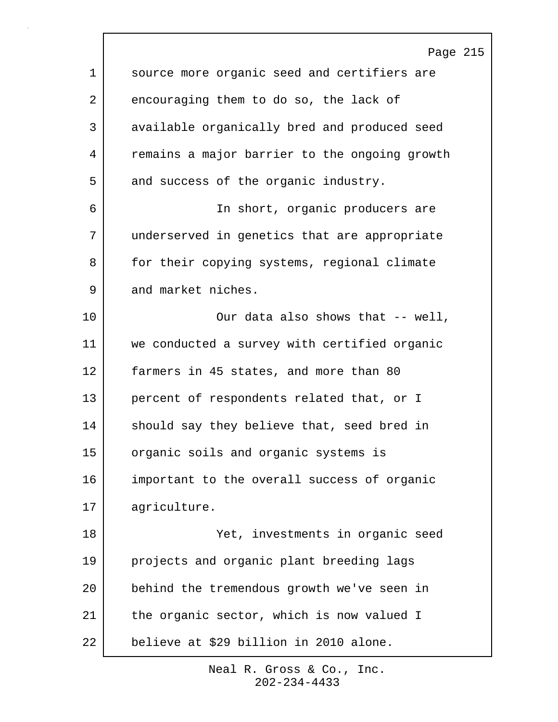Page 215 1 source more organic seed and certifiers are 2 encouraging them to do so, the lack of 3 available organically bred and produced seed 4 remains a major barrier to the ongoing growth 5 and success of the organic industry. 6 In short, organic producers are 7 underserved in genetics that are appropriate 8 for their copying systems, regional climate 9 and market niches. 10 Our data also shows that -- well, 11 we conducted a survey with certified organic 12 farmers in 45 states, and more than 80 13 percent of respondents related that, or I 14 should say they believe that, seed bred in 15 organic soils and organic systems is 16 important to the overall success of organic 17 agriculture. 18 Yet, investments in organic seed 19 projects and organic plant breeding lags 20 behind the tremendous growth we've seen in 21 | the organic sector, which is now valued I 22 believe at \$29 billion in 2010 alone.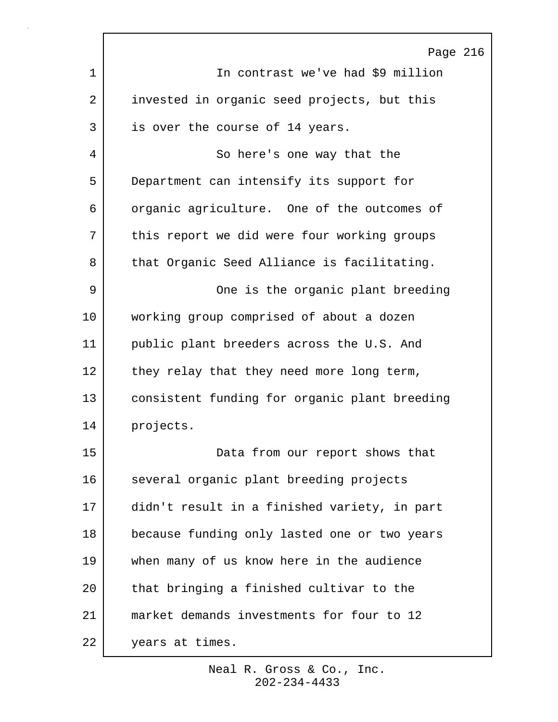|             | Page 216                                      |
|-------------|-----------------------------------------------|
| $\mathbf 1$ | In contrast we've had \$9 million             |
| 2           | invested in organic seed projects, but this   |
| 3           | is over the course of 14 years.               |
| 4           | So here's one way that the                    |
| 5           | Department can intensify its support for      |
| 6           | organic agriculture. One of the outcomes of   |
| 7           | this report we did were four working groups   |
| 8           | that Organic Seed Alliance is facilitating.   |
| 9           | One is the organic plant breeding             |
| 10          | working group comprised of about a dozen      |
| 11          | public plant breeders across the U.S. And     |
| 12          | they relay that they need more long term,     |
| 13          | consistent funding for organic plant breeding |
| 14          | projects.                                     |
| 15          | Data from our report shows that               |
| 16          | several organic plant breeding projects       |
| 17          | didn't result in a finished variety, in part  |
| 18          | because funding only lasted one or two years  |
| 19          | when many of us know here in the audience     |
| 20          | that bringing a finished cultivar to the      |
| 21          | market demands investments for four to 12     |
| 22          | years at times.                               |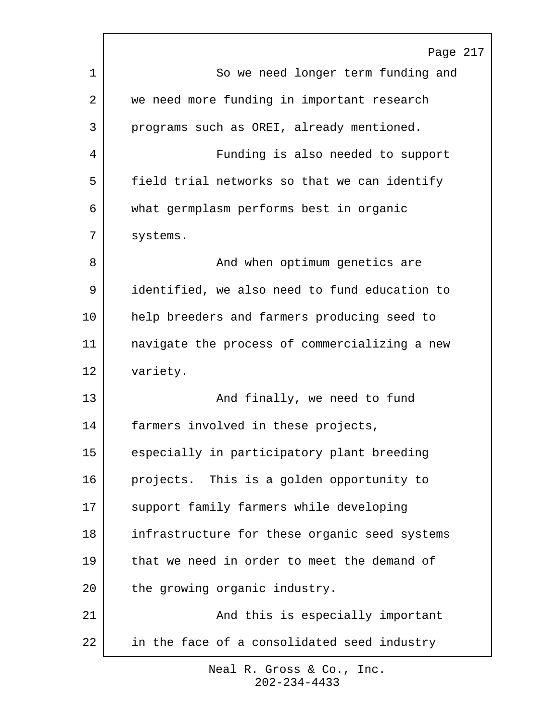|    | Page 217                                      |
|----|-----------------------------------------------|
| 1  | So we need longer term funding and            |
| 2  | we need more funding in important research    |
| 3  | programs such as OREI, already mentioned.     |
| 4  | Funding is also needed to support             |
| 5  | field trial networks so that we can identify  |
| 6  | what germplasm performs best in organic       |
| 7  | systems.                                      |
| 8  | And when optimum genetics are                 |
| 9  | identified, we also need to fund education to |
| 10 | help breeders and farmers producing seed to   |
| 11 | navigate the process of commercializing a new |
| 12 | variety.                                      |
| 13 | And finally, we need to fund                  |
| 14 | farmers involved in these projects,           |
| 15 | especially in participatory plant breeding    |
| 16 | projects. This is a golden opportunity to     |
| 17 | support family farmers while developing       |
| 18 | infrastructure for these organic seed systems |
| 19 | that we need in order to meet the demand of   |
| 20 | the growing organic industry.                 |
| 21 | And this is especially important              |
| 22 | in the face of a consolidated seed industry   |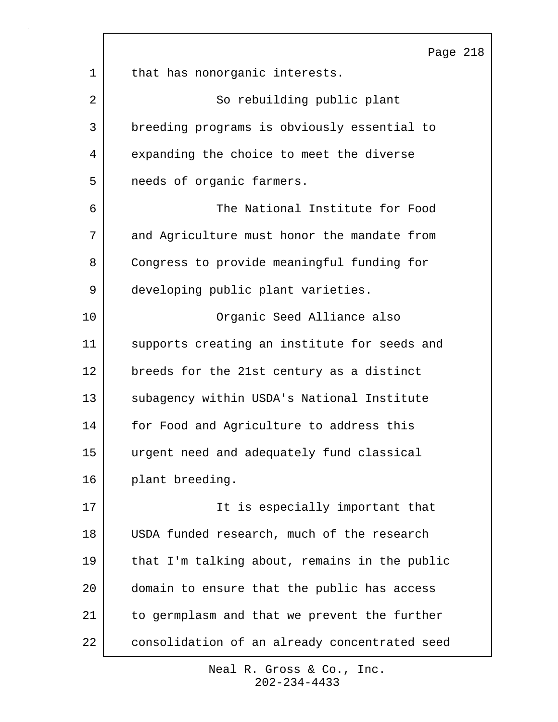|    | Page 218                                      |
|----|-----------------------------------------------|
| 1  | that has nonorganic interests.                |
| 2  | So rebuilding public plant                    |
| 3  | breeding programs is obviously essential to   |
| 4  | expanding the choice to meet the diverse      |
| 5  | needs of organic farmers.                     |
| 6  | The National Institute for Food               |
| 7  | and Agriculture must honor the mandate from   |
| 8  | Congress to provide meaningful funding for    |
| 9  | developing public plant varieties.            |
| 10 | Organic Seed Alliance also                    |
| 11 | supports creating an institute for seeds and  |
| 12 | breeds for the 21st century as a distinct     |
| 13 | subagency within USDA's National Institute    |
| 14 | for Food and Agriculture to address this      |
| 15 | urgent need and adequately fund classical     |
| 16 | plant breeding.                               |
| 17 | It is especially important that               |
| 18 | USDA funded research, much of the research    |
| 19 | that I'm talking about, remains in the public |
| 20 | domain to ensure that the public has access   |
| 21 | to germplasm and that we prevent the further  |
| 22 | consolidation of an already concentrated seed |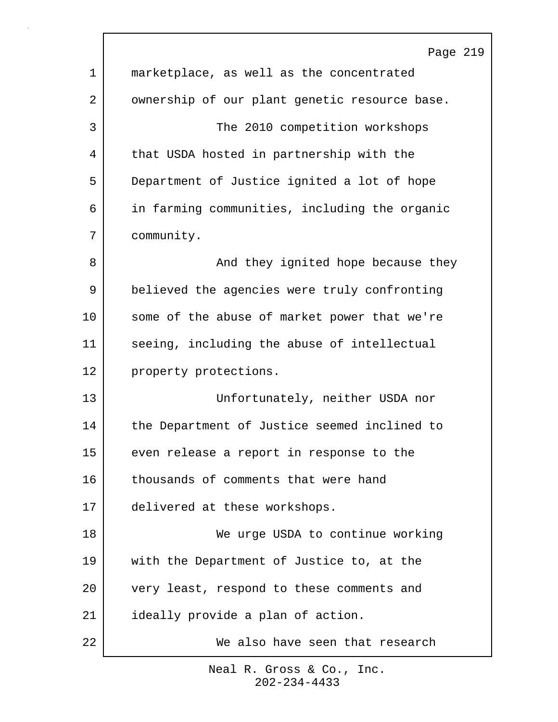|    | Page 219                                      |
|----|-----------------------------------------------|
| 1  | marketplace, as well as the concentrated      |
| 2  | ownership of our plant genetic resource base. |
| 3  | The 2010 competition workshops                |
| 4  | that USDA hosted in partnership with the      |
| 5  | Department of Justice ignited a lot of hope   |
| 6  | in farming communities, including the organic |
| 7  | community.                                    |
| 8  | And they ignited hope because they            |
| 9  | believed the agencies were truly confronting  |
| 10 | some of the abuse of market power that we're  |
| 11 | seeing, including the abuse of intellectual   |
| 12 | property protections.                         |
| 13 | Unfortunately, neither USDA nor               |
| 14 | the Department of Justice seemed inclined to  |
| 15 | even release a report in response to the      |
| 16 | thousands of comments that were hand          |
| 17 | delivered at these workshops.                 |
| 18 | We urge USDA to continue working              |
| 19 | with the Department of Justice to, at the     |
| 20 | very least, respond to these comments and     |
| 21 | ideally provide a plan of action.             |
| 22 | We also have seen that research               |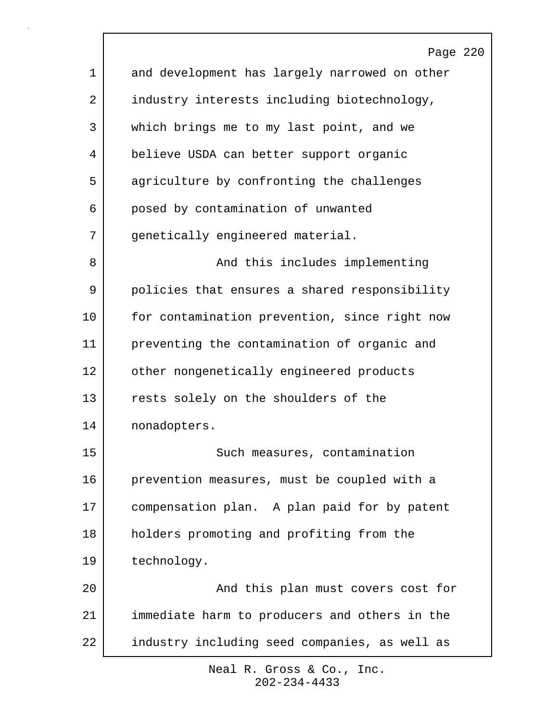|             | Page 220                                      |
|-------------|-----------------------------------------------|
| $\mathbf 1$ | and development has largely narrowed on other |
| 2           | industry interests including biotechnology,   |
| 3           | which brings me to my last point, and we      |
| 4           | believe USDA can better support organic       |
| 5           | agriculture by confronting the challenges     |
| 6           | posed by contamination of unwanted            |
| 7           | genetically engineered material.              |
| 8           | And this includes implementing                |
| 9           | policies that ensures a shared responsibility |
| 10          | for contamination prevention, since right now |
| 11          | preventing the contamination of organic and   |
| 12          | other nongenetically engineered products      |
| 13          | rests solely on the shoulders of the          |
| 14          | nonadopters.                                  |
| 15          | Such measures, contamination                  |
| 16          | prevention measures, must be coupled with a   |
| 17          | compensation plan. A plan paid for by patent  |
| 18          | holders promoting and profiting from the      |
| 19          | technology.                                   |
| 20          | And this plan must covers cost for            |
| 21          | immediate harm to producers and others in the |
| 22          | industry including seed companies, as well as |

 $\Gamma$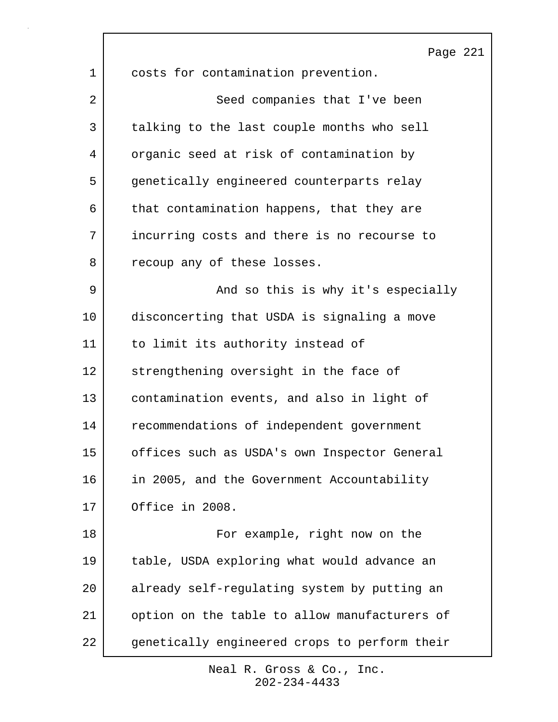|    | Page 221                                      |
|----|-----------------------------------------------|
| 1  | costs for contamination prevention.           |
| 2  | Seed companies that I've been                 |
| 3  | talking to the last couple months who sell    |
| 4  | organic seed at risk of contamination by      |
| 5  | genetically engineered counterparts relay     |
| 6  | that contamination happens, that they are     |
| 7  | incurring costs and there is no recourse to   |
| 8  | recoup any of these losses.                   |
| 9  | And so this is why it's especially            |
| 10 | disconcerting that USDA is signaling a move   |
| 11 | to limit its authority instead of             |
| 12 | strengthening oversight in the face of        |
| 13 | contamination events, and also in light of    |
| 14 | recommendations of independent government     |
| 15 | offices such as USDA's own Inspector General  |
| 16 | in 2005, and the Government Accountability    |
| 17 | Office in 2008.                               |
| 18 | For example, right now on the                 |
| 19 | table, USDA exploring what would advance an   |
| 20 | already self-regulating system by putting an  |
| 21 | option on the table to allow manufacturers of |
| 22 | genetically engineered crops to perform their |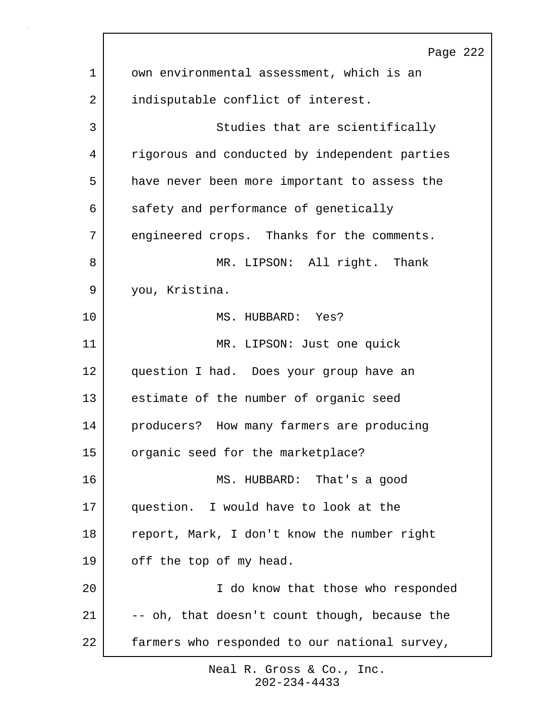|             | Page 222                                      |
|-------------|-----------------------------------------------|
| $\mathbf 1$ | own environmental assessment, which is an     |
| 2           | indisputable conflict of interest.            |
| 3           | Studies that are scientifically               |
| 4           | rigorous and conducted by independent parties |
| 5           | have never been more important to assess the  |
| 6           | safety and performance of genetically         |
| 7           | engineered crops. Thanks for the comments.    |
| 8           | MR. LIPSON: All right. Thank                  |
| 9           | you, Kristina.                                |
| 10          | MS. HUBBARD: Yes?                             |
| 11          | MR. LIPSON: Just one quick                    |
| 12          | question I had. Does your group have an       |
| 13          | estimate of the number of organic seed        |
| 14          | producers? How many farmers are producing     |
| 15          | organic seed for the marketplace?             |
| 16          | MS. HUBBARD: That's a good                    |
| 17          | question. I would have to look at the         |
| 18          | report, Mark, I don't know the number right   |
| 19          | off the top of my head.                       |
| 20          | I do know that those who responded            |
| 21          | -- oh, that doesn't count though, because the |
| 22          | farmers who responded to our national survey, |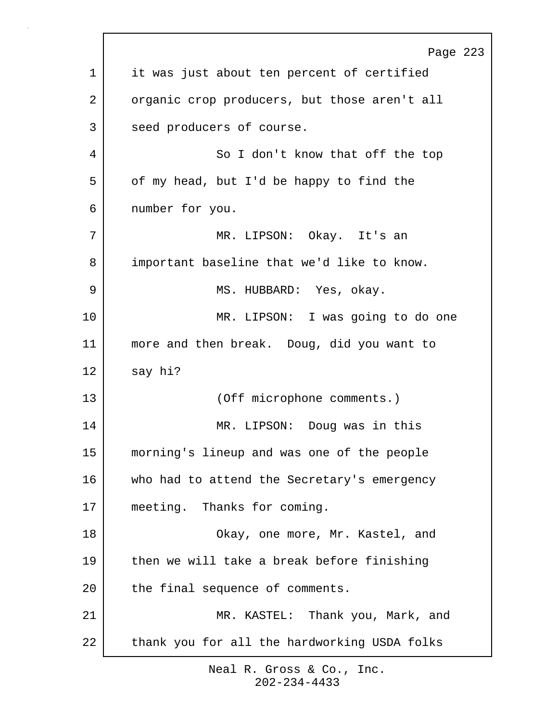|    | Page 223                                     |
|----|----------------------------------------------|
| 1  | it was just about ten percent of certified   |
| 2  | organic crop producers, but those aren't all |
| 3  | seed producers of course.                    |
| 4  | So I don't know that off the top             |
| 5  | of my head, but I'd be happy to find the     |
| 6  | number for you.                              |
| 7  | MR. LIPSON: Okay. It's an                    |
| 8  | important baseline that we'd like to know.   |
| 9  | MS. HUBBARD: Yes, okay.                      |
| 10 | MR. LIPSON: I was going to do one            |
| 11 | more and then break. Doug, did you want to   |
| 12 | say hi?                                      |
| 13 | (Off microphone comments.)                   |
| 14 | MR. LIPSON: Doug was in this                 |
| 15 | morning's lineup and was one of the people   |
| 16 | who had to attend the Secretary's emergency  |
| 17 | meeting. Thanks for coming.                  |
| 18 | Okay, one more, Mr. Kastel, and              |
| 19 | then we will take a break before finishing   |
| 20 | the final sequence of comments.              |
| 21 | MR. KASTEL: Thank you, Mark, and             |
| 22 | thank you for all the hardworking USDA folks |
|    |                                              |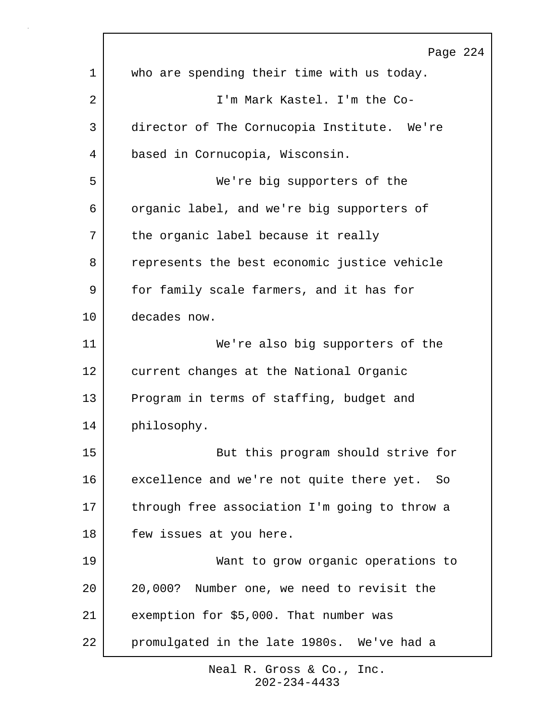|             | Page 224                                      |
|-------------|-----------------------------------------------|
| $\mathbf 1$ | who are spending their time with us today.    |
| 2           | I'm Mark Kastel. I'm the Co-                  |
| 3           | director of The Cornucopia Institute. We're   |
| 4           | based in Cornucopia, Wisconsin.               |
| 5           | We're big supporters of the                   |
| 6           | organic label, and we're big supporters of    |
| 7           | the organic label because it really           |
| 8           | represents the best economic justice vehicle  |
| 9           | for family scale farmers, and it has for      |
| 10          | decades now.                                  |
| 11          | We're also big supporters of the              |
| 12          | current changes at the National Organic       |
| 13          | Program in terms of staffing, budget and      |
| 14          | philosophy.                                   |
| 15          | But this program should strive for            |
| 16          | excellence and we're not quite there yet. So  |
| 17          | through free association I'm going to throw a |
| 18          | few issues at you here.                       |
| 19          | Want to grow organic operations to            |
| 20          | 20,000? Number one, we need to revisit the    |
| 21          | exemption for \$5,000. That number was        |
| 22          | promulgated in the late 1980s. We've had a    |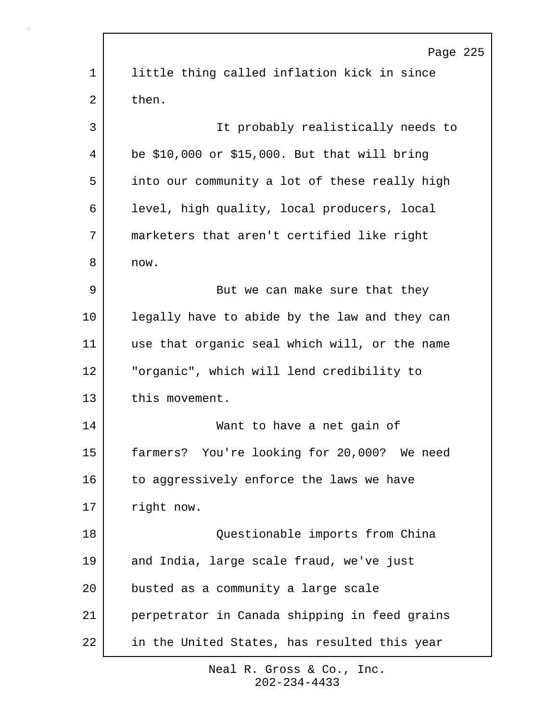|             | Page 225                                      |
|-------------|-----------------------------------------------|
| $\mathbf 1$ | little thing called inflation kick in since   |
| 2           | then.                                         |
| 3           | It probably realistically needs to            |
| 4           | be \$10,000 or \$15,000. But that will bring  |
| 5           | into our community a lot of these really high |
| 6           | level, high quality, local producers, local   |
| 7           | marketers that aren't certified like right    |
| 8           | now.                                          |
| 9           | But we can make sure that they                |
| 10          | legally have to abide by the law and they can |
| 11          | use that organic seal which will, or the name |
| 12          | "organic", which will lend credibility to     |
| 13          | this movement.                                |
| 14          | Want to have a net gain of                    |
| 15          | farmers? You're looking for 20,000? We need   |
| 16          | to aggressively enforce the laws we have      |
| 17          | right now.                                    |
| 18          | Questionable imports from China               |
| 19          | and India, large scale fraud, we've just      |
| 20          | busted as a community a large scale           |
| 21          | perpetrator in Canada shipping in feed grains |
| 22          | in the United States, has resulted this year  |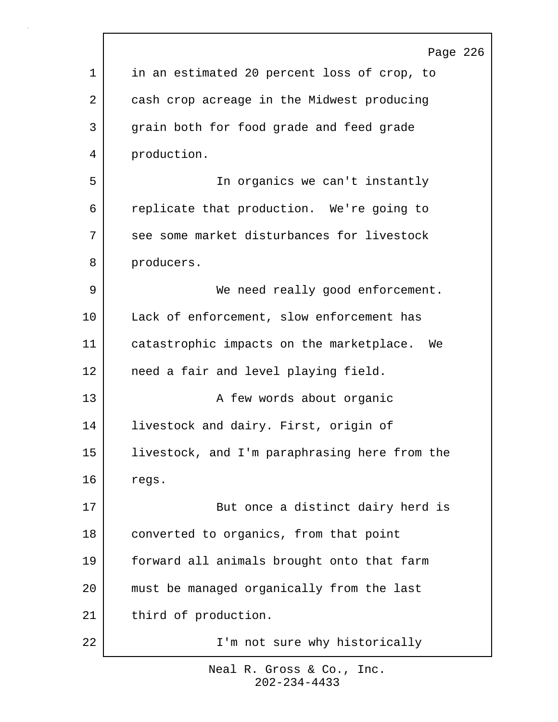|    | Page 226                                       |
|----|------------------------------------------------|
| 1  | in an estimated 20 percent loss of crop, to    |
| 2  | cash crop acreage in the Midwest producing     |
| 3  | grain both for food grade and feed grade       |
| 4  | production.                                    |
| 5  | In organics we can't instantly                 |
| 6  | replicate that production. We're going to      |
| 7  | see some market disturbances for livestock     |
| 8  | producers.                                     |
| 9  | We need really good enforcement.               |
| 10 | Lack of enforcement, slow enforcement has      |
| 11 | catastrophic impacts on the marketplace.<br>We |
| 12 | need a fair and level playing field.           |
| 13 | A few words about organic                      |
| 14 | livestock and dairy. First, origin of          |
| 15 | livestock, and I'm paraphrasing here from the  |
| 16 | regs.                                          |
| 17 | But once a distinct dairy herd is              |
| 18 | converted to organics, from that point         |
| 19 | forward all animals brought onto that farm     |
| 20 | must be managed organically from the last      |
| 21 | third of production.                           |
| 22 | I'm not sure why historically                  |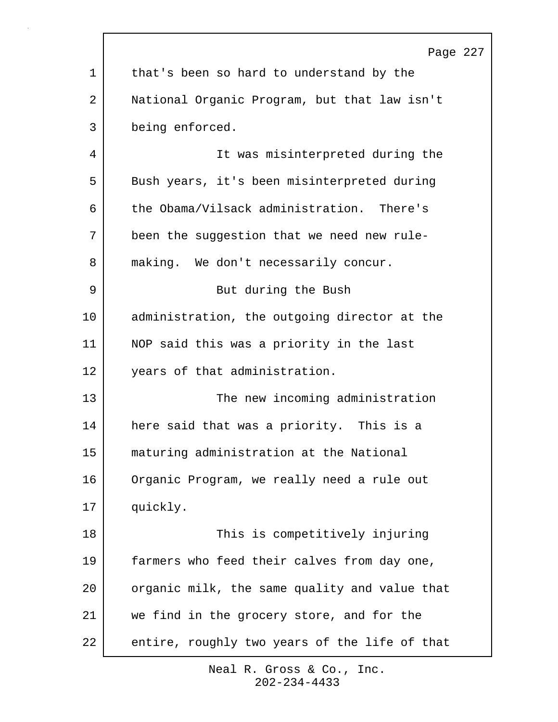|    | Page 227                                      |
|----|-----------------------------------------------|
| 1  | that's been so hard to understand by the      |
| 2  | National Organic Program, but that law isn't  |
| 3  | being enforced.                               |
| 4  | It was misinterpreted during the              |
| 5  | Bush years, it's been misinterpreted during   |
| 6  | the Obama/Vilsack administration. There's     |
| 7  | been the suggestion that we need new rule-    |
| 8  | making. We don't necessarily concur.          |
| 9  | But during the Bush                           |
| 10 | administration, the outgoing director at the  |
| 11 | NOP said this was a priority in the last      |
| 12 | years of that administration.                 |
| 13 | The new incoming administration               |
| 14 | here said that was a priority. This is a      |
| 15 | maturing administration at the National       |
| 16 | Organic Program, we really need a rule out    |
| 17 | quickly.                                      |
| 18 | This is competitively injuring                |
| 19 | farmers who feed their calves from day one,   |
| 20 | organic milk, the same quality and value that |
| 21 | we find in the grocery store, and for the     |
| 22 | entire, roughly two years of the life of that |

П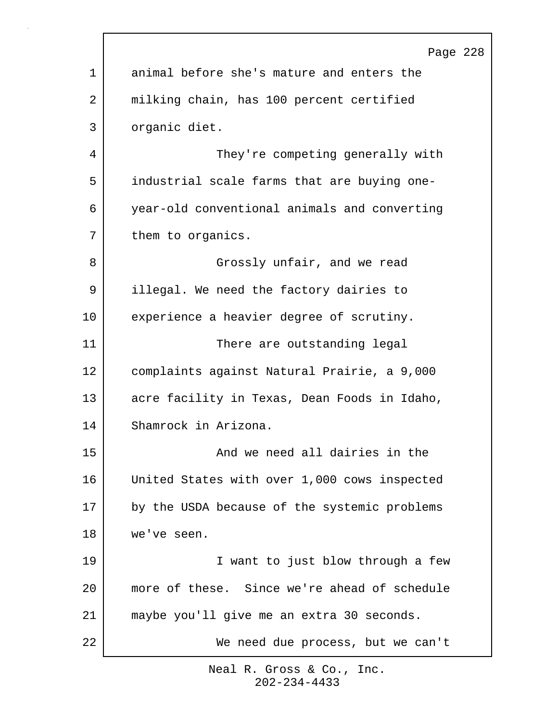|             | Page 228                                     |
|-------------|----------------------------------------------|
| $\mathbf 1$ | animal before she's mature and enters the    |
| 2           | milking chain, has 100 percent certified     |
| 3           | organic diet.                                |
| 4           | They're competing generally with             |
| 5           | industrial scale farms that are buying one-  |
| 6           | year-old conventional animals and converting |
| 7           | them to organics.                            |
| 8           | Grossly unfair, and we read                  |
| 9           | illegal. We need the factory dairies to      |
| 10          | experience a heavier degree of scrutiny.     |
| 11          | There are outstanding legal                  |
| 12          | complaints against Natural Prairie, a 9,000  |
| 13          | acre facility in Texas, Dean Foods in Idaho, |
| 14          | Shamrock in Arizona.                         |
| 15          | And we need all dairies in the               |
| 16          | United States with over 1,000 cows inspected |
| 17          | by the USDA because of the systemic problems |
| 18          | we've seen.                                  |
| 19          | I want to just blow through a few            |
| 20          | more of these. Since we're ahead of schedule |
| 21          | maybe you'll give me an extra 30 seconds.    |
| 22          | We need due process, but we can't            |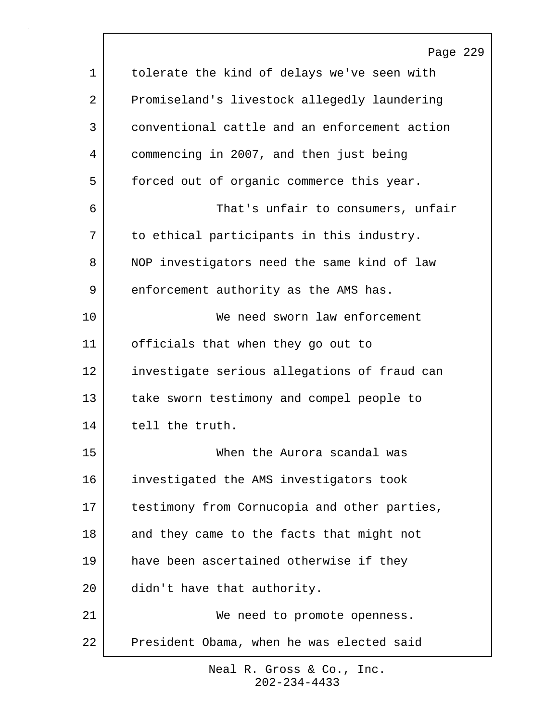|    | Page 229                                      |
|----|-----------------------------------------------|
| 1  | tolerate the kind of delays we've seen with   |
| 2  | Promiseland's livestock allegedly laundering  |
| 3  | conventional cattle and an enforcement action |
| 4  | commencing in 2007, and then just being       |
| 5  | forced out of organic commerce this year.     |
| 6  | That's unfair to consumers, unfair            |
| 7  | to ethical participants in this industry.     |
| 8  | NOP investigators need the same kind of law   |
| 9  | enforcement authority as the AMS has.         |
| 10 | We need sworn law enforcement                 |
| 11 | officials that when they go out to            |
| 12 | investigate serious allegations of fraud can  |
| 13 | take sworn testimony and compel people to     |
| 14 | tell the truth.                               |
| 15 | When the Aurora scandal was                   |
| 16 | investigated the AMS investigators took       |
| 17 | testimony from Cornucopia and other parties,  |
| 18 | and they came to the facts that might not     |
| 19 | have been ascertained otherwise if they       |
| 20 | didn't have that authority.                   |
| 21 | We need to promote openness.                  |
| 22 | President Obama, when he was elected said     |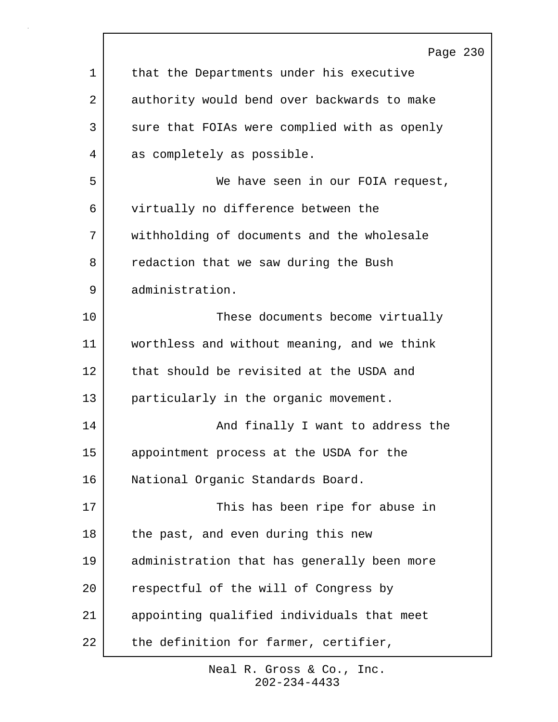|    | Page 230                                     |
|----|----------------------------------------------|
| 1  | that the Departments under his executive     |
| 2  | authority would bend over backwards to make  |
| 3  | sure that FOIAs were complied with as openly |
| 4  | as completely as possible.                   |
| 5  | We have seen in our FOIA request,            |
| 6  | virtually no difference between the          |
| 7  | withholding of documents and the wholesale   |
| 8  | redaction that we saw during the Bush        |
| 9  | administration.                              |
| 10 | These documents become virtually             |
| 11 | worthless and without meaning, and we think  |
| 12 | that should be revisited at the USDA and     |
| 13 | particularly in the organic movement.        |
| 14 | And finally I want to address the            |
| 15 | appointment process at the USDA for the      |
| 16 | National Organic Standards Board.            |
| 17 | This has been ripe for abuse in              |
| 18 | the past, and even during this new           |
| 19 | administration that has generally been more  |
| 20 | respectful of the will of Congress by        |
| 21 | appointing qualified individuals that meet   |
| 22 | the definition for farmer, certifier,        |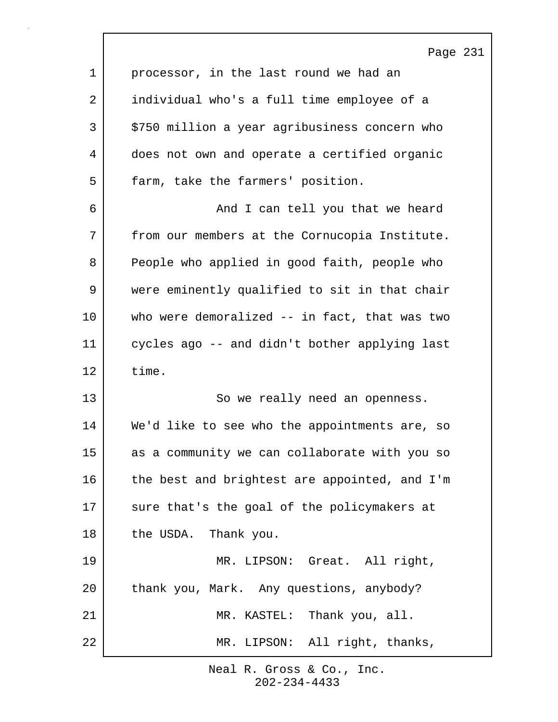|             | Page 231                                      |
|-------------|-----------------------------------------------|
| $\mathbf 1$ | processor, in the last round we had an        |
| 2           | individual who's a full time employee of a    |
| 3           | \$750 million a year agribusiness concern who |
| 4           | does not own and operate a certified organic  |
| 5           | farm, take the farmers' position.             |
| 6           | And I can tell you that we heard              |
| 7           | from our members at the Cornucopia Institute. |
| 8           | People who applied in good faith, people who  |
| 9           | were eminently qualified to sit in that chair |
| 10          | who were demoralized -- in fact, that was two |
| 11          | cycles ago -- and didn't bother applying last |
| 12          | time.                                         |
| 13          | So we really need an openness.                |
| 14          | We'd like to see who the appointments are, so |
| 15          | as a community we can collaborate with you so |
| 16          | the best and brightest are appointed, and I'm |
| 17          | sure that's the goal of the policymakers at   |
| 18          | the USDA. Thank you.                          |
| 19          | MR. LIPSON: Great. All right,                 |
| 20          | thank you, Mark. Any questions, anybody?      |
| 21          | MR. KASTEL: Thank you, all.                   |
| 22          | MR. LIPSON: All right, thanks,                |

 $\Gamma$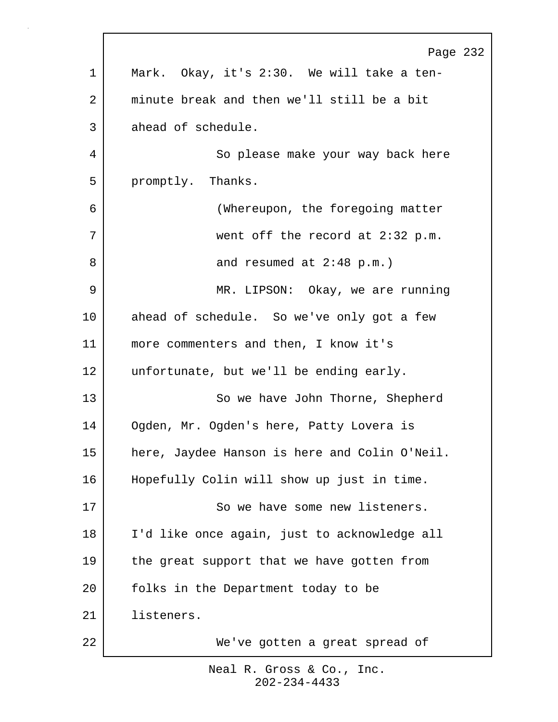|    | Page 232                                      |
|----|-----------------------------------------------|
| 1  | Mark. Okay, it's 2:30. We will take a ten-    |
| 2  | minute break and then we'll still be a bit    |
| 3  | ahead of schedule.                            |
| 4  | So please make your way back here             |
| 5  | promptly. Thanks.                             |
| 6  | (Whereupon, the foregoing matter              |
| 7  | went off the record at 2:32 p.m.              |
| 8  | and resumed at $2:48$ p.m.)                   |
| 9  | MR. LIPSON: Okay, we are running              |
| 10 | ahead of schedule. So we've only got a few    |
| 11 | more commenters and then, I know it's         |
| 12 | unfortunate, but we'll be ending early.       |
| 13 | So we have John Thorne, Shepherd              |
| 14 | Ogden, Mr. Ogden's here, Patty Lovera is      |
| 15 | here, Jaydee Hanson is here and Colin O'Neil. |
| 16 | Hopefully Colin will show up just in time.    |
| 17 | So we have some new listeners.                |
| 18 | I'd like once again, just to acknowledge all  |
| 19 | the great support that we have gotten from    |
| 20 | folks in the Department today to be           |
| 21 | listeners.                                    |
| 22 | We've gotten a great spread of                |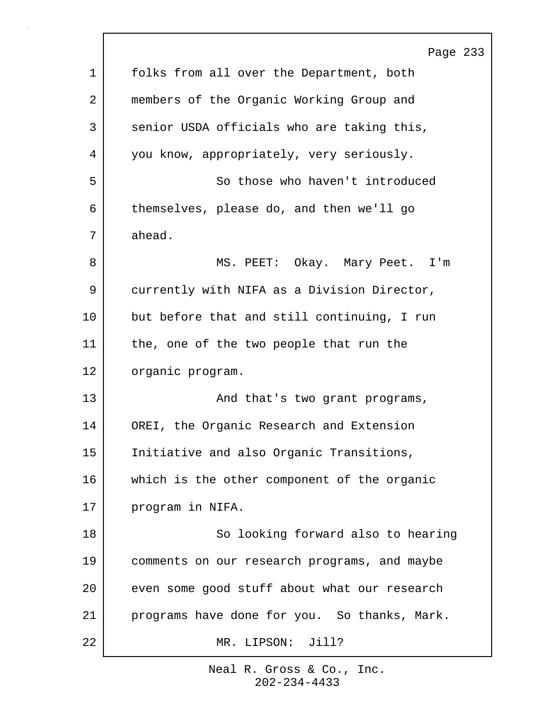|    | Page 233                                     |
|----|----------------------------------------------|
| 1  | folks from all over the Department, both     |
| 2  | members of the Organic Working Group and     |
| 3  | senior USDA officials who are taking this,   |
| 4  | you know, appropriately, very seriously.     |
| 5  | So those who haven't introduced              |
| 6  | themselves, please do, and then we'll go     |
| 7  | ahead.                                       |
| 8  | MS. PEET: Okay. Mary Peet. I'm               |
| 9  | currently with NIFA as a Division Director,  |
| 10 | but before that and still continuing, I run  |
| 11 | the, one of the two people that run the      |
| 12 | organic program.                             |
| 13 | And that's two grant programs,               |
| 14 | OREI, the Organic Research and Extension     |
| 15 | Initiative and also Organic Transitions,     |
| 16 | which is the other component of the organic  |
| 17 | program in NIFA.                             |
| 18 | So looking forward also to hearing           |
| 19 | comments on our research programs, and maybe |
| 20 | even some good stuff about what our research |
| 21 | programs have done for you. So thanks, Mark. |
| 22 | MR. LIPSON: Jill?                            |

 $\Gamma$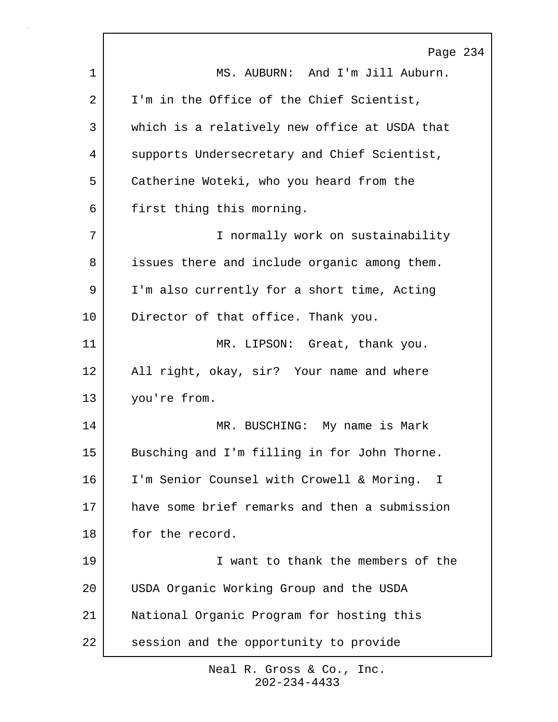|    | Page 234                                      |
|----|-----------------------------------------------|
| 1  | MS. AUBURN: And I'm Jill Auburn.              |
| 2  | I'm in the Office of the Chief Scientist,     |
| 3  | which is a relatively new office at USDA that |
| 4  | supports Undersecretary and Chief Scientist,  |
| 5  | Catherine Woteki, who you heard from the      |
| 6  | first thing this morning.                     |
| 7  | I normally work on sustainability             |
| 8  | issues there and include organic among them.  |
| 9  | I'm also currently for a short time, Acting   |
| 10 | Director of that office. Thank you.           |
| 11 | MR. LIPSON: Great, thank you.                 |
| 12 | All right, okay, sir? Your name and where     |
| 13 | you're from.                                  |
| 14 | MR. BUSCHING: My name is Mark                 |
| 15 | Busching and I'm filling in for John Thorne.  |
| 16 | I'm Senior Counsel with Crowell & Moring. I   |
| 17 | have some brief remarks and then a submission |
| 18 | for the record.                               |
| 19 | I want to thank the members of the            |
| 20 | USDA Organic Working Group and the USDA       |
| 21 | National Organic Program for hosting this     |
| 22 | session and the opportunity to provide        |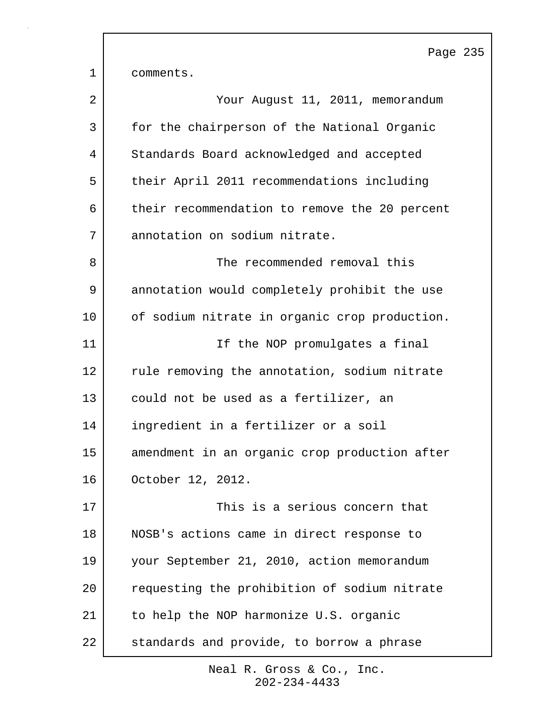Page 235 1 comments. 2 Your August 11, 2011, memorandum 3 for the chairperson of the National Organic 4 Standards Board acknowledged and accepted 5 their April 2011 recommendations including 6 their recommendation to remove the 20 percent 7 annotation on sodium nitrate. 8 Samuel Manuel The recommended removal this 9 annotation would completely prohibit the use 10 of sodium nitrate in organic crop production. 11 | Tf the NOP promulgates a final 12 | rule removing the annotation, sodium nitrate 13 could not be used as a fertilizer, an 14 ingredient in a fertilizer or a soil 15 amendment in an organic crop production after 16 October 12, 2012. 17 This is a serious concern that 18 NOSB's actions came in direct response to 19 your September 21, 2010, action memorandum 20 requesting the prohibition of sodium nitrate 21 to help the NOP harmonize U.S. organic 22 standards and provide, to borrow a phrase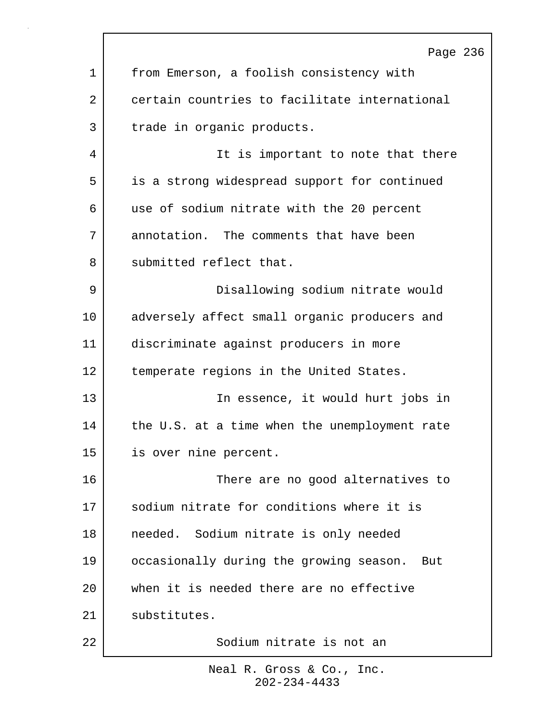|    | Page 236                                       |
|----|------------------------------------------------|
| 1  | from Emerson, a foolish consistency with       |
| 2  | certain countries to facilitate international  |
| 3  | trade in organic products.                     |
| 4  | It is important to note that there             |
| 5  | is a strong widespread support for continued   |
| 6  | use of sodium nitrate with the 20 percent      |
| 7  | annotation. The comments that have been        |
| 8  | submitted reflect that.                        |
| 9  | Disallowing sodium nitrate would               |
| 10 | adversely affect small organic producers and   |
| 11 | discriminate against producers in more         |
| 12 | temperate regions in the United States.        |
| 13 | In essence, it would hurt jobs in              |
| 14 | the U.S. at a time when the unemployment rate  |
| 15 | is over nine percent.                          |
| 16 | There are no good alternatives to              |
| 17 | sodium nitrate for conditions where it is      |
| 18 | needed. Sodium nitrate is only needed          |
| 19 | occasionally during the growing season.<br>But |
| 20 | when it is needed there are no effective       |
| 21 | substitutes.                                   |
| 22 | Sodium nitrate is not an                       |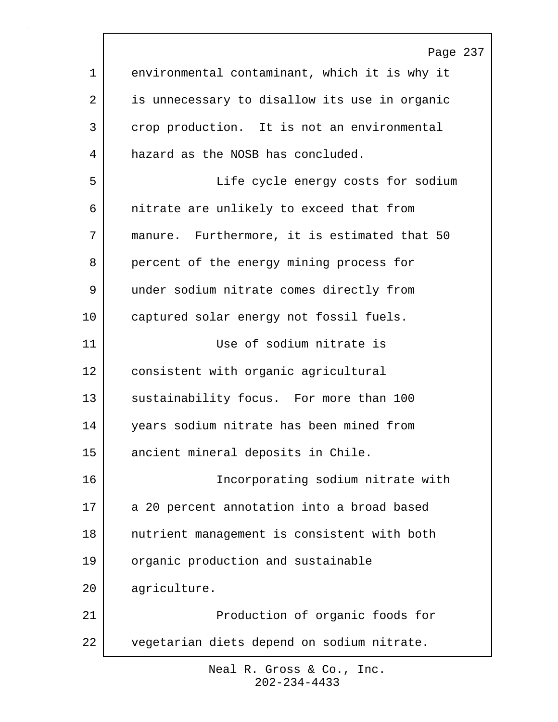Page 237 1 environmental contaminant, which it is why it 2 is unnecessary to disallow its use in organic 3 crop production. It is not an environmental 4 hazard as the NOSB has concluded. 5 | Tife cycle energy costs for sodium 6 nitrate are unlikely to exceed that from 7 manure. Furthermore, it is estimated that 50 8 percent of the energy mining process for 9 under sodium nitrate comes directly from 10 captured solar energy not fossil fuels. 11 Use of sodium nitrate is 12 consistent with organic agricultural 13 sustainability focus. For more than 100 14 years sodium nitrate has been mined from 15 ancient mineral deposits in Chile. 16 Incorporating sodium nitrate with 17 a 20 percent annotation into a broad based 18 nutrient management is consistent with both 19 organic production and sustainable 20 agriculture. 21 | Production of organic foods for 22 vegetarian diets depend on sodium nitrate.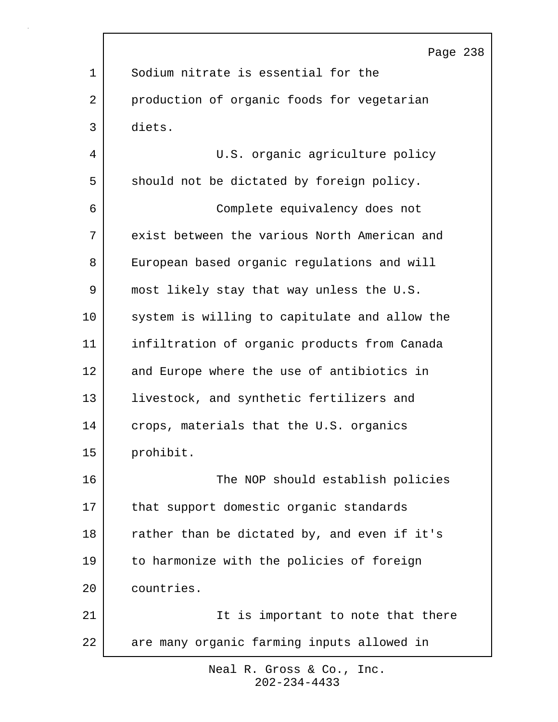|    | Page 238                                      |
|----|-----------------------------------------------|
| 1  | Sodium nitrate is essential for the           |
| 2  | production of organic foods for vegetarian    |
| 3  | diets.                                        |
| 4  | U.S. organic agriculture policy               |
| 5  | should not be dictated by foreign policy.     |
| 6  | Complete equivalency does not                 |
| 7  | exist between the various North American and  |
| 8  | European based organic regulations and will   |
| 9  | most likely stay that way unless the U.S.     |
| 10 | system is willing to capitulate and allow the |
| 11 | infiltration of organic products from Canada  |
| 12 | and Europe where the use of antibiotics in    |
| 13 | livestock, and synthetic fertilizers and      |
| 14 | crops, materials that the U.S. organics       |
| 15 | prohibit.                                     |
| 16 | The NOP should establish policies             |
| 17 | that support domestic organic standards       |
| 18 | rather than be dictated by, and even if it's  |
| 19 | to harmonize with the policies of foreign     |
| 20 | countries.                                    |
| 21 | It is important to note that there            |
| 22 | are many organic farming inputs allowed in    |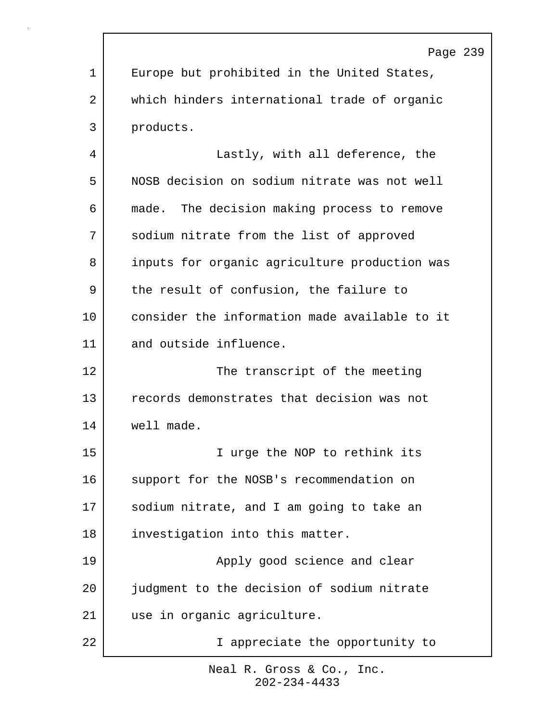Page 239 1 | Europe but prohibited in the United States, 2 which hinders international trade of organic 3 products. 4 Lastly, with all deference, the 5 NOSB decision on sodium nitrate was not well 6 made. The decision making process to remove 7 Sodium nitrate from the list of approved 8 inputs for organic agriculture production was 9 the result of confusion, the failure to 10 consider the information made available to it 11 and outside influence. 12 The transcript of the meeting 13 records demonstrates that decision was not 14 well made. 15 I urge the NOP to rethink its 16 support for the NOSB's recommendation on 17 sodium nitrate, and I am going to take an 18 investigation into this matter. 19 | Apply good science and clear 20 judgment to the decision of sodium nitrate 21 use in organic agriculture. 22 | T appreciate the opportunity to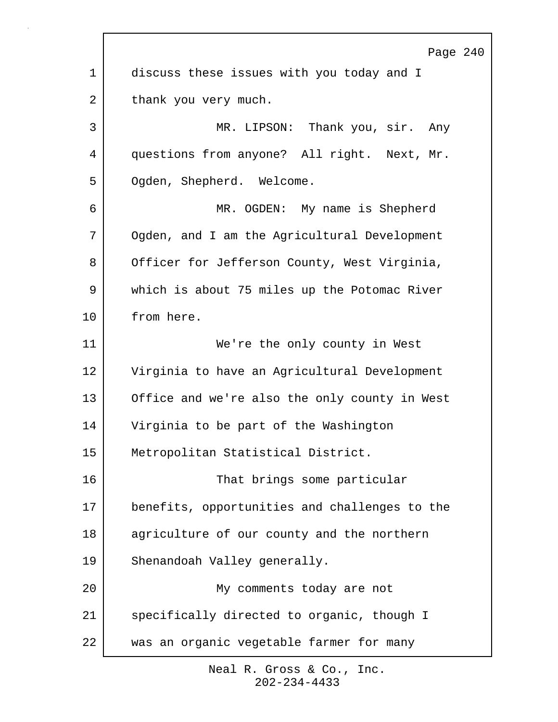|             | Page 240                                      |
|-------------|-----------------------------------------------|
| $\mathbf 1$ | discuss these issues with you today and I     |
| 2           | thank you very much.                          |
| 3           | MR. LIPSON: Thank you, sir. Any               |
| 4           | questions from anyone? All right. Next, Mr.   |
| 5           | Ogden, Shepherd. Welcome.                     |
| 6           | MR. OGDEN: My name is Shepherd                |
| 7           | Ogden, and I am the Agricultural Development  |
| 8           | Officer for Jefferson County, West Virginia,  |
| 9           | which is about 75 miles up the Potomac River  |
| 10          | from here.                                    |
| 11          | We're the only county in West                 |
| 12          | Virginia to have an Agricultural Development  |
| 13          | Office and we're also the only county in West |
| 14          | Virginia to be part of the Washington         |
| 15          | Metropolitan Statistical District.            |
| 16          | That brings some particular                   |
| 17          | benefits, opportunities and challenges to the |
| 18          | agriculture of our county and the northern    |
| 19          | Shenandoah Valley generally.                  |
| 20          | My comments today are not                     |
| 21          | specifically directed to organic, though I    |
| 22          | was an organic vegetable farmer for many      |

 $\Gamma$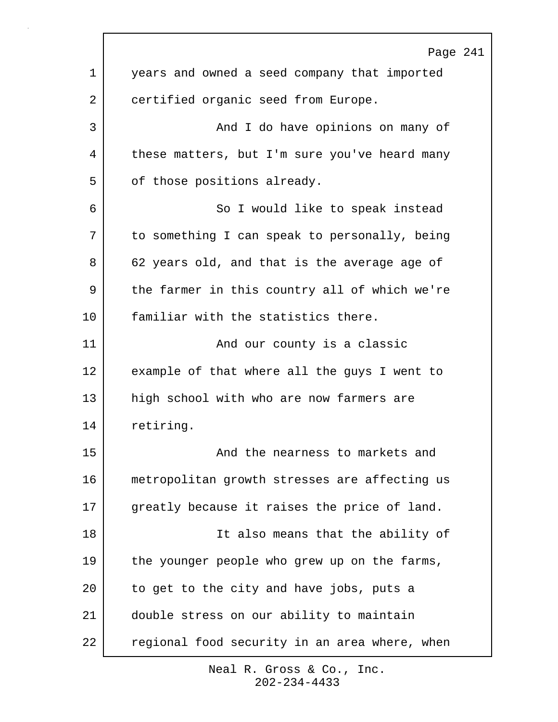|             | Page 241                                      |
|-------------|-----------------------------------------------|
| $\mathbf 1$ | years and owned a seed company that imported  |
| 2           | certified organic seed from Europe.           |
| 3           | And I do have opinions on many of             |
| 4           | these matters, but I'm sure you've heard many |
| 5           | of those positions already.                   |
| 6           | So I would like to speak instead              |
| 7           | to something I can speak to personally, being |
| 8           | 62 years old, and that is the average age of  |
| 9           | the farmer in this country all of which we're |
| 10          | familiar with the statistics there.           |
| 11          | And our county is a classic                   |
| 12          | example of that where all the guys I went to  |
| 13          | high school with who are now farmers are      |
| 14          | retiring.                                     |
| 15          | And the nearness to markets and               |
| 16          | metropolitan growth stresses are affecting us |
| 17          | greatly because it raises the price of land.  |
| 18          | It also means that the ability of             |
| 19          | the younger people who grew up on the farms,  |
| 20          | to get to the city and have jobs, puts a      |
| 21          | double stress on our ability to maintain      |
| 22          | regional food security in an area where, when |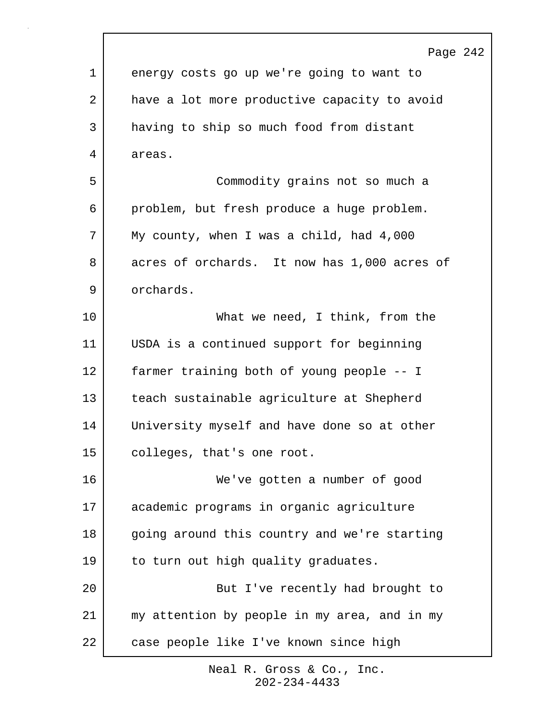|             | Page 242                                     |
|-------------|----------------------------------------------|
| $\mathbf 1$ | energy costs go up we're going to want to    |
| 2           | have a lot more productive capacity to avoid |
| 3           | having to ship so much food from distant     |
| 4           | areas.                                       |
| 5           | Commodity grains not so much a               |
| 6           | problem, but fresh produce a huge problem.   |
| 7           | My county, when I was a child, had 4,000     |
| 8           | acres of orchards. It now has 1,000 acres of |
| 9           | orchards.                                    |
| 10          | What we need, I think, from the              |
| 11          | USDA is a continued support for beginning    |
| 12          | farmer training both of young people -- I    |
| 13          | teach sustainable agriculture at Shepherd    |
| 14          | University myself and have done so at other  |
| 15          | colleges, that's one root.                   |
| 16          | We've gotten a number of good                |
| 17          | academic programs in organic agriculture     |
| 18          | going around this country and we're starting |
| 19          | to turn out high quality graduates.          |
| 20          | But I've recently had brought to             |
| 21          | my attention by people in my area, and in my |
| 22          | case people like I've known since high       |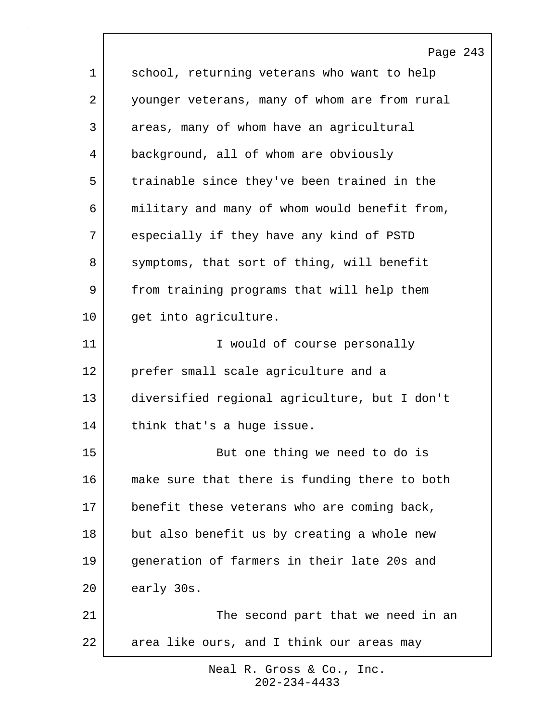|             | Page 243                                      |
|-------------|-----------------------------------------------|
| $\mathbf 1$ | school, returning veterans who want to help   |
| 2           | younger veterans, many of whom are from rural |
| 3           | areas, many of whom have an agricultural      |
| 4           | background, all of whom are obviously         |
| 5           | trainable since they've been trained in the   |
| 6           | military and many of whom would benefit from, |
| 7           | especially if they have any kind of PSTD      |
| 8           | symptoms, that sort of thing, will benefit    |
| 9           | from training programs that will help them    |
| 10          | get into agriculture.                         |
| 11          | I would of course personally                  |
| 12          | prefer small scale agriculture and a          |
| 13          | diversified regional agriculture, but I don't |
| 14          | think that's a huge issue.                    |
| 15          | But one thing we need to do is                |
| 16          | make sure that there is funding there to both |
| 17          | benefit these veterans who are coming back,   |
| 18          | but also benefit us by creating a whole new   |
| 19          | generation of farmers in their late 20s and   |
| 20          | early 30s.                                    |
| 21          | The second part that we need in an            |
| 22          | area like ours, and I think our areas may     |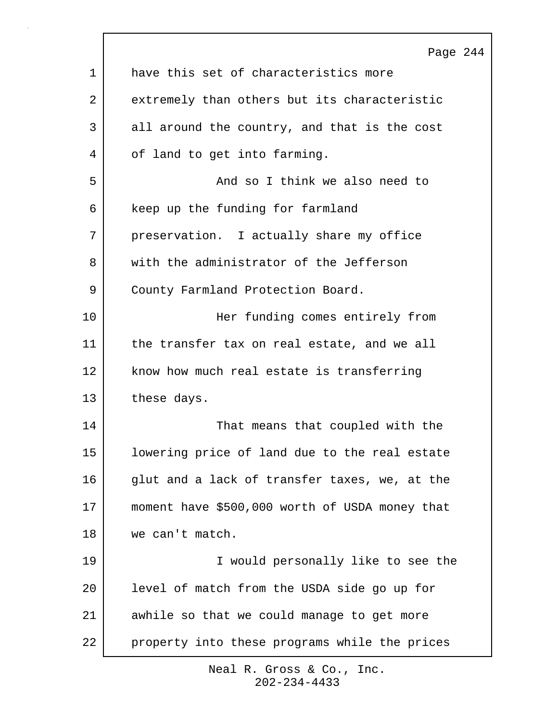| 1  | Page 244<br>have this set of characteristics more |
|----|---------------------------------------------------|
| 2  | extremely than others but its characteristic      |
|    |                                                   |
| 3  | all around the country, and that is the cost      |
| 4  | of land to get into farming.                      |
| 5  | And so I think we also need to                    |
| 6  | keep up the funding for farmland                  |
| 7  | preservation. I actually share my office          |
| 8  | with the administrator of the Jefferson           |
| 9  | County Farmland Protection Board.                 |
| 10 | Her funding comes entirely from                   |
| 11 | the transfer tax on real estate, and we all       |
| 12 | know how much real estate is transferring         |
| 13 | these days.                                       |
| 14 | That means that coupled with the                  |
| 15 | lowering price of land due to the real estate     |
| 16 | glut and a lack of transfer taxes, we, at the     |
| 17 | moment have \$500,000 worth of USDA money that    |
| 18 | we can't match.                                   |
| 19 | I would personally like to see the                |
| 20 | level of match from the USDA side go up for       |
| 21 | awhile so that we could manage to get more        |
| 22 | property into these programs while the prices     |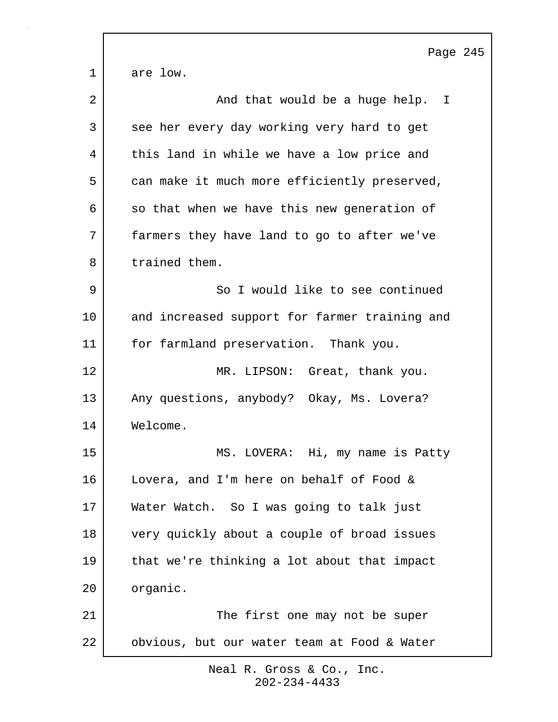|             | Page 245                                      |
|-------------|-----------------------------------------------|
| $\mathbf 1$ | are low.                                      |
| 2           | And that would be a huge help. I              |
| 3           | see her every day working very hard to get    |
| 4           | this land in while we have a low price and    |
| 5           | can make it much more efficiently preserved,  |
| 6           | so that when we have this new generation of   |
| 7           | farmers they have land to go to after we've   |
| 8           | trained them.                                 |
| 9           | So I would like to see continued              |
| 10          | and increased support for farmer training and |
| 11          | for farmland preservation. Thank you.         |
| 12          | MR. LIPSON: Great, thank you.                 |
| 13          | Any questions, anybody? Okay, Ms. Lovera?     |
| 14          | Welcome.                                      |
| 15          | MS. LOVERA: Hi, my name is Patty              |
| 16          | Lovera, and I'm here on behalf of Food &      |
| 17          | Water Watch. So I was going to talk just      |
| 18          | very quickly about a couple of broad issues   |
| 19          | that we're thinking a lot about that impact   |
| 20          | organic.                                      |
| 21          | The first one may not be super                |
| 22          | obvious, but our water team at Food & Water   |

 $\Gamma$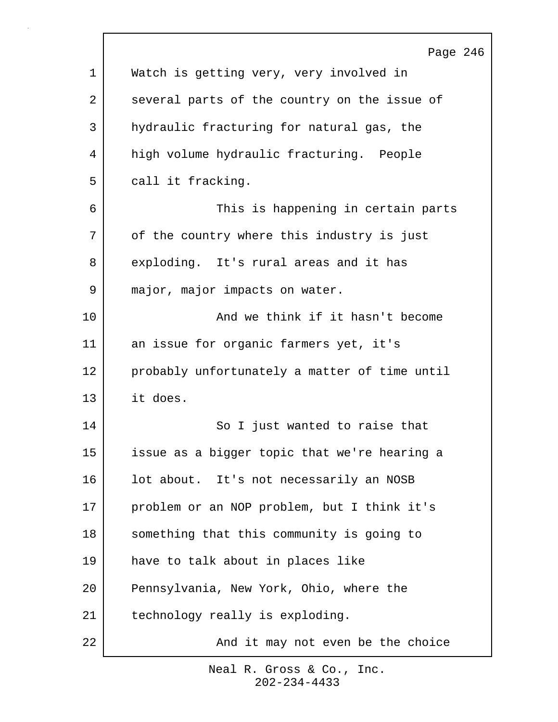|    | Page 246                                      |
|----|-----------------------------------------------|
| 1  | Watch is getting very, very involved in       |
| 2  | several parts of the country on the issue of  |
| 3  | hydraulic fracturing for natural gas, the     |
| 4  | high volume hydraulic fracturing. People      |
| 5  | call it fracking.                             |
| 6  | This is happening in certain parts            |
| 7  | of the country where this industry is just    |
| 8  | exploding. It's rural areas and it has        |
| 9  | major, major impacts on water.                |
| 10 | And we think if it hasn't become              |
| 11 | an issue for organic farmers yet, it's        |
| 12 | probably unfortunately a matter of time until |
| 13 | it does.                                      |
| 14 | So I just wanted to raise that                |
| 15 | issue as a bigger topic that we're hearing a  |
| 16 | lot about. It's not necessarily an NOSB       |
| 17 | problem or an NOP problem, but I think it's   |
| 18 | something that this community is going to     |
| 19 | have to talk about in places like             |
| 20 | Pennsylvania, New York, Ohio, where the       |
| 21 | technology really is exploding.               |
| 22 | And it may not even be the choice             |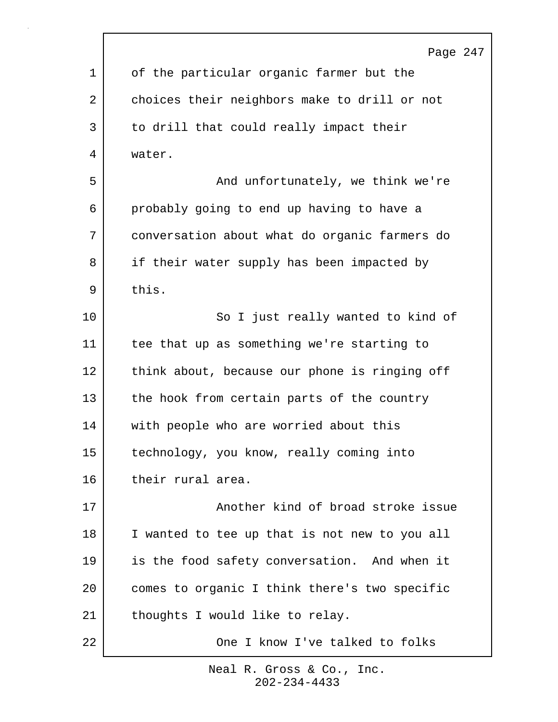|    | Page 247                                      |
|----|-----------------------------------------------|
| 1  | of the particular organic farmer but the      |
| 2  | choices their neighbors make to drill or not  |
| 3  | to drill that could really impact their       |
| 4  | water.                                        |
| 5  | And unfortunately, we think we're             |
| 6  | probably going to end up having to have a     |
| 7  | conversation about what do organic farmers do |
| 8  | if their water supply has been impacted by    |
| 9  | this.                                         |
| 10 | So I just really wanted to kind of            |
| 11 | tee that up as something we're starting to    |
| 12 | think about, because our phone is ringing off |
| 13 | the hook from certain parts of the country    |
| 14 | with people who are worried about this        |
| 15 | technology, you know, really coming into      |
| 16 | their rural area.                             |
| 17 | Another kind of broad stroke issue            |
| 18 | I wanted to tee up that is not new to you all |
| 19 | is the food safety conversation. And when it  |
| 20 | comes to organic I think there's two specific |
| 21 | thoughts I would like to relay.               |
| 22 | One I know I've talked to folks               |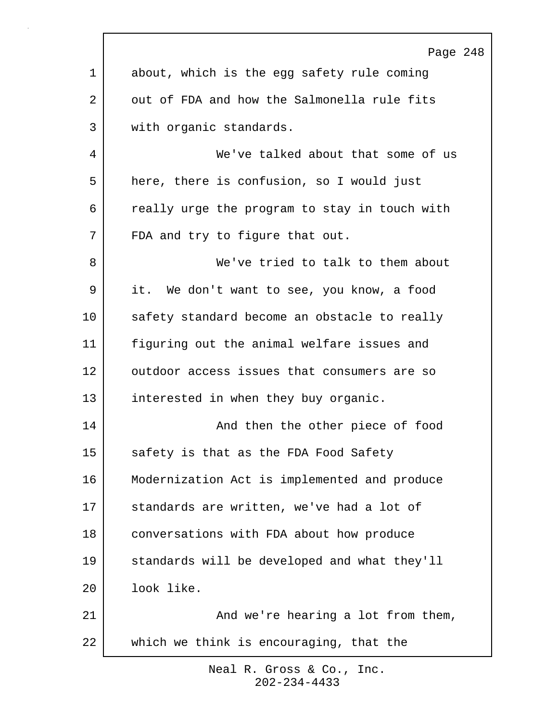|             | Page 248                                      |
|-------------|-----------------------------------------------|
| $\mathbf 1$ | about, which is the egg safety rule coming    |
| 2           | out of FDA and how the Salmonella rule fits   |
| 3           | with organic standards.                       |
| 4           | We've talked about that some of us            |
| 5           | here, there is confusion, so I would just     |
| 6           | really urge the program to stay in touch with |
| 7           | FDA and try to figure that out.               |
| 8           | We've tried to talk to them about             |
| 9           | it. We don't want to see, you know, a food    |
| $10 \,$     | safety standard become an obstacle to really  |
| 11          | figuring out the animal welfare issues and    |
| 12          | outdoor access issues that consumers are so   |
| 13          | interested in when they buy organic.          |
| 14          | And then the other piece of food              |
| 15          | safety is that as the FDA Food Safety         |
| 16          | Modernization Act is implemented and produce  |
| 17          | standards are written, we've had a lot of     |
| 18          | conversations with FDA about how produce      |
| 19          | standards will be developed and what they'll  |
| 20          | look like.                                    |
| 21          | And we're hearing a lot from them,            |
| 22          | which we think is encouraging, that the       |
|             |                                               |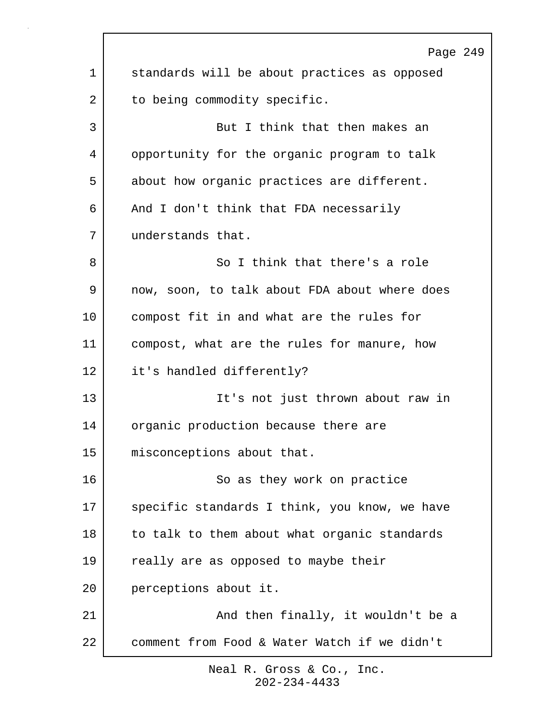|             | Page 249                                      |
|-------------|-----------------------------------------------|
| $\mathbf 1$ | standards will be about practices as opposed  |
| 2           | to being commodity specific.                  |
| 3           | But I think that then makes an                |
| 4           | opportunity for the organic program to talk   |
| 5           | about how organic practices are different.    |
| 6           | And I don't think that FDA necessarily        |
| 7           | understands that.                             |
| 8           | So I think that there's a role                |
| 9           | now, soon, to talk about FDA about where does |
| 10          | compost fit in and what are the rules for     |
| 11          | compost, what are the rules for manure, how   |
| 12          | it's handled differently?                     |
| 13          | It's not just thrown about raw in             |
| 14          | organic production because there are          |
| 15          | misconceptions about that.                    |
| 16          | So as they work on practice                   |
| 17          | specific standards I think, you know, we have |
| 18          | to talk to them about what organic standards  |
| 19          | really are as opposed to maybe their          |
| 20          | perceptions about it.                         |
| 21          | And then finally, it wouldn't be a            |
| 22          | comment from Food & Water Watch if we didn't  |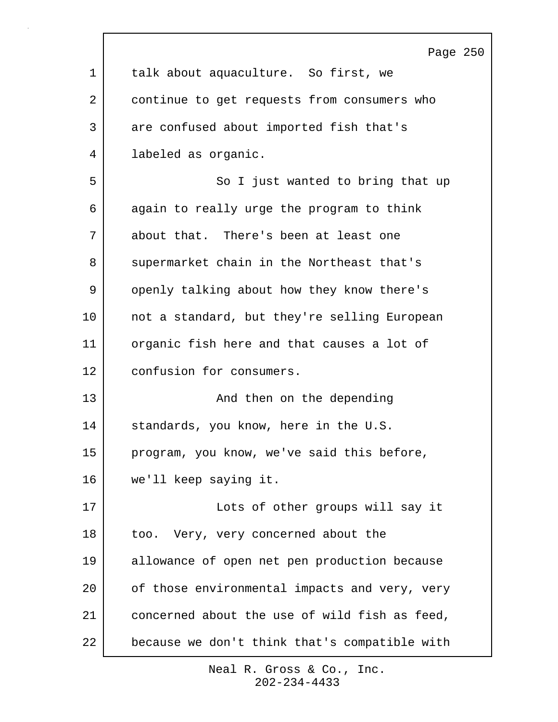|              | Page 250                                      |
|--------------|-----------------------------------------------|
| $\mathbf{1}$ | talk about aquaculture. So first, we          |
| 2            | continue to get requests from consumers who   |
| 3            | are confused about imported fish that's       |
| 4            | labeled as organic.                           |
| 5            | So I just wanted to bring that up             |
| 6            | again to really urge the program to think     |
| 7            | about that. There's been at least one         |
| 8            | supermarket chain in the Northeast that's     |
| 9            | openly talking about how they know there's    |
| 10           | not a standard, but they're selling European  |
| 11           | organic fish here and that causes a lot of    |
| 12           | confusion for consumers.                      |
| 13           | And then on the depending                     |
| 14           | standards, you know, here in the U.S.         |
| 15           | program, you know, we've said this before,    |
| 16           | we'll keep saying it.                         |
| 17           | Lots of other groups will say it              |
| 18           | too. Very, very concerned about the           |
| 19           | allowance of open net pen production because  |
| 20           | of those environmental impacts and very, very |
| 21           | concerned about the use of wild fish as feed, |
| 22           | because we don't think that's compatible with |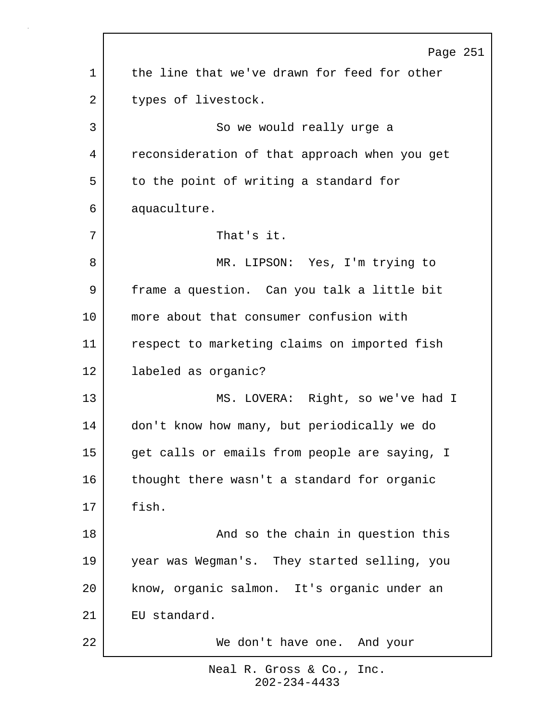|    | Page 251                                      |
|----|-----------------------------------------------|
| 1  | the line that we've drawn for feed for other  |
| 2  | types of livestock.                           |
| 3  | So we would really urge a                     |
| 4  | reconsideration of that approach when you get |
| 5  | to the point of writing a standard for        |
| 6  | aquaculture.                                  |
| 7  | That's it.                                    |
| 8  | MR. LIPSON: Yes, I'm trying to                |
| 9  | frame a question. Can you talk a little bit   |
| 10 | more about that consumer confusion with       |
| 11 | respect to marketing claims on imported fish  |
| 12 | labeled as organic?                           |
| 13 | MS. LOVERA: Right, so we've had I             |
| 14 | don't know how many, but periodically we do   |
| 15 | get calls or emails from people are saying, I |
| 16 | thought there wasn't a standard for organic   |
| 17 | fish.                                         |
| 18 | And so the chain in question this             |
| 19 | year was Wegman's. They started selling, you  |
| 20 | know, organic salmon. It's organic under an   |
| 21 | EU standard.                                  |
| 22 | We don't have one. And your                   |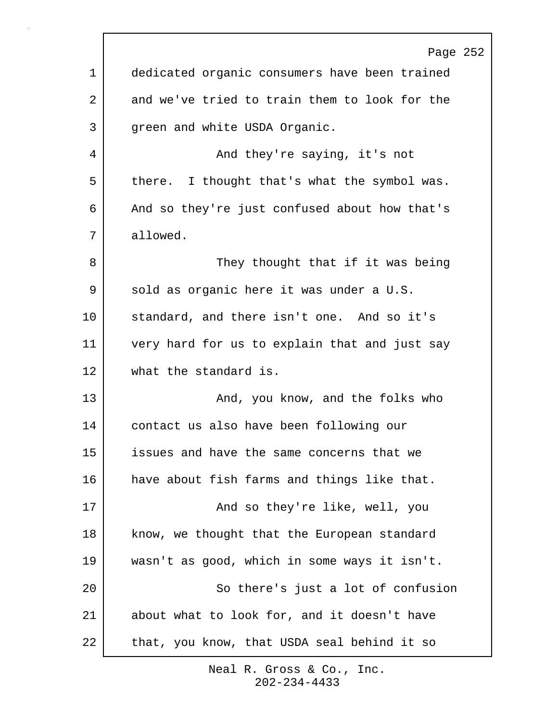|             | Page 252                                      |
|-------------|-----------------------------------------------|
| $\mathbf 1$ | dedicated organic consumers have been trained |
| 2           | and we've tried to train them to look for the |
| 3           | green and white USDA Organic.                 |
| 4           | And they're saying, it's not                  |
| 5           | there. I thought that's what the symbol was.  |
| 6           | And so they're just confused about how that's |
| 7           | allowed.                                      |
| 8           | They thought that if it was being             |
| 9           | sold as organic here it was under a U.S.      |
| 10          | standard, and there isn't one. And so it's    |
| 11          | very hard for us to explain that and just say |
| 12          | what the standard is.                         |
| 13          | And, you know, and the folks who              |
| 14          | contact us also have been following our       |
| 15          | issues and have the same concerns that we     |
| 16          | have about fish farms and things like that.   |
| 17          | And so they're like, well, you                |
| 18          | know, we thought that the European standard   |
| 19          | wasn't as good, which in some ways it isn't.  |
| 20          | So there's just a lot of confusion            |
| 21          | about what to look for, and it doesn't have   |
| 22          | that, you know, that USDA seal behind it so   |
|             |                                               |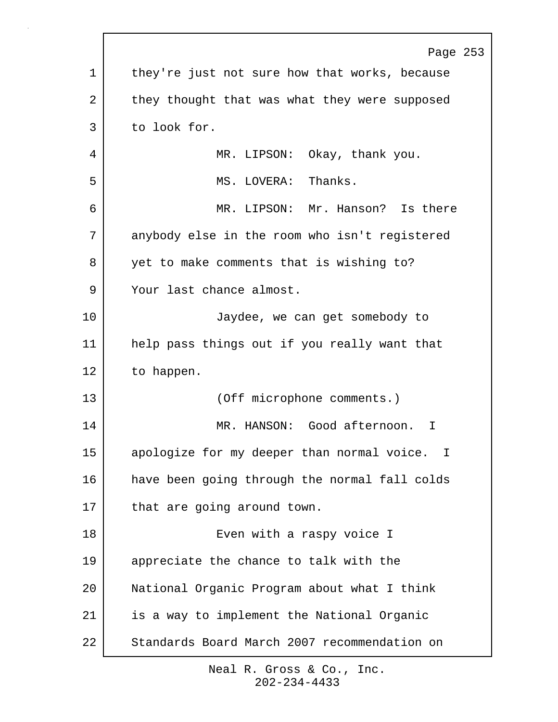|    | Page 253                                      |
|----|-----------------------------------------------|
| 1  | they're just not sure how that works, because |
| 2  | they thought that was what they were supposed |
| 3  | to look for.                                  |
| 4  | MR. LIPSON: Okay, thank you.                  |
| 5  | MS. LOVERA: Thanks.                           |
| 6  | MR. LIPSON: Mr. Hanson? Is there              |
| 7  | anybody else in the room who isn't registered |
| 8  | yet to make comments that is wishing to?      |
| 9  | Your last chance almost.                      |
| 10 | Jaydee, we can get somebody to                |
| 11 | help pass things out if you really want that  |
| 12 | to happen.                                    |
| 13 | (Off microphone comments.)                    |
| 14 | MR. HANSON: Good afternoon.<br>T              |
| 15 | apologize for my deeper than normal voice. I  |
| 16 | have been going through the normal fall colds |
| 17 | that are going around town.                   |
| 18 | Even with a raspy voice I                     |
| 19 | appreciate the chance to talk with the        |
| 20 | National Organic Program about what I think   |
| 21 | is a way to implement the National Organic    |
| 22 | Standards Board March 2007 recommendation on  |
|    |                                               |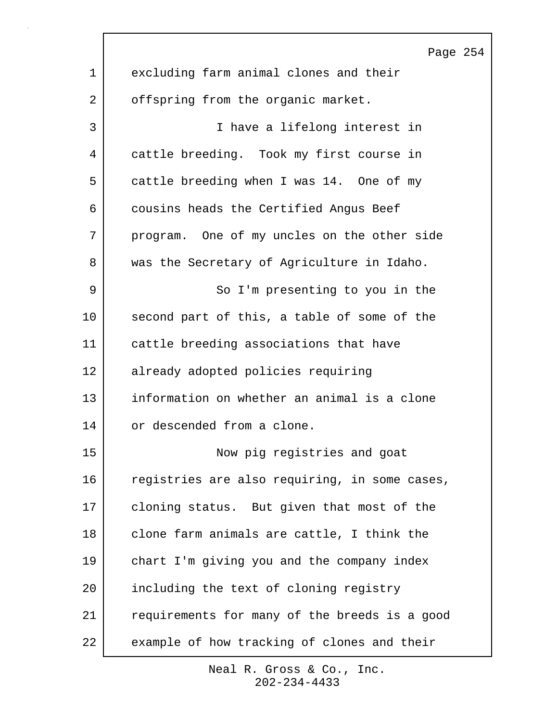|    | Page 254                                      |
|----|-----------------------------------------------|
| 1  | excluding farm animal clones and their        |
| 2  | offspring from the organic market.            |
| 3  | I have a lifelong interest in                 |
| 4  | cattle breeding. Took my first course in      |
| 5  | cattle breeding when I was 14. One of my      |
| 6  | cousins heads the Certified Angus Beef        |
| 7  | program. One of my uncles on the other side   |
| 8  | was the Secretary of Agriculture in Idaho.    |
| 9  | So I'm presenting to you in the               |
| 10 | second part of this, a table of some of the   |
| 11 | cattle breeding associations that have        |
| 12 | already adopted policies requiring            |
| 13 | information on whether an animal is a clone   |
| 14 | or descended from a clone.                    |
| 15 | Now pig registries and goat                   |
| 16 | registries are also requiring, in some cases, |
| 17 | cloning status. But given that most of the    |
| 18 | clone farm animals are cattle, I think the    |
| 19 | chart I'm giving you and the company index    |
| 20 | including the text of cloning registry        |
| 21 | requirements for many of the breeds is a good |
| 22 | example of how tracking of clones and their   |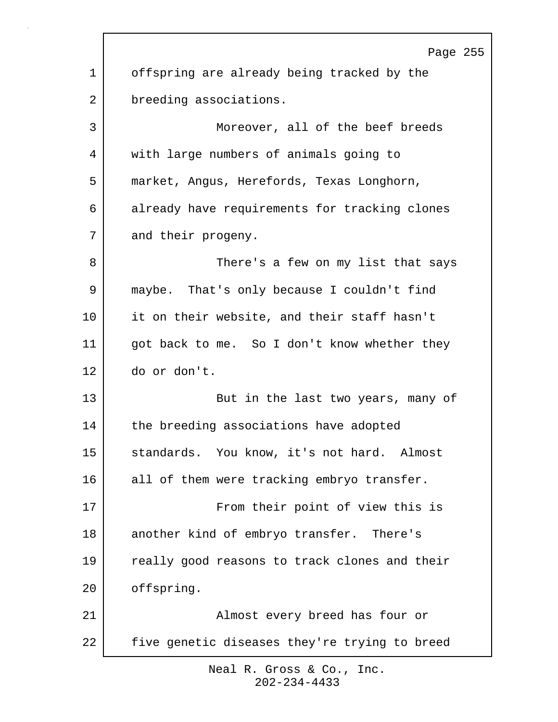Page 255 1 offspring are already being tracked by the 2 breeding associations. 3 Moreover, all of the beef breeds 4 with large numbers of animals going to 5 market, Angus, Herefords, Texas Longhorn, 6 already have requirements for tracking clones 7 and their progeny. 8 | There's a few on my list that says 9 maybe. That's only because I couldn't find 10 it on their website, and their staff hasn't 11 | got back to me. So I don't know whether they 12 do or don't. 13 But in the last two years, many of 14 the breeding associations have adopted 15 | standards. You know, it's not hard. Almost 16 all of them were tracking embryo transfer. 17 From their point of view this is 18 another kind of embryo transfer. There's 19 really good reasons to track clones and their 20 offspring. 21 Almost every breed has four or 22 five genetic diseases they're trying to breed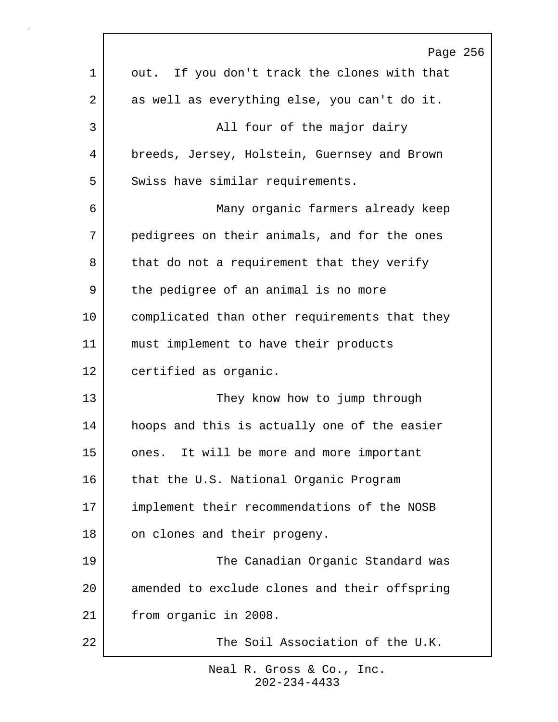|         | Page 256                                      |
|---------|-----------------------------------------------|
| 1       | out. If you don't track the clones with that  |
| 2       | as well as everything else, you can't do it.  |
| 3       | All four of the major dairy                   |
| 4       | breeds, Jersey, Holstein, Guernsey and Brown  |
| 5       | Swiss have similar requirements.              |
| 6       | Many organic farmers already keep             |
| 7       | pedigrees on their animals, and for the ones  |
| 8       | that do not a requirement that they verify    |
| 9       | the pedigree of an animal is no more          |
| $10 \,$ | complicated than other requirements that they |
| 11      | must implement to have their products         |
| 12      | certified as organic.                         |
| 13      | They know how to jump through                 |
| 14      | hoops and this is actually one of the easier  |
| 15      | ones. It will be more and more important      |
| 16      | that the U.S. National Organic Program        |
| 17      | implement their recommendations of the NOSB   |
| 18      | on clones and their progeny.                  |
| 19      | The Canadian Organic Standard was             |
| 20      | amended to exclude clones and their offspring |
| 21      | from organic in 2008.                         |
| 22      | The Soil Association of the U.K.              |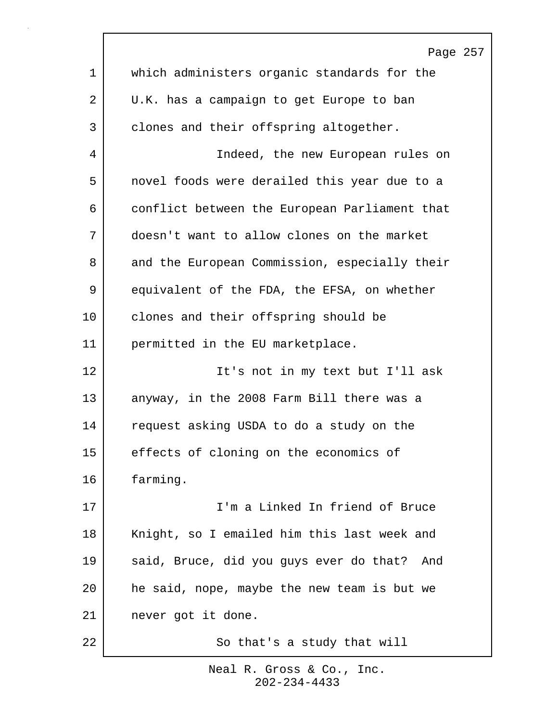|             | Page 257                                      |
|-------------|-----------------------------------------------|
| $\mathbf 1$ | which administers organic standards for the   |
| 2           | U.K. has a campaign to get Europe to ban      |
| 3           | clones and their offspring altogether.        |
| 4           | Indeed, the new European rules on             |
| 5           | novel foods were derailed this year due to a  |
| 6           | conflict between the European Parliament that |
| 7           | doesn't want to allow clones on the market    |
| 8           | and the European Commission, especially their |
| 9           | equivalent of the FDA, the EFSA, on whether   |
| 10          | clones and their offspring should be          |
| 11          | permitted in the EU marketplace.              |
| 12          | It's not in my text but I'll ask              |
| 13          | anyway, in the 2008 Farm Bill there was a     |
| 14          | request asking USDA to do a study on the      |
| 15          | effects of cloning on the economics of        |
| 16          | farming.                                      |
| 17          | I'm a Linked In friend of Bruce               |
| 18          | Knight, so I emailed him this last week and   |
| 19          | said, Bruce, did you guys ever do that? And   |
| 20          | he said, nope, maybe the new team is but we   |
| 21          | never got it done.                            |
| 22          | So that's a study that will                   |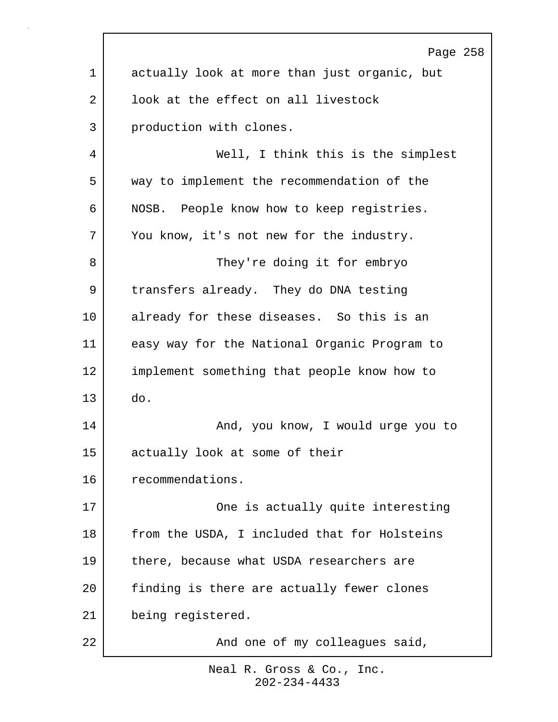|    | Page 258                                     |
|----|----------------------------------------------|
| 1  | actually look at more than just organic, but |
| 2  | look at the effect on all livestock          |
| 3  | production with clones.                      |
| 4  | Well, I think this is the simplest           |
| 5  | way to implement the recommendation of the   |
| 6  | NOSB. People know how to keep registries.    |
| 7  | You know, it's not new for the industry.     |
| 8  | They're doing it for embryo                  |
| 9  | transfers already. They do DNA testing       |
| 10 | already for these diseases. So this is an    |
| 11 | easy way for the National Organic Program to |
| 12 | implement something that people know how to  |
| 13 | do.                                          |
| 14 | And, you know, I would urge you to           |
| 15 | actually look at some of their               |
| 16 | recommendations.                             |
| 17 | One is actually quite interesting            |
| 18 | from the USDA, I included that for Holsteins |
| 19 | there, because what USDA researchers are     |
| 20 | finding is there are actually fewer clones   |
| 21 | being registered.                            |
| 22 | And one of my colleagues said,               |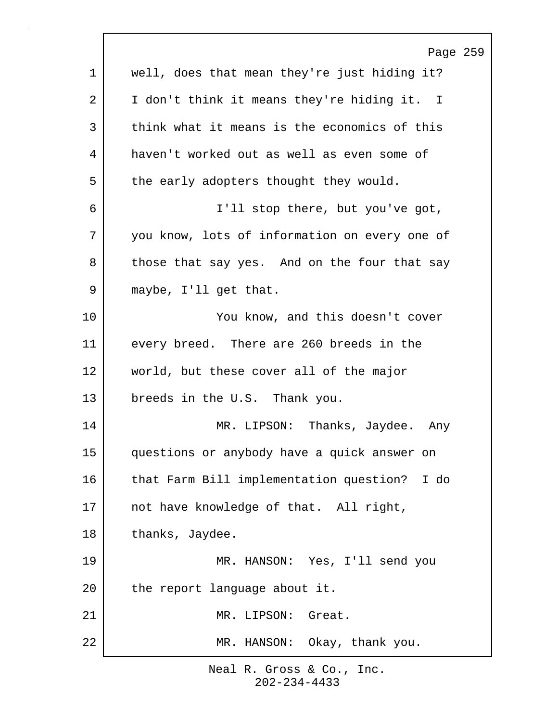|         | Page 259                                      |
|---------|-----------------------------------------------|
| 1       | well, does that mean they're just hiding it?  |
| 2       | I don't think it means they're hiding it. I   |
| 3       | think what it means is the economics of this  |
| 4       | haven't worked out as well as even some of    |
| 5       | the early adopters thought they would.        |
| 6       | I'll stop there, but you've got,              |
| 7       | you know, lots of information on every one of |
| 8       | those that say yes. And on the four that say  |
| 9       | maybe, I'll get that.                         |
| $10 \,$ | You know, and this doesn't cover              |
| 11      | every breed. There are 260 breeds in the      |
| 12      | world, but these cover all of the major       |
| 13      | breeds in the U.S. Thank you.                 |
| 14      | Thanks, Jaydee. Any<br>MR. LIPSON:            |
| 15      | questions or anybody have a quick answer on   |
| 16      | that Farm Bill implementation question? I do  |
| 17      | not have knowledge of that. All right,        |
| 18      | thanks, Jaydee.                               |
| 19      | MR. HANSON: Yes, I'll send you                |
| 20      | the report language about it.                 |
| 21      | MR. LIPSON: Great.                            |
| 22      | MR. HANSON: Okay, thank you.                  |
|         |                                               |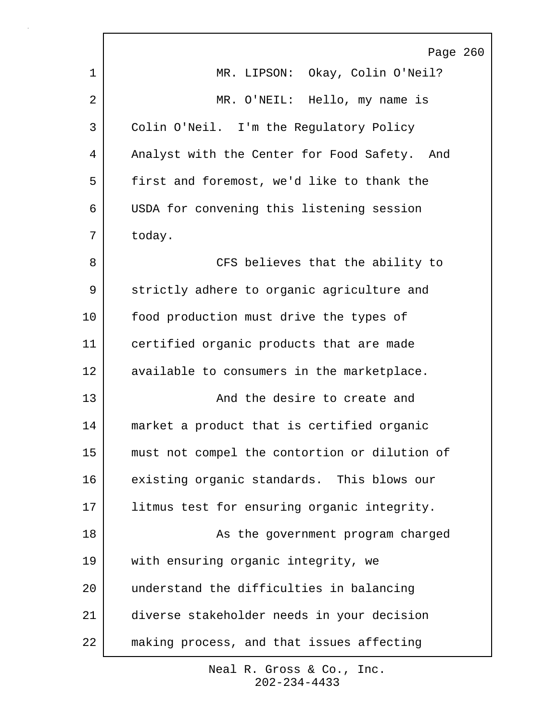|    | Page 260                                      |
|----|-----------------------------------------------|
| 1  | MR. LIPSON: Okay, Colin O'Neil?               |
| 2  | MR. O'NEIL: Hello, my name is                 |
| 3  | Colin O'Neil. I'm the Regulatory Policy       |
| 4  | Analyst with the Center for Food Safety. And  |
| 5  | first and foremost, we'd like to thank the    |
| 6  | USDA for convening this listening session     |
| 7  | today.                                        |
| 8  | CFS believes that the ability to              |
| 9  | strictly adhere to organic agriculture and    |
| 10 | food production must drive the types of       |
| 11 | certified organic products that are made      |
| 12 | available to consumers in the marketplace.    |
| 13 | And the desire to create and                  |
| 14 | market a product that is certified organic    |
| 15 | must not compel the contortion or dilution of |
| 16 | existing organic standards. This blows our    |
| 17 | litmus test for ensuring organic integrity.   |
| 18 | As the government program charged             |
| 19 | with ensuring organic integrity, we           |
| 20 | understand the difficulties in balancing      |
| 21 | diverse stakeholder needs in your decision    |
| 22 | making process, and that issues affecting     |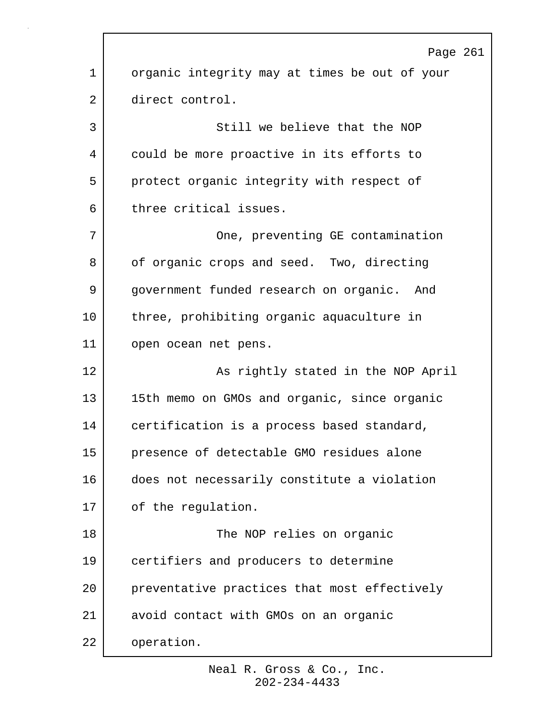Page 261 1 organic integrity may at times be out of your 2 direct control. 3 Still we believe that the NOP 4 could be more proactive in its efforts to 5 | protect organic integrity with respect of 6 three critical issues. 7 | Cone, preventing GE contamination 8 of organic crops and seed. Two, directing 9 government funded research on organic. And 10 three, prohibiting organic aquaculture in 11 open ocean net pens. 12 | As rightly stated in the NOP April 13 15th memo on GMOs and organic, since organic 14 certification is a process based standard, 15 presence of detectable GMO residues alone 16 does not necessarily constitute a violation 17 of the requiation. 18 The NOP relies on organic 19 certifiers and producers to determine 20 preventative practices that most effectively 21 avoid contact with GMOs on an organic 22 operation.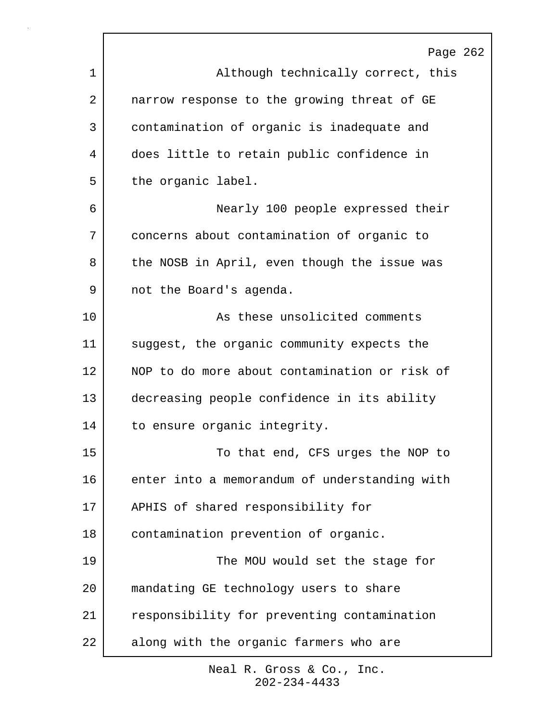|    | Page 262                                      |
|----|-----------------------------------------------|
| 1  | Although technically correct, this            |
| 2  | narrow response to the growing threat of GE   |
| 3  | contamination of organic is inadequate and    |
| 4  | does little to retain public confidence in    |
| 5  | the organic label.                            |
| 6  | Nearly 100 people expressed their             |
| 7  | concerns about contamination of organic to    |
| 8  | the NOSB in April, even though the issue was  |
| 9  | not the Board's agenda.                       |
| 10 | As these unsolicited comments                 |
| 11 | suggest, the organic community expects the    |
| 12 | NOP to do more about contamination or risk of |
| 13 | decreasing people confidence in its ability   |
| 14 | to ensure organic integrity.                  |
| 15 | To that end, CFS urges the NOP to             |
| 16 | enter into a memorandum of understanding with |
| 17 | APHIS of shared responsibility for            |
| 18 | contamination prevention of organic.          |
| 19 | The MOU would set the stage for               |
| 20 | mandating GE technology users to share        |
| 21 | responsibility for preventing contamination   |
| 22 | along with the organic farmers who are        |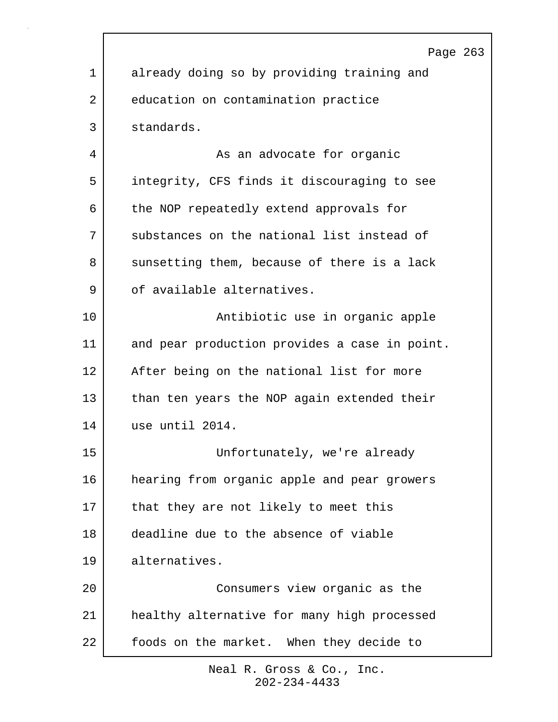|             | Page 263                                      |
|-------------|-----------------------------------------------|
| $\mathbf 1$ | already doing so by providing training and    |
| 2           | education on contamination practice           |
| 3           | standards.                                    |
| 4           | As an advocate for organic                    |
| 5           | integrity, CFS finds it discouraging to see   |
| 6           | the NOP repeatedly extend approvals for       |
| 7           | substances on the national list instead of    |
| 8           | sunsetting them, because of there is a lack   |
| 9           | of available alternatives.                    |
| 10          | Antibiotic use in organic apple               |
| 11          | and pear production provides a case in point. |
| 12          | After being on the national list for more     |
| 13          | than ten years the NOP again extended their   |
| 14          | use until 2014.                               |
| 15          | Unfortunately, we're already                  |
| 16          | hearing from organic apple and pear growers   |
| 17          | that they are not likely to meet this         |
| 18          | deadline due to the absence of viable         |
| 19          | alternatives.                                 |
| 20          | Consumers view organic as the                 |
| 21          | healthy alternative for many high processed   |
| 22          | foods on the market. When they decide to      |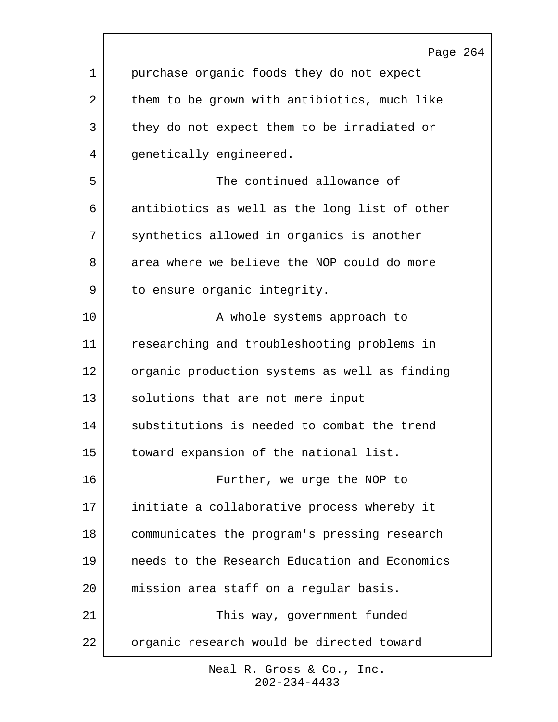|    | Page 264                                      |
|----|-----------------------------------------------|
| 1  | purchase organic foods they do not expect     |
| 2  | them to be grown with antibiotics, much like  |
| 3  | they do not expect them to be irradiated or   |
| 4  | genetically engineered.                       |
| 5  | The continued allowance of                    |
| 6  | antibiotics as well as the long list of other |
| 7  | synthetics allowed in organics is another     |
| 8  | area where we believe the NOP could do more   |
| 9  | to ensure organic integrity.                  |
| 10 | A whole systems approach to                   |
| 11 | researching and troubleshooting problems in   |
| 12 | organic production systems as well as finding |
| 13 | solutions that are not mere input             |
| 14 | substitutions is needed to combat the trend   |
| 15 | toward expansion of the national list.        |
| 16 | Further, we urge the NOP to                   |
| 17 | initiate a collaborative process whereby it   |
| 18 | communicates the program's pressing research  |
| 19 | needs to the Research Education and Economics |
| 20 | mission area staff on a regular basis.        |
| 21 | This way, government funded                   |
| 22 | organic research would be directed toward     |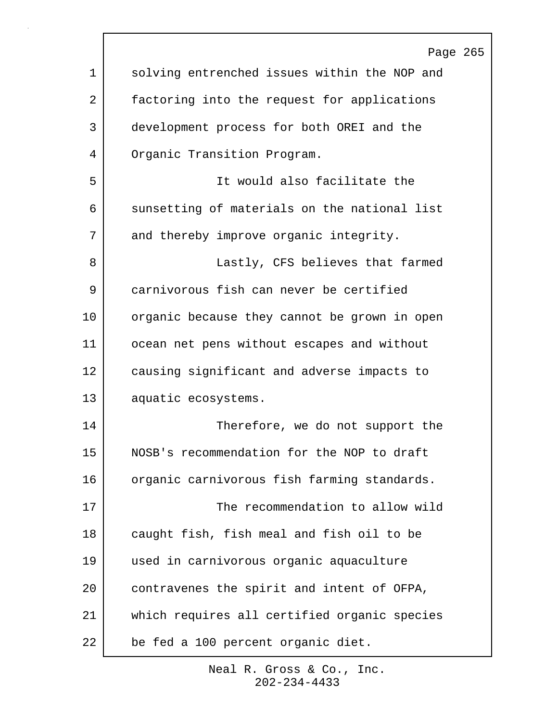|             | Page 265                                     |
|-------------|----------------------------------------------|
| $\mathbf 1$ | solving entrenched issues within the NOP and |
| 2           | factoring into the request for applications  |
| 3           | development process for both OREI and the    |
| 4           | Organic Transition Program.                  |
| 5           | It would also facilitate the                 |
| 6           | sunsetting of materials on the national list |
| 7           | and thereby improve organic integrity.       |
| 8           | Lastly, CFS believes that farmed             |
| 9           | carnivorous fish can never be certified      |
| 10          | organic because they cannot be grown in open |
| 11          | ocean net pens without escapes and without   |
| 12          | causing significant and adverse impacts to   |
| 13          | aquatic ecosystems.                          |
| 14          | Therefore, we do not support the             |
| 15          | NOSB's recommendation for the NOP to draft   |
| 16          | organic carnivorous fish farming standards.  |
| 17          | The recommendation to allow wild             |
| 18          | caught fish, fish meal and fish oil to be    |
| 19          | used in carnivorous organic aquaculture      |
| 20          | contravenes the spirit and intent of OFPA,   |
| 21          | which requires all certified organic species |
| 22          | be fed a 100 percent organic diet.           |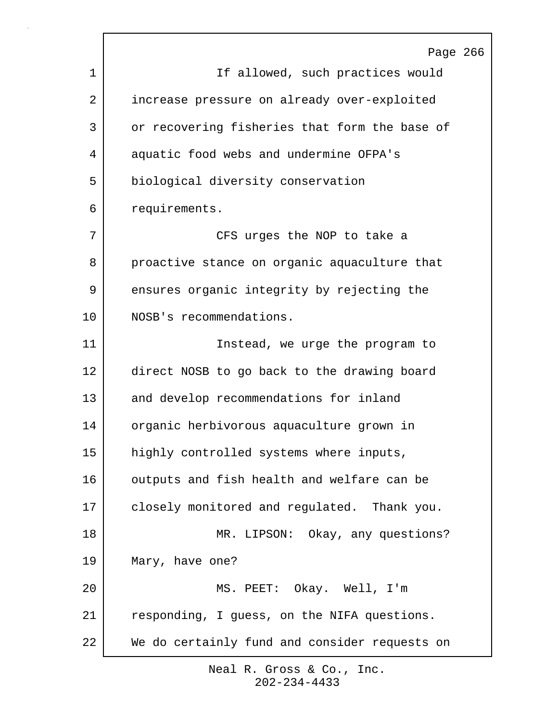|         | Page 266                                      |
|---------|-----------------------------------------------|
| 1       | If allowed, such practices would              |
| 2       | increase pressure on already over-exploited   |
| 3       | or recovering fisheries that form the base of |
| 4       | aquatic food webs and undermine OFPA's        |
| 5       | biological diversity conservation             |
| 6       | requirements.                                 |
| 7       | CFS urges the NOP to take a                   |
| 8       | proactive stance on organic aquaculture that  |
| 9       | ensures organic integrity by rejecting the    |
| $10 \,$ | NOSB's recommendations.                       |
| 11      | Instead, we urge the program to               |
| 12      | direct NOSB to go back to the drawing board   |
| 13      | and develop recommendations for inland        |
| 14      | organic herbivorous aquaculture grown in      |
| 15      | highly controlled systems where inputs,       |
| 16      | outputs and fish health and welfare can be    |
| 17      | closely monitored and regulated. Thank you.   |
| 18      | MR. LIPSON: Okay, any questions?              |
| 19      | Mary, have one?                               |
| 20      | MS. PEET: Okay. Well, I'm                     |
| 21      | responding, I guess, on the NIFA questions.   |
| 22      | We do certainly fund and consider requests on |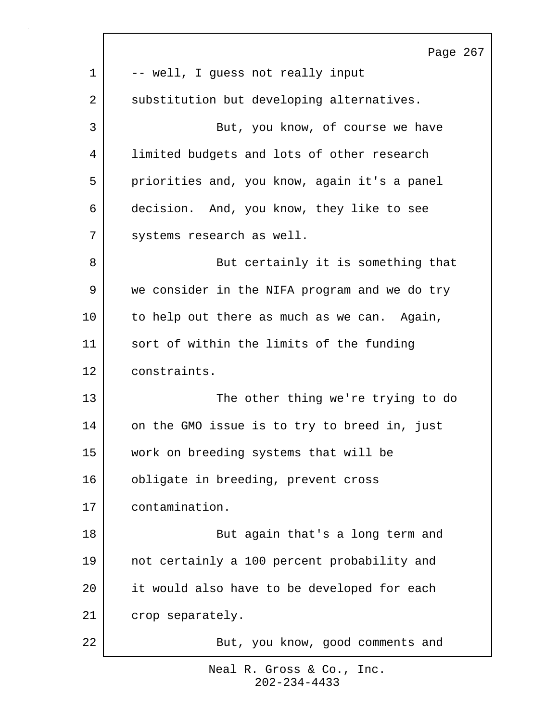|         | Page 267                                      |
|---------|-----------------------------------------------|
| 1       | -- well, I guess not really input             |
| 2       | substitution but developing alternatives.     |
| 3       | But, you know, of course we have              |
| 4       | limited budgets and lots of other research    |
| 5       | priorities and, you know, again it's a panel  |
| 6       | decision. And, you know, they like to see     |
| 7       | systems research as well.                     |
| 8       | But certainly it is something that            |
| 9       | we consider in the NIFA program and we do try |
| $10 \,$ | to help out there as much as we can. Again,   |
| 11      | sort of within the limits of the funding      |
| 12      | constraints.                                  |
| 13      | The other thing we're trying to do            |
| 14      | on the GMO issue is to try to breed in, just  |
| 15      | work on breeding systems that will be         |
| 16      | obligate in breeding, prevent cross           |
| 17      | contamination.                                |
| 18      | But again that's a long term and              |
| 19      | not certainly a 100 percent probability and   |
| 20      | it would also have to be developed for each   |
| 21      | crop separately.                              |
| 22      | But, you know, good comments and              |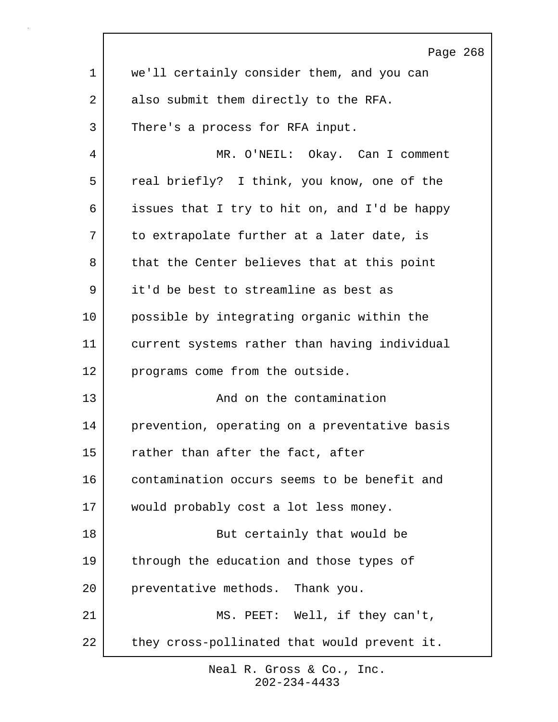|             | Page 268                                      |
|-------------|-----------------------------------------------|
| $\mathbf 1$ | we'll certainly consider them, and you can    |
| 2           | also submit them directly to the RFA.         |
| 3           | There's a process for RFA input.              |
| 4           | MR. O'NEIL: Okay. Can I comment               |
| 5           | real briefly? I think, you know, one of the   |
| 6           | issues that I try to hit on, and I'd be happy |
| 7           | to extrapolate further at a later date, is    |
| 8           | that the Center believes that at this point   |
| 9           | it'd be best to streamline as best as         |
| 10          | possible by integrating organic within the    |
| 11          | current systems rather than having individual |
| 12          | programs come from the outside.               |
| 13          | And on the contamination                      |
| 14          | prevention, operating on a preventative basis |
| 15          | rather than after the fact, after             |
| 16          | contamination occurs seems to be benefit and  |
| 17          | would probably cost a lot less money.         |
| 18          | But certainly that would be                   |
| 19          | through the education and those types of      |
| 20          | preventative methods. Thank you.              |
| 21          | MS. PEET: Well, if they can't,                |
| 22          | they cross-pollinated that would prevent it.  |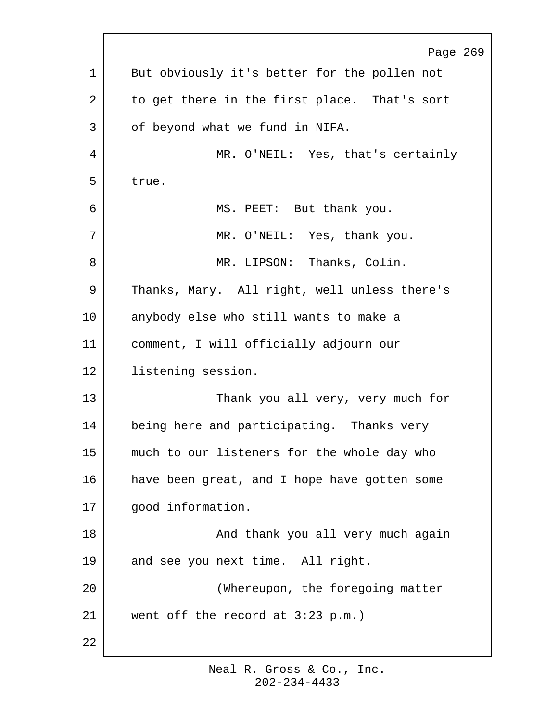Page 269 1 But obviously it's better for the pollen not 2 to get there in the first place. That's sort 3 of beyond what we fund in NIFA. 4 MR. O'NEIL: Yes, that's certainly 5 true. 6 MS. PEET: But thank you. 7 MR. O'NEIL: Yes, thank you. 8 | MR. LIPSON: Thanks, Colin. 9 Thanks, Mary. All right, well unless there's 10 anybody else who still wants to make a 11 comment, I will officially adjourn our 12 listening session. 13 Thank you all very, very much for 14 being here and participating. Thanks very 15 much to our listeners for the whole day who 16 have been great, and I hope have gotten some 17 | good information. 18 | The South Chank you all very much again 19 and see you next time. All right. 20 (Whereupon, the foregoing matter 21 went off the record at 3:23 p.m.) 22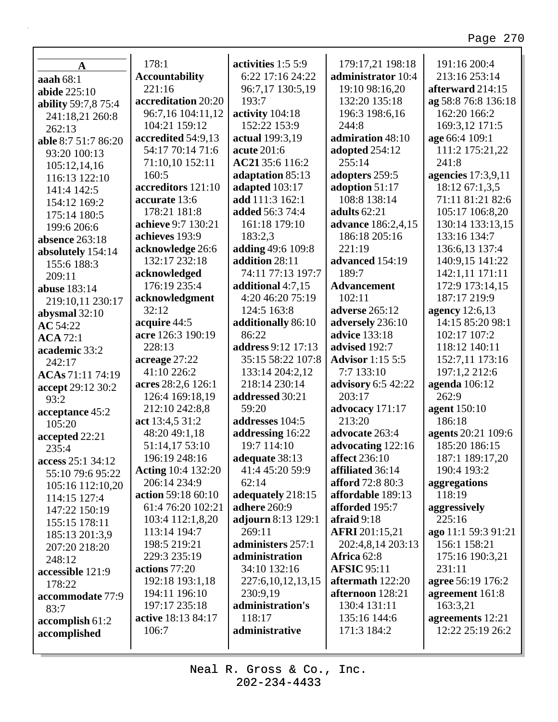٦

| $\mathbf A$                   | 178:1                     | activities 1:5 5:9    | 179:17,21 198:18          | 191:16 200:4        |
|-------------------------------|---------------------------|-----------------------|---------------------------|---------------------|
|                               | <b>Accountability</b>     | 6:22 17:16 24:22      | administrator 10:4        | 213:16 253:14       |
| aaah $68:1$                   | 221:16                    | 96:7,17 130:5,19      | 19:10 98:16,20            | afterward 214:15    |
| abide 225:10                  | accreditation 20:20       | 193:7                 | 132:20 135:18             | ag 58:8 76:8 136:18 |
| ability 59:7,8 75:4           | 96:7,16 104:11,12         | activity 104:18       | 196:3 198:6,16            | 162:20 166:2        |
| 241:18,21 260:8               | 104:21 159:12             | 152:22 153:9          | 244:8                     | 169:3,12 171:5      |
| 262:13                        | accredited 54:9,13        | actual 199:3,19       | admiration 48:10          | age 66:4 109:1      |
| able 8:7 51:7 86:20           | 54:17 70:14 71:6          | acute 201:6           | adopted 254:12            | 111:2 175:21,22     |
| 93:20 100:13                  | 71:10,10 152:11           | AC21 35:6 116:2       | 255:14                    | 241:8               |
| 105:12,14,16<br>116:13 122:10 | 160:5                     | adaptation 85:13      | adopters 259:5            | agencies 17:3,9,11  |
|                               | accreditors 121:10        | adapted 103:17        | adoption 51:17            | 18:12 67:1,3,5      |
| 141:4 142:5                   | accurate 13:6             | add 111:3 162:1       | 108:8 138:14              | 71:11 81:21 82:6    |
| 154:12 169:2                  | 178:21 181:8              | added 56:3 74:4       | adults $62:21$            | 105:17 106:8,20     |
| 175:14 180:5                  | achieve 9:7 130:21        | 161:18 179:10         | advance 186:2,4,15        | 130:14 133:13,15    |
| 199:6 206:6                   | achieves 193:9            | 183:2,3               | 186:18 205:16             | 133:16 134:7        |
| absence 263:18                | acknowledge 26:6          | adding 49:6 109:8     | 221:19                    | 136:6,13 137:4      |
| absolutely 154:14             | 132:17 232:18             | addition 28:11        | advanced 154:19           | 140:9,15 141:22     |
| 155:6 188:3                   | acknowledged              | 74:11 77:13 197:7     | 189:7                     | 142:1,11 171:11     |
| 209:11                        | 176:19 235:4              | additional 4:7,15     | <b>Advancement</b>        | 172:9 173:14,15     |
| abuse 183:14                  | acknowledgment            | 4:20 46:20 75:19      | 102:11                    | 187:17 219:9        |
| 219:10,11 230:17              | 32:12                     | 124:5 163:8           | <b>adverse</b> 265:12     | agency 12:6,13      |
| abysmal 32:10                 | acquire 44:5              | additionally 86:10    | adversely 236:10          | 14:15 85:20 98:1    |
| AC 54:22                      | acre 126:3 190:19         | 86:22                 | <b>advice</b> 133:18      | 102:17 107:2        |
| <b>ACA</b> 72:1               | 228:13                    | address 9:12 17:13    | advised 192:7             | 118:12 140:11       |
| academic 33:2<br>242:17       | acreage $27:22$           | 35:15 58:22 107:8     | <b>Advisor</b> 1:15 5:5   | 152:7,11 173:16     |
| ACAs 71:11 74:19              | 41:10 226:2               | 133:14 204:2,12       | 7:7 133:10                | 197:1,2 212:6       |
|                               | acres 28:2,6 126:1        | 218:14 230:14         | <b>advisory</b> 6:5 42:22 | agenda 106:12       |
| accept 29:12 30:2<br>93:2     | 126:4 169:18,19           | addressed 30:21       | 203:17                    | 262:9               |
| acceptance 45:2               | 212:10 242:8,8            | 59:20                 | advocacy 171:17           | agent 150:10        |
| 105:20                        | act 13:4,5 31:2           | addresses 104:5       | 213:20                    | 186:18              |
| accepted 22:21                | 48:20 49:1,18             | addressing 16:22      | advocate 263:4            | agents 20:21 109:6  |
| 235:4                         | 51:14,17 53:10            | 19:7 114:10           | advocating 122:16         | 185:20 186:15       |
| access 25:1 34:12             | 196:19 248:16             | adequate 38:13        | affect $236:10$           | 187:1 189:17,20     |
| 55:10 79:6 95:22              | <b>Acting 10:4 132:20</b> | 41:4 45:20 59:9       | affiliated 36:14          | 190:4 193:2         |
| 105:16 112:10,20              | 206:14 234:9              | 62:14                 | afford 72:8 80:3          | aggregations        |
| 114:15 127:4                  | action 59:18 60:10        | adequately 218:15     | affordable 189:13         | 118:19              |
| 147:22 150:19                 | 61:4 76:20 102:21         | adhere 260:9          | afforded 195:7            | aggressively        |
| 155:15 178:11                 | 103:4 112:1,8,20          | adjourn 8:13 129:1    | afraid $9:18$             | 225:16              |
| 185:13 201:3,9                | 113:14 194:7              | 269:11                | <b>AFRI</b> 201:15,21     | ago 11:1 59:3 91:21 |
| 207:20 218:20                 | 198:5 219:21              | administers 257:1     | 202:4,8,14 203:13         | 156:1 158:21        |
| 248:12                        | 229:3 235:19              | administration        | Africa 62:8               | 175:16 190:3,21     |
| accessible 121:9              | actions 77:20             | 34:10 132:16          | <b>AFSIC 95:11</b>        | 231:11              |
| 178:22                        | 192:18 193:1,18           | 227:6, 10, 12, 13, 15 | aftermath 122:20          | agree 56:19 176:2   |
| accommodate 77:9              | 194:11 196:10             | 230:9,19              | afternoon 128:21          | agreement 161:8     |
| 83:7                          | 197:17 235:18             | administration's      | 130:4 131:11              | 163:3,21            |
| accomplish 61:2               | active 18:13 84:17        | 118:17                | 135:16 144:6              | agreements 12:21    |
| accomplished                  | 106:7                     | administrative        | 171:3 184:2               | 12:22 25:19 26:2    |
|                               |                           |                       |                           |                     |
|                               |                           |                       |                           |                     |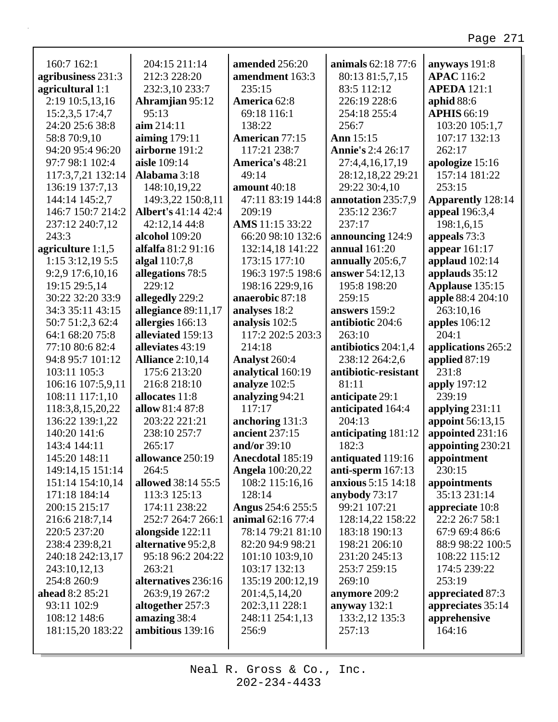| 160:7 162:1         | 204:15 211:14              | amended 256:20           | animals 62:18 77:6        | anyways 191:8            |
|---------------------|----------------------------|--------------------------|---------------------------|--------------------------|
| agribusiness 231:3  | 212:3 228:20               | amendment 163:3          | 80:13 81:5,7,15           | <b>APAC</b> 116:2        |
| agricultural 1:1    | 232:3,10 233:7             | 235:15                   | 83:5 112:12               | <b>APEDA</b> 121:1       |
| 2:19 10:5,13,16     | <b>Ahramjian 95:12</b>     | America 62:8             | 226:19 228:6              | aphid $88:6$             |
| 15:2,3,5 17:4,7     | 95:13                      | 69:18 116:1              | 254:18 255:4              | <b>APHIS 66:19</b>       |
| 24:20 25:6 38:8     | $\dim 214:11$              | 138:22                   | 256:7                     | 103:20 105:1,7           |
| 58:8 70:9,10        | aiming $179:11$            | <b>American 77:15</b>    | Ann 15:15                 | 107:17 132:13            |
| 94:20 95:4 96:20    | airborne 191:2             | 117:21 238:7             | <b>Annie's 2:4 26:17</b>  | 262:17                   |
| 97:7 98:1 102:4     | aisle 109:14               | America's 48:21          | 27:4,4,16,17,19           | apologize 15:16          |
| 117:3,7,21 132:14   | Alabama 3:18               | 49:14                    | 28:12,18,22 29:21         | 157:14 181:22            |
| 136:19 137:7,13     | 148:10,19,22               | amount 40:18             | 29:22 30:4,10             | 253:15                   |
| 144:14 145:2,7      | 149:3,22 150:8,11          | 47:11 83:19 144:8        | annotation 235:7,9        | <b>Apparently 128:14</b> |
| 146:7 150:7 214:2   | <b>Albert's 41:14 42:4</b> | 209:19                   | 235:12 236:7              | appeal 196:3,4           |
| 237:12 240:7,12     | 42:12,14 44:8              | AMS 11:15 33:22          | 237:17                    | 198:1,6,15               |
| 243:3               | <b>alcohol</b> 109:20      | 66:20 98:10 132:6        | announcing 124:9          | appeals 73:3             |
| agriculture $1:1,5$ | alfalfa 81:2 91:16         | 132:14,18 141:22         | <b>annual</b> 161:20      | appear $161:17$          |
| $1:15$ 3:12,19 5:5  | algal 110:7,8              | 173:15 177:10            | annually 205:6,7          | applaud $102:14$         |
| 9:2,9 17:6,10,16    | allegations 78:5           | 196:3 197:5 198:6        | answer 54:12,13           | applauds 35:12           |
| 19:15 29:5,14       | 229:12                     | 198:16 229:9,16          | 195:8 198:20              | Applause 135:15          |
| 30:22 32:20 33:9    | allegedly 229:2            | anaerobic 87:18          | 259:15                    | apple 88:4 204:10        |
| 34:3 35:11 43:15    | allegiance 89:11,17        | analyses 18:2            | answers 159:2             | 263:10,16                |
| 50:7 51:2,3 62:4    | allergies 166:13           | analysis 102:5           | antibiotic 204:6          | <b>apples</b> 106:12     |
| 64:1 68:20 75:8     | alleviated 159:13          | 117:2 202:5 203:3        | 263:10                    | 204:1                    |
| 77:10 80:6 82:4     | alleviates 43:19           | 214:18                   | antibiotics 204:1,4       | applications 265:2       |
| 94:8 95:7 101:12    | <b>Alliance 2:10,14</b>    | Analyst 260:4            | 238:12 264:2,6            | applied 87:19            |
| 103:11 105:3        | 175:6 213:20               | analytical 160:19        | antibiotic-resistant      | 231:8                    |
| 106:16 107:5,9,11   | 216:8 218:10               | analyze 102:5            | 81:11                     | apply 197:12             |
| 108:11 117:1,10     | allocates 11:8             | analyzing 94:21          | anticipate 29:1           | 239:19                   |
| 118:3,8,15,20,22    | allow 81:4 87:8            | 117:17                   | anticipated 164:4         | applying $231:11$        |
| 136:22 139:1,22     | 203:22 221:21              | anchoring 131:3          | 204:13                    | appoint 56:13,15         |
| 140:20 141:6        | 238:10 257:7               | ancient 237:15           | anticipating 181:12       | appointed 231:16         |
| 143:4 144:11        | 265:17                     | and/or 39:10             | 182:3                     | appointing 230:21        |
| 145:20 148:11       | allowance 250:19           | Anecdotal 185:19         | antiquated 119:16         | appointment              |
| 149:14,15 151:14    | 264:5                      | <b>Angela</b> 100:20,22  | anti-sperm 167:13         | 230:15                   |
| 151:14 154:10,14    | allowed 38:14 55:5         | 108:2 115:16,16          | <b>anxious</b> 5:15 14:18 | appointments             |
| 171:18 184:14       | 113:3 125:13               | 128:14                   | anybody $73:17$           | 35:13 231:14             |
| 200:15 215:17       | 174:11 238:22              | <b>Angus</b> 254:6 255:5 | 99:21 107:21              | appreciate 10:8          |
| 216:6 218:7,14      | 252:7 264:7 266:1          | animal 62:16 77:4        | 128:14,22 158:22          | 22:2 26:7 58:1           |
| 220:5 237:20        | alongside 122:11           | 78:14 79:21 81:10        | 183:18 190:13             | 67:9 69:4 86:6           |
| 238:4 239:8,21      | alternative 95:2,8         | 82:20 94:9 98:21         | 198:21 206:10             | 88:9 98:22 100:5         |
| 240:18 242:13,17    | 95:18 96:2 204:22          | 101:10 103:9,10          | 231:20 245:13             | 108:22 115:12            |
| 243:10,12,13        | 263:21                     | 103:17 132:13            | 253:7 259:15              | 174:5 239:22             |
| 254:8 260:9         | alternatives 236:16        | 135:19 200:12,19         | 269:10                    | 253:19                   |
| ahead 8:2 85:21     | 263:9,19 267:2             | 201:4,5,14,20            | anymore 209:2             | appreciated 87:3         |
| 93:11 102:9         | altogether 257:3           | 202:3,11 228:1           | anyway $132:1$            | appreciates 35:14        |
| 108:12 148:6        | amazing 38:4               | 248:11 254:1,13          | 133:2,12 135:3            | apprehensive             |
| 181:15,20 183:22    | ambitious 139:16           | 256:9                    | 257:13                    | 164:16                   |
|                     |                            |                          |                           |                          |

Г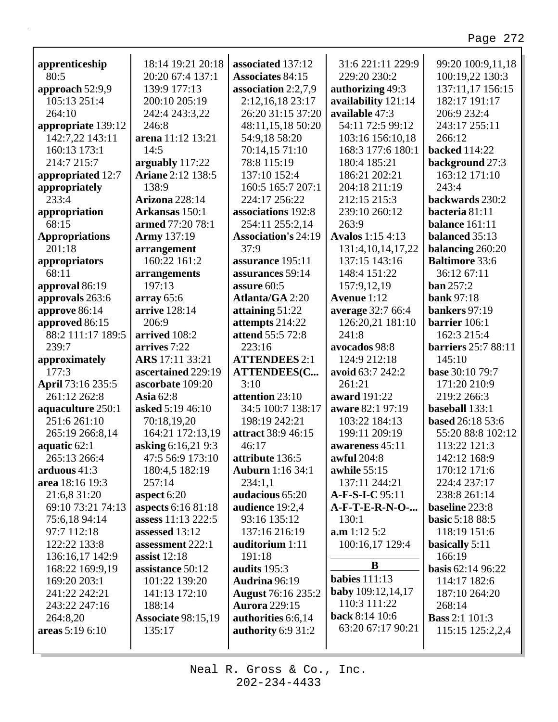| apprenticeship        | 18:14 19:21 20:18         | associated 137:12          | 31:6 221:11 229:9        | 99:20 100:9,11,18          |
|-----------------------|---------------------------|----------------------------|--------------------------|----------------------------|
| 80:5                  | 20:20 67:4 137:1          | <b>Associates 84:15</b>    | 229:20 230:2             | 100:19,22 130:3            |
| approach 52:9,9       | 139:9 177:13              | association $2:2,7,9$      | authorizing 49:3         | 137:11,17 156:15           |
| 105:13 251:4          | 200:10 205:19             | 2:12,16,18 23:17           | availability 121:14      | 182:17 191:17              |
| 264:10                | 242:4 243:3,22            | 26:20 31:15 37:20          | available 47:3           | 206:9 232:4                |
| appropriate 139:12    | 246:8                     | 48:11,15,18 50:20          | 54:11 72:5 99:12         | 243:17 255:11              |
| 142:7,22 143:11       | arena 11:12 13:21         | 54:9,18 58:20              | 103:16 156:10,18         | 266:12                     |
| 160:13 173:1          | 14:5                      | 70:14,15 71:10             | 168:3 177:6 180:1        | <b>backed</b> 114:22       |
| 214:7 215:7           | arguably 117:22           | 78:8 115:19                | 180:4 185:21             | background 27:3            |
| appropriated 12:7     | <b>Ariane 2:12 138:5</b>  | 137:10 152:4               | 186:21 202:21            | 163:12 171:10              |
| appropriately         | 138:9                     | 160:5 165:7 207:1          | 204:18 211:19            | 243:4                      |
| 233:4                 | <b>Arizona</b> 228:14     | 224:17 256:22              | 212:15 215:3             | backwards 230:2            |
| appropriation         | Arkansas 150:1            | associations 192:8         | 239:10 260:12            | bacteria 81:11             |
| 68:15                 | armed 77:20 78:1          | 254:11 255:2,14            | 263:9                    | balance 161:11             |
| <b>Appropriations</b> | <b>Army</b> 137:19        | <b>Association's 24:19</b> | <b>Avalos</b> 1:15 4:13  | balanced 35:13             |
| 201:18                | arrangement               | 37:9                       | 131:4, 10, 14, 17, 22    | balancing 260:20           |
| appropriators         | 160:22 161:2              | assurance 195:11           | 137:15 143:16            | <b>Baltimore 33:6</b>      |
| 68:11                 | arrangements              | assurances 59:14           | 148:4 151:22             | 36:12 67:11                |
| approval 86:19        | 197:13                    | assure 60:5                | 157:9,12,19              | <b>ban</b> 257:2           |
| approvals 263:6       | array 65:6                | <b>Atlanta/GA 2:20</b>     | Avenue 1:12              | <b>bank</b> 97:18          |
| approve 86:14         | arrive 128:14             | attaining $51:22$          | average 32:7 66:4        | bankers 97:19              |
| approved 86:15        | 206:9                     | attempts 214:22            | 126:20,21 181:10         | barrier 106:1              |
| 88:2 111:17 189:5     | arrived 108:2             | attend 55:5 72:8           | 241:8                    | 162:3 215:4                |
| 239:7                 | arrives 7:22              | 223:16                     | avocados 98:8            | <b>barriers</b> 25:7 88:11 |
| approximately         | ARS 17:11 33:21           | <b>ATTENDEES 2:1</b>       | 124:9 212:18             | 145:10                     |
| 177:3                 | ascertained 229:19        | <b>ATTENDEES(C</b>         | avoid 63:7 242:2         | <b>base</b> 30:10 79:7     |
| April 73:16 235:5     | ascorbate 109:20          | 3:10                       | 261:21                   | 171:20 210:9               |
| 261:12 262:8          | <b>Asia</b> 62:8          | attention 23:10            | award 191:22             | 219:2 266:3                |
| aquaculture 250:1     | asked 5:19 46:10          | 34:5 100:7 138:17          | aware 82:1 97:19         | baseball 133:1             |
| 251:6 261:10          | 70:18,19,20               | 198:19 242:21              | 103:22 184:13            | based 26:18 53:6           |
| 265:19 266:8,14       | 164:21 172:13,19          | attract 38:9 46:15         | 199:11 209:19            | 55:20 88:8 102:12          |
| aquatic 62:1          | asking 6:16,21 9:3        | 46:17                      | awareness 45:11          | 113:22 121:3               |
| 265:13 266:4          | 47:5 56:9 173:10          | <b>attribute</b> 136:5     | <b>awful</b> 204:8       | 142:12 168:9               |
| arduous $41:3$        | 180:4,5 182:19            | <b>Auburn</b> 1:16 34:1    | <b>awhile</b> 55:15      | 170:12 171:6               |
| area 18:16 19:3       | 257:14                    | 234:1,1                    | 137:11 244:21            | 224:4 237:17               |
| 21:6,8 31:20          | aspect 6:20               | audacious 65:20            | A-F-S-I-C 95:11          | 238:8 261:14               |
| 69:10 73:21 74:13     | aspects 6:16 81:18        | audience 19:2,4            | <b>A-F-T-E-R-N-O-</b>    | baseline 223:8             |
| 75:6,18 94:14         | assess 11:13 222:5        | 93:16 135:12               | 130:1                    | <b>basic 5:18 88:5</b>     |
| 97:7 112:18           | assessed 13:12            | 137:16 216:19              | a.m 1:12 5:2             | 118:19 151:6               |
| 122:22 133:8          | assessment 222:1          | auditorium 1:11            | 100:16,17 129:4          | basically 5:11             |
| 136:16,17 142:9       | assist $12:18$            | 191:18                     |                          | 166:19                     |
| 168:22 169:9,19       | assistance 50:12          | audits 195:3               | B                        | <b>basis</b> 62:14 96:22   |
| 169:20 203:1          | 101:22 139:20             | Audrina 96:19              | <b>babies</b> 111:13     | 114:17 182:6               |
| 241:22 242:21         | 141:13 172:10             | <b>August</b> 76:16 235:2  | <b>baby</b> 109:12,14,17 | 187:10 264:20              |
| 243:22 247:16         | 188:14                    | <b>Aurora</b> 229:15       | 110:3 111:22             | 268:14                     |
| 264:8,20              | <b>Associate 98:15,19</b> | authorities 6:6,14         | back 8:14 10:6           | <b>Bass</b> 2:1 101:3      |
| areas 5:19 6:10       | 135:17                    | authority 6:9 31:2         | 63:20 67:17 90:21        | 115:15 125:2,2,4           |
|                       |                           |                            |                          |                            |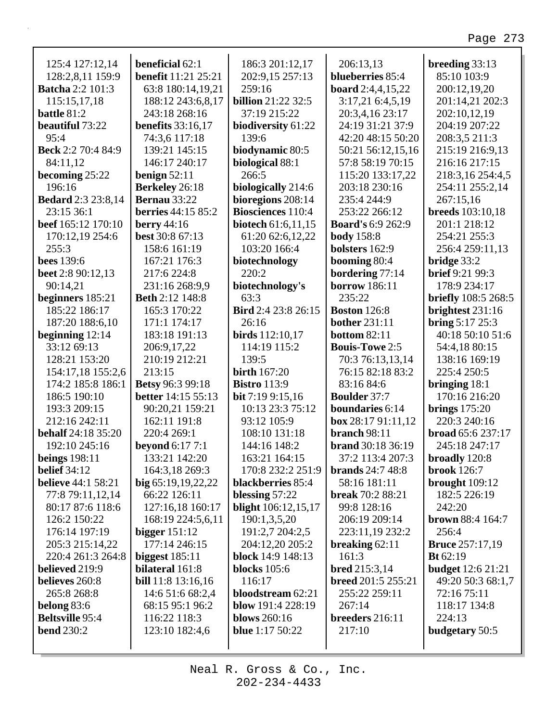| 125:4 127:12,14           | <b>beneficial</b> 62:1     | 186:3 201:12,17            | 206:13,13                 | breeding 33:13             |
|---------------------------|----------------------------|----------------------------|---------------------------|----------------------------|
| 128:2,8,11 159:9          | <b>benefit</b> 11:21 25:21 | 202:9,15 257:13            | blueberries 85:4          | 85:10 103:9                |
| <b>Batcha 2:2 101:3</b>   | 63:8 180:14,19,21          | 259:16                     | <b>board</b> 2:4,4,15,22  | 200:12,19,20               |
| 115:15,17,18              | 188:12 243:6,8,17          | <b>billion</b> 21:22 32:5  | 3:17,21 6:4,5,19          | 201:14,21 202:3            |
| battle 81:2               | 243:18 268:16              | 37:19 215:22               | 20:3,4,16 23:17           | 202:10,12,19               |
| <b>beautiful</b> 73:22    | <b>benefits</b> 33:16,17   | biodiversity 61:22         | 24:19 31:21 37:9          | 204:19 207:22              |
| 95:4                      | 74:3,6 117:18              | 139:6                      | 42:20 48:15 50:20         | 208:3,5 211:3              |
| <b>Beck</b> 2:2 70:4 84:9 | 139:21 145:15              | biodynamic 80:5            | 50:21 56:12,15,16         | 215:19 216:9,13            |
| 84:11,12                  | 146:17 240:17              | biological 88:1            | 57:8 58:19 70:15          | 216:16 217:15              |
| becoming $25:22$          | benign $52:11$             | 266:5                      | 115:20 133:17,22          | 218:3, 16 254:4, 5         |
| 196:16                    | Berkeley 26:18             | biologically 214:6         | 203:18 230:16             | 254:11 255:2,14            |
| <b>Bedard</b> 2:3 23:8,14 | <b>Bernau 33:22</b>        | bioregions 208:14          | 235:4 244:9               | 267:15,16                  |
| 23:15 36:1                | <b>berries</b> 44:15 85:2  | <b>Biosciences</b> 110:4   | 253:22 266:12             | <b>breeds</b> 103:10,18    |
| beef 165:12 170:10        | berry $44:16$              | biotech 61:6,11,15         | <b>Board's 6:9 262:9</b>  | 201:1 218:12               |
| 170:12,19 254:6           | best 30:8 67:13            | 61:20 62:6,12,22           | <b>body</b> 158:8         | 254:21 255:3               |
| 255:3                     | 158:6 161:19               | 103:20 166:4               | bolsters 162:9            | 256:4 259:11,13            |
| <b>bees</b> 139:6         | 167:21 176:3               | biotechnology              | booming 80:4              | bridge $33:2$              |
| beet 2:8 90:12,13         | 217:6 224:8                | 220:2                      | bordering 77:14           | <b>brief</b> 9:21 99:3     |
| 90:14,21                  | 231:16 268:9,9             | biotechnology's            | <b>borrow</b> 186:11      | 178:9 234:17               |
| beginners 185:21          | <b>Beth 2:12 148:8</b>     | 63:3                       | 235:22                    | <b>briefly</b> 108:5 268:5 |
| 185:22 186:17             | 165:3 170:22               | <b>Bird</b> 2:4 23:8 26:15 | <b>Boston</b> 126:8       | brightest 231:16           |
| 187:20 188:6,10           | 171:1 174:17               | 26:16                      | <b>bother</b> 231:11      | bring 5:17 25:3            |
| beginning $12:14$         | 183:18 191:13              | <b>birds</b> 112:10,17     | <b>bottom 82:11</b>       | 40:18 50:10 51:6           |
| 33:12 69:13               | 206:9,17,22                | 114:19 115:2               | <b>Bouls-Towe 2:5</b>     | 54:4,18 80:15              |
| 128:21 153:20             | 210:19 212:21              | 139:5                      | 70:3 76:13,13,14          | 138:16 169:19              |
| 154:17,18 155:2,6         | 213:15                     | <b>birth</b> 167:20        | 76:15 82:18 83:2          | 225:4 250:5                |
| 174:2 185:8 186:1         | <b>Betsy 96:3 99:18</b>    | <b>Bistro</b> 113:9        | 83:16 84:6                | bringing $18:1$            |
| 186:5 190:10              | better 14:15 55:13         | bit 7:19 9:15,16           | <b>Boulder 37:7</b>       | 170:16 216:20              |
| 193:3 209:15              | 90:20,21 159:21            | 10:13 23:3 75:12           | boundaries 6:14           | brings $175:20$            |
| 212:16 242:11             | 162:11 191:8               | 93:12 105:9                | box 28:1791:11,12         | 220:3 240:16               |
| <b>behalf</b> 24:18 35:20 | 220:4 269:1                | 108:10 131:18              | <b>branch</b> 98:11       | broad 65:6 237:17          |
| 192:10 245:16             | <b>beyond</b> 6:17 7:1     | 144:16 148:2               | <b>brand</b> 30:18 36:19  | 245:18 247:17              |
| <b>beings</b> 198:11      | 133:21 142:20              | 163:21 164:15              | 37:2 113:4 207:3          | broadly 120:8              |
| <b>belief</b> 34:12       | 164:3,18 269:3             | 170:8 232:2 251:9          | <b>brands</b> 24:7 48:8   | <b>brook</b> 126:7         |
| <b>believe</b> 44:1 58:21 | big 65:19,19,22,22         | blackberries 85:4          | 58:16 181:11              | brought $109:12$           |
| 77:8 79:11,12,14          | 66:22 126:11               | blessing $57:22$           | <b>break</b> 70:2 88:21   | 182:5 226:19               |
| 80:17 87:6 118:6          | 127:16,18 160:17           | <b>blight</b> 106:12,15,17 | 99:8 128:16               | 242:20                     |
| 126:2 150:22              | 168:19 224:5,6,11          | 190:1,3,5,20               | 206:19 209:14             | <b>brown</b> 88:4 164:7    |
| 176:14 197:19             | bigger $151:12$            | 191:2,7 204:2,5            | 223:11,19 232:2           | 256:4                      |
| 205:3 215:14,22           | 177:14 246:15              | 204:12,20 205:2            | breaking $62:11$          | <b>Bruce</b> 257:17,19     |
| 220:4 261:3 264:8         | biggest $185:11$           | block 14:9 148:13          | 161:3                     | <b>Bt</b> $62:19$          |
| believed 219:9            | bilateral 161:8            | <b>blocks</b> 105:6        | <b>bred</b> 215:3,14      | <b>budget</b> 12:6 21:21   |
| believes 260:8            | <b>bill</b> 11:8 13:16,16  | 116:17                     | <b>breed</b> 201:5 255:21 | 49:20 50:3 68:1,7          |
| 265:8 268:8               | 14:6 51:6 68:2,4           | bloodstream 62:21          | 255:22 259:11             | 72:16 75:11                |
| belong 83:6               | 68:15 95:1 96:2            | blow 191:4 228:19          | 267:14                    | 118:17 134:8               |
| <b>Beltsville</b> 95:4    | 116:22 118:3               | <b>blows</b> 260:16        | breeders 216:11           | 224:13                     |
| <b>bend</b> 230:2         | 123:10 182:4,6             | <b>blue</b> 1:17 50:22     | 217:10                    | budgetary 50:5             |
|                           |                            |                            |                           |                            |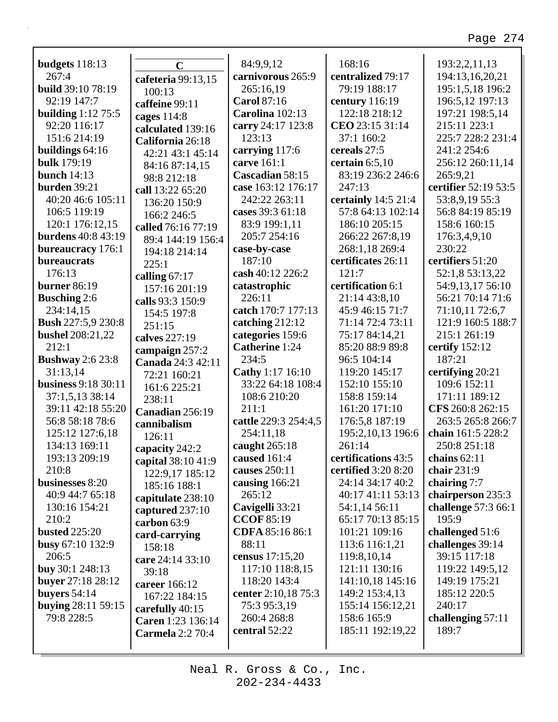| budgets 118:13                       | $\overline{C}$                 | 84:9,9,12               | 168:16                        | 193:2,2,11,13                     |
|--------------------------------------|--------------------------------|-------------------------|-------------------------------|-----------------------------------|
| 267:4                                | cafeteria 99:13,15             | carnivorous 265:9       | centralized 79:17             | 194:13,16,20,21                   |
| <b>build</b> 39:10 78:19             | 100:13                         | 265:16,19               | 79:19 188:17                  | 195:1,5,18 196:2                  |
| 92:19 147:7                          | caffeine 99:11                 | <b>Carol 87:16</b>      | century 116:19                | 196:5,12 197:13                   |
| <b>building</b> 1:12 75:5            | cages $114:8$                  | Carolina 102:13         | 122:18 218:12                 | 197:21 198:5,14                   |
| 92:20 116:17                         | calculated 139:16              | carry 24:17 123:8       | CEO 23:15 31:14               | 215:11 223:1                      |
| 151:6 214:19                         | California 26:18               | 123:13                  | 37:1 160:2                    | 225:7 228:2 231:4                 |
| buildings 64:16                      | 42:21 43:1 45:14               | carrying 117:6          | cereals 27:5                  | 241:2 254:6                       |
| <b>bulk</b> 179:19                   | 84:16 87:14,15                 | carve 161:1             | certain $6:5,10$              | 256:12 260:11,14                  |
| bunch $14:13$                        | 98:8 212:18                    | Cascadian 58:15         | 83:19 236:2 246:6             | 265:9,21                          |
| burden 39:21                         | call 13:22 65:20               | case 163:12 176:17      | 247:13                        | certifier 52:19 53:5              |
| 40:20 46:6 105:11                    | 136:20 150:9                   | 242:22 263:11           | certainly 14:5 21:4           | 53:8,9,19 55:3                    |
| 106:5 119:19                         | 166:2 246:5                    | cases 39:3 61:18        | 57:8 64:13 102:14             | 56:8 84:19 85:19                  |
| 120:1 176:12,15                      | called 76:16 77:19             | 83:9 199:1,11           | 186:10 205:15                 | 158:6 160:15                      |
| <b>burdens</b> 40:8 43:19            | 89:4 144:19 156:4              | 205:7 254:16            | 266:22 267:8,19               | 176:3,4,9,10                      |
| <b>bureaucracy</b> 176:1             | 194:18 214:14                  | case-by-case            | 268:1,18 269:4                | 230:22                            |
| bureaucrats                          | 225:1                          | 187:10                  | certificates 26:11            | certifiers 51:20                  |
| 176:13                               | calling $67:17$                | cash 40:12 226:2        | 121:7                         | 52:1,8 53:13,22                   |
| <b>burner</b> 86:19                  | 157:16 201:19                  | catastrophic            | certification 6:1             | 54:9,13,17 56:10                  |
| <b>Busching 2:6</b>                  | calls 93:3 150:9               | 226:11                  | 21:14 43:8,10                 | 56:21 70:14 71:6                  |
| 234:14,15                            | 154:5 197:8                    | catch 170:7 177:13      | 45:9 46:15 71:7               | 71:10,11 72:6,7                   |
| <b>Bush 227:5,9 230:8</b>            | 251:15                         | catching $212:12$       | 71:14 72:4 73:11              | 121:9 160:5 188:7                 |
| <b>bushel</b> 208:21,22              | calves 227:19                  | categories 159:6        | 75:17 84:14,21                | 215:1 261:19                      |
| 212:1                                | campaign 257:2                 | Catherine 1:24          | 85:20 88:9 89:8               | certify $152:12$                  |
| <b>Bushway</b> 2:6 23:8              | Canada 24:3 42:11              | 234:5                   | 96:5 104:14                   | 187:21                            |
| 31:13,14                             | 72:21 160:21                   | <b>Cathy</b> 1:17 16:10 | 119:20 145:17                 | certifying 20:21                  |
| <b>business</b> 9:18 30:11           | 161:6 225:21                   | 33:22 64:18 108:4       | 152:10 155:10                 | 109:6 152:11                      |
| 37:1,5,13 38:14<br>39:11 42:18 55:20 | 238:11                         | 108:6 210:20<br>211:1   | 158:8 159:14<br>161:20 171:10 | 171:11 189:12<br>CFS 260:8 262:15 |
| 56:8 58:18 78:6                      | Canadian 256:19                | cattle 229:3 254:4,5    | 176:5,8 187:19                | 263:5 265:8 266:7                 |
| 125:12 127:6,18                      | cannibalism                    | 254:11,18               | 195:2, 10, 13 196: 6          | chain 161:5 228:2                 |
| 134:13 169:11                        | 126:11                         | caught 265:18           | 261:14                        | 250:8 251:18                      |
| 193:13 209:19                        | capacity 242:2                 | caused 161:4            | certifications 43:5           | chains $62:11$                    |
| 210:8                                | capital 38:10 41:9             | causes 250:11           | certified 3:20 8:20           | chair 231:9                       |
| businesses 8:20                      | 122:9,17 185:12                | causing 166:21          | 24:14 34:17 40:2              | chairing 7:7                      |
| 40:9 44:7 65:18                      | 185:16 188:1                   | 265:12                  | 40:17 41:11 53:13             | chairperson 235:3                 |
| 130:16 154:21                        | capitulate 238:10              | Cavigelli 33:21         | 54:1,14 56:11                 | challenge 57:3 66:1               |
| 210:2                                | captured 237:10<br>carbon 63:9 | <b>CCOF 85:19</b>       | 65:17 70:13 85:15             | 195:9                             |
| <b>busted</b> 225:20                 |                                | CDFA 85:16 86:1         | 101:21 109:16                 | challenged 51:6                   |
| busy 67:10 132:9                     | card-carrying<br>158:18        | 88:11                   | 113:6 116:1,21                | challenges 39:14                  |
| 206:5                                | care 24:14 33:10               | census 17:15,20         | 119:8, 10, 14                 | 39:15 117:18                      |
| buy 30:1 248:13                      | 39:18                          | 117:10 118:8,15         | 121:11 130:16                 | 119:22 149:5,12                   |
| buyer 27:18 28:12                    | career 166:12                  | 118:20 143:4            | 141:10,18 145:16              | 149:19 175:21                     |
| buyers $54:14$                       | 167:22 184:15                  | center 2:10,18 75:3     | 149:2 153:4,13                | 185:12 220:5                      |
| buying 28:11 59:15                   | carefully 40:15                | 75:3 95:3,19            | 155:14 156:12,21              | 240:17                            |
| 79:8 228:5                           | Caren 1:23 136:14              | 260:4 268:8             | 158:6 165:9                   | challenging 57:11                 |
|                                      | <b>Carmela</b> 2:2 70:4        | central 52:22           | 185:11 192:19,22              | 189:7                             |
|                                      |                                |                         |                               |                                   |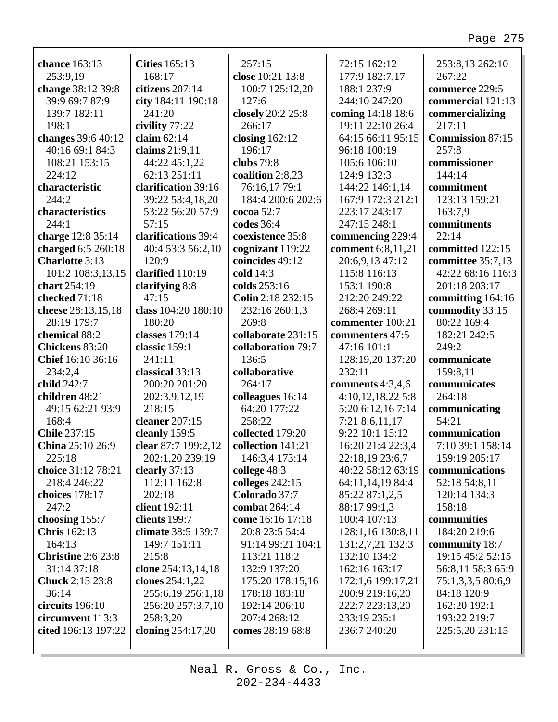| chance 163:13                           | <b>Cities</b> 165:13 | 257:15             | 72:15 162:12       | 253:8,13 262:10         |
|-----------------------------------------|----------------------|--------------------|--------------------|-------------------------|
| 253:9,19                                | 168:17               | close 10:21 13:8   | 177:9 182:7,17     | 267:22                  |
| change 38:12 39:8                       | citizens 207:14      | 100:7 125:12,20    | 188:1 237:9        | commerce 229:5          |
| 39:9 69:7 87:9                          | city 184:11 190:18   | 127:6              | 244:10 247:20      | commercial 121:13       |
| 139:7 182:11                            | 241:20               | closely 20:2 25:8  | coming 14:18 18:6  | commercializing         |
| 198:1                                   | civility 77:22       | 266:17             | 19:11 22:10 26:4   | 217:11                  |
| changes 39:6 40:12                      | claim $62:14$        | closing $162:12$   | 64:15 66:11 95:15  | <b>Commission 87:15</b> |
| 40:16 69:1 84:3                         | claims 21:9,11       | 196:17             | 96:18 100:19       | 257:8                   |
| 108:21 153:15                           | 44:22 45:1,22        | clubs $79:8$       | 105:6 106:10       | commissioner            |
| 224:12                                  | 62:13 251:11         | coalition 2:8,23   | 124:9 132:3        | 144:14                  |
| characteristic                          | clarification 39:16  | 76:16,17 79:1      | 144:22 146:1,14    | commitment              |
| 244:2                                   | 39:22 53:4,18,20     | 184:4 200:6 202:6  | 167:9 172:3 212:1  | 123:13 159:21           |
| characteristics                         | 53:22 56:20 57:9     | cocoa $52:7$       | 223:17 243:17      | 163:7,9                 |
| 244:1                                   | 57:15                | codes 36:4         | 247:15 248:1       | commitments             |
| charge 12:8 35:14                       | clarifications 39:4  | coexistence 35:8   | commencing 229:4   | 22:14                   |
| charged 6:5 260:18                      | 40:4 53:3 56:2,10    | cognizant 119:22   | comment 6:8,11,21  | committed 122:15        |
| <b>Charlotte 3:13</b>                   | 120:9                | coincides 49:12    | 20:6,9,13 47:12    | committee 35:7,13       |
| 101:2 108:3,13,15                       | clarified 110:19     | cold 14:3          | 115:8 116:13       | 42:22 68:16 116:3       |
| chart 254:19                            | clarifying 8:8       | colds 253:16       | 153:1 190:8        | 201:18 203:17           |
| checked 71:18                           | 47:15                | Colin 2:18 232:15  | 212:20 249:22      | committing 164:16       |
| cheese 28:13,15,18                      | class 104:20 180:10  | 232:16 260:1,3     | 268:4 269:11       | commodity 33:15         |
| 28:19 179:7                             | 180:20               | 269:8              | commenter 100:21   | 80:22 169:4             |
| chemical 88:2                           | classes 179:14       | collaborate 231:15 | commenters 47:5    | 182:21 242:5            |
| Chickens 83:20                          | classic 159:1        | collaboration 79:7 | 47:16 101:1        | 249:2                   |
| Chief 16:10 36:16                       | 241:11               | 136:5              | 128:19,20 137:20   | communicate             |
| 234:2,4                                 | classical 33:13      | collaborative      | 232:11             | 159:8,11                |
| child 242:7                             | 200:20 201:20        | 264:17             | comments $4:3,4,6$ | communicates            |
| children 48:21                          | 202:3,9,12,19        | colleagues 16:14   | 4:10,12,18,225:8   | 264:18                  |
| 49:15 62:21 93:9                        | 218:15               | 64:20 177:22       | 5:20 6:12,16 7:14  | communicating           |
| 168:4                                   | cleaner 207:15       | 258:22             | 7:21 8:6,11,17     | 54:21                   |
| <b>Chile 237:15</b>                     | cleanly 159:5        | collected 179:20   | 9:22 10:1 15:12    | communication           |
| China 25:10 26:9                        | clear 87:7 199:2,12  | collection 141:21  | 16:20 21:4 22:3,4  | 7:10 39:1 158:14        |
| 225:18                                  | 202:1,20 239:19      | 146:3,4 173:14     | 22:18,19 23:6,7    | 159:19 205:17           |
| choice 31:12 78:21                      | clearly $37:13$      | college 48:3       | 40:22 58:12 63:19  | communications          |
| 218:4 246:22                            | 112:11 162:8         | colleges 242:15    | 64:11,14,19 84:4   | 52:18 54:8,11           |
| choices 178:17                          | 202:18               | Colorado 37:7      | 85:22 87:1,2,5     | 120:14 134:3            |
| 247:2                                   | client 192:11        | combat 264:14      | 88:17 99:1,3       | 158:18                  |
| choosing 155:7                          | clients 199:7        | come 16:16 17:18   | 100:4 107:13       | communities             |
| <b>Chris</b> 162:13                     | climate 38:5 139:7   | 20:8 23:5 54:4     | 128:1,16 130:8,11  | 184:20 219:6            |
| 164:13                                  | 149:7 151:11         | 91:14 99:21 104:1  | 131:2,7,21 132:3   | community 18:7          |
| <b>Christine 2:6 23:8</b>               | 215:8                | 113:21 118:2       | 132:10 134:2       | 19:15 45:2 52:15        |
| 31:14 37:18                             | clone 254:13,14,18   | 132:9 137:20       | 162:16 163:17      | 56:8,11 58:3 65:9       |
| <b>Chuck</b> 2:15 23:8                  | clones 254:1,22      | 175:20 178:15,16   | 172:1,6 199:17,21  | 75:1,3,3,5 80:6,9       |
| 36:14                                   | 255:6,19 256:1,18    | 178:18 183:18      | 200:9 219:16,20    | 84:18 120:9             |
| circuits 196:10                         | 256:20 257:3,7,10    | 192:14 206:10      | 222:7 223:13,20    | 162:20 192:1            |
| circumvent 113:3<br>cited 196:13 197:22 | 258:3,20             | 207:4 268:12       | 233:19 235:1       | 193:22 219:7            |
|                                         | cloning $254:17,20$  | comes 28:19 68:8   | 236:7 240:20       | 225:5,20 231:15         |
|                                         |                      |                    |                    |                         |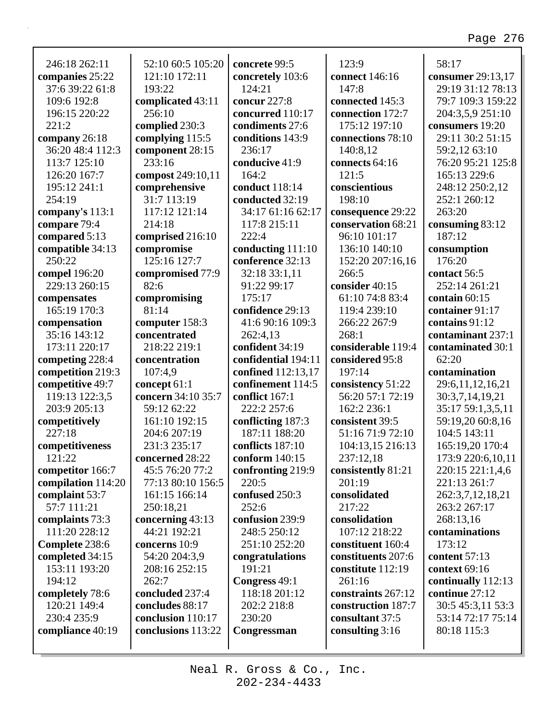| 246:18 262:11      | 52:10 60:5 105:20  | concrete 99:5       | 123:9              | 58:17              |
|--------------------|--------------------|---------------------|--------------------|--------------------|
| companies 25:22    | 121:10 172:11      | concretely 103:6    | connect 146:16     | consumer 29:13,17  |
| 37:6 39:22 61:8    | 193:22             | 124:21              | 147:8              | 29:19 31:12 78:13  |
| 109:6 192:8        | complicated 43:11  | concur 227:8        | connected 145:3    | 79:7 109:3 159:22  |
| 196:15 220:22      | 256:10             | concurred 110:17    | connection 172:7   | 204:3,5,9 251:10   |
| 221:2              | complied 230:3     | condiments 27:6     | 175:12 197:10      | consumers 19:20    |
| company 26:18      | complying 115:5    | conditions 143:9    | connections 78:10  | 29:11 30:2 51:15   |
| 36:20 48:4 112:3   | component 28:15    | 236:17              | 140:8,12           | 59:2,12 63:10      |
| 113:7 125:10       | 233:16             | conducive 41:9      | connects 64:16     | 76:20 95:21 125:8  |
| 126:20 167:7       | compost 249:10,11  | 164:2               | 121:5              | 165:13 229:6       |
| 195:12 241:1       | comprehensive      | conduct 118:14      | conscientious      | 248:12 250:2,12    |
| 254:19             | 31:7 113:19        | conducted 32:19     | 198:10             | 252:1 260:12       |
| company's 113:1    | 117:12 121:14      | 34:17 61:16 62:17   | consequence 29:22  | 263:20             |
| compare 79:4       | 214:18             | 117:8 215:11        | conservation 68:21 | consuming 83:12    |
| compared 5:13      | comprised 216:10   | 222:4               | 96:10 101:17       | 187:12             |
| compatible 34:13   | compromise         | conducting 111:10   | 136:10 140:10      | consumption        |
| 250:22             | 125:16 127:7       | conference 32:13    | 152:20 207:16,16   | 176:20             |
| compel 196:20      | compromised 77:9   | 32:18 33:1,11       | 266:5              | contact 56:5       |
| 229:13 260:15      | 82:6               | 91:22 99:17         | consider 40:15     | 252:14 261:21      |
| compensates        | compromising       | 175:17              | 61:10 74:8 83:4    | contain 60:15      |
| 165:19 170:3       | 81:14              | confidence 29:13    | 119:4 239:10       | container 91:17    |
| compensation       | computer 158:3     | 41:6 90:16 109:3    | 266:22 267:9       | contains 91:12     |
| 35:16 143:12       | concentrated       | 262:4,13            | 268:1              | contaminant 237:1  |
| 173:11 220:17      | 218:22 219:1       | confident 34:19     | considerable 119:4 | contaminated 30:1  |
| competing 228:4    | concentration      | confidential 194:11 |                    |                    |
|                    |                    |                     |                    |                    |
|                    |                    |                     | considered 95:8    | 62:20              |
| competition 219:3  | 107:4,9            | confined 112:13,17  | 197:14             | contamination      |
| competitive 49:7   | concept 61:1       | confinement 114:5   | consistency 51:22  | 29:6,11,12,16,21   |
| 119:13 122:3,5     | concern 34:10 35:7 | conflict 167:1      | 56:20 57:1 72:19   | 30:3,7,14,19,21    |
| 203:9 205:13       | 59:12 62:22        | 222:2 257:6         | 162:2 236:1        | 35:17 59:1,3,5,11  |
| competitively      | 161:10 192:15      | conflicting 187:3   | consistent 39:5    | 59:19,20 60:8,16   |
| 227:18             | 204:6 207:19       | 187:11 188:20       | 51:16 71:9 72:10   | 104:5 143:11       |
| competitiveness    | 231:3 235:17       | conflicts 187:10    | 104:13,15 216:13   | 165:19,20 170:4    |
| 121:22             | concerned 28:22    | conform $140:15$    | 237:12,18          | 173:9 220:6,10,11  |
| competitor 166:7   | 45:5 76:20 77:2    | confronting 219:9   | consistently 81:21 | 220:15 221:1,4,6   |
| compilation 114:20 | 77:13 80:10 156:5  | 220:5               | 201:19             | 221:13 261:7       |
| complaint 53:7     | 161:15 166:14      | confused 250:3      | consolidated       | 262:3,7,12,18,21   |
| 57:7 111:21        | 250:18,21          | 252:6               | 217:22             | 263:2 267:17       |
| complaints 73:3    | concerning 43:13   | confusion 239:9     | consolidation      | 268:13,16          |
| 111:20 228:12      | 44:21 192:21       | 248:5 250:12        | 107:12 218:22      | contaminations     |
| Complete 238:6     | concerns 10:9      | 251:10 252:20       | constituent 160:4  | 173:12             |
| completed 34:15    | 54:20 204:3,9      | congratulations     | constituents 207:6 | content 57:13      |
| 153:11 193:20      | 208:16 252:15      | 191:21              | constitute 112:19  | context 69:16      |
| 194:12             | 262:7              | Congress 49:1       | 261:16             | continually 112:13 |
| completely 78:6    | concluded 237:4    | 118:18 201:12       | constraints 267:12 | continue 27:12     |
| 120:21 149:4       | concludes 88:17    | 202:2 218:8         | construction 187:7 | 30:5 45:3,11 53:3  |
| 230:4 235:9        | conclusion 110:17  | 230:20              | consultant 37:5    | 53:14 72:17 75:14  |
| compliance 40:19   | conclusions 113:22 | Congressman         | consulting 3:16    | 80:18 115:3        |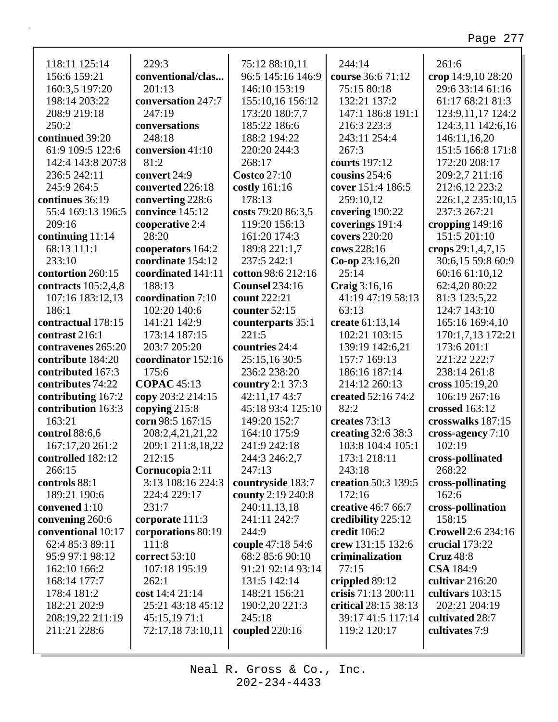٦

| 118:11 125:14       | 229:3              | 75:12 88:10,11        | 244:14               | 261:6                       |
|---------------------|--------------------|-----------------------|----------------------|-----------------------------|
| 156:6 159:21        | conventional/clas  | 96:5 145:16 146:9     | course 36:6 71:12    | crop 14:9,10 28:20          |
| 160:3,5 197:20      | 201:13             | 146:10 153:19         | 75:15 80:18          | 29:6 33:14 61:16            |
| 198:14 203:22       | conversation 247:7 | 155:10,16 156:12      | 132:21 137:2         | 61:17 68:21 81:3            |
| 208:9 219:18        | 247:19             | 173:20 180:7,7        | 147:1 186:8 191:1    | 123:9,11,17 124:2           |
| 250:2               | conversations      | 185:22 186:6          | 216:3 223:3          | 124:3,11 142:6,16           |
| continued 39:20     | 248:18             | 188:2 194:22          | 243:11 254:4         | 146:11,16,20                |
| 61:9 109:5 122:6    | conversion 41:10   | 220:20 244:3          | 267:3                | 151:5 166:8 171:8           |
| 142:4 143:8 207:8   | 81:2               | 268:17                | courts 197:12        | 172:20 208:17               |
| 236:5 242:11        | convert 24:9       | <b>Costco 27:10</b>   | cousins 254:6        | 209:2,7 211:16              |
| 245:9 264:5         | converted 226:18   | costly 161:16         | cover 151:4 186:5    | 212:6,12 223:2              |
| continues 36:19     | converting 228:6   | 178:13                | 259:10,12            | 226:1,2 235:10,15           |
| 55:4 169:13 196:5   | convince 145:12    | costs 79:20 86:3,5    | covering 190:22      | 237:3 267:21                |
| 209:16              | cooperative 2:4    | 119:20 156:13         | coverings 191:4      | cropping $149:16$           |
| continuing 11:14    | 28:20              | 161:20 174:3          | covers 220:20        | 151:5 201:10                |
| 68:13 111:1         | cooperators 164:2  | 189:8 221:1,7         | cows 228:16          | crops $29:1,4,7,15$         |
| 233:10              | coordinate 154:12  | 237:5 242:1           | $Co$ -op 23:16,20    | 30:6,15 59:8 60:9           |
| contortion 260:15   | coordinated 141:11 | cotton 98:6 212:16    | 25:14                | 60:16 61:10,12              |
| contracts 105:2,4,8 | 188:13             | <b>Counsel 234:16</b> | Craig 3:16,16        | 62:4,20 80:22               |
| 107:16 183:12,13    | coordination 7:10  | count 222:21          | 41:19 47:19 58:13    | 81:3 123:5,22               |
| 186:1               | 102:20 140:6       | counter 52:15         | 63:13                | 124:7 143:10                |
| contractual 178:15  | 141:21 142:9       | counterparts 35:1     | create 61:13,14      | 165:16 169:4,10             |
| contrast 216:1      | 173:14 187:15      | 221:5                 | 102:21 103:15        | 170:1,7,13 172:21           |
| contravenes 265:20  | 203:7 205:20       | countries 24:4        | 139:19 142:6,21      | 173:6 201:1                 |
| contribute 184:20   | coordinator 152:16 | 25:15,16 30:5         | 157:7 169:13         | 221:22 222:7                |
| contributed 167:3   | 175:6              | 236:2 238:20          | 186:16 187:14        | 238:14 261:8                |
| contributes 74:22   | <b>COPAC</b> 45:13 | country 2:1 37:3      | 214:12 260:13        | cross 105:19,20             |
| contributing 167:2  | copy 203:2 214:15  | 42:11,17 43:7         | created 52:16 74:2   | 106:19 267:16               |
| contribution 163:3  | copying $215:8$    | 45:18 93:4 125:10     | 82:2                 | crossed 163:12              |
| 163:21              | corn 98:5 167:15   | 149:20 152:7          | creates 73:13        | crosswalks 187:15           |
| control 88:6,6      | 208:2,4,21,21,22   | 164:10 175:9          | creating 32:6 38:3   | cross-agency 7:10           |
| 167:17,20 261:2     | 209:1 211:8,18,22  | 241:9 242:18          | 103:8 104:4 105:1    | 102:19                      |
| controlled 182:12   | 212:15             | 244:3 246:2,7         | 173:1 218:11         | cross-pollinated            |
| 266:15              | Cornucopia 2:11    | 247:13                | 243:18               | 268:22                      |
| controls 88:1       | 3:13 108:16 224:3  | countryside 183:7     | creation 50:3 139:5  | cross-pollinating           |
|                     | 224:4 229:17       |                       | 172:16               | 162:6                       |
| 189:21 190:6        |                    | county 2:19 240:8     |                      |                             |
| convened 1:10       | 231:7              | 240:11,13,18          | creative 46:7 66:7   | cross-pollination<br>158:15 |
| convening 260:6     | corporate 111:3    | 241:11 242:7<br>244:9 | credibility 225:12   |                             |
| conventional 10:17  | corporations 80:19 |                       | credit 106:2         | <b>Crowell 2:6 234:16</b>   |
| 62:4 85:3 89:11     | 111:8              | couple 47:18 54:6     | crew 131:15 132:6    | crucial $173:22$            |
| 95:9 97:1 98:12     | correct 53:10      | 68:2 85:6 90:10       | criminalization      | <b>Cruz</b> 48:8            |
| 162:10 166:2        | 107:18 195:19      | 91:21 92:14 93:14     | 77:15                | <b>CSA</b> 184:9            |
| 168:14 177:7        | 262:1              | 131:5 142:14          | crippled 89:12       | cultivar 216:20             |
| 178:4 181:2         | cost 14:4 21:14    | 148:21 156:21         | crisis 71:13 200:11  | cultivars 103:15            |
| 182:21 202:9        | 25:21 43:18 45:12  | 190:2,20 221:3        | critical 28:15 38:13 | 202:21 204:19               |
| 208:19,22 211:19    | 45:15,1971:1       | 245:18                | 39:17 41:5 117:14    | cultivated 28:7             |
| 211:21 228:6        | 72:17,18 73:10,11  | coupled $220:16$      | 119:2 120:17         | cultivates 7:9              |
|                     |                    |                       |                      |                             |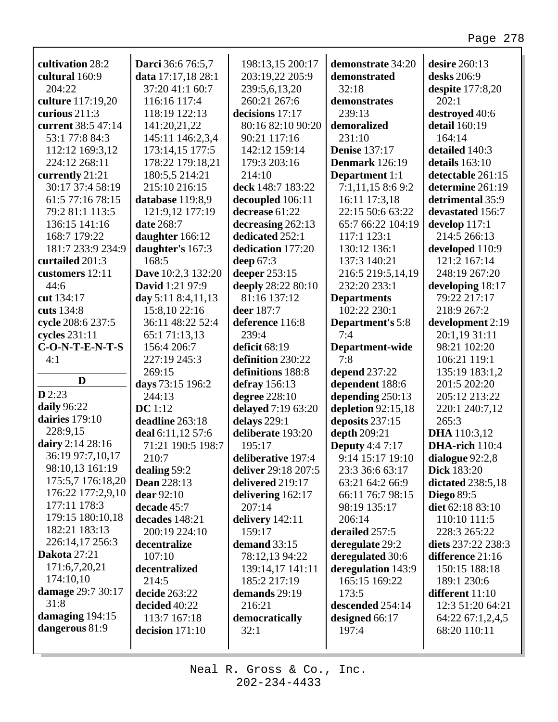| cultivation 28:2    | <b>Darci</b> 36:6 76:5,7  | 198:13,15 200:17    | demonstrate 34:20       | desire 260:13       |
|---------------------|---------------------------|---------------------|-------------------------|---------------------|
| cultural 160:9      | data 17:17,18 28:1        | 203:19,22 205:9     | demonstrated            | desks 206:9         |
| 204:22              | 37:20 41:1 60:7           | 239:5,6,13,20       | 32:18                   | despite $177:8,20$  |
| culture 117:19,20   | 116:16 117:4              | 260:21 267:6        | demonstrates            | 202:1               |
| curious 211:3       | 118:19 122:13             | decisions 17:17     | 239:13                  | destroyed 40:6      |
| current 38:5 47:14  | 141:20,21,22              | 80:16 82:10 90:20   | demoralized             | detail 160:19       |
| 53:1 77:8 84:3      | 145:11 146:2,3,4          | 90:21 117:16        | 231:10                  | 164:14              |
| 112:12 169:3,12     | 173:14,15 177:5           | 142:12 159:14       | <b>Denise</b> 137:17    | detailed 140:3      |
| 224:12 268:11       | 178:22 179:18,21          | 179:3 203:16        | Denmark 126:19          | details 163:10      |
| currently 21:21     | 180:5,5 214:21            | 214:10              | <b>Department</b> 1:1   | detectable 261:15   |
| 30:17 37:4 58:19    | 215:10 216:15             | deck 148:7 183:22   | 7:1,11,158:69:2         | determine 261:19    |
| 61:5 77:16 78:15    | database 119:8,9          | decoupled 106:11    | 16:11 17:3,18           | detrimental 35:9    |
| 79:2 81:1 113:5     | 121:9,12 177:19           | decrease 61:22      | 22:15 50:6 63:22        | devastated 156:7    |
| 136:15 141:16       | date 268:7                | decreasing 262:13   | 65:7 66:22 104:19       | develop 117:1       |
| 168:7 179:22        | daughter 166:12           | dedicated 252:1     | 117:1 123:1             | 214:5 266:13        |
| 181:7 233:9 234:9   | daughter's 167:3          | dedication 177:20   | 130:12 136:1            | developed 110:9     |
| curtailed 201:3     | 168:5                     | deep $67:3$         | 137:3 140:21            | 121:2 167:14        |
| customers 12:11     | <b>Dave</b> 10:2,3 132:20 | deeper 253:15       | 216:5 219:5,14,19       | 248:19 267:20       |
| 44:6                | David 1:21 97:9           | deeply 28:22 80:10  | 232:20 233:1            | developing 18:17    |
| cut 134:17          | day 5:11 8:4,11,13        | 81:16 137:12        | <b>Departments</b>      | 79:22 217:17        |
| cuts 134:8          | 15:8,10 22:16             | deer 187:7          | 102:22 230:1            | 218:9 267:2         |
| cycle 208:6 237:5   | 36:11 48:22 52:4          | deference 116:8     | <b>Department's 5:8</b> | development 2:19    |
| cycles $231:11$     | 65:1 71:13,13             | 239:4               | 7:4                     | 20:1,19 31:11       |
| $C-O-N-T-E-N-T-S$   | 156:4 206:7               | deficit 68:19       | Department-wide         | 98:21 102:20        |
| 4:1                 | 227:19 245:3              | definition 230:22   | 7:8                     | 106:21 119:1        |
|                     | 269:15                    | definitions 188:8   | depend 237:22           | 135:19 183:1,2      |
| D                   | days 73:15 196:2          | defray 156:13       | dependent 188:6         | 201:5 202:20        |
| D2:23               | 244:13                    | degree 228:10       | depending 250:13        | 205:12 213:22       |
| daily 96:22         | DC 1:12                   | delayed 7:19 63:20  | depletion 92:15,18      | 220:1 240:7,12      |
| dairies 179:10      | deadline 263:18           | delays 229:1        | deposits 237:15         | 265:3               |
| 228:9,15            | deal 6:11,12 57:6         | deliberate 193:20   | depth 209:21            | <b>DHA</b> 110:3,12 |
| dairy 2:14 28:16    | 71:21 190:5 198:7         | 195:17              | <b>Deputy</b> 4:4 7:17  | DHA-rich 110:4      |
| 36:19 97:7,10,17    | 210:7                     | deliberative 197:4  | 9:14 15:17 19:10        | dialogue 92:2,8     |
| 98:10,13 161:19     | dealing 59:2              | deliver 29:18 207:5 | 23:3 36:6 63:17         | <b>Dick 183:20</b>  |
| 175:5,7 176:18,20   | <b>Dean</b> 228:13        | delivered 219:17    | 63:21 64:2 66:9         | dictated 238:5,18   |
| 176:22 177:2,9,10   | dear 92:10                | delivering 162:17   | 66:11 76:7 98:15        | <b>Diego 89:5</b>   |
| 177:11 178:3        | decade 45:7               | 207:14              | 98:19 135:17            | diet 62:18 83:10    |
| 179:15 180:10,18    | decades 148:21            | delivery 142:11     | 206:14                  | 110:10 111:5        |
| 182:21 183:13       | 200:19 224:10             | 159:17              | derailed 257:5          | 228:3 265:22        |
| 226:14,17 256:3     | decentralize              | demand $33:15$      | deregulate 29:2         | diets 237:22 238:3  |
| <b>Dakota</b> 27:21 | 107:10                    | 78:12,13 94:22      | deregulated 30:6        | difference 21:16    |
| 171:6,7,20,21       | decentralized             | 139:14,17 141:11    | deregulation 143:9      | 150:15 188:18       |
| 174:10,10           | 214:5                     | 185:2 217:19        | 165:15 169:22           | 189:1 230:6         |
| damage 29:7 30:17   | decide 263:22             | demands 29:19       | 173:5                   | different 11:10     |
| 31:8                | decided 40:22             | 216:21              | descended 254:14        | 12:3 51:20 64:21    |
| damaging 194:15     | 113:7 167:18              | democratically      | designed 66:17          | 64:22 67:1,2,4,5    |
| dangerous 81:9      | decision 171:10           | 32:1                | 197:4                   | 68:20 110:11        |
|                     |                           |                     |                         |                     |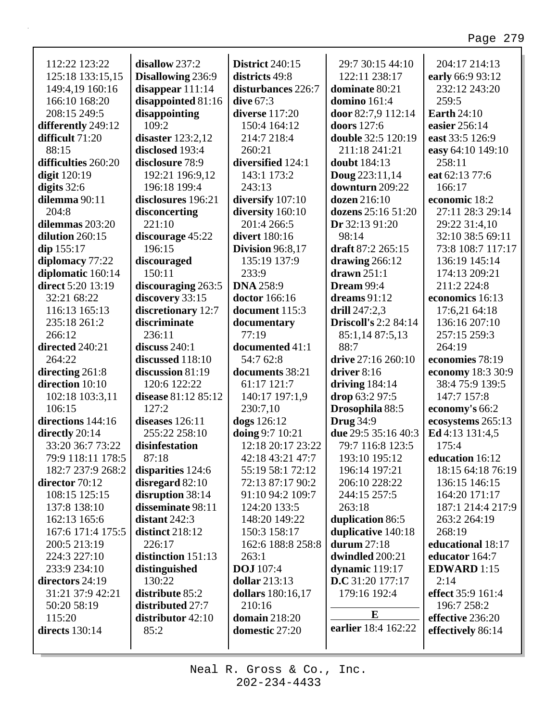| 112:22 123:22       | disallow 237:2      | <b>District 240:15</b>  | 29:7 30:15 44:10            | 204:17 214:13      |
|---------------------|---------------------|-------------------------|-----------------------------|--------------------|
| 125:18 133:15,15    | Disallowing 236:9   | districts 49:8          | 122:11 238:17               | early 66:9 93:12   |
| 149:4,19 160:16     | disappear $111:14$  | disturbances 226:7      | dominate 80:21              | 232:12 243:20      |
| 166:10 168:20       | disappointed 81:16  | dive $67:3$             | domino 161:4                | 259:5              |
| 208:15 249:5        | disappointing       | diverse 117:20          | door 82:7,9 112:14          | <b>Earth</b> 24:10 |
| differently 249:12  | 109:2               | 150:4 164:12            | doors 127:6                 | easier 256:14      |
| difficult 71:20     | disaster $123:2,12$ | 214:7 218:4             | double 32:5 120:19          | east 33:5 126:9    |
| 88:15               | disclosed 193:4     | 260:21                  | 211:18 241:21               | easy 64:10 149:10  |
| difficulties 260:20 | disclosure 78:9     | diversified 124:1       | <b>doubt</b> 184:13         | 258:11             |
| <b>digit</b> 120:19 | 192:21 196:9,12     | 143:1 173:2             | <b>Doug</b> $223:11,14$     | eat 62:13 77:6     |
| digits $32:6$       | 196:18 199:4        | 243:13                  | downturn 209:22             | 166:17             |
| dilemma 90:11       | disclosures 196:21  | diversify 107:10        | dozen 216:10                | economic 18:2      |
| 204:8               | disconcerting       | diversity 160:10        | dozens 25:16 51:20          | 27:11 28:3 29:14   |
| dilemmas 203:20     | 221:10              | 201:4 266:5             | Dr 32:13 91:20              | 29:22 31:4,10      |
| dilution 260:15     | discourage 45:22    | divert 180:16           | 98:14                       | 32:10 38:5 69:11   |
| $\dim 155:17$       | 196:15              | <b>Division</b> 96:8,17 | draft 87:2 265:15           | 73:8 108:7 117:17  |
| diplomacy 77:22     | discouraged         | 135:19 137:9            | drawing $266:12$            | 136:19 145:14      |
| diplomatic 160:14   | 150:11              | 233:9                   | drawn $251:1$               | 174:13 209:21      |
| direct 5:20 13:19   | discouraging 263:5  | <b>DNA</b> 258:9        | Dream 99:4                  | 211:2 224:8        |
| 32:21 68:22         | discovery 33:15     | doctor 166:16           | dreams $91:12$              | economics 16:13    |
| 116:13 165:13       | discretionary 12:7  | document 115:3          | drill $247:2,3$             | 17:6,21 64:18      |
| 235:18 261:2        | discriminate        | documentary             | <b>Driscoll's 2:2 84:14</b> | 136:16 207:10      |
| 266:12              | 236:11              | 77:19                   | 85:1,14 87:5,13             | 257:15 259:3       |
| directed 240:21     | discuss 240:1       | documented 41:1         | 88:7                        | 264:19             |
| 264:22              | discussed 118:10    | 54:7 62:8               | drive 27:16 260:10          | economies 78:19    |
| directing 261:8     | discussion 81:19    | documents 38:21         | driver $8:16$               | economy 18:3 30:9  |
| direction 10:10     | 120:6 122:22        | 61:17 121:7             | driving $184:14$            | 38:4 75:9 139:5    |
| 102:18 103:3,11     | disease 81:12 85:12 | 140:17 197:1,9          | drop 63:2 97:5              | 147:7 157:8        |
| 106:15              | 127:2               | 230:7,10                | Drosophila 88:5             | economy's 66:2     |
| directions 144:16   | diseases 126:11     | dogs 126:12             | <b>Drug</b> 34:9            | ecosystems 265:13  |
| directly 20:14      | 255:22 258:10       | doing 9:7 10:21         | due 29:5 35:16 40:3         | Ed 4:13 131:4,5    |
| 33:20 36:7 73:22    | disinfestation      | 12:18 20:17 23:22       | 79:7 116:8 123:5            | 175:4              |
| 79:9 118:11 178:5   | 87:18               | 42:18 43:21 47:7        | 193:10 195:12               | education 16:12    |
| 182:7 237:9 268:2   | disparities 124:6   | 55:19 58:1 72:12        | 196:14 197:21               | 18:15 64:18 76:19  |
| director $70:12$    | disregard $82:10$   | 72:13 87:17 90:2        | 206:10 228:22               | 136:15 146:15      |
| 108:15 125:15       | disruption 38:14    | 91:10 94:2 109:7        | 244:15 257:5                | 164:20 171:17      |
| 137:8 138:10        | disseminate 98:11   | 124:20 133:5            | 263:18                      | 187:1 214:4 217:9  |
| 162:13 165:6        | distant $242:3$     | 148:20 149:22           | duplication 86:5            | 263:2 264:19       |
| 167:6 171:4 175:5   | distinct $218:12$   | 150:3 158:17            | duplicative 140:18          | 268:19             |
| 200:5 213:19        | 226:17              | 162:6 188:8 258:8       | durum 27:18                 | educational 18:17  |
| 224:3 227:10        | distinction 151:13  | 263:1                   | dwindled 200:21             | educator 164:7     |
| 233:9 234:10        | distinguished       | <b>DOJ</b> 107:4        | dynamic 119:17              | <b>EDWARD</b> 1:15 |
| directors 24:19     | 130:22              | <b>dollar</b> 213:13    | <b>D.C</b> 31:20 177:17     | 2:14               |
| 31:21 37:9 42:21    | distribute 85:2     | dollars 180:16,17       | 179:16 192:4                | effect 35:9 161:4  |
| 50:20 58:19         | distributed 27:7    | 210:16                  |                             | 196:7 258:2        |
| 115:20              | distributor 42:10   | <b>domain</b> 218:20    | E                           | effective 236:20   |
| directs $130:14$    | 85:2                | domestic 27:20          | earlier 18:4 162:22         | effectively 86:14  |
|                     |                     |                         |                             |                    |
|                     |                     |                         |                             |                    |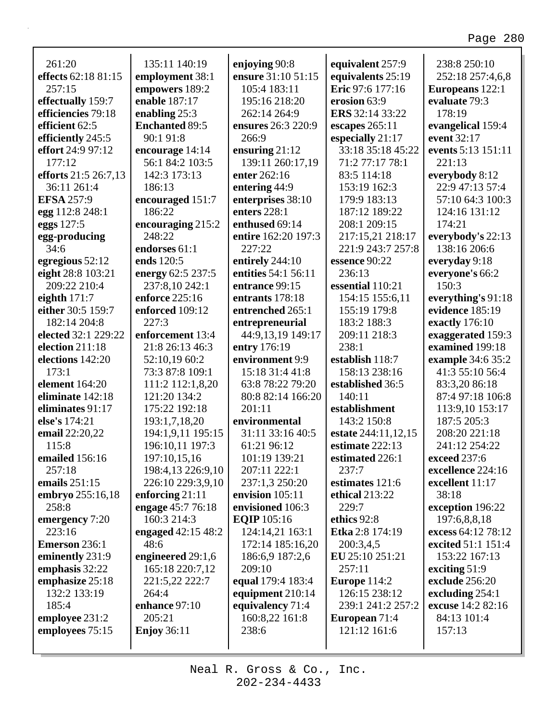| 261:20                      | 135:11 140:19         | enjoying 90:8       | equivalent 257:9     | 238:8 250:10                      |
|-----------------------------|-----------------------|---------------------|----------------------|-----------------------------------|
| effects 62:18 81:15         | employment 38:1       | ensure 31:10 51:15  | equivalents 25:19    | 252:18 257:4,6,8                  |
| 257:15                      | empowers 189:2        | 105:4 183:11        | Eric 97:6 177:16     | Europeans 122:1                   |
| effectually 159:7           | enable 187:17         | 195:16 218:20       | erosion 63:9         | evaluate 79:3                     |
| efficiencies 79:18          | enabling $25:3$       | 262:14 264:9        | ERS 32:14 33:22      | 178:19                            |
| efficient 62:5              | <b>Enchanted 89:5</b> | ensures 26:3 220:9  | escapes $265:11$     | evangelical 159:4                 |
| efficiently 245:5           | 90:1 91:8             | 266:9               | especially 21:17     | event 32:17                       |
| effort 24:9 97:12           | encourage 14:14       | ensuring $21:12$    | 33:18 35:18 45:22    | events 5:13 151:11                |
| 177:12                      | 56:1 84:2 103:5       | 139:11 260:17,19    | 71:2 77:17 78:1      | 221:13                            |
| <b>efforts</b> 21:5 26:7,13 | 142:3 173:13          | enter 262:16        | 83:5 114:18          |                                   |
| 36:11 261:4                 | 186:13                |                     |                      | everybody 8:12<br>22:9 47:13 57:4 |
|                             |                       | entering 44:9       | 153:19 162:3         |                                   |
| <b>EFSA 257:9</b>           | encouraged 151:7      | enterprises 38:10   | 179:9 183:13         | 57:10 64:3 100:3                  |
| egg 112:8 248:1             | 186:22                | enters 228:1        | 187:12 189:22        | 124:16 131:12                     |
| eggs 127:5                  | encouraging 215:2     | enthused 69:14      | 208:1 209:15         | 174:21                            |
| egg-producing               | 248:22                | entire 162:20 197:3 | 217:15,21 218:17     | everybody's 22:13                 |
| 34:6                        | endorses 61:1         | 227:22              | 221:9 243:7 257:8    | 138:16 206:6                      |
| egregious 52:12             | ends 120:5            | entirely 244:10     | essence 90:22        | everyday 9:18                     |
| eight 28:8 103:21           | energy 62:5 237:5     | entities 54:1 56:11 | 236:13               | everyone's 66:2                   |
| 209:22 210:4                | 237:8,10 242:1        | entrance 99:15      | essential 110:21     | 150:3                             |
| eighth $171:7$              | enforce 225:16        | entrants 178:18     | 154:15 155:6,11      | everything's 91:18                |
| either 30:5 159:7           | enforced 109:12       | entrenched 265:1    | 155:19 179:8         | evidence 185:19                   |
| 182:14 204:8                | 227:3                 | entrepreneurial     | 183:2 188:3          | exactly 176:10                    |
| elected 32:1 229:22         | enforcement 13:4      | 44:9,13,19 149:17   | 209:11 218:3         | exaggerated 159:3                 |
| election 211:18             | 21:8 26:13 46:3       | entry 176:19        | 238:1                | examined 199:18                   |
| elections 142:20            | 52:10,19 60:2         | environment 9:9     | establish 118:7      | example 34:6 35:2                 |
| 173:1                       | 73:3 87:8 109:1       | 15:18 31:4 41:8     | 158:13 238:16        | 41:3 55:10 56:4                   |
| <b>element</b> 164:20       | 111:2 112:1,8,20      | 63:8 78:22 79:20    | established 36:5     | 83:3,20 86:18                     |
| eliminate 142:18            | 121:20 134:2          | 80:8 82:14 166:20   | 140:11               | 87:4 97:18 106:8                  |
| eliminates 91:17            | 175:22 192:18         | 201:11              | establishment        | 113:9,10 153:17                   |
| else's 174:21               | 193:1,7,18,20         | environmental       | 143:2 150:8          | 187:5 205:3                       |
| email 22:20,22              | 194:1,9,11 195:15     | 31:11 33:16 40:5    | estate 244:11,12,15  | 208:20 221:18                     |
| 115:8                       | 196:10,11 197:3       | 61:21 96:12         | estimate 222:13      | 241:12 254:22                     |
| emailed 156:16              | 197:10,15,16          | 101:19 139:21       | estimated 226:1      | exceed 237:6                      |
| 257:18                      | 198:4,13 226:9,10     | 207:11 222:1        | 237:7                | excellence 224:16                 |
| emails 251:15               | 226:10 229:3,9,10     | 237:1,3 250:20      | estimates 121:6      | excellent 11:17                   |
| embryo 255:16,18            | enforcing $21:11$     | envision 105:11     | ethical 213:22       | 38:18                             |
| 258:8                       | engage 45:7 76:18     | envisioned 106:3    | 229:7                | exception 196:22                  |
| emergency 7:20              | 160:3 214:3           | <b>EQIP</b> 105:16  | ethics 92:8          | 197:6,8,8,18                      |
| 223:16                      | engaged $42:15\,48:2$ | 124:14,21 163:1     | Etka 2:8 174:19      | excess 64:12 78:12                |
| <b>Emerson 236:1</b>        | 48:6                  | 172:14 185:16,20    | 200:3,4,5            | excited 51:1 151:4                |
| eminently 231:9             | engineered 29:1,6     | 186:6,9 187:2,6     | EU 25:10 251:21      | 153:22 167:13                     |
| emphasis 32:22              | 165:18 220:7,12       | 209:10              | 257:11               | exciting $51:9$                   |
| emphasize 25:18             | 221:5,22 222:7        | equal 179:4 183:4   | Europe $114:2$       | exclude 256:20                    |
| 132:2 133:19                | 264:4                 | equipment 210:14    | 126:15 238:12        | excluding 254:1                   |
| 185:4                       | enhance 97:10         | equivalency 71:4    | 239:1 241:2 257:2    | excuse 14:2 82:16                 |
| employee 231:2              | 205:21                | 160:8,22 161:8      | <b>European</b> 71:4 | 84:13 101:4                       |
| employees 75:15             | <b>Enjoy 36:11</b>    | 238:6               | 121:12 161:6         | 157:13                            |
|                             |                       |                     |                      |                                   |
|                             |                       |                     |                      |                                   |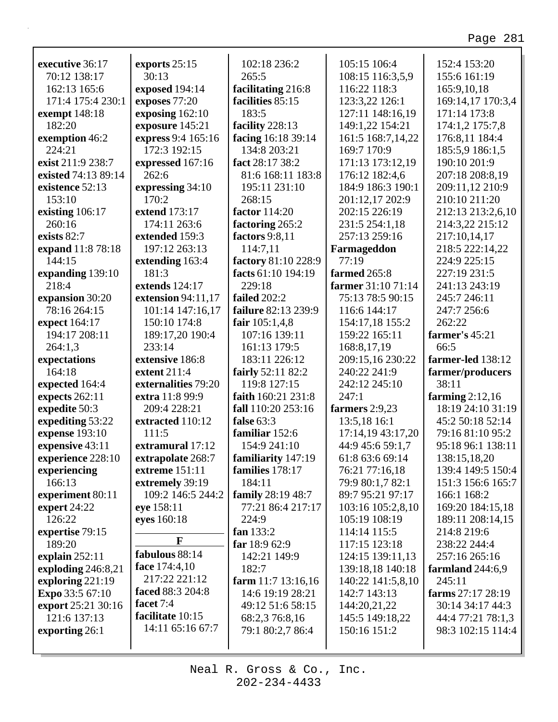| executive 36:17      | exports 25:15                  | 102:18 236:2         | 105:15 106:4       | 152:4 153:20       |
|----------------------|--------------------------------|----------------------|--------------------|--------------------|
| 70:12 138:17         | 30:13                          | 265:5                | 108:15 116:3,5,9   | 155:6 161:19       |
| 162:13 165:6         | exposed 194:14                 | facilitating 216:8   | 116:22 118:3       | 165:9,10,18        |
| 171:4 175:4 230:1    | exposes 77:20                  | facilities 85:15     | 123:3,22 126:1     | 169:14,17 170:3,4  |
| <b>exempt</b> 148:18 | exposing 162:10                | 183:5                | 127:11 148:16,19   | 171:14 173:8       |
| 182:20               | exposure 145:21                | facility 228:13      | 149:1,22 154:21    | 174:1,2 175:7,8    |
| exemption 46:2       | express 9:4 165:16             | facing 16:18 39:14   | 161:5 168:7,14,22  | 176:8,11 184:4     |
| 224:21               | 172:3 192:15                   | 134:8 203:21         | 169:7 170:9        | 185:5,9 186:1,5    |
| exist 211:9 238:7    | expressed 167:16               | fact 28:17 38:2      | 171:13 173:12,19   | 190:10 201:9       |
| existed 74:13 89:14  | 262:6                          | 81:6 168:11 183:8    | 176:12 182:4,6     | 207:18 208:8,19    |
| existence 52:13      | expressing 34:10               | 195:11 231:10        | 184:9 186:3 190:1  | 209:11,12 210:9    |
| 153:10               | 170:2                          | 268:15               | 201:12,17 202:9    | 210:10 211:20      |
| existing 106:17      | extend 173:17                  | factor 114:20        | 202:15 226:19      | 212:13 213:2,6,10  |
| 260:16               | 174:11 263:6                   | factoring 265:2      | 231:5 254:1,18     | 214:3,22 215:12    |
| exists 82:7          | extended 159:3                 | factors 9:8,11       | 257:13 259:16      | 217:10,14,17       |
| expand 11:8 78:18    | 197:12 263:13                  | 114:7,11             | Farmageddon        | 218:5 222:14,22    |
| 144:15               | extending 163:4                | factory 81:10 228:9  | 77:19              | 224:9 225:15       |
| expanding 139:10     | 181:3                          | facts 61:10 194:19   | farmed 265:8       | 227:19 231:5       |
| 218:4                | extends 124:17                 | 229:18               | farmer 31:10 71:14 | 241:13 243:19      |
| expansion 30:20      | extension 94:11,17             | failed 202:2         | 75:13 78:5 90:15   | 245:7 246:11       |
| 78:16 264:15         | 101:14 147:16,17               | failure 82:13 239:9  | 116:6 144:17       | 247:7 256:6        |
| expect 164:17        | 150:10 174:8                   | fair $105:1,4,8$     | 154:17,18 155:2    | 262:22             |
| 194:17 208:11        | 189:17,20 190:4                | 107:16 139:11        | 159:22 165:11      | farmer's 45:21     |
| 264:1,3              | 233:14                         | 161:13 179:5         | 168:8,17,19        | 66:5               |
| expectations         | extensive 186:8                | 183:11 226:12        | 209:15,16 230:22   | farmer-led 138:12  |
| 164:18               | extent 211:4                   | fairly 52:11 82:2    | 240:22 241:9       | farmer/producers   |
| expected 164:4       | externalities 79:20            | 119:8 127:15         | 242:12 245:10      | 38:11              |
| expects 262:11       | extra 11:8 99:9                | faith 160:21 231:8   | 247:1              | farming $2:12,16$  |
| expedite 50:3        | 209:4 228:21                   | fall 110:20 253:16   | farmers 2:9,23     | 18:19 24:10 31:19  |
| expediting 53:22     | extracted 110:12               | false 63:3           | 13:5,18 16:1       | 45:2 50:18 52:14   |
| expense 193:10       | 111:5                          | familiar 152:6       | 17:14,19 43:17,20  | 79:16 81:10 95:2   |
| expensive 43:11      | extramural 17:12               | 154:9 241:10         | 44:9 45:6 59:1,7   | 95:18 96:1 138:11  |
| experience 228:10    | extrapolate 268:7              | familiarity 147:19   | 61:8 63:6 69:14    | 138:15,18,20       |
| experiencing         | <b>extreme</b> 151:11          | families 178:17      | 76:21 77:16,18     | 139:4 149:5 150:4  |
| 166:13               | extremely 39:19                | 184:11               | 79:9 80:1,7 82:1   | 151:3 156:6 165:7  |
| experiment 80:11     | 109:2 146:5 244:2              |                      |                    |                    |
|                      |                                |                      |                    |                    |
|                      |                                | family 28:19 48:7    | 89:7 95:21 97:17   | 166:1 168:2        |
| expert $24:22$       | eye 158:11                     | 77:21 86:4 217:17    | 103:16 105:2,8,10  | 169:20 184:15,18   |
| 126:22               | eyes 160:18                    | 224:9                | 105:19 108:19      | 189:11 208:14,15   |
| expertise 79:15      | F                              | fan $133:2$          | 114:14 115:5       | 214:8 219:6        |
| 189:20               |                                | far $18:962:9$       | 117:15 123:18      | 238:22 244:4       |
| explain $252:11$     | fabulous 88:14                 | 142:21 149:9         | 124:15 139:11,13   | 257:16 265:16      |
| exploding 246:8,21   | face 174:4,10<br>217:22 221:12 | 182:7                | 139:18,18 140:18   | farmland $244:6,9$ |
| exploring 221:19     | faced 88:3 204:8               | farm $11:7$ 13:16,16 | 140:22 141:5,8,10  | 245:11             |
| Expo 33:5 67:10      | facet 7:4                      | 14:6 19:19 28:21     | 142:7 143:13       | farms 27:17 28:19  |
| export 25:21 30:16   | facilitate 10:15               | 49:12 51:6 58:15     | 144:20,21,22       | 30:14 34:17 44:3   |
| 121:6 137:13         |                                | 68:2,3 76:8,16       | 145:5 149:18,22    | 44:4 77:21 78:1,3  |
| exporting 26:1       | 14:11 65:16 67:7               | 79:1 80:2,7 86:4     | 150:16 151:2       | 98:3 102:15 114:4  |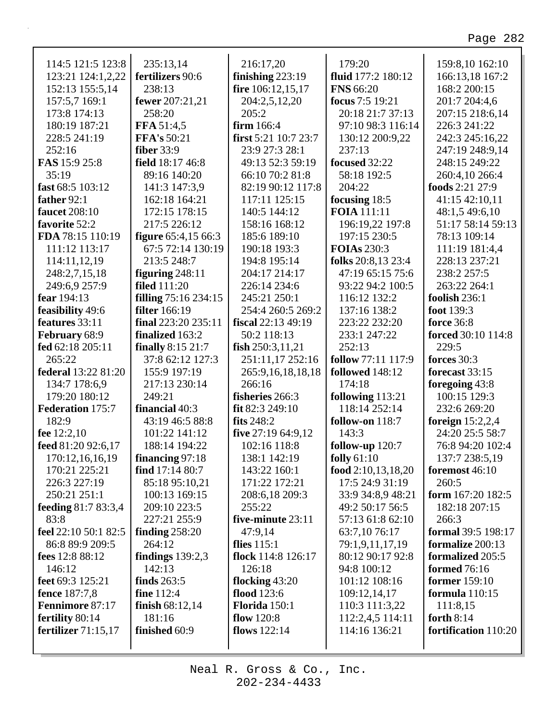| 114:5 121:5 123:8                | 235:13,14                                    | 216:17,20                       | 179:20                            | 159:8,10 162:10                       |
|----------------------------------|----------------------------------------------|---------------------------------|-----------------------------------|---------------------------------------|
| 123:21 124:1,2,22                | fertilizers 90:6                             | finishing $223:19$              | fluid 177:2 180:12                | 166:13,18 167:2                       |
| 152:13 155:5,14                  | 238:13                                       | fire 106:12,15,17               | <b>FNS 66:20</b>                  | 168:2 200:15                          |
| 157:5,7 169:1                    | fewer 207:21,21                              | 204:2,5,12,20                   | focus 7:5 19:21                   | 201:7 204:4,6                         |
| 173:8 174:13                     | 258:20                                       | 205:2                           | 20:18 21:7 37:13                  | 207:15 218:6,14                       |
| 180:19 187:21                    | FFA 51:4,5                                   | firm 166:4                      | 97:10 98:3 116:14                 | 226:3 241:22                          |
| 228:5 241:19                     | <b>FFA's 50:21</b>                           | first $5:21$ 10:7 23:7          | 130:12 200:9,22                   | 242:3 245:16,22                       |
| 252:16                           | <b>fiber</b> 33:9                            | 23:9 27:3 28:1                  | 237:13                            | 247:19 248:9,14                       |
| FAS 15:9 25:8                    | field 18:17 46:8                             | 49:13 52:3 59:19                | focused 32:22                     | 248:15 249:22                         |
| 35:19                            | 89:16 140:20                                 | 66:10 70:2 81:8                 | 58:18 192:5                       | 260:4,10 266:4                        |
| fast 68:5 103:12                 | 141:3 147:3,9                                | 82:19 90:12 117:8               | 204:22                            | foods 2:21 27:9                       |
| father 92:1                      | 162:18 164:21                                | 117:11 125:15                   | focusing 18:5                     | 41:15 42:10,11                        |
| faucet 208:10                    | 172:15 178:15                                | 140:5 144:12                    | <b>FOIA</b> 111:11                | 48:1,5 49:6,10                        |
| favorite 52:2                    | 217:5 226:12                                 | 158:16 168:12                   | 196:19,22 197:8                   | 51:17 58:14 59:13                     |
| FDA 78:15 110:19                 | <b>figure</b> 65:4,15 66:3                   | 185:6 189:10                    | 197:15 230:5                      | 78:13 109:14                          |
| 111:12 113:17                    | 67:5 72:14 130:19                            | 190:18 193:3                    | <b>FOIAs</b> 230:3                | 111:19 181:4,4                        |
| 114:11,12,19                     | 213:5 248:7                                  | 194:8 195:14                    | folks 20:8,13 23:4                | 228:13 237:21                         |
| 248:2,7,15,18                    | figuring $248:11$                            | 204:17 214:17                   | 47:19 65:15 75:6                  | 238:2 257:5                           |
| 249:6,9 257:9<br>fear 194:13     | <b>filed</b> 111:20                          | 226:14 234:6                    | 93:22 94:2 100:5                  | 263:22 264:1                          |
|                                  | filling 75:16 234:15<br><b>filter</b> 166:19 | 245:21 250:1                    | 116:12 132:2                      | foolish 236:1                         |
| feasibility 49:6                 |                                              | 254:4 260:5 269:2               | 137:16 138:2                      | foot 139:3                            |
| features 33:11                   | final $223:20235:11$                         | fiscal 22:13 49:19              | 223:22 232:20<br>233:1 247:22     | <b>force</b> 36:8                     |
| February 68:9                    | finalized 163:2                              | 50:2 118:13                     |                                   | <b>forced</b> 30:10 114:8             |
| fed 62:18 205:11                 | <b>finally</b> 8:15 21:7                     | fish $250:3,11,21$              | 252:13                            | 229:5                                 |
| 265:22                           | 37:8 62:12 127:3                             | 251:11,17 252:16                | <b>follow</b> 77:11 117:9         | forces 30:3                           |
| federal 13:22 81:20              | 155:9 197:19                                 | 265:9,16,18,18,18               | <b>followed</b> 148:12            | forecast 33:15                        |
| 134:7 178:6,9                    | 217:13 230:14                                | 266:16                          | 174:18                            | foregoing 43:8                        |
| 179:20 180:12                    | 249:21                                       | fisheries 266:3                 | following 113:21<br>118:14 252:14 | 100:15 129:3                          |
| <b>Federation 175:7</b><br>182:9 | financial 40:3<br>43:19 46:5 88:8            | fit 82:3 249:10<br>fits $248:2$ |                                   | 232:6 269:20                          |
|                                  | 101:22 141:12                                |                                 | follow-on $118:7$                 | foreign $15:2,2,4$<br>24:20 25:5 58:7 |
| fee $12:2,10$                    |                                              | five 27:19 64:9,12              | 143:3                             |                                       |
| feed 81:20 92:6,17               | 188:14 194:22                                | 102:16 118:8                    | follow-up $120:7$                 | 76:8 94:20 102:4                      |
| 170:12,16,16,19                  | financing 97:18                              | 138:1 142:19                    | folly $61:10$                     | 137:7 238:5,19                        |
| 170:21 225:21                    | find $17:1480:7$                             | 143:22 160:1                    | food $2:10,13,18,20$              | foremost 46:10                        |
| 226:3 227:19                     | 85:18 95:10,21                               | 171:22 172:21                   | 17:5 24:9 31:19                   | 260:5                                 |
| 250:21 251:1                     | 100:13 169:15                                | 208:6,18 209:3                  | 33:9 34:8,9 48:21                 | form 167:20 182:5                     |
| <b>feeding 81:7 83:3,4</b>       | 209:10 223:5                                 | 255:22                          | 49:2 50:17 56:5                   | 182:18 207:15                         |
| 83:8                             | 227:21 255:9                                 | five-minute 23:11               | 57:13 61:8 62:10                  | 266:3                                 |
| feel 22:10 50:1 82:5             | finding $258:20$                             | 47:9,14                         | 63:7,10 76:17                     | <b>formal</b> 39:5 198:17             |
| 86:8 89:9 209:5                  | 264:12                                       | flies $115:1$                   | 79:1,9,11,17,19                   | formalize 200:13                      |
| fees 12:8 88:12                  | findings $139:2,3$                           | flock 114:8 126:17              | 80:12 90:17 92:8                  | formalized 205:5                      |
| 146:12                           | 142:13                                       | 126:18                          | 94:8 100:12                       | <b>formed</b> 76:16                   |
| feet 69:3 125:21                 | finds $263:5$                                | flocking 43:20                  | 101:12 108:16                     | <b>former</b> 159:10                  |
| fence 187:7,8                    | fine 112:4                                   | flood 123:6                     | 109:12,14,17                      | formula $110:15$                      |
| Fennimore 87:17                  | finish $68:12,14$                            | <b>Florida</b> 150:1            | 110:3 111:3,22                    | 111:8,15                              |
| fertility 80:14                  | 181:16                                       | flow $120:8$                    | 112:2,4,5 114:11                  | forth $8:14$                          |
| fertilizer $71:15,17$            | finished 60:9                                | flows $122:14$                  | 114:16 136:21                     | fortification 110:20                  |
|                                  |                                              |                                 |                                   |                                       |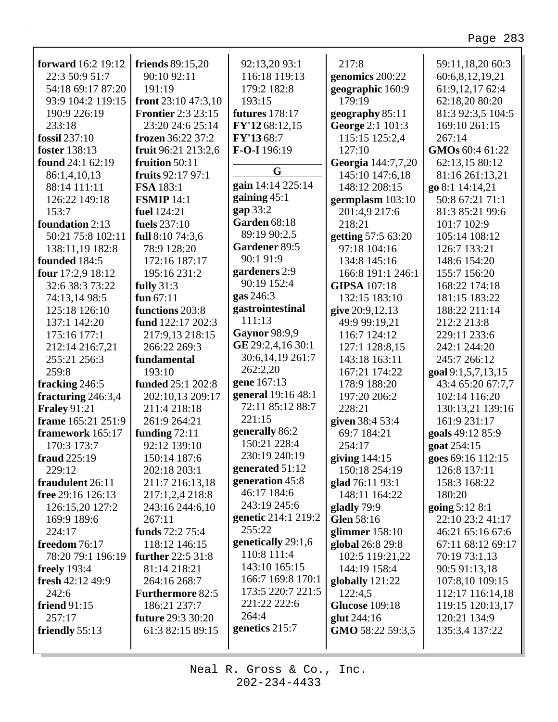٦

| forward 16:2 19:12                        | <b>friends</b> 89:15,20   | 92:13,20 93:1         | 217:8                 | 59:11,18,20 60:3   |
|-------------------------------------------|---------------------------|-----------------------|-----------------------|--------------------|
| 22:3 50:9 51:7                            | 90:10 92:11               | 116:18 119:13         | genomics 200:22       | 60:6,8,12,19,21    |
| 54:18 69:17 87:20                         | 191:19                    | 179:2 182:8           | geographic 160:9      | 61:9,12,17 62:4    |
| 93:9 104:2 119:15                         | front $23:1047:3,10$      | 193:15                | 179:19                | 62:18,20 80:20     |
| 190:9 226:19                              | <b>Frontier</b> 2:3 23:15 | <b>futures</b> 178:17 | geography 85:11       | 81:3 92:3,5 104:5  |
| 233:18                                    | 23:20 24:6 25:14          | FY'12 68:12,15        | George 2:1 101:3      | 169:10 261:15      |
| fossil 237:10                             | frozen 36:22 37:2         | FY'1368:7             | 115:15 125:2,4        | 267:14             |
| foster 138:13                             | fruit 96:21 213:2,6       | F-O-I 196:19          | 127:10                | GMOs 60:4 61:22    |
| found 24:1 62:19                          | fruition 50:11            |                       | Georgia 144:7,7,20    | 62:13,15 80:12     |
| 86:1,4,10,13                              | fruits 92:17 97:1         | G                     | 145:10 147:6,18       | 81:16 261:13,21    |
| 88:14 111:11                              | FSA 183:1                 | gain 14:14 225:14     | 148:12 208:15         | go 8:1 14:14,21    |
| 126:22 149:18                             | <b>FSMIP</b> 14:1         | gaining $45:1$        | germplasm 103:10      | 50:8 67:21 71:1    |
| 153:7                                     | fuel 124:21               | gap 33:2              | 201:4,9 217:6         | 81:3 85:21 99:6    |
| foundation 2:13                           | fuels 237:10              | <b>Garden 68:18</b>   | 218:21                | 101:7 102:9        |
| 50:21 75:8 102:11                         | full $8:1074:3,6$         | 89:19 90:2,5          | getting 57:5 63:20    | 105:14 108:12      |
| 138:11,19 182:8                           | 78:9 128:20               | Gardener 89:5         | 97:18 104:16          | 126:7 133:21       |
| founded 184:5                             | 172:16 187:17             | 90:1 91:9             | 134:8 145:16          | 148:6 154:20       |
| four 17:2,9 18:12                         | 195:16 231:2              | gardeners 2:9         | 166:8 191:1 246:1     | 155:7 156:20       |
| 32:6 38:3 73:22                           | fully $31:3$              | 90:19 152:4           | <b>GIPSA</b> 107:18   | 168:22 174:18      |
| 74:13,14 98:5                             | fun $67:11$               | gas 246:3             | 132:15 183:10         | 181:15 183:22      |
| 125:18 126:10                             | functions 203:8           | gastrointestinal      | give 20:9,12,13       | 188:22 211:14      |
| 137:1 142:20                              | fund 122:17 202:3         | 111:13                | 49:9 99:19,21         | 212:2 213:8        |
| 175:16 177:1                              | 217:9,13 218:15           | Gaynor 98:9,9         | 116:7 124:12          | 229:11 233:6       |
| 212:14 216:7,21                           | 266:22 269:3              | GE 29:2,4,16 30:1     | 127:1 128:8,15        | 242:1 244:20       |
| 255:21 256:3                              | fundamental               | 30:6,14,19 261:7      | 143:18 163:11         | 245:7 266:12       |
| 259:8                                     | 193:10                    | 262:2,20              | 167:21 174:22         | goal 9:1,5,7,13,15 |
| fracking 246:5                            | funded 25:1 202:8         | gene 167:13           | 178:9 188:20          | 43:4 65:20 67:7,7  |
|                                           | 202:10,13 209:17          | general 19:16 48:1    | 197:20 206:2          | 102:14 116:20      |
| fracturing 246:3,4<br><b>Fraley 91:21</b> | 211:4 218:18              | 72:11 85:12 88:7      | 228:21                |                    |
| frame 165:21 251:9                        |                           | 221:15                |                       | 130:13,21 139:16   |
|                                           | 261:9 264:21              | generally 86:2        | given 38:4 53:4       | 161:9 231:17       |
| framework 165:17                          | funding $72:11$           | 150:21 228:4          | 69:7 184:21           | goals 49:12 85:9   |
| 170:3 173:7                               | 92:12 139:10              | 230:19 240:19         | 254:17                | goat 254:15        |
| fraud 225:19                              | 150:14 187:6              | generated 51:12       | giving $144:15$       | goes 69:16 112:15  |
| 229:12                                    | 202:18 203:1              |                       | 150:18 254:19         | 126:8 137:11       |
| fraudulent 26:11                          | 211:7 216:13,18           | generation 45:8       | glad 76:11 93:1       | 158:3 168:22       |
| free 29:16 126:13                         | 217:1,2,4 218:8           | 46:17 184:6           | 148:11 164:22         | 180:20             |
| 126:15,20 127:2                           | 243:16 244:6,10           | 243:19 245:6          | gladly 79:9           | going 5:12 8:1     |
| 169:9 189:6                               | 267:11                    | genetic 214:1 219:2   | Glen 58:16            | 22:10 23:2 41:17   |
| 224:17                                    | funds 72:2 75:4           | 255:22                | glimmer $158:10$      | 46:21 65:16 67:6   |
| freedom $76:17$                           | 118:12 146:15             | genetically 29:1,6    | global 26:8 29:8      | 67:11 68:12 69:17  |
| 78:20 79:1 196:19                         | further 22:5 31:8         | 110:8 111:4           | 102:5 119:21,22       | 70:19 73:1,13      |
| <b>freely</b> 193:4                       | 81:14 218:21              | 143:10 165:15         | 144:19 158:4          | 90:5 91:13,18      |
| fresh 42:12 49:9                          | 264:16 268:7              | 166:7 169:8 170:1     | globally 121:22       | 107:8,10 109:15    |
| 242:6                                     | <b>Furthermore 82:5</b>   | 173:5 220:7 221:5     | 122:4,5               | 112:17 116:14,18   |
| friend $91:15$                            | 186:21 237:7              | 221:22 222:6          | <b>Glucose</b> 109:18 | 119:15 120:13,17   |
| 257:17                                    | <b>future</b> 29:3 30:20  | 264:4                 | glut 244:16           | 120:21 134:9       |
| friendly 55:13                            | 61:3 82:15 89:15          | genetics 215:7        | GMO 58:22 59:3,5      | 135:3,4 137:22     |
|                                           |                           |                       |                       |                    |

Г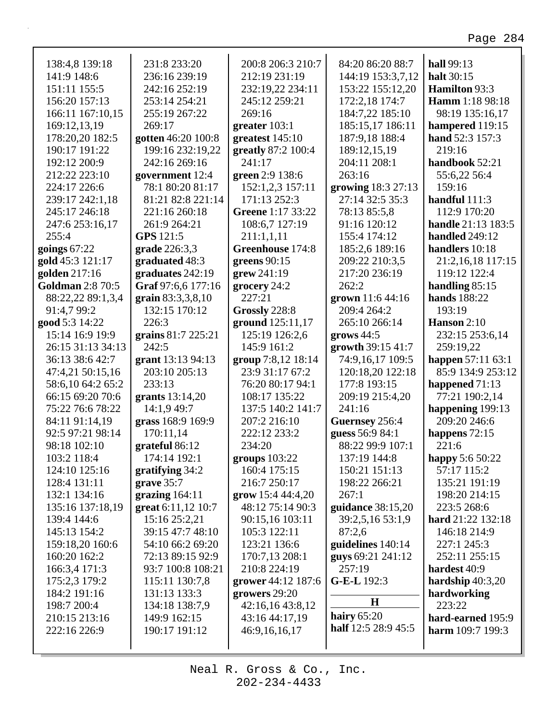| 138:4,8 139:18               | 231:8 233:20                          | 200:8 206:3 210:7                  | 84:20 86:20 88:7    | hall 99:13            |
|------------------------------|---------------------------------------|------------------------------------|---------------------|-----------------------|
| 141:9 148:6                  | 236:16 239:19                         | 212:19 231:19                      | 144:19 153:3,7,12   | halt 30:15            |
| 151:11 155:5                 | 242:16 252:19                         | 232:19,22 234:11                   | 153:22 155:12,20    | Hamilton 93:3         |
| 156:20 157:13                | 253:14 254:21                         | 245:12 259:21                      | 172:2,18 174:7      | Hamm 1:18 98:18       |
| 166:11 167:10,15             | 255:19 267:22                         | 269:16                             | 184:7,22 185:10     | 98:19 135:16,17       |
| 169:12,13,19                 | 269:17                                | greater $103:1$                    | 185:15,17 186:11    | hampered 119:15       |
| 178:20,20 182:5              | gotten 46:20 100:8                    | greatest 145:10                    | 187:9,18 188:4      | hand 52:3 157:3       |
| 190:17 191:22                | 199:16 232:19,22                      | greatly 87:2 100:4                 | 189:12,15,19        | 219:16                |
| 192:12 200:9                 | 242:16 269:16                         | 241:17                             | 204:11 208:1        | handbook 52:21        |
| 212:22 223:10                | government 12:4                       | green 2:9 138:6                    | 263:16              | 55:6,22 56:4          |
| 224:17 226:6                 | 78:1 80:20 81:17                      | 152:1,2,3 157:11                   | growing 18:3 27:13  | 159:16                |
| 239:17 242:1,18              | 81:21 82:8 221:14                     | 171:13 252:3                       | 27:14 32:5 35:3     | handful $111:3$       |
| 245:17 246:18                | 221:16 260:18                         | Greene 1:17 33:22                  | 78:13 85:5,8        | 112:9 170:20          |
| 247:6 253:16,17              | 261:9 264:21                          | 108:6,7 127:19                     | 91:16 120:12        | handle 21:13 183:5    |
| 255:4                        | GPS 121:5                             | 211:1,1,11                         | 155:4 174:12        | handled 249:12        |
| goings $67:22$               | grade 226:3,3                         | Greenhouse 174:8                   | 185:2,6 189:16      | handlers 10:18        |
| gold 45:3 121:17             | graduated 48:3                        | greens $90:15$                     | 209:22 210:3,5      | 21:2,16,18 117:15     |
| golden 217:16                | graduates 242:19                      | grew 241:19                        | 217:20 236:19       | 119:12 122:4          |
| <b>Goldman 2:8 70:5</b>      | Graf 97:6,6 177:16                    | grocery 24:2                       | 262:2               | handling $85:15$      |
| 88:22,22 89:1,3,4            | grain 83:3,3,8,10                     | 227:21                             | grown 11:6 44:16    | hands 188:22          |
| 91:4,7 99:2                  | 132:15 170:12                         | Grossly 228:8                      | 209:4 264:2         | 193:19                |
| good 5:3 14:22               | 226:3                                 | ground 125:11,17                   | 265:10 266:14       | Hanson 2:10           |
| 15:14 16:9 19:9              | grains 81:7 225:21                    | 125:19 126:2,6                     | grows $44:5$        | 232:15 253:6,14       |
| 26:15 31:13 34:13            | 242:5                                 | 145:9 161:2                        | growth 39:15 41:7   | 259:19,22             |
| 36:13 38:6 42:7              | grant 13:13 94:13                     | group 7:8,12 18:14                 | 74:9,16,17 109:5    | happen 57:11 63:1     |
| 47:4,21 50:15,16             | 203:10 205:13                         | 23:9 31:17 67:2                    | 120:18,20 122:18    | 85:9 134:9 253:12     |
| 58:6,10 64:2 65:2            | 233:13                                | 76:20 80:17 94:1                   | 177:8 193:15        | happened 71:13        |
| 66:15 69:20 70:6             | grants $13:14,20$                     | 108:17 135:22                      | 209:19 215:4,20     | 77:21 190:2,14        |
| 75:22 76:6 78:22             | 14:1,9 49:7                           | 137:5 140:2 141:7                  | 241:16              | happening 199:13      |
| 84:11 91:14,19               | grass 168:9 169:9                     | 207:2 216:10                       | Guernsey 256:4      | 209:20 246:6          |
| 92:5 97:21 98:14             | 170:11,14                             | 222:12 233:2                       | guess 56:9 84:1     | happens $72:15$       |
| 98:18 102:10                 | grateful 86:12                        | 234:20                             | 88:22 99:9 107:1    | 221:6                 |
| 103:2 118:4                  | 174:14 192:1                          | groups 103:22                      | 137:19 144:8        | happy 5:6 50:22       |
| 124:10 125:16                | gratifying 34:2                       | 160:4 175:15                       | 150:21 151:13       | 57:17 115:2           |
| 128:4 131:11                 | grave $35:7$                          | 216:7 250:17                       | 198:22 266:21       | 135:21 191:19         |
| 132:1 134:16                 | grazing $164:11$                      | grow 15:4 44:4,20                  | 267:1               | 198:20 214:15         |
| 135:16 137:18,19             | great 6:11,12 10:7                    | 48:12 75:14 90:3                   | guidance 38:15,20   | 223:5 268:6           |
| 139:4 144:6                  | 15:16 25:2,21                         | 90:15,16 103:11                    | 39:2,5,16 53:1,9    | hard 21:22 132:18     |
| 145:13 154:2                 | 39:15 47:7 48:10                      | 105:3 122:11                       | 87:2,6              | 146:18 214:9          |
| 159:18,20 160:6              | 54:10 66:2 69:20                      | 123:21 136:6                       | guidelines 140:14   | 227:1 245:3           |
| 160:20 162:2                 | 72:13 89:15 92:9<br>93:7 100:8 108:21 | 170:7,13 208:1                     | guys 69:21 241:12   | 252:11 255:15         |
| 166:3,4 171:3                |                                       | 210:8 224:19                       | 257:19              | hardest 40:9          |
| 175:2,3 179:2                | 115:11 130:7,8                        | grower 44:12 187:6                 | G-E-L 192:3         | hardship $40:3,20$    |
| 184:2 191:16                 | 131:13 133:3                          | growers 29:20                      | H                   | hardworking<br>223:22 |
| 198:7 200:4<br>210:15 213:16 | 134:18 138:7,9<br>149:9 162:15        | 42:16,16 43:8,12<br>43:16 44:17,19 | hairy $65:20$       | hard-earned 195:9     |
| 222:16 226:9                 | 190:17 191:12                         | 46:9,16,16,17                      | half 12:5 28:9 45:5 | harm $109:7$ 199:3    |
|                              |                                       |                                    |                     |                       |
|                              |                                       |                                    |                     |                       |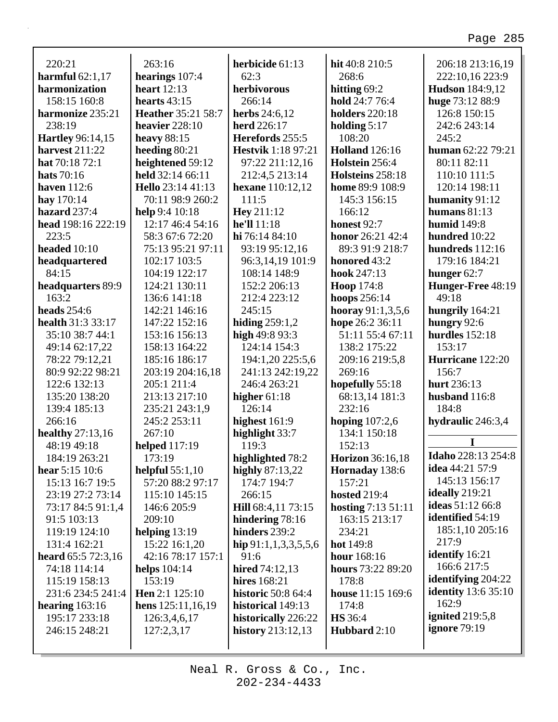| 220:21                  | 263:16                   | herbicide 61:13           | hit 40:8 210:5               | 206:18 213:16,19           |
|-------------------------|--------------------------|---------------------------|------------------------------|----------------------------|
| harmful $62:1,17$       | hearings 107:4           | 62:3                      | 268:6                        | 222:10,16 223:9            |
| harmonization           | heart $12:13$            | herbivorous               | hitting 69:2                 | <b>Hudson</b> 184:9,12     |
| 158:15 160:8            | hearts $43:15$           | 266:14                    | hold 24:7 76:4               | huge 73:12 88:9            |
| harmonize 235:21        | Heather 35:21 58:7       | <b>herbs</b> $24:6,12$    | <b>holders</b> 220:18        | 126:8 150:15               |
| 238:19                  | heavier 228:10           | <b>herd</b> 226:17        | holding $5:17$               | 242:6 243:14               |
| <b>Hartley</b> 96:14,15 | heavy $88:15$            | Herefords 255:5           | 108:20                       | 245:2                      |
| harvest 211:22          | heeding $80:21$          | <b>Hestvik</b> 1:18 97:21 | <b>Holland</b> 126:16        | human $62:2279:21$         |
| hat 70:18 72:1          | heightened 59:12         | 97:22 211:12,16           | Holstein 256:4               | 80:11 82:11                |
| <b>hats</b> 70:16       | held 32:14 66:11         | 212:4,5 213:14            | Holsteins 258:18             | 110:10 111:5               |
| haven $112:6$           | <b>Hello</b> 23:14 41:13 | hexane 110:12,12          | home 89:9 108:9              | 120:14 198:11              |
| hay 170:14              | 70:11 98:9 260:2         | 111:5                     | 145:3 156:15                 | humanity 91:12             |
| hazard 237:4            | help 9:4 10:18           | <b>Hey</b> 211:12         | 166:12                       | humans $81:13$             |
| head 198:16 222:19      | 12:17 46:4 54:16         | he'll 11:18               | honest 92:7                  | <b>humid</b> 149:8         |
| 223:5                   | 58:3 67:6 72:20          | hi 76:14 84:10            | honor 26:21 42:4             | hundred 10:22              |
| headed 10:10            | 75:13 95:21 97:11        | 93:19 95:12,16            | 89:3 91:9 218:7              | hundreds 112:16            |
| headquartered           | 102:17 103:5             | 96:3,14,19 101:9          | honored 43:2                 | 179:16 184:21              |
| 84:15                   | 104:19 122:17            | 108:14 148:9              | hook 247:13                  | hunger $62:7$              |
| headquarters 89:9       | 124:21 130:11            | 152:2 206:13              | <b>Hoop</b> 174:8            | Hunger-Free 48:19          |
| 163:2                   | 136:6 141:18             | 212:4 223:12              | hoops 256:14                 | 49:18                      |
| <b>heads</b> 254:6      | 142:21 146:16            | 245:15                    | hooray $91:1,3,5,6$          | hungrily 164:21            |
| health 31:3 33:17       | 147:22 152:16            | hiding $259:1,2$          | hope 26:2 36:11              | hungry 92:6                |
| 35:10 38:7 44:1         | 153:16 156:13            | high $49:893:3$           | 51:11 55:4 67:11             | hurdles $152:18$           |
| 49:14 62:17,22          | 158:13 164:22            | 124:14 154:3              | 138:2 175:22                 | 153:17                     |
| 78:22 79:12,21          | 185:16 186:17            | 194:1,20 225:5,6          | 209:16 219:5,8               | Hurricane 122:20           |
| 80:9 92:22 98:21        | 203:19 204:16,18         | 241:13 242:19,22          | 269:16                       | 156:7                      |
| 122:6 132:13            | 205:1 211:4              | 246:4 263:21              | hopefully 55:18              | hurt 236:13                |
| 135:20 138:20           | 213:13 217:10            | higher $61:18$            | 68:13,14 181:3               | husband 116:8              |
| 139:4 185:13            | 235:21 243:1,9           | 126:14                    | 232:16                       | 184:8                      |
| 266:16                  | 245:2 253:11             | highest $161:9$           | hoping $107:2,6$             | hydraulic 246:3,4          |
| <b>healthy</b> 27:13,16 | 267:10                   | highlight 33:7            | 134:1 150:18                 |                            |
| 48:19 49:18             | <b>helped</b> 117:19     | 119:3                     | 152:13                       | I                          |
| 184:19 263:21           | 173:19                   | highlighted 78:2          | Horizon 36:16,18             | <b>Idaho</b> 228:13 254:8  |
| <b>hear</b> 5:15 10:6   | helpful $55:1,10$        | highly 87:13,22           | Hornaday 138:6               | <b>idea</b> 44:21 57:9     |
| 15:13 16:7 19:5         | 57:20 88:2 97:17         | 174:7 194:7               | 157:21                       | 145:13 156:17              |
| 23:19 27:2 73:14        | 115:10 145:15            | 266:15                    | <b>hosted</b> 219:4          | ideally 219:21             |
| 73:17 84:5 91:1,4       | 146:6 205:9              | Hill 68:4,11 73:15        | <b>hosting</b> $7:13\ 51:11$ | <b>ideas</b> 51:12 66:8    |
| 91:5 103:13             | 209:10                   | hindering 78:16           | 163:15 213:17                | identified 54:19           |
| 119:19 124:10           | helping $13:19$          | hinders 239:2             | 234:21                       | 185:1,10 205:16            |
| 131:4 162:21            | 15:22 16:1,20            | hip $91:1,1,3,3,5,5,6$    | hot 149:8                    | 217:9                      |
| heard $65:572:3,16$     | 42:16 78:17 157:1        | 91:6                      | hour 168:16                  | identify 16:21             |
| 74:18 114:14            | helps $104:14$           | hired 74:12,13            | hours 73:22 89:20            | 166:6 217:5                |
| 115:19 158:13           | 153:19                   | <b>hires</b> 168:21       | 178:8                        | identifying 204:22         |
| 231:6 234:5 241:4       | Hen 2:1 125:10           | <b>historic</b> 50:8 64:4 | house 11:15 169:6            | <b>identity</b> 13:6 35:10 |
| hearing 163:16          | hens $125:11,16,19$      | historical 149:13         | 174:8                        | 162:9                      |
| 195:17 233:18           | 126:3,4,6,17             | historically 226:22       | <b>HS</b> 36:4               | ignited 219:5,8            |
| 246:15 248:21           | 127:2,3,17               | history $213:12,13$       | Hubbard 2:10                 | ignore 79:19               |
|                         |                          |                           |                              |                            |
|                         |                          |                           |                              |                            |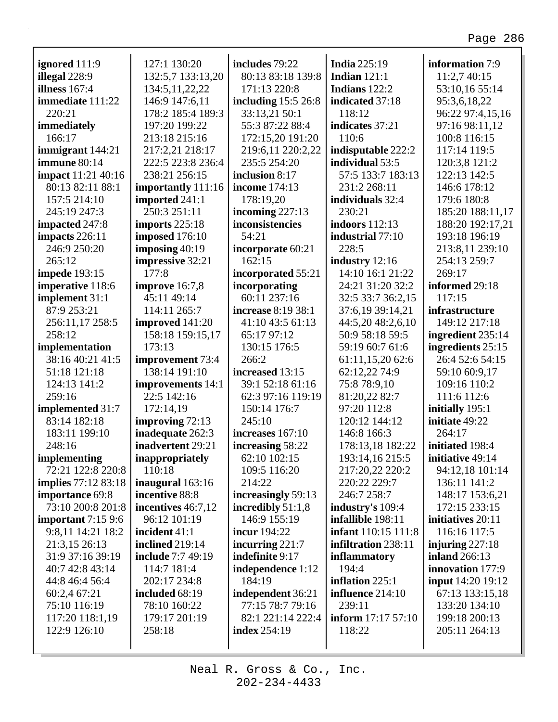| ignored 111:9              | 127:1 130:20             | includes 79:22       | <b>India</b> 225:19        | information 7:9          |
|----------------------------|--------------------------|----------------------|----------------------------|--------------------------|
| illegal 228:9              | 132:5,7 133:13,20        | 80:13 83:18 139:8    | Indian $121:1$             | 11:2,7 40:15             |
| illness $167:4$            | 134:5, 11, 22, 22        | 171:13 220:8         | Indians 122:2              | 53:10,16 55:14           |
| immediate 111:22           | 146:9 147:6,11           | including $15:526:8$ | indicated 37:18            | 95:3,6,18,22             |
| 220:21                     | 178:2 185:4 189:3        | 33:13,21 50:1        | 118:12                     | 96:22 97:4,15,16         |
| immediately                | 197:20 199:22            | 55:3 87:22 88:4      | indicates 37:21            | 97:16 98:11,12           |
| 166:17                     | 213:18 215:16            | 172:15,20 191:20     | 110:6                      | 100:8 116:15             |
| immigrant 144:21           | 217:2,21 218:17          | 219:6,11 220:2,22    | indisputable 222:2         | 117:14 119:5             |
| immune 80:14               | 222:5 223:8 236:4        | 235:5 254:20         | individual 53:5            | 120:3,8 121:2            |
| <b>impact</b> 11:21 40:16  | 238:21 256:15            | inclusion 8:17       | 57:5 133:7 183:13          | 122:13 142:5             |
| 80:13 82:11 88:1           | importantly 111:16       | <b>income</b> 174:13 | 231:2 268:11               | 146:6 178:12             |
| 157:5 214:10               | imported 241:1           | 178:19,20            | individuals 32:4           | 179:6 180:8              |
| 245:19 247:3               | 250:3 251:11             | incoming $227:13$    | 230:21                     | 185:20 188:11,17         |
| impacted 247:8             | imports $225:18$         | inconsistencies      | <b>indoors</b> 112:13      | 188:20 192:17,21         |
| impacts 226:11             | <b>imposed</b> 176:10    | 54:21                | industrial 77:10           | 193:18 196:19            |
| 246:9 250:20               | imposing $40:19$         | incorporate 60:21    | 228:5                      | 213:8,11 239:10          |
| 265:12                     | impressive 32:21         | 162:15               | industry 12:16             | 254:13 259:7             |
| <b>impede</b> 193:15       | 177:8                    | incorporated 55:21   | 14:10 16:1 21:22           | 269:17                   |
| imperative 118:6           | improve 16:7,8           | incorporating        | 24:21 31:20 32:2           | informed 29:18           |
| implement 31:1             | 45:11 49:14              | 60:11 237:16         | 32:5 33:7 36:2,15          | 117:15                   |
| 87:9 253:21                | 114:11 265:7             | increase 8:19 38:1   | 37:6,19 39:14,21           | infrastructure           |
| 256:11,17 258:5            | improved 141:20          | 41:10 43:5 61:13     | 44:5,20 48:2,6,10          | 149:12 217:18            |
| 258:12                     | 158:18 159:15,17         | 65:17 97:12          | 50:9 58:18 59:5            | ingredient 235:14        |
| implementation             | 173:13                   | 130:15 176:5         | 59:19 60:7 61:6            | ingredients 25:15        |
| 38:16 40:21 41:5           | improvement 73:4         | 266:2                | 61:11,15,20 62:6           | 26:4 52:6 54:15          |
| 51:18 121:18               | 138:14 191:10            | increased 13:15      | 62:12,22 74:9              | 59:10 60:9,17            |
| 124:13 141:2               | improvements 14:1        | 39:1 52:18 61:16     | 75:8 78:9,10               | 109:16 110:2             |
| 259:16                     | 22:5 142:16              | 62:3 97:16 119:19    | 81:20,22 82:7              | 111:6 112:6              |
| implemented 31:7           | 172:14,19                | 150:14 176:7         | 97:20 112:8                | initially 195:1          |
| 83:14 182:18               | improving 72:13          | 245:10               | 120:12 144:12              | initiate 49:22           |
| 183:11 199:10              | inadequate 262:3         | increases 167:10     | 146:8 166:3                | 264:17                   |
| 248:16                     | inadvertent 29:21        | increasing 58:22     | 178:13,18 182:22           | initiated 198:4          |
| implementing               | inappropriately          | 62:10 102:15         | 193:14,16 215:5            | initiative 49:14         |
| 72:21 122:8 220:8          | 110:18                   | 109:5 116:20         | 217:20,22 220:2            | 94:12,18 101:14          |
| <b>implies</b> 77:12 83:18 | inaugural 163:16         | 214:22               | 220:22 229:7               | 136:11 141:2             |
| importance 69:8            | incentive 88:8           | increasingly 59:13   | 246:7 258:7                | 148:17 153:6,21          |
| 73:10 200:8 201:8          | incentives 46:7,12       | incredibly $51:1,8$  | industry's 109:4           | 172:15 233:15            |
| important $7:159:6$        | 96:12 101:19             | 146:9 155:19         | infallible 198:11          | initiatives 20:11        |
| 9:8,11 14:21 18:2          | incident 41:1            | incur 194:22         | <b>infant</b> 110:15 111:8 | 116:16 117:5             |
| 21:3,15 26:13              | <b>inclined</b> 219:14   | incurring $221:7$    | infiltration 238:11        | injuring $227:18$        |
| 31:9 37:16 39:19           | <b>include</b> 7:7 49:19 | indefinite 9:17      | inflammatory               | <b>inland</b> 266:13     |
| 40:7 42:8 43:14            | 114:7 181:4              | independence 1:12    | 194:4                      | innovation 177:9         |
| 44:8 46:4 56:4             | 202:17 234:8             | 184:19               | inflation $225:1$          | <b>input</b> 14:20 19:12 |
| 60:2,4 67:21               | included 68:19           | independent 36:21    | influence $214:10$         | 67:13 133:15,18          |
| 75:10 116:19               | 78:10 160:22             | 77:15 78:7 79:16     | 239:11                     | 133:20 134:10            |
| 117:20 118:1,19            | 179:17 201:19            | 82:1 221:14 222:4    | inform 17:17 57:10         | 199:18 200:13            |
| 122:9 126:10               | 258:18                   | <b>index</b> 254:19  | 118:22                     | 205:11 264:13            |
|                            |                          |                      |                            |                          |
|                            |                          |                      |                            |                          |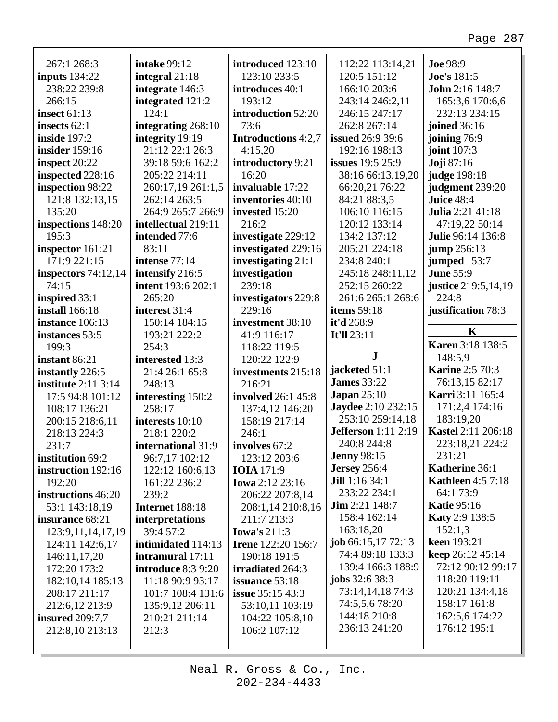|                            | <b>intake 99:12</b>       | introduced 123:10               |                                  | <b>Joe 98:9</b>           |
|----------------------------|---------------------------|---------------------------------|----------------------------------|---------------------------|
| 267:1 268:3                |                           | 123:10 233:5                    | 112:22 113:14,21<br>120:5 151:12 |                           |
| inputs $134:22$            | integral 21:18            |                                 |                                  | Joe's 181:5               |
| 238:22 239:8               | integrate 146:3           | introduces 40:1                 | 166:10 203:6                     | John 2:16 148:7           |
| 266:15                     | integrated 121:2          | 193:12                          | 243:14 246:2,11                  | 165:3,6 170:6,6           |
| <b>insect</b> 61:13        | 124:1                     | introduction 52:20              | 246:15 247:17                    | 232:13 234:15             |
| insects $62:1$             | integrating 268:10        | 73:6                            | 262:8 267:14                     | joined 36:16              |
| inside 197:2               | integrity 19:19           | <b>Introductions</b> 4:2,7      | <b>issued</b> 26:9 39:6          | joining 76:9              |
| <b>insider</b> 159:16      | 21:12 22:1 26:3           | 4:15,20                         | 192:16 198:13                    | joint 107:3               |
| inspect 20:22              | 39:18 59:6 162:2          | introductory 9:21               | <b>issues</b> 19:5 25:9          | <b>Joji</b> 87:16         |
| inspected 228:16           | 205:22 214:11             | 16:20                           | 38:16 66:13,19,20                | judge 198:18              |
| inspection 98:22           | 260:17,19 261:1,5         | invaluable 17:22                | 66:20,21 76:22                   | judgment 239:20           |
| 121:8 132:13,15            | 262:14 263:5              | inventories 40:10               | 84:21 88:3,5                     | Juice 48:4                |
| 135:20                     | 264:9 265:7 266:9         | invested 15:20                  | 106:10 116:15                    | <b>Julia</b> 2:21 41:18   |
| inspections 148:20         | intellectual 219:11       | 216:2                           | 120:12 133:14                    | 47:19,22 50:14            |
| 195:3                      | intended 77:6             | investigate 229:12              | 134:2 137:12                     | Julie 96:14 136:8         |
| inspector 161:21           | 83:11                     | investigated 229:16             | 205:21 224:18                    | jump 256:13               |
| 171:9 221:15               | intense 77:14             | investigating $21:11$           | 234:8 240:1                      | jumped 153:7              |
| inspectors $74:12,14$      | intensify 216:5           | investigation                   | 245:18 248:11,12                 | <b>June 55:9</b>          |
| 74:15                      | <b>intent</b> 193:6 202:1 | 239:18                          | 252:15 260:22                    | justice 219:5,14,19       |
| inspired 33:1              | 265:20                    | investigators 229:8             | 261:6 265:1 268:6                | 224:8                     |
| <b>install</b> 166:18      | interest 31:4             | 229:16                          | <b>items</b> 59:18               | justification 78:3        |
| instance 106:13            | 150:14 184:15             | investment 38:10                | it'd 268:9                       |                           |
| instances 53:5             | 193:21 222:2              | 41:9 116:17                     | <b>It'll 23:11</b>               | K                         |
| 199:3                      | 254:3                     | 118:22 119:5                    |                                  | <b>Karen 3:18 138:5</b>   |
|                            |                           |                                 |                                  |                           |
| instant 86:21              | interested 13:3           | 120:22 122:9                    | ${\bf J}$                        | 148:5,9                   |
| instantly 226:5            | 21:4 26:1 65:8            | investments 215:18              | jacketed 51:1                    | <b>Karine 2:5 70:3</b>    |
| <b>institute</b> 2:11 3:14 | 248:13                    | 216:21                          | <b>James</b> 33:22               | 76:13,15 82:17            |
| 17:5 94:8 101:12           | interesting 150:2         | involved 26:1 45:8              | Japan $25:10$                    | Karri 3:11 165:4          |
| 108:17 136:21              | 258:17                    | 137:4,12 146:20                 | <b>Jaydee</b> 2:10 232:15        | 171:2,4 174:16            |
| 200:15 218:6,11            | interests 10:10           | 158:19 217:14                   | 253:10 259:14,18                 | 183:19,20                 |
| 218:13 224:3               | 218:1 220:2               | 246:1                           | <b>Jefferson</b> 1:11 2:19       | <b>Kastel 2:11 206:18</b> |
| 231:7                      | international 31:9        | involves 67:2                   | 240:8 244:8                      | 223:18,21 224:2           |
| institution 69:2           | 96:7,17 102:12            | 123:12 203:6                    | <b>Jenny 98:15</b>               | 231:21                    |
| instruction 192:16         | 122:12 160:6,13           | <b>IOIA</b> 171:9               | <b>Jersey</b> 256:4              | Katherine 36:1            |
| 192:20                     | 161:22 236:2              | <b>Iowa</b> 2:12 23:16          | <b>Jill</b> 1:16 34:1            | <b>Kathleen</b> 4:5 7:18  |
| instructions 46:20         | 239:2                     | 206:22 207:8,14                 | 233:22 234:1                     | 64:1 73:9                 |
| 53:1 143:18,19             | Internet 188:18           | 208:1,14 210:8,16               | $\text{Jim } 2:21 \, 148:7$      | <b>Katie 95:16</b>        |
| insurance 68:21            | interpretations           | 211:7 213:3                     | 158:4 162:14                     | <b>Katy 2:9 138:5</b>     |
| 123:9, 11, 14, 17, 19      | 39:4 57:2                 | Iowa's $211:3$                  | 163:18,20                        | 152:1,3                   |
| 124:11 142:6,17            | intimidated 114:13        | <b>Irene</b> 122:20 156:7       | job $66:15,1772:13$              | keen 193:21               |
| 146:11,17,20               | intramural 17:11          | 190:18 191:5                    | 74:4 89:18 133:3                 | keep 26:12 45:14          |
| 172:20 173:2               | introduce 8:3 9:20        | irradiated 264:3                | 139:4 166:3 188:9                | 72:12 90:12 99:17         |
| 182:10,14 185:13           | 11:18 90:9 93:17          | issuance 53:18                  | <b>jobs</b> 32:6 38:3            | 118:20 119:11             |
| 208:17 211:17              | 101:7 108:4 131:6         | <b>issue</b> 35:15 43:3         | 73:14,14,18 74:3                 | 120:21 134:4,18           |
| 212:6,12 213:9             | 135:9,12 206:11           | 53:10,11 103:19                 | 74:5,5,6 78:20                   | 158:17 161:8              |
| <b>insured</b> 209:7,7     | 210:21 211:14             |                                 | 144:18 210:8                     | 162:5,6 174:22            |
| 212:8,10 213:13            | 212:3                     | 104:22 105:8,10<br>106:2 107:12 | 236:13 241:20                    | 176:12 195:1              |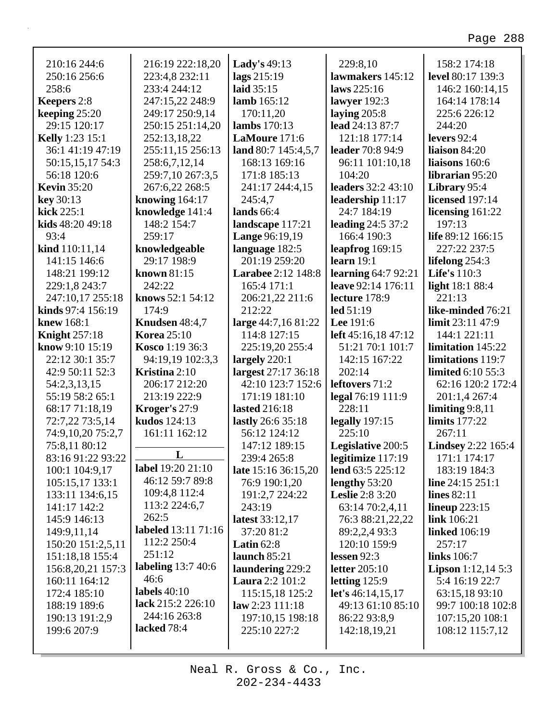| 210:16 244:6             | 216:19 222:18,20     | Lady's 49:13              | 229:8,10                   | 158:2 174:18               |
|--------------------------|----------------------|---------------------------|----------------------------|----------------------------|
| 250:16 256:6             | 223:4,8 232:11       | lags 215:19               | lawmakers 145:12           | level 80:17 139:3          |
| 258:6                    | 233:4 244:12         | laid 35:15                | laws 225:16                | 146:2 160:14,15            |
| Keepers 2:8              | 247:15,22 248:9      | lamb $165:12$             | lawyer $192:3$             | 164:14 178:14              |
| keeping $25:20$          | 249:17 250:9,14      | 170:11,20                 | laying $205:8$             | 225:6 226:12               |
| 29:15 120:17             | 250:15 251:14,20     | lambs 170:13              | lead 24:13 87:7            | 244:20                     |
| <b>Kelly</b> 1:23 15:1   | 252:13,18,22         | LaMoure 171:6             | 121:18 177:14              | levers $92:4$              |
| 36:1 41:19 47:19         | 255:11,15 256:13     | land 80:7 145:4,5,7       | leader 70:8 94:9           | liaison 84:20              |
| 50:15,15,17 54:3         | 258:6,7,12,14        | 168:13 169:16             | 96:11 101:10,18            | liaisons 160:6             |
| 56:18 120:6              | 259:7,10 267:3,5     | 171:8 185:13              | 104:20                     | librarian 95:20            |
| <b>Kevin 35:20</b>       | 267:6,22 268:5       | 241:17 244:4,15           | <b>leaders</b> 32:2 43:10  | Library 95:4               |
| key 30:13                | knowing $164:17$     | 245:4,7                   | leadership 11:17           | <b>licensed</b> 197:14     |
| kick $225:1$             | knowledge 141:4      | lands $66:4$              | 24:7 184:19                | licensing $161:22$         |
| kids 48:20 49:18         | 148:2 154:7          | landscape 117:21          | <b>leading 24:5 37:2</b>   | 197:13                     |
| 93:4                     | 259:17               | <b>Lange 96:19,19</b>     | 166:4 190:3                | life 89:12 166:15          |
| kind 110:11,14           | knowledgeable        | language 182:5            | leapfrog $169:15$          | 227:22 237:5               |
| 141:15 146:6             | 29:17 198:9          | 201:19 259:20             | learn $19:1$               | lifelong $254:3$           |
| 148:21 199:12            | known 81:15          | <b>Larabee</b> 2:12 148:8 | learning $64:792:21$       | <b>Life's</b> 110:3        |
| 229:1,8 243:7            | 242:22               | 165:4 171:1               | leave 92:14 176:11         | <b>light</b> 18:1 88:4     |
| 247:10,17 255:18         | knows 52:1 54:12     | 206:21,22 211:6           | lecture 178:9              | 221:13                     |
| kinds 97:4 156:19        | 174:9                | 212:22                    | led 51:19                  | like-minded 76:21          |
| <b>knew</b> 168:1        | Knudsen 48:4,7       | large 44:7,16 81:22       | <b>Lee</b> 191:6           | limit 23:11 47:9           |
| <b>Knight</b> 257:18     | <b>Korea</b> 25:10   | 114:8 127:15              | left 45:16,18 47:12        | 144:1 221:11               |
| <b>know</b> 9:10 $15:19$ | Kosco 1:19 36:3      | 225:19,20 255:4           | 51:21 70:1 101:7           | limitation 145:22          |
| 22:12 30:1 35:7          | 94:19,19 102:3,3     | largely $220:1$           | 142:15 167:22              | limitations 119:7          |
| 42:9 50:11 52:3          | <b>Kristina</b> 2:10 | largest 27:17 36:18       | 202:14                     | limited 6:10 55:3          |
| 54:2,3,13,15             | 206:17 212:20        | 42:10 123:7 152:6         | leftovers 71:2             | 62:16 120:2 172:4          |
| 55:19 58:2 65:1          | 213:19 222:9         | 171:19 181:10             | legal 76:19 111:9          | 201:1,4 267:4              |
|                          | Kroger's 27:9        | <b>lasted</b> 216:18      | 228:11                     | limiting $9:8,11$          |
| 68:17 71:18,19           |                      |                           |                            | <b>limits</b> 177:22       |
| 72:7,22 73:5,14          | kudos 124:13         | lastly 26:6 35:18         | legally $197:15$<br>225:10 |                            |
| 74:9,10,20 75:2,7        | 161:11 162:12        | 56:12 124:12              |                            | 267:11                     |
| 75:8,11 80:12            | L                    | 147:12 189:15             | Legislative 200:5          | <b>Lindsey</b> 2:22 165:4  |
| 83:16 91:22 93:22        | label 19:20 21:10    | 239:4 265:8               | legitimize $117:19$        | $171:1$ $174:17$           |
| 100:1 104:9,17           | 46:12 59:7 89:8      | late 15:16 36:15,20       | lend 63:5 225:12           | 183:19 184:3               |
| 105:15,17 133:1          | 109:4,8 112:4        | 76:9 190:1,20             | lengthy $53:20$            | line $24:15\ 251:1$        |
| 133:11 134:6,15          | 113:2 224:6,7        | 191:2,7 224:22            | <b>Leslie</b> 2:8 3:20     | <b>lines</b> 82:11         |
| 141:17 142:2             |                      | 243:19                    | 63:14 70:2,4,11            | lineup $223:15$            |
| 145:9 146:13             | 262:5                | latest 33:12,17           | 76:3 88:21,22,22           | link 106:21                |
| 149:9,11,14              | labeled 13:11 71:16  | 37:20 81:2                | 89:2,2,4 93:3              | <b>linked</b> 106:19       |
| 150:20 151:2,5,11        | 112:2 250:4          | Latin $62:8$              | 120:10 159:9               | 257:17                     |
| 151:18,18 155:4          | 251:12               | launch $85:21$            | lessen $92:3$              | links 106:7                |
| 156:8,20,21 157:3        | labeling 13:7 40:6   | laundering 229:2          | letter $205:10$            | <b>Lipson</b> $1:12,145:3$ |
| 160:11 164:12            | 46:6                 | <b>Laura</b> 2:2 101:2    | letting $125:9$            | 5:4 16:19 22:7             |
| 172:4 185:10             | labels $40:10$       | 115:15,18 125:2           | let's 46:14,15,17          | 63:15,18 93:10             |
| 188:19 189:6             | lack 215:2 226:10    | law 2:23 111:18           | 49:13 61:10 85:10          | 99:7 100:18 102:8          |
| 190:13 191:2,9           | 244:16 263:8         | 197:10,15 198:18          | 86:22 93:8,9               | 107:15,20 108:1            |
| 199:6 207:9              | lacked 78:4          | 225:10 227:2              | 142:18,19,21               | 108:12 115:7,12            |
|                          |                      |                           |                            |                            |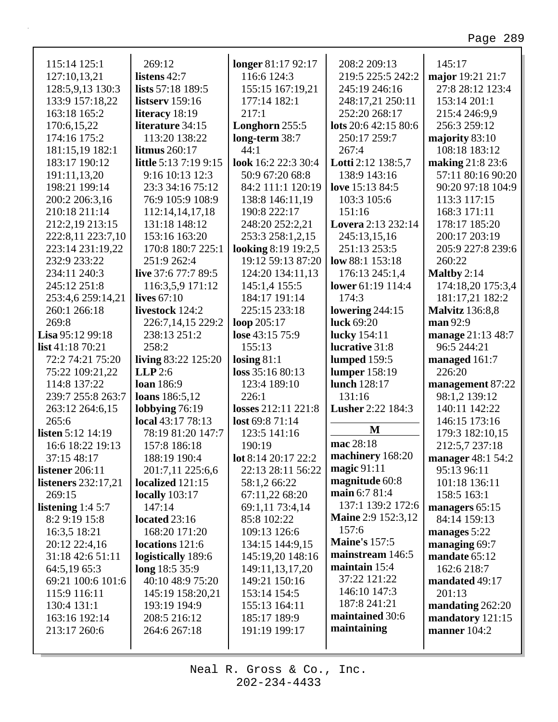| 115:14 125:1                | 269:12                       | longer 81:17 92:17         | 208:2 209:13              | 145:17                 |
|-----------------------------|------------------------------|----------------------------|---------------------------|------------------------|
| 127:10,13,21                | listens 42:7                 | 116:6 124:3                | 219:5 225:5 242:2         | major 19:21 21:7       |
| 128:5,9,13 130:3            | lists 57:18 189:5            | 155:15 167:19,21           | 245:19 246:16             | 27:8 28:12 123:4       |
| 133:9 157:18,22             | listserv $159:16$            | 177:14 182:1               | 248:17,21 250:11          | 153:14 201:1           |
| 163:18 165:2                | literacy 18:19               | 217:1                      | 252:20 268:17             | 215:4 246:9,9          |
| 170:6,15,22                 | literature 34:15             | Longhorn 255:5             | lots 20:6 42:15 80:6      | 256:3 259:12           |
| 174:16 175:2                | 113:20 138:22                | long-term 38:7             | 250:17 259:7              | majority 83:10         |
| 181:15,19 182:1             | litmus 260:17                | 44:1                       | 267:4                     | 108:18 183:12          |
| 183:17 190:12               | <b>little</b> 5:13 7:19 9:15 | look 16:2 22:3 30:4        | Lotti 2:12 138:5,7        | making 21:8 23:6       |
| 191:11,13,20                | 9:16 10:13 12:3              | 50:9 67:20 68:8            | 138:9 143:16              | 57:11 80:16 90:20      |
| 198:21 199:14               | 23:3 34:16 75:12             | 84:2 111:1 120:19          | love 15:13 84:5           | 90:20 97:18 104:9      |
| 200:2 206:3,16              | 76:9 105:9 108:9             | 138:8 146:11,19            | 103:3 105:6               | 113:3 117:15           |
| 210:18 211:14               | 112:14,14,17,18              | 190:8 222:17               | 151:16                    | 168:3 171:11           |
| 212:2,19 213:15             | 131:18 148:12                | 248:20 252:2,21            | Lovera 2:13 232:14        | 178:17 185:20          |
| 222:8,11 223:7,10           | 153:16 163:20                | 253:3 258:1,2,15           | 245:13,15,16              | 200:17 203:19          |
| 223:14 231:19,22            | 170:8 180:7 225:1            | <b>looking 8:19 19:2,5</b> | 251:13 253:5              | 205:9 227:8 239:6      |
| 232:9 233:22                | 251:9 262:4                  | 19:12 59:13 87:20          | low $88:1 153:18$         | 260:22                 |
| 234:11 240:3                | live 37:6 77:7 89:5          | 124:20 134:11,13           | 176:13 245:1,4            | Maltby $2:14$          |
| 245:12 251:8                | 116:3,5,9 171:12             | 145:1,4 155:5              | lower 61:19 114:4         | 174:18,20 175:3,4      |
| 253:4,6 259:14,21           | lives $67:10$                | 184:17 191:14              | 174:3                     | 181:17,21 182:2        |
| 260:1 266:18                | livestock 124:2              | 225:15 233:18              | lowering $244:15$         | <b>Malvitz</b> 136:8,8 |
| 269:8                       | 226:7,14,15 229:2            | loop $205:17$              | luck 69:20                | man 92:9               |
| <b>Lisa</b> $95:12$ $99:18$ | 238:13 251:2                 | lose 43:15 75:9            | lucky 154:11              | manage 21:13 48:7      |
| list 41:18 70:21            | 258:2                        | 155:13                     | lucrative 31:8            | 96:5 244:21            |
| 72:2 74:21 75:20            | living 83:22 125:20          | losing $81:1$              | lumped 159:5              | managed 161:7          |
| 75:22 109:21,22             | LLP2:6                       | loss 35:16 80:13           | lumper 158:19             | 226:20                 |
| 114:8 137:22                | <b>loan</b> 186:9            | 123:4 189:10               | lunch 128:17              | management 87:22       |
| 239:7 255:8 263:7           | loans 186:5,12               | 226:1                      | 131:16                    | 98:1,2 139:12          |
| 263:12 264:6,15             | lobbying $76:19$             | losses 212:11 221:8        | <b>Lusher 2:22 184:3</b>  | 140:11 142:22          |
| 265:6                       | local 43:17 78:13            | lost 69:8 71:14            |                           | 146:15 173:16          |
| <b>listen</b> 5:12 14:19    | 78:19 81:20 147:7            | 123:5 141:16               | M                         | 179:3 182:10,15        |
| 16:6 18:22 19:13            | 157:8 186:18                 | 190:19                     | mac 28:18                 | 212:5,7 237:18         |
| 37:15 48:17                 | 188:19 190:4                 | lot 8:14 20:17 22:2        | machinery 168:20          | manager 48:1 54:2      |
| listener 206:11             | 201:7,11 225:6,6             | 22:13 28:11 56:22          | magic $91:11$             | 95:13 96:11            |
| <b>listeners</b> 232:17,21  | localized 121:15             | 58:1,2 66:22               | magnitude 60:8            | 101:18 136:11          |
| 269:15                      | locally $103:17$             | 67:11,22 68:20             | main 6:7 81:4             | 158:5 163:1            |
| listening $1:45:7$          | 147:14                       | 69:1,11 73:4,14            | 137:1 139:2 172:6         | managers 65:15         |
| 8:2 9:19 15:8               | located 23:16                | 85:8 102:22                | <b>Maine 2:9 152:3,12</b> | 84:14 159:13           |
| 16:3,5 18:21                | 168:20 171:20                | 109:13 126:6               | 157:6                     | manages $5:22$         |
| 20:12 22:4,16               | locations 121:6              | 134:15 144:9,15            | <b>Maine's 157:5</b>      | managing 69:7          |
| 31:18 42:6 51:11            | logistically 189:6           | 145:19,20 148:16           | mainstream 146:5          | mandate 65:12          |
| 64:5,19 65:3                | long 18:5 35:9               | 149:11,13,17,20            | maintain 15:4             | 162:6 218:7            |
| 69:21 100:6 101:6           | 40:10 48:9 75:20             | 149:21 150:16              | 37:22 121:22              | mandated 49:17         |
| 115:9 116:11                | 145:19 158:20,21             | 153:14 154:5               | 146:10 147:3              | 201:13                 |
| 130:4 131:1                 | 193:19 194:9                 | 155:13 164:11              | 187:8 241:21              | mandating 262:20       |
| 163:16 192:14               | 208:5 216:12                 | 185:17 189:9               | maintained 30:6           | mandatory 121:15       |
| 213:17 260:6                | 264:6 267:18                 | 191:19 199:17              | maintaining               | manner 104:2           |
|                             |                              |                            |                           |                        |
|                             |                              |                            |                           |                        |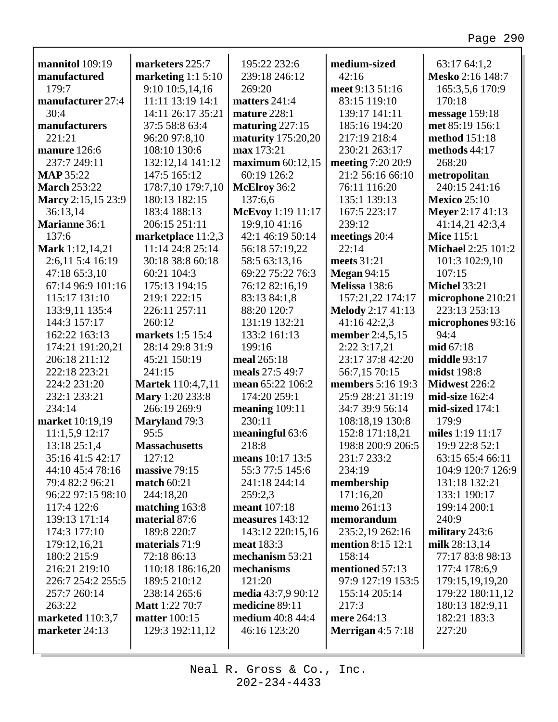| mannitol 109:19      | marketers 225:7                        | 195:22 232:6              | medium-sized             | 63:17 64:1,2                         |
|----------------------|----------------------------------------|---------------------------|--------------------------|--------------------------------------|
| manufactured         |                                        | 239:18 246:12             | 42:16                    | Mesko 2:16 148:7                     |
| 179:7                | marketing $1:15:10$<br>9:10 10:5,14,16 | 269:20                    | meet 9:13 51:16          | 165:3,5,6 170:9                      |
| manufacturer 27:4    | 11:11 13:19 14:1                       | matters 241:4             | 83:15 119:10             | 170:18                               |
| 30:4                 | 14:11 26:17 35:21                      | mature 228:1              | 139:17 141:11            | message 159:18                       |
| manufacturers        | 37:5 58:8 63:4                         | maturing 227:15           | 185:16 194:20            | met 85:19 156:1                      |
| 221:21               | 96:20 97:8,10                          | <b>maturity</b> 175:20,20 | 217:19 218:4             | method 151:18                        |
| manure 126:6         | 108:10 130:6                           | max 173:21                | 230:21 263:17            | methods 44:17                        |
| 237:7 249:11         | 132:12,14 141:12                       | maximum $60:12,15$        | meeting 7:20 20:9        | 268:20                               |
| <b>MAP 35:22</b>     | 147:5 165:12                           | 60:19 126:2               | 21:2 56:16 66:10         | metropolitan                         |
| <b>March 253:22</b>  | 178:7,10 179:7,10                      | McElroy 36:2              | 76:11 116:20             | 240:15 241:16                        |
| Marcy 2:15,15 23:9   | 180:13 182:15                          | 137:6,6                   | 135:1 139:13             | <b>Mexico 25:10</b>                  |
| 36:13,14             | 183:4 188:13                           | McEvoy 1:19 11:17         | 167:5 223:17             |                                      |
| <b>Marianne 36:1</b> | 206:15 251:11                          | 19:9,10 41:16             | 239:12                   | <b>Meyer</b> 2:17 41:13              |
| 137:6                |                                        | 42:1 46:19 50:14          |                          | 41:14,21 42:3,4<br><b>Mice 115:1</b> |
|                      | marketplace 11:2,3                     |                           | meetings 20:4<br>22:14   | Michael 2:25 101:2                   |
| Mark 1:12,14,21      | 11:14 24:8 25:14                       | 56:18 57:19,22            |                          |                                      |
| 2:6,11 5:4 16:19     | 30:18 38:8 60:18                       | 58:5 63:13,16             | meets 31:21              | 101:3 102:9,10                       |
| 47:18 65:3,10        | 60:21 104:3                            | 69:22 75:22 76:3          | <b>Megan 94:15</b>       | 107:15                               |
| 67:14 96:9 101:16    | 175:13 194:15                          | 76:12 82:16,19            | Melissa 138:6            | <b>Michel 33:21</b>                  |
| 115:17 131:10        | 219:1 222:15                           | 83:13 84:1,8              | 157:21,22 174:17         | microphone 210:21                    |
| 133:9,11 135:4       | 226:11 257:11                          | 88:20 120:7               | <b>Melody</b> 2:17 41:13 | 223:13 253:13                        |
| 144:3 157:17         | 260:12                                 | 131:19 132:21             | 41:16 42:2,3             | microphones 93:16                    |
| 162:22 163:13        | markets 1:5 15:4                       | 133:2 161:13              | member 2:4,5,15          | 94:4                                 |
| 174:21 191:20,21     | 28:14 29:8 31:9                        | 199:16                    | 2:22 3:17,21             | mid 67:18                            |
| 206:18 211:12        | 45:21 150:19                           | meal 265:18               | 23:17 37:8 42:20         | middle 93:17                         |
| 222:18 223:21        | 241:15                                 | meals 27:5 49:7           | 56:7,15 70:15            | midst 198:8                          |
| 224:2 231:20         | <b>Martek</b> 110:4,7,11               | mean 65:22 106:2          | members 5:16 19:3        | Midwest 226:2                        |
| 232:1 233:21         | Mary 1:20 233:8                        | 174:20 259:1              | 25:9 28:21 31:19         | mid-size 162:4                       |
| 234:14               | 266:19 269:9                           | meaning $109:11$          | 34:7 39:9 56:14          | mid-sized 174:1                      |
| market 10:19,19      | <b>Maryland</b> 79:3                   | 230:11                    | 108:18,19 130:8          | 179:9                                |
| 11:1,5,9 12:17       | 95:5                                   | meaningful 63:6           | 152:8 171:18,21          | miles 1:19 11:17                     |
| 13:18 25:1,4         | <b>Massachusetts</b>                   | 218:8                     | 198:8 200:9 206:5        | 19:9 22:8 52:1                       |
| 35:16 41:5 42:17     | 127:12                                 | means 10:17 13:5          | 231:7 233:2              | 63:15 65:4 66:11                     |
| 44:10 45:4 78:16     | massive 79:15                          | 55:3 77:5 145:6           | 234:19                   | 104:9 120:7 126:9                    |
| 79:4 82:2 96:21      | <b>match 60:21</b>                     | 241:18 244:14             | membership               | 131:18 132:21                        |
| 96:22 97:15 98:10    | 244:18,20                              | 259:2,3                   | 171:16,20                | 133:1 190:17                         |
| 117:4 122:6          | matching $163:8$                       | <b>meant</b> 107:18       | memo 261:13              | 199:14 200:1                         |
| 139:13 171:14        | material 87:6                          | measures 143:12           | memorandum               | 240:9                                |
| 174:3 177:10         | 189:8 220:7                            | 143:12 220:15,16          | 235:2,19 262:16          | military 243:6                       |
| 179:12,16,21         | materials 71:9                         | meat 183:3                | <b>mention</b> 8:15 12:1 | milk 28:13,14                        |
| 180:2 215:9          | 72:18 86:13                            | mechanism 53:21           | 158:14                   | 77:17 83:8 98:13                     |
| 216:21 219:10        | 110:18 186:16,20                       | mechanisms                | mentioned 57:13          | 177:4 178:6,9                        |
| 226:7 254:2 255:5    | 189:5 210:12                           | 121:20                    | 97:9 127:19 153:5        | 179:15,19,19,20                      |
| 257:7 260:14         | 238:14 265:6                           | media 43:7,9 90:12        | 155:14 205:14            | 179:22 180:11,12                     |
| 263:22               | <b>Matt</b> 1:22 70:7                  | medicine 89:11            | 217:3                    | 180:13 182:9,11                      |
| marketed 110:3,7     | <b>matter</b> 100:15                   | <b>medium</b> 40:8 44:4   | mere 264:13              | 182:21 183:3                         |
| marketer 24:13       | 129:3 192:11,12                        | 46:16 123:20              | <b>Merrigan</b> 4:5 7:18 | 227:20                               |
|                      |                                        |                           |                          |                                      |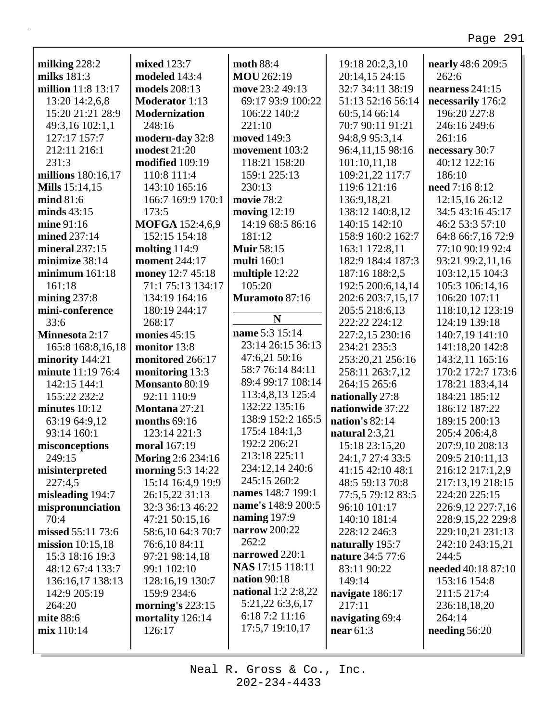٦

| milking 228:2         | mixed 123:7              | moth 88:4                  | 19:18 20:2,3,10   | nearly 48:6 209:5  |
|-----------------------|--------------------------|----------------------------|-------------------|--------------------|
| milks $181:3$         | modeled 143:4            | <b>MOU</b> 262:19          | 20:14,15 24:15    | 262:6              |
| million 11:8 13:17    | models 208:13            | move 23:2 49:13            | 32:7 34:11 38:19  | nearness $241:15$  |
| 13:20 14:2,6,8        | <b>Moderator</b> 1:13    | 69:17 93:9 100:22          | 51:13 52:16 56:14 | necessarily 176:2  |
| 15:20 21:21 28:9      | <b>Modernization</b>     | 106:22 140:2               | 60:5,14 66:14     | 196:20 227:8       |
| 49:3,16 102:1,1       | 248:16                   | 221:10                     | 70:7 90:11 91:21  | 246:16 249:6       |
| 127:17 157:7          | modern-day 32:8          | moved 149:3                | 94:8,9 95:3,14    | 261:16             |
| 212:11 216:1          | <b>modest 21:20</b>      | movement 103:2             | 96:4,11,15 98:16  | necessary 30:7     |
| 231:3                 | modified 109:19          | 118:21 158:20              | 101:10,11,18      | 40:12 122:16       |
| millions 180:16,17    | 110:8 111:4              | 159:1 225:13               | 109:21,22 117:7   | 186:10             |
| <b>Mills</b> 15:14,15 | 143:10 165:16            | 230:13                     | 119:6 121:16      | need 7:16 8:12     |
| mind 81:6             | 166:7 169:9 170:1        | movie 78:2                 | 136:9,18,21       | 12:15,16 26:12     |
| minds $43:15$         | 173:5                    | moving $12:19$             | 138:12 140:8,12   | 34:5 43:16 45:17   |
| mine 91:16            | MOFGA 152:4,6,9          | 14:19 68:5 86:16           | 140:15 142:10     | 46:2 53:3 57:10    |
| mined 237:14          | 152:15 154:18            | 181:12                     | 158:9 160:2 162:7 | 64:8 66:7,16 72:9  |
| mineral $237:15$      | molting $114:9$          | <b>Muir 58:15</b>          | 163:1 172:8,11    | 77:10 90:19 92:4   |
| minimize 38:14        | <b>moment</b> 244:17     | multi 160:1                | 182:9 184:4 187:3 | 93:21 99:2,11,16   |
| minimum $161:18$      | money 12:7 45:18         | multiple 12:22             | 187:16 188:2,5    | 103:12,15 104:3    |
| 161:18                | 71:1 75:13 134:17        | 105:20                     | 192:5 200:6,14,14 | 105:3 106:14,16    |
| mining $237:8$        | 134:19 164:16            | Muramoto 87:16             | 202:6 203:7,15,17 | 106:20 107:11      |
| mini-conference       | 180:19 244:17            |                            | 205:5 218:6,13    | 118:10,12 123:19   |
| 33:6                  | 268:17                   | N                          | 222:22 224:12     | 124:19 139:18      |
| Minnesota 2:17        | monies $45:15$           | name 5:3 15:14             | 227:2,15 230:16   | 140:7,19 141:10    |
| 165:8 168:8, 16, 18   | monitor 13:8             | 23:14 26:15 36:13          | 234:21 235:3      | 141:18,20 142:8    |
| minority 144:21       | monitored 266:17         | 47:6,21 50:16              | 253:20,21 256:16  | 143:2,11 165:16    |
| minute 11:19 76:4     | monitoring 13:3          | 58:7 76:14 84:11           | 258:11 263:7,12   | 170:2 172:7 173:6  |
| 142:15 144:1          | Monsanto 80:19           | 89:4 99:17 108:14          | 264:15 265:6      | 178:21 183:4,14    |
| 155:22 232:2          | 92:11 110:9              | 113:4,8,13 125:4           | nationally 27:8   | 184:21 185:12      |
| minutes $10:12$       | Montana 27:21            | 132:22 135:16              | nationwide 37:22  | 186:12 187:22      |
| 63:19 64:9,12         | months 69:16             | 138:9 152:2 165:5          | nation's $82:14$  | 189:15 200:13      |
| 93:14 160:1           | 123:14 221:3             | 175:4 184:1,3              | natural $2:3,21$  | 205:4 206:4,8      |
| misconceptions        | moral 167:19             | 192:2 206:21               | 15:18 23:15,20    | 207:9,10 208:13    |
| 249:15                | <b>Moring 2:6 234:16</b> | 213:18 225:11              | 24:1,7 27:4 33:5  | 209:5 210:11,13    |
| misinterpreted        | morning 5:3 14:22        | 234:12,14 240:6            | 41:15 42:10 48:1  | 216:12 217:1,2,9   |
| 227:4,5               | 15:14 16:4,9 19:9        | 245:15 260:2               | 48:5 59:13 70:8   | 217:13,19 218:15   |
| misleading 194:7      | 26:15,22 31:13           | names 148:7 199:1          | 77:5,5 79:12 83:5 | 224:20 225:15      |
| mispronunciation      | 32:3 36:13 46:22         | name's 148:9 200:5         | 96:10 101:17      | 226:9,12 227:7,16  |
| 70:4                  | 47:21 50:15,16           | naming $197:9$             | 140:10 181:4      | 228:9,15,22 229:8  |
| missed 55:11 73:6     | 58:6,10 64:3 70:7        | narrow 200:22              | 228:12 246:3      | 229:10,21 231:13   |
| mission $10:15,18$    | 76:6,10 84:11            | 262:2                      | naturally 195:7   | 242:10 243:15,21   |
| 15:3 18:16 19:3       | 97:21 98:14,18           | narrowed 220:1             | nature 34:5 77:6  | 244:5              |
| 48:12 67:4 133:7      | 99:1 102:10              | NAS 17:15 118:11           | 83:11 90:22       | needed 40:18 87:10 |
| 136:16,17 138:13      | 128:16,19 130:7          | nation 90:18               | 149:14            | 153:16 154:8       |
| 142:9 205:19          | 159:9 234:6              | <b>national</b> 1:2 2:8,22 | navigate 186:17   | 211:5 217:4        |
| 264:20                | morning's $223:15$       | 5:21,22 6:3,6,17           | 217:11            | 236:18,18,20       |
| mite 88:6             | mortality 126:14         | 6:18 7:2 11:16             | navigating 69:4   | 264:14             |
| mix 110:14            | 126:17                   | 17:5,7 19:10,17            | near $61:3$       | needing $56:20$    |
|                       |                          |                            |                   |                    |

Г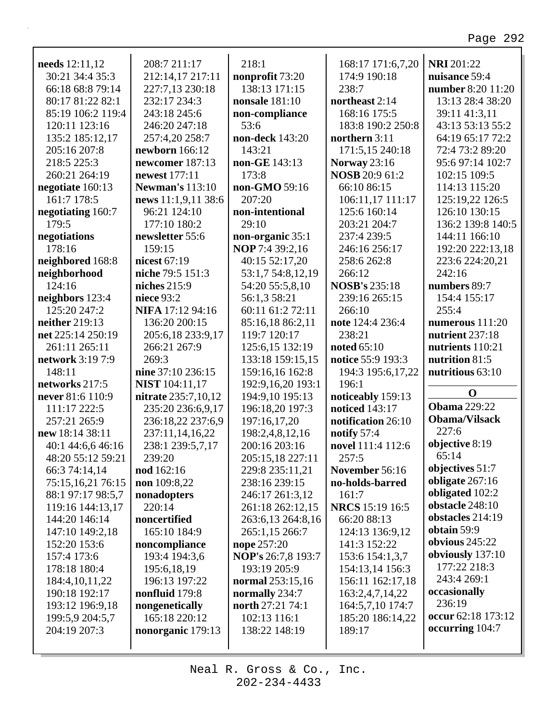٦

| needs 12:11,12<br>30:21 34:4 35:3<br>66:18 68:8 79:14<br>80:17 81:22 82:1<br>85:19 106:2 119:4<br>120:11 123:16 | 208:7 211:17<br>212:14,17 217:11<br>227:7,13 230:18<br>232:17 234:3<br>243:18 245:6<br>246:20 247:18 | 218:1<br>nonprofit 73:20<br>138:13 171:15<br><b>nonsale</b> 181:10<br>non-compliance<br>53:6 | 168:17 171:6,7,20<br>174:9 190:18<br>238:7<br>northeast 2:14<br>168:16 175:5<br>183:8 190:2 250:8 | <b>NRI</b> 201:22<br>nuisance 59:4<br>number 8:20 11:20<br>13:13 28:4 38:20<br>39:11 41:3,11<br>43:13 53:13 55:2 |
|-----------------------------------------------------------------------------------------------------------------|------------------------------------------------------------------------------------------------------|----------------------------------------------------------------------------------------------|---------------------------------------------------------------------------------------------------|------------------------------------------------------------------------------------------------------------------|
| 135:2 185:12,17<br>205:16 207:8                                                                                 | 257:4,20 258:7<br>newborn 166:12                                                                     | non-deck 143:20<br>143:21                                                                    | northern 3:11<br>171:5,15 240:18                                                                  | 64:19 65:17 72:2<br>72:4 73:2 89:20                                                                              |
| 218:5 225:3                                                                                                     | newcomer 187:13                                                                                      | non-GE 143:13                                                                                | <b>Norway</b> 23:16                                                                               | 95:6 97:14 102:7                                                                                                 |
| 260:21 264:19                                                                                                   | newest 177:11                                                                                        | 173:8                                                                                        | <b>NOSB</b> 20:9 61:2                                                                             | 102:15 109:5                                                                                                     |
| negotiate 160:13                                                                                                | <b>Newman's</b> 113:10                                                                               | non-GMO 59:16                                                                                | 66:10 86:15                                                                                       | 114:13 115:20                                                                                                    |
| 161:7 178:5                                                                                                     | news 11:1,9,11 38:6                                                                                  | 207:20                                                                                       | 106:11,17 111:17                                                                                  | 125:19,22 126:5                                                                                                  |
| negotiating 160:7                                                                                               | 96:21 124:10                                                                                         | non-intentional                                                                              | 125:6 160:14                                                                                      | 126:10 130:15                                                                                                    |
| 179:5                                                                                                           | 177:10 180:2                                                                                         | 29:10                                                                                        | 203:21 204:7                                                                                      | 136:2 139:8 140:5                                                                                                |
| negotiations                                                                                                    | newsletter 55:6                                                                                      | non-organic 35:1                                                                             | 237:4 239:5                                                                                       | 144:11 166:10                                                                                                    |
| 178:16                                                                                                          | 159:15                                                                                               | <b>NOP</b> 7:4 39:2,16                                                                       | 246:16 256:17                                                                                     | 192:20 222:13,18                                                                                                 |
| neighbored 168:8                                                                                                | nicest 67:19                                                                                         | 40:15 52:17,20                                                                               | 258:6 262:8                                                                                       | 223:6 224:20,21                                                                                                  |
| neighborhood                                                                                                    | niche 79:5 151:3                                                                                     | 53:1,7 54:8,12,19                                                                            | 266:12                                                                                            | 242:16                                                                                                           |
| 124:16                                                                                                          | niches 215:9                                                                                         | 54:20 55:5,8,10                                                                              | <b>NOSB's 235:18</b>                                                                              | numbers 89:7                                                                                                     |
| neighbors 123:4                                                                                                 | niece 93:2                                                                                           | 56:1,3 58:21                                                                                 | 239:16 265:15                                                                                     | 154:4 155:17                                                                                                     |
| 125:20 247:2                                                                                                    | NIFA 17:12 94:16                                                                                     | 60:11 61:2 72:11                                                                             | 266:10                                                                                            | 255:4                                                                                                            |
| neither 219:13                                                                                                  | 136:20 200:15                                                                                        | 85:16,18 86:2,11                                                                             | note 124:4 236:4                                                                                  | numerous 111:20                                                                                                  |
| net 225:14 250:19                                                                                               | 205:6,18 233:9,17                                                                                    | 119:7 120:17                                                                                 | 238:21                                                                                            | nutrient 237:18                                                                                                  |
| 261:11 265:11                                                                                                   | 266:21 267:9                                                                                         | 125:6,15 132:19                                                                              | noted 65:10                                                                                       | nutrients 110:21                                                                                                 |
| network 3:19 7:9                                                                                                | 269:3                                                                                                | 133:18 159:15,15                                                                             | notice 55:9 193:3                                                                                 | nutrition 81:5                                                                                                   |
| 148:11                                                                                                          | nine 37:10 236:15                                                                                    | 159:16,16 162:8                                                                              | 194:3 195:6,17,22                                                                                 | nutritious 63:10                                                                                                 |
| networks 217:5                                                                                                  | <b>NIST</b> 104:11,17                                                                                | 192:9,16,20 193:1                                                                            | 196:1                                                                                             |                                                                                                                  |
| never 81:6 110:9                                                                                                | <b>nitrate</b> 235:7,10,12                                                                           | 194:9,10 195:13                                                                              | noticeably 159:13                                                                                 | $\mathbf 0$                                                                                                      |
| 111:17 222:5                                                                                                    | 235:20 236:6,9,17                                                                                    | 196:18,20 197:3                                                                              | noticed 143:17                                                                                    | <b>Obama</b> 229:22                                                                                              |
| 257:21 265:9                                                                                                    | 236:18,22 237:6,9                                                                                    | 197:16,17,20                                                                                 | notification 26:10                                                                                | <b>Obama/Vilsack</b>                                                                                             |
| new 18:14 38:11                                                                                                 | 237:11,14,16,22                                                                                      | 198:2,4,8,12,16                                                                              | notify 57:4                                                                                       | 227:6                                                                                                            |
| 40:1 44:6,6 46:16                                                                                               | 238:1 239:5,7,17                                                                                     | 200:16 203:16                                                                                | novel 111:4 112:6                                                                                 | objective 8:19                                                                                                   |
| 48:20 55:12 59:21                                                                                               | 239:20                                                                                               | 205:15,18 227:11                                                                             | 257:5                                                                                             | 65:14                                                                                                            |
| 66:3 74:14,14                                                                                                   | nod 162:16                                                                                           | 229:8 235:11,21                                                                              | November 56:16                                                                                    | objectives 51:7                                                                                                  |
| 75:15,16,21 76:15                                                                                               | non 109:8,22                                                                                         | 238:16 239:15                                                                                | no-holds-barred                                                                                   | obligate 267:16                                                                                                  |
| 88:1 97:17 98:5,7                                                                                               | nonadopters                                                                                          | 246:17 261:3,12                                                                              | 161:7                                                                                             | obligated 102:2                                                                                                  |
| 119:16 144:13,17                                                                                                | 220:14                                                                                               | 261:18 262:12,15                                                                             | <b>NRCS</b> 15:19 16:5                                                                            | obstacle 248:10                                                                                                  |
| 144:20 146:14                                                                                                   | noncertified                                                                                         | 263:6,13 264:8,16                                                                            | 66:20 88:13                                                                                       | obstacles 214:19                                                                                                 |
| 147:10 149:2,18                                                                                                 | 165:10 184:9                                                                                         | 265:1,15 266:7                                                                               | 124:13 136:9,12                                                                                   | obtain 59:9                                                                                                      |
| 152:20 153:6                                                                                                    | noncompliance                                                                                        | nope 257:20                                                                                  | 141:3 152:22                                                                                      | obvious 245:22                                                                                                   |
| 157:4 173:6                                                                                                     | 193:4 194:3,6                                                                                        | NOP's 26:7,8 193:7                                                                           | 153:6 154:1,3,7                                                                                   | obviously 137:10                                                                                                 |
| 178:18 180:4                                                                                                    | 195:6,18,19                                                                                          | 193:19 205:9                                                                                 | 154:13,14 156:3                                                                                   | 177:22 218:3                                                                                                     |
| 184:4, 10, 11, 22                                                                                               | 196:13 197:22                                                                                        | normal 253:15,16                                                                             | 156:11 162:17,18                                                                                  | 243:4 269:1                                                                                                      |
| 190:18 192:17                                                                                                   | nonfluid 179:8                                                                                       | normally 234:7                                                                               | 163:2,4,7,14,22                                                                                   | occasionally                                                                                                     |
| 193:12 196:9,18                                                                                                 | nongenetically                                                                                       | north 27:21 74:1                                                                             | 164:5,7,10 174:7                                                                                  | 236:19                                                                                                           |
| 199:5,9 204:5,7                                                                                                 | 165:18 220:12                                                                                        | 102:13 116:1                                                                                 | 185:20 186:14,22                                                                                  | occur 62:18 173:12                                                                                               |
| 204:19 207:3                                                                                                    | nonorganic 179:13                                                                                    | 138:22 148:19                                                                                | 189:17                                                                                            | occurring 104:7                                                                                                  |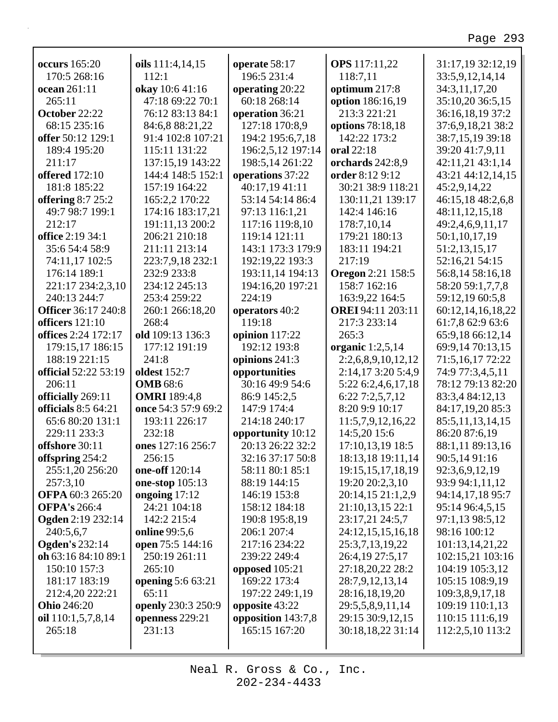٦

| <b>occurs</b> 165:20       | oils 111:4,14,15    | operate 58:17      | <b>OPS</b> 117:11,22     | 31:17,19 32:12,19 |
|----------------------------|---------------------|--------------------|--------------------------|-------------------|
| 170:5 268:16               | 112:1               | 196:5 231:4        | 118:7,11                 | 33:5,9,12,14,14   |
| ocean 261:11               | okay 10:6 41:16     | operating 20:22    | optimum 217:8            | 34:3,11,17,20     |
| 265:11                     | 47:18 69:22 70:1    | 60:18 268:14       | option 186:16,19         | 35:10,20 36:5,15  |
| October 22:22              | 76:12 83:13 84:1    | operation 36:21    | 213:3 221:21             | 36:16,18,19 37:2  |
| 68:15 235:16               | 84:6,8 88:21,22     | 127:18 170:8,9     | options 78:18,18         | 37:6,9,18,21 38:2 |
| offer 50:12 129:1          | 91:4 102:8 107:21   | 194:2 195:6,7,18   | 142:22 173:2             | 38:7,15,19 39:18  |
| 189:4 195:20               | 115:11 131:22       | 196:2,5,12 197:14  | oral 22:18               | 39:20 41:7,9,11   |
| 211:17                     | 137:15,19 143:22    | 198:5,14 261:22    | orchards 242:8,9         | 42:11,21 43:1,14  |
| <b>offered</b> 172:10      | 144:4 148:5 152:1   | operations 37:22   | order 8:12 9:12          | 43:21 44:12,14,15 |
| 181:8 185:22               | 157:19 164:22       | 40:17,19 41:11     | 30:21 38:9 118:21        | 45:2,9,14,22      |
| offering $8:725:2$         | 165:2,2 170:22      | 53:14 54:14 86:4   | 130:11,21 139:17         | 46:15,18 48:2,6,8 |
| 49:7 98:7 199:1            | 174:16 183:17,21    | 97:13 116:1,21     | 142:4 146:16             | 48:11,12,15,18    |
| 212:17                     | 191:11,13 200:2     | 117:16 119:8,10    | 178:7,10,14              | 49:2,4,6,9,11,17  |
| office 2:19 34:1           | 206:21 210:18       | 119:14 121:11      | 179:21 180:13            | 50:1,10,17,19     |
| 35:6 54:4 58:9             | 211:11 213:14       | 143:1 173:3 179:9  | 183:11 194:21            | 51:2,13,15,17     |
| 74:11,17 102:5             | 223:7,9,18 232:1    | 192:19,22 193:3    | 217:19                   | 52:16,21 54:15    |
| 176:14 189:1               | 232:9 233:8         | 193:11,14 194:13   | <b>Oregon</b> 2:21 158:5 | 56:8,14 58:16,18  |
| 221:17 234:2,3,10          | 234:12 245:13       | 194:16,20 197:21   | 158:7 162:16             | 58:20 59:1,7,7,8  |
| 240:13 244:7               | 253:4 259:22        | 224:19             | 163:9,22 164:5           | 59:12,19 60:5,8   |
| <b>Officer</b> 36:17 240:8 | 260:1 266:18,20     | operators 40:2     | <b>OREI</b> 94:11 203:11 | 60:12,14,16,18,22 |
| officers 121:10            | 268:4               | 119:18             | 217:3 233:14             | 61:7,8 62:9 63:6  |
| <b>offices</b> 2:24 172:17 | old 109:13 136:3    | opinion 117:22     | 265:3                    | 65:9,18 66:12,14  |
| 179:15,17 186:15           | 177:12 191:19       | 192:12 193:8       | organic $1:2,5,14$       | 69:9,14 70:13,15  |
| 188:19 221:15              | 241:8               | opinions 241:3     | 2:2,6,8,9,10,12,12       | 71:5,16,17 72:22  |
| official 52:22 53:19       | oldest 152:7        | opportunities      | 2:14,17 3:20 5:4,9       | 74:9 77:3,4,5,11  |
| 206:11                     | <b>OMB</b> 68:6     | 30:16 49:9 54:6    | 5:22 6:2,4,6,17,18       | 78:12 79:13 82:20 |
| officially 269:11          | <b>OMRI</b> 189:4,8 | 86:9 145:2,5       | 6:22 7:2,5,7,12          | 83:3,4 84:12,13   |
| officials $8:564:21$       | once 54:3 57:9 69:2 | 147:9 174:4        | 8:20 9:9 10:17           | 84:17,19,20 85:3  |
| 65:6 80:20 131:1           | 193:11 226:17       | 214:18 240:17      | 11:5,7,9,12,16,22        | 85:5,11,13,14,15  |
| 229:11 233:3               | 232:18              | opportunity 10:12  | 14:5,20 15:6             | 86:20 87:6,19     |
| offshore 30:11             | ones 127:16 256:7   | 20:13 26:22 32:2   | 17:10,13,19 18:5         | 88:1,11 89:13,16  |
| offspring 254:2            | 256:15              | 32:16 37:17 50:8   | 18:13,18 19:11,14        | 90:5,14 91:16     |
| 255:1,20 256:20            | one-off 120:14      | 58:11 80:1 85:1    | 19:15,15,17,18,19        | 92:3,6,9,12,19    |
| 257:3,10                   | one-stop 105:13     | 88:19 144:15       | 19:20 20:2,3,10          | 93:9 94:1,11,12   |
| <b>OFPA 60:3 265:20</b>    | ongoing 17:12       | 146:19 153:8       | 20:14,15 21:1,2,9        | 94:14,17,18 95:7  |
| <b>OFPA's 266:4</b>        | 24:21 104:18        | 158:12 184:18      | 21:10,13,15 22:1         | 95:14 96:4,5,15   |
| <b>Ogden</b> 2:19 232:14   | 142:2 215:4         | 190:8 195:8,19     | 23:17,21 24:5,7          | 97:1,13 98:5,12   |
| 240:5,6,7                  | online 99:5,6       | 206:1 207:4        | 24:12,15,15,16,18        | 98:16 100:12      |
| <b>Ogden's 232:14</b>      | open 75:5 144:16    | 217:16 234:22      | 25:3,7,13,19,22          | 101:13,14,21,22   |
| oh 63:16 84:10 89:1        | 250:19 261:11       | 239:22 249:4       | 26:4,19 27:5,17          | 102:15,21 103:16  |
| 150:10 157:3               | 265:10              | opposed 105:21     | 27:18,20,22 28:2         | 104:19 105:3,12   |
| 181:17 183:19              | opening 5:6 63:21   | 169:22 173:4       | 28:7,9,12,13,14          | 105:15 108:9,19   |
| 212:4,20 222:21            | 65:11               | 197:22 249:1,19    | 28:16,18,19,20           | 109:3,8,9,17,18   |
| <b>Ohio</b> 246:20         | openly 230:3 250:9  | opposite 43:22     | 29:5,5,8,9,11,14         | 109:19 110:1,13   |
| oil 110:1,5,7,8,14         | openness 229:21     | opposition 143:7,8 | 29:15 30:9,12,15         | 110:15 111:6,19   |
| 265:18                     | 231:13              | 165:15 167:20      | 30:18,18,22 31:14        | 112:2,5,10 113:2  |
|                            |                     |                    |                          |                   |
|                            |                     |                    |                          |                   |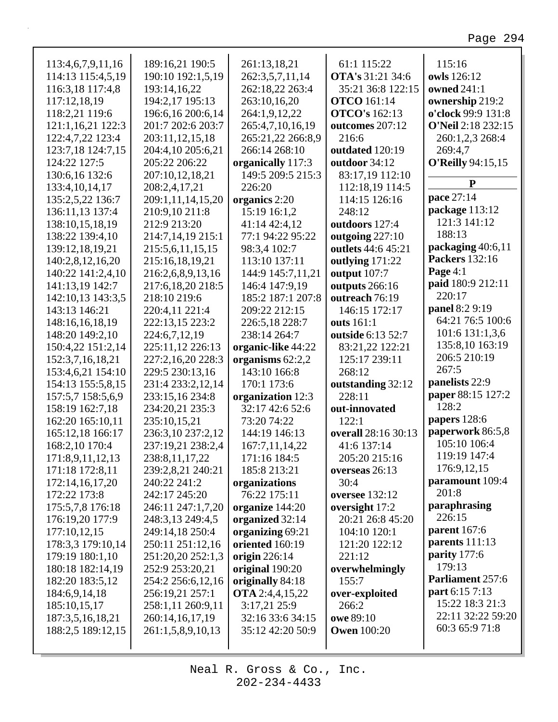| 113:4,6,7,9,11,16 | 189:16,21 190:5   | 261:13,18,21           | 61:1 115:22             | 115:16                    |
|-------------------|-------------------|------------------------|-------------------------|---------------------------|
| 114:13 115:4,5,19 | 190:10 192:1,5,19 | 262:3,5,7,11,14        | <b>OTA's</b> 31:21 34:6 | owls 126:12               |
| 116:3,18 117:4,8  | 193:14,16,22      | 262:18,22 263:4        | 35:21 36:8 122:15       | owned 241:1               |
| 117:12,18,19      | 194:2,17 195:13   | 263:10,16,20           | <b>OTCO</b> 161:14      | ownership 219:2           |
| 118:2,21 119:6    | 196:6,16 200:6,14 | 264:1,9,12,22          | <b>OTCO's</b> 162:13    | o'clock 99:9 131:8        |
| 121:1,16,21 122:3 | 201:7 202:6 203:7 | 265:4,7,10,16,19       | outcomes 207:12         | <b>O'Neil 2:18 232:15</b> |
| 122:4,7,22 123:4  | 203:11,12,15,18   | 265:21,22 266:8,9      | 216:6                   | 260:1,2,3 268:4           |
| 123:7,18 124:7,15 | 204:4,10 205:6,21 | 266:14 268:10          | outdated 120:19         | 269:4,7                   |
| 124:22 127:5      | 205:22 206:22     | organically 117:3      | outdoor 34:12           | <b>O'Reilly 94:15,15</b>  |
| 130:6,16 132:6    | 207:10,12,18,21   | 149:5 209:5 215:3      | 83:17,19 112:10         |                           |
| 133:4, 10, 14, 17 | 208:2,4,17,21     | 226:20                 | 112:18,19 114:5         | P                         |
| 135:2,5,22 136:7  | 209:1,11,14,15,20 | organics 2:20          | 114:15 126:16           | pace 27:14                |
| 136:11,13 137:4   | 210:9,10 211:8    | 15:19 16:1,2           | 248:12                  | package 113:12            |
| 138:10,15,18,19   | 212:9 213:20      | 41:14 42:4,12          | outdoors 127:4          | 121:3 141:12              |
| 138:22 139:4,10   | 214:7,14,19 215:1 | 77:1 94:22 95:22       | outgoing 227:10         | 188:13                    |
| 139:12,18,19,21   | 215:5,6,11,15,15  | 98:3,4 102:7           | outlets 44:6 45:21      | packaging 40:6,11         |
| 140:2,8,12,16,20  | 215:16,18,19,21   | 113:10 137:11          | outlying 171:22         | <b>Packers</b> 132:16     |
| 140:22 141:2,4,10 | 216:2,6,8,9,13,16 | 144:9 145:7,11,21      | output 107:7            | Page $4:1$                |
| 141:13,19 142:7   | 217:6,18,20 218:5 | 146:4 147:9,19         | outputs 266:16          | paid 180:9 212:11         |
| 142:10,13 143:3,5 | 218:10 219:6      | 185:2 187:1 207:8      | outreach 76:19          | 220:17                    |
| 143:13 146:21     | 220:4,11 221:4    | 209:22 212:15          | 146:15 172:17           | panel 8:2 9:19            |
| 148:16,16,18,19   | 222:13,15 223:2   | 226:5,18 228:7         | outs 161:1              | 64:21 76:5 100:6          |
| 148:20 149:2,10   | 224:6,7,12,19     | 238:14 264:7           | outside 6:13 52:7       | 101:6 131:1,3,6           |
| 150:4,22 151:2,14 | 225:11,12 226:13  | organic-like 44:22     | 83:21,22 122:21         | 135:8,10 163:19           |
| 152:3,7,16,18,21  | 227:2,16,20 228:3 | organisms 62:2,2       | 125:17 239:11           | 206:5 210:19              |
| 153:4,6,21 154:10 | 229:5 230:13,16   | 143:10 166:8           | 268:12                  | 267:5                     |
| 154:13 155:5,8,15 | 231:4 233:2,12,14 | 170:1 173:6            | outstanding 32:12       | panelists 22:9            |
| 157:5,7 158:5,6,9 | 233:15,16 234:8   | organization 12:3      | 228:11                  | paper 88:15 127:2         |
| 158:19 162:7,18   | 234:20,21 235:3   | 32:17 42:6 52:6        | out-innovated           | 128:2                     |
| 162:20 165:10,11  | 235:10,15,21      | 73:20 74:22            | 122:1                   | papers 128:6              |
| 165:12,18 166:17  | 236:3,10 237:2,12 | 144:19 146:13          | overall 28:16 30:13     | paperwork 86:5,8          |
| 168:2,10 170:4    | 237:19,21 238:2,4 | 167:7,11,14,22         | 41:6 137:14             | 105:10 106:4              |
| 171:8,9,11,12,13  | 238:8,11,17,22    | 171:16 184:5           | 205:20 215:16           | 119:19 147:4              |
| 171:18 172:8,11   | 239:2,8,21 240:21 | 185:8 213:21           | overseas 26:13          | 176:9,12,15               |
| 172:14,16,17,20   | 240:22 241:2      | organizations          | 30:4                    | paramount 109:4           |
| 172:22 173:8      | 242:17 245:20     | 76:22 175:11           | <b>oversee</b> 132:12   | 201:8                     |
| 175:5,7,8 176:18  | 246:11 247:1,7,20 | organize 144:20        | oversight 17:2          | paraphrasing              |
| 176:19,20 177:9   | 248:3,13 249:4,5  | organized 32:14        | 20:21 26:8 45:20        | 226:15                    |
| 177:10,12,15      | 249:14,18 250:4   | organizing 69:21       | 104:10 120:1            | <b>parent</b> 167:6       |
| 178:3,3 179:10,14 | 250:11 251:12,16  | oriented 160:19        | 121:20 122:12           | parents 111:13            |
| 179:19 180:1,10   | 251:20,20 252:1,3 | origin 226:14          | 221:12                  | parity 177:6              |
| 180:18 182:14,19  | 252:9 253:20,21   | original 190:20        | overwhelmingly          | 179:13                    |
| 182:20 183:5,12   | 254:2 256:6,12,16 | originally 84:18       | 155:7                   | Parliament 257:6          |
| 184:6,9,14,18     | 256:19,21 257:1   | <b>OTA</b> 2:4,4,15,22 | over-exploited          | part 6:15 7:13            |
| 185:10,15,17      | 258:1,11 260:9,11 | 3:17,21 25:9           | 266:2                   | 15:22 18:3 21:3           |
| 187:3,5,16,18,21  | 260:14,16,17,19   | 32:16 33:6 34:15       | owe 89:10               | 22:11 32:22 59:20         |
| 188:2,5 189:12,15 | 261:1,5,8,9,10,13 | 35:12 42:20 50:9       | <b>Owen</b> 100:20      | 60:3 65:9 71:8            |
|                   |                   |                        |                         |                           |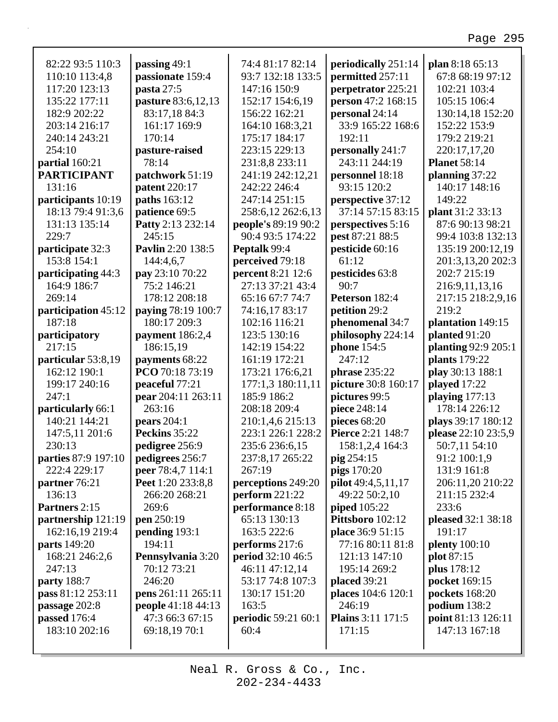| 82:22 93:5 110:3    | passing 49:1             | 74:4 81:17 82:14           | periodically 251:14         | plan 8:18 65:13           |
|---------------------|--------------------------|----------------------------|-----------------------------|---------------------------|
| 110:10 113:4,8      | passionate 159:4         | 93:7 132:18 133:5          | permitted 257:11            | 67:8 68:19 97:12          |
| 117:20 123:13       | pasta $27:5$             | 147:16 150:9               | perpetrator 225:21          | 102:21 103:4              |
| 135:22 177:11       | pasture 83:6,12,13       | 152:17 154:6,19            | person 47:2 168:15          | 105:15 106:4              |
| 182:9 202:22        | 83:17,18 84:3            | 156:22 162:21              | personal 24:14              | 130:14,18 152:20          |
| 203:14 216:17       | 161:17 169:9             | 164:10 168:3,21            | 33:9 165:22 168:6           | 152:22 153:9              |
| 240:14 243:21       | 170:14                   | 175:17 184:17              | 192:11                      | 179:2 219:21              |
| 254:10              | pasture-raised           | 223:15 229:13              | personally 241:7            | 220:17,17,20              |
| partial 160:21      | 78:14                    | 231:8,8 233:11             | 243:11 244:19               | <b>Planet 58:14</b>       |
| <b>PARTICIPANT</b>  | patchwork 51:19          | 241:19 242:12,21           | personnel 18:18             | planning $37:22$          |
| 131:16              | patent 220:17            | 242:22 246:4               | 93:15 120:2                 | 140:17 148:16             |
| participants 10:19  | paths 163:12             | 247:14 251:15              | perspective 37:12           | 149:22                    |
| 18:13 79:4 91:3,6   | patience 69:5            | 258:6,12 262:6,13          | 37:14 57:15 83:15           | plant 31:2 33:13          |
| 131:13 135:14       | Patty 2:13 232:14        | people's 89:19 90:2        | perspectives 5:16           | 87:6 90:13 98:21          |
| 229:7               | 245:15                   | 90:4 93:5 174:22           | pest 87:21 88:5             | 99:4 103:8 132:13         |
| participate 32:3    | <b>Pavlin</b> 2:20 138:5 | Peptalk 99:4               | pesticide 60:16             | 135:19 200:12,19          |
| 153:8 154:1         | 144:4,6,7                | perceived 79:18            | 61:12                       | 201:3,13,20 202:3         |
| participating 44:3  | pay 23:10 70:22          | percent 8:21 12:6          | pesticides 63:8             | 202:7 215:19              |
| 164:9 186:7         | 75:2 146:21              | 27:13 37:21 43:4           | 90:7                        | 216:9,11,13,16            |
| 269:14              | 178:12 208:18            | 65:16 67:7 74:7            | Peterson 182:4              | 217:15 218:2,9,16         |
| participation 45:12 | paying 78:19 100:7       | 74:16,17 83:17             | petition 29:2               | 219:2                     |
| 187:18              | 180:17 209:3             | 102:16 116:21              | phenomenal 34:7             | plantation 149:15         |
| participatory       | payment 186:2,4          | 123:5 130:16               | philosophy 224:14           | planted 91:20             |
| 217:15              | 186:15,19                | 142:19 154:22              | phone 154:5                 | planting 92:9 205:1       |
| particular 53:8,19  | payments 68:22           | 161:19 172:21              | 247:12                      | plants 179:22             |
| 162:12 190:1        | PCO 70:18 73:19          | 173:21 176:6,21            | <b>phrase</b> 235:22        | play 30:13 188:1          |
| 199:17 240:16       | peaceful 77:21           | 177:1,3 180:11,11          | picture 30:8 160:17         | played 17:22              |
| 247:1               | pear 204:11 263:11       | 185:9 186:2                | pictures 99:5               | playing $177:13$          |
| particularly 66:1   | 263:16                   | 208:18 209:4               | piece 248:14                | 178:14 226:12             |
| 140:21 144:21       | pears $204:1$            | 210:1,4,6 215:13           | pieces 68:20                | plays 39:17 180:12        |
| 147:5,11 201:6      | Peckins 35:22            | 223:1 226:1 228:2          | Pierce 2:21 148:7           | please 22:10 23:5,9       |
| 230:13              | pedigree 256:9           | 235:6 236:6,15             | 158:1,2,4 164:3             | 50:7,11 54:10             |
| parties 87:9 197:10 | pedigrees 256:7          | 237:8,17 265:22            | pig 254:15                  | 91:2 100:1,9              |
| 222:4 229:17        | peer 78:4,7 114:1        | 267:19                     | <b>pigs</b> 170:20          | 131:9 161:8               |
| partner 76:21       | Peet 1:20 233:8,8        | perceptions 249:20         | pilot 49:4,5,11,17          | 206:11,20 210:22          |
| 136:13              | 266:20 268:21            | perform $221:22$           | 49:22 50:2,10               | 211:15 232:4              |
| Partners 2:15       | 269:6                    | performance 8:18           | piped 105:22                | 233:6                     |
| partnership 121:19  | pen 250:19               | 65:13 130:13               | Pittsboro 102:12            | pleased 32:1 38:18        |
| 162:16,19 219:4     | pending $193:1$          | 163:5 222:6                | place 36:9 51:15            | 191:17                    |
| parts 149:20        | 194:11                   | performs 217:6             | 77:16 80:11 81:8            | <b>plenty</b> 100:10      |
| 168:21 246:2,6      | Pennsylvania 3:20        | period 32:10 46:5          | 121:13 147:10               |                           |
| 247:13              | 70:12 73:21              | 46:11 47:12,14             | 195:14 269:2                | plot 87:15<br>plus 178:12 |
|                     | 246:20                   | 53:17 74:8 107:3           |                             |                           |
| <b>party</b> 188:7  |                          |                            | placed 39:21                | pocket 169:15             |
| pass 81:12 253:11   | pens 261:11 265:11       | 130:17 151:20              | places 104:6 120:1          | <b>pockets</b> 168:20     |
| passage 202:8       | people 41:18 44:13       | 163:5                      | 246:19<br>Plains 3:11 171:5 | podium $138:2$            |
| passed 176:4        | 47:3 66:3 67:15          | <b>periodic</b> 59:21 60:1 |                             | point 81:13 126:11        |
| 183:10 202:16       | 69:18,19 70:1            | 60:4                       | 171:15                      | 147:13 167:18             |
|                     |                          |                            |                             |                           |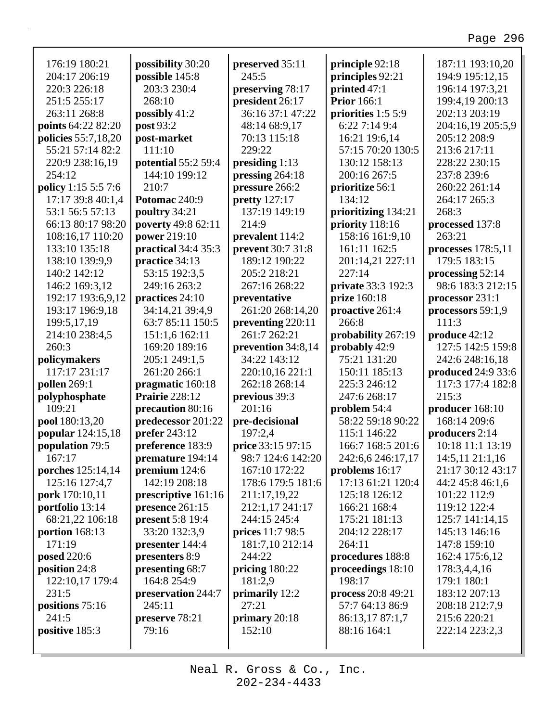| 176:19 180:21       | possibility 30:20       | preserved 35:11      | principle 92:18     | 187:11 193:10,20   |
|---------------------|-------------------------|----------------------|---------------------|--------------------|
| 204:17 206:19       | possible 145:8          | 245:5                | principles 92:21    | 194:9 195:12,15    |
| 220:3 226:18        | 203:3 230:4             | preserving 78:17     | printed 47:1        | 196:14 197:3,21    |
| 251:5 255:17        | 268:10                  | president 26:17      | <b>Prior</b> 166:1  | 199:4,19 200:13    |
| 263:11 268:8        | possibly $41:2$         | 36:16 37:1 47:22     | priorities 1:5 5:9  | 202:13 203:19      |
| points 64:22 82:20  | post 93:2               | 48:14 68:9,17        | 6:227:149:4         | 204:16,19 205:5,9  |
| policies 55:7,18,20 | post-market             | 70:13 115:18         | 16:21 19:6,14       | 205:12 208:9       |
| 55:21 57:14 82:2    | 111:10                  | 229:22               | 57:15 70:20 130:5   | 213:6 217:11       |
| 220:9 238:16,19     | potential 55:2 59:4     | presiding $1:13$     | 130:12 158:13       | 228:22 230:15      |
| 254:12              | 144:10 199:12           | pressing 264:18      | 200:16 267:5        | 237:8 239:6        |
| policy 1:15 5:5 7:6 | 210:7                   | pressure 266:2       | prioritize 56:1     | 260:22 261:14      |
| 17:17 39:8 40:1,4   | Potomac 240:9           | <b>pretty</b> 127:17 | 134:12              | 264:17 265:3       |
| 53:1 56:5 57:13     | poultry 34:21           | 137:19 149:19        | prioritizing 134:21 | 268:3              |
| 66:13 80:17 98:20   | poverty 49:8 62:11      | 214:9                | priority 118:16     | processed 137:8    |
| 108:16,17 110:20    | power 219:10            | prevalent 114:2      | 158:16 161:9,10     | 263:21             |
| 133:10 135:18       | practical 34:4 35:3     | prevent 30:7 31:8    | 161:11 162:5        | processes 178:5,11 |
| 138:10 139:9,9      | practice 34:13          | 189:12 190:22        | 201:14,21 227:11    | 179:5 183:15       |
| 140:2 142:12        | 53:15 192:3,5           | 205:2 218:21         | 227:14              | processing 52:14   |
| 146:2 169:3,12      | 249:16 263:2            | 267:16 268:22        | private 33:3 192:3  | 98:6 183:3 212:15  |
| 192:17 193:6,9,12   | practices 24:10         | preventative         | prize 160:18        | processor 231:1    |
| 193:17 196:9,18     | 34:14,21 39:4,9         | 261:20 268:14,20     | proactive 261:4     | processors 59:1,9  |
| 199:5,17,19         | 63:7 85:11 150:5        | preventing 220:11    | 266:8               | 111:3              |
| 214:10 238:4,5      | 151:1,6 162:11          | 261:7 262:21         | probability 267:19  | produce 42:12      |
| 260:3               | 169:20 189:16           | prevention 34:8,14   | probably 42:9       | 127:5 142:5 159:8  |
| policymakers        | 205:1 249:1,5           | 34:22 143:12         | 75:21 131:20        | 242:6 248:16,18    |
| 117:17 231:17       | 261:20 266:1            | 220:10,16 221:1      | 150:11 185:13       | produced 24:9 33:6 |
| pollen 269:1        | pragmatic 160:18        | 262:18 268:14        | 225:3 246:12        | 117:3 177:4 182:8  |
| polyphosphate       | <b>Prairie</b> 228:12   | previous 39:3        | 247:6 268:17        | 215:3              |
| 109:21              | precaution 80:16        | 201:16               | problem 54:4        | producer 168:10    |
| pool 180:13,20      | predecessor 201:22      | pre-decisional       | 58:22 59:18 90:22   | 168:14 209:6       |
| popular 124:15,18   | <b>prefer</b> 243:12    | 197:2,4              | 115:1 146:22        | producers 2:14     |
| population 79:5     | preference 183:9        | price 33:15 97:15    | 166:7 168:5 201:6   | 10:18 11:1 13:19   |
| 167:17              | premature 194:14        | 98:7 124:6 142:20    | 242:6,6 246:17,17   | 14:5,11 21:1,16    |
| porches 125:14,14   | premium $124:6$         | 167:10 172:22        | problems 16:17      | 21:17 30:12 43:17  |
| 125:16 127:4,7      | 142:19 208:18           | 178:6 179:5 181:6    | 17:13 61:21 120:4   | 44:2 45:8 46:1,6   |
| pork 170:10,11      | prescriptive 161:16     | 211:17,19,22         | 125:18 126:12       | 101:22 112:9       |
| portfolio 13:14     | presence 261:15         | 212:1,17 241:17      | 166:21 168:4        | 119:12 122:4       |
| 68:21,22 106:18     | <b>present</b> 5:8 19:4 | 244:15 245:4         | 175:21 181:13       | 125:7 141:14,15    |
| portion 168:13      | 33:20 132:3,9           | prices 11:7 98:5     | 204:12 228:17       | 145:13 146:16      |
| 171:19              | presenter 144:4         | 181:7,10 212:14      | 264:11              | 147:8 159:10       |
| posed 220:6         | presenters 8:9          | 244:22               | procedures 188:8    | 162:4 175:6,12     |
| position 24:8       | presenting 68:7         | pricing $180:22$     | proceedings 18:10   | 178:3,4,4,16       |
| 122:10,17 179:4     | 164:8 254:9             | 181:2,9              | 198:17              | 179:1 180:1        |
| 231:5               | preservation 244:7      | primarily 12:2       | process 20:8 49:21  | 183:12 207:13      |
| positions 75:16     | 245:11                  | 27:21                | 57:7 64:13 86:9     | 208:18 212:7,9     |
| 241:5               | preserve 78:21          | primary $20:18$      | 86:13,17 87:1,7     | 215:6 220:21       |
| positive 185:3      | 79:16                   | 152:10               | 88:16 164:1         | 222:14 223:2,3     |
|                     |                         |                      |                     |                    |

Г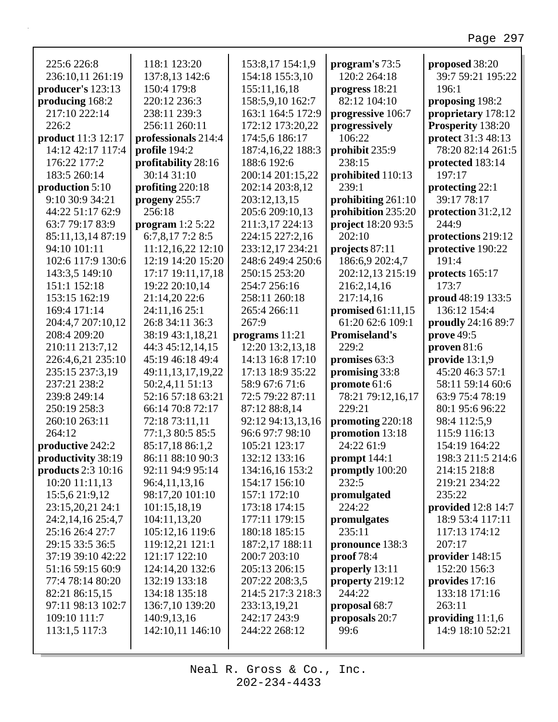| 225:6 226:8        | 118:1 123:20        | 153:8,17 154:1,9  | program's 73:5       | proposed 38:20     |
|--------------------|---------------------|-------------------|----------------------|--------------------|
| 236:10,11 261:19   | 137:8,13 142:6      | 154:18 155:3,10   | 120:2 264:18         | 39:7 59:21 195:22  |
| producer's 123:13  | 150:4 179:8         | 155:11,16,18      | progress 18:21       | 196:1              |
| producing 168:2    | 220:12 236:3        | 158:5,9,10 162:7  | 82:12 104:10         | proposing 198:2    |
| 217:10 222:14      | 238:11 239:3        | 163:1 164:5 172:9 | progressive 106:7    | proprietary 178:12 |
| 226:2              | 256:11 260:11       | 172:12 173:20,22  | progressively        | Prosperity 138:20  |
| product 11:3 12:17 | professionals 214:4 | 174:5,6 186:17    | 106:22               | protect 31:3 48:13 |
| 14:12 42:17 117:4  | profile 194:2       | 187:4,16,22 188:3 | prohibit 235:9       | 78:20 82:14 261:5  |
| 176:22 177:2       | profitability 28:16 | 188:6 192:6       | 238:15               | protected 183:14   |
| 183:5 260:14       | 30:14 31:10         | 200:14 201:15,22  | prohibited 110:13    | 197:17             |
| production 5:10    | profiting 220:18    | 202:14 203:8,12   | 239:1                | protecting 22:1    |
| 9:10 30:9 34:21    | progeny 255:7       | 203:12,13,15      | prohibiting 261:10   | 39:17 78:17        |
| 44:22 51:17 62:9   | 256:18              | 205:6 209:10,13   | prohibition 235:20   | protection 31:2,12 |
| 63:7 79:17 83:9    | program $1:2$ 5:22  | 211:3,17 224:13   | project 18:20 93:5   | 244:9              |
| 85:11,13,14 87:19  | $6:7,8,17$ 7:2 8:5  | 224:15 227:2,16   | 202:10               | protections 219:12 |
| 94:10 101:11       | 11:12,16,22 12:10   | 233:12,17 234:21  | projects 87:11       | protective 190:22  |
| 102:6 117:9 130:6  | 12:19 14:20 15:20   | 248:6 249:4 250:6 | 186:6,9 202:4,7      | 191:4              |
| 143:3,5 149:10     | 17:17 19:11,17,18   | 250:15 253:20     | 202:12,13 215:19     | protects 165:17    |
| 151:1 152:18       | 19:22 20:10,14      | 254:7 256:16      | 216:2,14,16          | 173:7              |
| 153:15 162:19      | 21:14,20 22:6       | 258:11 260:18     | 217:14,16            | proud 48:19 133:5  |
| 169:4 171:14       | 24:11,16 25:1       | 265:4 266:11      | promised $61:11,15$  | 136:12 154:4       |
| 204:4,7 207:10,12  | 26:8 34:11 36:3     | 267:9             | 61:20 62:6 109:1     | proudly 24:16 89:7 |
| 208:4 209:20       | 38:19 43:1,18,21    | programs $11:21$  | <b>Promiseland's</b> | prove 49:5         |
| 210:11 213:7,12    | 44:3 45:12,14,15    | 12:20 13:2,13,18  | 229:2                | proven $81:6$      |
| 226:4,6,21 235:10  | 45:19 46:18 49:4    | 14:13 16:8 17:10  | promises 63:3        | provide $13:1,9$   |
| 235:15 237:3,19    | 49:11,13,17,19,22   | 17:13 18:9 35:22  | promising 33:8       | 45:20 46:3 57:1    |
| 237:21 238:2       | 50:2,4,11 51:13     | 58:9 67:6 71:6    | promote 61:6         | 58:11 59:14 60:6   |
| 239:8 249:14       | 52:16 57:18 63:21   | 72:5 79:22 87:11  | 78:21 79:12,16,17    | 63:9 75:4 78:19    |
| 250:19 258:3       | 66:14 70:8 72:17    | 87:12 88:8,14     | 229:21               | 80:1 95:6 96:22    |
| 260:10 263:11      | 72:18 73:11,11      | 92:12 94:13,13,16 | promoting 220:18     | 98:4 112:5,9       |
| 264:12             | 77:1,3 80:5 85:5    | 96:6 97:7 98:10   | promotion 13:18      | 115:9 116:13       |
| productive 242:2   | 85:17,18 86:1,2     | 105:21 123:17     | 24:22 61:9           | 154:19 164:22      |
| productivity 38:19 | 86:11 88:10 90:3    | 132:12 133:16     | prompt 144:1         | 198:3 211:5 214:6  |
| products 2:3 10:16 | 92:11 94:9 95:14    | 134:16,16 153:2   | promptly 100:20      | 214:15 218:8       |
| 10:20 11:11,13     | 96:4,11,13,16       | 154:17 156:10     | 232:5                | 219:21 234:22      |
| 15:5,6 21:9,12     | 98:17,20 101:10     | 157:1 172:10      | promulgated          | 235:22             |
| 23:15,20,21 24:1   | 101:15,18,19        | 173:18 174:15     | 224:22               | provided 12:8 14:7 |
| 24:2,14,16 25:4,7  | 104:11,13,20        | 177:11 179:15     | promulgates          | 18:9 53:4 117:11   |
| 25:16 26:4 27:7    | 105:12,16 119:6     | 180:18 185:15     | 235:11               | 117:13 174:12      |
| 29:15 33:5 36:5    | 119:12,21 121:1     | 187:2,17 188:11   | pronounce 138:3      | 207:17             |
| 37:19 39:10 42:22  | 121:17 122:10       | 200:7 203:10      | proof 78:4           | provider 148:15    |
| 51:16 59:15 60:9   | 124:14,20 132:6     | 205:13 206:15     | properly 13:11       | 152:20 156:3       |
| 77:4 78:14 80:20   | 132:19 133:18       | 207:22 208:3,5    | property 219:12      | provides 17:16     |
| 82:21 86:15,15     | 134:18 135:18       | 214:5 217:3 218:3 | 244:22               | 133:18 171:16      |
| 97:11 98:13 102:7  | 136:7,10 139:20     | 233:13,19,21      | proposal 68:7        | 263:11             |
| 109:10 111:7       | 140:9,13,16         | 242:17 243:9      | proposals 20:7       | providing $11:1,6$ |
| 113:1,5 117:3      | 142:10,11 146:10    | 244:22 268:12     | 99:6                 | 14:9 18:10 52:21   |
|                    |                     |                   |                      |                    |
|                    |                     |                   |                      |                    |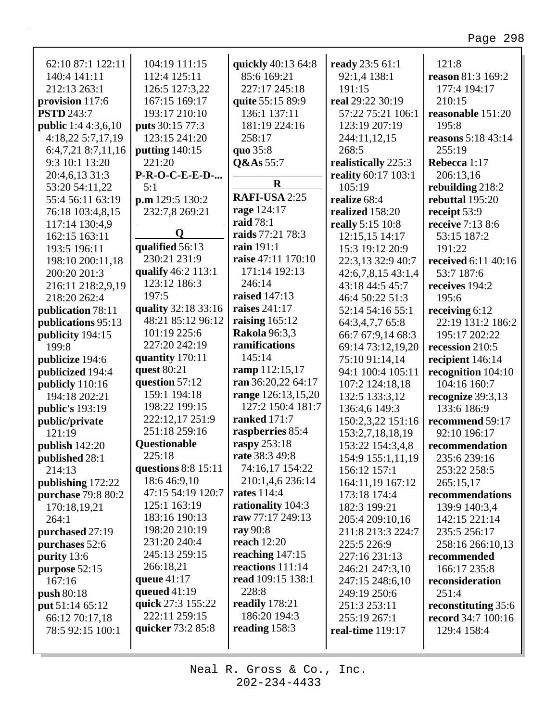| 62:10 87:1 122:11          | 104:19 111:15          | quickly 40:13 64:8   | ready 23:5 61:1        | 121:8                     |
|----------------------------|------------------------|----------------------|------------------------|---------------------------|
| 140:4 141:11               | 112:4 125:11           | 85:6 169:21          | 92:1,4 138:1           | reason 81:3 169:2         |
| 212:13 263:1               | 126:5 127:3,22         | 227:17 245:18        | 191:15                 | 177:4 194:17              |
| provision 117:6            | 167:15 169:17          | quite 55:15 89:9     | real 29:22 30:19       | 210:15                    |
| <b>PSTD 243:7</b>          | 193:17 210:10          | 136:1 137:11         | 57:22 75:21 106:1      | reasonable 151:20         |
| <b>public</b> 1:4 4:3,6,10 | <b>puts</b> 30:15 77:3 | 181:19 224:16        | 123:19 207:19          | 195:8                     |
| 4:18,22 5:7,17,19          | 123:15 241:20          | 258:17               | 244:11,12,15           | <b>reasons</b> 5:18 43:14 |
| 6:4,7,21 8:7,11,16         | putting $140:15$       | quo 35:8             | 268:5                  | 255:19                    |
| 9:3 10:1 13:20             | 221:20                 | Q&As 55:7            | realistically 225:3    | Rebecca 1:17              |
| 20:4,6,13 31:3             | <b>P-R-O-C-E-E-D-</b>  |                      | reality 60:17 103:1    | 206:13,16                 |
| 53:20 54:11,22             | 5:1                    | $\mathbf R$          | 105:19                 | rebuilding 218:2          |
| 55:4 56:11 63:19           | p.m 129:5 130:2        | RAFI-USA 2:25        | realize 68:4           | rebuttal 195:20           |
| 76:18 103:4,8,15           | 232:7,8 269:21         | rage 124:17          | realized 158:20        | receipt 53:9              |
| 117:14 130:4,9             |                        | <b>raid</b> 78:1     | really 5:15 10:8       | receive 7:13 8:6          |
| 162:15 163:11              | Q                      | raids 77:21 78:3     | 12:15,15 14:17         | 53:15 187:2               |
| 193:5 196:11               | qualified 56:13        | rain 191:1           | 15:3 19:12 20:9        | 191:22                    |
| 198:10 200:11,18           | 230:21 231:9           | raise 47:11 170:10   | 22:3,13 32:9 40:7      | received 6:11 40:16       |
| 200:20 201:3               | qualify 46:2 113:1     | 171:14 192:13        | $42:6,7,8,15$ $43:1,4$ | 53:7 187:6                |
| 216:11 218:2,9,19          | 123:12 186:3           | 246:14               | 43:18 44:5 45:7        | receives 194:2            |
| 218:20 262:4               | 197:5                  | <b>raised</b> 147:13 | 46:4 50:22 51:3        | 195:6                     |
| publication 78:11          | quality 32:18 33:16    | raises 241:17        | 52:14 54:16 55:1       | receiving 6:12            |
| publications 95:13         | 48:21 85:12 96:12      | raising $165:12$     | 64:3,4,7,7 65:8        | 22:19 131:2 186:2         |
| publicity 194:15           | 101:19 225:6           | <b>Rakola</b> 96:3,3 | 66:7 67:9,14 68:3      | 195:17 202:22             |
| 199:8                      | 227:20 242:19          | ramifications        | 69:14 73:12,19,20      | recession 210:5           |
| publicize 194:6            | quantity 170:11        | 145:14               | 75:10 91:14,14         | recipient 146:14          |
| publicized 194:4           | quest 80:21            | ramp 112:15,17       | 94:1 100:4 105:11      | recognition 104:10        |
| publicly 110:16            | question 57:12         | ran 36:20,22 64:17   | 107:2 124:18,18        | 104:16 160:7              |
| 194:18 202:21              | 159:1 194:18           | range 126:13,15,20   | 132:5 133:3,12         | recognize 39:3,13         |
| public's 193:19            | 198:22 199:15          | 127:2 150:4 181:7    | 136:4,6 149:3          | 133:6 186:9               |
| public/private             | 222:12,17 251:9        | <b>ranked</b> 171:7  | 150:2,3,22 151:16      | recommend 59:17           |
| 121:19                     | 251:18 259:16          | raspberries 85:4     | 153:2,7,18,18,19       | 92:10 196:17              |
| publish 142:20             | Questionable           | raspy 253:18         | 153:22 154:3,4,8       | recommendation            |
| published 28:1             | 225:18                 | rate 38:3 49:8       | 154:9 155:1,11,19      | 235:6 239:16              |
| 214:13                     | questions $8:8$ 15:11  | 74:16,17 154:22      | 156:12 157:1           | 253:22 258:5              |
| publishing 172:22          | 18:6 46:9,10           | 210:1,4,6 236:14     | 164:11,19 167:12       | 265:15,17                 |
| purchase 79:8 80:2         | 47:15 54:19 120:7      | <b>rates</b> 114:4   | 173:18 174:4           | recommendations           |
| 170:18,19,21               | 125:1 163:19           | rationality 104:3    | 182:3 199:21           | 139:9 140:3,4             |
| 264:1                      | 183:16 190:13          | raw 77:17 249:13     | 205:4 209:10,16        | 142:15 221:14             |
| purchased 27:19            | 198:20 210:19          | ray 90:8             | 211:8 213:3 224:7      | 235:5 256:17              |
| purchases 52:6             | 231:20 240:4           | reach $12:20$        | 225:5 226:9            | 258:16 266:10,13          |
| purity 13:6                | 245:13 259:15          | reaching 147:15      | 227:16 231:13          | recommended               |
| purpose 52:15              | 266:18,21              | reactions 111:14     | 246:21 247:3,10        | 166:17 235:8              |
| 167:16                     | queue $41:17$          | read 109:15 138:1    | 247:15 248:6,10        | reconsideration           |
| push 80:18                 | queued $41:19$         | 228:8                | 249:19 250:6           | 251:4                     |
| put 51:14 65:12            | quick 27:3 155:22      | readily 178:21       | 251:3 253:11           | reconstituting 35:6       |
| 66:12 70:17,18             | 222:11 259:15          | 186:20 194:3         | 255:19 267:1           | record 34:7 100:16        |
| 78:5 92:15 100:1           | quicker 73:2 85:8      | reading 158:3        | real-time 119:17       | 129:4 158:4               |
|                            |                        |                      |                        |                           |
|                            |                        |                      |                        |                           |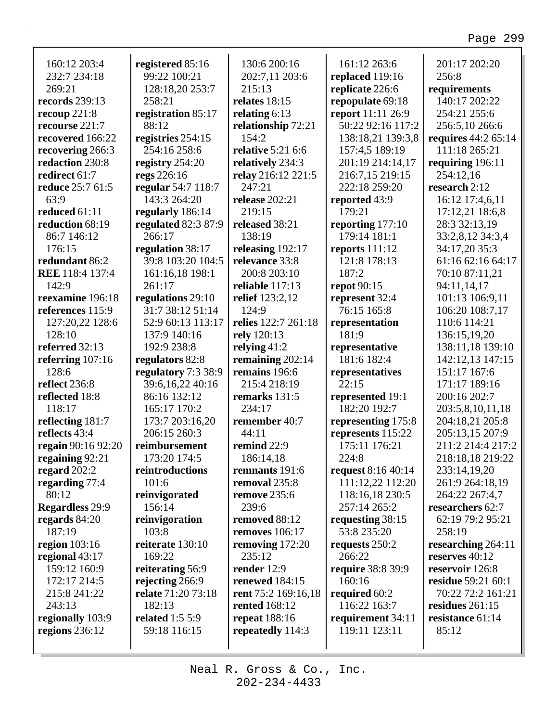| 160:12 203:4<br>232:7 234:18<br>269:21<br>records 239:13<br>recoup $221:8$<br>recourse 221:7 | registered 85:16<br>99:22 100:21<br>128:18,20 253:7<br>258:21<br>registration 85:17<br>88:12 | 130:6 200:16<br>202:7,11 203:6<br>215:13<br>relates 18:15<br>relating $6:13$<br>relationship 72:21<br>154:2 | 161:12 263:6<br>replaced 119:16<br>replicate 226:6<br>repopulate 69:18<br>report 11:11 26:9<br>50:22 92:16 117:2 | 201:17 202:20<br>256:8<br>requirements<br>140:17 202:22<br>254:21 255:6<br>256:5,10 266:6 |
|----------------------------------------------------------------------------------------------|----------------------------------------------------------------------------------------------|-------------------------------------------------------------------------------------------------------------|------------------------------------------------------------------------------------------------------------------|-------------------------------------------------------------------------------------------|
| recovered 166:22                                                                             | registries 254:15<br>254:16 258:6                                                            | <b>relative 5:21 6:6</b>                                                                                    | 138:18,21 139:3,8<br>157:4,5 189:19                                                                              | <b>requires</b> 44:2 65:14<br>111:18 265:21                                               |
| recovering 266:3<br>redaction 230:8                                                          | registry $254:20$                                                                            | relatively 234:3                                                                                            | 201:19 214:14,17                                                                                                 | requiring $196:11$                                                                        |
| redirect 61:7                                                                                | regs 226:16                                                                                  | relay 216:12 221:5                                                                                          | 216:7,15 219:15                                                                                                  | 254:12,16                                                                                 |
| reduce 25:7 61:5                                                                             | regular 54:7 118:7                                                                           | 247:21                                                                                                      | 222:18 259:20                                                                                                    | research 2:12                                                                             |
| 63:9                                                                                         | 143:3 264:20                                                                                 | release $202:21$                                                                                            | reported 43:9                                                                                                    | 16:12 17:4,6,11                                                                           |
| reduced 61:11                                                                                | regularly 186:14                                                                             | 219:15                                                                                                      | 179:21                                                                                                           |                                                                                           |
| reduction 68:19                                                                              |                                                                                              | released 38:21                                                                                              |                                                                                                                  | 17:12,21 18:6,8<br>28:3 32:13,19                                                          |
| 86:7 146:12                                                                                  | regulated 82:3 87:9<br>266:17                                                                | 138:19                                                                                                      | reporting 177:10<br>179:14 181:1                                                                                 | 33:2,8,12 34:3,4                                                                          |
| 176:15                                                                                       | regulation 38:17                                                                             | releasing 192:17                                                                                            | reports 111:12                                                                                                   | 34:17,20 35:3                                                                             |
| redundant 86:2                                                                               | 39:8 103:20 104:5                                                                            | relevance 33:8                                                                                              | 121:8 178:13                                                                                                     | 61:16 62:16 64:17                                                                         |
| <b>REE</b> 118:4 137:4                                                                       |                                                                                              | 200:8 203:10                                                                                                | 187:2                                                                                                            | 70:10 87:11,21                                                                            |
| 142:9                                                                                        | 161:16,18 198:1<br>261:17                                                                    | reliable 117:13                                                                                             |                                                                                                                  |                                                                                           |
| reexamine 196:18                                                                             |                                                                                              |                                                                                                             | <b>repot</b> 90:15                                                                                               | 94:11,14,17<br>101:13 106:9,11                                                            |
| references 115:9                                                                             | regulations 29:10<br>31:7 38:12 51:14                                                        | <b>relief</b> 123:2,12<br>124:9                                                                             | represent 32:4<br>76:15 165:8                                                                                    |                                                                                           |
|                                                                                              | 52:9 60:13 113:17                                                                            | relies 122:7 261:18                                                                                         |                                                                                                                  | 106:20 108:7,17<br>110:6 114:21                                                           |
| 127:20,22 128:6<br>128:10                                                                    | 137:9 140:16                                                                                 |                                                                                                             | representation<br>181:9                                                                                          |                                                                                           |
| referred 32:13                                                                               |                                                                                              | rely 120:13                                                                                                 |                                                                                                                  | 136:15,19,20                                                                              |
|                                                                                              | 192:9 238:8                                                                                  | relying $41:2$                                                                                              | representative<br>181:6 182:4                                                                                    | 138:11,18 139:10                                                                          |
| referring 107:16<br>128:6                                                                    | regulators 82:8                                                                              | remaining 202:14<br>remains 196:6                                                                           |                                                                                                                  | 142:12,13 147:15                                                                          |
| reflect 236:8                                                                                | regulatory 7:3 38:9<br>39:6,16,22 40:16                                                      | 215:4 218:19                                                                                                | representatives<br>22:15                                                                                         | 151:17 167:6                                                                              |
|                                                                                              | 86:16 132:12                                                                                 |                                                                                                             |                                                                                                                  | 171:17 189:16                                                                             |
| reflected 18:8<br>118:17                                                                     | 165:17 170:2                                                                                 | remarks 131:5<br>234:17                                                                                     | represented 19:1<br>182:20 192:7                                                                                 | 200:16 202:7                                                                              |
| reflecting 181:7                                                                             |                                                                                              | remember 40:7                                                                                               |                                                                                                                  | 203:5,8,10,11,18                                                                          |
| reflects 43:4                                                                                | 173:7 203:16,20<br>206:15 260:3                                                              | 44:11                                                                                                       | representing 175:8                                                                                               | 204:18,21 205:8                                                                           |
| regain 90:16 92:20                                                                           |                                                                                              | remind 22:9                                                                                                 | represents 115:22<br>175:11 176:21                                                                               | 205:13,15 207:9<br>211:2 214:4 217:2                                                      |
|                                                                                              | reimbursement<br>173:20 174:5                                                                |                                                                                                             | 224:8                                                                                                            |                                                                                           |
| regaining 92:21                                                                              |                                                                                              | 186:14,18<br>remnants 191:6                                                                                 |                                                                                                                  | 218:18,18 219:22                                                                          |
| regard $202:2$                                                                               | reintroductions<br>101:6                                                                     | removal 235:8                                                                                               | request $8:16\,40:14$                                                                                            | 233:14,19,20                                                                              |
| regarding 77:4<br>80:12                                                                      |                                                                                              | <b>remove</b> 235:6                                                                                         | 111:12,22 112:20<br>118:16,18 230:5                                                                              | 261:9 264:18,19<br>264:22 267:4,7                                                         |
| <b>Regardless</b> 29:9                                                                       | reinvigorated<br>156:14                                                                      | 239:6                                                                                                       | 257:14 265:2                                                                                                     | researchers 62:7                                                                          |
|                                                                                              |                                                                                              | removed 88:12                                                                                               |                                                                                                                  | 62:19 79:2 95:21                                                                          |
| regards 84:20<br>187:19                                                                      | reinvigoration<br>103:8                                                                      | <b>removes</b> 106:17                                                                                       | requesting 38:15<br>53:8 235:20                                                                                  | 258:19                                                                                    |
|                                                                                              | reiterate 130:10                                                                             |                                                                                                             |                                                                                                                  |                                                                                           |
| region $103:16$                                                                              | 169:22                                                                                       | removing $172:20$<br>235:12                                                                                 | requests 250:2<br>266:22                                                                                         | researching $264:11$<br>reserves $40:12$                                                  |
| regional 43:17                                                                               |                                                                                              |                                                                                                             |                                                                                                                  |                                                                                           |
| 159:12 160:9                                                                                 | reiterating 56:9                                                                             | render 12:9                                                                                                 | require 38:8 39:9<br>160:16                                                                                      | reservoir 126:8<br><b>residue</b> 59:21 60:1                                              |
| 172:17 214:5                                                                                 | rejecting 266:9                                                                              | <b>renewed</b> 184:15                                                                                       |                                                                                                                  |                                                                                           |
| 215:8 241:22                                                                                 | relate 71:20 73:18                                                                           | rent 75:2 169:16,18                                                                                         | required 60:2                                                                                                    | 70:22 72:2 161:21                                                                         |
| 243:13                                                                                       | 182:13                                                                                       | <b>rented</b> 168:12                                                                                        | 116:22 163:7                                                                                                     | residues $261:15$                                                                         |
| regionally 103:9                                                                             | related $1:55:9$                                                                             | <b>repeat</b> 188:16                                                                                        | requirement 34:11                                                                                                | resistance 61:14                                                                          |
| regions $236:12$                                                                             | 59:18 116:15                                                                                 | repeatedly 114:3                                                                                            | 119:11 123:11                                                                                                    | 85:12                                                                                     |
|                                                                                              |                                                                                              |                                                                                                             |                                                                                                                  |                                                                                           |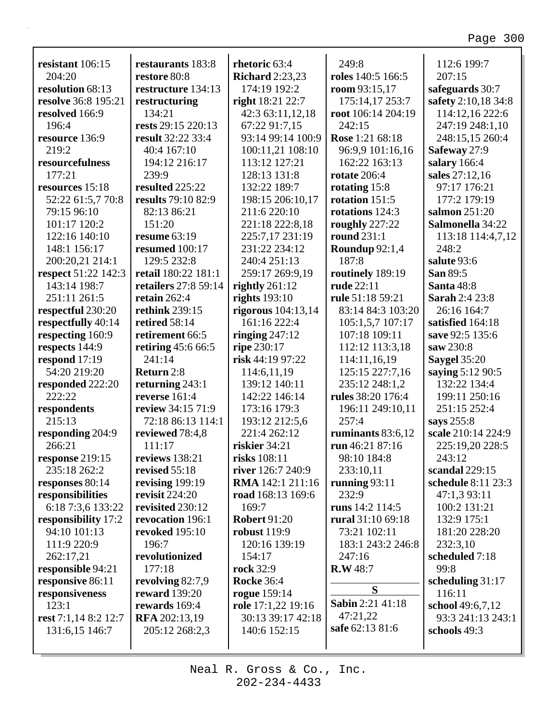|                                            |                                   | rhetoric 63:4          | 249:8                          | 112:6 199:7                |
|--------------------------------------------|-----------------------------------|------------------------|--------------------------------|----------------------------|
| resistant 106:15<br>204:20                 | restaurants 183:8<br>restore 80:8 | <b>Richard</b> 2:23,23 | roles 140:5 166:5              | 207:15                     |
| resolution 68:13                           | restructure 134:13                | 174:19 192:2           | room $93:15,17$                | safeguards 30:7            |
| resolve 36:8 195:21                        | restructuring                     | right 18:21 22:7       | 175:14,17 253:7                | safety 2:10,18 34:8        |
| resolved 166:9                             | 134:21                            | 42:3 63:11,12,18       | root 106:14 204:19             | 114:12,16 222:6            |
| 196:4                                      | rests 29:15 220:13                | 67:22 91:7,15          | 242:15                         | 247:19 248:1,10            |
| resource 136:9                             | result 32:22 33:4                 | 93:14 99:14 100:9      | Rose 1:21 68:18                | 248:15,15 260:4            |
| 219:2                                      | 40:4 167:10                       | 100:11,21 108:10       | 96:9,9 101:16,16               | Safeway 27:9               |
| resourcefulness                            | 194:12 216:17                     | 113:12 127:21          | 162:22 163:13                  | salary 166:4               |
| 177:21                                     | 239:9                             | 128:13 131:8           | <b>rotate</b> 206:4            | sales 27:12,16             |
| resources 15:18                            | resulted 225:22                   | 132:22 189:7           | rotating 15:8                  | 97:17 176:21               |
| 52:22 61:5,7 70:8                          | results 79:10 82:9                | 198:15 206:10,17       | rotation 151:5                 | 177:2 179:19               |
| 79:15 96:10                                | 82:13 86:21                       | 211:6 220:10           | rotations 124:3                | salmon 251:20              |
| 101:17 120:2                               | 151:20                            | 221:18 222:8,18        | roughly 227:22                 | Salmonella 34:22           |
| 122:16 140:10                              | resume $63:19$                    | 225:7,17 231:19        | round $231:1$                  |                            |
| 148:1 156:17                               | resumed 100:17                    | 231:22 234:12          |                                | 113:18 114:4,7,12<br>248:2 |
|                                            | 129:5 232:8                       | 240:4 251:13           | Roundup 92:1,4<br>187:8        | salute 93:6                |
| 200:20,21 214:1                            | retail 180:22 181:1               |                        |                                | San 89:5                   |
| <b>respect</b> 51:22 142:3<br>143:14 198:7 |                                   | 259:17 269:9,19        | routinely 189:19<br>rude 22:11 |                            |
|                                            | retailers 27:8 59:14              | rightly $261:12$       |                                | Santa 48:8                 |
| 251:11 261:5                               | retain $262:4$                    | rights $193:10$        | rule 51:18 59:21               | <b>Sarah 2:4 23:8</b>      |
| respectful 230:20                          | <b>rethink</b> 239:15             | rigorous $104:13,14$   | 83:14 84:3 103:20              | 26:16 164:7                |
| respectfully 40:14                         | retired 58:14                     | 161:16 222:4           | 105:1,5,7 107:17               | satisfied 164:18           |
| respecting 160:9                           | retirement 66:5                   | ringing $247:12$       | 107:18 109:11                  | save 92:5 135:6            |
| respects 144:9                             | retiring 45:6 66:5                | ripe 230:17            | 112:12 113:3,18                | saw 230:8                  |
| respond $17:19$                            | 241:14                            | risk 44:19 97:22       | 114:11,16,19                   | Saygel 35:20               |
| 54:20 219:20                               | Return 2:8                        | 114:6,11,19            | 125:15 227:7,16                | saying 5:12 90:5           |
| responded 222:20                           | returning $243:1$                 | 139:12 140:11          | 235:12 248:1,2                 | 132:22 134:4               |
| 222:22                                     | reverse 161:4                     | 142:22 146:14          | rules 38:20 176:4              | 199:11 250:16              |
| respondents                                | review 34:15 71:9                 | 173:16 179:3           | 196:11 249:10,11               | 251:15 252:4               |
| 215:13                                     | 72:18 86:13 114:1                 | 193:12 212:5,6         | 257:4                          | says 255:8                 |
| responding 204:9                           | reviewed 78:4,8                   | 221:4 262:12           | ruminants 83:6,12              | scale 210:14 224:9         |
| 266:21                                     | 111:17                            | riskier 34:21          | run 46:21 87:16                | 225:19,20 228:5            |
| response 219:15                            | reviews 138:21                    | risks 108:11           | 98:10 184:8                    | 243:12                     |
| 235:18 262:2                               | revised $55:18$                   | river 126:7 240:9      | 233:10,11                      | scandal 229:15             |
| responses 80:14                            | revising 199:19                   | RMA 142:1 211:16       | running $93:11$                | schedule 8:11 23:3         |
| responsibilities                           | revisit $224:20$                  | road 168:13 169:6      | 232:9                          | 47:1,3 93:11               |
| 6:18 7:3,6 133:22                          | revisited 230:12                  | 169:7                  | runs 14:2 114:5                | 100:2 131:21               |
| responsibility 17:2                        | revocation 196:1                  | <b>Robert 91:20</b>    | rural 31:10 69:18              | 132:9 175:1                |
| 94:10 101:13                               | <b>revoked</b> 195:10             | <b>robust</b> 119:9    | 73:21 102:11                   | 181:20 228:20              |
| 111:9 220:9                                | 196:7                             | 120:16 139:19          | 183:1 243:2 246:8              | 232:3,10                   |
| 262:17,21                                  | revolutionized                    | 154:17                 | 247:16                         | scheduled 7:18             |
| responsible 94:21                          | 177:18                            | <b>rock</b> 32:9       | <b>R.W</b> 48:7                | 99:8                       |
| responsive 86:11                           | revolving 82:7,9                  | <b>Rocke 36:4</b>      |                                | scheduling $31:17$         |
| responsiveness                             | <b>reward</b> 139:20              | <b>rogue</b> 159:14    | S                              | 116:11                     |
| 123:1                                      | rewards 169:4                     | role 17:1,22 19:16     | Sabin 2:21 41:18               | school 49:6,7,12           |
| rest 7:1,14 8:2 12:7                       | <b>RFA</b> 202:13,19              | 30:13 39:17 42:18      | 47:21,22                       | 93:3 241:13 243:1          |
| 131:6,15 146:7                             | 205:12 268:2,3                    | 140:6 152:15           | safe 62:13 81:6                | schools 49:3               |
|                                            |                                   |                        |                                |                            |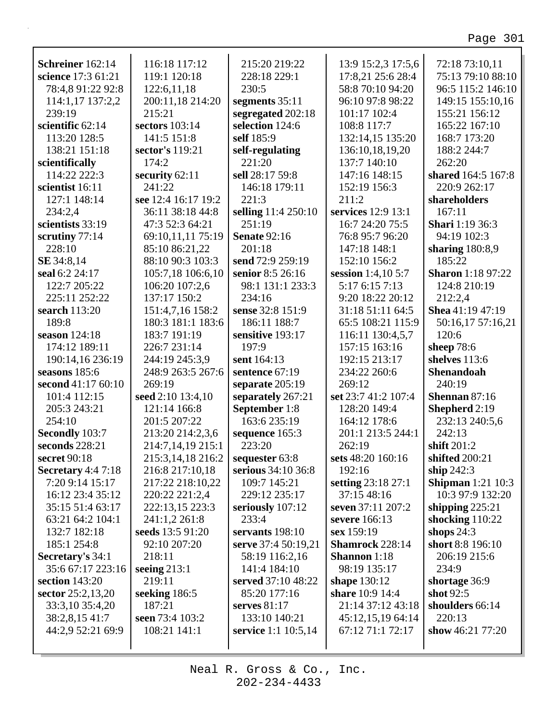| Schreiner 162:14    | 116:18 117:12       | 215:20 219:22       | 13:9 15:2,3 17:5,6     | 72:18 73:10,11           |
|---------------------|---------------------|---------------------|------------------------|--------------------------|
| science 17:3 61:21  | 119:1 120:18        | 228:18 229:1        | 17:8,21 25:6 28:4      | 75:13 79:10 88:10        |
| 78:4,8 91:22 92:8   | 122:6,11,18         | 230:5               | 58:8 70:10 94:20       | 96:5 115:2 146:10        |
| 114:1,17 137:2,2    | 200:11,18 214:20    | segments 35:11      | 96:10 97:8 98:22       | 149:15 155:10,16         |
| 239:19              | 215:21              | segregated 202:18   | 101:17 102:4           | 155:21 156:12            |
| scientific 62:14    | sectors 103:14      | selection 124:6     | 108:8 117:7            | 165:22 167:10            |
| 113:20 128:5        | 141:5 151:8         | self 185:9          | 132:14,15 135:20       | 168:7 173:20             |
| 138:21 151:18       | sector's 119:21     | self-regulating     | 136:10,18,19,20        | 188:2 244:7              |
| scientifically      | 174:2               | 221:20              | 137:7 140:10           | 262:20                   |
| 114:22 222:3        | security 62:11      | sell 28:17 59:8     | 147:16 148:15          | shared 164:5 167:8       |
| scientist 16:11     | 241:22              | 146:18 179:11       | 152:19 156:3           | 220:9 262:17             |
| 127:1 148:14        | see 12:4 16:17 19:2 | 221:3               | 211:2                  | shareholders             |
| 234:2,4             | 36:11 38:18 44:8    | selling 11:4 250:10 | services 12:9 13:1     | 167:11                   |
| scientists 33:19    | 47:3 52:3 64:21     | 251:19              | 16:7 24:20 75:5        | <b>Shari</b> 1:19 36:3   |
| scrutiny 77:14      | 69:10,11,11 75:19   | <b>Senate 92:16</b> | 76:8 95:7 96:20        | 94:19 102:3              |
| 228:10              | 85:10 86:21,22      | 201:18              | 147:18 148:1           | sharing $180:8,9$        |
| SE 34:8,14          | 88:10 90:3 103:3    | send 72:9 259:19    | 152:10 156:2           | 185:22                   |
| seal 6:2 24:17      | 105:7,18 106:6,10   | senior 8:5 26:16    | session 1:4,10 5:7     | <b>Sharon</b> 1:18 97:22 |
| 122:7 205:22        | 106:20 107:2,6      | 98:1 131:1 233:3    | 5:17 6:15 7:13         | 124:8 210:19             |
| 225:11 252:22       | 137:17 150:2        | 234:16              | 9:20 18:22 20:12       | 212:2,4                  |
| search 113:20       | 151:4,7,16 158:2    | sense 32:8 151:9    | 31:18 51:11 64:5       | Shea 41:19 47:19         |
|                     |                     |                     |                        |                          |
| 189:8               | 180:3 181:1 183:6   | 186:11 188:7        | 65:5 108:21 115:9      | 50:16,17 57:16,21        |
| season 124:18       | 183:7 191:19        | sensitive 193:17    | 116:11 130:4,5,7       | 120:6                    |
| 174:12 189:11       | 226:7 231:14        | 197:9               | 157:15 163:16          | sheep $78:6$             |
| 190:14,16 236:19    | 244:19 245:3,9      | sent 164:13         | 192:15 213:17          | shelves 113:6            |
| seasons 185:6       | 248:9 263:5 267:6   | sentence 67:19      | 234:22 260:6           | Shenandoah               |
| second 41:17 60:10  | 269:19              | separate 205:19     | 269:12                 | 240:19                   |
| 101:4 112:15        | seed 2:10 13:4,10   | separately 267:21   | set 23:7 41:2 107:4    | Shennan 87:16            |
| 205:3 243:21        | 121:14 166:8        | September 1:8       | 128:20 149:4           | Shepherd 2:19            |
| 254:10              | 201:5 207:22        | 163:6 235:19        | 164:12 178:6           | 232:13 240:5,6           |
| Secondly 103:7      | 213:20 214:2,3,6    | sequence 165:3      | 201:1 213:5 244:1      | 242:13                   |
| seconds 228:21      | 214:7,14,19 215:1   | 223:20              | 262:19                 | shift 201:2              |
| secret 90:18        | 215:3,14,18 216:2   | sequester 63:8      | sets 48:20 160:16      | shifted 200:21           |
| Secretary $4:47:18$ | 216:8 217:10,18     | serious 34:10 36:8  | 192:16                 | ship $242:3$             |
| 7:20 9:14 15:17     | 217:22 218:10,22    | 109:7 145:21        | setting 23:18 27:1     | <b>Shipman</b> 1:21 10:3 |
| 16:12 23:4 35:12    | 220:22 221:2,4      | 229:12 235:17       | 37:15 48:16            | 10:3 97:9 132:20         |
| 35:15 51:4 63:17    | 222:13,15 223:3     | seriously 107:12    | seven 37:11 207:2      | shipping $225:21$        |
| 63:21 64:2 104:1    | 241:1,2 261:8       | 233:4               | severe 166:13          | shocking $110:22$        |
| 132:7 182:18        | seeds 13:5 91:20    | servants 198:10     | sex 159:19             | shops $24:3$             |
| 185:1 254:8         | 92:10 207:20        | serve 37:4 50:19,21 | <b>Shamrock</b> 228:14 | short 8:8 196:10         |
| Secretary's 34:1    | 218:11              | 58:19 116:2,16      | <b>Shannon</b> 1:18    | 206:19 215:6             |
| 35:6 67:17 223:16   | seeing $213:1$      | 141:4 184:10        | 98:19 135:17           | 234:9                    |
| section $143:20$    | 219:11              | served 37:10 48:22  | shape 130:12           | shortage 36:9            |
| sector 25:2,13,20   | seeking 186:5       | 85:20 177:16        | share 10:9 14:4        | shot 92:5                |
| 33:3,10 35:4,20     | 187:21              | serves $81:17$      | 21:14 37:12 43:18      | shoulders 66:14          |
| 38:2,8,15 41:7      | seen 73:4 103:2     | 133:10 140:21       | 45:12,15,19 64:14      | 220:13                   |
| 44:2,9 52:21 69:9   | 108:21 141:1        | service 1:1 10:5,14 | 67:12 71:1 72:17       | show 46:21 77:20         |
|                     |                     |                     |                        |                          |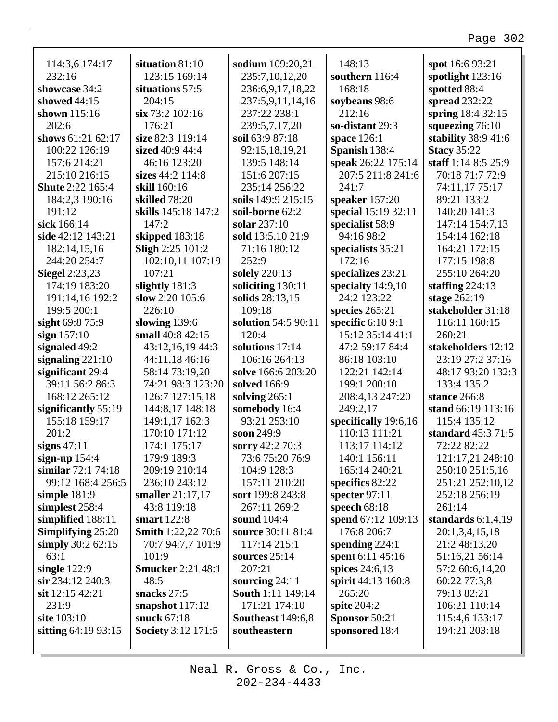| 114:3,6 174:17           | situation 81:10           | sodium 109:20,21         | 148:13               | spot 16:6 93:21      |
|--------------------------|---------------------------|--------------------------|----------------------|----------------------|
| 232:16                   | 123:15 169:14             | 235:7,10,12,20           | southern 116:4       | spotlight 123:16     |
| showcase 34:2            | situations 57:5           | 236:6,9,17,18,22         | 168:18               | spotted 88:4         |
| showed $44:15$           | 204:15                    | 237:5,9,11,14,16         | soybeans 98:6        | spread 232:22        |
| shown 115:16             | six 73:2 102:16           | 237:22 238:1             | 212:16               | spring 18:4 32:15    |
| 202:6                    | 176:21                    | 239:5,7,17,20            | so-distant 29:3      | squeezing $76:10$    |
| shows 61:21 62:17        | size 82:3 119:14          | soil 63:9 87:18          | space 126:1          | stability 38:9 41:6  |
| 100:22 126:19            | sized 40:9 44:4           | 92:15,18,19,21           | Spanish 138:4        | <b>Stacy 35:22</b>   |
| 157:6 214:21             | 46:16 123:20              | 139:5 148:14             | speak 26:22 175:14   | staff 1:14 8:5 25:9  |
| 215:10 216:15            | sizes $44:2$ 114:8        | 151:6 207:15             | 207:5 211:8 241:6    | 70:18 71:7 72:9      |
| <b>Shute 2:22 165:4</b>  | skill 160:16              | 235:14 256:22            | 241:7                | 74:11,17 75:17       |
| 184:2,3 190:16           | skilled 78:20             | soils 149:9 215:15       | speaker 157:20       | 89:21 133:2          |
| 191:12                   | skills 145:18 147:2       | soil-borne 62:2          | special 15:19 32:11  | 140:20 141:3         |
| sick 166:14              | 147:2                     | solar 237:10             | specialist 58:9      | 147:14 154:7,13      |
| side 42:12 143:21        | skipped 183:18            | sold 13:5,10 21:9        | 94:16 98:2           | 154:14 162:18        |
| 182:14,15,16             | <b>Sligh 2:25 101:2</b>   | 71:16 180:12             | specialists 35:21    | 164:21 172:15        |
| 244:20 254:7             | 102:10,11 107:19          | 252:9                    | 172:16               | 177:15 198:8         |
| <b>Siegel</b> 2:23,23    | 107:21                    | solely 220:13            | specializes 23:21    | 255:10 264:20        |
| 174:19 183:20            | slightly $181:3$          | soliciting 130:11        | specialty $14:9,10$  | staffing $224:13$    |
| 191:14,16 192:2          | slow $2:20$ 105:6         | solids 28:13,15          | 24:2 123:22          | stage 262:19         |
| 199:5 200:1              | 226:10                    | 109:18                   | species 265:21       | stakeholder 31:18    |
| sight 69:8 75:9          | slowing 139:6             | solution 54:5 90:11      | specific $6:109:1$   | 116:11 160:15        |
| sign $157:10$            | small 40:8 42:15          | 120:4                    | 15:12 35:14 41:1     | 260:21               |
| signaled 49:2            | 43:12,16,19 44:3          | solutions 17:14          | 47:2 59:17 84:4      | stakeholders 12:12   |
| signaling $221:10$       | 44:11,18 46:16            | 106:16 264:13            | 86:18 103:10         | 23:19 27:2 37:16     |
| significant 29:4         | 58:14 73:19,20            | solve 166:6 203:20       | 122:21 142:14        | 48:17 93:20 132:3    |
| 39:11 56:2 86:3          | 74:21 98:3 123:20         | solved 166:9             | 199:1 200:10         | 133:4 135:2          |
| 168:12 265:12            | 126:7 127:15,18           | solving $265:1$          | 208:4,13 247:20      | stance 266:8         |
| significantly 55:19      | 144:8,17 148:18           | somebody 16:4            | 249:2,17             | stand 66:19 113:16   |
| 155:18 159:17            | 149:1,17 162:3            | 93:21 253:10             | specifically 19:6,16 | 115:4 135:12         |
| 201:2                    | 170:10 171:12             | soon 249:9               | 110:13 111:21        | standard 45:3 71:5   |
| signs $47:11$            | 174:1 175:17              | sorry 42:2 70:3          | 113:17 114:12        | 72:22 82:22          |
| sign-up $154:4$          | 179:9 189:3               | 73:6 75:20 76:9          | 140:1 156:11         | 121:17,21 248:10     |
| similar 72:1 74:18       | 209:19 210:14             | 104:9 128:3              | 165:14 240:21        | 250:10 251:5,16      |
| 99:12 168:4 256:5        | 236:10 243:12             | 157:11 210:20            | specifics 82:22      | 251:21 252:10,12     |
| simple $181:9$           | smaller $21:17,17$        | sort 199:8 243:8         | specter $97:11$      | 252:18 256:19        |
| simplest 258:4           | 43:8 119:18               | 267:11 269:2             | speech $68:18$       | 261:14               |
| simplified 188:11        | smart 122:8               | sound 104:4              | spend 67:12 109:13   | standards $6:1,4,19$ |
| <b>Simplifying 25:20</b> | <b>Smith</b> 1:22,22 70:6 | source 30:11 81:4        | 176:8 206:7          | 20:1,3,4,15,18       |
| simply $30:262:15$       | 70:7 94:7,7 101:9         | 117:14 215:1             | spending $224:1$     | 21:2 48:13,20        |
| 63:1                     | 101:9                     | sources $25:14$          | spent 6:11 45:16     | 51:16,21 56:14       |
| single $122:9$           | <b>Smucker 2:21 48:1</b>  | 207:21                   | spices $24:6,13$     | 57:2 60:6,14,20      |
| sir 234:12 240:3         | 48:5                      | sourcing $24:11$         | spirit 44:13 160:8   | 60:22 77:3,8         |
| sit 12:15 42:21          | snacks 27:5               | <b>South 1:11 149:14</b> | 265:20               | 79:13 82:21          |
| 231:9                    | snapshot $117:12$         | 171:21 174:10            | spite $204:2$        | 106:21 110:14        |
| site 103:10              | snuck 67:18               | <b>Southeast</b> 149:6,8 | Sponsor 50:21        | 115:4,6 133:17       |
| sitting 64:19 93:15      | <b>Society</b> 3:12 171:5 | southeastern             | sponsored 18:4       | 194:21 203:18        |
|                          |                           |                          |                      |                      |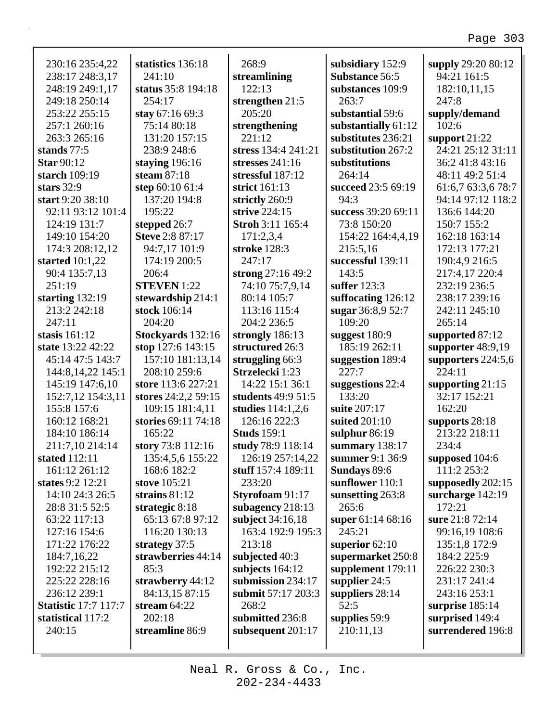| 230:16 235:4,22             | statistics 136:18      | 268:9               | subsidiary 152:9      | supply 29:20 80:12  |
|-----------------------------|------------------------|---------------------|-----------------------|---------------------|
| 238:17 248:3,17             | 241:10                 | streamlining        | <b>Substance 56:5</b> | 94:21 161:5         |
| 248:19 249:1,17             | status 35:8 194:18     | 122:13              | substances 109:9      | 182:10,11,15        |
| 249:18 250:14               | 254:17                 | strengthen $21:5$   | 263:7                 | 247:8               |
| 253:22 255:15               | stay 67:16 69:3        | 205:20              | substantial 59:6      | supply/demand       |
| 257:1 260:16                | 75:14 80:18            | strengthening       | substantially 61:12   | 102:6               |
| 263:3 265:16                | 131:20 157:15          | 221:12              | substitutes 236:21    | support $21:22$     |
| stands 77:5                 | 238:9 248:6            | stress 134:4 241:21 | substitution 267:2    | 24:21 25:12 31:11   |
| <b>Star 90:12</b>           | staying $196:16$       | stresses $241:16$   | substitutions         | 36:2 41:8 43:16     |
| starch 109:19               | steam $87:18$          | stressful 187:12    | 264:14                | 48:11 49:2 51:4     |
| stars $32:9$                | step 60:10 61:4        | strict 161:13       | succeed 23:5 69:19    | 61:6,7 63:3,6 78:7  |
| start 9:20 38:10            | 137:20 194:8           | strictly 260:9      | 94:3                  | 94:14 97:12 118:2   |
| 92:11 93:12 101:4           | 195:22                 | strive 224:15       | success 39:20 69:11   | 136:6 144:20        |
| 124:19 131:7                | stepped 26:7           | Stroh 3:11 165:4    | 73:8 150:20           | 150:7 155:2         |
| 149:10 154:20               | <b>Steve 2:8 87:17</b> | 171:2,3,4           | 154:22 164:4,4,19     | 162:18 163:14       |
| 174:3 208:12,12             | 94:7,17 101:9          | stroke 128:3        | 215:5,16              | 172:13 177:21       |
| started $10:1,22$           | 174:19 200:5           | 247:17              | successful 139:11     | 190:4,9 216:5       |
| 90:4 135:7,13               | 206:4                  | strong 27:16 49:2   | 143:5                 | 217:4,17 220:4      |
| 251:19                      | <b>STEVEN</b> 1:22     | 74:10 75:7,9,14     | suffer 123:3          | 232:19 236:5        |
| starting $132:19$           | stewardship 214:1      | 80:14 105:7         | suffocating 126:12    | 238:17 239:16       |
| 213:2 242:18                | stock 106:14           | 113:16 115:4        | sugar 36:8,9 52:7     | 242:11 245:10       |
| 247:11                      | 204:20                 | 204:2 236:5         | 109:20                | 265:14              |
| stasis $161:12$             | Stockyards 132:16      | strongly 186:13     | suggest $180:9$       | supported 87:12     |
| state 13:22 42:22           | stop 127:6 143:15      | structured 26:3     | 185:19 262:11         | supporter $48:9,19$ |
| 45:14 47:5 143:7            | 157:10 181:13,14       | struggling 66:3     | suggestion 189:4      | supporters 224:5,6  |
| 144:8,14,22 145:1           | 208:10 259:6           | Strzelecki 1:23     | 227:7                 | 224:11              |
| 145:19 147:6,10             | store 113:6 227:21     | 14:22 15:1 36:1     | suggestions 22:4      | supporting $21:15$  |
| 152:7,12 154:3,11           | stores 24:2,2 59:15    | students 49:9 51:5  | 133:20                | 32:17 152:21        |
| 155:8 157:6                 | 109:15 181:4,11        | studies $114:1,2,6$ | suite 207:17          | 162:20              |
| 160:12 168:21               | stories 69:11 74:18    | 126:16 222:3        | suited 201:10         | supports 28:18      |
| 184:10 186:14               | 165:22                 | <b>Studs</b> 159:1  | sulphur $86:19$       | 213:22 218:11       |
| 211:7,10 214:14             | story 73:8 112:16      | study 78:9 118:14   | summary 138:17        | 234:4               |
| stated 112:11               | 135:4,5,6 155:22       | 126:19 257:14,22    | summer 9:1 36:9       | supposed 104:6      |
| 161:12 261:12               | 168:6 182:2            | stuff 157:4 189:11  | Sundays 89:6          | 111:2 253:2         |
| states 9:2 12:21            | stove 105:21           | 233:20              | sunflower 110:1       | supposedly 202:15   |
| 14:10 24:3 26:5             | strains $81:12$        | Styrofoam 91:17     | sunsetting 263:8      | surcharge 142:19    |
| 28:8 31:5 52:5              | strategic 8:18         | subagency 218:13    | 265:6                 | 172:21              |
| 63:22 117:13                | 65:13 67:8 97:12       | subject 34:16,18    | super 61:14 68:16     | sure 21:8 72:14     |
| 127:16 154:6                | 116:20 130:13          | 163:4 192:9 195:3   | 245:21                | 99:16,19 108:6      |
| 171:22 176:22               | strategy 37:5          | 213:18              | superior $62:10$      | 135:1,8 172:9       |
| 184:7,16,22                 | strawberries 44:14     | subjected 40:3      | supermarket 250:8     | 184:2 225:9         |
| 192:22 215:12               | 85:3                   | subjects $164:12$   | supplement 179:11     | 226:22 230:3        |
| 225:22 228:16               | strawberry 44:12       | submission 234:17   | supplier $24:5$       | 231:17 241:4        |
| 236:12 239:1                | 84:13,15 87:15         | submit 57:17 203:3  | suppliers 28:14       | 243:16 253:1        |
| <b>Statistic 17:7 117:7</b> | stream $64:22$         | 268:2               | 52:5                  | surprise 185:14     |
| statistical 117:2           | 202:18                 | submitted 236:8     | supplies 59:9         | surprised 149:4     |
| 240:15                      | streamline 86:9        | subsequent $201:17$ | 210:11,13             | surrendered 196:8   |
|                             |                        |                     |                       |                     |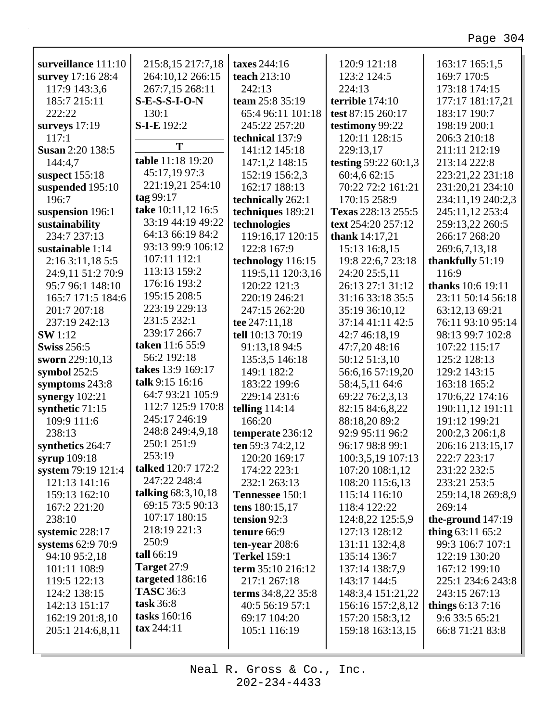| surveillance 111:10     | 215:8,15 217:7,18  | taxes 244:16        | 120:9 121:18            | 163:17 165:1,5      |
|-------------------------|--------------------|---------------------|-------------------------|---------------------|
| survey 17:16 28:4       | 264:10,12 266:15   | teach 213:10        | 123:2 124:5             | 169:7 170:5         |
| 117:9 143:3,6           | 267:7,15 268:11    | 242:13              | 224:13                  | 173:18 174:15       |
| 185:7 215:11            | $S-E-S-S-I-O-N$    | team 25:8 35:19     | terrible 174:10         | 177:17 181:17,21    |
| 222:22                  | 130:1              | 65:4 96:11 101:18   | test 87:15 260:17       | 183:17 190:7        |
| surveys $17:19$         | <b>S-I-E</b> 192:2 | 245:22 257:20       | testimony 99:22         | 198:19 200:1        |
| 117:1                   | T                  | technical 137:9     | 120:11 128:15           | 206:3 210:18        |
| <b>Susan 2:20 138:5</b> |                    | 141:12 145:18       | 229:13,17               | 211:11 212:19       |
| 144:4,7                 | table 11:18 19:20  | 147:1,2 148:15      | testing 59:22 60:1,3    | 213:14 222:8        |
| suspect $155:18$        | 45:17,19 97:3      | 152:19 156:2,3      | 60:4,6 62:15            | 223:21,22 231:18    |
| suspended 195:10        | 221:19,21 254:10   | 162:17 188:13       | 70:22 72:2 161:21       | 231:20,21 234:10    |
| 196:7                   | tag 99:17          | technically 262:1   | 170:15 258:9            | 234:11,19 240:2,3   |
| suspension 196:1        | take 10:11,12 16:5 | techniques 189:21   | Texas 228:13 255:5      | 245:11,12 253:4     |
| sustainability          | 33:19 44:19 49:22  | technologies        | text 254:20 257:12      | 259:13,22 260:5     |
| 234:7 237:13            | 64:13 66:19 84:2   | 119:16,17 120:15    | <b>thank</b> $14:17,21$ | 266:17 268:20       |
| sustainable 1:14        | 93:13 99:9 106:12  | 122:8 167:9         | 15:13 16:8,15           | 269:6,7,13,18       |
| 2:163:11,185:5          | 107:11 112:1       | technology 116:15   | 19:8 22:6,7 23:18       | thankfully 51:19    |
| 24:9,11 51:2 70:9       | 113:13 159:2       | 119:5,11 120:3,16   | 24:20 25:5,11           | 116:9               |
| 95:7 96:1 148:10        | 176:16 193:2       | 120:22 121:3        | 26:13 27:1 31:12        | thanks 10:6 19:11   |
| 165:7 171:5 184:6       | 195:15 208:5       | 220:19 246:21       | 31:16 33:18 35:5        | 23:11 50:14 56:18   |
| 201:7 207:18            | 223:19 229:13      | 247:15 262:20       | 35:19 36:10,12          | 63:12,13 69:21      |
| 237:19 242:13           | 231:5 232:1        | tee 247:11,18       | 37:14 41:11 42:5        | 76:11 93:10 95:14   |
| <b>SW</b> 1:12          | 239:17 266:7       | tell 10:13 70:19    | 42:7 46:18,19           | 98:13 99:7 102:8    |
| <b>Swiss 256:5</b>      | taken 11:6 55:9    | 91:13,18 94:5       | 47:7,20 48:16           | 107:22 115:17       |
| sworn 229:10,13         | 56:2 192:18        | 135:3,5 146:18      | 50:12 51:3,10           | 125:2 128:13        |
| symbol $252:5$          | takes 13:9 169:17  | 149:1 182:2         | 56:6,16 57:19,20        | 129:2 143:15        |
| symptoms 243:8          | talk 9:15 16:16    | 183:22 199:6        | 58:4,5,11 64:6          | 163:18 165:2        |
| synergy $102:21$        | 64:7 93:21 105:9   | 229:14 231:6        | 69:22 76:2,3,13         | 170:6,22 174:16     |
| synthetic 71:15         | 112:7 125:9 170:8  | telling $114:14$    | 82:15 84:6,8,22         | 190:11,12 191:11    |
| 109:9 111:6             | 245:17 246:19      | 166:20              | 88:18,20 89:2           | 191:12 199:21       |
| 238:13                  | 248:8 249:4,9,18   | temperate 236:12    | 92:9 95:11 96:2         | 200:2,3 206:1,8     |
| synthetics 264:7        | 250:1 251:9        | ten 59:3 74:2,12    | 96:17 98:8 99:1         | 206:16 213:15,17    |
| syrup 109:18            | 253:19             | 120:20 169:17       | 100:3,5,19 107:13       | 222:7 223:17        |
| system 79:19 121:4      | talked 120:7 172:2 | 174:22 223:1        | 107:20 108:1,12         | 231:22 232:5        |
| 121:13 141:16           | 247:22 248:4       | 232:1 263:13        | 108:20 115:6,13         | 233:21 253:5        |
| 159:13 162:10           | talking 68:3,10,18 | Tennessee 150:1     | 115:14 116:10           | 259:14,18 269:8,9   |
| 167:2 221:20            | 69:15 73:5 90:13   | tens 180:15,17      | 118:4 122:22            | 269:14              |
| 238:10                  | 107:17 180:15      | tension 92:3        | 124:8,22 125:5,9        | the-ground $147:19$ |
| systemic 228:17         | 218:19 221:3       | tenure 66:9         | 127:13 128:12           | thing $63:11\,65:2$ |
| systems 62:9 70:9       | 250:9              | ten-year $208:6$    | 131:11 132:4,8          | 99:3 106:7 107:1    |
| 94:10 95:2,18           | tall 66:19         | <b>Terkel 159:1</b> | 135:14 136:7            | 122:19 130:20       |
| 101:11 108:9            | <b>Target 27:9</b> | term 35:10 216:12   | 137:14 138:7,9          | 167:12 199:10       |
| 119:5 122:13            | targeted 186:16    | 217:1 267:18        | 143:17 144:5            | 225:1 234:6 243:8   |
| 124:2 138:15            | <b>TASC</b> 36:3   | terms 34:8,22 35:8  | 148:3,4 151:21,22       | 243:15 267:13       |
| 142:13 151:17           | task 36:8          | 40:5 56:19 57:1     | 156:16 157:2,8,12       | things $6:137:16$   |
| 162:19 201:8,10         | tasks 160:16       | 69:17 104:20        | 157:20 158:3,12         | 9:6 33:5 65:21      |
| 205:1 214:6,8,11        | tax 244:11         | 105:1 116:19        | 159:18 163:13,15        | 66:8 71:21 83:8     |
|                         |                    |                     |                         |                     |
|                         |                    |                     |                         |                     |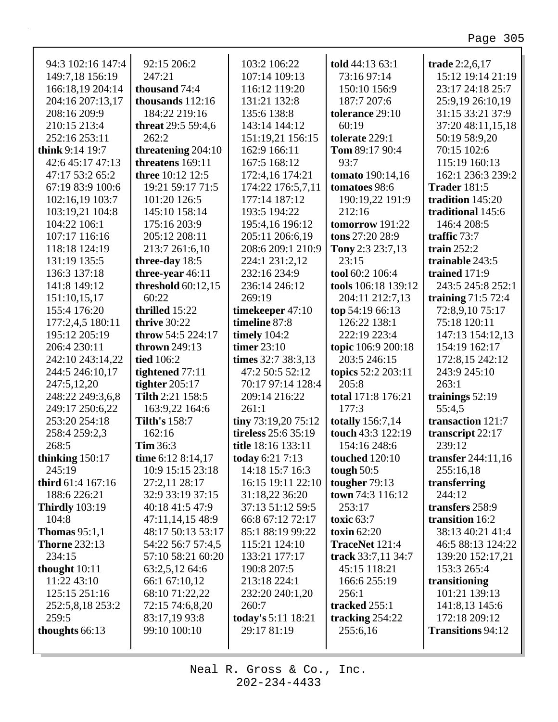| 94:3 102:16 147:4     | 92:15 206:2               | 103:2 106:22        | told 44:13 63:1         | trade 2:2,6,17       |
|-----------------------|---------------------------|---------------------|-------------------------|----------------------|
| 149:7,18 156:19       | 247:21                    | 107:14 109:13       | 73:16 97:14             | 15:12 19:14 21:19    |
| 166:18,19 204:14      | thousand 74:4             | 116:12 119:20       | 150:10 156:9            | 23:17 24:18 25:7     |
| 204:16 207:13,17      | thousands 112:16          | 131:21 132:8        | 187:7 207:6             | 25:9,19 26:10,19     |
| 208:16 209:9          | 184:22 219:16             | 135:6 138:8         | tolerance 29:10         | 31:15 33:21 37:9     |
| 210:15 213:4          | <b>threat</b> 29:5 59:4,6 | 143:14 144:12       | 60:19                   | 37:20 48:11,15,18    |
| 252:16 253:11         | 262:2                     | 151:19,21 156:15    | tolerate 229:1          | 50:19 58:9,20        |
| think $9:14$ 19:7     | threatening 204:10        | 162:9 166:11        | Tom 89:17 90:4          | 70:15 102:6          |
| 42:6 45:17 47:13      | threatens 169:11          | 167:5 168:12        | 93:7                    | 115:19 160:13        |
| 47:17 53:2 65:2       | <b>three</b> 10:12 12:5   | 172:4,16 174:21     | tomato 190:14,16        | 162:1 236:3 239:2    |
| 67:19 83:9 100:6      | 19:21 59:17 71:5          | 174:22 176:5,7,11   | tomatoes 98:6           | <b>Trader 181:5</b>  |
| 102:16,19 103:7       | 101:20 126:5              | 177:14 187:12       | 190:19,22 191:9         | tradition 145:20     |
| 103:19,21 104:8       | 145:10 158:14             | 193:5 194:22        | 212:16                  | traditional 145:6    |
| 104:22 106:1          | 175:16 203:9              | 195:4,16 196:12     | tomorrow 191:22         | 146:4 208:5          |
| 107:17 116:16         | 205:12 208:11             | 205:11 206:6,19     | tons 27:20 28:9         | traffic $73:7$       |
| 118:18 124:19         | 213:7 261:6,10            | 208:6 209:1 210:9   | Tony 2:3 23:7,13        | train $252:2$        |
| 131:19 135:5          | three-day 18:5            | 224:1 231:2,12      | 23:15                   | trainable 243:5      |
| 136:3 137:18          | three-year 46:11          | 232:16 234:9        | tool 60:2 106:4         | trained 171:9        |
| 141:8 149:12          | threshold $60:12,15$      | 236:14 246:12       | tools 106:18 139:12     | 243:5 245:8 252:1    |
| 151:10,15,17          | 60:22                     | 269:19              | 204:11 212:7,13         | training 71:5 72:4   |
| 155:4 176:20          | thrilled 15:22            | timekeeper 47:10    | top 54:19 66:13         | 72:8,9,10 75:17      |
| 177:2,4,5 180:11      | thrive 30:22              | timeline 87:8       | 126:22 138:1            | 75:18 120:11         |
| 195:12 205:19         | throw 54:5 224:17         | timely $104:2$      | 222:19 223:4            | 147:13 154:12,13     |
| 206:4 230:11          | thrown $249:13$           | timer $23:10$       | topic 106:9 200:18      | 154:19 162:17        |
| 242:10 243:14,22      | tied 106:2                | times 32:7 38:3,13  | 203:5 246:15            | 172:8,15 242:12      |
| 244:5 246:10,17       | tightened 77:11           | 47:2 50:5 52:12     | topics 52:2 203:11      | 243:9 245:10         |
| 247:5,12,20           | tighter $205:17$          | 70:17 97:14 128:4   | 205:8                   | 263:1                |
| 248:22 249:3,6,8      | Tilth 2:21 158:5          | 209:14 216:22       | total 171:8 176:21      | trainings $52:19$    |
| 249:17 250:6,22       | 163:9,22 164:6            | 261:1               | 177:3                   | 55:4,5               |
| 253:20 254:18         | <b>Tilth's 158:7</b>      | tiny 73:19,20 75:12 | <b>totally</b> 156:7,14 | transaction 121:7    |
| 258:4 259:2,3         | 162:16                    | tireless 25:6 35:19 | touch 43:3 122:19       | transcript 22:17     |
| 268:5                 | <b>Tim 36:3</b>           | title 18:16 133:11  | 154:16 248:6            | 239:12               |
| thinking $150:17$     | time 6:12 8:14,17         | today 6:21 7:13     | <b>touched</b> 120:10   | transfer $244:11,16$ |
| 245:19                | 10:9 15:15 23:18          | 14:18 15:7 16:3     | tough $50:5$            | 255:16,18            |
| third 61:4 167:16     | 27:2,11 28:17             | 16:15 19:11 22:10   | tougher 79:13           | transferring         |
| 188:6 226:21          | 32:9 33:19 37:15          | 31:18,22 36:20      | town 74:3 116:12        | 244:12               |
| <b>Thirdly</b> 103:19 | 40:18 41:5 47:9           | 37:13 51:12 59:5    | 253:17                  | transfers 258:9      |
| 104:8                 | 47:11,14,15 48:9          | 66:8 67:12 72:17    | toxic $63:7$            | transition 16:2      |
| Thomas $95:1,1$       | 48:17 50:13 53:17         | 85:1 88:19 99:22    | toxin $62:20$           | 38:13 40:21 41:4     |
| <b>Thorne 232:13</b>  | 54:22 56:7 57:4,5         | 115:21 124:10       | TraceNet 121:4          | 46:5 88:13 124:22    |
| 234:15                | 57:10 58:21 60:20         | 133:21 177:17       | track 33:7,11 34:7      | 139:20 152:17,21     |
| thought 10:11         | 63:2,5,12 64:6            | 190:8 207:5         | 45:15 118:21            | 153:3 265:4          |
| 11:22 43:10           | 66:1 67:10,12             | 213:18 224:1        | 166:6 255:19            | transitioning        |
| 125:15 251:16         | 68:10 71:22,22            | 232:20 240:1,20     | 256:1                   | 101:21 139:13        |
| 252:5,8,18 253:2      | 72:15 74:6,8,20           | 260:7               | tracked 255:1           | 141:8,13 145:6       |
| 259:5                 | 83:17,19 93:8             | today's 5:11 18:21  | tracking 254:22         | 172:18 209:12        |
| thoughts 66:13        | 99:10 100:10              | 29:17 81:19         | 255:6,16                | Transitions 94:12    |
|                       |                           |                     |                         |                      |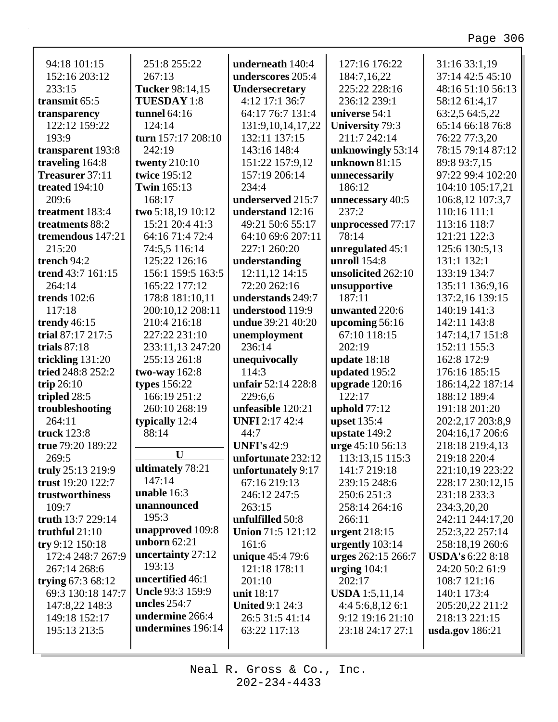┑

| 94:18 101:15          | 251:8 255:22         | underneath 140:4         | 127:16 176:22          | 31:16 33:1,19           |
|-----------------------|----------------------|--------------------------|------------------------|-------------------------|
| 152:16 203:12         | 267:13               | underscores 205:4        | 184:7,16,22            | 37:14 42:5 45:10        |
| 233:15                | Tucker 98:14,15      | Undersecretary           | 225:22 228:16          | 48:16 51:10 56:13       |
| transmit 65:5         | <b>TUESDAY 1:8</b>   | 4:12 17:1 36:7           | 236:12 239:1           | 58:12 61:4,17           |
| transparency          | tunnel $64:16$       | 64:17 76:7 131:4         | universe 54:1          | 63:2,5 64:5,22          |
| 122:12 159:22         | 124:14               | 131:9,10,14,17,22        | <b>University 79:3</b> | 65:14 66:18 76:8        |
| 193:9                 | turn 157:17 208:10   | 132:11 137:15            | 211:7 242:14           | 76:22 77:3,20           |
| transparent 193:8     | 242:19               | 143:16 148:4             | unknowingly 53:14      | 78:15 79:14 87:12       |
| traveling 164:8       | <b>twenty</b> 210:10 | 151:22 157:9,12          | unknown $81:15$        | 89:8 93:7,15            |
| Treasurer 37:11       | twice 195:12         | 157:19 206:14            | unnecessarily          | 97:22 99:4 102:20       |
| <b>treated</b> 194:10 | <b>Twin</b> 165:13   | 234:4                    | 186:12                 | 104:10 105:17,21        |
| 209:6                 | 168:17               | underserved 215:7        | unnecessary 40:5       | 106:8,12 107:3,7        |
| treatment 183:4       | two 5:18,19 10:12    | understand 12:16         | 237:2                  | 110:16 111:1            |
| treatments 88:2       | 15:21 20:4 41:3      | 49:21 50:6 55:17         | unprocessed 77:17      | 113:16 118:7            |
| tremendous 147:21     | 64:16 71:4 72:4      | 64:10 69:6 207:11        | 78:14                  | 121:21 122:3            |
| 215:20                | 74:5,5 116:14        | 227:1 260:20             | unregulated 45:1       | 125:6 130:5,13          |
| trench 94:2           | 125:22 126:16        | understanding            | unroll 154:8           | 131:1 132:1             |
| trend 43:7 161:15     | 156:1 159:5 163:5    | 12:11,12 14:15           | unsolicited 262:10     | 133:19 134:7            |
| 264:14                | 165:22 177:12        | 72:20 262:16             |                        | 135:11 136:9,16         |
| <b>trends</b> 102:6   |                      | understands 249:7        | unsupportive<br>187:11 | 137:2,16 139:15         |
| 117:18                | 178:8 181:10,11      |                          |                        | 140:19 141:3            |
|                       | 200:10,12 208:11     | understood 119:9         | unwanted 220:6         |                         |
| trendy 46:15          | 210:4 216:18         | undue 39:21 40:20        | upcoming 56:16         | 142:11 143:8            |
| trial 87:17 217:5     | 227:22 231:10        | unemployment             | 67:10 118:15           | 147:14,17 151:8         |
| trials $87:18$        | 233:11,13 247:20     | 236:14                   | 202:19                 | 152:11 155:3            |
| trickling 131:20      | 255:13 261:8         | unequivocally            | update $18:18$         | 162:8 172:9             |
| tried 248:8 252:2     | two-way $162:8$      | 114:3                    | updated 195:2          | 176:16 185:15           |
| trip $26:10$          | types 156:22         | unfair 52:14 228:8       | upgrade $120:16$       | 186:14,22 187:14        |
| tripled 28:5          | 166:19 251:2         | 229:6,6                  | 122:17                 | 188:12 189:4            |
| troubleshooting       | 260:10 268:19        | unfeasible 120:21        | uphold $77:12$         | 191:18 201:20           |
| 264:11                | typically 12:4       | <b>UNFI</b> 2:17 42:4    | <b>upset</b> 135:4     | 202:2,17 203:8,9        |
| truck 123:8           | 88:14                | 44:7                     | upstate 149:2          | 204:16,17 206:6         |
| true 79:20 189:22     |                      | <b>UNFI's 42:9</b>       | urge 45:10 56:13       | 218:18 219:4,13         |
| 269:5                 | U                    | unfortunate 232:12       | 113:13,15 115:3        | 219:18 220:4            |
| truly 25:13 219:9     | ultimately 78:21     | unfortunately 9:17       | 141:7 219:18           | 221:10,19 223:22        |
| trust 19:20 122:7     | 147:14               | 67:16 219:13             | 239:15 248:6           | 228:17 230:12,15        |
| trustworthiness       | unable 16:3          | 246:12 247:5             | 250:6 251:3            | 231:18 233:3            |
| 109:7                 | unannounced          | 263:15                   | 258:14 264:16          | 234:3,20,20             |
| truth 13:7 229:14     | 195:3                | unfulfilled 50:8         | 266:11                 | 242:11 244:17,20        |
| truthful 21:10        | unapproved 109:8     | <b>Union 71:5 121:12</b> | urgent 218:15          | 252:3,22 257:14         |
| try 9:12 150:18       | unborn $62:21$       | 161:6                    | urgently 103:14        | 258:18,19 260:6         |
| 172:4 248:7 267:9     | uncertainty 27:12    | unique 45:4 79:6         | urges 262:15 266:7     | <b>USDA's 6:22 8:18</b> |
| 267:14 268:6          | 193:13               | 121:18 178:11            | urging $104:1$         | 24:20 50:2 61:9         |
| trying $67:368:12$    | uncertified 46:1     | 201:10                   | 202:17                 | 108:7 121:16            |
| 69:3 130:18 147:7     | Uncle 93:3 159:9     | unit 18:17               | <b>USDA</b> 1:5,11,14  | 140:1 173:4             |
| 147:8,22 148:3        | uncles $254:7$       | <b>United 9:1 24:3</b>   | 4:45:6,8,126:1         | 205:20,22 211:2         |
| 149:18 152:17         | undermine 266:4      | 26:5 31:5 41:14          | 9:12 19:16 21:10       | 218:13 221:15           |
| 195:13 213:5          | undermines 196:14    | 63:22 117:13             | 23:18 24:17 27:1       | usda.gov 186:21         |
|                       |                      |                          |                        |                         |
|                       |                      |                          |                        |                         |

Г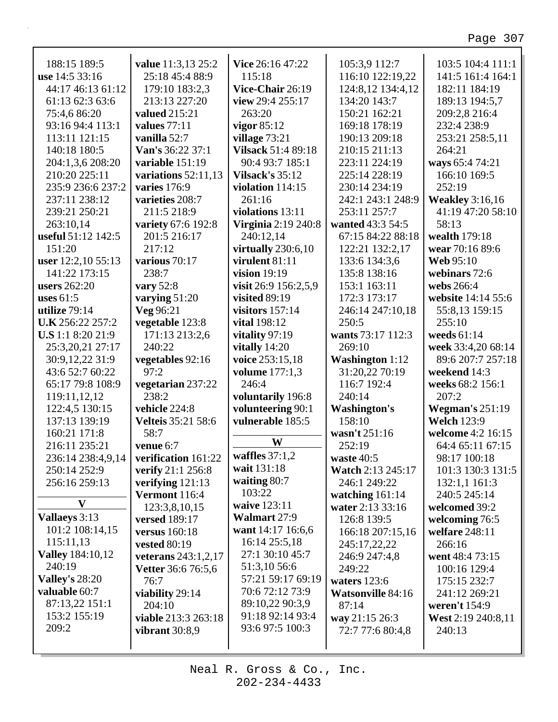ī

| 188:15 189:5             | value 11:3,13 25:2        | Vice 26:16 47:22           | 105:3,9 112:7            | 103:5 104:4 111:1      |
|--------------------------|---------------------------|----------------------------|--------------------------|------------------------|
| use 14:5 33:16           | 25:18 45:4 88:9           | 115:18                     | 116:10 122:19,22         | 141:5 161:4 164:1      |
| 44:17 46:13 61:12        | 179:10 183:2,3            | Vice-Chair 26:19           | 124:8,12 134:4,12        | 182:11 184:19          |
| 61:13 62:3 63:6          | 213:13 227:20             | view 29:4 255:17           | 134:20 143:7             | 189:13 194:5,7         |
| 75:4,6 86:20             | valued 215:21             | 263:20                     | 150:21 162:21            | 209:2,8 216:4          |
| 93:16 94:4 113:1         | values 77:11              | vigor $85:12$              | 169:18 178:19            | 232:4 238:9            |
| 113:11 121:15            | vanilla 52:7              | village 73:21              | 190:13 209:18            | 253:21 258:5,11        |
| 140:18 180:5             | Van's 36:22 37:1          | <b>Vilsack 51:4 89:18</b>  | 210:15 211:13            | 264:21                 |
| 204:1,3,6 208:20         | variable 151:19           | 90:4 93:7 185:1            | 223:11 224:19            | ways 65:4 74:21        |
| 210:20 225:11            | variations $52:11,13$     | Vilsack's $35:12$          | 225:14 228:19            | 166:10 169:5           |
| 235:9 236:6 237:2        | varies 176:9              | violation $114:15$         | 230:14 234:19            | 252:19                 |
| 237:11 238:12            | varieties 208:7           | 261:16                     | 242:1 243:1 248:9        | <b>Weakley</b> 3:16,16 |
| 239:21 250:21            | 211:5 218:9               | violations 13:11           | 253:11 257:7             | 41:19 47:20 58:10      |
| 263:10,14                | variety 67:6 192:8        | <b>Virginia</b> 2:19 240:8 | wanted 43:3 54:5         | 58:13                  |
| useful 51:12 142:5       | 201:5 216:17              | 240:12,14                  | 67:15 84:22 88:18        | wealth 179:18          |
| 151:20                   | 217:12                    | virtually $230:6,10$       | 122:21 132:2,17          | wear 70:16 89:6        |
| user 12:2,10 55:13       | various 70:17             | virulent 81:11             | 133:6 134:3,6            | <b>Web 95:10</b>       |
| 141:22 173:15            | 238:7                     | vision $19:19$             | 135:8 138:16             | webinars 72:6          |
| <b>users</b> 262:20      | vary 52:8                 | visit 26:9 156:2,5,9       | 153:1 163:11             | webs 266:4             |
| uses $61:5$              | varying 51:20             | visited 89:19              | 172:3 173:17             | website 14:14 55:6     |
| utilize 79:14            | Veg 96:21                 | visitors $157:14$          | 246:14 247:10,18         | 55:8,13 159:15         |
| U.K 256:22 257:2         | vegetable 123:8           | <b>vital</b> 198:12        | 250:5                    | 255:10                 |
| <b>U.S</b> 1:1 8:20 21:9 | 171:13 213:2,6            | vitality 97:19             | wants 73:17 112:3        | weeds $61:14$          |
| 25:3,20,21 27:17         | 240:22                    | vitally $14:20$            | 269:10                   | week 33:4,20 68:14     |
| 30:9,12,22 31:9          | vegetables 92:16          | voice 253:15,18            | <b>Washington 1:12</b>   | 89:6 207:7 257:18      |
| 43:6 52:7 60:22          | 97:2                      | <b>volume</b> 177:1,3      | 31:20,22 70:19           | weekend 14:3           |
| 65:17 79:8 108:9         | vegetarian 237:22         | 246:4                      | 116:7 192:4              | weeks 68:2 156:1       |
| 119:11,12,12             | 238:2                     | voluntarily 196:8          | 240:14                   | 207:2                  |
| 122:4,5 130:15           | vehicle 224:8             | volunteering 90:1          | <b>Washington's</b>      | <b>Wegman's 251:19</b> |
| 137:13 139:19            | <b>Velteis</b> 35:21 58:6 | vulnerable 185:5           | 158:10                   | <b>Welch 123:9</b>     |
| 160:21 171:8             | 58:7                      |                            | wasn't 251:16            | welcome 4:2 16:15      |
| 216:11 235:21            | venue 6:7                 | W                          | 252:19                   | 64:4 65:11 67:15       |
| 236:14 238:4,9,14        | verification 161:22       | waffles $37:1,2$           | waste 40:5               | 98:17 100:18           |
| 250:14 252:9             | verify 21:1 256:8         | wait 131:18                | <b>Watch 2:13 245:17</b> | 101:3 130:3 131:5      |
| 256:16 259:13            | verifying $121:13$        | waiting $80:7$             | 246:1 249:22             | 132:1,1 161:3          |
|                          | <b>Vermont</b> 116:4      | 103:22                     | watching $161:14$        | 240:5 245:14           |
| $\mathbf{V}$             | 123:3,8,10,15             | waive 123:11               | water 2:13 33:16         | welcomed 39:2          |
| Vallaeys 3:13            | versed 189:17             | <b>Walmart 27:9</b>        | 126:8 139:5              | welcoming 76:5         |
| 101:2 108:14,15          | versus $160:18$           | want 14:17 16:6,6          | 166:18 207:15,16         | welfare 248:11         |
| 115:11,13                | <b>vested 80:19</b>       | 16:14 25:5,18              | 245:17,22,22             | 266:16                 |
| <b>Valley</b> 184:10,12  | veterans $243:1,2,17$     | 27:1 30:10 45:7            | 246:9 247:4,8            | went 48:4 73:15        |
| 240:19                   | <b>Vetter</b> 36:6 76:5,6 | 51:3,10 56:6               | 249:22                   | 100:16 129:4           |
| <b>Valley's 28:20</b>    | 76:7                      | 57:21 59:17 69:19          | waters $123:6$           | 175:15 232:7           |
| valuable 60:7            | viability 29:14           | 70:6 72:12 73:9            | <b>Watsonville 84:16</b> | 241:12 269:21          |
| 87:13,22 151:1           | 204:10                    | 89:10,22 90:3,9            | 87:14                    | weren't 154:9          |
| 153:2 155:19             | viable 213:3 263:18       | 91:18 92:14 93:4           | way 21:15 26:3           | West 2:19 240:8,11     |
| 209:2                    | vibrant $30:8,9$          | 93:6 97:5 100:3            | 72:7 77:6 80:4,8         | 240:13                 |
|                          |                           |                            |                          |                        |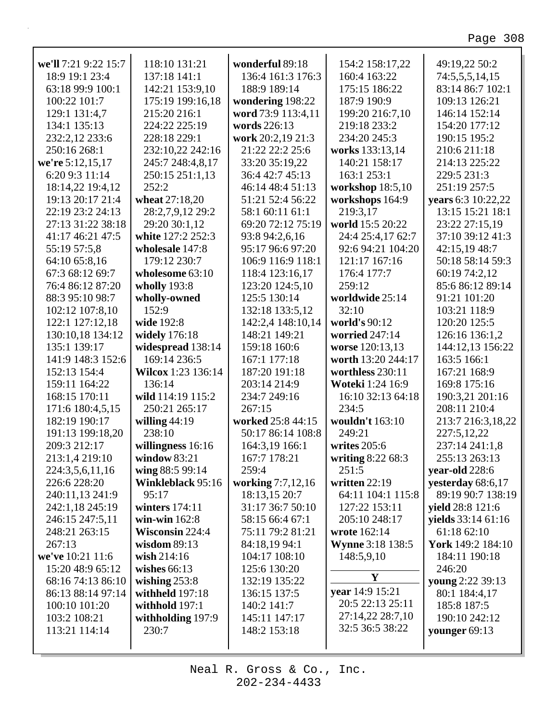٦

| we'll 7:21 9:22 15:7 | 118:10 131:21          | wonderful 89:18    | 154:2 158:17,22         | 49:19,22 50:2             |
|----------------------|------------------------|--------------------|-------------------------|---------------------------|
| 18:9 19:1 23:4       | 137:18 141:1           | 136:4 161:3 176:3  | 160:4 163:22            | 74:5,5,5,14,15            |
| 63:18 99:9 100:1     | 142:21 153:9,10        | 188:9 189:14       | 175:15 186:22           | 83:14 86:7 102:1          |
| 100:22 101:7         | 175:19 199:16,18       | wondering 198:22   | 187:9 190:9             | 109:13 126:21             |
| 129:1 131:4,7        | 215:20 216:1           | word 73:9 113:4,11 | 199:20 216:7,10         | 146:14 152:14             |
| 134:1 135:13         | 224:22 225:19          | words 226:13       | 219:18 233:2            | 154:20 177:12             |
| 232:2,12 233:6       | 228:18 229:1           | work 20:2,19 21:3  | 234:20 245:3            | 190:15 195:2              |
| 250:16 268:1         | 232:10,22 242:16       | 21:22 22:2 25:6    | works 133:13,14         | 210:6 211:18              |
| we're 5:12,15,17     | 245:7 248:4,8,17       | 33:20 35:19,22     | 140:21 158:17           | 214:13 225:22             |
| 6:20 9:3 11:14       | 250:15 251:1,13        | 36:4 42:7 45:13    | 163:1 253:1             | 229:5 231:3               |
| 18:14,22 19:4,12     | 252:2                  | 46:14 48:4 51:13   | workshop 18:5,10        | 251:19 257:5              |
| 19:13 20:17 21:4     | wheat 27:18,20         | 51:21 52:4 56:22   | workshops 164:9         | years 6:3 10:22,22        |
| 22:19 23:2 24:13     | 28:2,7,9,12 29:2       | 58:1 60:11 61:1    | 219:3,17                | 13:15 15:21 18:1          |
| 27:13 31:22 38:18    | 29:20 30:1,12          | 69:20 72:12 75:19  | world 15:5 20:22        | 23:22 27:15,19            |
| 41:17 46:21 47:5     | white 127:2 252:3      | 93:8 94:2,6,16     | 24:4 25:4,17 62:7       | 37:10 39:12 41:3          |
| 55:19 57:5,8         | wholesale 147:8        | 95:17 96:6 97:20   | 92:6 94:21 104:20       | 42:15,19 48:7             |
| 64:10 65:8,16        | 179:12 230:7           | 106:9 116:9 118:1  | 121:17 167:16           | 50:18 58:14 59:3          |
| 67:3 68:12 69:7      | wholesome 63:10        | 118:4 123:16,17    | 176:4 177:7             | 60:19 74:2,12             |
| 76:4 86:12 87:20     | wholly $193:8$         | 123:20 124:5,10    | 259:12                  | 85:6 86:12 89:14          |
| 88:3 95:10 98:7      | wholly-owned           | 125:5 130:14       | worldwide 25:14         | 91:21 101:20              |
| 102:12 107:8,10      | 152:9                  | 132:18 133:5,12    | 32:10                   | 103:21 118:9              |
| 122:1 127:12,18      | wide 192:8             | 142:2,4 148:10,14  | world's 90:12           | 120:20 125:5              |
| 130:10,18 134:12     | widely 176:18          | 148:21 149:21      | worried 247:14          | 126:16 136:1,2            |
| 135:1 139:17         | widespread 138:14      | 159:18 160:6       | worse 120:13,13         | 144:12,13 156:22          |
| 141:9 148:3 152:6    | 169:14 236:5           | 167:1 177:18       | worth 13:20 244:17      | 163:5 166:1               |
| 152:13 154:4         | Wilcox 1:23 136:14     | 187:20 191:18      | worthless 230:11        | 167:21 168:9              |
| 159:11 164:22        | 136:14                 | 203:14 214:9       | Woteki 1:24 16:9        | 169:8 175:16              |
| 168:15 170:11        | wild 114:19 115:2      | 234:7 249:16       | 16:10 32:13 64:18       | 190:3,21 201:16           |
| 171:6 180:4,5,15     | 250:21 265:17          | 267:15             | 234:5                   | 208:11 210:4              |
| 182:19 190:17        | willing $44:19$        | worked 25:8 44:15  | wouldn't 163:10         | 213:7 216:3,18,22         |
| 191:13 199:18,20     | 238:10                 | 50:17 86:14 108:8  | 249:21                  | 227:5,12,22               |
| 209:3 212:17         | willingness 16:16      | 164:3,19 166:1     | writes 205:6            | 237:14 241:1,8            |
| 213:1,4 219:10       | window $83:21$         | 167:7 178:21       | writing 8:22 68:3       | 255:13 263:13             |
| 224:3,5,6,11,16      | wing 88:5 99:14        | 259:4              | 251:5                   | year-old 228:6            |
| 226:6 228:20         | Winkleblack 95:16      | working 7:7,12,16  | written $22:19$         | yesterday 68:6,17         |
| 240:11,13 241:9      | 95:17                  | 18:13,15 20:7      | 64:11 104:1 115:8       | 89:19 90:7 138:19         |
| 242:1,18 245:19      | winters $174:11$       | 31:17 36:7 50:10   | 127:22 153:11           | yield 28:8 121:6          |
| 246:15 247:5,11      | win-win $162:8$        | 58:15 66:4 67:1    | 205:10 248:17           | <b>yields</b> 33:14 61:16 |
| 248:21 263:15        | <b>Wisconsin 224:4</b> | 75:11 79:2 81:21   | wrote 162:14            | 61:18 62:10               |
| 267:13               | wisdom $89:13$         | 84:18,19 94:1      | <b>Wynne 3:18 138:5</b> | York 149:2 184:10         |
| we've 10:21 11:6     | wish 214:16            | 104:17 108:10      | 148:5,9,10              | 184:11 190:18             |
| 15:20 48:9 65:12     | wishes $66:13$         | 125:6 130:20       |                         | 246:20                    |
| 68:16 74:13 86:10    | wishing $253:8$        | 132:19 135:22      | Y                       | young 2:22 39:13          |
| 86:13 88:14 97:14    | withheld 197:18        | 136:15 137:5       | year 14:9 15:21         | 80:1 184:4,17             |
| 100:10 101:20        | withhold 197:1         | 140:2 141:7        | 20:5 22:13 25:11        | 185:8 187:5               |
| 103:2 108:21         | withholding 197:9      | 145:11 147:17      | 27:14,22 28:7,10        | 190:10 242:12             |
| 113:21 114:14        | 230:7                  | 148:2 153:18       | 32:5 36:5 38:22         | younger $69:13$           |
|                      |                        |                    |                         |                           |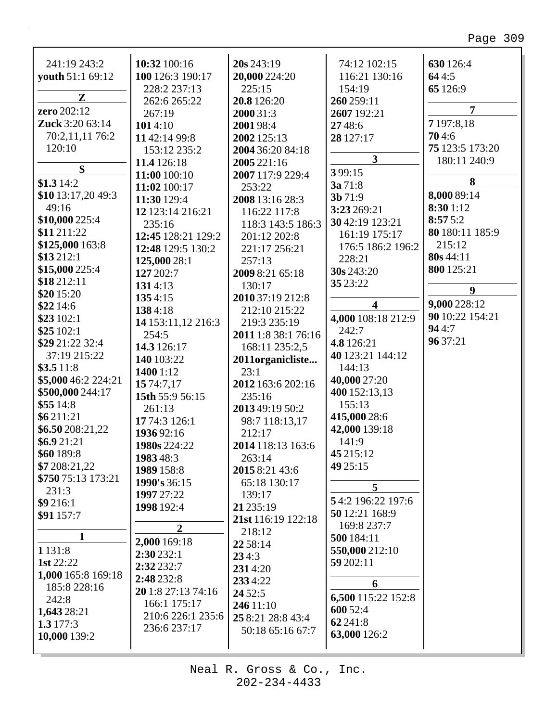| 241:19 243:2           | 10:32 100:16       | 20s 243:19          | 74:12 102:15            | 630 126:4       |
|------------------------|--------------------|---------------------|-------------------------|-----------------|
| youth 51:1 69:12       | 100 126:3 190:17   | 20,000 224:20       | 116:21 130:16           | 644:5           |
|                        | 228:2 237:13       | 225:15              | 154:19                  | 65 126:9        |
| ${\bf z}$              | 262:6 265:22       | 20.8 126:20         | 260 259:11              |                 |
| zero 202:12            | 267:19             | 2000 31:3           | 2607 192:21             | $\overline{7}$  |
| <b>Zuck</b> 3:20 63:14 | 1014:10            | 2001 98:4           | 27 48:6                 | 7 197:8,18      |
| 70:2,11,11 76:2        | 11 42:14 99:8      | 2002 125:13         | 28 127:17               | 704:6           |
| 120:10                 | 153:12 235:2       | 2004 36:20 84:18    |                         | 75 123:5 173:20 |
|                        | 11.4 126:18        | 2005 221:16         | $\overline{\mathbf{3}}$ | 180:11 240:9    |
| \$                     | 11:00 100:10       | 2007 117:9 229:4    | 399:15                  |                 |
| \$1.314:2              | 11:02 100:17       | 253:22              | 3a 71:8                 | 8               |
| \$10 13:17,20 49:3     | 11:30 129:4        | 2008 13:16 28:3     | 3b71:9                  | 8,000 89:14     |
| 49:16                  | 12 123:14 216:21   | 116:22 117:8        | 3:23 269:21             | 8:30 1:12       |
| \$10,000 225:4         | 235:16             | 118:3 143:5 186:3   | 30 42:19 123:21         | 8:575:2         |
| \$11 211:22            | 12:45 128:21 129:2 | 201:12 202:8        | 161:19 175:17           | 80 180:11 185:9 |
| \$125,000 163:8        | 12:48 129:5 130:2  | 221:17 256:21       | 176:5 186:2 196:2       | 215:12          |
| \$13 212:1             | 125,000 28:1       | 257:13              | 228:21                  | 80s 44:11       |
| \$15,000 225:4         | 127 202:7          | 2009 8:21 65:18     | 30s 243:20              | 800 125:21      |
| \$18 212:11            | 1314:13            | 130:17              | 35 23:22                |                 |
| \$20 15:20             | 1354:15            | 2010 37:19 212:8    |                         | 9               |
| \$22 14:6              | 1384:18            | 212:10 215:22       | 4                       | 9,000 228:12    |
| \$23 102:1             | 14 153:11,12 216:3 | 219:3 235:19        | 4,000 108:18 212:9      | 90 10:22 154:21 |
| \$25102:1              | 254:5              | 2011 1:8 38:1 76:16 | 242:7                   | 944:7           |
| \$29 21:22 32:4        | 14.3 126:17        | 168:11 235:2,5      | 4.8 126:21              | 96 37:21        |
| 37:19 215:22           | 140 103:22         | 2011organicliste    | 40 123:21 144:12        |                 |
| \$3.511:8              | 1400 1:12          | 23:1                | 144:13                  |                 |
| \$5,000 46:2 224:21    | 15 74:7,17         | 2012 163:6 202:16   | 40,000 27:20            |                 |
| \$500,000 244:17       | 15th 55:9 56:15    | 235:16              | 400 152:13,13           |                 |
| \$5514:8               | 261:13             | 2013 49:19 50:2     | 155:13                  |                 |
| \$6211:21              | 17 74:3 126:1      | 98:7 118:13,17      | 415,000 28:6            |                 |
| \$6.50 208:21,22       | 1936 92:16         | 212:17              | 42,000 139:18           |                 |
| \$6.921:21             | 1980s 224:22       | 2014 118:13 163:6   | 141:9                   |                 |
| \$60 189:8             | 1983 48:3          | 263:14              | 45 215:12               |                 |
| \$7 208:21,22          | 1989 158:8         | 2015 8:21 43:6      | 49 25:15                |                 |
| \$750 75:13 173:21     | 1990's 36:15       | 65:18 130:17        |                         |                 |
| 231:3                  | 1997 27:22         | 139:17              | 5                       |                 |
| \$9 216:1              | 1998 192:4         | 21 235:19           | 54:2 196:22 197:6       |                 |
| \$91 157:7             |                    | 21st 116:19 122:18  | 50 12:21 168:9          |                 |
|                        | $\overline{2}$     | 218:12              | 169:8 237:7             |                 |
| 1                      | 2,000 169:18       | 22 58:14            | 500 184:11              |                 |
| 1 1 3 1 : 8            | 2:30 232:1         | 234:3               | 550,000 212:10          |                 |
| 1st $22:22$            | 2:32 232:7         | 2314:20             | 59 202:11               |                 |
| 1,000 165:8 169:18     | 2:48 232:8         | 2334:22             | 6                       |                 |
| 185:8 228:16           | 20 1:8 27:13 74:16 | 24 5 2:5            |                         |                 |
| 242:8                  | 166:1 175:17       | 246 11:10           | 6,500 115:22 152:8      |                 |
| 1,643 28:21            | 210:6 226:1 235:6  | 25 8:21 28:8 43:4   | 600 52:4                |                 |
| 1.3 $177:3$            | 236:6 237:17       | 50:18 65:16 67:7    | 62 241:8                |                 |
| 10,000 139:2           |                    |                     | 63,000 126:2            |                 |
|                        |                    |                     |                         |                 |